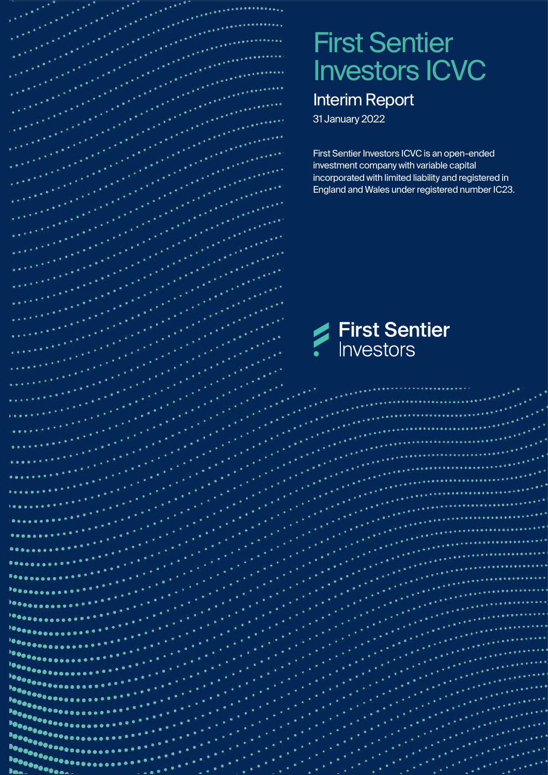# First Sentier Investors ICVC

# Interim Report

31 January 2022

artis<br><sub>arti</sub>stininin

 $\cdots$ فأخله متعاهده First Sentier Investors ICVC is an open-ended investment company with variable capital incorporated with limited liability and registered in England and Wales under registered number IC23.

**First Sentier**<br>Investors

می از این استفاده استفاده استفاده استفاده استفاده استفاده استفاده استفاده استفاده استفاده استفاده استفاده است<br>استفاده استفاده استفاده استفاده استفاده استفاده استفاده استفاده استفاده استفاده استفاده استفاده استفاده استفاد<br>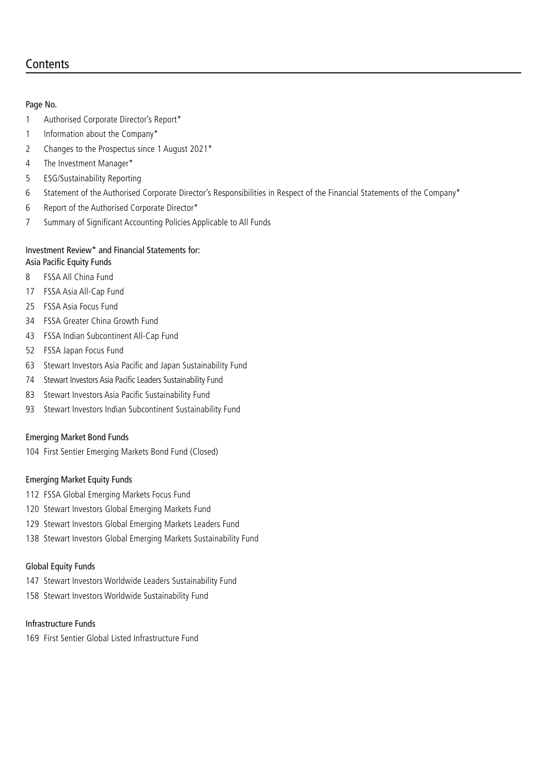# **Contents**

#### Page No.

- Authorised Corporate Director's Report\*
- 1 Information about the Company\*
- Changes to the Prospectus since 1 August 2021\*
- The Investment Manager\*
- ESG/Sustainability Reporting
- Statement of the Authorised Corporate Director's Responsibilities in Respect of the Financial Statements of the Company\*
- Report of the Authorised Corporate Director\*
- Summary of Significant Accounting Policies Applicable to All Funds

#### Investment Review\* and Financial Statements for: Asia Pacific Equity Funds

- FSSA All China Fund
- FSSA Asia All-Cap Fund
- FSSA Asia Focus Fund
- FSSA Greater China Growth Fund
- FSSA Indian Subcontinent All-Cap Fund
- FSSA Japan Focus Fund
- Stewart Investors Asia Pacific and Japan Sustainability Fund
- Stewart Investors Asia Pacific Leaders Sustainability Fund
- Stewart Investors Asia Pacific Sustainability Fund
- Stewart Investors Indian Subcontinent Sustainability Fund

#### Emerging Market Bond Funds

First Sentier Emerging Markets Bond Fund (Closed)

#### Emerging Market Equity Funds

- FSSA Global Emerging Markets Focus Fund
- Stewart Investors Global Emerging Markets Fund
- Stewart Investors Global Emerging Markets Leaders Fund
- Stewart Investors Global Emerging Markets Sustainability Fund

#### Global Equity Funds

- Stewart Investors Worldwide Leaders Sustainability Fund
- Stewart Investors Worldwide Sustainability Fund

#### Infrastructure Funds

First Sentier Global Listed Infrastructure Fund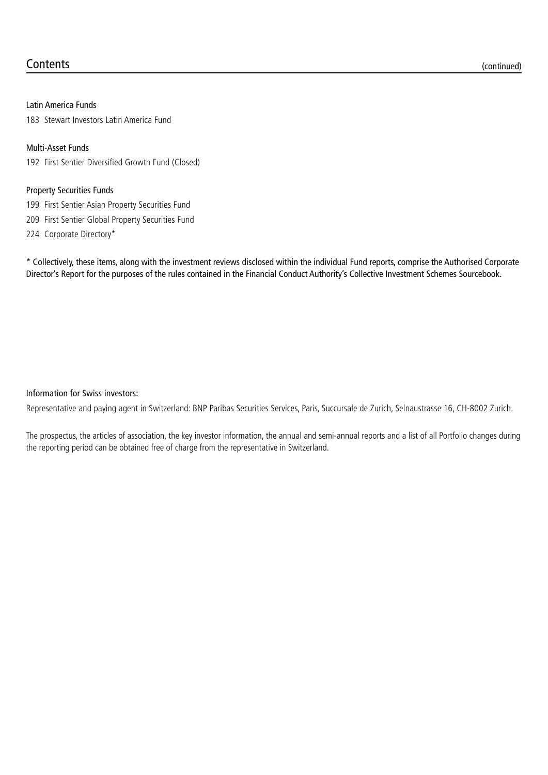#### Latin America Funds

183 Stewart Investors Latin America Fund

#### Multi-Asset Funds

192 First Sentier Diversified Growth Fund (Closed)

#### Property Securities Funds

199 First Sentier Asian Property Securities Fund

209 First Sentier Global Property Securities Fund

224 Corporate Directory\*

\* Collectively, these items, along with the investment reviews disclosed within the individual Fund reports, comprise the Authorised Corporate Director's Report for the purposes of the rules contained in the Financial Conduct Authority's Collective Investment Schemes Sourcebook.

#### Information for Swiss investors:

Representative and paying agent in Switzerland: BNP Paribas Securities Services, Paris, Succursale de Zurich, Selnaustrasse 16, CH-8002 Zurich.

The prospectus, the articles of association, the key investor information, the annual and semi-annual reports and a list of all Portfolio changes during the reporting period can be obtained free of charge from the representative in Switzerland.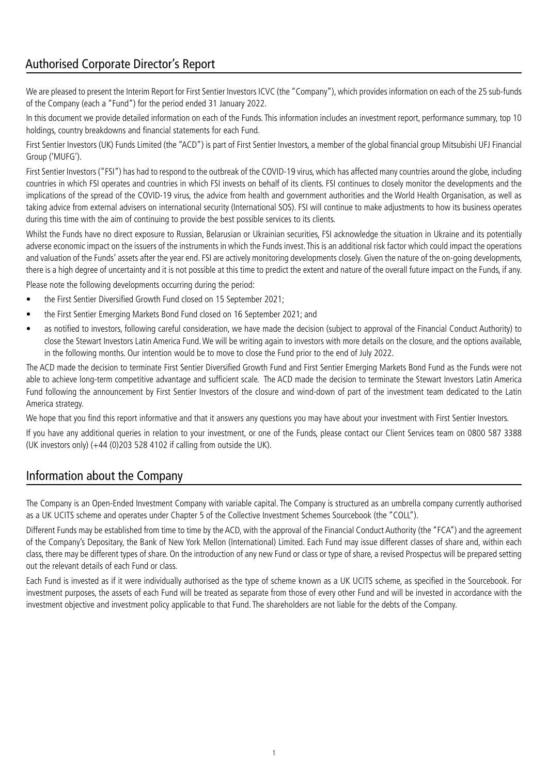# Authorised Corporate Director's Report

We are pleased to present the Interim Report for First Sentier Investors ICVC (the "Company"), which provides information on each of the 25 sub-funds of the Company (each a "Fund") for the period ended 31 January 2022.

In this document we provide detailed information on each of the Funds. This information includes an investment report, performance summary, top 10 holdings, country breakdowns and financial statements for each Fund.

First Sentier Investors (UK) Funds Limited (the "ACD") is part of First Sentier Investors, a member of the global financial group Mitsubishi UFJ Financial Group ('MUFG').

First Sentier Investors ("FSI") has had to respond to the outbreak of the COVID-19 virus, which has affected many countries around the globe, including countries in which FSI operates and countries in which FSI invests on behalf of its clients. FSI continues to closely monitor the developments and the implications of the spread of the COVID-19 virus, the advice from health and government authorities and the World Health Organisation, as well as taking advice from external advisers on international security (International SOS). FSI will continue to make adjustments to how its business operates during this time with the aim of continuing to provide the best possible services to its clients.

Whilst the Funds have no direct exposure to Russian, Belarusian or Ukrainian securities, FSI acknowledge the situation in Ukraine and its potentially adverse economic impact on the issuers of the instruments in which the Funds invest. This is an additional risk factor which could impact the operations and valuation of the Funds' assets after the year end. FSI are actively monitoring developments closely. Given the nature of the on-going developments, there is a high degree of uncertainty and it is not possible at this time to predict the extent and nature of the overall future impact on the Funds, if any.

Please note the following developments occurring during the period:

- the First Sentier Diversified Growth Fund closed on 15 September 2021;
- the First Sentier Emerging Markets Bond Fund closed on 16 September 2021; and
- as notified to investors, following careful consideration, we have made the decision (subject to approval of the Financial Conduct Authority) to close the Stewart Investors Latin America Fund. We will be writing again to investors with more details on the closure, and the options available, in the following months. Our intention would be to move to close the Fund prior to the end of July 2022.

The ACD made the decision to terminate First Sentier Diversified Growth Fund and First Sentier Emerging Markets Bond Fund as the Funds were not able to achieve long-term competitive advantage and sufficient scale. The ACD made the decision to terminate the Stewart Investors Latin America Fund following the announcement by First Sentier Investors of the closure and wind-down of part of the investment team dedicated to the Latin America strategy.

We hope that you find this report informative and that it answers any questions you may have about your investment with First Sentier Investors.

If you have any additional queries in relation to your investment, or one of the Funds, please contact our Client Services team on 0800 587 3388 (UK investors only) (+44 (0)203 528 4102 if calling from outside the UK).

# Information about the Company

The Company is an Open-Ended Investment Company with variable capital. The Company is structured as an umbrella company currently authorised as a UK UCITS scheme and operates under Chapter 5 of the Collective Investment Schemes Sourcebook (the "COLL").

Different Funds may be established from time to time by the ACD, with the approval of the Financial Conduct Authority (the "FCA") and the agreement of the Company's Depositary, the Bank of New York Mellon (International) Limited. Each Fund may issue different classes of share and, within each class, there may be different types of share. On the introduction of any new Fund or class or type of share, a revised Prospectus will be prepared setting out the relevant details of each Fund or class.

Each Fund is invested as if it were individually authorised as the type of scheme known as a UK UCITS scheme, as specified in the Sourcebook. For investment purposes, the assets of each Fund will be treated as separate from those of every other Fund and will be invested in accordance with the investment objective and investment policy applicable to that Fund. The shareholders are not liable for the debts of the Company.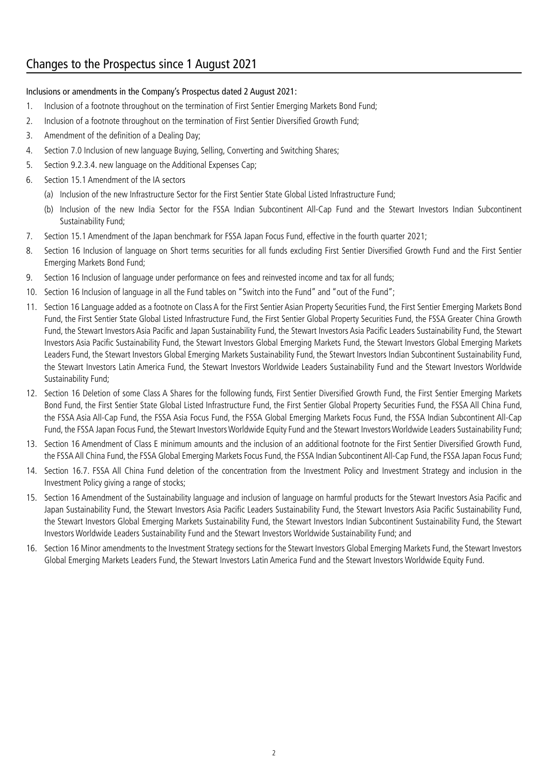# Changes to the Prospectus since 1 August 2021

#### Inclusions or amendments in the Company's Prospectus dated 2 August 2021:

- 1. Inclusion of a footnote throughout on the termination of First Sentier Emerging Markets Bond Fund;
- 2. Inclusion of a footnote throughout on the termination of First Sentier Diversified Growth Fund;
- 3. Amendment of the definition of a Dealing Day;
- 4. Section 7.0 Inclusion of new language Buying, Selling, Converting and Switching Shares;
- 5. Section 9.2.3.4. new language on the Additional Expenses Cap;
- 6. Section 15.1 Amendment of the IA sectors
	- (a) Inclusion of the new Infrastructure Sector for the First Sentier State Global Listed Infrastructure Fund;
	- (b) Inclusion of the new India Sector for the FSSA Indian Subcontinent All-Cap Fund and the Stewart Investors Indian Subcontinent Sustainability Fund;
- 7. Section 15.1 Amendment of the Japan benchmark for FSSA Japan Focus Fund, effective in the fourth quarter 2021;
- 8. Section 16 Inclusion of language on Short terms securities for all funds excluding First Sentier Diversified Growth Fund and the First Sentier Emerging Markets Bond Fund;
- 9. Section 16 Inclusion of language under performance on fees and reinvested income and tax for all funds;
- 10. Section 16 Inclusion of language in all the Fund tables on "Switch into the Fund" and "out of the Fund";
- 11. Section 16 Language added as a footnote on Class A for the First Sentier Asian Property Securities Fund, the First Sentier Emerging Markets Bond Fund, the First Sentier State Global Listed Infrastructure Fund, the First Sentier Global Property Securities Fund, the FSSA Greater China Growth Fund, the Stewart Investors Asia Pacific and Japan Sustainability Fund, the Stewart Investors Asia Pacific Leaders Sustainability Fund, the Stewart Investors Asia Pacific Sustainability Fund, the Stewart Investors Global Emerging Markets Fund, the Stewart Investors Global Emerging Markets Leaders Fund, the Stewart Investors Global Emerging Markets Sustainability Fund, the Stewart Investors Indian Subcontinent Sustainability Fund, the Stewart Investors Latin America Fund, the Stewart Investors Worldwide Leaders Sustainability Fund and the Stewart Investors Worldwide Sustainability Fund;
- 12. Section 16 Deletion of some Class A Shares for the following funds, First Sentier Diversified Growth Fund, the First Sentier Emerging Markets Bond Fund, the First Sentier State Global Listed Infrastructure Fund, the First Sentier Global Property Securities Fund, the FSSA All China Fund, the FSSA Asia All-Cap Fund, the FSSA Asia Focus Fund, the FSSA Global Emerging Markets Focus Fund, the FSSA Indian Subcontinent All-Cap Fund, the FSSA Japan Focus Fund, the Stewart Investors Worldwide Equity Fund and the Stewart Investors Worldwide Leaders Sustainability Fund;
- 13. Section 16 Amendment of Class E minimum amounts and the inclusion of an additional footnote for the First Sentier Diversified Growth Fund, the FSSA All China Fund, the FSSA Global Emerging Markets Focus Fund, the FSSA Indian Subcontinent All-Cap Fund, the FSSA Japan Focus Fund;
- 14. Section 16.7. FSSA All China Fund deletion of the concentration from the Investment Policy and Investment Strategy and inclusion in the Investment Policy giving a range of stocks;
- 15. Section 16 Amendment of the Sustainability language and inclusion of language on harmful products for the Stewart Investors Asia Pacific and Japan Sustainability Fund, the Stewart Investors Asia Pacific Leaders Sustainability Fund, the Stewart Investors Asia Pacific Sustainability Fund, the Stewart Investors Global Emerging Markets Sustainability Fund, the Stewart Investors Indian Subcontinent Sustainability Fund, the Stewart Investors Worldwide Leaders Sustainability Fund and the Stewart Investors Worldwide Sustainability Fund; and
- 16. Section 16 Minor amendments to the Investment Strategy sections for the Stewart Investors Global Emerging Markets Fund, the Stewart Investors Global Emerging Markets Leaders Fund, the Stewart Investors Latin America Fund and the Stewart Investors Worldwide Equity Fund.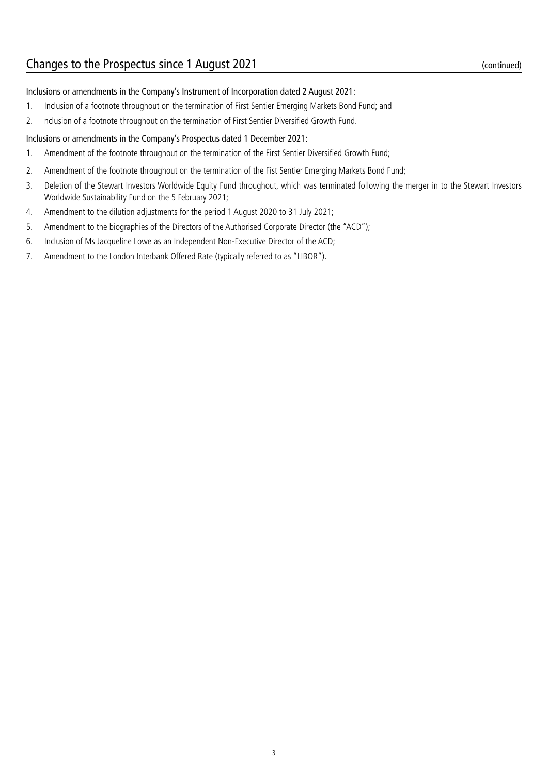#### Inclusions or amendments in the Company's Instrument of Incorporation dated 2 August 2021:

- 1. Inclusion of a footnote throughout on the termination of First Sentier Emerging Markets Bond Fund; and
- 2. nclusion of a footnote throughout on the termination of First Sentier Diversified Growth Fund.

#### Inclusions or amendments in the Company's Prospectus dated 1 December 2021:

- 1. Amendment of the footnote throughout on the termination of the First Sentier Diversified Growth Fund;
- 2. Amendment of the footnote throughout on the termination of the Fist Sentier Emerging Markets Bond Fund;
- 3. Deletion of the Stewart Investors Worldwide Equity Fund throughout, which was terminated following the merger in to the Stewart Investors Worldwide Sustainability Fund on the 5 February 2021;
- 4. Amendment to the dilution adjustments for the period 1 August 2020 to 31 July 2021;
- 5. Amendment to the biographies of the Directors of the Authorised Corporate Director (the "ACD");
- 6. Inclusion of Ms Jacqueline Lowe as an Independent Non-Executive Director of the ACD;
- 7. Amendment to the London Interbank Offered Rate (typically referred to as "LIBOR").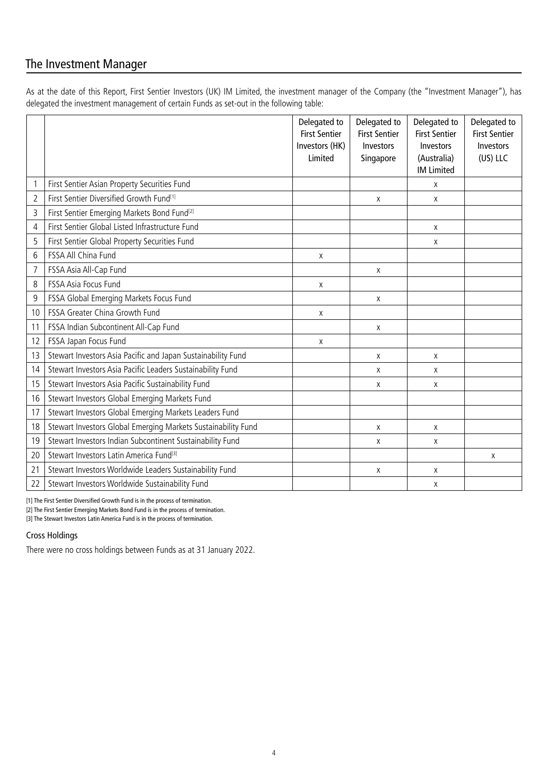# The Investment Manager

As at the date of this Report, First Sentier Investors (UK) IM Limited, the investment manager of the Company (the "Investment Manager"), has delegated the investment management of certain Funds as set-out in the following table:

|    |                                                               | Delegated to<br><b>First Sentier</b><br>Investors (HK)<br>Limited | Delegated to<br><b>First Sentier</b><br>Investors<br>Singapore | Delegated to<br><b>First Sentier</b><br>Investors<br>(Australia)<br><b>IM Limited</b> | Delegated to<br><b>First Sentier</b><br><b>Investors</b><br>(US) LLC |
|----|---------------------------------------------------------------|-------------------------------------------------------------------|----------------------------------------------------------------|---------------------------------------------------------------------------------------|----------------------------------------------------------------------|
| 1  | First Sentier Asian Property Securities Fund                  |                                                                   |                                                                | X                                                                                     |                                                                      |
| 2  | First Sentier Diversified Growth Fund <sup>[1]</sup>          |                                                                   | X                                                              | Χ                                                                                     |                                                                      |
| 3  | First Sentier Emerging Markets Bond Fund <sup>[2]</sup>       |                                                                   |                                                                |                                                                                       |                                                                      |
| 4  | First Sentier Global Listed Infrastructure Fund               |                                                                   |                                                                | X                                                                                     |                                                                      |
| 5  | First Sentier Global Property Securities Fund                 |                                                                   |                                                                | X                                                                                     |                                                                      |
| 6  | FSSA All China Fund                                           | X                                                                 |                                                                |                                                                                       |                                                                      |
| 7  | FSSA Asia All-Cap Fund                                        |                                                                   | X                                                              |                                                                                       |                                                                      |
| 8  | <b>FSSA Asia Focus Fund</b>                                   | Χ                                                                 |                                                                |                                                                                       |                                                                      |
| 9  | FSSA Global Emerging Markets Focus Fund                       |                                                                   | X                                                              |                                                                                       |                                                                      |
| 10 | FSSA Greater China Growth Fund                                | X                                                                 |                                                                |                                                                                       |                                                                      |
| 11 | FSSA Indian Subcontinent All-Cap Fund                         |                                                                   | Χ                                                              |                                                                                       |                                                                      |
| 12 | FSSA Japan Focus Fund                                         | X                                                                 |                                                                |                                                                                       |                                                                      |
| 13 | Stewart Investors Asia Pacific and Japan Sustainability Fund  |                                                                   | X                                                              | X                                                                                     |                                                                      |
| 14 | Stewart Investors Asia Pacific Leaders Sustainability Fund    |                                                                   | X                                                              | X                                                                                     |                                                                      |
| 15 | Stewart Investors Asia Pacific Sustainability Fund            |                                                                   | X                                                              | X                                                                                     |                                                                      |
| 16 | Stewart Investors Global Emerging Markets Fund                |                                                                   |                                                                |                                                                                       |                                                                      |
| 17 | Stewart Investors Global Emerging Markets Leaders Fund        |                                                                   |                                                                |                                                                                       |                                                                      |
| 18 | Stewart Investors Global Emerging Markets Sustainability Fund |                                                                   | X                                                              | X                                                                                     |                                                                      |
| 19 | Stewart Investors Indian Subcontinent Sustainability Fund     |                                                                   | X                                                              | Χ                                                                                     |                                                                      |
| 20 | Stewart Investors Latin America Fund <sup>[3]</sup>           |                                                                   |                                                                |                                                                                       | X                                                                    |
| 21 | Stewart Investors Worldwide Leaders Sustainability Fund       |                                                                   | X                                                              | X                                                                                     |                                                                      |
| 22 | Stewart Investors Worldwide Sustainability Fund               |                                                                   |                                                                | Χ                                                                                     |                                                                      |

[1] The First Sentier Diversified Growth Fund is in the process of termination.

[2] The First Sentier Emerging Markets Bond Fund is in the process of termination.

[3] The Stewart Investors Latin America Fund is in the process of termination.

#### Cross Holdings

There were no cross holdings between Funds as at 31 January 2022.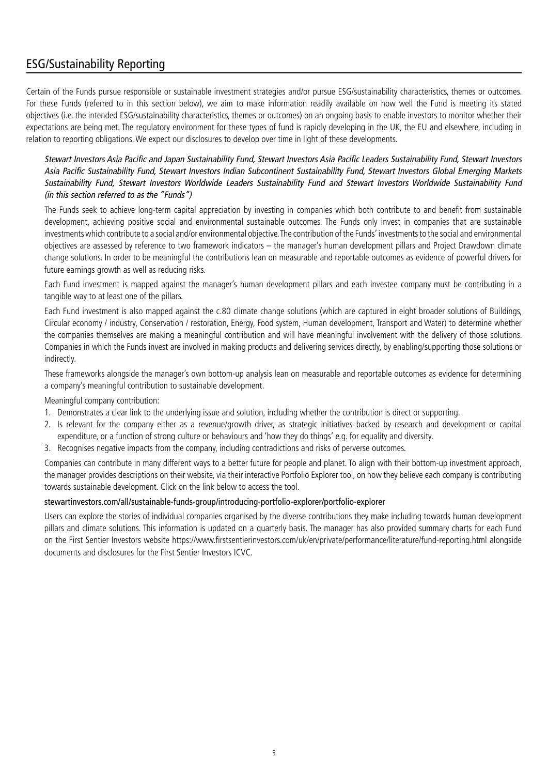# ESG/Sustainability Reporting

Certain of the Funds pursue responsible or sustainable investment strategies and/or pursue ESG/sustainability characteristics, themes or outcomes. For these Funds (referred to in this section below), we aim to make information readily available on how well the Fund is meeting its stated objectives (i.e. the intended ESG/sustainability characteristics, themes or outcomes) on an ongoing basis to enable investors to monitor whether their expectations are being met. The regulatory environment for these types of fund is rapidly developing in the UK, the EU and elsewhere, including in relation to reporting obligations. We expect our disclosures to develop over time in light of these developments.

Stewart Investors Asia Pacific and Japan Sustainability Fund, Stewart Investors Asia Pacific Leaders Sustainability Fund, Stewart Investors Asia Pacific Sustainability Fund, Stewart Investors Indian Subcontinent Sustainability Fund, Stewart Investors Global Emerging Markets Sustainability Fund, Stewart Investors Worldwide Leaders Sustainability Fund and Stewart Investors Worldwide Sustainability Fund (in this section referred to as the "Funds")

The Funds seek to achieve long-term capital appreciation by investing in companies which both contribute to and benefit from sustainable development, achieving positive social and environmental sustainable outcomes. The Funds only invest in companies that are sustainable investments which contribute to a social and/or environmental objective. The contribution of the Funds' investments to the social and environmental objectives are assessed by reference to two framework indicators – the manager's human development pillars and Project Drawdown climate change solutions. In order to be meaningful the contributions lean on measurable and reportable outcomes as evidence of powerful drivers for future earnings growth as well as reducing risks.

Each Fund investment is mapped against the manager's human development pillars and each investee company must be contributing in a tangible way to at least one of the pillars.

Each Fund investment is also mapped against the c.80 climate change solutions (which are captured in eight broader solutions of Buildings, Circular economy / industry, Conservation / restoration, Energy, Food system, Human development, Transport and Water) to determine whether the companies themselves are making a meaningful contribution and will have meaningful involvement with the delivery of those solutions. Companies in which the Funds invest are involved in making products and delivering services directly, by enabling/supporting those solutions or indirectly.

These frameworks alongside the manager's own bottom-up analysis lean on measurable and reportable outcomes as evidence for determining a company's meaningful contribution to sustainable development.

Meaningful company contribution:

- 1. Demonstrates a clear link to the underlying issue and solution, including whether the contribution is direct or supporting.
- 2. Is relevant for the company either as a revenue/growth driver, as strategic initiatives backed by research and development or capital expenditure, or a function of strong culture or behaviours and 'how they do things' e.g. for equality and diversity.
- 3. Recognises negative impacts from the company, including contradictions and risks of perverse outcomes.

Companies can contribute in many different ways to a better future for people and planet. To align with their bottom-up investment approach, the manager provides descriptions on their website, via their interactive Portfolio Explorer tool, on how they believe each company is contributing towards sustainable development. Click on the link below to access the tool.

#### stewartinvestors.com/all/sustainable-funds-group/introducing-portfolio-explorer/portfolio-explorer

Users can explore the stories of individual companies organised by the diverse contributions they make including towards human development pillars and climate solutions. This information is updated on a quarterly basis. The manager has also provided summary charts for each Fund on the First Sentier Investors website https://www.firstsentierinvestors.com/uk/en/private/performance/literature/fund-reporting.html alongside documents and disclosures for the First Sentier Investors ICVC.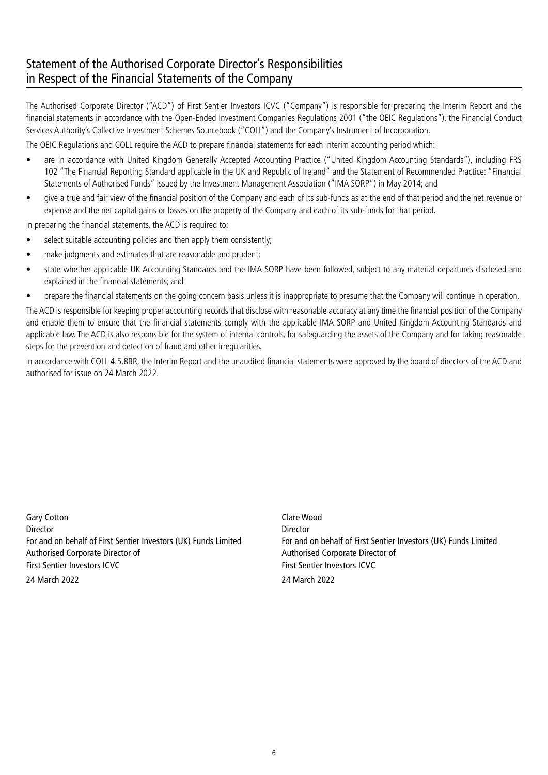# Statement of the Authorised Corporate Director's Responsibilities in Respect of the Financial Statements of the Company

The Authorised Corporate Director ("ACD") of First Sentier Investors ICVC ("Company") is responsible for preparing the Interim Report and the financial statements in accordance with the Open-Ended Investment Companies Regulations 2001 ("the OEIC Regulations"), the Financial Conduct Services Authority's Collective Investment Schemes Sourcebook ("COLL") and the Company's Instrument of Incorporation.

The OEIC Regulations and COLL require the ACD to prepare financial statements for each interim accounting period which:

- are in accordance with United Kingdom Generally Accepted Accounting Practice ("United Kingdom Accounting Standards"), including FRS 102 "The Financial Reporting Standard applicable in the UK and Republic of Ireland" and the Statement of Recommended Practice: "Financial Statements of Authorised Funds" issued by the Investment Management Association ("IMA SORP") in May 2014; and
- give a true and fair view of the financial position of the Company and each of its sub-funds as at the end of that period and the net revenue or expense and the net capital gains or losses on the property of the Company and each of its sub-funds for that period.

In preparing the financial statements, the ACD is required to:

- select suitable accounting policies and then apply them consistently;
- make judgments and estimates that are reasonable and prudent;
- state whether applicable UK Accounting Standards and the IMA SORP have been followed, subject to any material departures disclosed and explained in the financial statements; and
- prepare the financial statements on the going concern basis unless it is inappropriate to presume that the Company will continue in operation.

The ACD is responsible for keeping proper accounting records that disclose with reasonable accuracy at any time the financial position of the Company and enable them to ensure that the financial statements comply with the applicable IMA SORP and United Kingdom Accounting Standards and applicable law. The ACD is also responsible for the system of internal controls, for safeguarding the assets of the Company and for taking reasonable steps for the prevention and detection of fraud and other irregularities.

In accordance with COLL 4.5.8BR, the Interim Report and the unaudited financial statements were approved by the board of directors of the ACD and authorised for issue on 24 March 2022.

Gary Cotton **Carry Cotton** Clare Wood Director Director Authorised Corporate Director of Authorised Corporate Director of First Sentier Investors ICVC **First Sentier Investors ICVC** First Sentier Investors ICVC 24 March 2022 24 March 2022

For and on behalf of First Sentier Investors (UK) Funds Limited For and on behalf of First Sentier Investors (UK) Funds Limited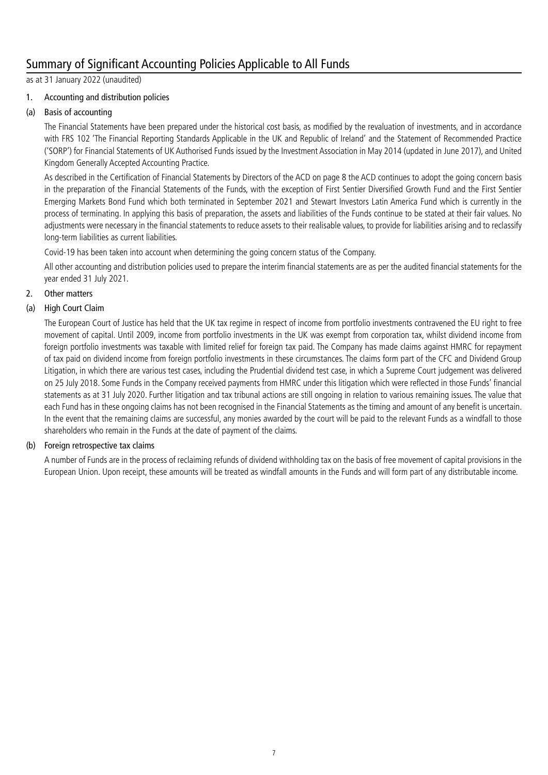# Summary of Significant Accounting Policies Applicable to All Funds

as at 31 January 2022 (unaudited)

#### 1. Accounting and distribution policies

#### (a) Basis of accounting

The Financial Statements have been prepared under the historical cost basis, as modified by the revaluation of investments, and in accordance with FRS 102 'The Financial Reporting Standards Applicable in the UK and Republic of Ireland' and the Statement of Recommended Practice ('SORP') for Financial Statements of UK Authorised Funds issued by the Investment Association in May 2014 (updated in June 2017), and United Kingdom Generally Accepted Accounting Practice.

As described in the Certification of Financial Statements by Directors of the ACD on page 8 the ACD continues to adopt the going concern basis in the preparation of the Financial Statements of the Funds, with the exception of First Sentier Diversified Growth Fund and the First Sentier Emerging Markets Bond Fund which both terminated in September 2021 and Stewart Investors Latin America Fund which is currently in the process of terminating. In applying this basis of preparation, the assets and liabilities of the Funds continue to be stated at their fair values. No adjustments were necessary in the financial statements to reduce assets to their realisable values, to provide for liabilities arising and to reclassify long-term liabilities as current liabilities.

Covid-19 has been taken into account when determining the going concern status of the Company.

All other accounting and distribution policies used to prepare the interim financial statements are as per the audited financial statements for the year ended 31 July 2021.

#### 2. Other matters

#### (a) High Court Claim

The European Court of Justice has held that the UK tax regime in respect of income from portfolio investments contravened the EU right to free movement of capital. Until 2009, income from portfolio investments in the UK was exempt from corporation tax, whilst dividend income from foreign portfolio investments was taxable with limited relief for foreign tax paid. The Company has made claims against HMRC for repayment of tax paid on dividend income from foreign portfolio investments in these circumstances. The claims form part of the CFC and Dividend Group Litigation, in which there are various test cases, including the Prudential dividend test case, in which a Supreme Court judgement was delivered on 25 July 2018. Some Funds in the Company received payments from HMRC under this litigation which were reflected in those Funds' financial statements as at 31 July 2020. Further litigation and tax tribunal actions are still ongoing in relation to various remaining issues. The value that each Fund has in these ongoing claims has not been recognised in the Financial Statements as the timing and amount of any benefit is uncertain. In the event that the remaining claims are successful, any monies awarded by the court will be paid to the relevant Funds as a windfall to those shareholders who remain in the Funds at the date of payment of the claims.

#### (b) Foreign retrospective tax claims

A number of Funds are in the process of reclaiming refunds of dividend withholding tax on the basis of free movement of capital provisions in the European Union. Upon receipt, these amounts will be treated as windfall amounts in the Funds and will form part of any distributable income.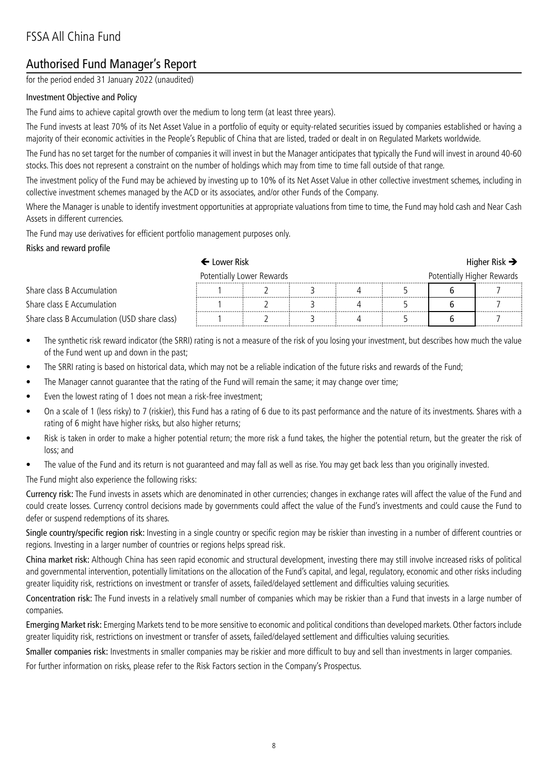# Authorised Fund Manager's Report

for the period ended 31 January 2022 (unaudited)

#### Investment Objective and Policy

The Fund aims to achieve capital growth over the medium to long term (at least three years).

The Fund invests at least 70% of its Net Asset Value in a portfolio of equity or equity-related securities issued by companies established or having a majority of their economic activities in the People's Republic of China that are listed, traded or dealt in on Regulated Markets worldwide.

The Fund has no set target for the number of companies it will invest in but the Manager anticipates that typically the Fund will invest in around 40-60 stocks. This does not represent a constraint on the number of holdings which may from time to time fall outside of that range.

The investment policy of the Fund may be achieved by investing up to 10% of its Net Asset Value in other collective investment schemes, including in collective investment schemes managed by the ACD or its associates, and/or other Funds of the Company.

Where the Manager is unable to identify investment opportunities at appropriate valuations from time to time, the Fund may hold cash and Near Cash Assets in different currencies.

The Fund may use derivatives for efficient portfolio management purposes only.

#### Risks and reward profile

|                                              | $\blackvdash$ Lower Risk      |  |  |  |   |                                | Higher Risk $\rightarrow$ |
|----------------------------------------------|-------------------------------|--|--|--|---|--------------------------------|---------------------------|
|                                              | Potentially Lower Rewards<br> |  |  |  |   | Potentially Higher Rewards<br> |                           |
| Share class B Accumulation                   |                               |  |  |  | . |                                |                           |
| Share class E Accumulation                   |                               |  |  |  |   |                                |                           |
| Share class B Accumulation (USD share class) |                               |  |  |  |   |                                |                           |

- The synthetic risk reward indicator (the SRRI) rating is not a measure of the risk of you losing your investment, but describes how much the value of the Fund went up and down in the past;
- The SRRI rating is based on historical data, which may not be a reliable indication of the future risks and rewards of the Fund;
- The Manager cannot guarantee that the rating of the Fund will remain the same; it may change over time;
- Even the lowest rating of 1 does not mean a risk-free investment;
- On a scale of 1 (less risky) to 7 (riskier), this Fund has a rating of 6 due to its past performance and the nature of its investments. Shares with a rating of 6 might have higher risks, but also higher returns;
- Risk is taken in order to make a higher potential return; the more risk a fund takes, the higher the potential return, but the greater the risk of loss; and
- The value of the Fund and its return is not quaranteed and may fall as well as rise. You may get back less than you originally invested.

The Fund might also experience the following risks:

Currency risk: The Fund invests in assets which are denominated in other currencies; changes in exchange rates will affect the value of the Fund and could create losses. Currency control decisions made by governments could affect the value of the Fund's investments and could cause the Fund to defer or suspend redemptions of its shares.

Single country/specific region risk: Investing in a single country or specific region may be riskier than investing in a number of different countries or regions. Investing in a larger number of countries or regions helps spread risk.

China market risk: Although China has seen rapid economic and structural development, investing there may still involve increased risks of political and governmental intervention, potentially limitations on the allocation of the Fund's capital, and legal, regulatory, economic and other risks including greater liquidity risk, restrictions on investment or transfer of assets, failed/delayed settlement and difficulties valuing securities.

Concentration risk: The Fund invests in a relatively small number of companies which may be riskier than a Fund that invests in a large number of companies.

Emerging Market risk: Emerging Markets tend to be more sensitive to economic and political conditions than developed markets. Other factors include greater liquidity risk, restrictions on investment or transfer of assets, failed/delayed settlement and difficulties valuing securities.

Smaller companies risk: Investments in smaller companies may be riskier and more difficult to buy and sell than investments in larger companies.

For further information on risks, please refer to the Risk Factors section in the Company's Prospectus.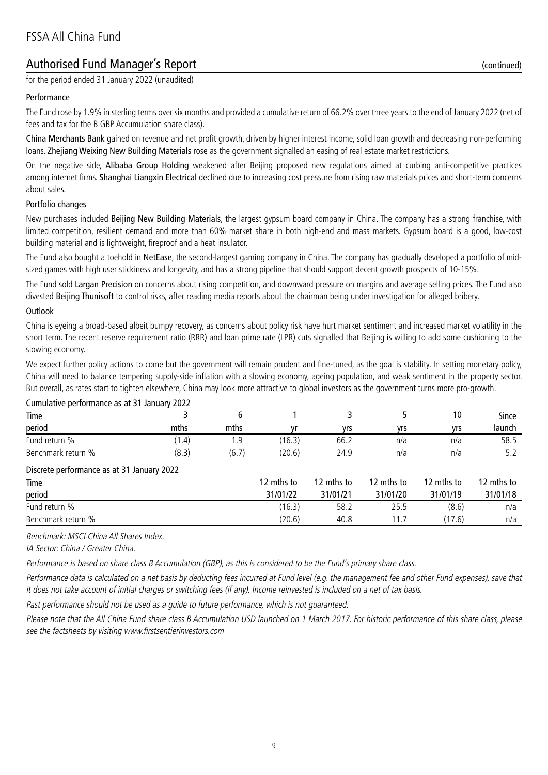# Authorised Fund Manager's Report (continued)

for the period ended 31 January 2022 (unaudited)

#### Performance

The Fund rose by 1.9% in sterling terms over six months and provided a cumulative return of 66.2% over three years to the end of January 2022 (net of fees and tax for the B GBP Accumulation share class).

China Merchants Bank gained on revenue and net profit growth, driven by higher interest income, solid loan growth and decreasing non-performing loans. Zhejiang Weixing New Building Materials rose as the government signalled an easing of real estate market restrictions.

On the negative side, Alibaba Group Holding weakened after Beijing proposed new regulations aimed at curbing anti-competitive practices among internet firms. Shanghai Liangxin Electrical declined due to increasing cost pressure from rising raw materials prices and short-term concerns about sales.

#### Portfolio changes

New purchases included Beijing New Building Materials, the largest gypsum board company in China. The company has a strong franchise, with limited competition, resilient demand and more than 60% market share in both high-end and mass markets. Gypsum board is a good, low-cost building material and is lightweight, fireproof and a heat insulator.

The Fund also bought a toehold in NetEase, the second-largest gaming company in China. The company has gradually developed a portfolio of midsized games with high user stickiness and longevity, and has a strong pipeline that should support decent growth prospects of 10-15%.

The Fund sold Largan Precision on concerns about rising competition, and downward pressure on margins and average selling prices. The Fund also divested Beijing Thunisoft to control risks, after reading media reports about the chairman being under investigation for alleged bribery.

#### Outlook

China is eyeing a broad-based albeit bumpy recovery, as concerns about policy risk have hurt market sentiment and increased market volatility in the short term. The recent reserve requirement ratio (RRR) and loan prime rate (LPR) cuts signalled that Beijing is willing to add some cushioning to the slowing economy.

We expect further policy actions to come but the government will remain prudent and fine-tuned, as the goal is stability. In setting monetary policy, China will need to balance tempering supply-side inflation with a slowing economy, ageing population, and weak sentiment in the property sector. But overall, as rates start to tighten elsewhere, China may look more attractive to global investors as the government turns more pro-growth.

| Curriculative performance as at 31 January 2022 |       |       |            |            |            |            |            |
|-------------------------------------------------|-------|-------|------------|------------|------------|------------|------------|
| Time                                            |       | 6     |            | 3          |            | 10         | Since      |
| period                                          | mths  | mths  | ۷r         | yrs        | yrs        | yrs        | launch     |
| Fund return %                                   | (1.4) | و.،   | (16.3)     | 66.2       | n/a        | n/a        | 58.5       |
| Benchmark return %                              | (8.3) | (6.7) | (20.6)     | 24.9       | n/a        | n/a        | 5.2        |
| Discrete performance as at 31 January 2022      |       |       |            |            |            |            |            |
| Time                                            |       |       | 12 mths to | 12 mths to | 12 mths to | 12 mths to | 12 mths to |
| period                                          |       |       | 31/01/22   | 31/01/21   | 31/01/20   | 31/01/19   | 31/01/18   |
| Fund return %                                   |       |       | (16.3)     | 58.2       | 25.5       | (8.6)      | n/a        |
| Benchmark return %                              |       |       | (20.6)     | 40.8       | 1.7        | (17.6)     | n/a        |

Cumulative performance as at 31 January 2022

Benchmark: MSCI China All Shares Index.

IA Sector: China / Greater China.

Performance is based on share class B Accumulation (GBP), as this is considered to be the Fund's primary share class.

Performance data is calculated on a net basis by deducting fees incurred at Fund level (e.g. the management fee and other Fund expenses), save that it does not take account of initial charges or switching fees (if any). Income reinvested is included on a net of tax basis.

Past performance should not be used as a guide to future performance, which is not guaranteed.

Please note that the All China Fund share class B Accumulation USD launched on 1 March 2017. For historic performance of this share class, please see the factsheets by visiting www.firstsentierinvestors.com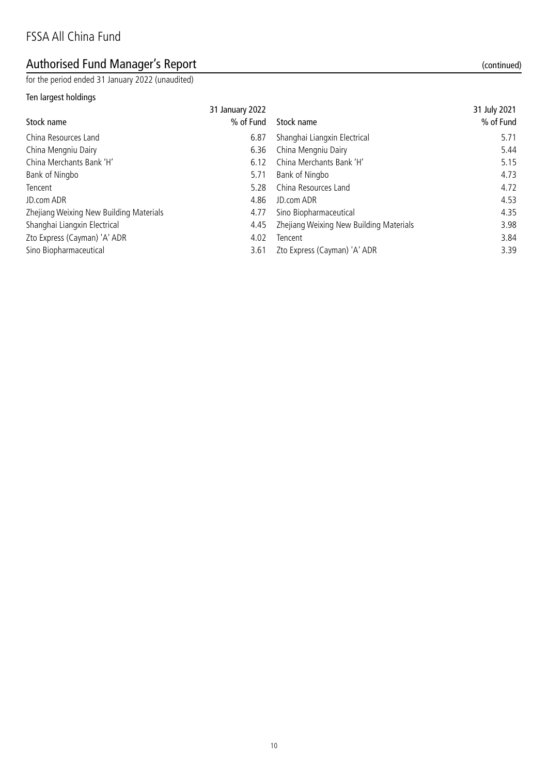# Authorised Fund Manager's Report (continued)

for the period ended 31 January 2022 (unaudited)

#### Ten largest holdings

| TEIT RIGHTSL HURTINGS                   |                 |                              |              |
|-----------------------------------------|-----------------|------------------------------|--------------|
|                                         | 31 January 2022 |                              | 31 July 2021 |
| Stock name                              | % of Fund       | Stock name                   | % of Fund    |
| China Resources Land                    | 6.87            | Shanghai Liangxin Electrical | 5.71         |
| China Mengniu Dairy                     | 6.36            | China Mengniu Dairy          | 5.44         |
| China Merchants Bank 'H'                | 6.12            | China Merchants Bank 'H'     | 5.15         |
| Bank of Ningbo                          | 5.71            | Bank of Ningbo               | 4.73         |
| Tencent                                 | 5.28            | China Resources Land         | 4.72         |
| JD.com ADR                              | 4.86            | JD.com ADR                   | 4.53         |
| Zhejiang Weixing New Building Materials | 4.77            | Sino Biopharmaceutical       | 4.35         |
|                                         |                 |                              |              |

Shanghai Liangxin Electrical **1998** 1.45 Zhejiang Weixing New Building Materials 3.98

Zto Express (Cayman) 'A' ADR 3.84

Sino Biopharmaceutical 3.39 and 3.61 Zto Express (Cayman) 'A' ADR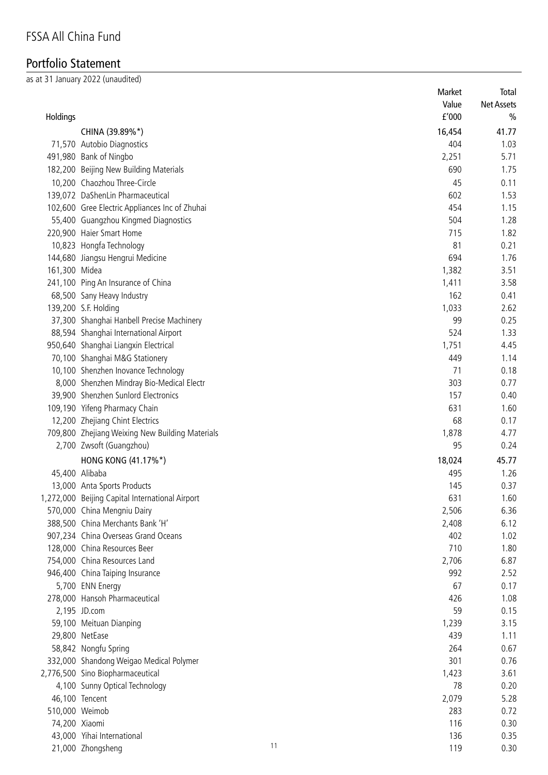# Portfolio Statement

as at 31 January 2022 (unaudited)

| Holdings       |                                                 |    | Market<br>Value<br>f'000 | Total<br><b>Net Assets</b><br>$\frac{0}{0}$ |
|----------------|-------------------------------------------------|----|--------------------------|---------------------------------------------|
|                |                                                 |    |                          |                                             |
|                | CHINA (39.89%*)                                 |    | 16,454                   | 41.77                                       |
|                | 71,570 Autobio Diagnostics                      |    | 404                      | 1.03                                        |
|                | 491,980 Bank of Ningbo                          |    | 2,251                    | 5.71                                        |
|                | 182,200 Beijing New Building Materials          |    | 690                      | 1.75                                        |
|                | 10,200 Chaozhou Three-Circle                    |    | 45                       | 0.11                                        |
|                | 139,072 DaShenLin Pharmaceutical                |    | 602                      | 1.53                                        |
|                | 102,600 Gree Electric Appliances Inc of Zhuhai  |    | 454                      | 1.15                                        |
|                | 55,400 Guangzhou Kingmed Diagnostics            |    | 504                      | 1.28                                        |
|                | 220,900 Haier Smart Home                        |    | 715                      | 1.82                                        |
|                | 10,823 Hongfa Technology                        |    | 81                       | 0.21                                        |
|                | 144,680 Jiangsu Hengrui Medicine                |    | 694                      | 1.76                                        |
| 161,300 Midea  |                                                 |    | 1,382                    | 3.51                                        |
|                | 241,100 Ping An Insurance of China              |    | 1,411                    | 3.58                                        |
|                | 68,500 Sany Heavy Industry                      |    | 162                      | 0.41                                        |
|                | 139,200 S.F. Holding                            |    | 1,033                    | 2.62                                        |
|                | 37,300 Shanghai Hanbell Precise Machinery       |    | 99                       | 0.25                                        |
|                | 88,594 Shanghai International Airport           |    | 524                      | 1.33                                        |
|                | 950,640 Shanghai Liangxin Electrical            |    | 1,751                    | 4.45                                        |
|                | 70,100 Shanghai M&G Stationery                  |    | 449                      | 1.14                                        |
|                | 10,100 Shenzhen Inovance Technology             |    | 71                       | 0.18                                        |
|                | 8,000 Shenzhen Mindray Bio-Medical Electr       |    | 303                      | 0.77                                        |
|                | 39,900 Shenzhen Sunlord Electronics             |    | 157                      | 0.40                                        |
|                | 109,190 Yifeng Pharmacy Chain                   |    | 631                      | 1.60                                        |
|                | 12,200 Zhejiang Chint Electrics                 |    | 68                       | 0.17                                        |
|                | 709,800 Zhejiang Weixing New Building Materials |    | 1,878                    | 4.77                                        |
|                | 2,700 Zwsoft (Guangzhou)                        |    | 95                       | 0.24                                        |
|                | HONG KONG (41.17%*)                             |    | 18,024                   | 45.77                                       |
|                | 45,400 Alibaba                                  |    | 495                      | 1.26                                        |
|                | 13,000 Anta Sports Products                     |    | 145                      | 0.37                                        |
|                | 1,272,000 Beijing Capital International Airport |    | 631                      | 1.60                                        |
|                | 570,000 China Mengniu Dairy                     |    | 2,506                    | 6.36                                        |
|                | 388,500 China Merchants Bank 'H'                |    | 2,408                    | 6.12                                        |
|                | 907,234 China Overseas Grand Oceans             |    | 402                      | 1.02                                        |
|                | 128,000 China Resources Beer                    |    | 710                      | 1.80                                        |
|                | 754,000 China Resources Land                    |    | 2,706                    | 6.87                                        |
|                | 946,400 China Taiping Insurance                 |    | 992                      | 2.52                                        |
|                | 5,700 ENN Energy                                |    | 67                       | 0.17                                        |
|                | 278,000 Hansoh Pharmaceutical                   |    | 426                      | 1.08                                        |
|                | 2,195 JD.com                                    |    | 59                       | 0.15                                        |
|                | 59,100 Meituan Dianping                         |    | 1,239                    | 3.15                                        |
|                | 29,800 NetEase                                  |    | 439                      | 1.11                                        |
|                | 58,842 Nongfu Spring                            |    | 264                      | 0.67                                        |
|                | 332,000 Shandong Weigao Medical Polymer         |    | 301                      | 0.76                                        |
|                | 2,776,500 Sino Biopharmaceutical                |    | 1,423                    | 3.61                                        |
|                | 4,100 Sunny Optical Technology                  |    | 78                       | 0.20                                        |
|                | 46,100 Tencent                                  |    | 2,079                    | 5.28                                        |
| 510,000 Weimob |                                                 |    | 283                      | 0.72                                        |
| 74,200 Xiaomi  |                                                 |    | 116                      | 0.30                                        |
|                | 43,000 Yihai International                      |    | 136                      | 0.35                                        |
|                | 21,000 Zhongsheng                               | 11 | 119                      | 0.30                                        |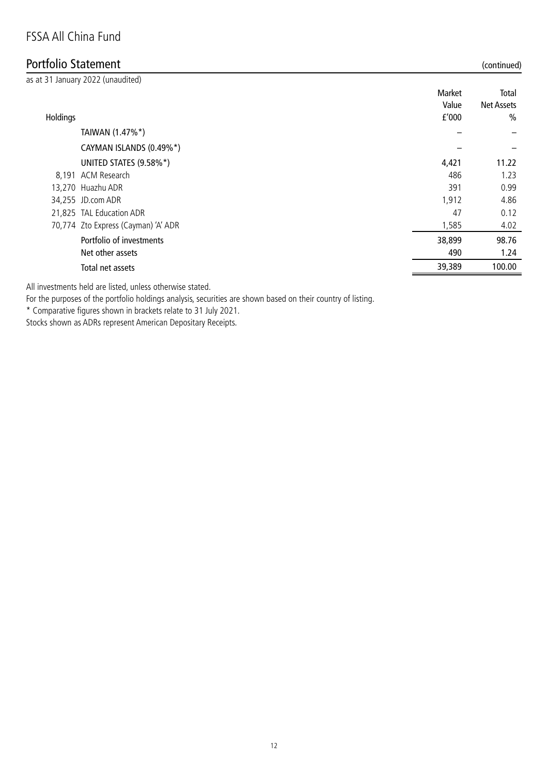# Portfolio Statement (continued)

|          | as at 31 January 2022 (unaudited)   |        |                   |
|----------|-------------------------------------|--------|-------------------|
|          |                                     | Market | Total             |
|          |                                     | Value  | <b>Net Assets</b> |
| Holdings |                                     | f'000  | $\frac{0}{0}$     |
|          | TAIWAN (1.47%*)                     |        |                   |
|          | CAYMAN ISLANDS (0.49%*)             |        |                   |
|          | UNITED STATES (9.58%*)              | 4,421  | 11.22             |
|          | 8,191 ACM Research                  | 486    | 1.23              |
|          | 13,270 Huazhu ADR                   | 391    | 0.99              |
|          | 34,255 JD.com ADR                   | 1,912  | 4.86              |
|          | 21,825 TAL Education ADR            | 47     | 0.12              |
|          | 70,774 Zto Express (Cayman) 'A' ADR | 1,585  | 4.02              |
|          | Portfolio of investments            | 38,899 | 98.76             |
|          | Net other assets                    | 490    | 1.24              |
|          | Total net assets                    | 39,389 | 100.00            |
|          |                                     |        |                   |

All investments held are listed, unless otherwise stated.

For the purposes of the portfolio holdings analysis, securities are shown based on their country of listing.

\* Comparative figures shown in brackets relate to 31 July 2021.

Stocks shown as ADRs represent American Depositary Receipts.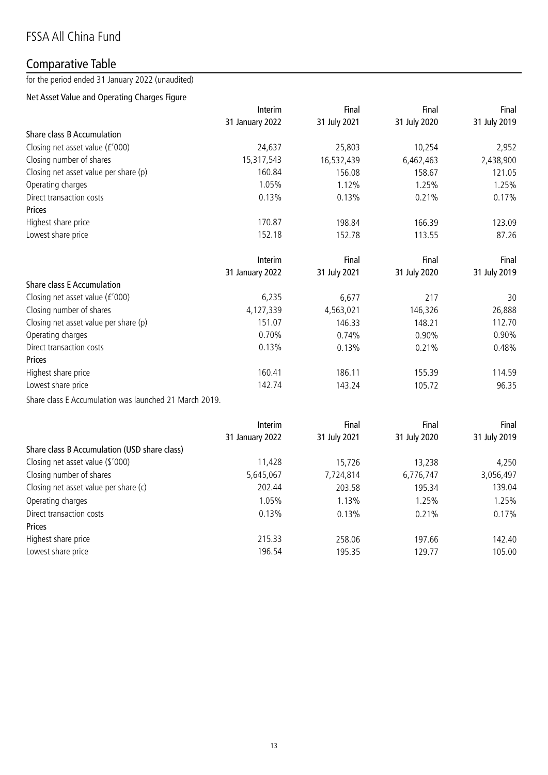# Comparative Table

for the period ended 31 January 2022 (unaudited)

### Net Asset Value and Operating Charges Figure

|                                                        | Interim         | Final        | Final        | Final        |
|--------------------------------------------------------|-----------------|--------------|--------------|--------------|
|                                                        | 31 January 2022 | 31 July 2021 | 31 July 2020 | 31 July 2019 |
| Share class B Accumulation                             |                 |              |              |              |
| Closing net asset value (£'000)                        | 24,637          | 25,803       | 10,254       | 2,952        |
| Closing number of shares                               | 15,317,543      | 16,532,439   | 6,462,463    | 2,438,900    |
| Closing net asset value per share (p)                  | 160.84          | 156.08       | 158.67       | 121.05       |
| Operating charges                                      | 1.05%           | 1.12%        | 1.25%        | 1.25%        |
| Direct transaction costs                               | 0.13%           | 0.13%        | 0.21%        | 0.17%        |
| Prices                                                 |                 |              |              |              |
| Highest share price                                    | 170.87          | 198.84       | 166.39       | 123.09       |
| Lowest share price                                     | 152.18          | 152.78       | 113.55       | 87.26        |
|                                                        | Interim         | Final        | Final        | Final        |
|                                                        | 31 January 2022 | 31 July 2021 | 31 July 2020 | 31 July 2019 |
| Share class E Accumulation                             |                 |              |              |              |
| Closing net asset value (£'000)                        | 6,235           | 6,677        | 217          | 30           |
| Closing number of shares                               | 4,127,339       | 4,563,021    | 146,326      | 26,888       |
| Closing net asset value per share (p)                  | 151.07          | 146.33       | 148.21       | 112.70       |
| Operating charges                                      | 0.70%           | 0.74%        | 0.90%        | 0.90%        |
| Direct transaction costs                               | 0.13%           | 0.13%        | 0.21%        | 0.48%        |
| <b>Prices</b>                                          |                 |              |              |              |
| Highest share price                                    | 160.41          | 186.11       | 155.39       | 114.59       |
| Lowest share price                                     | 142.74          | 143.24       | 105.72       | 96.35        |
| Share class E Accumulation was launched 21 March 2019. |                 |              |              |              |

|                                              | Interim         | Final        | Final        | Final        |
|----------------------------------------------|-----------------|--------------|--------------|--------------|
|                                              | 31 January 2022 | 31 July 2021 | 31 July 2020 | 31 July 2019 |
| Share class B Accumulation (USD share class) |                 |              |              |              |
| Closing net asset value (\$'000)             | 11,428          | 15,726       | 13,238       | 4,250        |
| Closing number of shares                     | 5,645,067       | 7,724,814    | 6,776,747    | 3,056,497    |
| Closing net asset value per share (c)        | 202.44          | 203.58       | 195.34       | 139.04       |
| Operating charges                            | 1.05%           | 1.13%        | 1.25%        | 1.25%        |
| Direct transaction costs                     | 0.13%           | 0.13%        | 0.21%        | 0.17%        |
| Prices                                       |                 |              |              |              |
| Highest share price                          | 215.33          | 258.06       | 197.66       | 142.40       |
| Lowest share price                           | 196.54          | 195.35       | 129.77       | 105.00       |
|                                              |                 |              |              |              |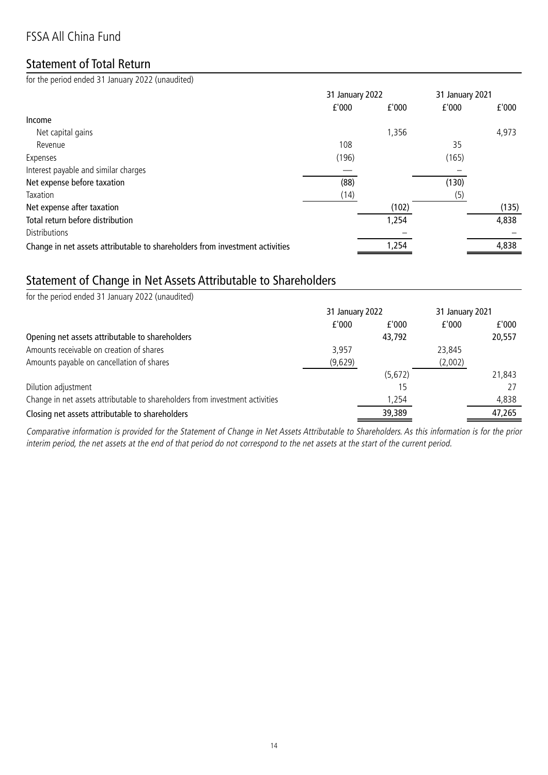# FSSA All China Fund

## Statement of Total Return

for the period ended 31 January 2022 (unaudited)

|                                                                              | 31 January 2022 |       | 31 January 2021 |       |
|------------------------------------------------------------------------------|-----------------|-------|-----------------|-------|
|                                                                              | f'000           | f'000 | £'000           | f'000 |
| Income                                                                       |                 |       |                 |       |
| Net capital gains                                                            |                 | 1,356 |                 | 4,973 |
| Revenue                                                                      | 108             |       | 35              |       |
| Expenses                                                                     | (196)           |       | (165)           |       |
| Interest payable and similar charges                                         |                 |       |                 |       |
| Net expense before taxation                                                  | (88)            |       | (130)           |       |
| Taxation                                                                     | (14)            |       | (5)             |       |
| Net expense after taxation                                                   |                 | (102) |                 | (135) |
| Total return before distribution                                             |                 | 1,254 |                 | 4,838 |
| <b>Distributions</b>                                                         |                 |       |                 |       |
| Change in net assets attributable to shareholders from investment activities |                 | 1,254 |                 | 4,838 |

### Statement of Change in Net Assets Attributable to Shareholders

| for the period ended 31 January 2022 (unaudited)                             |                 |         |                 |        |
|------------------------------------------------------------------------------|-----------------|---------|-----------------|--------|
|                                                                              | 31 January 2022 |         | 31 January 2021 |        |
|                                                                              | f'000           | f'000   | f'000           | f'000  |
| Opening net assets attributable to shareholders                              |                 | 43,792  |                 | 20,557 |
| Amounts receivable on creation of shares                                     | 3.957           |         | 23,845          |        |
| Amounts payable on cancellation of shares                                    | (9,629)         |         | (2,002)         |        |
|                                                                              |                 | (5,672) |                 | 21,843 |
| Dilution adjustment                                                          |                 | 15      |                 | 27     |
| Change in net assets attributable to shareholders from investment activities |                 | 1,254   |                 | 4,838  |
| Closing net assets attributable to shareholders                              |                 | 39,389  |                 | 47,265 |

Comparative information is provided for the Statement of Change in Net Assets Attributable to Shareholders. As this information is for the prior interim period, the net assets at the end of that period do not correspond to the net assets at the start of the current period.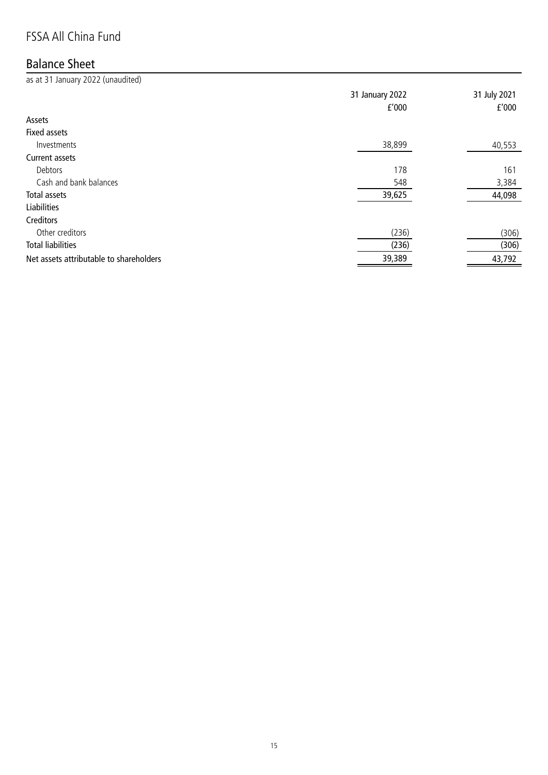# FSSA All China Fund

# Balance Sheet

as at 31 January 2022 (unaudited)

|                                         | 31 January 2022<br>f'000 | 31 July 2021<br>f'000 |
|-----------------------------------------|--------------------------|-----------------------|
| Assets                                  |                          |                       |
| <b>Fixed assets</b>                     |                          |                       |
| Investments                             | 38,899                   | 40,553                |
| Current assets                          |                          |                       |
| Debtors                                 | 178                      | 161                   |
| Cash and bank balances                  | 548                      | 3,384                 |
| Total assets                            | 39,625                   | 44,098                |
| <b>Liabilities</b>                      |                          |                       |
| Creditors                               |                          |                       |
| Other creditors                         | (236)                    | (306)                 |
| <b>Total liabilities</b>                | (236)                    | (306)                 |
| Net assets attributable to shareholders | 39,389                   | 43,792                |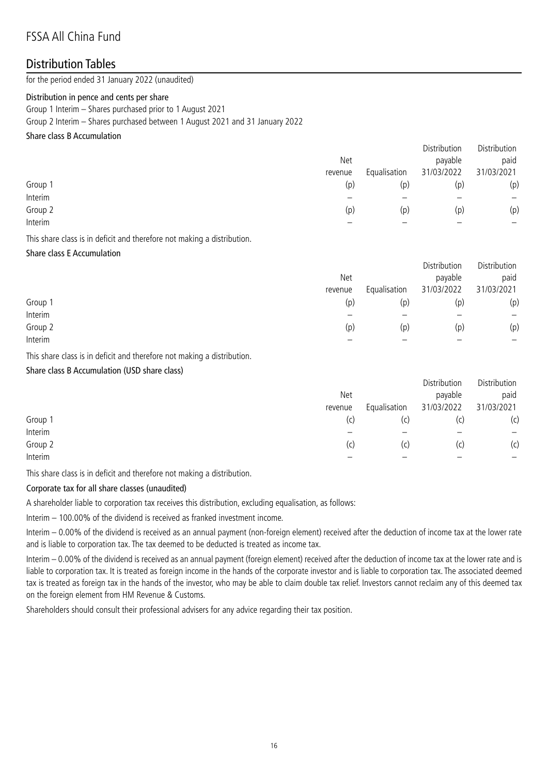# FSSA All China Fund

### Distribution Tables

for the period ended 31 January 2022 (unaudited)

#### Distribution in pence and cents per share

Group 1 Interim – Shares purchased prior to 1 August 2021

Group 2 Interim – Shares purchased between 1 August 2021 and 31 January 2022

#### Share class B Accumulation

|         |         |              | Distribution | Distribution      |
|---------|---------|--------------|--------------|-------------------|
|         | Net     |              | payable      | paid              |
|         | revenue | Equalisation | 31/03/2022   | 31/03/2021        |
| Group 1 | (p)     | (p)          | (p           | (p)               |
| Interim |         |              |              | $\qquad \qquad -$ |
| Group 2 | (p)     | (p)          | (p)          | (p)               |
| Interim |         |              |              | —                 |
|         |         |              |              |                   |

This share class is in deficit and therefore not making a distribution.

#### Share class E Accumulation

|         |         |              | Distribution | Distribution |
|---------|---------|--------------|--------------|--------------|
|         | Net     |              | payable      | paid         |
|         | revenue | Equalisation | 31/03/2022   | 31/03/2021   |
| Group 1 | (p)     | (p)          | (p)          | (p)          |
| Interim |         |              |              | -            |
| Group 2 | (p)     | (p)          | (p)          | (p)          |
| Interim |         |              |              |              |

This share class is in deficit and therefore not making a distribution.

#### Share class B Accumulation (USD share class)

|         | Net<br>revenue | Equalisation | Distribution<br>payable<br>31/03/2022 | Distribution<br>paid<br>31/03/2021 |
|---------|----------------|--------------|---------------------------------------|------------------------------------|
| Group 1 | (c)            | (c)          | (C)                                   | (c)                                |
| Interim |                |              |                                       |                                    |
| Group 2 | (c)            | (c)          | (C)                                   | (c)                                |
| Interim |                |              |                                       |                                    |
|         |                |              |                                       |                                    |

This share class is in deficit and therefore not making a distribution.

#### Corporate tax for all share classes (unaudited)

A shareholder liable to corporation tax receives this distribution, excluding equalisation, as follows:

Interim – 100.00% of the dividend is received as franked investment income.

Interim – 0.00% of the dividend is received as an annual payment (non-foreign element) received after the deduction of income tax at the lower rate and is liable to corporation tax. The tax deemed to be deducted is treated as income tax.

Interim – 0.00% of the dividend is received as an annual payment (foreign element) received after the deduction of income tax at the lower rate and is liable to corporation tax. It is treated as foreign income in the hands of the corporate investor and is liable to corporation tax. The associated deemed tax is treated as foreign tax in the hands of the investor, who may be able to claim double tax relief. Investors cannot reclaim any of this deemed tax on the foreign element from HM Revenue & Customs.

Shareholders should consult their professional advisers for any advice regarding their tax position.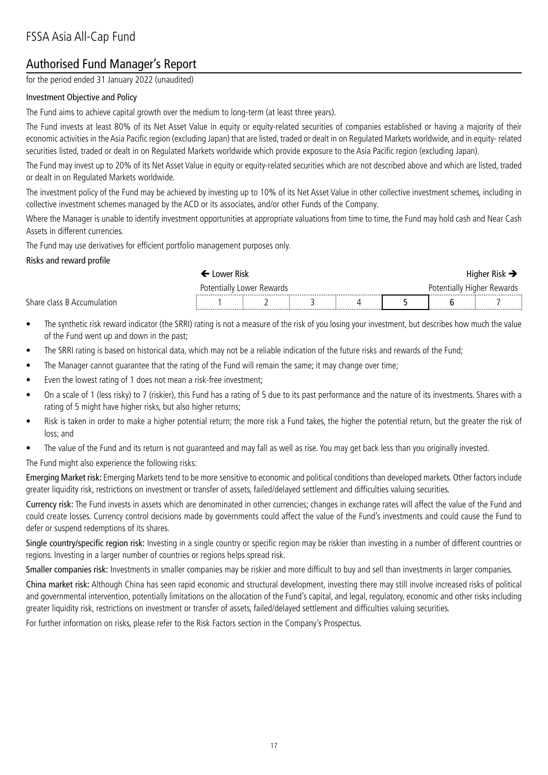# Authorised Fund Manager's Report

for the period ended 31 January 2022 (unaudited)

#### Investment Objective and Policy

The Fund aims to achieve capital growth over the medium to long-term (at least three years).

The Fund invests at least 80% of its Net Asset Value in equity or equity-related securities of companies established or having a majority of their economic activities in the Asia Pacific region (excluding Japan) that are listed, traded or dealt in on Regulated Markets worldwide, and in equity- related securities listed, traded or dealt in on Regulated Markets worldwide which provide exposure to the Asia Pacific region (excluding Japan).

The Fund may invest up to 20% of its Net Asset Value in equity or equity-related securities which are not described above and which are listed, traded or dealt in on Regulated Markets worldwide.

The investment policy of the Fund may be achieved by investing up to 10% of its Net Asset Value in other collective investment schemes, including in collective investment schemes managed by the ACD or its associates, and/or other Funds of the Company.

Where the Manager is unable to identify investment opportunities at appropriate valuations from time to time, the Fund may hold cash and Near Cash Assets in different currencies.

The Fund may use derivatives for efficient portfolio management purposes only.

#### Risks and reward profile

|                            | Lower Risk                |  |  |  |  | Higher Risk $\Rightarrow$ |  |                            |  |  |
|----------------------------|---------------------------|--|--|--|--|---------------------------|--|----------------------------|--|--|
|                            | Potentially Lower Rewards |  |  |  |  |                           |  | Potentially Higher Rewards |  |  |
| Share class B Accumulation |                           |  |  |  |  |                           |  |                            |  |  |

- The synthetic risk reward indicator (the SRRI) rating is not a measure of the risk of you losing your investment, but describes how much the value of the Fund went up and down in the past;
- The SRRI rating is based on historical data, which may not be a reliable indication of the future risks and rewards of the Fund;
- The Manager cannot guarantee that the rating of the Fund will remain the same; it may change over time;
- Even the lowest rating of 1 does not mean a risk-free investment;
- On a scale of 1 (less risky) to 7 (riskier), this Fund has a rating of 5 due to its past performance and the nature of its investments. Shares with a rating of 5 might have higher risks, but also higher returns;
- Risk is taken in order to make a higher potential return; the more risk a Fund takes, the higher the potential return, but the greater the risk of loss; and
- The value of the Fund and its return is not guaranteed and may fall as well as rise. You may get back less than you originally invested.

The Fund might also experience the following risks:

Emerging Market risk: Emerging Markets tend to be more sensitive to economic and political conditions than developed markets. Other factors include greater liquidity risk, restrictions on investment or transfer of assets, failed/delayed settlement and difficulties valuing securities.

Currency risk: The Fund invests in assets which are denominated in other currencies; changes in exchange rates will affect the value of the Fund and could create losses. Currency control decisions made by governments could affect the value of the Fund's investments and could cause the Fund to defer or suspend redemptions of its shares.

Single country/specific region risk: Investing in a single country or specific region may be riskier than investing in a number of different countries or regions. Investing in a larger number of countries or regions helps spread risk.

Smaller companies risk: Investments in smaller companies may be riskier and more difficult to buy and sell than investments in larger companies.

China market risk: Although China has seen rapid economic and structural development, investing there may still involve increased risks of political and governmental intervention, potentially limitations on the allocation of the Fund's capital, and legal, regulatory, economic and other risks including greater liquidity risk, restrictions on investment or transfer of assets, failed/delayed settlement and difficulties valuing securities.

For further information on risks, please refer to the Risk Factors section in the Company's Prospectus.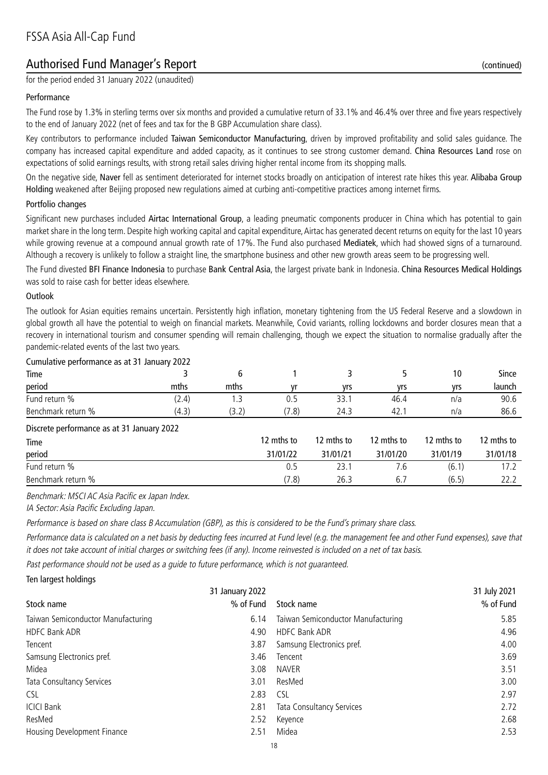# Authorised Fund Manager's Report (continued)

for the period ended 31 January 2022 (unaudited)

#### Performance

The Fund rose by 1.3% in sterling terms over six months and provided a cumulative return of 33.1% and 46.4% over three and five years respectively to the end of January 2022 (net of fees and tax for the B GBP Accumulation share class).

Key contributors to performance included Taiwan Semiconductor Manufacturing, driven by improved profitability and solid sales guidance. The company has increased capital expenditure and added capacity, as it continues to see strong customer demand. China Resources Land rose on expectations of solid earnings results, with strong retail sales driving higher rental income from its shopping malls.

On the negative side, Naver fell as sentiment deteriorated for internet stocks broadly on anticipation of interest rate hikes this year. Alibaba Group Holding weakened after Beijing proposed new regulations aimed at curbing anti-competitive practices among internet firms.

#### Portfolio changes

Significant new purchases included Airtac International Group, a leading pneumatic components producer in China which has potential to gain market share in the long term. Despite high working capital and capital expenditure, Airtac has generated decent returns on equity for the last 10 years while growing revenue at a compound annual growth rate of 17%. The Fund also purchased Mediatek, which had showed signs of a turnaround. Although a recovery is unlikely to follow a straight line, the smartphone business and other new growth areas seem to be progressing well.

The Fund divested BFI Finance Indonesia to purchase Bank Central Asia, the largest private bank in Indonesia. China Resources Medical Holdings was sold to raise cash for better ideas elsewhere.

#### Outlook

The outlook for Asian equities remains uncertain. Persistently high inflation, monetary tightening from the US Federal Reserve and a slowdown in global growth all have the potential to weigh on financial markets. Meanwhile, Covid variants, rolling lockdowns and border closures mean that a recovery in international tourism and consumer spending will remain challenging, though we expect the situation to normalise gradually after the pandemic-related events of the last two years.

| Cumulative performance as at 31 January 2022 |      |       |      |      |     |        |
|----------------------------------------------|------|-------|------|------|-----|--------|
|                                              |      |       |      |      | 10  | Since  |
| mths                                         | mths | ۷r    | vrs  | vrs  | vrs | launch |
| (2.4)                                        |      |       | 33.1 | 46.4 | n/a | 90.6   |
| (4.3)                                        |      | (7.8) | 24.3 | 42.  | n/a | 86.6   |
|                                              |      |       |      |      |     |        |

#### Discrete performance as at 31 January 2022

|          |            |            |            | 12 mths to |
|----------|------------|------------|------------|------------|
| 31/01/22 | 31/01/21   | 31/01/20   | 31/01/19   | 31/01/18   |
| 0.5      | 23.1       | 1.6        | (6.1)      |            |
| (7.8)    | 26.3       | 6.7        | (6.5)      |            |
|          | 12 mths to | 12 mths to | 12 mths to | 12 mths to |

Benchmark: MSCI AC Asia Pacific ex Japan Index.

IA Sector: Asia Pacific Excluding Japan.

Performance is based on share class B Accumulation (GBP), as this is considered to be the Fund's primary share class.

Performance data is calculated on a net basis by deducting fees incurred at Fund level (e.g. the management fee and other Fund expenses), save that it does not take account of initial charges or switching fees (if any). Income reinvested is included on a net of tax basis.

Past performance should not be used as a guide to future performance, which is not guaranteed.

| Ten largest holdings               |      |                                    |              |
|------------------------------------|------|------------------------------------|--------------|
| 31 January 2022                    |      |                                    | 31 July 2021 |
| % of Fund<br>Stock name            |      | Stock name                         | % of Fund    |
| Taiwan Semiconductor Manufacturing | 6.14 | Taiwan Semiconductor Manufacturing | 5.85         |
| HDFC Bank ADR                      | 4.90 | <b>HDFC Bank ADR</b>               | 4.96         |
| Tencent                            | 3.87 | Samsung Electronics pref.          | 4.00         |
| Samsung Electronics pref.          | 3.46 | Tencent                            | 3.69         |
| Midea                              | 3.08 | <b>NAVER</b>                       | 3.51         |
| Tata Consultancy Services          | 3.01 | ResMed                             | 3.00         |
| <b>CSL</b>                         | 2.83 | <b>CSL</b>                         | 2.97         |
| <b>ICICI Bank</b>                  | 2.81 | Tata Consultancy Services          | 2.72         |
| ResMed                             | 2.52 | Keyence                            | 2.68         |
| Housing Development Finance        | 2.51 | Midea                              | 2.53         |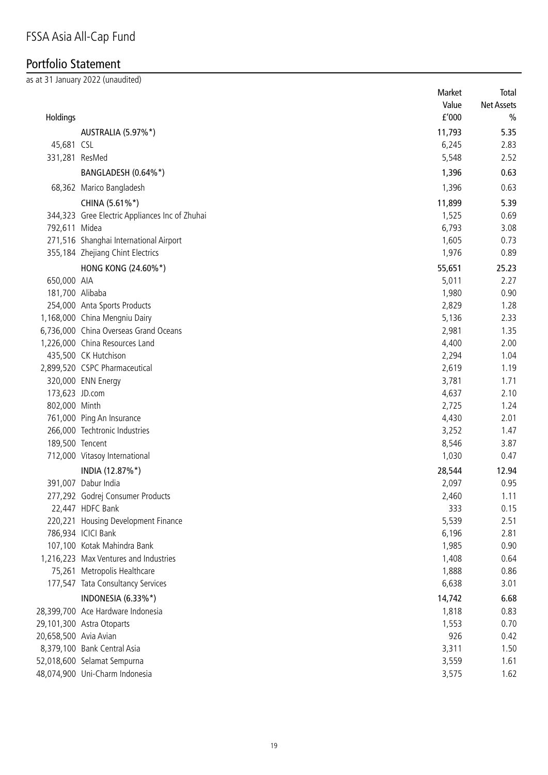# Portfolio Statement

as at 31 January 2022 (unaudited)

|                       |                                                | Market | Total      |
|-----------------------|------------------------------------------------|--------|------------|
|                       |                                                | Value  | Net Assets |
| Holdings              |                                                | f'000  | $\%$       |
|                       | AUSTRALIA (5.97%*)                             | 11,793 | 5.35       |
| 45,681 CSL            |                                                | 6,245  | 2.83       |
| 331,281 ResMed        |                                                | 5,548  | 2.52       |
|                       | BANGLADESH (0.64%*)                            | 1,396  | 0.63       |
|                       | 68,362 Marico Bangladesh                       | 1,396  | 0.63       |
|                       | CHINA (5.61%*)                                 | 11,899 | 5.39       |
|                       | 344,323 Gree Electric Appliances Inc of Zhuhai | 1,525  | 0.69       |
| 792,611 Midea         |                                                | 6,793  | 3.08       |
|                       | 271,516 Shanghai International Airport         | 1,605  | 0.73       |
|                       | 355,184 Zhejiang Chint Electrics               | 1,976  | 0.89       |
|                       | HONG KONG (24.60%*)                            | 55,651 | 25.23      |
| 650,000 AIA           |                                                | 5,011  | 2.27       |
| 181,700 Alibaba       |                                                | 1,980  | 0.90       |
|                       | 254,000 Anta Sports Products                   | 2,829  | 1.28       |
|                       | 1,168,000 China Mengniu Dairy                  | 5,136  | 2.33       |
|                       | 6,736,000 China Overseas Grand Oceans          | 2,981  | 1.35       |
|                       | 1,226,000 China Resources Land                 | 4,400  | 2.00       |
|                       | 435,500 CK Hutchison                           | 2,294  | 1.04       |
|                       | 2,899,520 CSPC Pharmaceutical                  | 2,619  | 1.19       |
|                       | 320,000 ENN Energy                             | 3,781  | 1.71       |
| 173,623 JD.com        |                                                | 4,637  | 2.10       |
| 802,000 Minth         |                                                | 2,725  | 1.24       |
|                       | 761,000 Ping An Insurance                      | 4,430  | 2.01       |
|                       | 266,000 Techtronic Industries                  | 3,252  | 1.47       |
| 189,500 Tencent       |                                                | 8,546  | 3.87       |
|                       | 712,000 Vitasoy International                  | 1,030  | 0.47       |
|                       | INDIA (12.87%*)                                | 28,544 | 12.94      |
|                       | 391,007 Dabur India                            | 2,097  | 0.95       |
|                       | 277,292 Godrej Consumer Products               | 2,460  | 1.11       |
|                       | 22,447 HDFC Bank                               | 333    | 0.15       |
|                       | 220,221 Housing Development Finance            | 5,539  | 2.51       |
|                       | 786,934 ICICI Bank                             | 6,196  | 2.81       |
|                       | 107,100 Kotak Mahindra Bank                    | 1,985  | 0.90       |
|                       | 1,216,223 Max Ventures and Industries          | 1,408  | 0.64       |
|                       | 75,261 Metropolis Healthcare                   | 1,888  | 0.86       |
|                       | 177,547 Tata Consultancy Services              | 6,638  | 3.01       |
|                       | INDONESIA (6.33%*)                             | 14,742 | 6.68       |
|                       | 28,399,700 Ace Hardware Indonesia              | 1,818  | 0.83       |
|                       | 29,101,300 Astra Otoparts                      | 1,553  | 0.70       |
| 20,658,500 Avia Avian |                                                | 926    | 0.42       |
|                       | 8,379,100 Bank Central Asia                    | 3,311  | 1.50       |
|                       | 52,018,600 Selamat Sempurna                    | 3,559  | 1.61       |
|                       | 48,074,900 Uni-Charm Indonesia                 | 3,575  | 1.62       |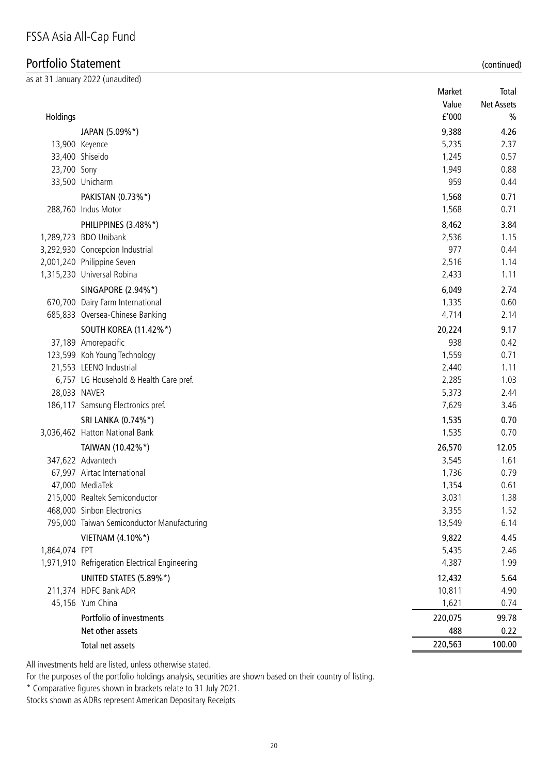# Portfolio Statement (continued)

|               | as at 31 January 2022 (unaudited)              |         |                   |
|---------------|------------------------------------------------|---------|-------------------|
|               |                                                | Market  | Total             |
|               |                                                | Value   | <b>Net Assets</b> |
| Holdings      |                                                | f'000   | $\frac{0}{0}$     |
|               | JAPAN (5.09%*)                                 | 9,388   | 4.26              |
|               | 13,900 Keyence                                 | 5,235   | 2.37              |
|               | 33,400 Shiseido                                | 1,245   | 0.57              |
| 23,700 Sony   |                                                | 1,949   | 0.88              |
|               | 33,500 Unicharm                                | 959     | 0.44              |
|               | PAKISTAN (0.73%*)                              | 1,568   | 0.71              |
|               | 288,760 Indus Motor                            | 1,568   | 0.71              |
|               | PHILIPPINES (3.48%*)                           | 8,462   | 3.84              |
|               | 1,289,723 BDO Unibank                          | 2,536   | 1.15              |
|               | 3,292,930 Concepcion Industrial                | 977     | 0.44              |
|               | 2,001,240 Philippine Seven                     | 2,516   | 1.14              |
|               | 1,315,230 Universal Robina                     | 2,433   | 1.11              |
|               | SINGAPORE (2.94%*)                             | 6,049   | 2.74              |
|               | 670,700 Dairy Farm International               | 1,335   | 0.60              |
|               | 685,833 Oversea-Chinese Banking                | 4,714   | 2.14              |
|               | <b>SOUTH KOREA (11.42%*)</b>                   | 20,224  | 9.17              |
|               | 37,189 Amorepacific                            | 938     | 0.42              |
|               | 123,599 Koh Young Technology                   | 1,559   | 0.71              |
|               | 21,553 LEENO Industrial                        | 2,440   | 1.11              |
|               | 6,757 LG Household & Health Care pref.         | 2,285   | 1.03              |
|               | 28,033 NAVER                                   | 5,373   | 2.44              |
|               | 186,117 Samsung Electronics pref.              | 7,629   | 3.46              |
|               | SRI LANKA (0.74%*)                             | 1,535   | 0.70              |
|               | 3,036,462 Hatton National Bank                 | 1,535   | 0.70              |
|               | TAIWAN (10.42%*)                               | 26,570  | 12.05             |
|               | 347,622 Advantech                              | 3,545   | 1.61              |
|               | 67,997 Airtac International                    | 1,736   | 0.79              |
|               | 47,000 MediaTek                                | 1,354   | 0.61              |
|               | 215,000 Realtek Semiconductor                  | 3,031   | 1.38              |
|               | 468,000 Sinbon Electronics                     | 3,355   | 1.52              |
|               | 795,000 Taiwan Semiconductor Manufacturing     | 13,549  | 6.14              |
|               | VIETNAM (4.10%*)                               | 9,822   | 4.45              |
| 1,864,074 FPT |                                                | 5,435   | 2.46              |
|               | 1,971,910 Refrigeration Electrical Engineering | 4,387   | 1.99              |
|               | UNITED STATES (5.89%*)                         | 12,432  | 5.64              |
|               | 211,374 HDFC Bank ADR                          | 10,811  | 4.90              |
|               | 45,156 Yum China                               | 1,621   | 0.74              |
|               | Portfolio of investments                       | 220,075 | 99.78             |
|               | Net other assets                               | 488     | 0.22              |
|               | Total net assets                               | 220,563 | 100.00            |

All investments held are listed, unless otherwise stated.

For the purposes of the portfolio holdings analysis, securities are shown based on their country of listing.

\* Comparative figures shown in brackets relate to 31 July 2021.

Stocks shown as ADRs represent American Depositary Receipts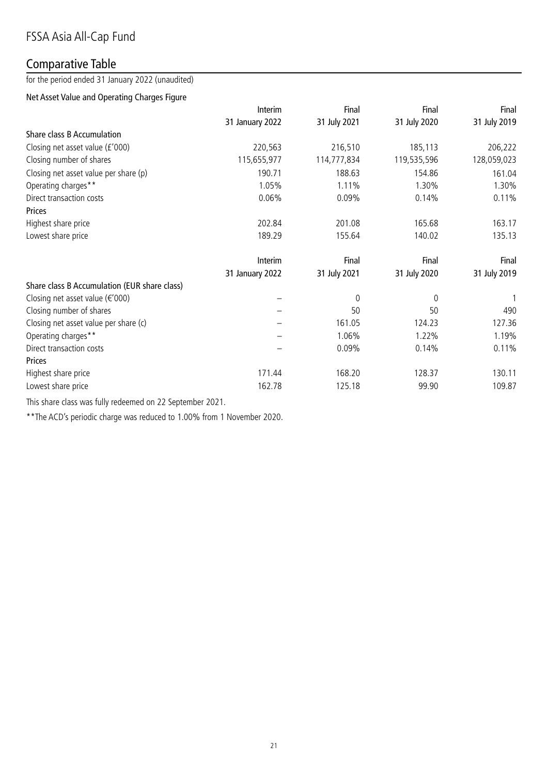# Comparative Table

for the period ended 31 January 2022 (unaudited)

# Net Asset Value and Operating Charges Figure

|                                              | Interim         | Final        | Final        | Final        |
|----------------------------------------------|-----------------|--------------|--------------|--------------|
|                                              | 31 January 2022 | 31 July 2021 | 31 July 2020 | 31 July 2019 |
| Share class B Accumulation                   |                 |              |              |              |
| Closing net asset value (£'000)              | 220,563         | 216,510      | 185,113      | 206,222      |
| Closing number of shares                     | 115,655,977     | 114,777,834  | 119,535,596  | 128,059,023  |
| Closing net asset value per share (p)        | 190.71          | 188.63       | 154.86       | 161.04       |
| Operating charges**                          | 1.05%           | 1.11%        | 1.30%        | 1.30%        |
| Direct transaction costs                     | 0.06%           | 0.09%        | 0.14%        | 0.11%        |
| Prices                                       |                 |              |              |              |
| Highest share price                          | 202.84          | 201.08       | 165.68       | 163.17       |
| Lowest share price                           | 189.29          | 155.64       | 140.02       | 135.13       |
|                                              | Interim         | Final        | Final        | Final        |
|                                              | 31 January 2022 | 31 July 2021 | 31 July 2020 | 31 July 2019 |
| Share class B Accumulation (EUR share class) |                 |              |              |              |
| Closing net asset value ( $\epsilon$ '000)   |                 | $\mathbf 0$  | 0            | 1            |
| Closing number of shares                     |                 | 50           | 50           | 490          |
| Closing net asset value per share (c)        |                 | 161.05       | 124.23       | 127.36       |
| Operating charges**                          |                 | 1.06%        | 1.22%        | 1.19%        |
| Direct transaction costs                     |                 | 0.09%        | 0.14%        | 0.11%        |
| <b>Prices</b>                                |                 |              |              |              |
| Highest share price                          | 171.44          | 168.20       | 128.37       | 130.11       |
| Lowest share price                           | 162.78          | 125.18       | 99.90        | 109.87       |

This share class was fully redeemed on 22 September 2021.

\*\*The ACD's periodic charge was reduced to 1.00% from 1 November 2020.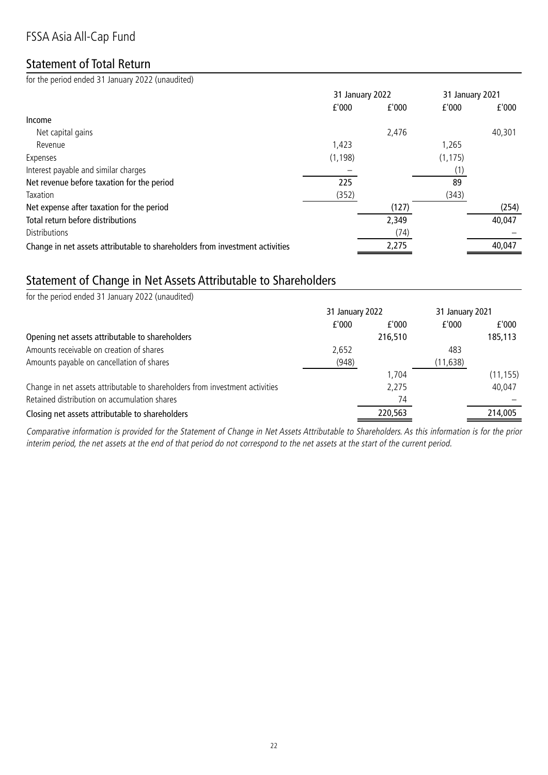# FSSA Asia All-Cap Fund

# Statement of Total Return

for the period ended 31 January 2022 (unaudited)

|                                                                              | 31 January 2022 |       | 31 January 2021 |        |
|------------------------------------------------------------------------------|-----------------|-------|-----------------|--------|
|                                                                              | f'000           | f'000 | f'000           | f'000  |
| Income                                                                       |                 |       |                 |        |
| Net capital gains                                                            |                 | 2,476 |                 | 40,301 |
| Revenue                                                                      | 1,423           |       | 1,265           |        |
| Expenses                                                                     | (1, 198)        |       | (1, 175)        |        |
| Interest payable and similar charges                                         |                 |       | (1)             |        |
| Net revenue before taxation for the period                                   | 225             |       | 89              |        |
| Taxation                                                                     | (352)           |       | (343)           |        |
| Net expense after taxation for the period                                    |                 | (127) |                 | (254)  |
| Total return before distributions                                            |                 | 2,349 |                 | 40,047 |
| <b>Distributions</b>                                                         |                 | (74)  |                 |        |
| Change in net assets attributable to shareholders from investment activities |                 | 2,275 |                 | 40,047 |

# Statement of Change in Net Assets Attributable to Shareholders

| for the period ended 31 January 2022 (unaudited)                             |                 |         |                 |           |
|------------------------------------------------------------------------------|-----------------|---------|-----------------|-----------|
|                                                                              | 31 January 2022 |         | 31 January 2021 |           |
|                                                                              | f'000           | f'000   | f'000           | f'000     |
| Opening net assets attributable to shareholders                              |                 | 216,510 |                 | 185,113   |
| Amounts receivable on creation of shares                                     | 2,652           |         | 483             |           |
| Amounts payable on cancellation of shares                                    | (948)           |         | (11, 638)       |           |
|                                                                              |                 | 1.704   |                 | (11, 155) |
| Change in net assets attributable to shareholders from investment activities |                 | 2,275   |                 | 40,047    |
| Retained distribution on accumulation shares                                 |                 | 74      |                 |           |
| Closing net assets attributable to shareholders                              |                 | 220,563 |                 | 214,005   |
|                                                                              |                 |         |                 |           |

Comparative information is provided for the Statement of Change in Net Assets Attributable to Shareholders. As this information is for the prior interim period, the net assets at the end of that period do not correspond to the net assets at the start of the current period.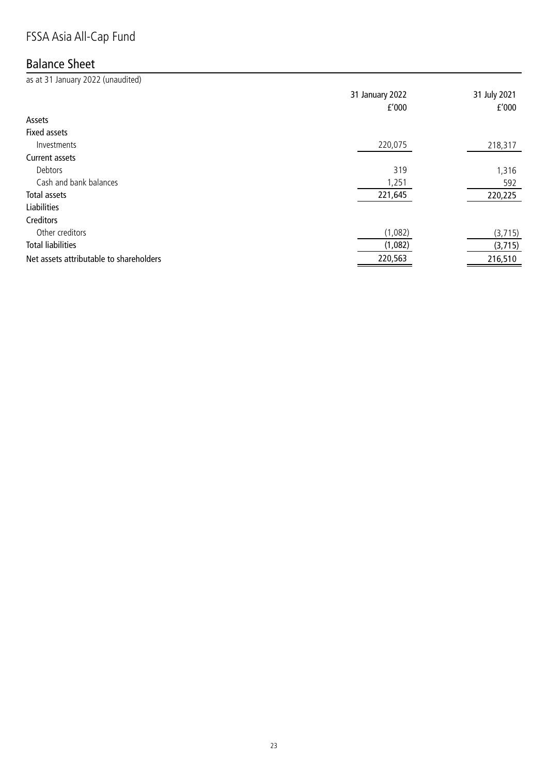# FSSA Asia All-Cap Fund

# Balance Sheet

as at 31 January 2022 (unaudited)

|                                         | 31 January 2022<br>f'000 | 31 July 2021<br>f'000 |
|-----------------------------------------|--------------------------|-----------------------|
| Assets                                  |                          |                       |
| Fixed assets                            |                          |                       |
| Investments                             | 220,075                  | 218,317               |
| Current assets                          |                          |                       |
| Debtors                                 | 319                      | 1,316                 |
| Cash and bank balances                  | 1,251                    | 592                   |
| Total assets                            | 221,645                  | 220,225               |
| <b>Liabilities</b>                      |                          |                       |
| Creditors                               |                          |                       |
| Other creditors                         | (1,082)                  | (3, 715)              |
| <b>Total liabilities</b>                | (1,082)                  | (3,715)               |
| Net assets attributable to shareholders | 220,563                  | 216,510               |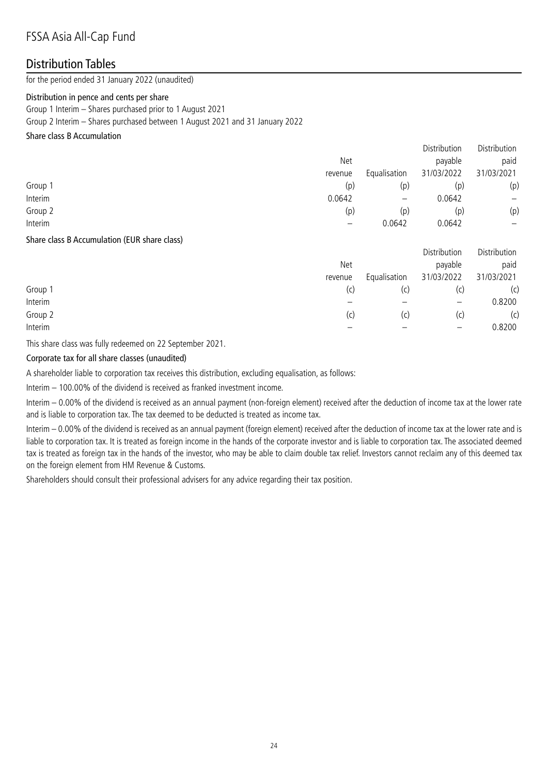### Distribution Tables

for the period ended 31 January 2022 (unaudited)

#### Distribution in pence and cents per share

Group 1 Interim – Shares purchased prior to 1 August 2021 Group 2 Interim – Shares purchased between 1 August 2021 and 31 January 2022

#### Share class B Accumulation

|         |         |                          | Distribution | Distribution |
|---------|---------|--------------------------|--------------|--------------|
|         | Net     |                          | payable      | paid         |
|         | revenue | Equalisation             | 31/03/2022   | 31/03/2021   |
| Group 1 | (p)     | (p)                      | (p)          | (p)          |
| Interim | 0.0642  | $\overline{\phantom{m}}$ | 0.0642       | —            |
| Group 2 | (p)     | (p)                      | (p)          | (p)          |
| Interim |         | 0.0642                   | 0.0642       | —            |
|         |         |                          |              |              |

#### Share class B Accumulation (EUR share class)

|         |         |              | Distribution             | Distribution |
|---------|---------|--------------|--------------------------|--------------|
|         | Net     |              | payable                  | paid         |
|         | revenue | Equalisation | 31/03/2022               | 31/03/2021   |
| Group 1 | (C)     | (c)          |                          | (c)          |
| Interim |         |              | $\overline{\phantom{m}}$ | 0.8200       |
| Group 2 | (c)     | (c)          | (C)                      | (c)          |
| Interim |         |              | $\qquad \qquad -$        | 0.8200       |
|         |         |              |                          |              |

This share class was fully redeemed on 22 September 2021.

#### Corporate tax for all share classes (unaudited)

A shareholder liable to corporation tax receives this distribution, excluding equalisation, as follows:

Interim – 100.00% of the dividend is received as franked investment income.

Interim – 0.00% of the dividend is received as an annual payment (non-foreign element) received after the deduction of income tax at the lower rate and is liable to corporation tax. The tax deemed to be deducted is treated as income tax.

Interim – 0.00% of the dividend is received as an annual payment (foreign element) received after the deduction of income tax at the lower rate and is liable to corporation tax. It is treated as foreign income in the hands of the corporate investor and is liable to corporation tax. The associated deemed tax is treated as foreign tax in the hands of the investor, who may be able to claim double tax relief. Investors cannot reclaim any of this deemed tax on the foreign element from HM Revenue & Customs.

Shareholders should consult their professional advisers for any advice regarding their tax position.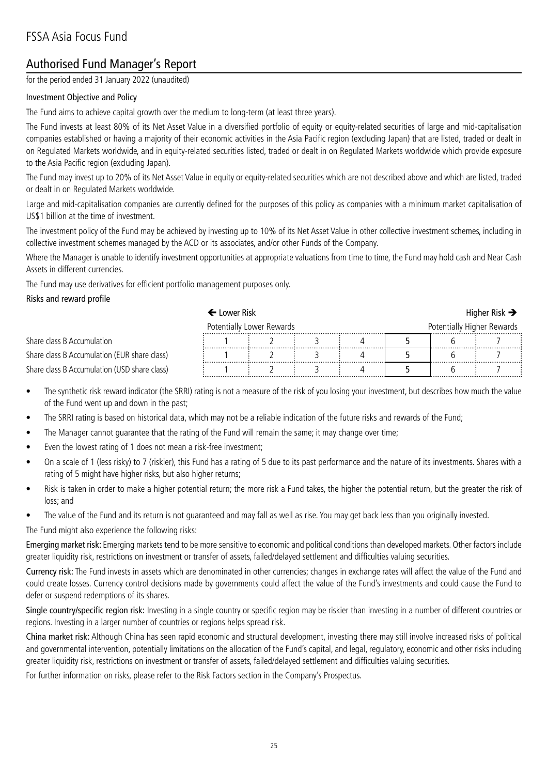# Authorised Fund Manager's Report

for the period ended 31 January 2022 (unaudited)

#### Investment Objective and Policy

The Fund aims to achieve capital growth over the medium to long-term (at least three years).

The Fund invests at least 80% of its Net Asset Value in a diversified portfolio of equity or equity-related securities of large and mid-capitalisation companies established or having a majority of their economic activities in the Asia Pacific region (excluding Japan) that are listed, traded or dealt in on Regulated Markets worldwide, and in equity-related securities listed, traded or dealt in on Regulated Markets worldwide which provide exposure to the Asia Pacific region (excluding Japan).

The Fund may invest up to 20% of its Net Asset Value in equity or equity-related securities which are not described above and which are listed, traded or dealt in on Regulated Markets worldwide.

Large and mid-capitalisation companies are currently defined for the purposes of this policy as companies with a minimum market capitalisation of US\$1 billion at the time of investment.

The investment policy of the Fund may be achieved by investing up to 10% of its Net Asset Value in other collective investment schemes, including in collective investment schemes managed by the ACD or its associates, and/or other Funds of the Company.

Where the Manager is unable to identify investment opportunities at appropriate valuations from time to time, the Fund may hold cash and Near Cash Assets in different currencies.

The Fund may use derivatives for efficient portfolio management purposes only.

#### Risks and reward profile

|                                                         | $\blacklozenge$ Lower Risk . |  |  |  |  | Higher Risk $\rightarrow$ |
|---------------------------------------------------------|------------------------------|--|--|--|--|---------------------------|
| Potentially Lower Rewards<br>Potentially Higher Rewards |                              |  |  |  |  |                           |
| Share class B Accumulation                              |                              |  |  |  |  |                           |
| Share class B Accumulation (EUR share class)            |                              |  |  |  |  |                           |
| Share class B Accumulation (USD share class)            |                              |  |  |  |  |                           |

- The synthetic risk reward indicator (the SRRI) rating is not a measure of the risk of you losing your investment, but describes how much the value of the Fund went up and down in the past;
- The SRRI rating is based on historical data, which may not be a reliable indication of the future risks and rewards of the Fund;
- The Manager cannot guarantee that the rating of the Fund will remain the same; it may change over time;
- Even the lowest rating of 1 does not mean a risk-free investment;
- On a scale of 1 (less risky) to 7 (riskier), this Fund has a rating of 5 due to its past performance and the nature of its investments. Shares with a rating of 5 might have higher risks, but also higher returns;
- Risk is taken in order to make a higher potential return; the more risk a Fund takes, the higher the potential return, but the greater the risk of loss; and
- The value of the Fund and its return is not guaranteed and may fall as well as rise. You may get back less than you originally invested.

#### The Fund might also experience the following risks:

Emerging market risk: Emerging markets tend to be more sensitive to economic and political conditions than developed markets. Other factors include greater liquidity risk, restrictions on investment or transfer of assets, failed/delayed settlement and difficulties valuing securities.

Currency risk: The Fund invests in assets which are denominated in other currencies; changes in exchange rates will affect the value of the Fund and could create losses. Currency control decisions made by governments could affect the value of the Fund's investments and could cause the Fund to defer or suspend redemptions of its shares.

Single country/specific region risk: Investing in a single country or specific region may be riskier than investing in a number of different countries or regions. Investing in a larger number of countries or regions helps spread risk.

China market risk: Although China has seen rapid economic and structural development, investing there may still involve increased risks of political and governmental intervention, potentially limitations on the allocation of the Fund's capital, and legal, regulatory, economic and other risks including greater liquidity risk, restrictions on investment or transfer of assets, failed/delayed settlement and difficulties valuing securities.

For further information on risks, please refer to the Risk Factors section in the Company's Prospectus.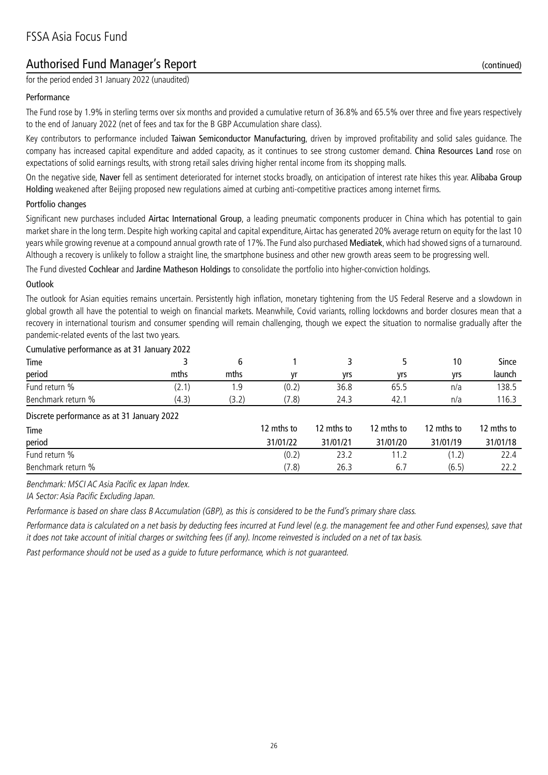# Authorised Fund Manager's Report (continued)

for the period ended 31 January 2022 (unaudited)

#### Performance

The Fund rose by 1.9% in sterling terms over six months and provided a cumulative return of 36.8% and 65.5% over three and five years respectively to the end of January 2022 (net of fees and tax for the B GBP Accumulation share class).

Key contributors to performance included Taiwan Semiconductor Manufacturing, driven by improved profitability and solid sales guidance. The company has increased capital expenditure and added capacity, as it continues to see strong customer demand. China Resources Land rose on expectations of solid earnings results, with strong retail sales driving higher rental income from its shopping malls.

On the negative side, Naver fell as sentiment deteriorated for internet stocks broadly, on anticipation of interest rate hikes this year. Alibaba Group Holding weakened after Beijing proposed new regulations aimed at curbing anti-competitive practices among internet firms.

#### Portfolio changes

Significant new purchases included Airtac International Group, a leading pneumatic components producer in China which has potential to gain market share in the long term. Despite high working capital and capital expenditure, Airtac has generated 20% average return on equity for the last 10 years while growing revenue at a compound annual growth rate of 17%. The Fund also purchased Mediatek, which had showed signs of a turnaround. Although a recovery is unlikely to follow a straight line, the smartphone business and other new growth areas seem to be progressing well.

The Fund divested Cochlear and Jardine Matheson Holdings to consolidate the portfolio into higher-conviction holdings.

#### **Outlook**

The outlook for Asian equities remains uncertain. Persistently high inflation, monetary tightening from the US Federal Reserve and a slowdown in global growth all have the potential to weigh on financial markets. Meanwhile, Covid variants, rolling lockdowns and border closures mean that a recovery in international tourism and consumer spending will remain challenging, though we expect the situation to normalise gradually after the pandemic-related events of the last two years.

#### Cumulative performance as at 31 January 2022

|                    | ____           |                 |       |            |            |     |        |
|--------------------|----------------|-----------------|-------|------------|------------|-----|--------|
| Time               |                |                 |       |            |            | ١U  | Since  |
| period             | mths           | mths            | vr    | <b>vrs</b> | <b>vrs</b> | vrs | launch |
| Fund return %      |                | . . 9           | (0.2) | 36.8       | 65.5       | n/a | 38.5،  |
| Benchmark return % | $\sim$<br>(4.3 | ה הי<br>. ے . 2 | 7.8)  | 24.3       | 42.        | n/a | 16.3   |

#### Discrete performance as at 31 January 2022

| Discrete performance as at 51 January 2022 |            |            |            |            |            |
|--------------------------------------------|------------|------------|------------|------------|------------|
| Time                                       | 12 mths to | 12 mths to | 12 mths to | 12 mths to | 12 mths to |
| period                                     | 31/01/22   | 31/01/21   | 31/01/20   | 31/01/19   | 31/01/18   |
| Fund return %                              | (0.2)      | 23.2       |            | (1.2)      | 22.4       |
| Benchmark return %                         | (7.8)      | 26.3       | 6.         | (6.5)      |            |

Benchmark: MSCI AC Asia Pacific ex Japan Index.

IA Sector: Asia Pacific Excluding Japan.

Performance is based on share class B Accumulation (GBP), as this is considered to be the Fund's primary share class.

Performance data is calculated on a net basis by deducting fees incurred at Fund level (e.g. the management fee and other Fund expenses), save that it does not take account of initial charges or switching fees (if any). Income reinvested is included on a net of tax basis.

Past performance should not be used as a guide to future performance, which is not guaranteed.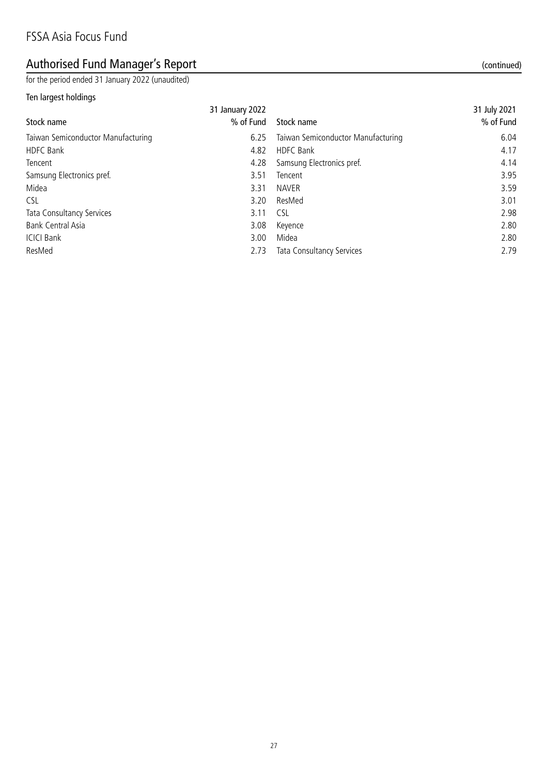# Authorised Fund Manager's Report (continued) and the set of the set of the set of the set of the set of the set of the set of the set of the set of the set of the set of the set of the set of the set of the set of the set

for the period ended 31 January 2022 (unaudited)

#### Ten largest holdings

| Stock name                         | 31 January 2022<br>% of Fund | Stock name                         | 31 July 2021<br>% of Fund |
|------------------------------------|------------------------------|------------------------------------|---------------------------|
| Taiwan Semiconductor Manufacturing | 6.25                         | Taiwan Semiconductor Manufacturing | 6.04                      |
| HDFC Bank                          | 4.82                         | <b>HDFC Bank</b>                   | 4.17                      |
| Tencent                            | 4.28                         | Samsung Electronics pref.          | 4.14                      |
| Samsung Electronics pref.          | 3.51                         | Tencent                            | 3.95                      |
| Midea                              | 3.31                         | <b>NAVER</b>                       | 3.59                      |
| CSL                                | 3.20                         | ResMed                             | 3.01                      |
| Tata Consultancy Services          | 3.11                         | <b>CSL</b>                         | 2.98                      |
| Bank Central Asia                  | 3.08                         | Keyence                            | 2.80                      |
| <b>ICICI Bank</b>                  | 3.00                         | Midea                              | 2.80                      |
| ResMed                             | 2.73                         | Tata Consultancy Services          | 2.79                      |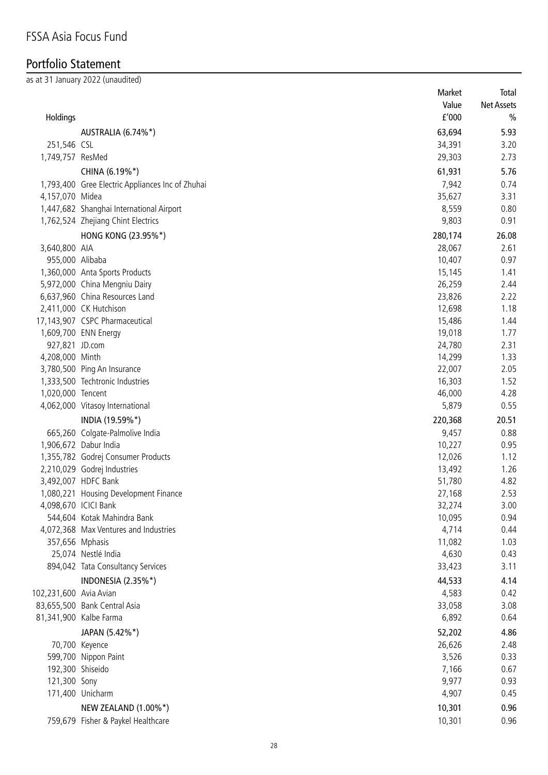# Portfolio Statement

as at 31 January 2022 (unaudited)

|                        |                                                  | Market          | Total         |
|------------------------|--------------------------------------------------|-----------------|---------------|
|                        |                                                  | Value           | Net Assets    |
| Holdings               |                                                  | f'000           | $\frac{0}{0}$ |
|                        | AUSTRALIA (6.74%*)                               | 63,694          | 5.93          |
| 251,546 CSL            |                                                  | 34,391          | 3.20          |
| 1,749,757 ResMed       |                                                  | 29,303          | 2.73          |
|                        |                                                  |                 | 5.76          |
|                        | CHINA (6.19%*)                                   | 61,931          |               |
|                        | 1,793,400 Gree Electric Appliances Inc of Zhuhai | 7,942           | 0.74          |
| 4,157,070 Midea        |                                                  | 35,627          | 3.31          |
|                        | 1,447,682 Shanghai International Airport         | 8,559           | 0.80          |
|                        | 1,762,524 Zhejiang Chint Electrics               | 9,803           | 0.91          |
|                        | HONG KONG (23.95%*)                              | 280,174         | 26.08         |
| 3,640,800 AIA          |                                                  | 28,067          | 2.61          |
| 955,000 Alibaba        |                                                  | 10,407          | 0.97          |
|                        | 1,360,000 Anta Sports Products                   | 15,145          | 1.41          |
|                        | 5,972,000 China Mengniu Dairy                    | 26,259          | 2.44          |
|                        | 6,637,960 China Resources Land                   | 23,826          | 2.22          |
|                        | 2,411,000 CK Hutchison                           | 12,698          | 1.18          |
|                        | 17,143,907 CSPC Pharmaceutical                   | 15,486          | 1.44          |
|                        | 1,609,700 ENN Energy                             | 19,018          | 1.77          |
| 927,821 JD.com         |                                                  | 24,780          | 2.31          |
| 4,208,000 Minth        |                                                  | 14,299          | 1.33          |
|                        | 3,780,500 Ping An Insurance                      | 22,007          | 2.05          |
|                        | 1,333,500 Techtronic Industries                  | 16,303          | 1.52          |
| 1,020,000 Tencent      |                                                  | 46,000          | 4.28          |
|                        | 4,062,000 Vitasoy International                  | 5,879           | 0.55          |
|                        | INDIA (19.59%*)                                  | 220,368         | 20.51         |
|                        | 665,260 Colgate-Palmolive India                  | 9,457           | 0.88          |
|                        | 1,906,672 Dabur India                            | 10,227          | 0.95          |
|                        | 1,355,782 Godrej Consumer Products               | 12,026          | 1.12          |
|                        | 2,210,029 Godrej Industries                      | 13,492          | 1.26          |
|                        | 3,492,007 HDFC Bank                              | 51,780          | 4.82          |
|                        | 1,080,221 Housing Development Finance            | 27,168          | 2.53          |
| 4,098,670 ICICI Bank   |                                                  | 32,274          | 3.00          |
|                        | 544,604 Kotak Mahindra Bank                      | 10,095          | 0.94          |
|                        | 4,072,368 Max Ventures and Industries            | 4,714           | 0.44          |
| 357,656 Mphasis        |                                                  | 11,082          | 1.03          |
|                        | 25,074 Nestlé India                              | 4,630           | 0.43          |
|                        | 894,042 Tata Consultancy Services                | 33,423          | 3.11          |
|                        | INDONESIA (2.35%*)                               | 44,533          | 4.14          |
| 102,231,600 Avia Avian |                                                  | 4,583           | 0.42          |
|                        | 83,655,500 Bank Central Asia                     | 33,058          | 3.08          |
|                        | 81,341,900 Kalbe Farma                           | 6,892           | 0.64          |
|                        | JAPAN (5.42%*)                                   | 52,202          | 4.86          |
|                        |                                                  |                 | 2.48          |
|                        | 70,700 Keyence                                   | 26,626<br>3,526 | 0.33          |
| 192,300 Shiseido       | 599,700 Nippon Paint                             | 7,166           | 0.67          |
| 121,300 Sony           |                                                  | 9,977           | 0.93          |
|                        | 171,400 Unicharm                                 | 4,907           | 0.45          |
|                        |                                                  |                 |               |
|                        | NEW ZEALAND (1.00%*)                             | 10,301          | 0.96          |
|                        | 759,679 Fisher & Paykel Healthcare               | 10,301          | 0.96          |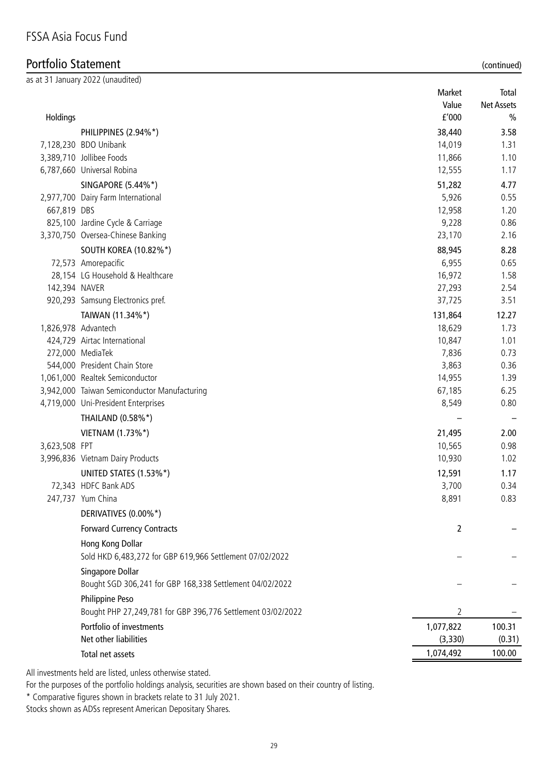# Portfolio Statement (continued)

|               | as at 31 January 2022 (unaudited)                                              | Market               | Total             |
|---------------|--------------------------------------------------------------------------------|----------------------|-------------------|
|               |                                                                                | Value                | <b>Net Assets</b> |
| Holdings      |                                                                                | f'000                | $\%$              |
|               | PHILIPPINES (2.94%*)                                                           | 38,440               | 3.58              |
|               | 7,128,230 BDO Unibank                                                          | 14,019               | 1.31              |
|               | 3,389,710 Jollibee Foods                                                       | 11,866               | 1.10              |
|               | 6,787,660 Universal Robina                                                     | 12,555               | 1.17              |
|               | SINGAPORE (5.44%*)                                                             | 51,282               | 4.77              |
|               | 2,977,700 Dairy Farm International                                             | 5,926                | 0.55              |
| 667,819 DBS   |                                                                                | 12,958               | 1.20              |
|               | 825,100 Jardine Cycle & Carriage                                               | 9,228                | 0.86              |
|               | 3,370,750 Oversea-Chinese Banking                                              | 23,170               | 2.16              |
|               | <b>SOUTH KOREA (10.82%*)</b>                                                   | 88,945               | 8.28              |
|               | 72,573 Amorepacific                                                            | 6,955                | 0.65              |
|               | 28,154 LG Household & Healthcare                                               | 16,972               | 1.58              |
| 142,394 NAVER |                                                                                | 27,293               | 2.54              |
|               | 920,293 Samsung Electronics pref.                                              | 37,725               | 3.51              |
|               | TAIWAN (11.34%*)                                                               | 131,864              | 12.27             |
|               | 1,826,978 Advantech                                                            | 18,629               | 1.73              |
|               | 424,729 Airtac International                                                   | 10,847               | 1.01              |
|               | 272,000 MediaTek                                                               | 7,836                | 0.73              |
|               | 544,000 President Chain Store                                                  | 3,863                | 0.36              |
|               | 1,061,000 Realtek Semiconductor                                                | 14,955               | 1.39              |
|               | 3,942,000 Taiwan Semiconductor Manufacturing                                   | 67,185               | 6.25              |
|               | 4,719,000 Uni-President Enterprises                                            | 8,549                | 0.80              |
|               | THAILAND (0.58%*)                                                              |                      |                   |
|               | VIETNAM (1.73%*)                                                               | 21,495               | 2.00              |
| 3,623,508 FPT |                                                                                | 10,565               | 0.98              |
|               | 3,996,836 Vietnam Dairy Products                                               | 10,930               | 1.02              |
|               | UNITED STATES (1.53%*)                                                         | 12,591               | 1.17              |
|               | 72,343 HDFC Bank ADS                                                           | 3,700                | 0.34              |
|               | 247,737 Yum China                                                              | 8,891                | 0.83              |
|               | DERIVATIVES (0.00%*)                                                           |                      |                   |
|               | <b>Forward Currency Contracts</b>                                              | $\overline{2}$       |                   |
|               | Hong Kong Dollar                                                               |                      |                   |
|               | Sold HKD 6,483,272 for GBP 619,966 Settlement 07/02/2022                       |                      |                   |
|               | Singapore Dollar                                                               |                      |                   |
|               | Bought SGD 306,241 for GBP 168,338 Settlement 04/02/2022                       |                      |                   |
|               | Philippine Peso<br>Bought PHP 27,249,781 for GBP 396,776 Settlement 03/02/2022 | 2                    |                   |
|               | Portfolio of investments                                                       |                      |                   |
|               | Net other liabilities                                                          | 1,077,822<br>(3,330) | 100.31<br>(0.31)  |
|               |                                                                                | 1,074,492            | 100.00            |
|               | Total net assets                                                               |                      |                   |

All investments held are listed, unless otherwise stated.

For the purposes of the portfolio holdings analysis, securities are shown based on their country of listing.

\* Comparative figures shown in brackets relate to 31 July 2021.

Stocks shown as ADSs represent American Depositary Shares.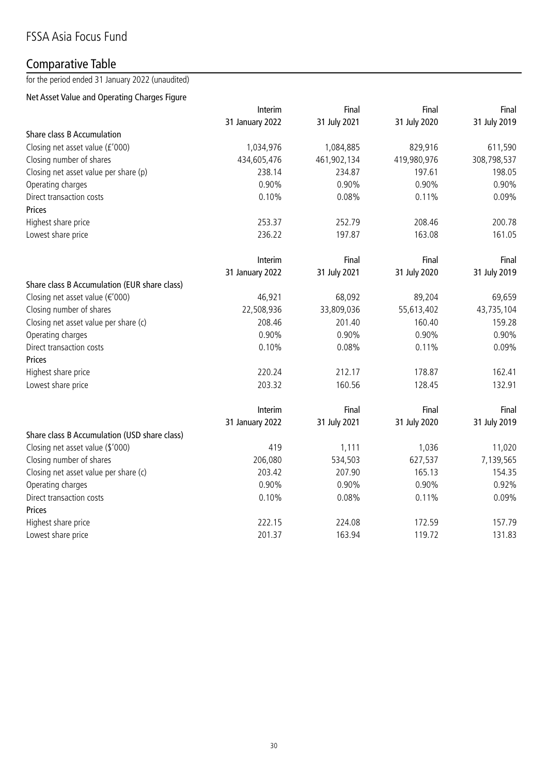# Comparative Table

for the period ended 31 January 2022 (unaudited)

### Net Asset Value and Operating Charges Figure

|                                              | Interim         | Final        | Final        | Final        |
|----------------------------------------------|-----------------|--------------|--------------|--------------|
|                                              | 31 January 2022 | 31 July 2021 | 31 July 2020 | 31 July 2019 |
| Share class B Accumulation                   |                 |              |              |              |
| Closing net asset value (£'000)              | 1,034,976       | 1,084,885    | 829,916      | 611,590      |
| Closing number of shares                     | 434,605,476     | 461,902,134  | 419,980,976  | 308,798,537  |
| Closing net asset value per share (p)        | 238.14          | 234.87       | 197.61       | 198.05       |
| Operating charges                            | 0.90%           | 0.90%        | 0.90%        | 0.90%        |
| Direct transaction costs                     | 0.10%           | 0.08%        | 0.11%        | 0.09%        |
| Prices                                       |                 |              |              |              |
| Highest share price                          | 253.37          | 252.79       | 208.46       | 200.78       |
| Lowest share price                           | 236.22          | 197.87       | 163.08       | 161.05       |
|                                              | Interim         | Final        | Final        | Final        |
|                                              | 31 January 2022 | 31 July 2021 | 31 July 2020 | 31 July 2019 |
| Share class B Accumulation (EUR share class) |                 |              |              |              |
| Closing net asset value (€'000)              | 46,921          | 68,092       | 89,204       | 69,659       |
| Closing number of shares                     | 22,508,936      | 33,809,036   | 55,613,402   | 43,735,104   |
| Closing net asset value per share (c)        | 208.46          | 201.40       | 160.40       | 159.28       |
| Operating charges                            | 0.90%           | 0.90%        | 0.90%        | 0.90%        |
| Direct transaction costs                     | 0.10%           | 0.08%        | 0.11%        | 0.09%        |
| Prices                                       |                 |              |              |              |
| Highest share price                          | 220.24          | 212.17       | 178.87       | 162.41       |
| Lowest share price                           | 203.32          | 160.56       | 128.45       | 132.91       |
|                                              | Interim         | Final        | Final        | Final        |
|                                              | 31 January 2022 | 31 July 2021 | 31 July 2020 | 31 July 2019 |
| Share class B Accumulation (USD share class) |                 |              |              |              |
| Closing net asset value (\$'000)             | 419             | 1,111        | 1,036        | 11,020       |
| Closing number of shares                     | 206,080         | 534,503      | 627,537      | 7,139,565    |
| Closing net asset value per share (c)        | 203.42          | 207.90       | 165.13       | 154.35       |
| Operating charges                            | 0.90%           | 0.90%        | 0.90%        | 0.92%        |
| Direct transaction costs                     | 0.10%           | 0.08%        | 0.11%        | 0.09%        |
| Prices                                       |                 |              |              |              |
| Highest share price                          | 222.15          | 224.08       | 172.59       | 157.79       |
| Lowest share price                           | 201.37          | 163.94       | 119.72       | 131.83       |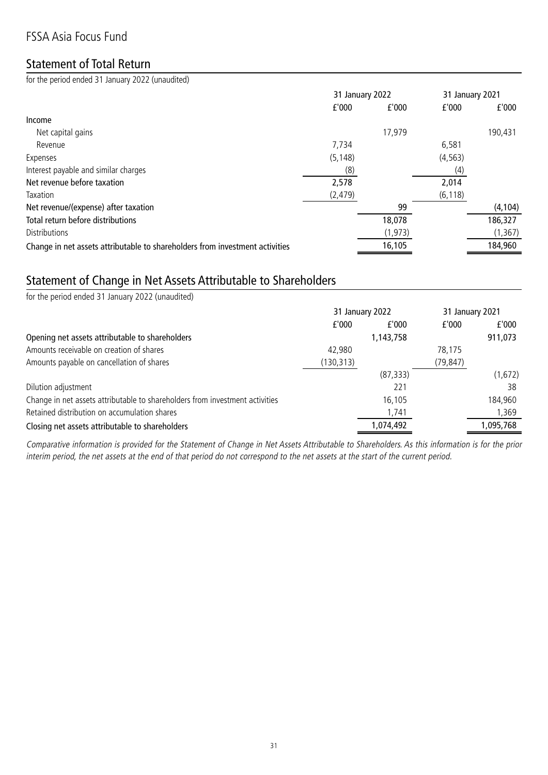# FSSA Asia Focus Fund

## Statement of Total Return

for the period ended 31 January 2022 (unaudited)

|                                                                              | 31 January 2022 |          |          | 31 January 2021 |
|------------------------------------------------------------------------------|-----------------|----------|----------|-----------------|
|                                                                              | f'000           | f'000    | f'000    | f'000           |
| Income                                                                       |                 |          |          |                 |
| Net capital gains                                                            |                 | 17,979   |          | 190,431         |
| Revenue                                                                      | 7,734           |          | 6,581    |                 |
| Expenses                                                                     | (5, 148)        |          | (4, 563) |                 |
| Interest payable and similar charges                                         | (8)             |          | (4)      |                 |
| Net revenue before taxation                                                  | 2,578           |          | 2,014    |                 |
| Taxation                                                                     | (2, 479)        |          | (6, 118) |                 |
| Net revenue/(expense) after taxation                                         |                 | 99       |          | (4, 104)        |
| Total return before distributions                                            |                 | 18,078   |          | 186,327         |
| <b>Distributions</b>                                                         |                 | (1, 973) |          | (1, 367)        |
| Change in net assets attributable to shareholders from investment activities |                 | 16,105   |          | 184,960         |

# Statement of Change in Net Assets Attributable to Shareholders

| for the period ended 31 January 2022 (unaudited)                             |                 |           |                 |           |
|------------------------------------------------------------------------------|-----------------|-----------|-----------------|-----------|
|                                                                              | 31 January 2022 |           | 31 January 2021 |           |
|                                                                              | f'000           | f'000     | f'000           | f'000     |
| Opening net assets attributable to shareholders                              |                 | 1,143,758 |                 | 911,073   |
| Amounts receivable on creation of shares                                     | 42,980          |           | 78,175          |           |
| Amounts payable on cancellation of shares                                    | (130,313)       |           | (79, 847)       |           |
|                                                                              |                 | (87, 333) |                 | (1,672)   |
| Dilution adjustment                                                          |                 | 221       |                 | 38        |
| Change in net assets attributable to shareholders from investment activities |                 | 16,105    |                 | 184,960   |
| Retained distribution on accumulation shares                                 |                 | 1,741     |                 | 1.369     |
| Closing net assets attributable to shareholders                              |                 | 1,074,492 |                 | 1,095,768 |

Comparative information is provided for the Statement of Change in Net Assets Attributable to Shareholders. As this information is for the prior interim period, the net assets at the end of that period do not correspond to the net assets at the start of the current period.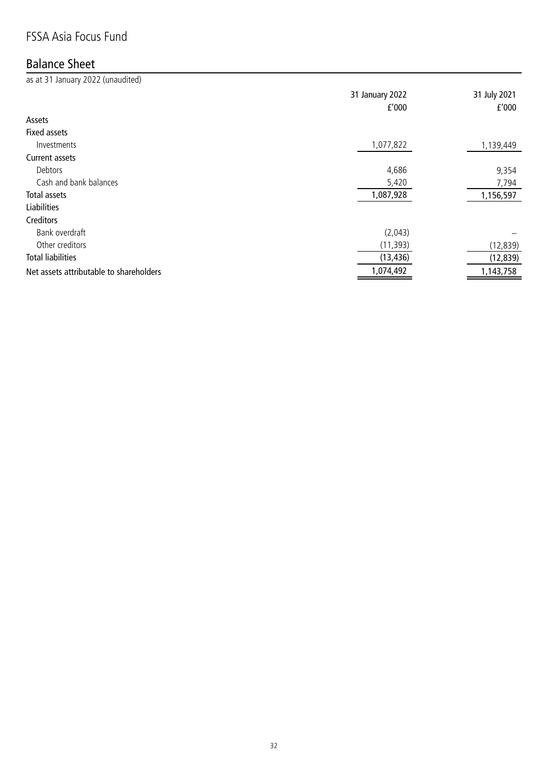# FSSA Asia Focus Fund

# Balance Sheet

as at 31 January 2022 (unaudited) 31 January 2022 31 July 2021 £'000 £'000 Assets Fixed assets Investments 1,077,822 1,139,449 Current assets  $\blacksquare$ Debtors  $\blacksquare$ Cash and bank balances **5,420** 5,420 7,794 Total assets 1,087,928 1,156,597 Liabilities Creditors Bank overdraft (2,043) – Other creditors (11,393) (12,839) Total liabilities (13,436) (12,839) Net assets attributable to shareholders and the state of the state of the state of the state of the state of the state of the state of the state of the state of the state of the state of the state of the state of the state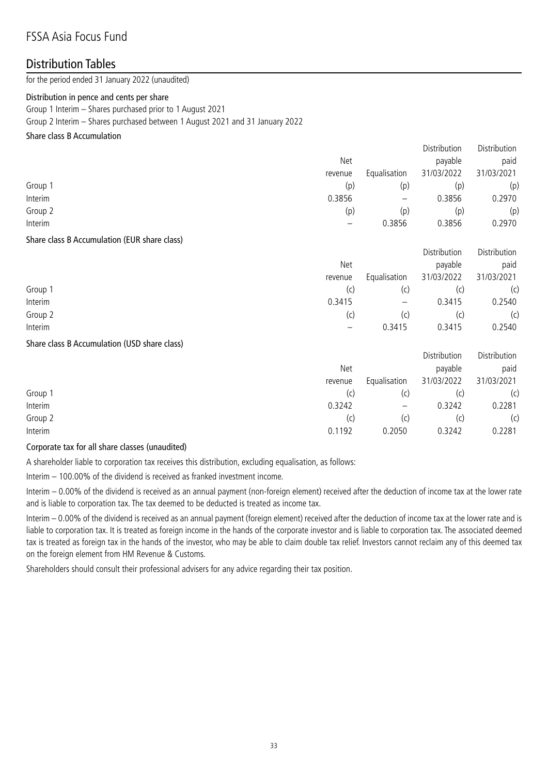### Distribution Tables

for the period ended 31 January 2022 (unaudited)

#### Distribution in pence and cents per share

Group 1 Interim – Shares purchased prior to 1 August 2021 Group 2 Interim – Shares purchased between 1 August 2021 and 31 January 2022

#### Share class B Accumulation

|         |         |                   | Distribution | Distribution |
|---------|---------|-------------------|--------------|--------------|
|         | Net     |                   | payable      | paid         |
|         | revenue | Equalisation      | 31/03/2022   | 31/03/2021   |
| Group 1 | (p)     | (p)               | (p)          | (p)          |
| Interim | 0.3856  | $\qquad \qquad -$ | 0.3856       | 0.2970       |
| Group 2 | (p)     | (p)               | (p)          | (p)          |
| Interim |         | 0.3856            | 0.3856       | 0.2970       |
|         |         |                   |              |              |

#### Share class B Accumulation (EUR share class)

|         |         |                   | Distribution | Distribution |
|---------|---------|-------------------|--------------|--------------|
|         | Net     |                   | payable      | paid         |
|         | revenue | Equalisation      | 31/03/2022   | 31/03/2021   |
| Group 1 | (C)     | (c)               |              | (c)          |
| Interim | 0.3415  | $\qquad \qquad -$ | 0.3415       | 0.2540       |
| Group 2 | (C)     | (c)               | (C)          | (c)          |
| Interim |         | 0.3415            | 0.3415       | 0.2540       |

#### Share class B Accumulation (USD share class)

|         |            |                   | Distribution | Distribution |
|---------|------------|-------------------|--------------|--------------|
|         | <b>Net</b> |                   |              | paid         |
|         | revenue    | Equalisation      | 31/03/2022   | 31/03/2021   |
| Group 1 | (C)        | (c)               |              | (c)          |
| Interim | 0.3242     | $\qquad \qquad -$ | 0.3242       | 0.2281       |
| Group 2 | (C)        | (c)               |              | (c)          |
| Interim | 0.1192     | 0.2050            | 0.3242       | 0.2281       |

#### Corporate tax for all share classes (unaudited)

A shareholder liable to corporation tax receives this distribution, excluding equalisation, as follows:

Interim – 100.00% of the dividend is received as franked investment income.

Interim – 0.00% of the dividend is received as an annual payment (non-foreign element) received after the deduction of income tax at the lower rate and is liable to corporation tax. The tax deemed to be deducted is treated as income tax.

Interim – 0.00% of the dividend is received as an annual payment (foreign element) received after the deduction of income tax at the lower rate and is liable to corporation tax. It is treated as foreign income in the hands of the corporate investor and is liable to corporation tax. The associated deemed tax is treated as foreign tax in the hands of the investor, who may be able to claim double tax relief. Investors cannot reclaim any of this deemed tax on the foreign element from HM Revenue & Customs.

Shareholders should consult their professional advisers for any advice regarding their tax position.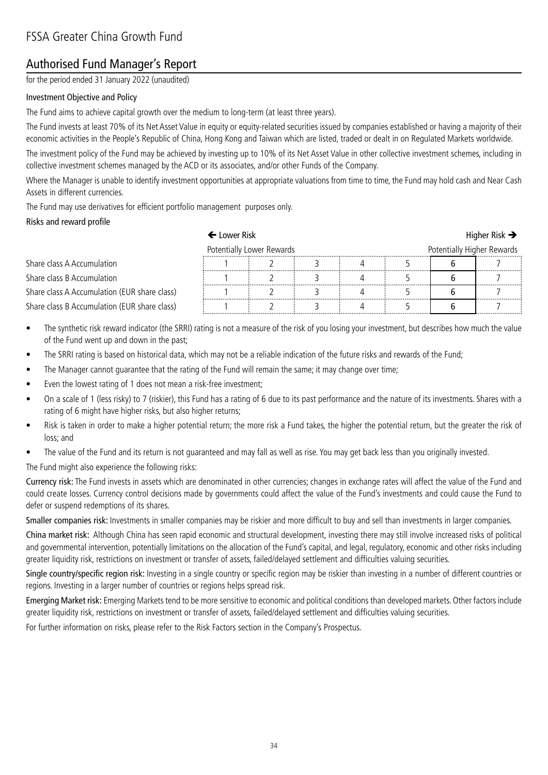# Authorised Fund Manager's Report

for the period ended 31 January 2022 (unaudited)

#### Investment Objective and Policy

The Fund aims to achieve capital growth over the medium to long-term (at least three years).

The Fund invests at least 70% of its Net Asset Value in equity or equity-related securities issued by companies established or having a majority of their economic activities in the People's Republic of China, Hong Kong and Taiwan which are listed, traded or dealt in on Regulated Markets worldwide.

The investment policy of the Fund may be achieved by investing up to 10% of its Net Asset Value in other collective investment schemes, including in collective investment schemes managed by the ACD or its associates, and/or other Funds of the Company.

Where the Manager is unable to identify investment opportunities at appropriate valuations from time to time, the Fund may hold cash and Near Cash Assets in different currencies.

The Fund may use derivatives for efficient portfolio management purposes only.

#### Risks and reward profile

|                                              | $\leftarrow$ Lower Risk |                           |  |                            | Higher Risk $\rightarrow$ |
|----------------------------------------------|-------------------------|---------------------------|--|----------------------------|---------------------------|
|                                              |                         | Potentially Lower Rewards |  | Potentially Higher Rewards |                           |
| Share class A Accumulation                   |                         |                           |  |                            |                           |
| Share class B Accumulation                   |                         |                           |  |                            |                           |
| Share class A Accumulation (EUR share class) |                         |                           |  |                            |                           |
| Share class B Accumulation (EUR share class) |                         |                           |  |                            | .                         |

- The synthetic risk reward indicator (the SRRI) rating is not a measure of the risk of you losing your investment, but describes how much the value of the Fund went up and down in the past;
- The SRRI rating is based on historical data, which may not be a reliable indication of the future risks and rewards of the Fund;
- The Manager cannot guarantee that the rating of the Fund will remain the same; it may change over time;
- Even the lowest rating of 1 does not mean a risk-free investment;
- On a scale of 1 (less risky) to 7 (riskier), this Fund has a rating of 6 due to its past performance and the nature of its investments. Shares with a rating of 6 might have higher risks, but also higher returns;
- Risk is taken in order to make a higher potential return; the more risk a Fund takes, the higher the potential return, but the greater the risk of loss; and
- The value of the Fund and its return is not guaranteed and may fall as well as rise. You may get back less than you originally invested.

The Fund might also experience the following risks:

Currency risk: The Fund invests in assets which are denominated in other currencies; changes in exchange rates will affect the value of the Fund and could create losses. Currency control decisions made by governments could affect the value of the Fund's investments and could cause the Fund to defer or suspend redemptions of its shares.

Smaller companies risk: Investments in smaller companies may be riskier and more difficult to buy and sell than investments in larger companies.

China market risk: Although China has seen rapid economic and structural development, investing there may still involve increased risks of political and governmental intervention, potentially limitations on the allocation of the Fund's capital, and legal, regulatory, economic and other risks including greater liquidity risk, restrictions on investment or transfer of assets, failed/delayed settlement and difficulties valuing securities.

Single country/specific region risk: Investing in a single country or specific region may be riskier than investing in a number of different countries or regions. Investing in a larger number of countries or regions helps spread risk.

Emerging Market risk: Emerging Markets tend to be more sensitive to economic and political conditions than developed markets. Other factors include greater liquidity risk, restrictions on investment or transfer of assets, failed/delayed settlement and difficulties valuing securities.

For further information on risks, please refer to the Risk Factors section in the Company's Prospectus.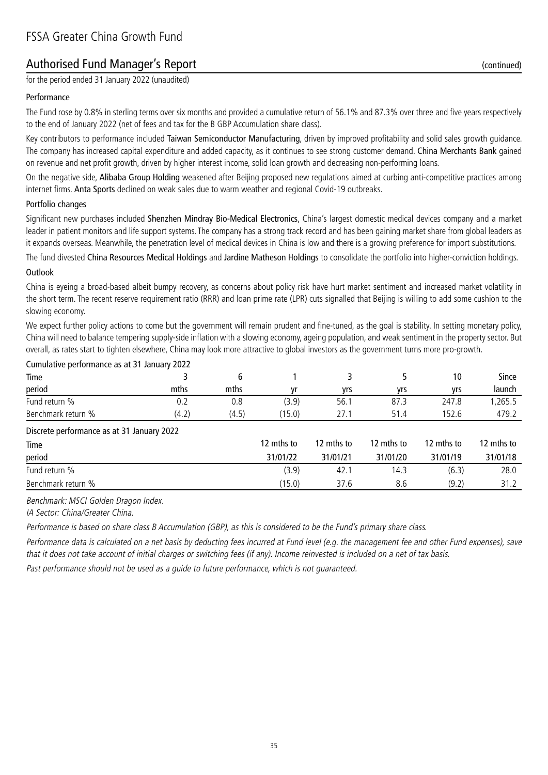# Authorised Fund Manager's Report (continued)

for the period ended 31 January 2022 (unaudited)

#### Performance

The Fund rose by 0.8% in sterling terms over six months and provided a cumulative return of 56.1% and 87.3% over three and five years respectively to the end of January 2022 (net of fees and tax for the B GBP Accumulation share class).

Key contributors to performance included Taiwan Semiconductor Manufacturing, driven by improved profitability and solid sales growth guidance. The company has increased capital expenditure and added capacity, as it continues to see strong customer demand. China Merchants Bank gained on revenue and net profit growth, driven by higher interest income, solid loan growth and decreasing non-performing loans.

On the negative side, Alibaba Group Holding weakened after Beijing proposed new regulations aimed at curbing anti-competitive practices among internet firms. Anta Sports declined on weak sales due to warm weather and regional Covid-19 outbreaks.

#### Portfolio changes

Significant new purchases included Shenzhen Mindray Bio-Medical Electronics, China's largest domestic medical devices company and a market leader in patient monitors and life support systems. The company has a strong track record and has been gaining market share from global leaders as it expands overseas. Meanwhile, the penetration level of medical devices in China is low and there is a growing preference for import substitutions.

The fund divested China Resources Medical Holdings and Jardine Matheson Holdings to consolidate the portfolio into higher-conviction holdings.

#### Outlook

China is eyeing a broad-based albeit bumpy recovery, as concerns about policy risk have hurt market sentiment and increased market volatility in the short term. The recent reserve requirement ratio (RRR) and loan prime rate (LPR) cuts signalled that Beijing is willing to add some cushion to the slowing economy.

We expect further policy actions to come but the government will remain prudent and fine-tuned, as the goal is stability. In setting monetary policy, China will need to balance tempering supply-side inflation with a slowing economy, ageing population, and weak sentiment in the property sector. But overall, as rates start to tighten elsewhere, China may look more attractive to global investors as the government turns more pro-growth.

| Cumulative performance as at 31 January 2022 |       |       |            |            |            |            |              |
|----------------------------------------------|-------|-------|------------|------------|------------|------------|--------------|
| Time                                         |       | 6     |            |            |            | 10         | <b>Since</b> |
| period                                       | mths  | mths  | vr         | yrs        | yrs        | yrs        | launch       |
| Fund return %                                | 0.2   | 0.8   | (3.9)      | 56.1       | 87.3       | 247.8      | ,265.5       |
| Benchmark return %                           | (4.2) | (4.5) | (15.0)     | 27.1       | 51.4       | 152.6      | 479.2        |
| Discrete performance as at 31 January 2022   |       |       |            |            |            |            |              |
| Time                                         |       |       | 12 mths to | 12 mths to | 12 mths to | 12 mths to | 12 mths to   |
| period                                       |       |       | 31/01/22   | 31/01/21   | 31/01/20   | 31/01/19   | 31/01/18     |
| Fund return %                                |       |       | (3.9)      | 42.1       | 14.3       | (6.3)      | 28.0         |
| Benchmark return %                           |       |       | (15.0)     | 37.6       | 8.6        | (9.2)      | 31.2         |

Benchmark: MSCI Golden Dragon Index.

IA Sector: China/Greater China.

Performance is based on share class B Accumulation (GBP), as this is considered to be the Fund's primary share class.

Performance data is calculated on a net basis by deducting fees incurred at Fund level (e.g. the management fee and other Fund expenses), save that it does not take account of initial charges or switching fees (if any). Income reinvested is included on a net of tax basis.

Past performance should not be used as a guide to future performance, which is not guaranteed.

35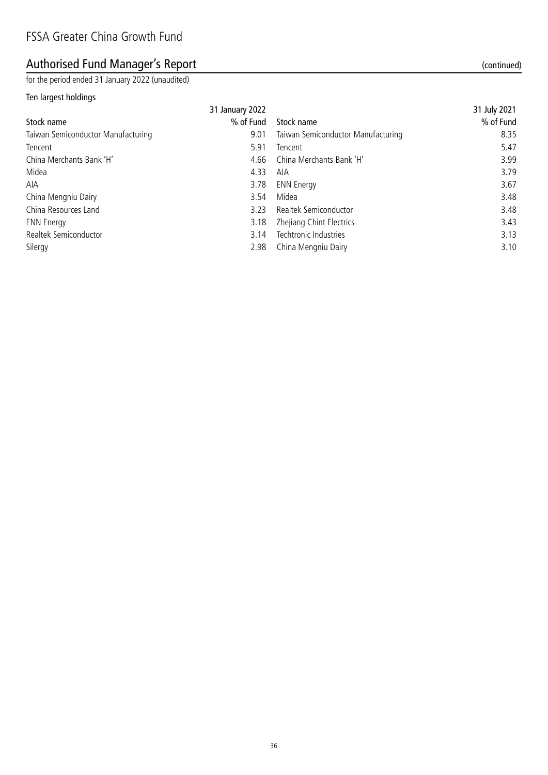# Authorised Fund Manager's Report (continued) and the state of the continued) and the continued)

for the period ended 31 January 2022 (unaudited)

### Ten largest holdings

|                                    | 31 January 2022 |                                    | 31 July 2021 |
|------------------------------------|-----------------|------------------------------------|--------------|
| Stock name                         | % of Fund       | Stock name                         | % of Fund    |
| Taiwan Semiconductor Manufacturing | 9.01            | Taiwan Semiconductor Manufacturing | 8.35         |
| Tencent                            | 5.91            | Tencent                            | 5.47         |
| China Merchants Bank 'H'           | 4.66            | China Merchants Bank 'H'           | 3.99         |
| Midea                              | 4.33            | AIA                                | 3.79         |
| AIA                                | 3.78            | <b>ENN Energy</b>                  | 3.67         |
| China Mengniu Dairy                | 3.54            | Midea                              | 3.48         |
| China Resources Land               | 3.23            | Realtek Semiconductor              | 3.48         |
| <b>ENN Energy</b>                  | 3.18            | Zhejiang Chint Electrics           | 3.43         |
| Realtek Semiconductor              | 3.14            | Techtronic Industries              | 3.13         |
| Silergy                            | 2.98            | China Mengniu Dairy                | 3.10         |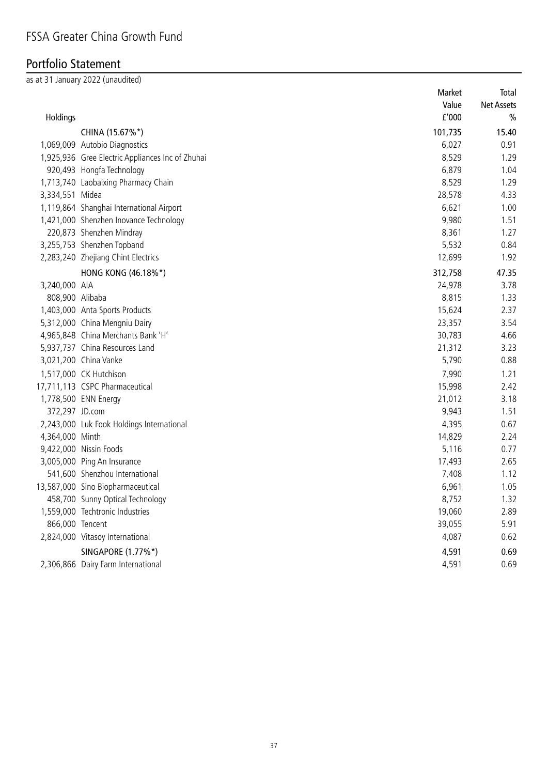# Portfolio Statement

as at 31 January 2022 (unaudited)

|                 |                                                  | Market                | Total             |
|-----------------|--------------------------------------------------|-----------------------|-------------------|
|                 |                                                  | Value                 | <b>Net Assets</b> |
| Holdings        |                                                  | ${\tt f}^{\prime}000$ | $\frac{0}{0}$     |
|                 | CHINA (15.67%*)                                  | 101,735               | 15.40             |
|                 | 1,069,009 Autobio Diagnostics                    | 6,027                 | 0.91              |
|                 | 1,925,936 Gree Electric Appliances Inc of Zhuhai | 8,529                 | 1.29              |
|                 | 920,493 Hongfa Technology                        | 6,879                 | 1.04              |
|                 | 1,713,740 Laobaixing Pharmacy Chain              | 8,529                 | 1.29              |
| 3,334,551 Midea |                                                  | 28,578                | 4.33              |
|                 | 1,119,864 Shanghai International Airport         | 6,621                 | 1.00              |
|                 | 1,421,000 Shenzhen Inovance Technology           | 9,980                 | 1.51              |
|                 | 220,873 Shenzhen Mindray                         | 8,361                 | 1.27              |
|                 | 3,255,753 Shenzhen Topband                       | 5,532                 | 0.84              |
|                 | 2,283,240 Zhejiang Chint Electrics               | 12,699                | 1.92              |
|                 | HONG KONG (46.18%*)                              | 312,758               | 47.35             |
| 3,240,000 AIA   |                                                  | 24,978                | 3.78              |
| 808,900 Alibaba |                                                  | 8,815                 | 1.33              |
|                 | 1,403,000 Anta Sports Products                   | 15,624                | 2.37              |
|                 | 5,312,000 China Mengniu Dairy                    | 23,357                | 3.54              |
|                 | 4,965,848 China Merchants Bank 'H'               | 30,783                | 4.66              |
|                 | 5,937,737 China Resources Land                   | 21,312                | 3.23              |
|                 | 3,021,200 China Vanke                            | 5,790                 | 0.88              |
|                 | 1,517,000 CK Hutchison                           | 7,990                 | 1.21              |
|                 | 17,711,113 CSPC Pharmaceutical                   | 15,998                | 2.42              |
|                 | 1,778,500 ENN Energy                             | 21,012                | 3.18              |
| 372,297 JD.com  |                                                  | 9,943                 | 1.51              |
|                 | 2,243,000 Luk Fook Holdings International        | 4,395                 | 0.67              |
| 4,364,000 Minth |                                                  | 14,829                | 2.24              |
|                 | 9,422,000 Nissin Foods                           | 5,116                 | 0.77              |
|                 | 3,005,000 Ping An Insurance                      | 17,493                | 2.65              |
|                 | 541,600 Shenzhou International                   | 7,408                 | 1.12              |
|                 | 13,587,000 Sino Biopharmaceutical                | 6,961                 | 1.05              |
|                 | 458,700 Sunny Optical Technology                 | 8,752                 | 1.32              |
|                 | 1,559,000 Techtronic Industries                  | 19,060                | 2.89              |
| 866,000 Tencent |                                                  | 39,055                | 5.91              |
|                 | 2,824,000 Vitasoy International                  | 4,087                 | 0.62              |
|                 | SINGAPORE (1.77%*)                               | 4,591                 | 0.69              |
|                 | 2,306,866 Dairy Farm International               | 4,591                 | 0.69              |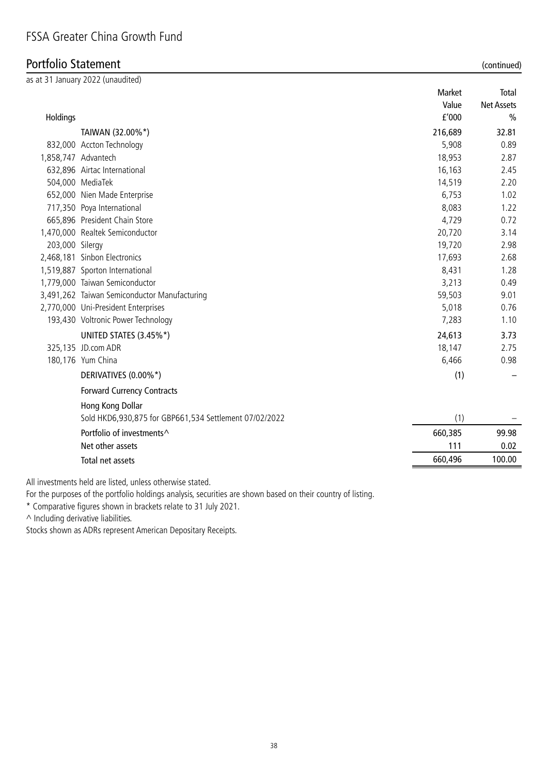# Portfolio Statement (continued)

|                 | as at 31 January 2022 (unaudited)                      |         |                   |
|-----------------|--------------------------------------------------------|---------|-------------------|
|                 |                                                        | Market  | Total             |
|                 |                                                        | Value   | <b>Net Assets</b> |
| Holdings        |                                                        | f'000   | $\frac{0}{0}$     |
|                 | TAIWAN (32.00%*)                                       | 216,689 | 32.81             |
|                 | 832,000 Accton Technology                              | 5,908   | 0.89              |
|                 | 1,858,747 Advantech                                    | 18,953  | 2.87              |
|                 | 632,896 Airtac International                           | 16,163  | 2.45              |
|                 | 504,000 MediaTek                                       | 14,519  | 2.20              |
|                 | 652,000 Nien Made Enterprise                           | 6,753   | 1.02              |
|                 | 717,350 Poya International                             | 8,083   | 1.22              |
|                 | 665,896 President Chain Store                          | 4,729   | 0.72              |
|                 | 1,470,000 Realtek Semiconductor                        | 20,720  | 3.14              |
| 203,000 Silergy |                                                        | 19,720  | 2.98              |
|                 | 2,468,181 Sinbon Electronics                           | 17,693  | 2.68              |
|                 | 1,519,887 Sporton International                        | 8,431   | 1.28              |
|                 | 1,779,000 Taiwan Semiconductor                         | 3,213   | 0.49              |
|                 | 3,491,262 Taiwan Semiconductor Manufacturing           | 59,503  | 9.01              |
|                 | 2,770,000 Uni-President Enterprises                    | 5,018   | 0.76              |
|                 | 193,430 Voltronic Power Technology                     | 7,283   | 1.10              |
|                 | UNITED STATES (3.45%*)                                 | 24,613  | 3.73              |
|                 | 325,135 JD.com ADR                                     | 18,147  | 2.75              |
|                 | 180,176 Yum China                                      | 6,466   | 0.98              |
|                 | DERIVATIVES (0.00%*)                                   | (1)     |                   |
|                 | <b>Forward Currency Contracts</b>                      |         |                   |
|                 | Hong Kong Dollar                                       |         |                   |
|                 | Sold HKD6,930,875 for GBP661,534 Settlement 07/02/2022 | (1)     |                   |
|                 | Portfolio of investments <sup>^</sup>                  | 660,385 | 99.98             |
|                 | Net other assets                                       | 111     | 0.02              |
|                 | Total net assets                                       | 660,496 | 100.00            |
|                 |                                                        |         |                   |

All investments held are listed, unless otherwise stated.

For the purposes of the portfolio holdings analysis, securities are shown based on their country of listing.

\* Comparative figures shown in brackets relate to 31 July 2021.

^ Including derivative liabilities.

Stocks shown as ADRs represent American Depositary Receipts.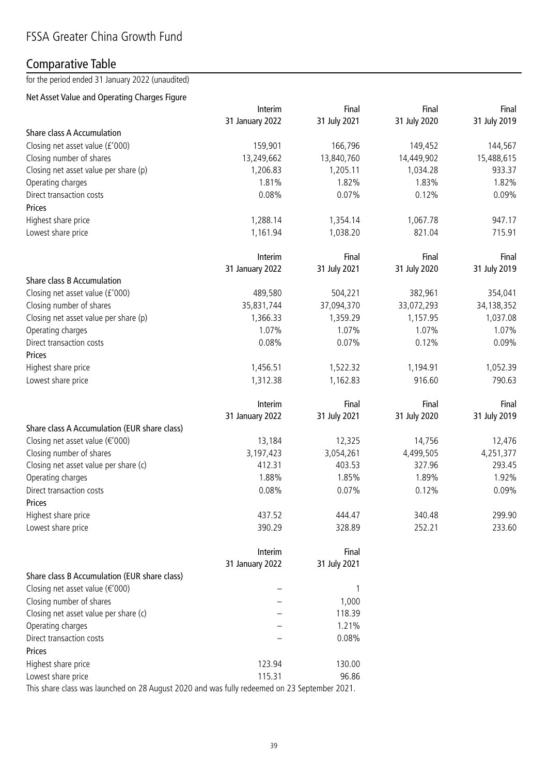## Comparative Table

for the period ended 31 January 2022 (unaudited)

### Net Asset Value and Operating Charges Figure

|                                              | Interim         | Final        | Final        | Final        |
|----------------------------------------------|-----------------|--------------|--------------|--------------|
|                                              | 31 January 2022 | 31 July 2021 | 31 July 2020 | 31 July 2019 |
| Share class A Accumulation                   |                 |              |              |              |
| Closing net asset value (£'000)              | 159,901         | 166,796      | 149,452      | 144,567      |
| Closing number of shares                     | 13,249,662      | 13,840,760   | 14,449,902   | 15,488,615   |
| Closing net asset value per share (p)        | 1,206.83        | 1,205.11     | 1,034.28     | 933.37       |
| Operating charges                            | 1.81%           | 1.82%        | 1.83%        | 1.82%        |
| Direct transaction costs                     | 0.08%           | 0.07%        | 0.12%        | 0.09%        |
| Prices                                       |                 |              |              |              |
| Highest share price                          | 1,288.14        | 1,354.14     | 1,067.78     | 947.17       |
| Lowest share price                           | 1,161.94        | 1,038.20     | 821.04       | 715.91       |
|                                              | Interim         | Final        | Final        | Final        |
|                                              | 31 January 2022 | 31 July 2021 | 31 July 2020 | 31 July 2019 |
| Share class B Accumulation                   |                 |              |              |              |
| Closing net asset value (£'000)              | 489,580         | 504,221      | 382,961      | 354,041      |
| Closing number of shares                     | 35,831,744      | 37,094,370   | 33,072,293   | 34,138,352   |
| Closing net asset value per share (p)        | 1,366.33        | 1,359.29     | 1,157.95     | 1,037.08     |
| Operating charges                            | 1.07%           | 1.07%        | 1.07%        | 1.07%        |
| Direct transaction costs                     | 0.08%           | 0.07%        | 0.12%        | 0.09%        |
| Prices                                       |                 |              |              |              |
| Highest share price                          | 1,456.51        | 1,522.32     | 1,194.91     | 1,052.39     |
| Lowest share price                           | 1,312.38        | 1,162.83     | 916.60       | 790.63       |
|                                              | Interim         | Final        | Final        | Final        |
|                                              | 31 January 2022 | 31 July 2021 | 31 July 2020 | 31 July 2019 |
| Share class A Accumulation (EUR share class) |                 |              |              |              |
| Closing net asset value ( $\epsilon$ '000)   | 13,184          | 12,325       | 14,756       | 12,476       |
| Closing number of shares                     | 3,197,423       | 3,054,261    | 4,499,505    | 4,251,377    |
| Closing net asset value per share (c)        | 412.31          | 403.53       | 327.96       | 293.45       |
| Operating charges                            | 1.88%           | 1.85%        | 1.89%        | 1.92%        |
| Direct transaction costs                     | 0.08%           | 0.07%        | 0.12%        | 0.09%        |
| Prices                                       |                 |              |              |              |
| Highest share price                          | 437.52          | 444.47       | 340.48       | 299.90       |
| Lowest share price                           | 390.29          | 328.89       | 252.21       | 233.60       |
|                                              | Interim         | Final        |              |              |
|                                              | 31 January 2022 | 31 July 2021 |              |              |
| Share class B Accumulation (EUR share class) |                 |              |              |              |
| Closing net asset value (€'000)              |                 | 1            |              |              |
| Closing number of shares                     |                 | 1,000        |              |              |
| Closing net asset value per share (c)        |                 | 118.39       |              |              |
| Operating charges                            |                 | 1.21%        |              |              |
| Direct transaction costs                     |                 | 0.08%        |              |              |
| Prices                                       |                 |              |              |              |
| Highest share price                          | 123.94          | 130.00       |              |              |
| Lowest share price                           | 115.31          | 96.86        |              |              |

This share class was launched on 28 August 2020 and was fully redeemed on 23 September 2021.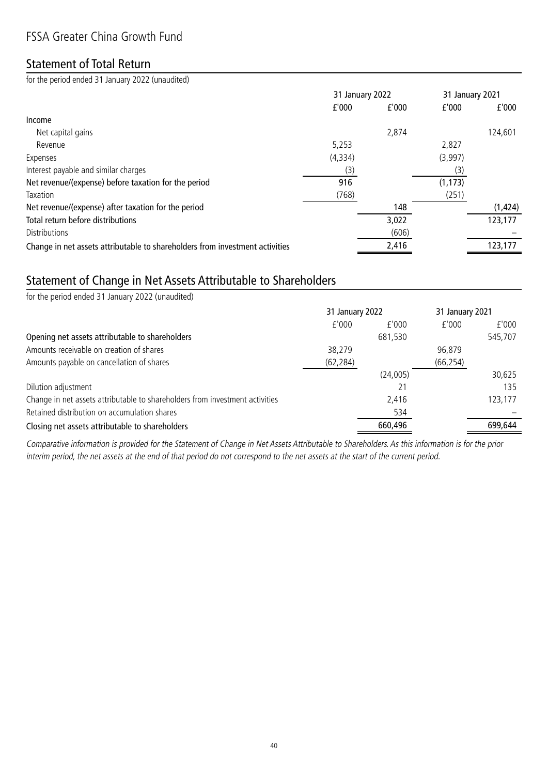### Statement of Total Return

for the period ended 31 January 2022 (unaudited)

|                                                                              | 31 January 2022 |       | 31 January 2021 |          |
|------------------------------------------------------------------------------|-----------------|-------|-----------------|----------|
|                                                                              | f'000           | f'000 | f'000           | f'000    |
| Income                                                                       |                 |       |                 |          |
| Net capital gains                                                            |                 | 2,874 |                 | 124,601  |
| Revenue                                                                      | 5,253           |       | 2,827           |          |
| Expenses                                                                     | (4, 334)        |       | (3,997)         |          |
| Interest payable and similar charges                                         | (3)             |       | (3)             |          |
| Net revenue/(expense) before taxation for the period                         | 916             |       | (1, 173)        |          |
| Taxation                                                                     | (768)           |       | (251)           |          |
| Net revenue/(expense) after taxation for the period                          |                 | 148   |                 | (1, 424) |
| Total return before distributions                                            |                 | 3,022 |                 | 123,177  |
| Distributions                                                                |                 | (606) |                 |          |
| Change in net assets attributable to shareholders from investment activities |                 | 2,416 |                 | 123,177  |

## Statement of Change in Net Assets Attributable to Shareholders

| for the period ended 31 January 2022 (unaudited)                             |                 |          |                 |         |
|------------------------------------------------------------------------------|-----------------|----------|-----------------|---------|
|                                                                              | 31 January 2022 |          | 31 January 2021 |         |
|                                                                              | f'000           | f'000    | f'000           | f'000   |
| Opening net assets attributable to shareholders                              |                 | 681,530  |                 | 545,707 |
| Amounts receivable on creation of shares                                     | 38,279          |          | 96,879          |         |
| Amounts payable on cancellation of shares                                    | (62, 284)       |          | (66, 254)       |         |
|                                                                              |                 | (24,005) |                 | 30,625  |
| Dilution adjustment                                                          |                 | 21       |                 | 135     |
| Change in net assets attributable to shareholders from investment activities |                 | 2,416    |                 | 123,177 |
| Retained distribution on accumulation shares                                 |                 | 534      |                 |         |
| Closing net assets attributable to shareholders                              |                 | 660,496  |                 | 699.644 |

Comparative information is provided for the Statement of Change in Net Assets Attributable to Shareholders. As this information is for the prior interim period, the net assets at the end of that period do not correspond to the net assets at the start of the current period.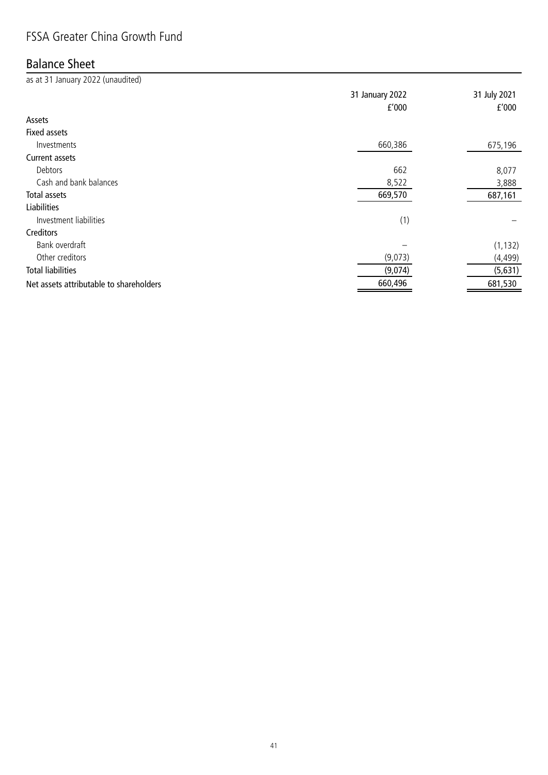# Balance Sheet

| as at 31 January 2022 (unaudited)       |                 |              |
|-----------------------------------------|-----------------|--------------|
|                                         | 31 January 2022 | 31 July 2021 |
|                                         | f'000           | f'000        |
| Assets                                  |                 |              |
| <b>Fixed assets</b>                     |                 |              |
| Investments                             | 660,386         | 675,196      |
| <b>Current assets</b>                   |                 |              |
| Debtors                                 | 662             | 8,077        |
| Cash and bank balances                  | 8,522           | 3,888        |
| Total assets                            | 669,570         | 687,161      |
| <b>Liabilities</b>                      |                 |              |
| Investment liabilities                  | (1)             |              |
| Creditors                               |                 |              |
| Bank overdraft                          |                 | (1, 132)     |
| Other creditors                         | (9,073)         | (4, 499)     |
| <b>Total liabilities</b>                | (9,074)         | (5,631)      |
| Net assets attributable to shareholders | 660,496         | 681,530      |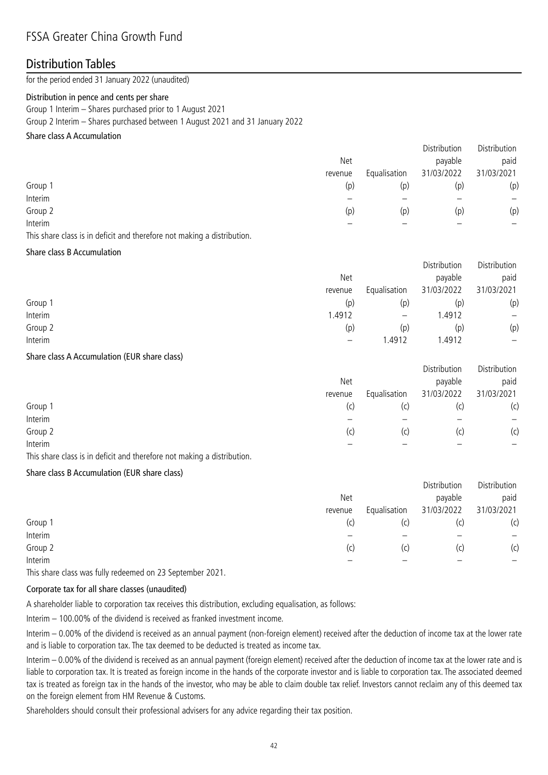### Distribution Tables

for the period ended 31 January 2022 (unaudited)

#### Distribution in pence and cents per share

Group 1 Interim – Shares purchased prior to 1 August 2021

Group 2 Interim – Shares purchased between 1 August 2021 and 31 January 2022

#### Share class A Accumulation

|         |         |              | Distribution | Distribution |
|---------|---------|--------------|--------------|--------------|
|         | Net     |              | payable      | paid         |
|         | revenue | Equalisation | 31/03/2022   | 31/03/2021   |
| Group 1 | (p)     | (p)          | (p)          | (p)          |
| Interim |         |              |              |              |
| Group 2 | (p)     | (p)          | (p)          | (p)          |
| Interim |         |              |              |              |
|         |         |              |              |              |

This share class is in deficit and therefore not making a distribution.

#### Share class B Accumulation

|         |                   |            | Distribution |
|---------|-------------------|------------|--------------|
| Net     |                   | payable    | paid         |
| revenue | Equalisation      | 31/03/2022 | 31/03/2021   |
| (p)     | (p)               | (p)        | (p)          |
| 1.4912  | $\qquad \qquad -$ | 1.4912     |              |
| (p)     | (p)               | (p)        | (p)          |
|         | .4912             | .4912      | —            |
|         |                   |            | Distribution |

#### Share class A Accumulation (EUR share class)

|         |         |              | DISTRIDUTION | DISTRIDUTION |
|---------|---------|--------------|--------------|--------------|
|         | Net     |              | payable      | paid         |
|         | revenue | Equalisation | 31/03/2022   | 31/03/2021   |
| Group 1 | (C)     | (C)          | (C)          | (c)          |
| Interim |         |              |              | —            |
| Group 2 | (C)     | (C)          | (C)          | (c)          |
| Interim |         |              |              | -            |

Distribution Distribution

This share class is in deficit and therefore not making a distribution.

#### Share class B Accumulation (EUR share class)

|         |              | Distribution | Distribution |
|---------|--------------|--------------|--------------|
| Net     |              | payable      | paid         |
| revenue | Equalisation | 31/03/2022   | 31/03/2021   |
| (C)     | (c)          |              | (c)          |
|         |              |              |              |
| (c)     | (c)          | (C)          | (c)          |
|         |              |              |              |
|         |              |              |              |

This share class was fully redeemed on 23 September 2021.

#### Corporate tax for all share classes (unaudited)

A shareholder liable to corporation tax receives this distribution, excluding equalisation, as follows:

Interim – 100.00% of the dividend is received as franked investment income.

Interim – 0.00% of the dividend is received as an annual payment (non-foreign element) received after the deduction of income tax at the lower rate and is liable to corporation tax. The tax deemed to be deducted is treated as income tax.

Interim – 0.00% of the dividend is received as an annual payment (foreign element) received after the deduction of income tax at the lower rate and is liable to corporation tax. It is treated as foreign income in the hands of the corporate investor and is liable to corporation tax. The associated deemed tax is treated as foreign tax in the hands of the investor, who may be able to claim double tax relief. Investors cannot reclaim any of this deemed tax on the foreign element from HM Revenue & Customs.

Shareholders should consult their professional advisers for any advice regarding their tax position.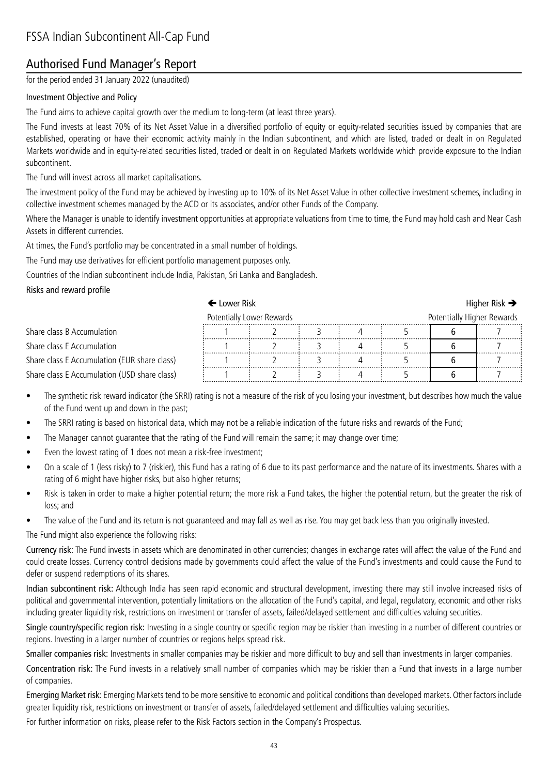# Authorised Fund Manager's Report

for the period ended 31 January 2022 (unaudited)

#### Investment Objective and Policy

The Fund aims to achieve capital growth over the medium to long-term (at least three years).

The Fund invests at least 70% of its Net Asset Value in a diversified portfolio of equity or equity-related securities issued by companies that are established, operating or have their economic activity mainly in the Indian subcontinent, and which are listed, traded or dealt in on Regulated Markets worldwide and in equity-related securities listed, traded or dealt in on Regulated Markets worldwide which provide exposure to the Indian subcontinent.

The Fund will invest across all market capitalisations.

The investment policy of the Fund may be achieved by investing up to 10% of its Net Asset Value in other collective investment schemes, including in collective investment schemes managed by the ACD or its associates, and/or other Funds of the Company.

Where the Manager is unable to identify investment opportunities at appropriate valuations from time to time, the Fund may hold cash and Near Cash Assets in different currencies.

At times, the Fund's portfolio may be concentrated in a small number of holdings.

The Fund may use derivatives for efficient portfolio management purposes only.

Countries of the Indian subcontinent include India, Pakistan, Sri Lanka and Bangladesh.

#### Risks and reward profile

### $\leftarrow$  Lower Risk  $\rightarrow$

|                                              | Potentially Lower Rewards |  |  |  | Potentially Higher Rewards |   |
|----------------------------------------------|---------------------------|--|--|--|----------------------------|---|
| Share class B Accumulation                   |                           |  |  |  |                            |   |
| Share class E Accumulation                   |                           |  |  |  |                            |   |
| Share class E Accumulation (EUR share class) |                           |  |  |  |                            | . |
| Share class E Accumulation (USD share class) |                           |  |  |  |                            |   |

• The synthetic risk reward indicator (the SRRI) rating is not a measure of the risk of you losing your investment, but describes how much the value of the Fund went up and down in the past;

- The SRRI rating is based on historical data, which may not be a reliable indication of the future risks and rewards of the Fund;
- The Manager cannot guarantee that the rating of the Fund will remain the same; it may change over time;
- Even the lowest rating of 1 does not mean a risk-free investment;
- On a scale of 1 (less risky) to 7 (riskier), this Fund has a rating of 6 due to its past performance and the nature of its investments. Shares with a rating of 6 might have higher risks, but also higher returns;
- Risk is taken in order to make a higher potential return; the more risk a Fund takes, the higher the potential return, but the greater the risk of loss; and
- The value of the Fund and its return is not guaranteed and may fall as well as rise. You may get back less than you originally invested.

The Fund might also experience the following risks:

Currency risk: The Fund invests in assets which are denominated in other currencies; changes in exchange rates will affect the value of the Fund and could create losses. Currency control decisions made by governments could affect the value of the Fund's investments and could cause the Fund to defer or suspend redemptions of its shares.

Indian subcontinent risk: Although India has seen rapid economic and structural development, investing there may still involve increased risks of political and governmental intervention, potentially limitations on the allocation of the Fund's capital, and legal, regulatory, economic and other risks including greater liquidity risk, restrictions on investment or transfer of assets, failed/delayed settlement and difficulties valuing securities.

Single country/specific region risk: Investing in a single country or specific region may be riskier than investing in a number of different countries or regions. Investing in a larger number of countries or regions helps spread risk.

Smaller companies risk: Investments in smaller companies may be riskier and more difficult to buy and sell than investments in larger companies.

Concentration risk: The Fund invests in a relatively small number of companies which may be riskier than a Fund that invests in a large number of companies.

Emerging Market risk: Emerging Markets tend to be more sensitive to economic and political conditions than developed markets. Other factors include greater liquidity risk, restrictions on investment or transfer of assets, failed/delayed settlement and difficulties valuing securities.

For further information on risks, please refer to the Risk Factors section in the Company's Prospectus.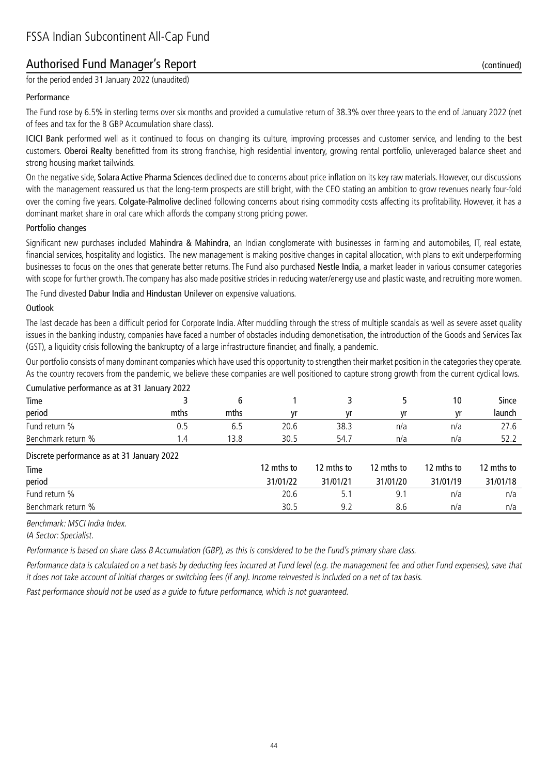### Authorised Fund Manager's Report (continued)

for the period ended 31 January 2022 (unaudited)

#### Performance

The Fund rose by 6.5% in sterling terms over six months and provided a cumulative return of 38.3% over three years to the end of January 2022 (net of fees and tax for the B GBP Accumulation share class).

ICICI Bank performed well as it continued to focus on changing its culture, improving processes and customer service, and lending to the best customers. Oberoi Realty benefitted from its strong franchise, high residential inventory, growing rental portfolio, unleveraged balance sheet and strong housing market tailwinds.

On the negative side, Solara Active Pharma Sciences declined due to concerns about price inflation on its key raw materials. However, our discussions with the management reassured us that the long-term prospects are still bright, with the CEO stating an ambition to grow revenues nearly four-fold over the coming five years. Colgate-Palmolive declined following concerns about rising commodity costs affecting its profitability. However, it has a dominant market share in oral care which affords the company strong pricing power.

#### Portfolio changes

Significant new purchases included Mahindra & Mahindra, an Indian conglomerate with businesses in farming and automobiles, IT, real estate, financial services, hospitality and logistics. The new management is making positive changes in capital allocation, with plans to exit underperforming businesses to focus on the ones that generate better returns. The Fund also purchased Nestle India, a market leader in various consumer categories with scope for further growth. The company has also made positive strides in reducing water/energy use and plastic waste, and recruiting more women.

The Fund divested Dabur India and Hindustan Unilever on expensive valuations.

#### **Outlook**

The last decade has been a difficult period for Corporate India. After muddling through the stress of multiple scandals as well as severe asset quality issues in the banking industry, companies have faced a number of obstacles including demonetisation, the introduction of the Goods and Services Tax (GST), a liquidity crisis following the bankruptcy of a large infrastructure financier, and finally, a pandemic.

Our portfolio consists of many dominant companies which have used this opportunity to strengthen their market position in the categories they operate. As the country recovers from the pandemic, we believe these companies are well positioned to capture strong growth from the current cyclical lows.

| Cumulative performance as at 31 January 2022 |      |      |            |            |            |            |            |
|----------------------------------------------|------|------|------------|------------|------------|------------|------------|
| Time                                         |      | 6    |            |            |            | 10         | Since      |
| period                                       | mths | mths | vr         | vr         | ٧r         | vr         | launch     |
| Fund return %                                | 0.5  | 6.5  | 20.6       | 38.3       | n/a        | n/a        | 27.6       |
| Benchmark return %                           | 1.4  | 13.8 | 30.5       | 54.7       | n/a        | n/a        | 52.2       |
| Discrete performance as at 31 January 2022   |      |      |            |            |            |            |            |
| Time                                         |      |      | 12 mths to | 12 mths to | 12 mths to | 12 mths to | 12 mths to |
| period                                       |      |      | 31/01/22   | 31/01/21   | 31/01/20   | 31/01/19   | 31/01/18   |
| Fund return %                                |      |      | 20.6       | 5.1        | 9.1        | n/a        | n/a        |
| Benchmark return %                           |      |      | 30.5       | 9.2        | 8.6        | n/a        | n/a        |

Benchmark: MSCI India Index.

IA Sector: Specialist.

Performance is based on share class B Accumulation (GBP), as this is considered to be the Fund's primary share class.

Performance data is calculated on a net basis by deducting fees incurred at Fund level (e.g. the management fee and other Fund expenses), save that it does not take account of initial charges or switching fees (if any). Income reinvested is included on a net of tax basis.

Past performance should not be used as a guide to future performance, which is not guaranteed.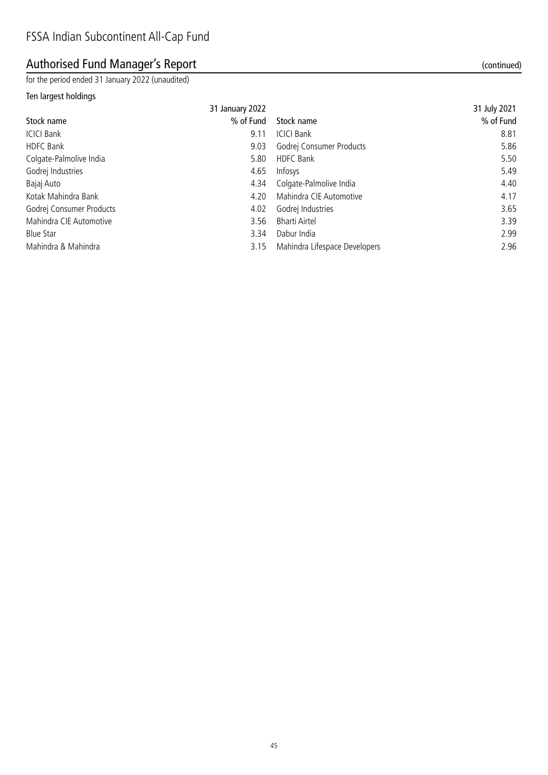# Authorised Fund Manager's Report (continued)

for the period ended 31 January 2022 (unaudited)

### Ten largest holdings

|                          | 31 January 2022 |                               | 31 July 2021 |
|--------------------------|-----------------|-------------------------------|--------------|
| Stock name               | % of Fund       | Stock name                    | % of Fund    |
| <b>ICICI Bank</b>        | 9.11            | <b>ICICI Bank</b>             | 8.81         |
| <b>HDFC Bank</b>         | 9.03            | Godrej Consumer Products      | 5.86         |
| Colgate-Palmolive India  | 5.80            | <b>HDFC Bank</b>              | 5.50         |
| Godrej Industries        | 4.65            | Infosys                       | 5.49         |
| Bajaj Auto               | 4.34            | Colgate-Palmolive India       | 4.40         |
| Kotak Mahindra Bank      | 4.20            | Mahindra CIE Automotive       | 4.17         |
| Godrej Consumer Products | 4.02            | Godrej Industries             | 3.65         |
| Mahindra CIE Automotive  | 3.56            | <b>Bharti Airtel</b>          | 3.39         |
| <b>Blue Star</b>         | 3.34            | Dabur India                   | 2.99         |
| Mahindra & Mahindra      | 3.15            | Mahindra Lifespace Developers | 2.96         |
|                          |                 |                               |              |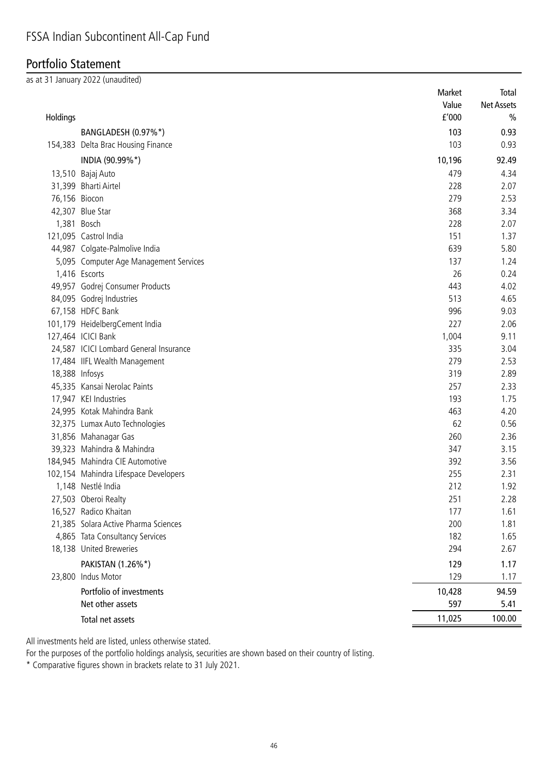## Portfolio Statement

as at 31 January 2022 (unaudited)

|               |                                        | Market | Total             |
|---------------|----------------------------------------|--------|-------------------|
|               |                                        | Value  | <b>Net Assets</b> |
| Holdings      |                                        | f'000  | $\frac{0}{0}$     |
|               | BANGLADESH (0.97%*)                    | 103    | 0.93              |
|               | 154,383 Delta Brac Housing Finance     | 103    | 0.93              |
|               | INDIA (90.99%*)                        | 10,196 | 92.49             |
|               | 13,510 Bajaj Auto                      | 479    | 4.34              |
|               | 31,399 Bharti Airtel                   | 228    | 2.07              |
| 76,156 Biocon |                                        | 279    | 2.53              |
|               | 42,307 Blue Star                       | 368    | 3.34              |
|               | 1,381 Bosch                            | 228    | 2.07              |
|               | 121,095 Castrol India                  | 151    | 1.37              |
|               | 44,987 Colgate-Palmolive India         | 639    | 5.80              |
|               | 5,095 Computer Age Management Services | 137    | 1.24              |
|               | 1,416 Escorts                          | 26     | 0.24              |
|               | 49,957 Godrej Consumer Products        | 443    | 4.02              |
|               | 84,095 Godrej Industries               | 513    | 4.65              |
|               | 67,158 HDFC Bank                       | 996    | 9.03              |
|               | 101,179 HeidelbergCement India         | 227    | 2.06              |
|               | 127,464 ICICI Bank                     | 1,004  | 9.11              |
|               | 24,587 ICICI Lombard General Insurance | 335    | 3.04              |
|               | 17,484 IIFL Wealth Management          | 279    | 2.53              |
|               | 18,388 Infosys                         | 319    | 2.89              |
|               | 45,335 Kansai Nerolac Paints           | 257    | 2.33              |
|               | 17,947 KEI Industries                  | 193    | 1.75              |
|               | 24,995 Kotak Mahindra Bank             | 463    | 4.20              |
|               | 32,375 Lumax Auto Technologies         | 62     | 0.56              |
|               | 31,856 Mahanagar Gas                   | 260    | 2.36              |
|               | 39,323 Mahindra & Mahindra             | 347    | 3.15              |
|               | 184,945 Mahindra CIE Automotive        | 392    | 3.56              |
|               | 102,154 Mahindra Lifespace Developers  | 255    | 2.31              |
|               | 1,148 Nestlé India                     | 212    | 1.92              |
|               | 27,503 Oberoi Realty                   | 251    | 2.28              |
|               | 16,527 Radico Khaitan                  | 177    | 1.61              |
|               | 21,385 Solara Active Pharma Sciences   | 200    | 1.81              |
|               | 4,865 Tata Consultancy Services        | 182    | 1.65              |
|               | 18,138 United Breweries                | 294    | 2.67              |
|               | PAKISTAN (1.26%*)                      | 129    | 1.17              |
|               | 23,800 Indus Motor                     | 129    | 1.17              |
|               | Portfolio of investments               | 10,428 | 94.59             |
|               | Net other assets                       | 597    | 5.41              |
|               | Total net assets                       | 11,025 | 100.00            |

All investments held are listed, unless otherwise stated.

For the purposes of the portfolio holdings analysis, securities are shown based on their country of listing.

\* Comparative figures shown in brackets relate to 31 July 2021.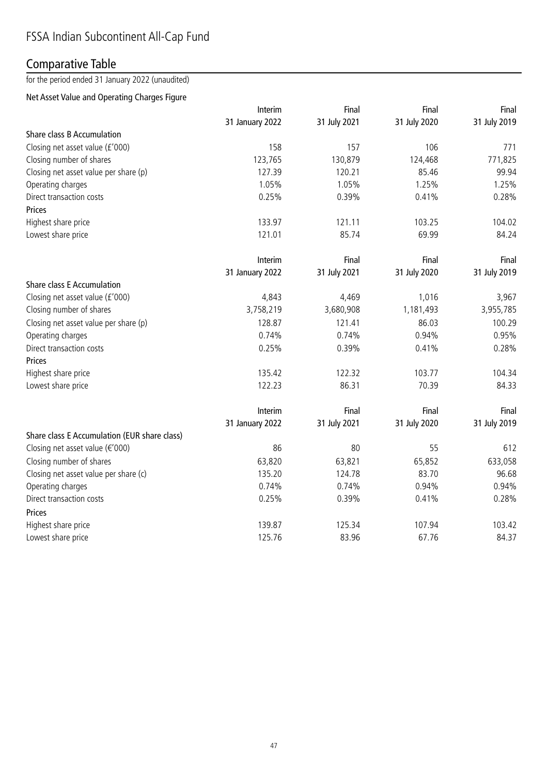# Comparative Table

for the period ended 31 January 2022 (unaudited)

### Net Asset Value and Operating Charges Figure

|                                              | Interim         | Final        | Final        | Final        |
|----------------------------------------------|-----------------|--------------|--------------|--------------|
|                                              | 31 January 2022 | 31 July 2021 | 31 July 2020 | 31 July 2019 |
| Share class B Accumulation                   |                 |              |              |              |
| Closing net asset value (£'000)              | 158             | 157          | 106          | 771          |
| Closing number of shares                     | 123,765         | 130,879      | 124,468      | 771,825      |
| Closing net asset value per share (p)        | 127.39          | 120.21       | 85.46        | 99.94        |
| Operating charges                            | 1.05%           | 1.05%        | 1.25%        | 1.25%        |
| Direct transaction costs                     | 0.25%           | 0.39%        | 0.41%        | 0.28%        |
| Prices                                       |                 |              |              |              |
| Highest share price                          | 133.97          | 121.11       | 103.25       | 104.02       |
| Lowest share price                           | 121.01          | 85.74        | 69.99        | 84.24        |
|                                              | Interim         | Final        | Final        | Final        |
|                                              | 31 January 2022 | 31 July 2021 | 31 July 2020 | 31 July 2019 |
| <b>Share class E Accumulation</b>            |                 |              |              |              |
| Closing net asset value (£'000)              | 4,843           | 4,469        | 1,016        | 3,967        |
| Closing number of shares                     | 3,758,219       | 3,680,908    | 1,181,493    | 3,955,785    |
| Closing net asset value per share (p)        | 128.87          | 121.41       | 86.03        | 100.29       |
| Operating charges                            | 0.74%           | 0.74%        | 0.94%        | 0.95%        |
| Direct transaction costs                     | 0.25%           | 0.39%        | 0.41%        | 0.28%        |
| Prices                                       |                 |              |              |              |
| Highest share price                          | 135.42          | 122.32       | 103.77       | 104.34       |
| Lowest share price                           | 122.23          | 86.31        | 70.39        | 84.33        |
|                                              | Interim         | Final        | Final        | Final        |
|                                              | 31 January 2022 | 31 July 2021 | 31 July 2020 | 31 July 2019 |
| Share class E Accumulation (EUR share class) |                 |              |              |              |
| Closing net asset value (€'000)              | 86              | 80           | 55           | 612          |
| Closing number of shares                     | 63,820          | 63,821       | 65,852       | 633,058      |
| Closing net asset value per share (c)        | 135.20          | 124.78       | 83.70        | 96.68        |
| Operating charges                            | 0.74%           | 0.74%        | 0.94%        | 0.94%        |
| Direct transaction costs                     | 0.25%           | 0.39%        | 0.41%        | 0.28%        |
| Prices                                       |                 |              |              |              |
| Highest share price                          | 139.87          | 125.34       | 107.94       | 103.42       |
| Lowest share price                           | 125.76          | 83.96        | 67.76        | 84.37        |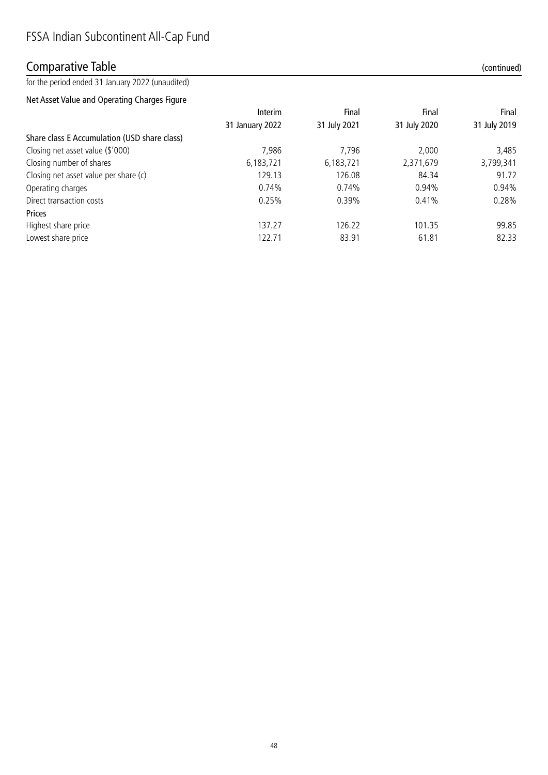### Comparative Table (continued)

for the period ended 31 January 2022 (unaudited)

Net Asset Value and Operating Charges Figure

|                                              | Interim         | Final        | Final        | Final        |  |
|----------------------------------------------|-----------------|--------------|--------------|--------------|--|
|                                              | 31 January 2022 | 31 July 2021 | 31 July 2020 | 31 July 2019 |  |
| Share class E Accumulation (USD share class) |                 |              |              |              |  |
| Closing net asset value (\$'000)             | 7,986           | 7.796        | 2.000        | 3,485        |  |
| Closing number of shares                     | 6,183,721       | 6,183,721    | 2,371,679    | 3,799,341    |  |
| Closing net asset value per share (c)        | 129.13          | 126.08       | 84.34        | 91.72        |  |
| Operating charges                            | 0.74%           | 0.74%        | 0.94%        | 0.94%        |  |
| Direct transaction costs                     | 0.25%           | 0.39%        | 0.41%        | 0.28%        |  |
| Prices                                       |                 |              |              |              |  |
| Highest share price                          | 137.27          | 126.22       | 101.35       | 99.85        |  |
| Lowest share price                           | 122.71          | 83.91        | 61.81        | 82.33        |  |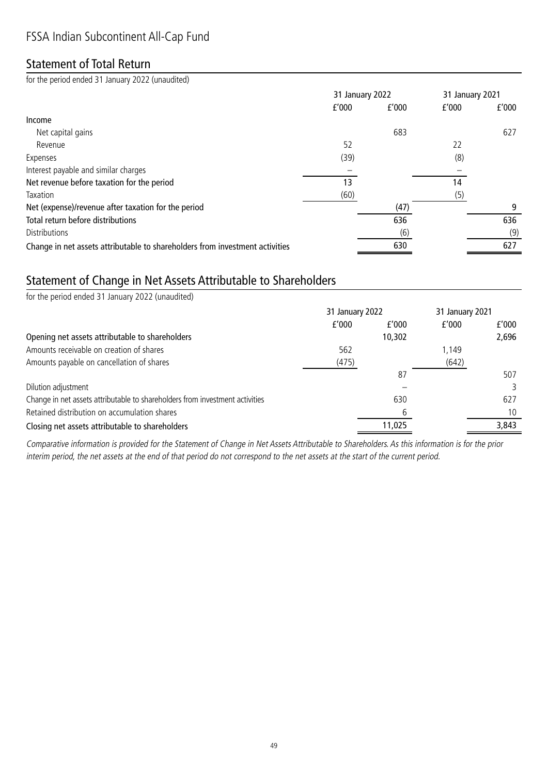# Statement of Total Return

for the period ended 31 January 2022 (unaudited)

|                                                                              |       | 31 January 2022 |       | 31 January 2021 |  |
|------------------------------------------------------------------------------|-------|-----------------|-------|-----------------|--|
|                                                                              | f'000 | f'000           | f'000 | f'000           |  |
| Income                                                                       |       |                 |       |                 |  |
| Net capital gains                                                            |       | 683             |       | 627             |  |
| Revenue                                                                      | 52    |                 | 22    |                 |  |
| Expenses                                                                     | (39)  |                 | (8)   |                 |  |
| Interest payable and similar charges                                         |       |                 |       |                 |  |
| Net revenue before taxation for the period                                   | 13    |                 | 14    |                 |  |
| Taxation                                                                     | (60)  |                 | (5)   |                 |  |
| Net (expense)/revenue after taxation for the period                          |       | (47)            |       | 9               |  |
| Total return before distributions                                            |       | 636             |       | 636             |  |
| Distributions                                                                |       | (6)             |       | (9)             |  |
| Change in net assets attributable to shareholders from investment activities |       | 630             |       | 627             |  |

# Statement of Change in Net Assets Attributable to Shareholders

| for the period ended 31 January 2022 (unaudited)                             |                 |        |                 |       |
|------------------------------------------------------------------------------|-----------------|--------|-----------------|-------|
|                                                                              | 31 January 2022 |        | 31 January 2021 |       |
|                                                                              | f'000           | f'000  | f'000           | f'000 |
| Opening net assets attributable to shareholders                              |                 | 10,302 |                 | 2,696 |
| Amounts receivable on creation of shares                                     | 562             |        | 1,149           |       |
| Amounts payable on cancellation of shares                                    | (475)           |        | (642)           |       |
|                                                                              |                 | 87     |                 | 507   |
| Dilution adjustment                                                          |                 |        |                 |       |
| Change in net assets attributable to shareholders from investment activities |                 | 630    |                 | 627   |
| Retained distribution on accumulation shares                                 |                 | h      |                 | 10    |
| Closing net assets attributable to shareholders                              |                 | 11,025 |                 | 3.843 |

Comparative information is provided for the Statement of Change in Net Assets Attributable to Shareholders. As this information is for the prior interim period, the net assets at the end of that period do not correspond to the net assets at the start of the current period.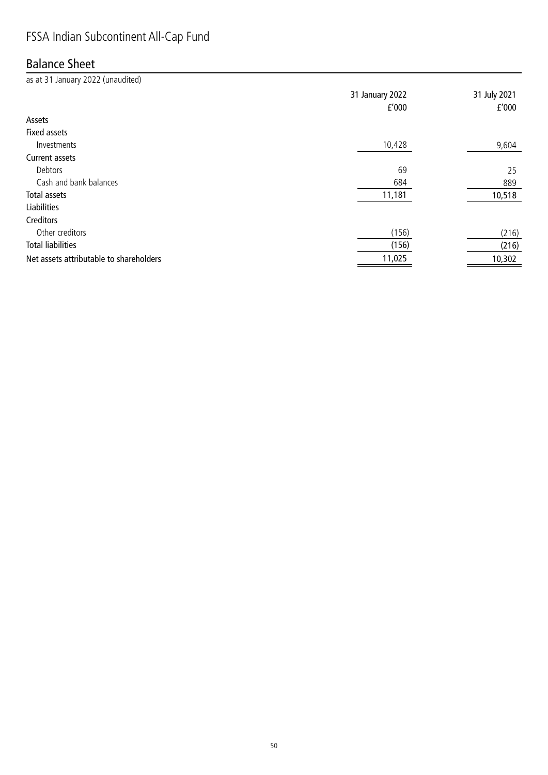# FSSA Indian Subcontinent All-Cap Fund

### Balance Sheet

as at 31 January 2022 (unaudited) 31 January 2022 31 July 2021 £'000 £'000 Assets Fixed assets  $I$ nvestments  $9,604$ Current assets Debtors 69 25 Cash and bank balances 889 Total assets 10,518 and 10,518 and 10,518 and 11,181 and 10,518 and 10,518 and 10,518 and 10,518 and 10,518 and 10,518 and 10,518 and 10,518 and 10,518 and 10,518 and 10,518 and 10,518 and 10,518 and 10,518 and 10,518 and Liabilities **Creditors** Other creditors (156) (216) Total liabilities (156) (216) Net assets attributable to shareholders and the state of the state of the 11,025 10,302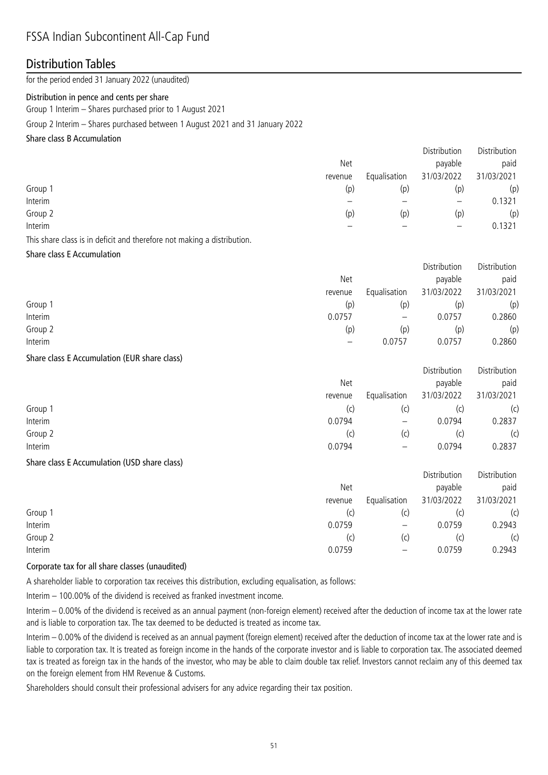# FSSA Indian Subcontinent All-Cap Fund

### Distribution Tables

for the period ended 31 January 2022 (unaudited)

#### Distribution in pence and cents per share

Group 1 Interim – Shares purchased prior to 1 August 2021

Group 2 Interim – Shares purchased between 1 August 2021 and 31 January 2022

#### Share class B Accumulation

|         |         |              | Distribution      | Distribution |
|---------|---------|--------------|-------------------|--------------|
|         | Net     |              | payable           | paid         |
|         | revenue | Equalisation | 31/03/2022        | 31/03/2021   |
| Group 1 | (p)     | (p)          | (p)               | (p)          |
| Interim |         |              | $\qquad \qquad -$ | 0.1321       |
| Group 2 | (p)     | (p)          | (p)               | (p)          |
| Interim |         |              |                   | 0.1321       |
|         |         |              |                   |              |

This share class is in deficit and therefore not making a distribution.

#### Share class E Accumulation

|         |         |              | Distribution | Distribution |
|---------|---------|--------------|--------------|--------------|
|         | Net     |              | payable      | paid         |
|         | revenue | Equalisation | 31/03/2022   | 31/03/2021   |
| Group 1 | (p)     | (p)          | (p           | (p)          |
| Interim | 0.0757  | —            | 0.0757       | 0.2860       |
| Group 2 | (p)     | (p)          | (p           | (p)          |
| Interim |         | 0.0757       | 0.0757       | 0.2860       |

#### Share class E Accumulation (EUR share class)

|         |         |                          | Distribution | Distribution |
|---------|---------|--------------------------|--------------|--------------|
|         | Net     |                          | payable      | paid         |
|         | revenue | Equalisation             | 31/03/2022   | 31/03/2021   |
| Group 1 | (C)     | (C)                      | (C)          | (c)          |
| Interim | 0.0794  | $\overline{\phantom{m}}$ | 0.0794       | 0.2837       |
| Group 2 | (C)     | (c                       | (C)          | (c)          |
| Interim | 0.0794  | $\qquad \qquad$          | 0.0794       | 0.2837       |

#### Share class E Accumulation (USD share class)

|         |         |              | Distribution | Distribution |
|---------|---------|--------------|--------------|--------------|
|         | Net     |              | payable      | paid         |
|         | revenue | Equalisation | 31/03/2022   | 31/03/2021   |
| Group 1 | (C)     | (c)          |              | (c)          |
| Interim | 0.0759  | —            | 0.0759       | 0.2943       |
| Group 2 | (C)     | (c)          |              | (c)          |
| Interim | 0.0759  |              | 0.0759       | 0.2943       |
|         |         |              |              |              |

#### Corporate tax for all share classes (unaudited)

A shareholder liable to corporation tax receives this distribution, excluding equalisation, as follows:

Interim – 100.00% of the dividend is received as franked investment income.

Interim – 0.00% of the dividend is received as an annual payment (non-foreign element) received after the deduction of income tax at the lower rate and is liable to corporation tax. The tax deemed to be deducted is treated as income tax.

Interim – 0.00% of the dividend is received as an annual payment (foreign element) received after the deduction of income tax at the lower rate and is liable to corporation tax. It is treated as foreign income in the hands of the corporate investor and is liable to corporation tax. The associated deemed tax is treated as foreign tax in the hands of the investor, who may be able to claim double tax relief. Investors cannot reclaim any of this deemed tax on the foreign element from HM Revenue & Customs.

Shareholders should consult their professional advisers for any advice regarding their tax position.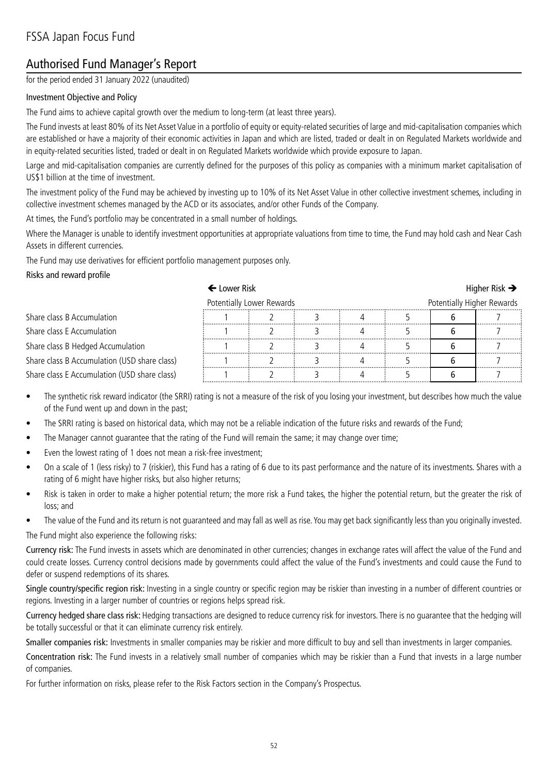# Authorised Fund Manager's Report

for the period ended 31 January 2022 (unaudited)

#### Investment Objective and Policy

The Fund aims to achieve capital growth over the medium to long-term (at least three years).

The Fund invests at least 80% of its Net Asset Value in a portfolio of equity or equity-related securities of large and mid-capitalisation companies which are established or have a majority of their economic activities in Japan and which are listed, traded or dealt in on Regulated Markets worldwide and in equity-related securities listed, traded or dealt in on Regulated Markets worldwide which provide exposure to Japan.

Large and mid-capitalisation companies are currently defined for the purposes of this policy as companies with a minimum market capitalisation of US\$1 billion at the time of investment.

The investment policy of the Fund may be achieved by investing up to 10% of its Net Asset Value in other collective investment schemes, including in collective investment schemes managed by the ACD or its associates, and/or other Funds of the Company.

At times, the Fund's portfolio may be concentrated in a small number of holdings.

Where the Manager is unable to identify investment opportunities at appropriate valuations from time to time, the Fund may hold cash and Near Cash Assets in different currencies.

The Fund may use derivatives for efficient portfolio management purposes only.

#### Risks and reward profile

### $\leftarrow$  Lower Risk  $\rightarrow$ Potentially Lower Rewards **Potentially Higher Rewards** Share class B Accumulation 1 2 3 4 5 6 7 Share class E Accumulation **1 2 1 2 3 4 5 6 7** Share class B Hedged Accumulation  $\begin{array}{|c|c|c|c|c|c|}\n\hline\n\text{Share class B Accumulation (USD share class)}\n\hline\n\end{array}$ Share class B Accumulation (USD share class)  $\begin{array}{c} 1 \\ 1 \end{array}$   $\begin{array}{c} 2 \\ 3 \end{array}$   $\begin{array}{c} 3 \\ 4 \end{array}$   $\begin{array}{c} 4 \\ 5 \end{array}$   $\begin{array}{c} 5 \\ 6 \end{array}$ Share class E Accumulation (USD share class)  $\frac{1}{2}$   $\frac{1}{2}$   $\frac{2}{3}$   $\frac{3}{4}$   $\frac{4}{4}$   $\frac{5}{5}$   $\frac{5}{6}$   $\frac{7}{4}$

- The synthetic risk reward indicator (the SRRI) rating is not a measure of the risk of you losing your investment, but describes how much the value of the Fund went up and down in the past;
- The SRRI rating is based on historical data, which may not be a reliable indication of the future risks and rewards of the Fund;
- The Manager cannot guarantee that the rating of the Fund will remain the same; it may change over time;
- Even the lowest rating of 1 does not mean a risk-free investment;
- On a scale of 1 (less risky) to 7 (riskier), this Fund has a rating of 6 due to its past performance and the nature of its investments. Shares with a rating of 6 might have higher risks, but also higher returns;
- Risk is taken in order to make a higher potential return; the more risk a Fund takes, the higher the potential return, but the greater the risk of loss; and
- The value of the Fund and its return is not guaranteed and may fall as well as rise. You may get back significantly less than you originally invested.

The Fund might also experience the following risks:

Currency risk: The Fund invests in assets which are denominated in other currencies; changes in exchange rates will affect the value of the Fund and could create losses. Currency control decisions made by governments could affect the value of the Fund's investments and could cause the Fund to defer or suspend redemptions of its shares.

Single country/specific region risk: Investing in a single country or specific region may be riskier than investing in a number of different countries or regions. Investing in a larger number of countries or regions helps spread risk.

Currency hedged share class risk: Hedging transactions are designed to reduce currency risk for investors. There is no guarantee that the hedging will be totally successful or that it can eliminate currency risk entirely.

Smaller companies risk: Investments in smaller companies may be riskier and more difficult to buy and sell than investments in larger companies.

Concentration risk: The Fund invests in a relatively small number of companies which may be riskier than a Fund that invests in a large number of companies.

For further information on risks, please refer to the Risk Factors section in the Company's Prospectus.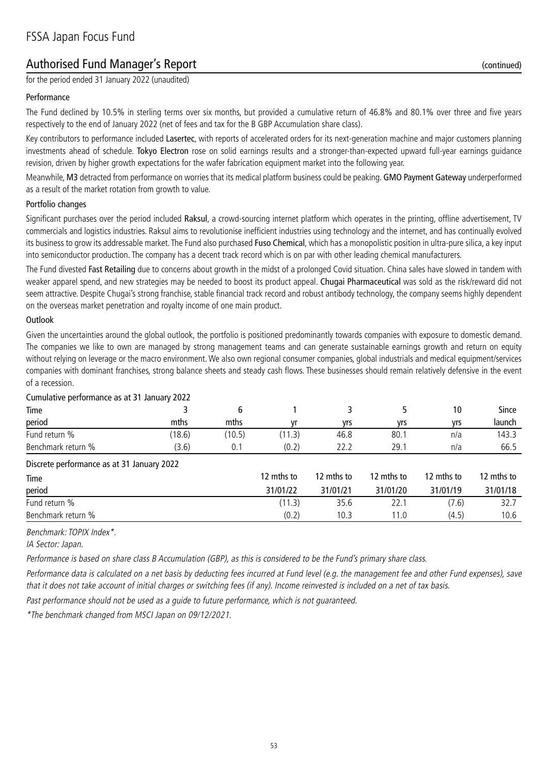# Authorised Fund Manager's Report (continued)

for the period ended 31 January 2022 (unaudited)

#### Performance

The Fund declined by 10.5% in sterling terms over six months, but provided a cumulative return of 46.8% and 80.1% over three and five years respectively to the end of January 2022 (net of fees and tax for the B GBP Accumulation share class).

Key contributors to performance included Lasertec, with reports of accelerated orders for its next-generation machine and major customers planning investments ahead of schedule. Tokyo Electron rose on solid earnings results and a stronger-than-expected upward full-year earnings guidance revision, driven by higher growth expectations for the wafer fabrication equipment market into the following year.

Meanwhile, M3 detracted from performance on worries that its medical platform business could be peaking. GMO Payment Gateway underperformed as a result of the market rotation from growth to value.

#### Portfolio changes

Significant purchases over the period included Raksul, a crowd-sourcing internet platform which operates in the printing, offline advertisement, TV commercials and logistics industries. Raksul aims to revolutionise inefficient industries using technology and the internet, and has continually evolved its business to grow its addressable market. The Fund also purchased Fuso Chemical, which has a monopolistic position in ultra-pure silica, a key input into semiconductor production. The company has a decent track record which is on par with other leading chemical manufacturers.

The Fund divested Fast Retailing due to concerns about growth in the midst of a prolonged Covid situation. China sales have slowed in tandem with weaker apparel spend, and new strategies may be needed to boost its product appeal. Chugai Pharmaceutical was sold as the risk/reward did not seem attractive. Despite Chugai's strong franchise, stable financial track record and robust antibody technology, the company seems highly dependent on the overseas market penetration and royalty income of one main product.

#### **Outlook**

Given the uncertainties around the global outlook, the portfolio is positioned predominantly towards companies with exposure to domestic demand. The companies we like to own are managed by strong management teams and can generate sustainable earnings growth and return on equity without relying on leverage or the macro environment. We also own regional consumer companies, global industrials and medical equipment/services companies with dominant franchises, strong balance sheets and steady cash flows. These businesses should remain relatively defensive in the event of a recession.

| Time                                       |        | 6      |            |            |            | 10         | Since      |
|--------------------------------------------|--------|--------|------------|------------|------------|------------|------------|
| period                                     | mths   | mths   | vr         | yrs        | yrs        | yrs        | launch     |
| Fund return %                              | (18.6) | (10.5) | (11.3)     | 46.8       | 80.1       | n/a        | 143.3      |
| Benchmark return %                         | (3.6)  | 0.1    | (0.2)      | 22.2       | 29.1       | n/a        | 66.5       |
| Discrete performance as at 31 January 2022 |        |        |            |            |            |            |            |
| Time                                       |        |        | 12 mths to | 12 mths to | 12 mths to | 12 mths to | 12 mths to |
| period                                     |        |        | 31/01/22   | 31/01/21   | 31/01/20   | 31/01/19   | 31/01/18   |
| Fund return %                              |        |        | (11.3)     | 35.6       | 22.1       | (7.6)      | 32.7       |
| Benchmark return %                         |        |        | (0.2)      | 10.3       | 11.0       | (4.5)      | 10.6       |
|                                            |        |        |            |            |            |            |            |

#### Cumulative performance as at 31 January 2022

Benchmark: TOPIX Index\*.

IA Sector: Japan.

Performance is based on share class B Accumulation (GBP), as this is considered to be the Fund's primary share class.

Performance data is calculated on a net basis by deducting fees incurred at Fund level (e.g. the management fee and other Fund expenses), save that it does not take account of initial charges or switching fees (if any). Income reinvested is included on a net of tax basis.

Past performance should not be used as a guide to future performance, which is not guaranteed.

\*The benchmark changed from MSCI Japan on 09/12/2021.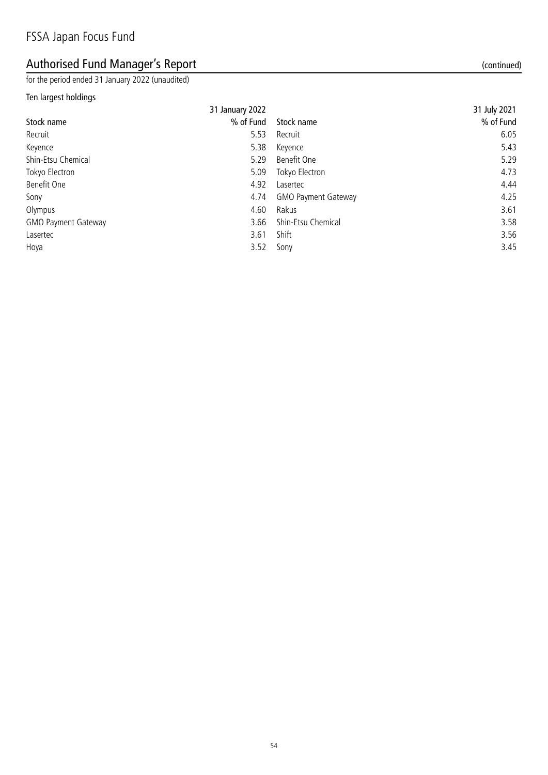# Authorised Fund Manager's Report (continued)

for the period ended 31 January 2022 (unaudited)

### Ten largest holdings

| 31 January 2022 |          | 31 July 2021                                                                                                                                    |
|-----------------|----------|-------------------------------------------------------------------------------------------------------------------------------------------------|
| % of Fund       |          | % of Fund                                                                                                                                       |
| 5.53            |          | 6.05                                                                                                                                            |
| 5.38            |          | 5.43                                                                                                                                            |
| 5.29            |          | 5.29                                                                                                                                            |
| 5.09            |          | 4.73                                                                                                                                            |
| 4.92            | Lasertec | 4.44                                                                                                                                            |
| 4.74            |          | 4.25                                                                                                                                            |
| 4.60            |          | 3.61                                                                                                                                            |
| 3.66            |          | 3.58                                                                                                                                            |
| 3.61            |          | 3.56                                                                                                                                            |
| 3.52            |          | 3.45                                                                                                                                            |
|                 |          | Stock name<br>Recruit<br>Keyence<br>Benefit One<br>Tokyo Electron<br><b>GMO Payment Gateway</b><br>Rakus<br>Shin-Etsu Chemical<br>Shift<br>Sony |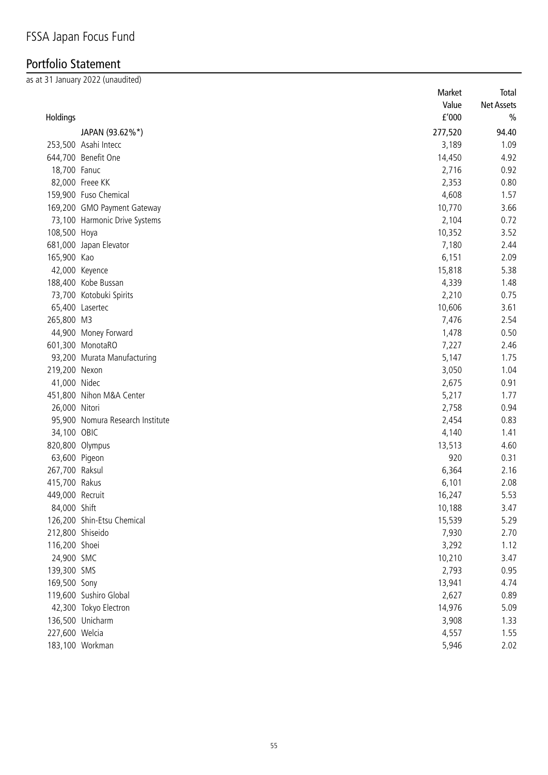# Portfolio Statement

as at 31 January 2022 (unaudited)

|                  |                                  | Market  | Total         |
|------------------|----------------------------------|---------|---------------|
|                  |                                  | Value   | Net Assets    |
| Holdings         |                                  | f'000   | $\frac{0}{0}$ |
|                  | JAPAN (93.62%*)                  | 277,520 | 94.40         |
|                  | 253,500 Asahi Intecc             | 3,189   | 1.09          |
|                  | 644,700 Benefit One              | 14,450  | 4.92          |
| 18,700 Fanuc     |                                  | 2,716   | 0.92          |
|                  | 82,000 Freee KK                  | 2,353   | 0.80          |
|                  | 159,900 Fuso Chemical            | 4,608   | 1.57          |
|                  | 169,200 GMO Payment Gateway      | 10,770  | 3.66          |
|                  | 73,100 Harmonic Drive Systems    | 2,104   | 0.72          |
| 108,500 Hoya     |                                  | 10,352  | 3.52          |
|                  | 681,000 Japan Elevator           | 7,180   | 2.44          |
| 165,900 Kao      |                                  | 6,151   | 2.09          |
|                  | 42,000 Keyence                   | 15,818  | 5.38          |
|                  | 188,400 Kobe Bussan              | 4,339   | 1.48          |
|                  | 73,700 Kotobuki Spirits          | 2,210   | 0.75          |
|                  | 65,400 Lasertec                  | 10,606  | 3.61          |
| 265,800 M3       |                                  | 7,476   | 2.54          |
|                  | 44,900 Money Forward             | 1,478   | 0.50          |
|                  | 601,300 MonotaRO                 | 7,227   | 2.46          |
|                  | 93,200 Murata Manufacturing      | 5,147   | 1.75          |
| 219,200 Nexon    |                                  | 3,050   | 1.04          |
| 41,000 Nidec     |                                  | 2,675   | 0.91          |
|                  | 451,800 Nihon M&A Center         | 5,217   | 1.77          |
| 26,000 Nitori    |                                  | 2,758   | 0.94          |
|                  | 95,900 Nomura Research Institute | 2,454   | 0.83          |
| 34,100 OBIC      |                                  | 4,140   | 1.41          |
| 820,800 Olympus  |                                  | 13,513  | 4.60          |
| 63,600 Pigeon    |                                  | 920     | 0.31          |
| 267,700 Raksul   |                                  | 6,364   | 2.16          |
| 415,700 Rakus    |                                  | 6,101   | 2.08          |
| 449,000 Recruit  |                                  | 16,247  | 5.53          |
| 84,000 Shift     |                                  | 10,188  | 3.47          |
|                  | 126,200 Shin-Etsu Chemical       | 15,539  | 5.29          |
| 212,800 Shiseido |                                  | 7,930   | 2.70          |
| 116,200 Shoei    |                                  | 3,292   | 1.12          |
| 24,900 SMC       |                                  | 10,210  | 3.47          |
| 139,300 SMS      |                                  | 2,793   | 0.95          |
| 169,500 Sony     |                                  | 13,941  | 4.74          |
|                  | 119,600 Sushiro Global           | 2,627   | 0.89          |
|                  | 42,300 Tokyo Electron            | 14,976  | 5.09          |
|                  | 136,500 Unicharm                 | 3,908   | 1.33          |
| 227,600 Welcia   |                                  | 4,557   | 1.55          |
|                  | 183,100 Workman                  | 5,946   | 2.02          |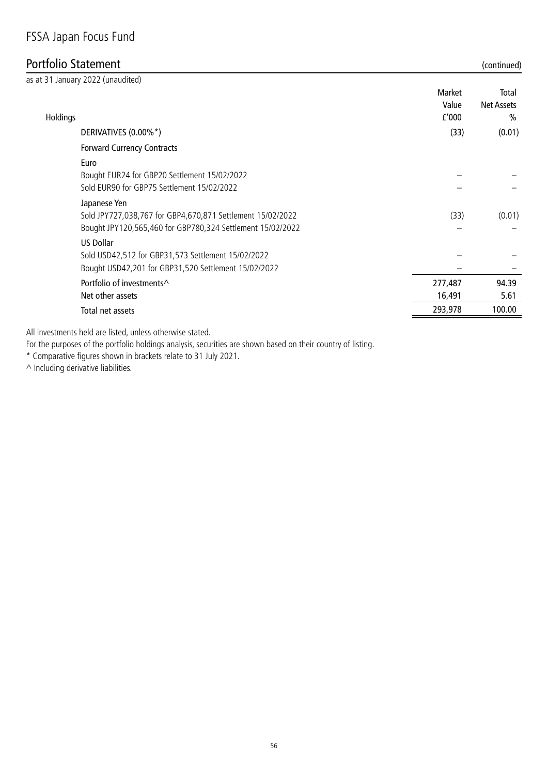### Portfolio Statement (continued)

| as at 31 January 2022 (unaudited)                                                                                                        |                 |                            |
|------------------------------------------------------------------------------------------------------------------------------------------|-----------------|----------------------------|
|                                                                                                                                          | Market<br>Value | Total<br><b>Net Assets</b> |
| Holdings                                                                                                                                 | f'000           | $\%$                       |
| DERIVATIVES (0.00%*)                                                                                                                     | (33)            | (0.01)                     |
| <b>Forward Currency Contracts</b>                                                                                                        |                 |                            |
| Euro<br>Bought EUR24 for GBP20 Settlement 15/02/2022<br>Sold EUR90 for GBP75 Settlement 15/02/2022                                       |                 |                            |
| Japanese Yen<br>Sold JPY727,038,767 for GBP4,670,871 Settlement 15/02/2022<br>Bought JPY120,565,460 for GBP780,324 Settlement 15/02/2022 | (33)            | (0.01)                     |
| <b>US Dollar</b><br>Sold USD42,512 for GBP31,573 Settlement 15/02/2022<br>Bought USD42,201 for GBP31,520 Settlement 15/02/2022           |                 |                            |
| Portfolio of investments <sup><math>\wedge</math></sup>                                                                                  | 277,487         | 94.39                      |
| Net other assets                                                                                                                         | 16,491          | 5.61                       |
| Total net assets                                                                                                                         | 293,978         | 100.00                     |

All investments held are listed, unless otherwise stated.

For the purposes of the portfolio holdings analysis, securities are shown based on their country of listing.

\* Comparative figures shown in brackets relate to 31 July 2021.

 $\wedge$  Including derivative liabilities.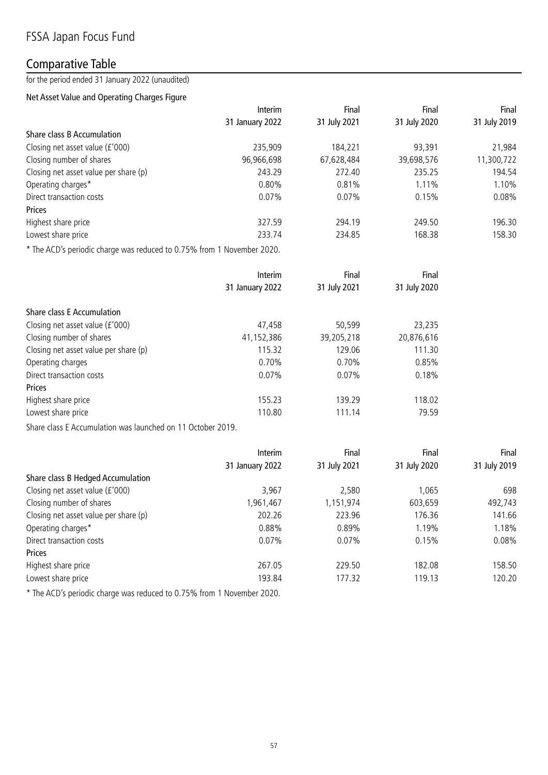### Comparative Table

for the period ended 31 January 2022 (unaudited)

### Net Asset Value and Operating Charges Figure

|                                       | Interim         | Final        | Final        | Final        |
|---------------------------------------|-----------------|--------------|--------------|--------------|
|                                       | 31 January 2022 | 31 July 2021 | 31 July 2020 | 31 July 2019 |
| Share class B Accumulation            |                 |              |              |              |
| Closing net asset value (£'000)       | 235,909         | 184.221      | 93,391       | 21,984       |
| Closing number of shares              | 96,966,698      | 67,628,484   | 39,698,576   | 11,300,722   |
| Closing net asset value per share (p) | 243.29          | 272.40       | 235.25       | 194.54       |
| Operating charges*                    | 0.80%           | 0.81%        | 1.11%        | 1.10%        |
| Direct transaction costs              | $0.07\%$        | 0.07%        | 0.15%        | 0.08%        |
| Prices                                |                 |              |              |              |
| Highest share price                   | 327.59          | 294.19       | 249.50       | 196.30       |
| Lowest share price                    | 233.74          | 234.85       | 168.38       | 158.30       |
|                                       |                 |              |              |              |

\* The ACD's periodic charge was reduced to 0.75% from 1 November 2020.

|                                       | Interim         | Final        | Final        |
|---------------------------------------|-----------------|--------------|--------------|
|                                       | 31 January 2022 | 31 July 2021 | 31 July 2020 |
| <b>Share class E Accumulation</b>     |                 |              |              |
| Closing net asset value (£'000)       | 47,458          | 50,599       | 23,235       |
| Closing number of shares              | 41,152,386      | 39,205,218   | 20,876,616   |
| Closing net asset value per share (p) | 115.32          | 129.06       | 111.30       |
| Operating charges                     | 0.70%           | $0.70\%$     | 0.85%        |
| Direct transaction costs              | 0.07%           | 0.07%        | 0.18%        |
| <b>Prices</b>                         |                 |              |              |
| Highest share price                   | 155.23          | 139.29       | 118.02       |
| Lowest share price                    | 110.80          | 111.14       | 79.59        |

Share class E Accumulation was launched on 11 October 2019.

|                                       | Interim         | Final        | Final        | Final        |
|---------------------------------------|-----------------|--------------|--------------|--------------|
|                                       | 31 January 2022 | 31 July 2021 | 31 July 2020 | 31 July 2019 |
| Share class B Hedged Accumulation     |                 |              |              |              |
| Closing net asset value (£'000)       | 3,967           | 2,580        | 1,065        | 698          |
| Closing number of shares              | 1,961,467       | 1,151,974    | 603,659      | 492,743      |
| Closing net asset value per share (p) | 202.26          | 223.96       | 176.36       | 141.66       |
| Operating charges*                    | 0.88%           | 0.89%        | 1.19%        | 1.18%        |
| Direct transaction costs              | 0.07%           | $0.07\%$     | 0.15%        | 0.08%        |
| Prices                                |                 |              |              |              |
| Highest share price                   | 267.05          | 229.50       | 182.08       | 158.50       |
| Lowest share price                    | 193.84          | 177.32       | 119.13       | 120.20       |

\* The ACD's periodic charge was reduced to 0.75% from 1 November 2020.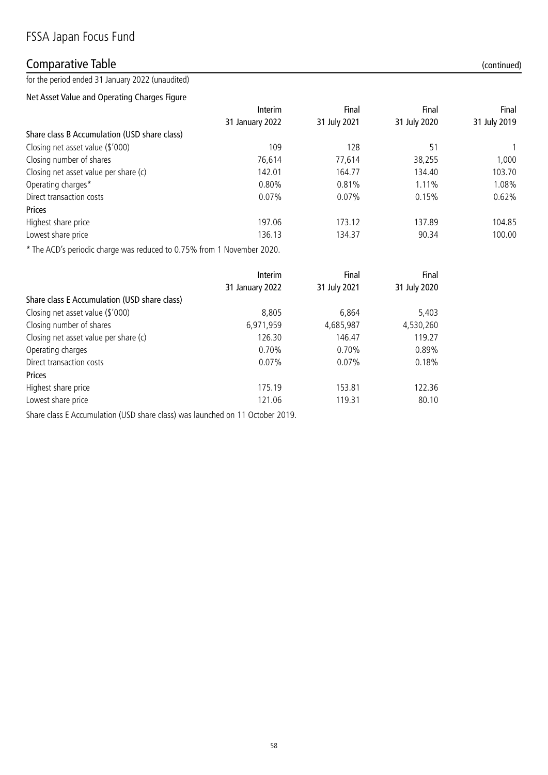### Comparative Table (continued)

for the period ended 31 January 2022 (unaudited)

Net Asset Value and Operating Charges Figure

|                                              | Interim         | Final        | Final        | Final        |
|----------------------------------------------|-----------------|--------------|--------------|--------------|
|                                              | 31 January 2022 | 31 July 2021 | 31 July 2020 | 31 July 2019 |
| Share class B Accumulation (USD share class) |                 |              |              |              |
| Closing net asset value (\$'000)             | 109             | 128          | 51           |              |
| Closing number of shares                     | 76,614          | 77,614       | 38,255       | 1,000        |
| Closing net asset value per share (c)        | 142.01          | 164.77       | 134.40       | 103.70       |
| Operating charges*                           | 0.80%           | 0.81%        | 1.11%        | 1.08%        |
| Direct transaction costs                     | 0.07%           | $0.07\%$     | 0.15%        | 0.62%        |
| Prices                                       |                 |              |              |              |
| Highest share price                          | 197.06          | 173.12       | 137.89       | 104.85       |
| Lowest share price                           | 136.13          | 134.37       | 90.34        | 100.00       |
|                                              |                 |              |              |              |

\* The ACD's periodic charge was reduced to 0.75% from 1 November 2020.

|                                              | Interim         | Final        | Final        |
|----------------------------------------------|-----------------|--------------|--------------|
|                                              | 31 January 2022 | 31 July 2021 | 31 July 2020 |
| Share class E Accumulation (USD share class) |                 |              |              |
| Closing net asset value (\$'000)             | 8,805           | 6,864        | 5,403        |
| Closing number of shares                     | 6,971,959       | 4,685,987    | 4,530,260    |
| Closing net asset value per share (c)        | 126.30          | 146.47       | 119.27       |
| Operating charges                            | 0.70%           | 0.70%        | 0.89%        |
| Direct transaction costs                     | 0.07%           | $0.07\%$     | 0.18%        |
| Prices                                       |                 |              |              |
| Highest share price                          | 175.19          | 153.81       | 122.36       |
| Lowest share price                           | 121.06          | 119.31       | 80.10        |

Share class E Accumulation (USD share class) was launched on 11 October 2019.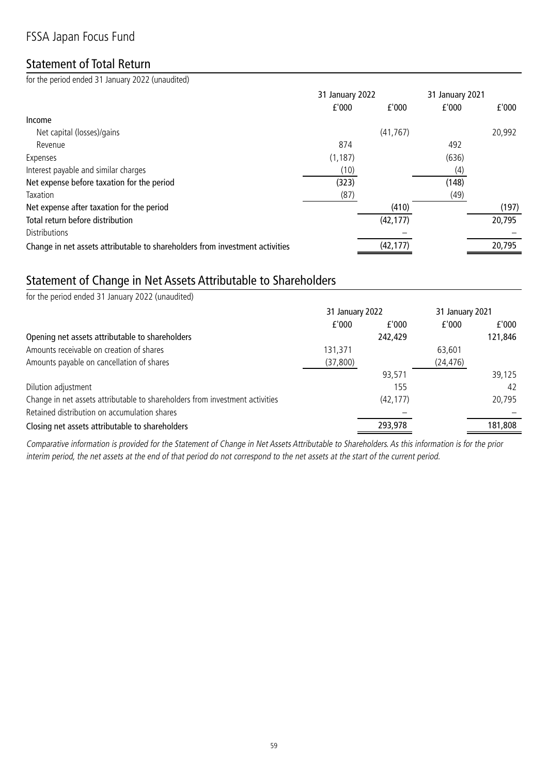# FSSA Japan Focus Fund

### Statement of Total Return

for the period ended 31 January 2022 (unaudited)

|                                                                              | 31 January 2022 |           | 31 January 2021 |        |  |
|------------------------------------------------------------------------------|-----------------|-----------|-----------------|--------|--|
|                                                                              | f'000           | f'000     | f'000           | f'000  |  |
| Income                                                                       |                 |           |                 |        |  |
| Net capital (losses)/gains                                                   |                 | (41, 767) |                 | 20,992 |  |
| Revenue                                                                      | 874             |           | 492             |        |  |
| Expenses                                                                     | (1, 187)        |           | (636)           |        |  |
| Interest payable and similar charges                                         | (10)            |           | (4)             |        |  |
| Net expense before taxation for the period                                   | (323)           |           | (148)           |        |  |
| Taxation                                                                     | (87)            |           | (49)            |        |  |
| Net expense after taxation for the period                                    |                 | (410)     |                 | (197)  |  |
| Total return before distribution                                             |                 | (42, 177) |                 | 20,795 |  |
| <b>Distributions</b>                                                         |                 |           |                 |        |  |
| Change in net assets attributable to shareholders from investment activities |                 | (42, 177) |                 | 20,795 |  |

# Statement of Change in Net Assets Attributable to Shareholders

| for the period ended 31 January 2022 (unaudited)                             |                 |           |                 |         |
|------------------------------------------------------------------------------|-----------------|-----------|-----------------|---------|
|                                                                              | 31 January 2022 |           | 31 January 2021 |         |
|                                                                              | f'000           | f'000     | f'000           | f'000   |
| Opening net assets attributable to shareholders                              |                 | 242,429   |                 | 121,846 |
| Amounts receivable on creation of shares                                     | 131,371         |           | 63,601          |         |
| Amounts payable on cancellation of shares                                    | (37,800)        |           | (24, 476)       |         |
|                                                                              |                 | 93,571    |                 | 39,125  |
| Dilution adjustment                                                          |                 | 155       |                 | 42      |
| Change in net assets attributable to shareholders from investment activities |                 | (42, 177) |                 | 20,795  |
| Retained distribution on accumulation shares                                 |                 |           |                 |         |
| Closing net assets attributable to shareholders                              |                 | 293,978   |                 | 181,808 |

Comparative information is provided for the Statement of Change in Net Assets Attributable to Shareholders. As this information is for the prior interim period, the net assets at the end of that period do not correspond to the net assets at the start of the current period.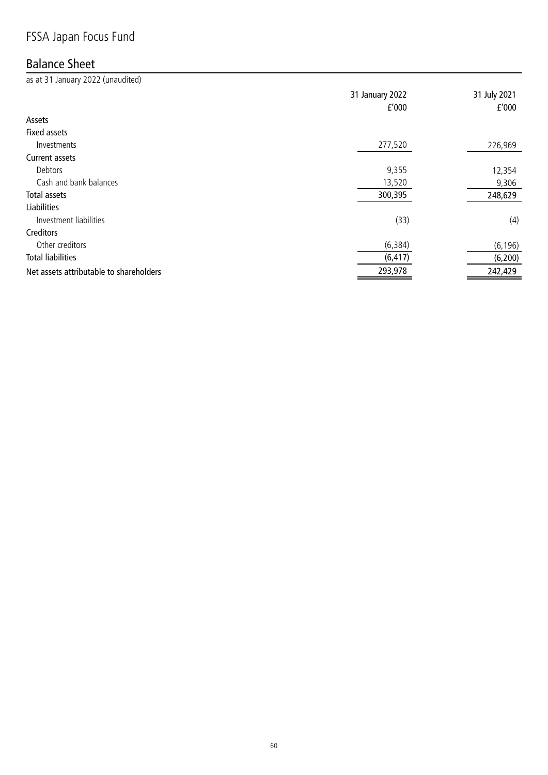# FSSA Japan Focus Fund

### Balance Sheet

as at 31 January 2022 (unaudited) 31 January 2022 31 July 2021 £'000 £'000 Assets Fixed assets Investments 277,520 226,969 Current assets Debtors 9,355 12,354 Cash and bank balances 9,306 Total assets 300,395 248,629 Liabilities Investment liabilities (33) (4) Creditors Other creditors (6,196) (6,196) (6,197) (6,198) (6,198) (6,198) Total liabilities (6,417) (6,200) Net assets attributable to shareholders 293,978 242,429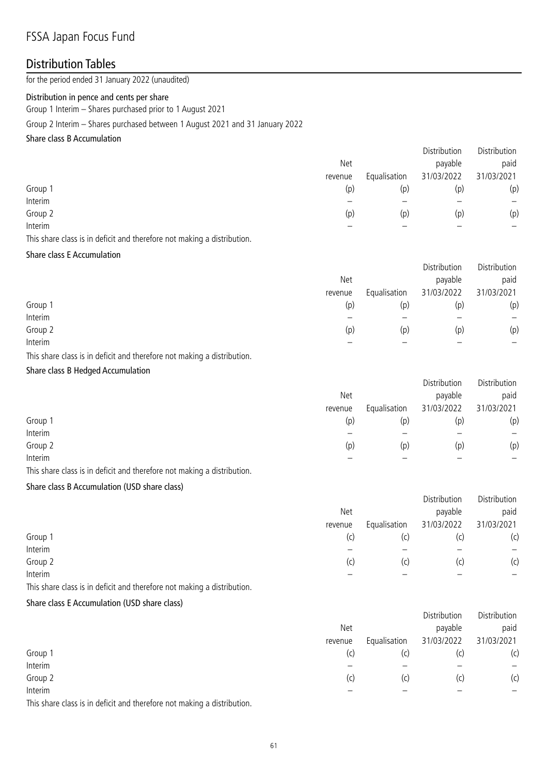### FSSA Japan Focus Fund

### Distribution Tables

for the period ended 31 January 2022 (unaudited)

#### Distribution in pence and cents per share

Group 1 Interim – Shares purchased prior to 1 August 2021

Group 2 Interim – Shares purchased between 1 August 2021 and 31 January 2022

#### Share class B Accumulation

|         |         |              | Distribution | Distribution |
|---------|---------|--------------|--------------|--------------|
|         | Net     |              | payable      | paid         |
|         | revenue | Equalisation | 31/03/2022   | 31/03/2021   |
| Group 1 | (p)     | (p)          | (p)          | (p)          |
| Interim |         |              |              | —            |
| Group 2 | (p)     | (p)          | (p)          | (p)          |
| Interim |         |              |              |              |
|         |         |              |              |              |

This share class is in deficit and therefore not making a distribution.

#### Share class E Accumulation

|         |         |              | Distribution | Distribution |
|---------|---------|--------------|--------------|--------------|
|         | Net     |              | payable      | paid         |
|         | revenue | Equalisation | 31/03/2022   | 31/03/2021   |
| Group 1 | (p)     | (p)          | (p)          | (p)          |
| Interim |         |              |              |              |
| Group 2 | (p)     | (p)          | (p)          | (p)          |
| Interim |         |              |              | -            |

This share class is in deficit and therefore not making a distribution.

#### Share class B Hedged Accumulation

|         |            |              | Distribution | Distribution |
|---------|------------|--------------|--------------|--------------|
|         | <b>Net</b> |              | payable      | paid         |
|         | revenue    | Equalisation | 31/03/2022   | 31/03/2021   |
| Group 1 | (p)        | (p)          | (p)          | (p)          |
| Interim |            |              |              |              |
| Group 2 | (p)        | (p)          | (p)          | (p)          |
| Interim |            |              |              |              |

This share class is in deficit and therefore not making a distribution.

#### Share class B Accumulation (USD share class)

|         |            |              | Distribution | Distribution |
|---------|------------|--------------|--------------|--------------|
|         | <b>Net</b> |              | payable      | paid         |
|         | revenue    | Equalisation | 31/03/2022   | 31/03/2021   |
| Group 1 | (c)        | (C)          | (C           | (c)          |
| Interim |            |              |              |              |
| Group 2 | (c)        | (c)          | (C)          | (c)          |
| Interim |            |              |              | –            |

This share class is in deficit and therefore not making a distribution.

#### Share class E Accumulation (USD share class)

|                                                                                                               |            |              | Distribution | Distribution |
|---------------------------------------------------------------------------------------------------------------|------------|--------------|--------------|--------------|
|                                                                                                               | <b>Net</b> |              | payable      | paid         |
|                                                                                                               | revenue    | Equalisation | 31/03/2022   | 31/03/2021   |
| Group 1                                                                                                       | (c)        | (c)          | (c)          | (c)          |
| Interim                                                                                                       |            |              |              |              |
| Group 2                                                                                                       | (c)        | (C)          | (c)          | (c)          |
| Interim                                                                                                       |            |              |              |              |
| The Complete of the Control of the children and the book of the complete state of the children description of |            |              |              |              |

This share class is in deficit and therefore not making a distribution.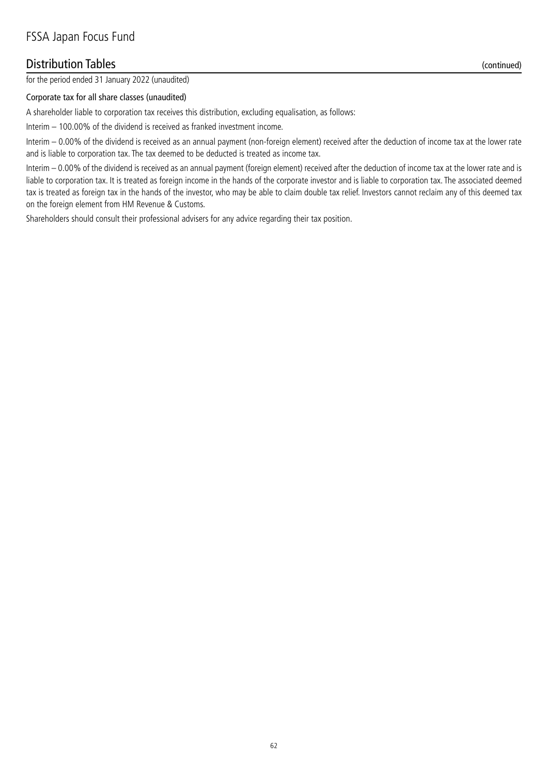### Distribution Tables (continued)

for the period ended 31 January 2022 (unaudited)

#### Corporate tax for all share classes (unaudited)

A shareholder liable to corporation tax receives this distribution, excluding equalisation, as follows:

Interim – 100.00% of the dividend is received as franked investment income.

Interim – 0.00% of the dividend is received as an annual payment (non-foreign element) received after the deduction of income tax at the lower rate and is liable to corporation tax. The tax deemed to be deducted is treated as income tax.

Interim – 0.00% of the dividend is received as an annual payment (foreign element) received after the deduction of income tax at the lower rate and is liable to corporation tax. It is treated as foreign income in the hands of the corporate investor and is liable to corporation tax. The associated deemed tax is treated as foreign tax in the hands of the investor, who may be able to claim double tax relief. Investors cannot reclaim any of this deemed tax on the foreign element from HM Revenue & Customs.

Shareholders should consult their professional advisers for any advice regarding their tax position.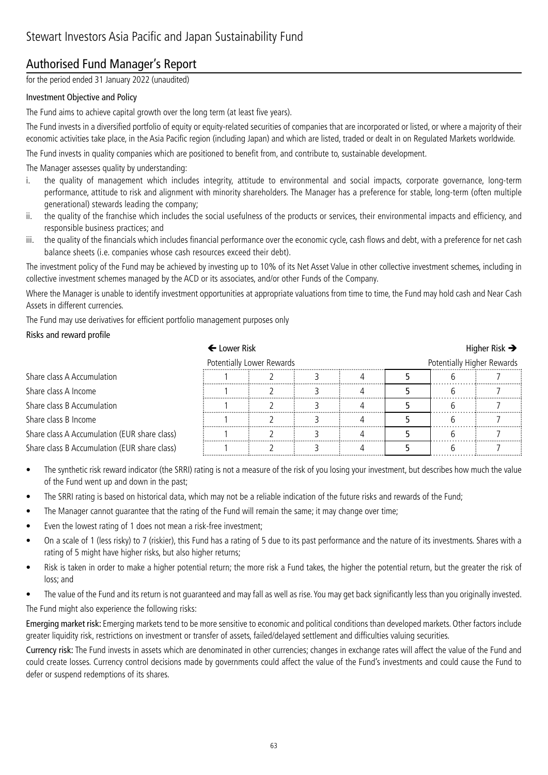# Authorised Fund Manager's Report

for the period ended 31 January 2022 (unaudited)

#### Investment Objective and Policy

The Fund aims to achieve capital growth over the long term (at least five years).

The Fund invests in a diversified portfolio of equity or equity-related securities of companies that are incorporated or listed, or where a majority of their economic activities take place, in the Asia Pacific region (including Japan) and which are listed, traded or dealt in on Regulated Markets worldwide.

The Fund invests in quality companies which are positioned to benefit from, and contribute to, sustainable development.

The Manager assesses quality by understanding:

- i. the quality of management which includes integrity, attitude to environmental and social impacts, corporate governance, long-term performance, attitude to risk and alignment with minority shareholders. The Manager has a preference for stable, long-term (often multiple generational) stewards leading the company;
- ii. the quality of the franchise which includes the social usefulness of the products or services, their environmental impacts and efficiency, and responsible business practices; and
- iii. the quality of the financials which includes financial performance over the economic cycle, cash flows and debt, with a preference for net cash balance sheets (i.e. companies whose cash resources exceed their debt).

The investment policy of the Fund may be achieved by investing up to 10% of its Net Asset Value in other collective investment schemes, including in collective investment schemes managed by the ACD or its associates, and/or other Funds of the Company.

Where the Manager is unable to identify investment opportunities at appropriate valuations from time to time, the Fund may hold cash and Near Cash Assets in different currencies.

The Fund may use derivatives for efficient portfolio management purposes only

#### Risks and reward profile

|                                              | ← Lower Risk                                            |  |  |  |  | Higher Risk $\rightarrow$ |  |
|----------------------------------------------|---------------------------------------------------------|--|--|--|--|---------------------------|--|
|                                              | Potentially Higher Rewards<br>Potentially Lower Rewards |  |  |  |  |                           |  |
| Share class A Accumulation                   |                                                         |  |  |  |  |                           |  |
| Share class A Income                         |                                                         |  |  |  |  |                           |  |
| Share class B Accumulation                   |                                                         |  |  |  |  |                           |  |
| Share class B Income                         |                                                         |  |  |  |  |                           |  |
| Share class A Accumulation (EUR share class) |                                                         |  |  |  |  |                           |  |
| Share class B Accumulation (EUR share class) |                                                         |  |  |  |  |                           |  |

- The synthetic risk reward indicator (the SRRI) rating is not a measure of the risk of you losing your investment, but describes how much the value of the Fund went up and down in the past;
- The SRRI rating is based on historical data, which may not be a reliable indication of the future risks and rewards of the Fund;
- The Manager cannot guarantee that the rating of the Fund will remain the same; it may change over time;
- Even the lowest rating of 1 does not mean a risk-free investment;
- On a scale of 1 (less risky) to 7 (riskier), this Fund has a rating of 5 due to its past performance and the nature of its investments. Shares with a rating of 5 might have higher risks, but also higher returns;
- Risk is taken in order to make a higher potential return; the more risk a Fund takes, the higher the potential return, but the greater the risk of loss; and
- The value of the Fund and its return is not guaranteed and may fall as well as rise. You may get back significantly less than you originally invested.

The Fund might also experience the following risks:

Emerging market risk: Emerging markets tend to be more sensitive to economic and political conditions than developed markets. Other factors include greater liquidity risk, restrictions on investment or transfer of assets, failed/delayed settlement and difficulties valuing securities.

Currency risk: The Fund invests in assets which are denominated in other currencies; changes in exchange rates will affect the value of the Fund and could create losses. Currency control decisions made by governments could affect the value of the Fund's investments and could cause the Fund to defer or suspend redemptions of its shares.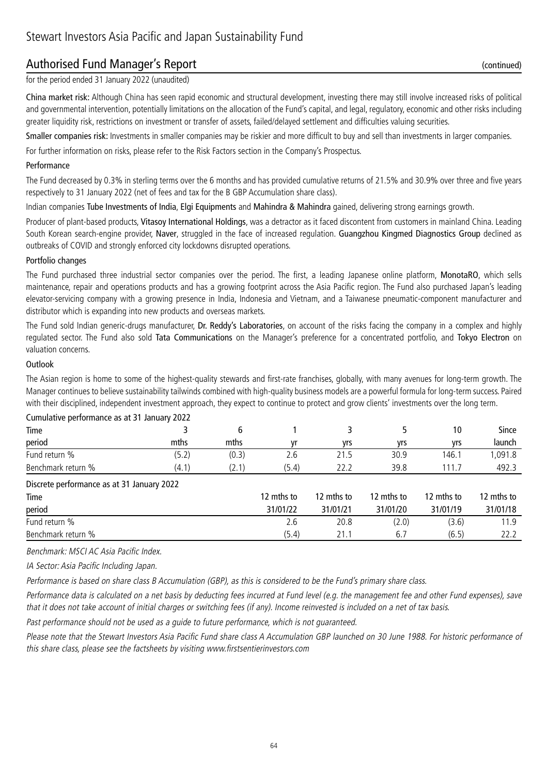### Authorised Fund Manager's Report (continued)

for the period ended 31 January 2022 (unaudited)

China market risk: Although China has seen rapid economic and structural development, investing there may still involve increased risks of political and governmental intervention, potentially limitations on the allocation of the Fund's capital, and legal, regulatory, economic and other risks including greater liquidity risk, restrictions on investment or transfer of assets, failed/delayed settlement and difficulties valuing securities.

Smaller companies risk: Investments in smaller companies may be riskier and more difficult to buy and sell than investments in larger companies.

For further information on risks, please refer to the Risk Factors section in the Company's Prospectus.

#### Performance

The Fund decreased by 0.3% in sterling terms over the 6 months and has provided cumulative returns of 21.5% and 30.9% over three and five years respectively to 31 January 2022 (net of fees and tax for the B GBP Accumulation share class).

Indian companies Tube Investments of India, Elgi Equipments and Mahindra & Mahindra gained, delivering strong earnings growth.

Producer of plant-based products, Vitasoy International Holdings, was a detractor as it faced discontent from customers in mainland China. Leading South Korean search-engine provider, Naver, struggled in the face of increased regulation. Guangzhou Kingmed Diagnostics Group declined as outbreaks of COVID and strongly enforced city lockdowns disrupted operations.

#### Portfolio changes

The Fund purchased three industrial sector companies over the period. The first, a leading Japanese online platform, MonotaRO, which sells maintenance, repair and operations products and has a growing footprint across the Asia Pacific region. The Fund also purchased Japan's leading elevator-servicing company with a growing presence in India, Indonesia and Vietnam, and a Taiwanese pneumatic-component manufacturer and distributor which is expanding into new products and overseas markets.

The Fund sold Indian generic-drugs manufacturer, Dr. Reddy's Laboratories, on account of the risks facing the company in a complex and highly regulated sector. The Fund also sold Tata Communications on the Manager's preference for a concentrated portfolio, and Tokyo Electron on valuation concerns.

#### **Outlook**

The Asian region is home to some of the highest-quality stewards and first-rate franchises, globally, with many avenues for long-term growth. The Manager continues to believe sustainability tailwinds combined with high-quality business models are a powerful formula for long-term success. Paired with their disciplined, independent investment approach, they expect to continue to protect and grow clients' investments over the long term.

| cannaight performance as at 31 sanaary Euge |       |       |            |            |            |            |            |
|---------------------------------------------|-------|-------|------------|------------|------------|------------|------------|
| Time                                        |       | 6     |            |            |            | 10         | Since      |
| period                                      | mths  | mths  | ۷r         | yrs        | yrs        | yrs        | launch     |
| Fund return %                               | (5.2) | (0.3) | 2.6        | 21.5       | 30.9       | 146.1      | 1,091.8    |
| Benchmark return %                          | (4.1) | (2.1) | (5.4)      | 22.2       | 39.8       | 111.7      | 492.3      |
| Discrete performance as at 31 January 2022  |       |       |            |            |            |            |            |
| Time                                        |       |       | 12 mths to | 12 mths to | 12 mths to | 12 mths to | 12 mths to |
| period                                      |       |       | 31/01/22   | 31/01/21   | 31/01/20   | 31/01/19   | 31/01/18   |
| Fund return %                               |       |       | 2.6        | 20.8       | (2.0)      | (3.6)      | 11.9       |
| Benchmark return %                          |       |       | (5.4)      | 21.1       | 6.7        | (6.5)      | 22.2       |
|                                             |       |       |            |            |            |            |            |

### Cumulative performance as at 31 January 2022

Benchmark: MSCI AC Asia Pacific Index.

IA Sector: Asia Pacific Including Japan.

Performance is based on share class B Accumulation (GBP), as this is considered to be the Fund's primary share class.

Performance data is calculated on a net basis by deducting fees incurred at Fund level (e.g. the management fee and other Fund expenses), save that it does not take account of initial charges or switching fees (if any). Income reinvested is included on a net of tax basis.

Past performance should not be used as a guide to future performance, which is not guaranteed.

Please note that the Stewart Investors Asia Pacific Fund share class A Accumulation GBP launched on 30 June 1988. For historic performance of this share class, please see the factsheets by visiting www.firstsentierinvestors.com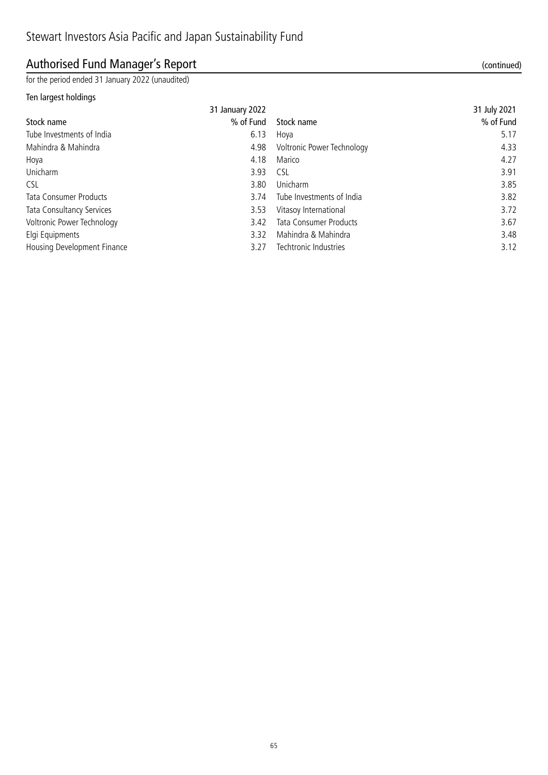# Authorised Fund Manager's Report (continued)

for the period ended 31 January 2022 (unaudited)

#### Ten largest holdings

|                               | 31 January 2022 |                            | 31 July 2021 |
|-------------------------------|-----------------|----------------------------|--------------|
| Stock name                    | % of Fund       | Stock name                 | % of Fund    |
| Tube Investments of India     | 6.13            | Hoya                       | 5.17         |
| Mahindra & Mahindra           | 4.98            | Voltronic Power Technology | 4.33         |
| Hoya                          | 4.18            | Marico                     | 4.27         |
| Unicharm                      | 3.93            | <b>CSL</b>                 | 3.91         |
| <b>CSL</b>                    | 3.80            | Unicharm                   | 3.85         |
| <b>Tata Consumer Products</b> | 3.74            | Tube Investments of India  | 3.82         |
| Tata Consultancy Services     | 3.53            | Vitasoy International      | 3.72         |
| Voltronic Power Technology    | 3.42            | Tata Consumer Products     | 3.67         |
| Elgi Equipments               | 3.32            | Mahindra & Mahindra        | 3.48         |
| Housing Development Finance   | 3.27            | Techtronic Industries      | 3.12         |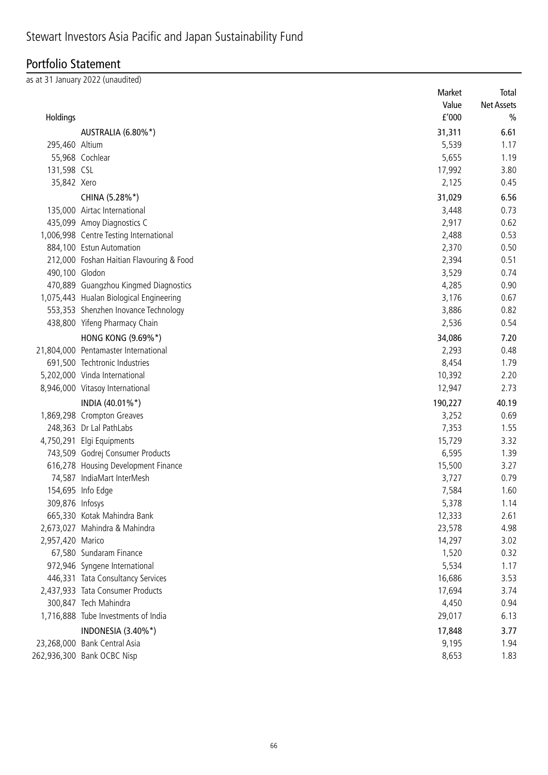# Portfolio Statement

as at 31 January 2022 (unaudited)

|                  |                                          | Market  | Total             |
|------------------|------------------------------------------|---------|-------------------|
|                  |                                          | Value   | <b>Net Assets</b> |
| Holdings         |                                          | f'000   | $\frac{0}{0}$     |
|                  | AUSTRALIA (6.80%*)                       | 31,311  | 6.61              |
| 295,460 Altium   |                                          | 5,539   | 1.17              |
|                  | 55,968 Cochlear                          | 5,655   | 1.19              |
| 131,598 CSL      |                                          | 17,992  | 3.80              |
| 35,842 Xero      |                                          | 2,125   | 0.45              |
|                  | CHINA (5.28%*)                           | 31,029  | 6.56              |
|                  | 135,000 Airtac International             | 3,448   | 0.73              |
|                  | 435,099 Amoy Diagnostics C               | 2,917   | 0.62              |
|                  | 1,006,998 Centre Testing International   | 2,488   | 0.53              |
|                  | 884,100 Estun Automation                 | 2,370   | 0.50              |
|                  | 212,000 Foshan Haitian Flavouring & Food | 2,394   | 0.51              |
| 490,100 Glodon   |                                          | 3,529   | 0.74              |
|                  | 470,889 Guangzhou Kingmed Diagnostics    | 4,285   | 0.90              |
|                  | 1,075,443 Hualan Biological Engineering  | 3,176   | 0.67              |
|                  | 553,353 Shenzhen Inovance Technology     | 3,886   | 0.82              |
|                  | 438,800 Yifeng Pharmacy Chain            | 2,536   | 0.54              |
|                  | <b>HONG KONG (9.69%*)</b>                | 34,086  | 7.20              |
|                  | 21,804,000 Pentamaster International     | 2,293   | 0.48              |
|                  | 691,500 Techtronic Industries            | 8,454   | 1.79              |
|                  | 5,202,000 Vinda International            | 10,392  | 2.20              |
|                  | 8,946,000 Vitasoy International          | 12,947  | 2.73              |
|                  | INDIA (40.01%*)                          | 190,227 | 40.19             |
|                  | 1,869,298 Crompton Greaves               | 3,252   | 0.69              |
|                  | 248,363 Dr Lal PathLabs                  | 7,353   | 1.55              |
|                  | 4,750,291 Elgi Equipments                | 15,729  | 3.32              |
|                  | 743,509 Godrej Consumer Products         | 6,595   | 1.39              |
|                  | 616,278 Housing Development Finance      | 15,500  | 3.27              |
|                  | 74,587 IndiaMart InterMesh               | 3,727   | 0.79              |
|                  | 154,695 Info Edge                        | 7,584   | 1.60              |
| 309,876 Infosys  |                                          | 5,378   | 1.14              |
|                  | 665,330 Kotak Mahindra Bank              | 12,333  | 2.61              |
|                  | 2,673,027 Mahindra & Mahindra            | 23,578  | 4.98              |
| 2,957,420 Marico |                                          | 14,297  | 3.02              |
|                  | 67,580 Sundaram Finance                  | 1,520   | 0.32              |
|                  | 972,946 Syngene International            | 5,534   | 1.17              |
|                  | 446,331 Tata Consultancy Services        | 16,686  | 3.53              |
|                  | 2,437,933 Tata Consumer Products         | 17,694  | 3.74              |
|                  | 300,847 Tech Mahindra                    | 4,450   | 0.94              |
|                  | 1,716,888 Tube Investments of India      | 29,017  | 6.13              |
|                  | INDONESIA (3.40%*)                       | 17,848  | 3.77              |
|                  | 23,268,000 Bank Central Asia             | 9,195   | 1.94              |
|                  | 262,936,300 Bank OCBC Nisp               | 8,653   | 1.83              |
|                  |                                          |         |                   |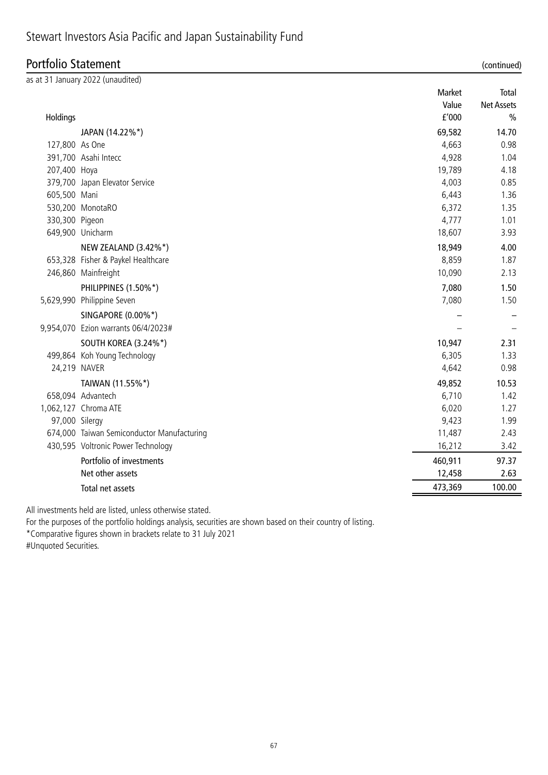# Stewart Investors Asia Pacific and Japan Sustainability Fund

### Portfolio Statement (continued)

| (continued |  |
|------------|--|
|            |  |

|                | as at 31 January 2022 (unaudited)          |         |                   |
|----------------|--------------------------------------------|---------|-------------------|
|                |                                            | Market  | Total             |
|                |                                            | Value   | <b>Net Assets</b> |
| Holdings       |                                            | f'000   | $\frac{0}{0}$     |
|                | JAPAN (14.22%*)                            | 69,582  | 14.70             |
| 127,800 As One |                                            | 4,663   | 0.98              |
|                | 391,700 Asahi Intecc                       | 4,928   | 1.04              |
| 207,400 Hoya   |                                            | 19,789  | 4.18              |
|                | 379,700 Japan Elevator Service             | 4,003   | 0.85              |
| 605,500 Mani   |                                            | 6,443   | 1.36              |
|                | 530,200 MonotaRO                           | 6,372   | 1.35              |
| 330,300 Pigeon |                                            | 4,777   | 1.01              |
|                | 649,900 Unicharm                           | 18,607  | 3.93              |
|                | NEW ZEALAND (3.42%*)                       | 18,949  | 4.00              |
|                | 653,328 Fisher & Paykel Healthcare         | 8,859   | 1.87              |
|                | 246,860 Mainfreight                        | 10,090  | 2.13              |
|                | PHILIPPINES (1.50%*)                       | 7,080   | 1.50              |
|                | 5,629,990 Philippine Seven                 | 7,080   | 1.50              |
|                | SINGAPORE (0.00%*)                         |         |                   |
|                | 9,954,070 Ezion warrants 06/4/2023#        |         |                   |
|                | SOUTH KOREA (3.24%*)                       | 10,947  | 2.31              |
|                | 499,864 Koh Young Technology               | 6,305   | 1.33              |
| 24,219 NAVER   |                                            | 4,642   | 0.98              |
|                | TAIWAN (11.55%*)                           | 49,852  | 10.53             |
|                | 658,094 Advantech                          | 6,710   | 1.42              |
|                | 1,062,127 Chroma ATE                       | 6,020   | 1.27              |
| 97,000 Silergy |                                            | 9,423   | 1.99              |
|                | 674,000 Taiwan Semiconductor Manufacturing | 11,487  | 2.43              |
|                | 430,595 Voltronic Power Technology         | 16,212  | 3.42              |
|                | Portfolio of investments                   | 460,911 | 97.37             |
|                | Net other assets                           | 12,458  | 2.63              |
|                | Total net assets                           | 473,369 | 100.00            |
|                |                                            |         |                   |

All investments held are listed, unless otherwise stated.

For the purposes of the portfolio holdings analysis, securities are shown based on their country of listing.

\*Comparative figures shown in brackets relate to 31 July 2021

#Unquoted Securities.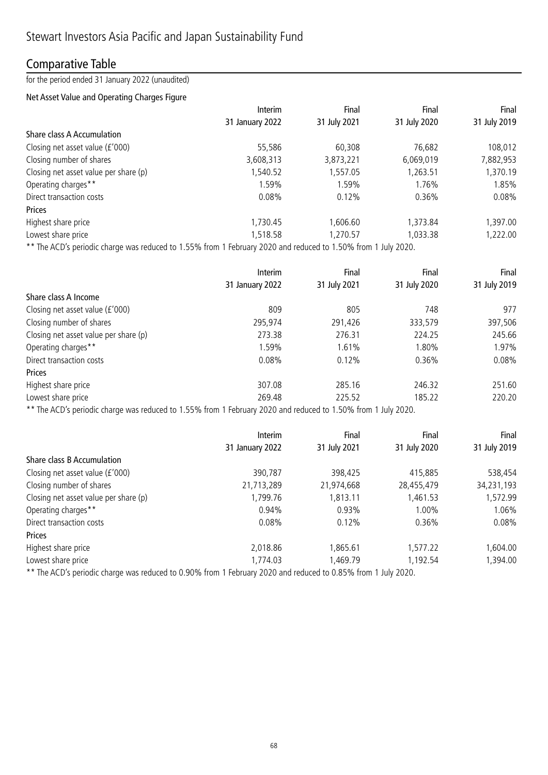### Comparative Table

for the period ended 31 January 2022 (unaudited)

#### Net Asset Value and Operating Charges Figure

|                                       | Interim         | Final        | Final        | Final        |
|---------------------------------------|-----------------|--------------|--------------|--------------|
|                                       | 31 January 2022 | 31 July 2021 | 31 July 2020 | 31 July 2019 |
| Share class A Accumulation            |                 |              |              |              |
| Closing net asset value (£'000)       | 55,586          | 60,308       | 76,682       | 108,012      |
| Closing number of shares              | 3,608,313       | 3,873,221    | 6,069,019    | 7,882,953    |
| Closing net asset value per share (p) | 1,540.52        | 1,557.05     | 1,263.51     | 1,370.19     |
| Operating charges**                   | 1.59%           | 1.59%        | 1.76%        | 1.85%        |
| Direct transaction costs              | 0.08%           | 0.12%        | 0.36%        | 0.08%        |
| Prices                                |                 |              |              |              |
| Highest share price                   | 1,730.45        | 1,606.60     | 1,373.84     | 1,397.00     |
| Lowest share price                    | 1,518.58        | 1,270.57     | 1,033.38     | 1,222.00     |
|                                       |                 |              |              |              |

\*\* The ACD's periodic charge was reduced to 1.55% from 1 February 2020 and reduced to 1.50% from 1 July 2020.

|                                       | Interim         | Final        | Final        | Final        |
|---------------------------------------|-----------------|--------------|--------------|--------------|
|                                       | 31 January 2022 | 31 July 2021 | 31 July 2020 | 31 July 2019 |
| Share class A Income                  |                 |              |              |              |
| Closing net asset value (£'000)       | 809             | 805          | 748          | 977          |
| Closing number of shares              | 295,974         | 291,426      | 333,579      | 397,506      |
| Closing net asset value per share (p) | 273.38          | 276.31       | 224.25       | 245.66       |
| Operating charges**                   | 1.59%           | 1.61%        | 1.80%        | 1.97%        |
| Direct transaction costs              | 0.08%           | 0.12%        | 0.36%        | 0.08%        |
| Prices                                |                 |              |              |              |
| Highest share price                   | 307.08          | 285.16       | 246.32       | 251.60       |
| Lowest share price                    | 269.48          | 225.52       | 185.22       | 220.20       |
|                                       |                 |              |              |              |

\*\* The ACD's periodic charge was reduced to 1.55% from 1 February 2020 and reduced to 1.50% from 1 July 2020.

|                                       | <b>Interim</b>  | Final        | Final        | Final        |  |
|---------------------------------------|-----------------|--------------|--------------|--------------|--|
|                                       | 31 January 2022 | 31 July 2021 | 31 July 2020 | 31 July 2019 |  |
| Share class B Accumulation            |                 |              |              |              |  |
| Closing net asset value (£'000)       | 390,787         | 398,425      | 415,885      | 538,454      |  |
| Closing number of shares              | 21,713,289      | 21,974,668   | 28,455,479   | 34,231,193   |  |
| Closing net asset value per share (p) | 1,799.76        | ,813.11      | 1,461.53     | 1,572.99     |  |
| Operating charges**                   | 0.94%           | 0.93%        | 1.00%        | 1.06%        |  |
| Direct transaction costs              | 0.08%           | 0.12%        | 0.36%        | 0.08%        |  |
| Prices                                |                 |              |              |              |  |
| Highest share price                   | 2,018.86        | ,865.61      | 1,577.22     | 1,604.00     |  |
| Lowest share price                    | 1,774.03        | ,469.79      | 1,192.54     | 1,394.00     |  |
|                                       |                 |              |              |              |  |

\*\* The ACD's periodic charge was reduced to 0.90% from 1 February 2020 and reduced to 0.85% from 1 July 2020.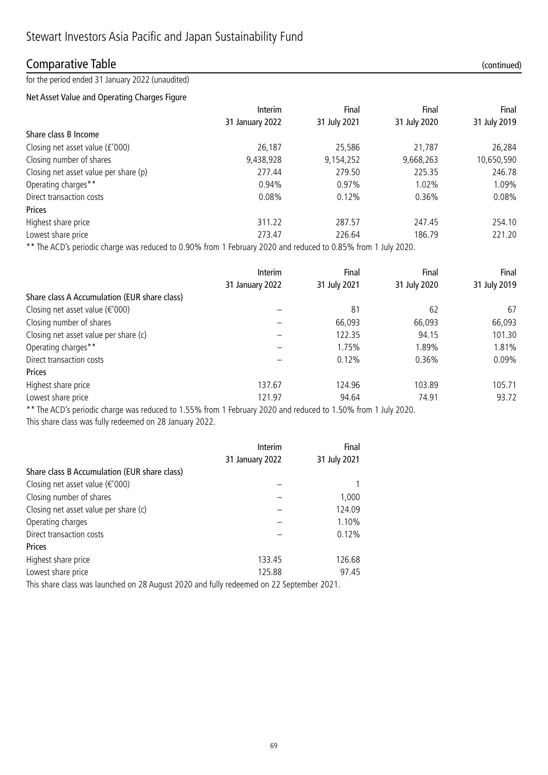### Comparative Table (continued)

for the period ended 31 January 2022 (unaudited)

#### Net Asset Value and Operating Charges Figure

|                                       | Interim         | Final        | Final        | Final        |
|---------------------------------------|-----------------|--------------|--------------|--------------|
|                                       | 31 January 2022 | 31 July 2021 | 31 July 2020 | 31 July 2019 |
| Share class B Income                  |                 |              |              |              |
| Closing net asset value (£'000)       | 26,187          | 25,586       | 21,787       | 26,284       |
| Closing number of shares              | 9,438,928       | 9,154,252    | 9,668,263    | 10,650,590   |
| Closing net asset value per share (p) | 277.44          | 279.50       | 225.35       | 246.78       |
| Operating charges**                   | 0.94%           | $0.97\%$     | 1.02%        | 1.09%        |
| Direct transaction costs              | 0.08%           | 0.12%        | 0.36%        | 0.08%        |
| Prices                                |                 |              |              |              |
| Highest share price                   | 311.22          | 287.57       | 247.45       | 254.10       |
| Lowest share price                    | 273.47          | 226.64       | 186.79       | 221.20       |

\*\* The ACD's periodic charge was reduced to 0.90% from 1 February 2020 and reduced to 0.85% from 1 July 2020.

| <b>Interim</b>  | Final        | Final        | Final        |
|-----------------|--------------|--------------|--------------|
| 31 January 2022 | 31 July 2021 | 31 July 2020 | 31 July 2019 |
|                 |              |              |              |
|                 | 81           | 62           | 67           |
|                 | 66,093       | 66,093       | 66,093       |
|                 | 122.35       | 94.15        | 101.30       |
|                 | 1.75%        | 1.89%        | 1.81%        |
|                 | 0.12%        | 0.36%        | $0.09\%$     |
|                 |              |              |              |
| 137.67          | 124.96       | 103.89       | 105.71       |
| 121.97          | 94.64        | 74.91        | 93.72        |
|                 |              |              |              |

\*\* The ACD's periodic charge was reduced to 1.55% from 1 February 2020 and reduced to 1.50% from 1 July 2020. This share class was fully redeemed on 28 January 2022.

|                                              | Interim                                   | Final        |
|----------------------------------------------|-------------------------------------------|--------------|
|                                              | 31 January 2022                           | 31 July 2021 |
| Share class B Accumulation (EUR share class) |                                           |              |
| Closing net asset value ( $\epsilon$ '000)   |                                           |              |
| Closing number of shares                     |                                           | 1,000        |
| Closing net asset value per share (c)        |                                           | 124.09       |
| Operating charges                            |                                           | 1.10%        |
| Direct transaction costs                     |                                           | 0.12%        |
| Prices                                       |                                           |              |
| Highest share price                          | 133.45                                    | 126.68       |
| Lowest share price                           | 125.88                                    | 97.45        |
|                                              | $\cdots$<br>and the state of the state of |              |

This share class was launched on 28 August 2020 and fully redeemed on 22 September 2021.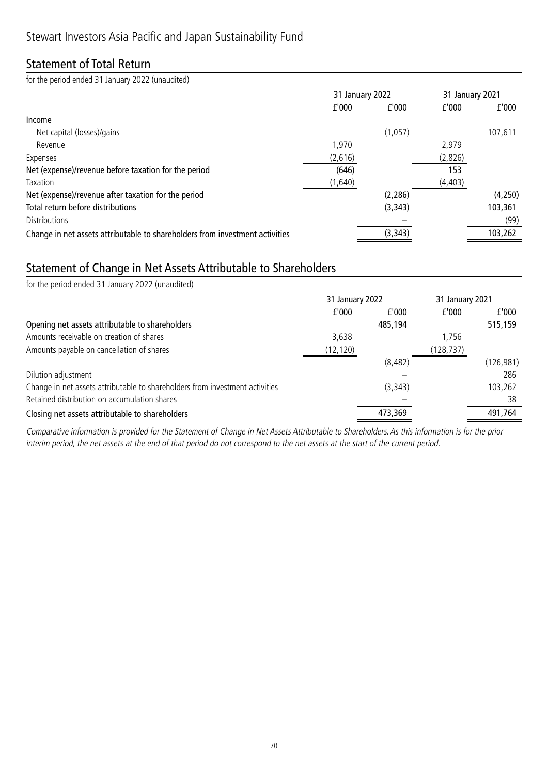### Statement of Total Return

for the period ended 31 January 2022 (unaudited)

|                                                                              | 31 January 2022 |          | 31 January 2021 |         |
|------------------------------------------------------------------------------|-----------------|----------|-----------------|---------|
|                                                                              | f'000           | f'000    | f'000           | f'000   |
| Income                                                                       |                 |          |                 |         |
| Net capital (losses)/gains                                                   |                 | (1,057)  |                 | 107,611 |
| Revenue                                                                      | 1,970           |          | 2,979           |         |
| Expenses                                                                     | (2,616)         |          | (2,826)         |         |
| Net (expense)/revenue before taxation for the period                         | (646)           |          | 153             |         |
| Taxation                                                                     | (1,640)         |          | (4, 403)        |         |
| Net (expense)/revenue after taxation for the period                          |                 | (2, 286) |                 | (4,250) |
| Total return before distributions                                            |                 | (3, 343) |                 | 103,361 |
| <b>Distributions</b>                                                         |                 |          |                 | (99)    |
| Change in net assets attributable to shareholders from investment activities |                 | (3, 343) |                 | 103,262 |

### Statement of Change in Net Assets Attributable to Shareholders

| 31 January 2022 |          |           |                 |
|-----------------|----------|-----------|-----------------|
| f'000           | f'000    | f'000     | f'000           |
|                 | 485,194  |           | 515,159         |
| 3,638           |          | 1.756     |                 |
| (12, 120)       |          | (128,737) |                 |
|                 | (8, 482) |           | (126, 981)      |
|                 |          |           | 286             |
|                 | (3, 343) |           | 103,262         |
|                 |          |           | 38              |
|                 | 473,369  |           | 491,764         |
|                 |          |           | 31 January 2021 |

Comparative information is provided for the Statement of Change in Net Assets Attributable to Shareholders. As this information is for the prior interim period, the net assets at the end of that period do not correspond to the net assets at the start of the current period.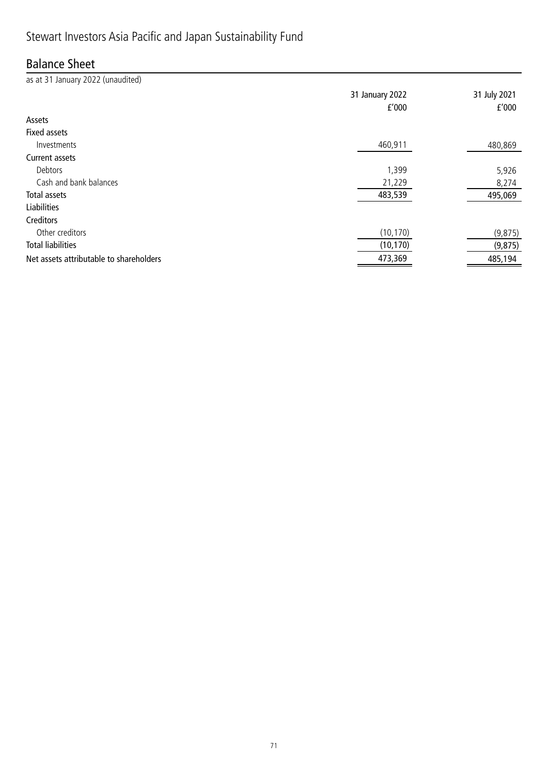# Stewart Investors Asia Pacific and Japan Sustainability Fund

## Balance Sheet

as at 31 January 2022 (unaudited)

|                                         | 31 January 2022<br>f'000 | 31 July 2021<br>f'000 |
|-----------------------------------------|--------------------------|-----------------------|
| Assets                                  |                          |                       |
| Fixed assets                            |                          |                       |
| Investments                             | 460,911                  | 480,869               |
| <b>Current assets</b>                   |                          |                       |
| Debtors                                 | 1,399                    | 5,926                 |
| Cash and bank balances                  | 21,229                   | 8,274                 |
| Total assets                            | 483,539                  | 495,069               |
| <b>Liabilities</b>                      |                          |                       |
| Creditors                               |                          |                       |
| Other creditors                         | (10, 170)                | (9, 875)              |
| <b>Total liabilities</b>                | (10, 170)                | (9, 875)              |
| Net assets attributable to shareholders | 473,369                  | 485,194               |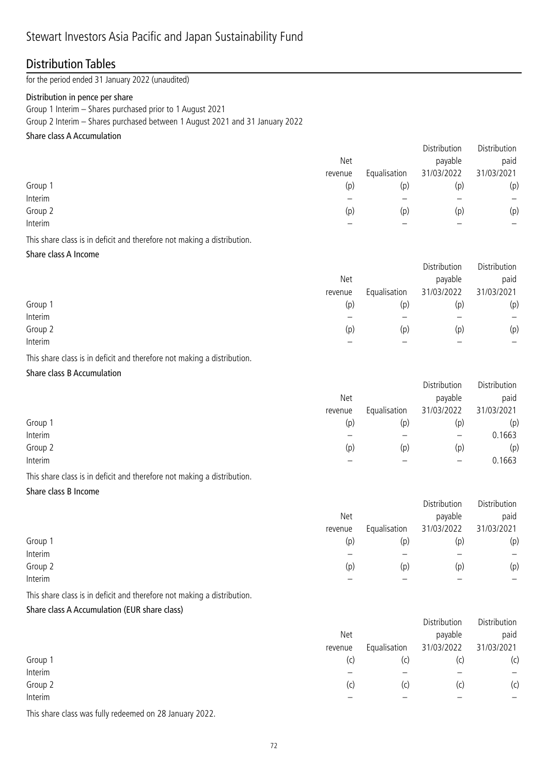### Distribution Tables

for the period ended 31 January 2022 (unaudited)

#### Distribution in pence per share

Group 1 Interim – Shares purchased prior to 1 August 2021

Group 2 Interim – Shares purchased between 1 August 2021 and 31 January 2022

### Share class A Accumulation

|         |         |              | Distribution | Distribution |
|---------|---------|--------------|--------------|--------------|
|         | Net     |              | payable      | paid         |
|         | revenue | Equalisation | 31/03/2022   | 31/03/2021   |
| Group 1 | (p)     | (p)          | (p)          | (p)          |
| Interim |         |              |              | —            |
| Group 2 | (p)     | (p)          | (p)          | (p)          |
| Interim |         |              |              | –            |
|         |         |              |              |              |

This share class is in deficit and therefore not making a distribution.

#### Share class A Income

|         |            |              | Distribution | Distribution |
|---------|------------|--------------|--------------|--------------|
|         | <b>Net</b> |              | payable      | paid         |
|         | revenue    | Equalisation | 31/03/2022   | 31/03/2021   |
| Group 1 | (p)        | (p)          | (p)          | (p)          |
| Interim |            |              |              |              |
| Group 2 | (p)        | (p)          | (p)          | (p)          |
| Interim |            |              |              |              |

This share class is in deficit and therefore not making a distribution.

### Share class B Accumulation

|         |         |              | Distribution      | Distribution |
|---------|---------|--------------|-------------------|--------------|
|         | Net     |              | payable           | paid         |
|         | revenue | Equalisation | 31/03/2022        | 31/03/2021   |
| Group 1 | (p)     | (p)          | (p)               | (p)          |
| Interim |         |              | $\qquad \qquad -$ | 0.1663       |
| Group 2 | (p)     | (p)          | (p)               | (p)          |
| Interim |         |              |                   | 0.1663       |
|         |         |              |                   |              |

This share class is in deficit and therefore not making a distribution.

#### Share class B Income

|         |         |              | Distribution | Distribution |
|---------|---------|--------------|--------------|--------------|
|         | Net     |              | payable      | paid         |
|         | revenue | Equalisation | 31/03/2022   | 31/03/2021   |
| Group 1 | (p)     | (p)          | (p)          | (p)          |
| Interim |         |              |              |              |
| Group 2 | (p)     | (p)          | (p)          | (p)          |
| Interim |         |              |              | —            |

This share class is in deficit and therefore not making a distribution.

### Share class A Accumulation (EUR share class)

|         |            |              | Distribution | Distribution |
|---------|------------|--------------|--------------|--------------|
|         | <b>Net</b> |              | payable      | paid         |
|         | revenue    | Equalisation | 31/03/2022   | 31/03/2021   |
| Group 1 | (c)        | (c)          | (C)          | (c)          |
| Interim |            |              |              | —            |
| Group 2 | (c)        | (c)          | (C)          | (c)          |
| Interim |            |              |              |              |

This share class was fully redeemed on 28 January 2022.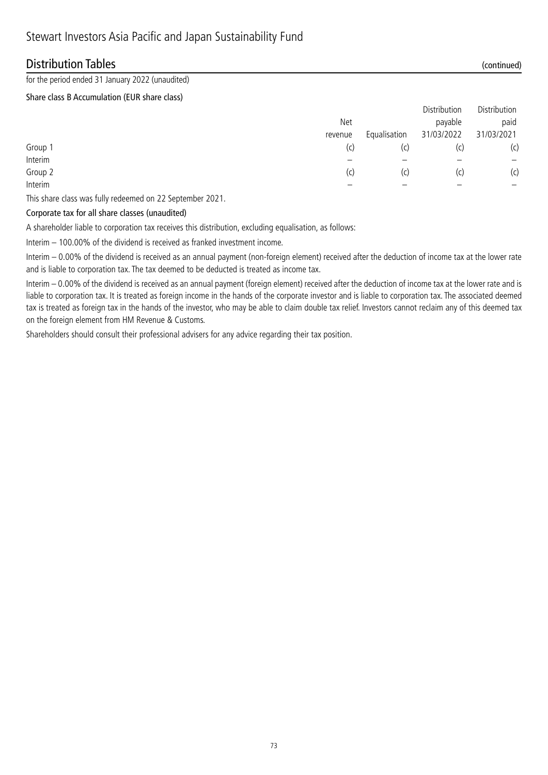### Distribution Tables (continued)

for the period ended 31 January 2022 (unaudited)

#### Share class B Accumulation (EUR share class)

|         |         |              | Distribution | Distribution |
|---------|---------|--------------|--------------|--------------|
|         | Net     |              | payable      | paid         |
|         | revenue | Equalisation | 31/03/2022   | 31/03/2021   |
| Group 1 | (C)     | (C)          | (C)          | (c)          |
| Interim |         |              |              |              |
| Group 2 | 'C)     | (C)          | (C)          | (c)          |
| Interim |         |              |              | -            |

This share class was fully redeemed on 22 September 2021.

#### Corporate tax for all share classes (unaudited)

A shareholder liable to corporation tax receives this distribution, excluding equalisation, as follows:

Interim – 100.00% of the dividend is received as franked investment income.

Interim – 0.00% of the dividend is received as an annual payment (non-foreign element) received after the deduction of income tax at the lower rate and is liable to corporation tax. The tax deemed to be deducted is treated as income tax.

Interim – 0.00% of the dividend is received as an annual payment (foreign element) received after the deduction of income tax at the lower rate and is liable to corporation tax. It is treated as foreign income in the hands of the corporate investor and is liable to corporation tax. The associated deemed tax is treated as foreign tax in the hands of the investor, who may be able to claim double tax relief. Investors cannot reclaim any of this deemed tax on the foreign element from HM Revenue & Customs.

Shareholders should consult their professional advisers for any advice regarding their tax position.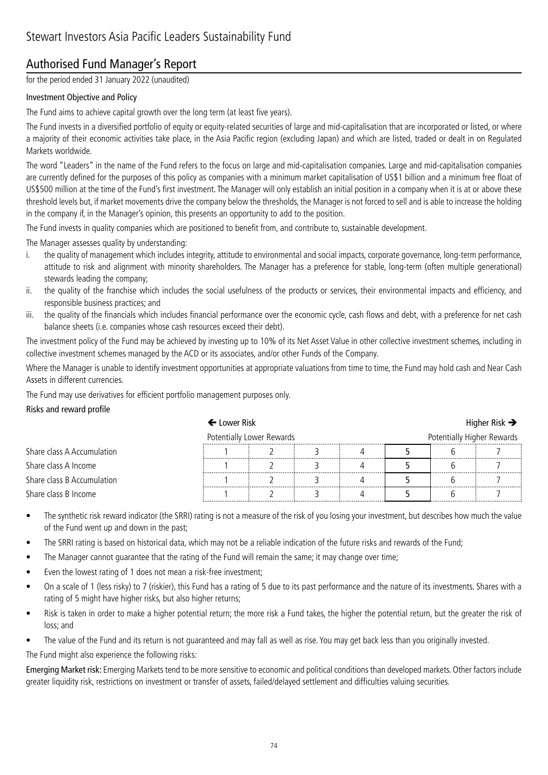### Authorised Fund Manager's Report

for the period ended 31 January 2022 (unaudited)

### Investment Objective and Policy

The Fund aims to achieve capital growth over the long term (at least five years).

The Fund invests in a diversified portfolio of equity or equity-related securities of large and mid-capitalisation that are incorporated or listed, or where a majority of their economic activities take place, in the Asia Pacific region (excluding Japan) and which are listed, traded or dealt in on Regulated Markets worldwide.

The word "Leaders" in the name of the Fund refers to the focus on large and mid-capitalisation companies. Large and mid-capitalisation companies are currently defined for the purposes of this policy as companies with a minimum market capitalisation of US\$1 billion and a minimum free float of US\$500 million at the time of the Fund's first investment. The Manager will only establish an initial position in a company when it is at or above these threshold levels but, if market movements drive the company below the thresholds, the Manager is not forced to sell and is able to increase the holding in the company if, in the Manager's opinion, this presents an opportunity to add to the position.

The Fund invests in quality companies which are positioned to benefit from, and contribute to, sustainable development.

The Manager assesses quality by understanding:

- i. the quality of management which includes integrity, attitude to environmental and social impacts, corporate governance, long-term performance, attitude to risk and alignment with minority shareholders. The Manager has a preference for stable, long-term (often multiple generational) stewards leading the company;
- ii. the quality of the franchise which includes the social usefulness of the products or services, their environmental impacts and efficiency, and responsible business practices; and
- iii. the quality of the financials which includes financial performance over the economic cycle, cash flows and debt, with a preference for net cash balance sheets (i.e. companies whose cash resources exceed their debt).

The investment policy of the Fund may be achieved by investing up to 10% of its Net Asset Value in other collective investment schemes, including in collective investment schemes managed by the ACD or its associates, and/or other Funds of the Company.

Where the Manager is unable to identify investment opportunities at appropriate valuations from time to time, the Fund may hold cash and Near Cash Assets in different currencies.

The Fund may use derivatives for efficient portfolio management purposes only.

#### Risks and reward profile

|                            | $\leftarrow$ Lower Risk   |  |  |  |                            |  | Higher Risk $\rightarrow$ |
|----------------------------|---------------------------|--|--|--|----------------------------|--|---------------------------|
|                            | Potentially Lower Rewards |  |  |  | Potentially Higher Rewards |  |                           |
| Share class A Accumulation |                           |  |  |  |                            |  |                           |
| Share class A Income       |                           |  |  |  |                            |  |                           |
| Share class B Accumulation |                           |  |  |  |                            |  |                           |
| Share class B Income       |                           |  |  |  |                            |  |                           |

• The synthetic risk reward indicator (the SRRI) rating is not a measure of the risk of you losing your investment, but describes how much the value of the Fund went up and down in the past;

The SRRI rating is based on historical data, which may not be a reliable indication of the future risks and rewards of the Fund;

- The Manager cannot guarantee that the rating of the Fund will remain the same; it may change over time;
- Even the lowest rating of 1 does not mean a risk-free investment;
- On a scale of 1 (less risky) to 7 (riskier), this Fund has a rating of 5 due to its past performance and the nature of its investments. Shares with a rating of 5 might have higher risks, but also higher returns;
- Risk is taken in order to make a higher potential return; the more risk a Fund takes, the higher the potential return, but the greater the risk of loss; and
- The value of the Fund and its return is not guaranteed and may fall as well as rise. You may get back less than you originally invested.

The Fund might also experience the following risks:

Emerging Market risk: Emerging Markets tend to be more sensitive to economic and political conditions than developed markets. Other factors include greater liquidity risk, restrictions on investment or transfer of assets, failed/delayed settlement and difficulties valuing securities.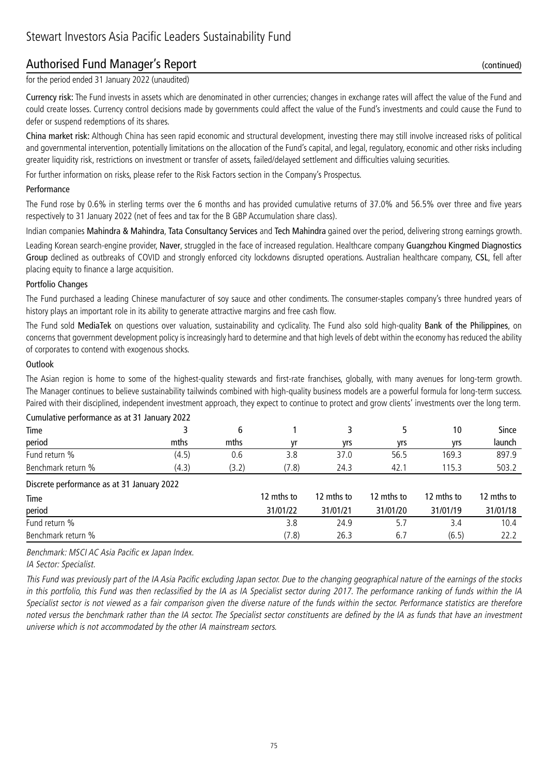### Authorised Fund Manager's Report (continued)

for the period ended 31 January 2022 (unaudited)

Currency risk: The Fund invests in assets which are denominated in other currencies; changes in exchange rates will affect the value of the Fund and could create losses. Currency control decisions made by governments could affect the value of the Fund's investments and could cause the Fund to defer or suspend redemptions of its shares.

China market risk: Although China has seen rapid economic and structural development, investing there may still involve increased risks of political and governmental intervention, potentially limitations on the allocation of the Fund's capital, and legal, regulatory, economic and other risks including greater liquidity risk, restrictions on investment or transfer of assets, failed/delayed settlement and difficulties valuing securities.

For further information on risks, please refer to the Risk Factors section in the Company's Prospectus.

#### Performance

The Fund rose by 0.6% in sterling terms over the 6 months and has provided cumulative returns of 37.0% and 56.5% over three and five years respectively to 31 January 2022 (net of fees and tax for the B GBP Accumulation share class).

Indian companies Mahindra & Mahindra, Tata Consultancy Services and Tech Mahindra gained over the period, delivering strong earnings growth.

Leading Korean search-engine provider, Naver, struggled in the face of increased regulation. Healthcare company Guangzhou Kingmed Diagnostics Group declined as outbreaks of COVID and strongly enforced city lockdowns disrupted operations. Australian healthcare company, CSL, fell after placing equity to finance a large acquisition.

#### Portfolio Changes

The Fund purchased a leading Chinese manufacturer of soy sauce and other condiments. The consumer-staples company's three hundred years of history plays an important role in its ability to generate attractive margins and free cash flow.

The Fund sold MediaTek on questions over valuation, sustainability and cyclicality. The Fund also sold high-quality Bank of the Philippines, on concerns that government development policy is increasingly hard to determine and that high levels of debt within the economy has reduced the ability of corporates to contend with exogenous shocks.

#### **Outlook**

The Asian region is home to some of the highest-quality stewards and first-rate franchises, globally, with many avenues for long-term growth. The Manager continues to believe sustainability tailwinds combined with high-quality business models are a powerful formula for long-term success. Paired with their disciplined, independent investment approach, they expect to continue to protect and grow clients' investments over the long term.

| Cumulative performance as at 31 January 2022 |       |       |            |            |            |            |            |  |
|----------------------------------------------|-------|-------|------------|------------|------------|------------|------------|--|
| Time                                         |       | 6     |            | 3          |            | 10         | Since      |  |
| period                                       | mths  | mths  | ۷r         | yrs        | yrs        | yrs        | launch     |  |
| Fund return %                                | (4.5) | 0.6   | 3.8        | 37.0       | 56.5       | 169.3      | 897.9      |  |
| Benchmark return %                           | (4.3) | (3.2) | (7.8)      | 24.3       | 42.1       | 115.3      | 503.2      |  |
| Discrete performance as at 31 January 2022   |       |       |            |            |            |            |            |  |
| Time                                         |       |       | 12 mths to | 12 mths to | 12 mths to | 12 mths to | 12 mths to |  |
| period                                       |       |       | 31/01/22   | 31/01/21   | 31/01/20   | 31/01/19   | 31/01/18   |  |
| Fund return %                                |       |       | 3.8        | 24.9       | 5.7        | 3.4        | 10.4       |  |
| Benchmark return %                           |       |       | (7.8)      | 26.3       | 6.7        | (6.5)      | 22.2       |  |

Benchmark: MSCI AC Asia Pacific ex Japan Index.

IA Sector: Specialist.

This Fund was previously part of the IA Asia Pacific excluding Japan sector. Due to the changing geographical nature of the earnings of the stocks in this portfolio, this Fund was then reclassified by the IA as IA Specialist sector during 2017. The performance ranking of funds within the IA Specialist sector is not viewed as a fair comparison given the diverse nature of the funds within the sector. Performance statistics are therefore noted versus the benchmark rather than the IA sector. The Specialist sector constituents are defined by the IA as funds that have an investment universe which is not accommodated by the other IA mainstream sectors.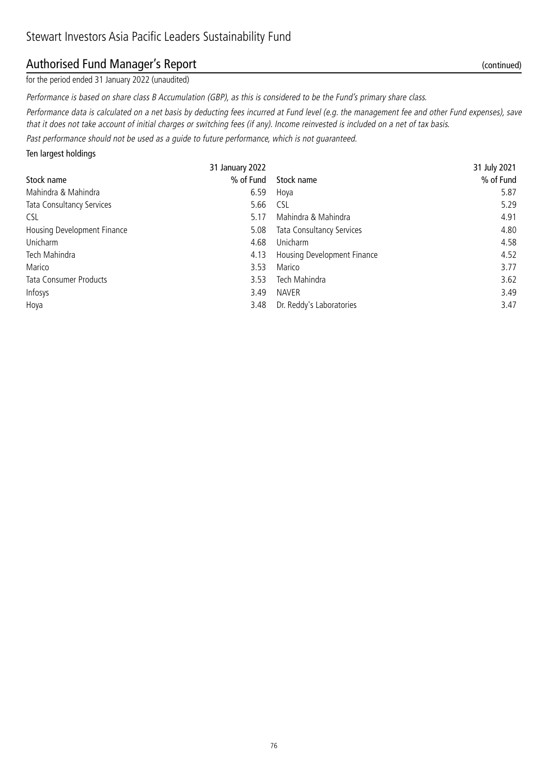### Authorised Fund Manager's Report (continued)

for the period ended 31 January 2022 (unaudited)

Performance is based on share class B Accumulation (GBP), as this is considered to be the Fund's primary share class.

Performance data is calculated on a net basis by deducting fees incurred at Fund level (e.g. the management fee and other Fund expenses), save that it does not take account of initial charges or switching fees (if any). Income reinvested is included on a net of tax basis.

Past performance should not be used as a guide to future performance, which is not guaranteed.

Ten largest holdings

|                               | 31 January 2022 |                                  | 31 July 2021 |
|-------------------------------|-----------------|----------------------------------|--------------|
| Stock name                    | % of Fund       | Stock name                       | % of Fund    |
| Mahindra & Mahindra           | 6.59            | Hoya                             | 5.87         |
| Tata Consultancy Services     | 5.66            | <b>CSL</b>                       | 5.29         |
| <b>CSL</b>                    | 5.17            | Mahindra & Mahindra              | 4.91         |
| Housing Development Finance   | 5.08            | <b>Tata Consultancy Services</b> | 4.80         |
| Unicharm                      | 4.68            | Unicharm                         | 4.58         |
| Tech Mahindra                 | 4.13            | Housing Development Finance      | 4.52         |
| Marico                        | 3.53            | Marico                           | 3.77         |
| <b>Tata Consumer Products</b> | 3.53            | Tech Mahindra                    | 3.62         |
| Infosys                       | 3.49            | <b>NAVER</b>                     | 3.49         |
| Hoya                          | 3.48            | Dr. Reddy's Laboratories         | 3.47         |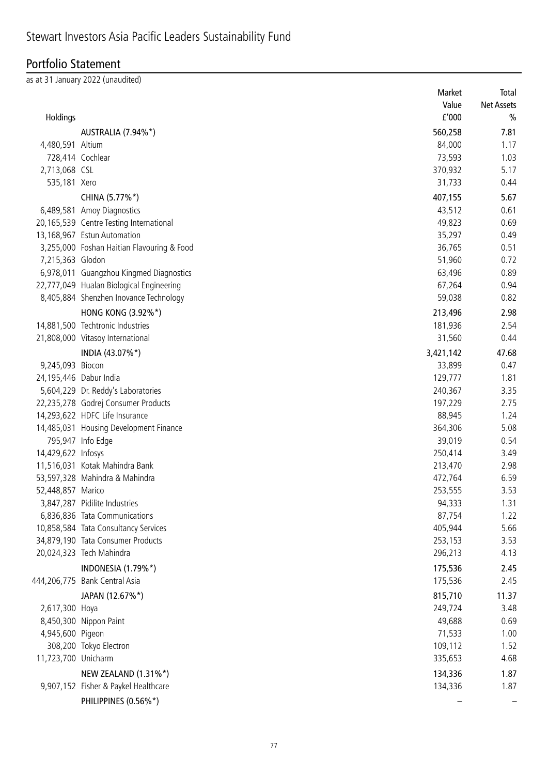## Portfolio Statement

as at 31 January 2022 (unaudited)

|                        |                                            | Market    | Total             |
|------------------------|--------------------------------------------|-----------|-------------------|
|                        |                                            | Value     | <b>Net Assets</b> |
| Holdings               |                                            | f'000     | $\frac{0}{0}$     |
|                        | AUSTRALIA (7.94%*)                         | 560,258   | 7.81              |
| 4,480,591 Altium       |                                            | 84,000    | 1.17              |
| 728,414 Cochlear       |                                            | 73,593    | 1.03              |
| 2,713,068 CSL          |                                            | 370,932   | 5.17              |
| 535,181 Xero           |                                            | 31,733    | 0.44              |
|                        | CHINA (5.77%*)                             | 407,155   | 5.67              |
|                        | 6,489,581 Amoy Diagnostics                 | 43,512    | 0.61              |
|                        | 20,165,539 Centre Testing International    | 49,823    | 0.69              |
|                        | 13,168,967 Estun Automation                | 35,297    | 0.49              |
|                        | 3,255,000 Foshan Haitian Flavouring & Food | 36,765    | 0.51              |
| 7,215,363 Glodon       |                                            | 51,960    | 0.72              |
|                        | 6,978,011 Guangzhou Kingmed Diagnostics    | 63,496    | 0.89              |
|                        | 22,777,049 Hualan Biological Engineering   | 67,264    | 0.94              |
|                        | 8,405,884 Shenzhen Inovance Technology     | 59,038    | 0.82              |
|                        | HONG KONG (3.92%*)                         | 213,496   | 2.98              |
|                        | 14,881,500 Techtronic Industries           | 181,936   | 2.54              |
|                        | 21,808,000 Vitasoy International           | 31,560    | 0.44              |
|                        |                                            |           |                   |
|                        | INDIA (43.07%*)                            | 3,421,142 | 47.68             |
| 9,245,093 Biocon       |                                            | 33,899    | 0.47              |
| 24,195,446 Dabur India |                                            | 129,777   | 1.81              |
|                        | 5,604,229 Dr. Reddy's Laboratories         | 240,367   | 3.35              |
|                        | 22,235,278 Godrej Consumer Products        | 197,229   | 2.75              |
|                        | 14,293,622 HDFC Life Insurance             | 88,945    | 1.24              |
|                        | 14,485,031 Housing Development Finance     | 364,306   | 5.08              |
|                        | 795,947 Info Edge                          | 39,019    | 0.54              |
| 14,429,622 Infosys     |                                            | 250,414   | 3.49              |
|                        | 11,516,031 Kotak Mahindra Bank             | 213,470   | 2.98              |
|                        | 53,597,328 Mahindra & Mahindra             | 472,764   | 6.59              |
| 52,448,857 Marico      |                                            | 253,555   | 3.53              |
|                        | 3,847,287 Pidilite Industries              | 94,333    | 1.31              |
|                        | 6,836,836 Tata Communications              | 87,754    | 1.22              |
|                        | 10,858,584 Tata Consultancy Services       | 405,944   | 5.66              |
|                        | 34,879,190 Tata Consumer Products          | 253,153   | 3.53              |
|                        | 20,024,323 Tech Mahindra                   | 296,213   | 4.13              |
|                        | <b>INDONESIA (1.79%*)</b>                  | 175,536   | 2.45              |
|                        | 444,206,775 Bank Central Asia              | 175,536   | 2.45              |
|                        | JAPAN (12.67%*)                            | 815,710   | 11.37             |
| 2,617,300 Hoya         |                                            | 249,724   | 3.48              |
|                        | 8,450,300 Nippon Paint                     | 49,688    | 0.69              |
| 4,945,600 Pigeon       |                                            | 71,533    | 1.00              |
|                        | 308,200 Tokyo Electron                     | 109,112   | 1.52              |
| 11,723,700 Unicharm    |                                            | 335,653   | 4.68              |
|                        | NEW ZEALAND (1.31%*)                       | 134,336   | 1.87              |
|                        | 9,907,152 Fisher & Paykel Healthcare       | 134,336   | 1.87              |
|                        | PHILIPPINES (0.56%*)                       |           |                   |
|                        |                                            |           |                   |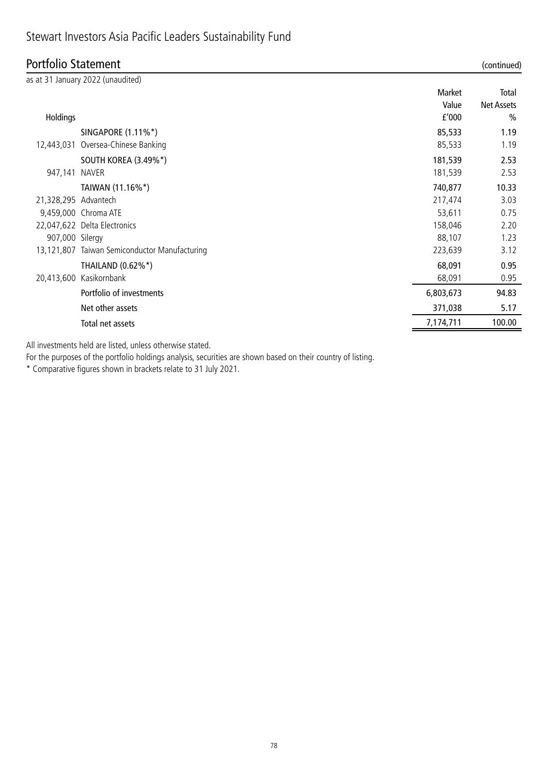## Stewart Investors Asia Pacific Leaders Sustainability Fund

### Portfolio Statement (continued)

| $\sigma$ , $\sigma$ , $\sigma$ , $\sigma$ , $\sigma$ , $\sigma$ , $\sigma$ , $\sigma$ , $\sigma$ , $\sigma$ |                                               |           | $\alpha$          |
|-------------------------------------------------------------------------------------------------------------|-----------------------------------------------|-----------|-------------------|
|                                                                                                             | as at 31 January 2022 (unaudited)             |           |                   |
|                                                                                                             |                                               | Market    | Total             |
|                                                                                                             |                                               | Value     | <b>Net Assets</b> |
| Holdings                                                                                                    |                                               | f'000     | $\frac{0}{0}$     |
|                                                                                                             | SINGAPORE (1.11%*)                            | 85,533    | 1.19              |
| 12,443,031                                                                                                  | Oversea-Chinese Banking                       | 85,533    | 1.19              |
|                                                                                                             | <b>SOUTH KOREA (3.49%*)</b>                   | 181,539   | 2.53              |
| 947,141 NAVER                                                                                               |                                               | 181,539   | 2.53              |
|                                                                                                             | TAIWAN (11.16%*)                              | 740,877   | 10.33             |
| 21,328,295 Advantech                                                                                        |                                               | 217,474   | 3.03              |
|                                                                                                             | 9,459,000 Chroma ATE                          | 53,611    | 0.75              |
|                                                                                                             | 22,047,622 Delta Electronics                  | 158,046   | 2.20              |
| 907,000 Silergy                                                                                             |                                               | 88,107    | 1.23              |
|                                                                                                             | 13,121,807 Taiwan Semiconductor Manufacturing | 223,639   | 3.12              |
|                                                                                                             | THAILAND (0.62%*)                             | 68,091    | 0.95              |
|                                                                                                             | 20,413,600 Kasikornbank                       | 68,091    | 0.95              |
|                                                                                                             | Portfolio of investments                      | 6,803,673 | 94.83             |
|                                                                                                             | Net other assets                              | 371,038   | 5.17              |
|                                                                                                             | Total net assets                              | 7,174,711 | 100.00            |
|                                                                                                             |                                               |           |                   |

All investments held are listed, unless otherwise stated.

For the purposes of the portfolio holdings analysis, securities are shown based on their country of listing.

\* Comparative figures shown in brackets relate to 31 July 2021.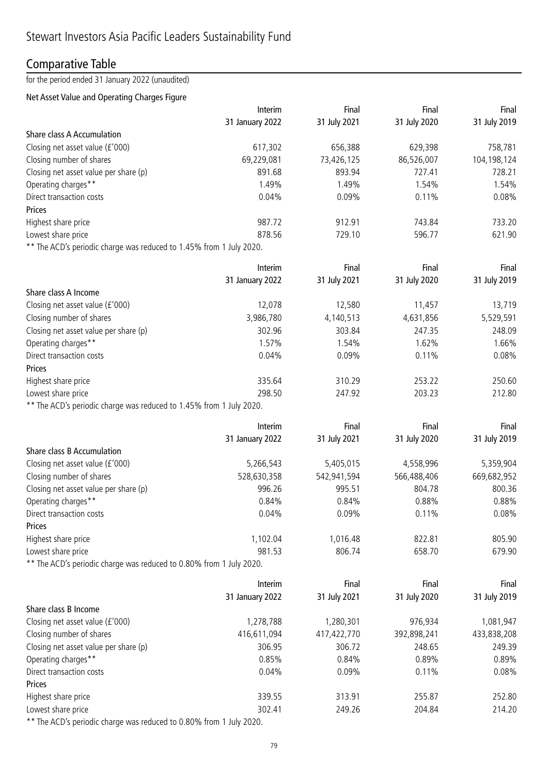### Comparative Table

### for the period ended 31 January 2022 (unaudited)

### Net Asset Value and Operating Charges Figure

|                                                                     | Interim         | Final        | Final        | Final        |
|---------------------------------------------------------------------|-----------------|--------------|--------------|--------------|
|                                                                     | 31 January 2022 | 31 July 2021 | 31 July 2020 | 31 July 2019 |
| <b>Share class A Accumulation</b>                                   |                 |              |              |              |
| Closing net asset value (£'000)                                     | 617,302         | 656,388      | 629,398      | 758,781      |
| Closing number of shares                                            | 69,229,081      | 73,426,125   | 86,526,007   | 104,198,124  |
| Closing net asset value per share (p)                               | 891.68          | 893.94       | 727.41       | 728.21       |
| Operating charges**                                                 | 1.49%           | 1.49%        | 1.54%        | 1.54%        |
| Direct transaction costs                                            | 0.04%           | 0.09%        | 0.11%        | 0.08%        |
| Prices                                                              |                 |              |              |              |
| Highest share price                                                 | 987.72          | 912.91       | 743.84       | 733.20       |
| Lowest share price                                                  | 878.56          | 729.10       | 596.77       | 621.90       |
| ** The ACD's periodic charge was reduced to 1.45% from 1 July 2020. |                 |              |              |              |
|                                                                     | Interim         | Final        | Final        | Final        |
|                                                                     | 31 January 2022 | 31 July 2021 | 31 July 2020 | 31 July 2019 |
| Share class A Income                                                |                 |              |              |              |
| Closing net asset value (£'000)                                     | 12,078          | 12,580       | 11,457       | 13,719       |
| Closing number of shares                                            | 3,986,780       | 4,140,513    | 4,631,856    | 5,529,591    |
|                                                                     | 302.96          |              |              | 248.09       |
| Closing net asset value per share (p)                               |                 | 303.84       | 247.35       |              |
| Operating charges**                                                 | 1.57%           | 1.54%        | 1.62%        | 1.66%        |
| Direct transaction costs                                            | 0.04%           | 0.09%        | 0.11%        | 0.08%        |
| Prices                                                              |                 |              |              |              |
| Highest share price                                                 | 335.64          | 310.29       | 253.22       | 250.60       |
| Lowest share price                                                  | 298.50          | 247.92       | 203.23       | 212.80       |
| ** The ACD's periodic charge was reduced to 1.45% from 1 July 2020. |                 |              |              |              |
|                                                                     | Interim         | Final        | Final        | Final        |
|                                                                     | 31 January 2022 | 31 July 2021 | 31 July 2020 | 31 July 2019 |
| Share class B Accumulation                                          |                 |              |              |              |
| Closing net asset value (£'000)                                     | 5,266,543       | 5,405,015    | 4,558,996    | 5,359,904    |
| Closing number of shares                                            | 528,630,358     | 542,941,594  | 566,488,406  | 669,682,952  |
| Closing net asset value per share (p)                               | 996.26          | 995.51       | 804.78       | 800.36       |
| Operating charges**                                                 | 0.84%           | 0.84%        | 0.88%        | 0.88%        |
| Direct transaction costs                                            | 0.04%           | 0.09%        | 0.11%        | 0.08%        |
| Prices                                                              |                 |              |              |              |
| Highest share price                                                 | 1,102.04        | 1,016.48     | 822.81       | 805.90       |
| Lowest share price                                                  | 981.53          | 806.74       | 658.70       | 679.90       |
| ** The ACD's periodic charge was reduced to 0.80% from 1 July 2020. |                 |              |              |              |
|                                                                     | Interim         | Final        | Final        | Final        |
|                                                                     | 31 January 2022 | 31 July 2021 | 31 July 2020 | 31 July 2019 |
| Share class B Income                                                |                 |              |              |              |
| Closing net asset value (£'000)                                     | 1,278,788       | 1,280,301    | 976,934      | 1,081,947    |
| Closing number of shares                                            | 416,611,094     | 417,422,770  | 392,898,241  | 433,838,208  |
| Closing net asset value per share (p)                               | 306.95          | 306.72       | 248.65       | 249.39       |
| Operating charges**                                                 | 0.85%           | 0.84%        | 0.89%        | 0.89%        |
| Direct transaction costs                                            | 0.04%           |              |              |              |
|                                                                     |                 | 0.09%        | 0.11%        | 0.08%        |
| Prices                                                              |                 |              |              |              |
| Highest share price                                                 | 339.55          | 313.91       | 255.87       | 252.80       |
| Lowest share price                                                  | 302.41          | 249.26       | 204.84       | 214.20       |
| ** The ACD's periodic charge was reduced to 0.80% from 1 July 2020. |                 |              |              |              |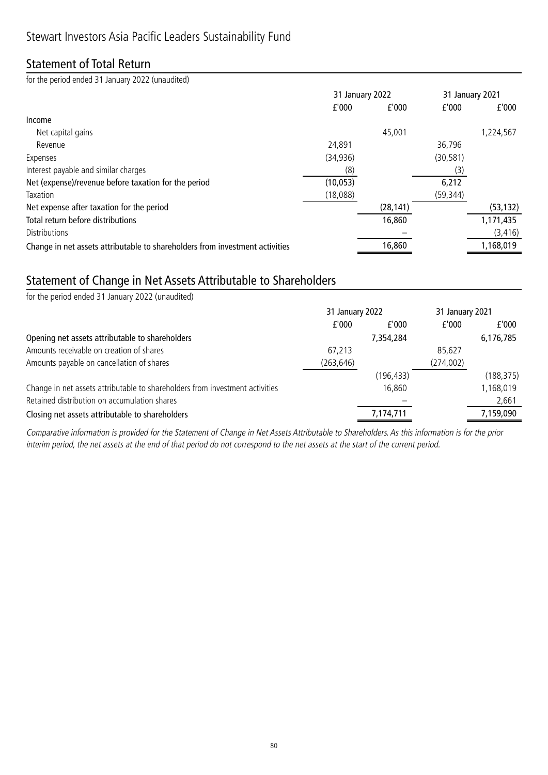### Statement of Total Return

for the period ended 31 January 2022 (unaudited)

|                                                                              | 31 January 2022 |           | 31 January 2021 |           |
|------------------------------------------------------------------------------|-----------------|-----------|-----------------|-----------|
|                                                                              | f'000           | f'000     | f'000           | f'000     |
| Income                                                                       |                 |           |                 |           |
| Net capital gains                                                            |                 | 45,001    |                 | 1,224,567 |
| Revenue                                                                      | 24,891          |           | 36,796          |           |
| Expenses                                                                     | (34, 936)       |           | (30, 581)       |           |
| Interest payable and similar charges                                         | (8)             |           | (3)             |           |
| Net (expense)/revenue before taxation for the period                         | (10, 053)       |           | 6,212           |           |
| Taxation                                                                     | (18,088)        |           | (59, 344)       |           |
| Net expense after taxation for the period                                    |                 | (28, 141) |                 | (53, 132) |
| Total return before distributions                                            |                 | 16,860    |                 | 1,171,435 |
| <b>Distributions</b>                                                         |                 |           |                 | (3, 416)  |
| Change in net assets attributable to shareholders from investment activities |                 | 16,860    |                 | 1,168,019 |

## Statement of Change in Net Assets Attributable to Shareholders

| for the period ended 31 January 2022 (unaudited)                             |                 |            |                 |            |
|------------------------------------------------------------------------------|-----------------|------------|-----------------|------------|
|                                                                              | 31 January 2022 |            | 31 January 2021 |            |
|                                                                              | f'000           | f'000      | f'000           | f'000      |
| Opening net assets attributable to shareholders                              |                 | 7,354,284  |                 | 6,176,785  |
| Amounts receivable on creation of shares                                     | 67,213          |            | 85,627          |            |
| Amounts payable on cancellation of shares                                    | (263, 646)      |            | (274,002)       |            |
|                                                                              |                 | (196, 433) |                 | (188, 375) |
| Change in net assets attributable to shareholders from investment activities |                 | 16,860     |                 | 1,168,019  |
| Retained distribution on accumulation shares                                 |                 |            |                 | 2,661      |
| Closing net assets attributable to shareholders                              |                 | 7,174,711  |                 | 7,159,090  |
|                                                                              |                 |            |                 |            |

Comparative information is provided for the Statement of Change in Net Assets Attributable to Shareholders. As this information is for the prior interim period, the net assets at the end of that period do not correspond to the net assets at the start of the current period.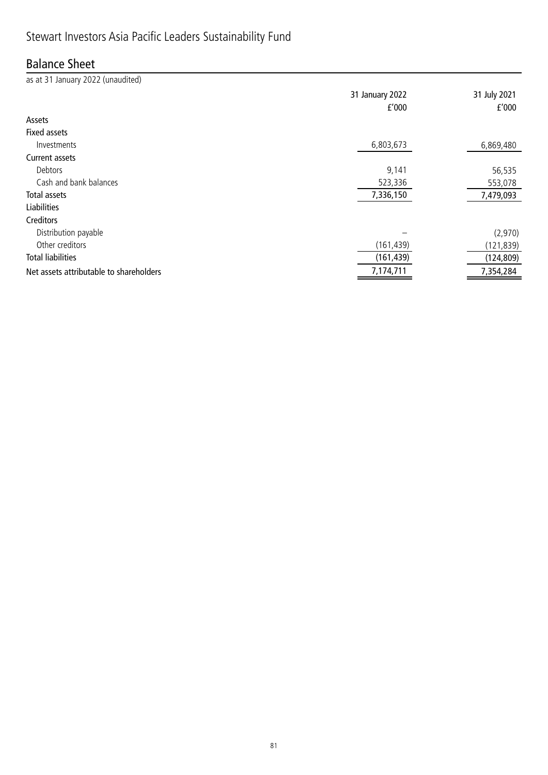# Stewart Investors Asia Pacific Leaders Sustainability Fund

## Balance Sheet

as at 31 January 2022 (unaudited)

|                                         | 31 January 2022<br>f'000 | 31 July 2021<br>f'000 |
|-----------------------------------------|--------------------------|-----------------------|
| Assets                                  |                          |                       |
| <b>Fixed assets</b>                     |                          |                       |
| Investments                             | 6,803,673                | 6,869,480             |
| Current assets                          |                          |                       |
| Debtors                                 | 9,141                    | 56,535                |
| Cash and bank balances                  | 523,336                  | 553,078               |
| Total assets                            | 7,336,150                | 7,479,093             |
| <b>Liabilities</b>                      |                          |                       |
| Creditors                               |                          |                       |
| Distribution payable                    |                          | (2,970)               |
| Other creditors                         | (161, 439)               | (121, 839)            |
| <b>Total liabilities</b>                | (161, 439)               | (124, 809)            |
| Net assets attributable to shareholders | 7,174,711                | 7,354,284             |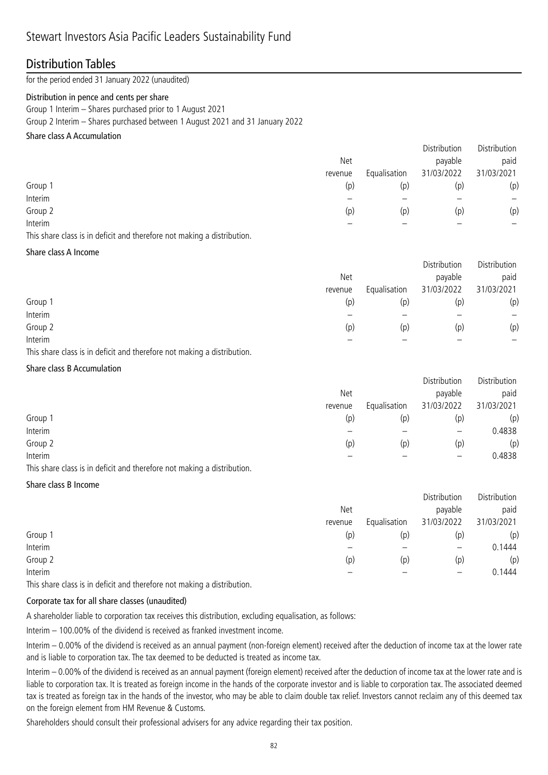### Distribution Tables

for the period ended 31 January 2022 (unaudited)

#### Distribution in pence and cents per share

Group 1 Interim – Shares purchased prior to 1 August 2021

Group 2 Interim – Shares purchased between 1 August 2021 and 31 January 2022

### Share class A Accumulation

|         |         |              | Distribution | Distribution |
|---------|---------|--------------|--------------|--------------|
|         | Net     |              | payable      | paid         |
|         | revenue | Equalisation | 31/03/2022   | 31/03/2021   |
| Group 1 | (p)     | (p)          | (p)          | (p)          |
| Interim |         |              |              |              |
| Group 2 | (p)     | (p)          | (p)          | (p)          |
| Interim |         |              |              |              |
|         |         |              |              |              |

This share class is in deficit and therefore not making a distribution.

#### Share class A Income

|         |         |              | Distribution | Distribution |
|---------|---------|--------------|--------------|--------------|
|         | Net     |              | payable      | paid         |
|         | revenue | Equalisation | 31/03/2022   | 31/03/2021   |
| Group 1 | (p)     | (p)          | (p)          | (p)          |
| Interim |         |              |              | —            |
| Group 2 | (p)     | (p)          | (p)          | (p)          |
| Interim |         |              |              |              |

This share class is in deficit and therefore not making a distribution.

### Share class B Accumulation

|         |         |              | Distribution             | Distribution |
|---------|---------|--------------|--------------------------|--------------|
|         | Net     |              | payable                  | paid         |
|         | revenue | Equalisation | 31/03/2022               | 31/03/2021   |
| Group 1 | (p)     | (p)          | (p)                      | (p)          |
| Interim |         |              | $\overline{\phantom{m}}$ | 0.4838       |
| Group 2 | (p)     | (p)          | (p)                      | (p)          |
| Interim |         |              |                          | 0.4838       |

This share class is in deficit and therefore not making a distribution.

#### Share class B Income

|                         | Distribution      | Distribution |
|-------------------------|-------------------|--------------|
| <b>Net</b>              | payable           | paid         |
| Equalisation<br>revenue | 31/03/2022        | 31/03/2021   |
| Group 1<br>(p)<br>(p)   | (p)               | (p)          |
| Interim                 | $\qquad \qquad -$ | 0.1444       |
| Group 2<br>(p)<br>(p)   | (p)               | (p)          |
| Interim                 | —                 | 0.1444       |

This share class is in deficit and therefore not making a distribution.

### Corporate tax for all share classes (unaudited)

A shareholder liable to corporation tax receives this distribution, excluding equalisation, as follows:

Interim – 100.00% of the dividend is received as franked investment income.

Interim – 0.00% of the dividend is received as an annual payment (non-foreign element) received after the deduction of income tax at the lower rate and is liable to corporation tax. The tax deemed to be deducted is treated as income tax.

Interim – 0.00% of the dividend is received as an annual payment (foreign element) received after the deduction of income tax at the lower rate and is liable to corporation tax. It is treated as foreign income in the hands of the corporate investor and is liable to corporation tax. The associated deemed tax is treated as foreign tax in the hands of the investor, who may be able to claim double tax relief. Investors cannot reclaim any of this deemed tax on the foreign element from HM Revenue & Customs.

Shareholders should consult their professional advisers for any advice regarding their tax position.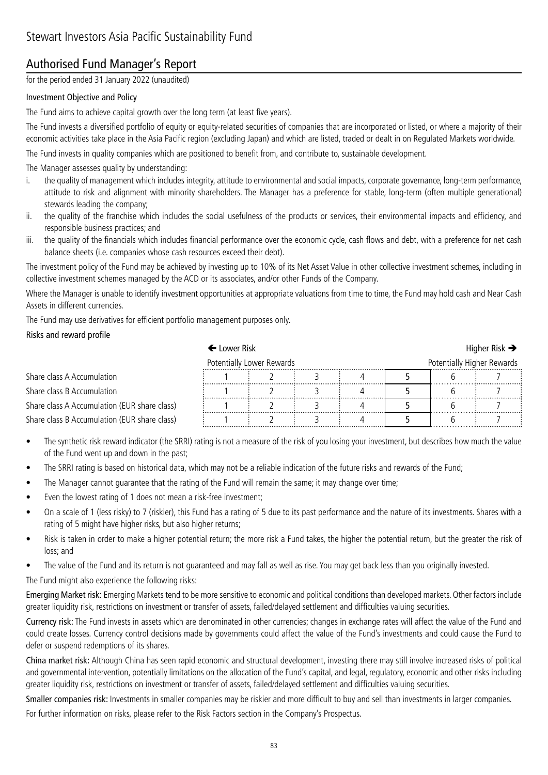### Authorised Fund Manager's Report

for the period ended 31 January 2022 (unaudited)

### Investment Objective and Policy

The Fund aims to achieve capital growth over the long term (at least five years).

The Fund invests a diversified portfolio of equity or equity-related securities of companies that are incorporated or listed, or where a majority of their economic activities take place in the Asia Pacific region (excluding Japan) and which are listed, traded or dealt in on Regulated Markets worldwide.

The Fund invests in quality companies which are positioned to benefit from, and contribute to, sustainable development.

The Manager assesses quality by understanding:

- i. the quality of management which includes integrity, attitude to environmental and social impacts, corporate governance, long-term performance, attitude to risk and alignment with minority shareholders. The Manager has a preference for stable, long-term (often multiple generational) stewards leading the company;
- ii. the quality of the franchise which includes the social usefulness of the products or services, their environmental impacts and efficiency, and responsible business practices; and
- iii. the quality of the financials which includes financial performance over the economic cycle, cash flows and debt, with a preference for net cash balance sheets (i.e. companies whose cash resources exceed their debt).

The investment policy of the Fund may be achieved by investing up to 10% of its Net Asset Value in other collective investment schemes, including in collective investment schemes managed by the ACD or its associates, and/or other Funds of the Company.

Where the Manager is unable to identify investment opportunities at appropriate valuations from time to time, the Fund may hold cash and Near Cash Assets in different currencies.

The Fund may use derivatives for efficient portfolio management purposes only.

#### Risks and reward profile

|                                              | $\blacklozenge$ Lower Risk                              |  |  |  |  |  | Higher Risk $\rightarrow$ |
|----------------------------------------------|---------------------------------------------------------|--|--|--|--|--|---------------------------|
|                                              | Potentially Higher Rewards<br>Potentially Lower Rewards |  |  |  |  |  |                           |
| Share class A Accumulation                   |                                                         |  |  |  |  |  |                           |
| Share class B Accumulation                   |                                                         |  |  |  |  |  |                           |
| Share class A Accumulation (EUR share class) |                                                         |  |  |  |  |  |                           |
| Share class B Accumulation (EUR share class) |                                                         |  |  |  |  |  |                           |

- The synthetic risk reward indicator (the SRRI) rating is not a measure of the risk of you losing your investment, but describes how much the value of the Fund went up and down in the past;
- The SRRI rating is based on historical data, which may not be a reliable indication of the future risks and rewards of the Fund;
- The Manager cannot guarantee that the rating of the Fund will remain the same; it may change over time;
- Even the lowest rating of 1 does not mean a risk-free investment;
- On a scale of 1 (less risky) to 7 (riskier), this Fund has a rating of 5 due to its past performance and the nature of its investments. Shares with a rating of 5 might have higher risks, but also higher returns;
- Risk is taken in order to make a higher potential return; the more risk a Fund takes, the higher the potential return, but the greater the risk of loss; and
- The value of the Fund and its return is not guaranteed and may fall as well as rise. You may get back less than you originally invested.

The Fund might also experience the following risks:

Emerging Market risk: Emerging Markets tend to be more sensitive to economic and political conditions than developed markets. Other factors include greater liquidity risk, restrictions on investment or transfer of assets, failed/delayed settlement and difficulties valuing securities.

Currency risk: The Fund invests in assets which are denominated in other currencies; changes in exchange rates will affect the value of the Fund and could create losses. Currency control decisions made by governments could affect the value of the Fund's investments and could cause the Fund to defer or suspend redemptions of its shares.

China market risk: Although China has seen rapid economic and structural development, investing there may still involve increased risks of political and governmental intervention, potentially limitations on the allocation of the Fund's capital, and legal, regulatory, economic and other risks including greater liquidity risk, restrictions on investment or transfer of assets, failed/delayed settlement and difficulties valuing securities.

Smaller companies risk: Investments in smaller companies may be riskier and more difficult to buy and sell than investments in larger companies. For further information on risks, please refer to the Risk Factors section in the Company's Prospectus.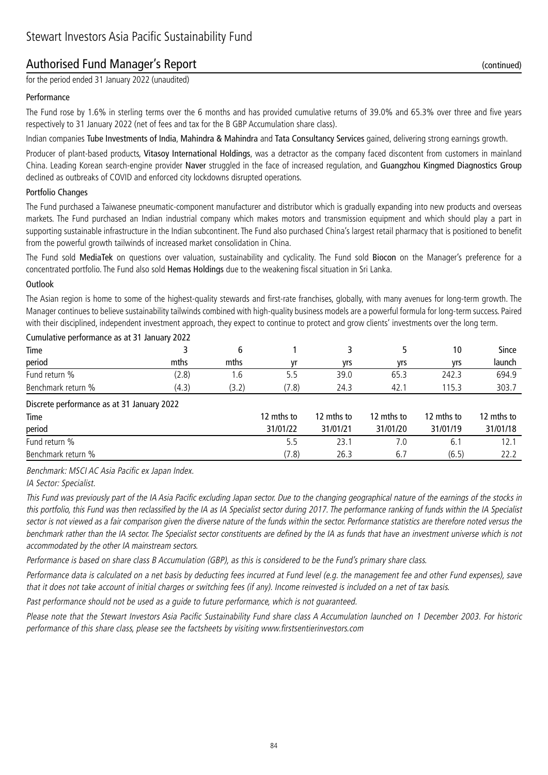### Authorised Fund Manager's Report (continued)

for the period ended 31 January 2022 (unaudited)

#### Performance

The Fund rose by 1.6% in sterling terms over the 6 months and has provided cumulative returns of 39.0% and 65.3% over three and five years respectively to 31 January 2022 (net of fees and tax for the B GBP Accumulation share class).

Indian companies Tube Investments of India, Mahindra & Mahindra and Tata Consultancy Services gained, delivering strong earnings growth.

Producer of plant-based products, Vitasoy International Holdings, was a detractor as the company faced discontent from customers in mainland China. Leading Korean search-engine provider Naver struggled in the face of increased regulation, and Guangzhou Kingmed Diagnostics Group declined as outbreaks of COVID and enforced city lockdowns disrupted operations.

#### Portfolio Changes

The Fund purchased a Taiwanese pneumatic-component manufacturer and distributor which is gradually expanding into new products and overseas markets. The Fund purchased an Indian industrial company which makes motors and transmission equipment and which should play a part in supporting sustainable infrastructure in the Indian subcontinent. The Fund also purchased China's largest retail pharmacy that is positioned to benefit from the powerful growth tailwinds of increased market consolidation in China.

The Fund sold MediaTek on questions over valuation, sustainability and cyclicality. The Fund sold Biocon on the Manager's preference for a concentrated portfolio. The Fund also sold Hemas Holdings due to the weakening fiscal situation in Sri Lanka.

#### **Outlook**

The Asian region is home to some of the highest-quality stewards and first-rate franchises, globally, with many avenues for long-term growth. The Manager continues to believe sustainability tailwinds combined with high-quality business models are a powerful formula for long-term success. Paired with their disciplined, independent investment approach, they expect to continue to protect and grow clients' investments over the long term.

| Cumulative performance as at 31 January 2022 |       |       |            |            |            |            |            |  |  |
|----------------------------------------------|-------|-------|------------|------------|------------|------------|------------|--|--|
| Time                                         |       | 6     |            | 3.         |            | 10         | Since      |  |  |
| period                                       | mths  | mths  | vr         | yrs        | vrs        | vrs        | launch     |  |  |
| Fund return %                                | (2.8) | 1.6   | 5.5        | 39.0       | 65.3       | 242.3      | 694.9      |  |  |
| Benchmark return %                           | (4.3) | (3.2) | (7.8)      | 24.3       | 42.1       | 115.3      | 303.7      |  |  |
| Discrete performance as at 31 January 2022   |       |       |            |            |            |            |            |  |  |
| Time                                         |       |       | 12 mths to | 12 mths to | 12 mths to | 12 mths to | 12 mths to |  |  |
| period                                       |       |       | 31/01/22   | 31/01/21   | 31/01/20   | 31/01/19   | 31/01/18   |  |  |
| Fund return %                                |       |       | 5.5        | 23.1       | 7.0        | 6.1        | 12.1       |  |  |
| Benchmark return %                           |       |       | (7.8)      | 26.3       | 6.7        | (6.5)      | 22.2       |  |  |

Benchmark: MSCI AC Asia Pacific ex Japan Index.

IA Sector: Specialist.

This Fund was previously part of the IA Asia Pacific excluding Japan sector. Due to the changing geographical nature of the earnings of the stocks in this portfolio, this Fund was then reclassified by the IA as IA Specialist sector during 2017. The performance ranking of funds within the IA Specialist sector is not viewed as a fair comparison given the diverse nature of the funds within the sector. Performance statistics are therefore noted versus the benchmark rather than the IA sector. The Specialist sector constituents are defined by the IA as funds that have an investment universe which is not accommodated by the other IA mainstream sectors.

Performance is based on share class B Accumulation (GBP), as this is considered to be the Fund's primary share class.

Performance data is calculated on a net basis by deducting fees incurred at Fund level (e.g. the management fee and other Fund expenses), save that it does not take account of initial charges or switching fees (if any). Income reinvested is included on a net of tax basis.

Past performance should not be used as a guide to future performance, which is not guaranteed.

Please note that the Stewart Investors Asia Pacific Sustainability Fund share class A Accumulation launched on 1 December 2003. For historic performance of this share class, please see the factsheets by visiting www.firstsentierinvestors.com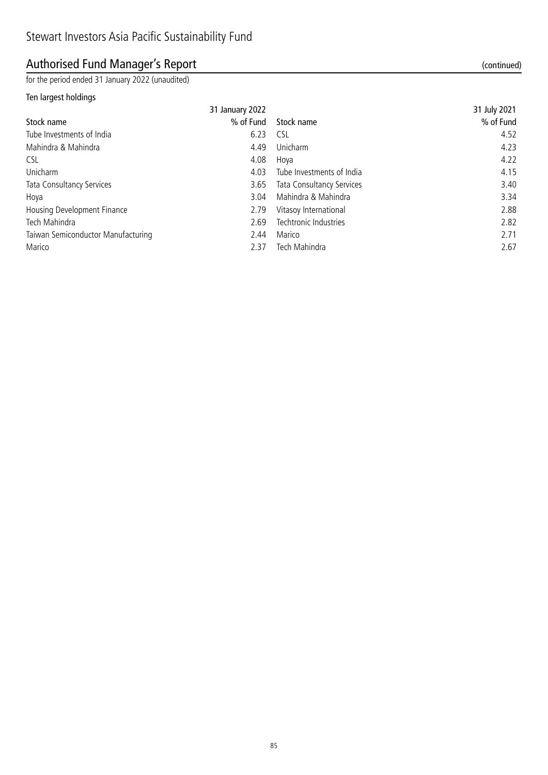## Authorised Fund Manager's Report (continued)

for the period ended 31 January 2022 (unaudited)

### Ten largest holdings

|                                    | 31 January 2022 |                                  | 31 July 2021 |
|------------------------------------|-----------------|----------------------------------|--------------|
| Stock name                         | % of Fund       | Stock name                       | % of Fund    |
| Tube Investments of India          | 6.23            | <b>CSL</b>                       | 4.52         |
| Mahindra & Mahindra                | 4.49            | Unicharm                         | 4.23         |
| <b>CSL</b>                         | 4.08            | Hoya                             | 4.22         |
| Unicharm                           | 4.03            | Tube Investments of India        | 4.15         |
| Tata Consultancy Services          | 3.65            | <b>Tata Consultancy Services</b> | 3.40         |
| Hoya                               | 3.04            | Mahindra & Mahindra              | 3.34         |
| Housing Development Finance        | 2.79            | Vitasoy International            | 2.88         |
| Tech Mahindra                      | 2.69            | Techtronic Industries            | 2.82         |
| Taiwan Semiconductor Manufacturing | 2.44            | Marico                           | 2.71         |
| Marico                             | 2.37            | Tech Mahindra                    | 2.67         |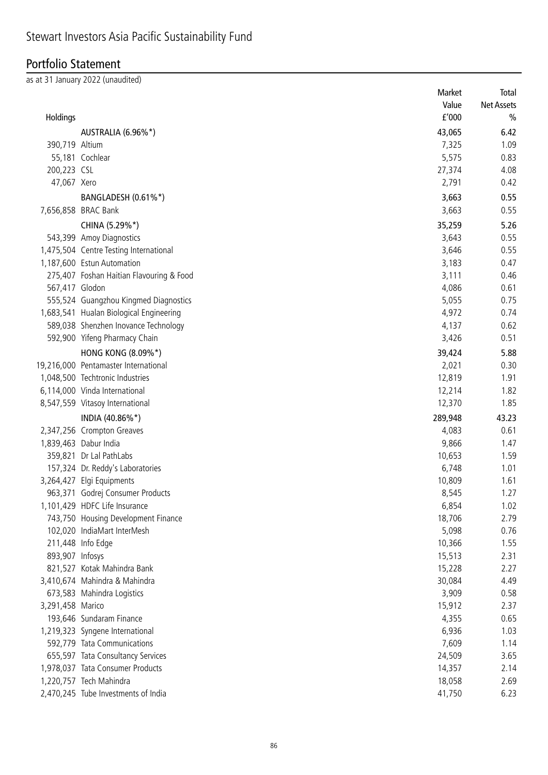## Portfolio Statement

as at 31 January 2022 (unaudited)

|                  |                                          | Market  | Total         |
|------------------|------------------------------------------|---------|---------------|
|                  |                                          | Value   | Net Assets    |
| Holdings         |                                          | f'000   | $\frac{0}{0}$ |
|                  | AUSTRALIA (6.96%*)                       | 43,065  | 6.42          |
| 390,719 Altium   |                                          | 7,325   | 1.09          |
|                  | 55,181 Cochlear                          | 5,575   | 0.83          |
| 200,223 CSL      |                                          | 27,374  | 4.08          |
| 47,067 Xero      |                                          | 2,791   | 0.42          |
|                  | BANGLADESH (0.61%*)                      | 3,663   | 0.55          |
|                  | 7,656,858 BRAC Bank                      | 3,663   | 0.55          |
|                  | CHINA (5.29%*)                           | 35,259  | 5.26          |
|                  | 543,399 Amoy Diagnostics                 | 3,643   | 0.55          |
|                  | 1,475,504 Centre Testing International   | 3,646   | 0.55          |
|                  | 1,187,600 Estun Automation               | 3,183   | 0.47          |
|                  | 275,407 Foshan Haitian Flavouring & Food | 3,111   | 0.46          |
| 567,417 Glodon   |                                          | 4,086   | 0.61          |
|                  | 555,524 Guangzhou Kingmed Diagnostics    | 5,055   | 0.75          |
|                  | 1,683,541 Hualan Biological Engineering  | 4,972   | 0.74          |
|                  | 589,038 Shenzhen Inovance Technology     | 4,137   | 0.62          |
|                  | 592,900 Yifeng Pharmacy Chain            | 3,426   | 0.51          |
|                  | HONG KONG (8.09%*)                       | 39,424  | 5.88          |
|                  | 19,216,000 Pentamaster International     | 2,021   | 0.30          |
|                  | 1,048,500 Techtronic Industries          | 12,819  | 1.91          |
|                  | 6,114,000 Vinda International            | 12,214  | 1.82          |
|                  | 8,547,559 Vitasoy International          | 12,370  | 1.85          |
|                  | INDIA (40.86%*)                          | 289,948 | 43.23         |
|                  | 2,347,256 Crompton Greaves               | 4,083   | 0.61          |
|                  | 1,839,463 Dabur India                    | 9,866   | 1.47          |
|                  | 359,821 Dr Lal PathLabs                  | 10,653  | 1.59          |
|                  | 157,324 Dr. Reddy's Laboratories         | 6,748   | 1.01          |
|                  | 3,264,427 Elgi Equipments                | 10,809  | 1.61          |
|                  | 963,371 Godrej Consumer Products         | 8,545   | 1.27          |
|                  | 1,101,429 HDFC Life Insurance            | 6,854   | 1.02          |
|                  | 743,750 Housing Development Finance      | 18,706  | 2.79          |
|                  | 102,020 IndiaMart InterMesh              | 5,098   | 0.76          |
|                  | 211,448 Info Edge                        | 10,366  | 1.55          |
| 893,907 Infosys  |                                          | 15,513  | 2.31          |
|                  | 821,527 Kotak Mahindra Bank              | 15,228  | 2.27          |
|                  | 3,410,674 Mahindra & Mahindra            | 30,084  | 4.49          |
|                  | 673,583 Mahindra Logistics               | 3,909   | 0.58          |
| 3,291,458 Marico |                                          | 15,912  | 2.37          |
|                  | 193,646 Sundaram Finance                 | 4,355   | 0.65          |
|                  | 1,219,323 Syngene International          | 6,936   | 1.03          |
|                  | 592,779 Tata Communications              | 7,609   | 1.14          |
|                  | 655,597 Tata Consultancy Services        | 24,509  | 3.65          |
|                  | 1,978,037 Tata Consumer Products         | 14,357  | 2.14          |
|                  | 1,220,757 Tech Mahindra                  | 18,058  | 2.69          |
|                  | 2,470,245 Tube Investments of India      | 41,750  | 6.23          |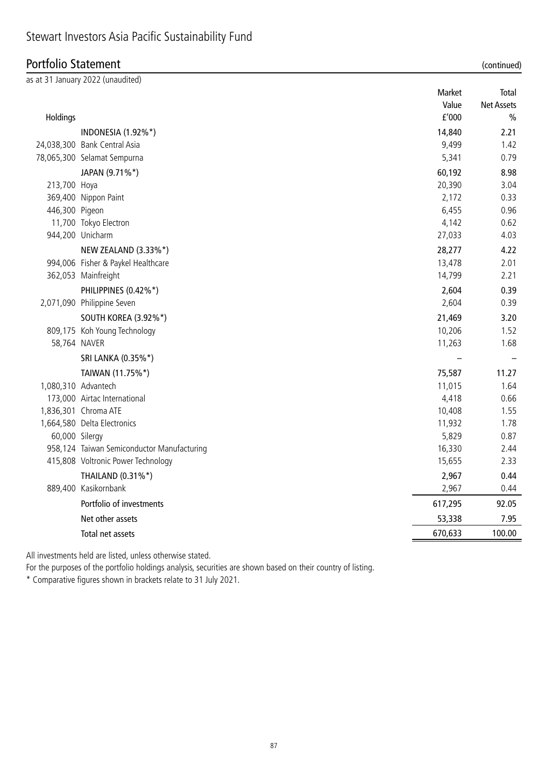### Portfolio Statement (continued)

|                     | as at 31 January 2022 (unaudited)          |         |                   |
|---------------------|--------------------------------------------|---------|-------------------|
|                     |                                            | Market  | Total             |
|                     |                                            | Value   | <b>Net Assets</b> |
| Holdings            |                                            | f'000   | $\frac{0}{0}$     |
|                     | <b>INDONESIA (1.92%*)</b>                  | 14,840  | 2.21              |
|                     | 24,038,300 Bank Central Asia               | 9,499   | 1.42              |
|                     | 78,065,300 Selamat Sempurna                | 5,341   | 0.79              |
|                     | JAPAN (9.71%*)                             | 60,192  | 8.98              |
| 213,700 Hoya        |                                            | 20,390  | 3.04              |
|                     | 369,400 Nippon Paint                       | 2,172   | 0.33              |
| 446,300 Pigeon      |                                            | 6,455   | 0.96              |
|                     | 11,700 Tokyo Electron                      | 4,142   | 0.62              |
|                     | 944,200 Unicharm                           | 27,033  | 4.03              |
|                     | NEW ZEALAND (3.33%*)                       | 28,277  | 4.22              |
|                     | 994,006 Fisher & Paykel Healthcare         | 13,478  | 2.01              |
|                     | 362,053 Mainfreight                        | 14,799  | 2.21              |
|                     | PHILIPPINES (0.42%*)                       | 2,604   | 0.39              |
|                     | 2,071,090 Philippine Seven                 | 2,604   | 0.39              |
|                     | <b>SOUTH KOREA (3.92%*)</b>                | 21,469  | 3.20              |
|                     | 809,175 Koh Young Technology               | 10,206  | 1.52              |
| 58,764 NAVER        |                                            | 11,263  | 1.68              |
|                     | SRI LANKA (0.35%*)                         |         |                   |
|                     | TAIWAN (11.75%*)                           | 75,587  | 11.27             |
| 1,080,310 Advantech |                                            | 11,015  | 1.64              |
|                     | 173,000 Airtac International               | 4,418   | 0.66              |
|                     | 1,836,301 Chroma ATE                       | 10,408  | 1.55              |
|                     | 1,664,580 Delta Electronics                | 11,932  | 1.78              |
| 60,000 Silergy      |                                            | 5,829   | 0.87              |
|                     | 958,124 Taiwan Semiconductor Manufacturing | 16,330  | 2.44              |
|                     | 415,808 Voltronic Power Technology         | 15,655  | 2.33              |
|                     | THAILAND (0.31%*)                          | 2,967   | 0.44              |
|                     | 889,400 Kasikornbank                       | 2,967   | 0.44              |
|                     | Portfolio of investments                   | 617,295 | 92.05             |
|                     | Net other assets                           | 53,338  | 7.95              |
|                     | Total net assets                           | 670,633 | 100.00            |

All investments held are listed, unless otherwise stated.

For the purposes of the portfolio holdings analysis, securities are shown based on their country of listing.

\* Comparative figures shown in brackets relate to 31 July 2021.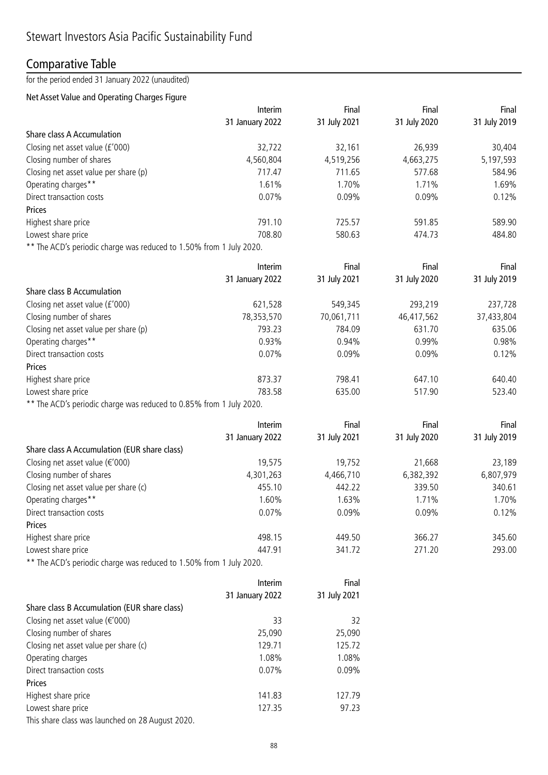### Comparative Table

### for the period ended 31 January 2022 (unaudited)

### Net Asset Value and Operating Charges Figure

|                                                                     | Interim         | Final        | Final        | Final        |
|---------------------------------------------------------------------|-----------------|--------------|--------------|--------------|
|                                                                     | 31 January 2022 | 31 July 2021 | 31 July 2020 | 31 July 2019 |
| Share class A Accumulation                                          |                 |              |              |              |
| Closing net asset value (£'000)                                     | 32,722          | 32,161       | 26,939       | 30,404       |
| Closing number of shares                                            | 4,560,804       | 4,519,256    | 4,663,275    | 5,197,593    |
| Closing net asset value per share (p)                               | 717.47          | 711.65       | 577.68       | 584.96       |
| Operating charges**                                                 | 1.61%           | 1.70%        | 1.71%        | 1.69%        |
| Direct transaction costs                                            | 0.07%           | 0.09%        | 0.09%        | 0.12%        |
| Prices                                                              |                 |              |              |              |
| Highest share price                                                 | 791.10          | 725.57       | 591.85       | 589.90       |
| Lowest share price                                                  | 708.80          | 580.63       | 474.73       | 484.80       |
| ** The ACD's periodic charge was reduced to 1.50% from 1 July 2020. |                 |              |              |              |
|                                                                     | Interim         | Final        | Final        | Final        |
|                                                                     | 31 January 2022 | 31 July 2021 | 31 July 2020 | 31 July 2019 |
| Share class B Accumulation                                          |                 |              |              |              |
| Closing net asset value (£'000)                                     | 621,528         | 549,345      | 293,219      | 237,728      |
| Closing number of shares                                            | 78,353,570      | 70,061,711   | 46,417,562   | 37,433,804   |
| Closing net asset value per share (p)                               | 793.23          | 784.09       | 631.70       | 635.06       |
| Operating charges**                                                 | 0.93%           | 0.94%        | 0.99%        | 0.98%        |
| Direct transaction costs                                            | 0.07%           | 0.09%        | 0.09%        | 0.12%        |
| Prices                                                              |                 |              |              |              |
| Highest share price                                                 | 873.37          | 798.41       | 647.10       | 640.40       |
| Lowest share price                                                  | 783.58          | 635.00       | 517.90       | 523.40       |
| ** The ACD's periodic charge was reduced to 0.85% from 1 July 2020. |                 |              |              |              |
|                                                                     |                 |              |              |              |
|                                                                     | Interim         | Final        | Final        | Final        |
|                                                                     | 31 January 2022 | 31 July 2021 | 31 July 2020 | 31 July 2019 |
| Share class A Accumulation (EUR share class)                        |                 |              |              |              |
| Closing net asset value ( $\epsilon$ '000)                          | 19,575          | 19,752       | 21,668       | 23,189       |
| Closing number of shares                                            | 4,301,263       | 4,466,710    | 6,382,392    | 6,807,979    |
| Closing net asset value per share (c)                               | 455.10          | 442.22       | 339.50       | 340.61       |
| Operating charges**                                                 | 1.60%           | 1.63%        | 1.71%        | 1.70%        |
| Direct transaction costs                                            | 0.07%           | 0.09%        | 0.09%        | 0.12%        |
| Prices                                                              |                 |              |              |              |
| Highest share price                                                 | 498.15          | 449.50       | 366.27       | 345.60       |
| Lowest share price                                                  | 447.91          | 341.72       | 271.20       | 293.00       |
| ** The ACD's periodic charge was reduced to 1.50% from 1 July 2020. |                 |              |              |              |
|                                                                     | Interim         | Final        |              |              |
|                                                                     | 31 January 2022 | 31 July 2021 |              |              |
| Share class B Accumulation (EUR share class)                        |                 |              |              |              |
| Closing net asset value (€'000)                                     | 33              | 32           |              |              |
| Closing number of shares                                            | 25,090          | 25,090       |              |              |
| Closing net asset value per share (c)                               | 129.71          | 125.72       |              |              |
| Operating charges                                                   | 1.08%           | 1.08%        |              |              |
| Direct transaction costs                                            | 0.07%           | 0.09%        |              |              |
| Prices                                                              |                 |              |              |              |
| Highest share price                                                 | 141.83          | 127.79       |              |              |
| Lowest share price                                                  | 127.35          | 97.23        |              |              |
| This share class was launched on 28 August 2020.                    |                 |              |              |              |
|                                                                     |                 |              |              |              |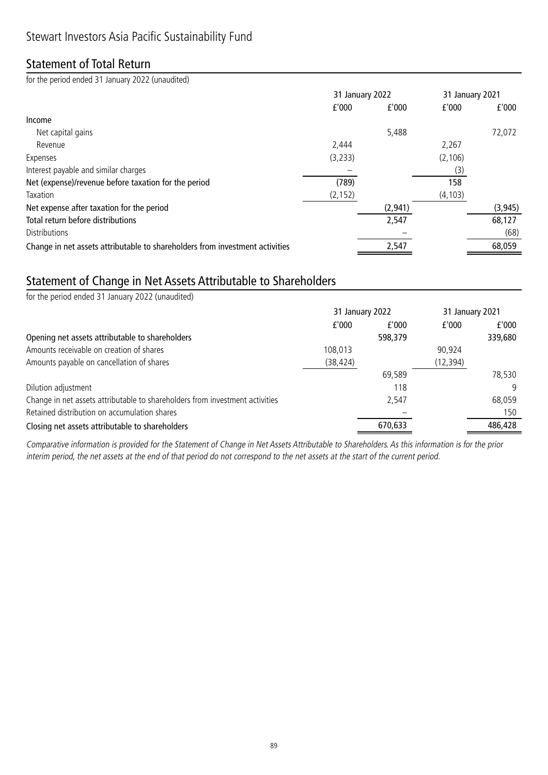### Statement of Total Return

for the period ended 31 January 2022 (unaudited)

|                                                                              | 31 January 2022 |         | 31 January 2021 |          |
|------------------------------------------------------------------------------|-----------------|---------|-----------------|----------|
|                                                                              | f'000           | f'000   | f'000           | f'000    |
| Income                                                                       |                 |         |                 |          |
| Net capital gains                                                            |                 | 5,488   |                 | 72,072   |
| Revenue                                                                      | 2.444           |         | 2,267           |          |
| Expenses                                                                     | (3, 233)        |         | (2, 106)        |          |
| Interest payable and similar charges                                         |                 |         | (3)             |          |
| Net (expense)/revenue before taxation for the period                         | (789)           |         | 158             |          |
| Taxation                                                                     | (2, 152)        |         | (4, 103)        |          |
| Net expense after taxation for the period                                    |                 | (2,941) |                 | (3, 945) |
| Total return before distributions                                            |                 | 2,547   |                 | 68,127   |
| Distributions                                                                |                 |         |                 | (68)     |
| Change in net assets attributable to shareholders from investment activities |                 | 2,547   |                 | 68,059   |

### Statement of Change in Net Assets Attributable to Shareholders

| for the period ended 31 January 2022 (unaudited)                             |                 |         |           |                 |  |
|------------------------------------------------------------------------------|-----------------|---------|-----------|-----------------|--|
|                                                                              | 31 January 2022 |         |           | 31 January 2021 |  |
|                                                                              | f'000           | f'000   | f'000     | f'000           |  |
| Opening net assets attributable to shareholders                              |                 | 598,379 |           | 339,680         |  |
| Amounts receivable on creation of shares                                     | 108,013         |         | 90,924    |                 |  |
| Amounts payable on cancellation of shares                                    | (38, 424)       |         | (12, 394) |                 |  |
|                                                                              |                 | 69,589  |           | 78,530          |  |
| Dilution adjustment                                                          |                 | 118     |           | q               |  |
| Change in net assets attributable to shareholders from investment activities |                 | 2,547   |           | 68,059          |  |
| Retained distribution on accumulation shares                                 |                 |         |           | 150             |  |
| Closing net assets attributable to shareholders                              |                 | 670,633 |           | 486,428         |  |

Comparative information is provided for the Statement of Change in Net Assets Attributable to Shareholders. As this information is for the prior interim period, the net assets at the end of that period do not correspond to the net assets at the start of the current period.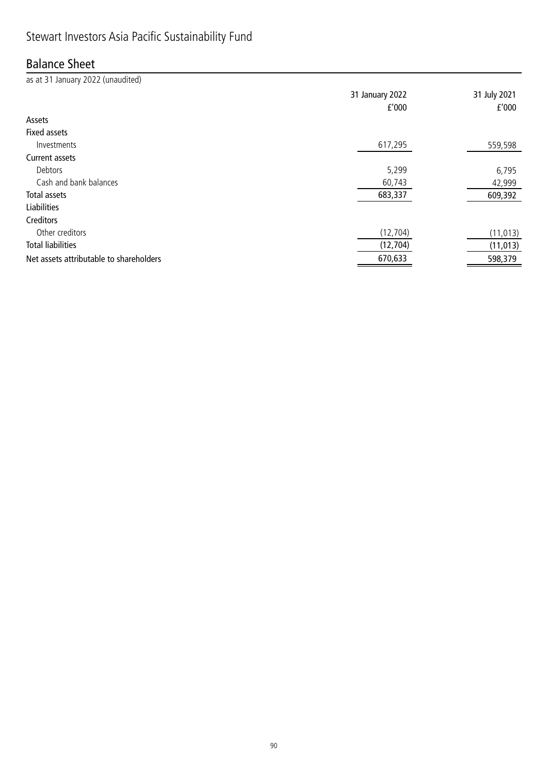## Stewart Investors Asia Pacific Sustainability Fund

### Balance Sheet

as at 31 January 2022 (unaudited) 31 January 2022 31 July 2021 £'000 £'000 Assets Fixed assets Investments 617,295 559,598 Current assets Debtors 5,299 6,795 Cash and bank balances 42,999 Total assets 683,337 609,392 Liabilities **Creditors** Other creditors (12,704) (11,013) Total liabilities (12,704) (11,013) Net assets attributable to shareholders 670,633 598,379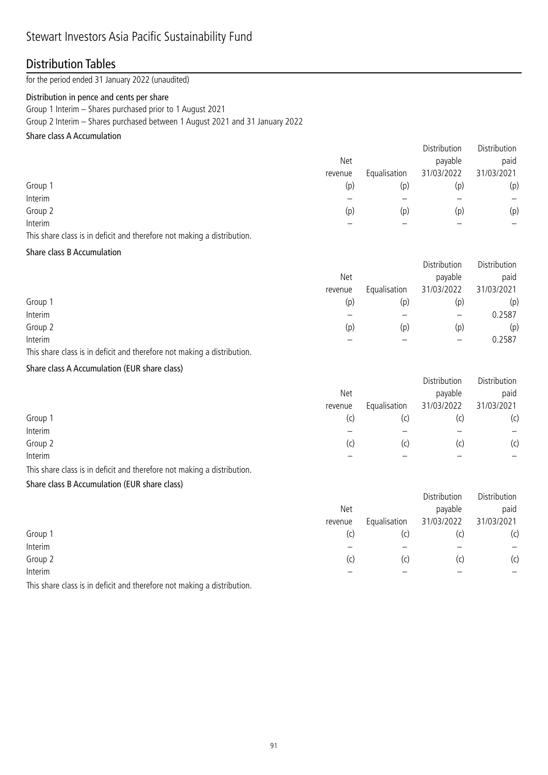## Stewart Investors Asia Pacific Sustainability Fund

### Distribution Tables

for the period ended 31 January 2022 (unaudited)

#### Distribution in pence and cents per share

Group 1 Interim – Shares purchased prior to 1 August 2021

Group 2 Interim – Shares purchased between 1 August 2021 and 31 January 2022

### Share class A Accumulation

|         |         |              | Distribution | Distribution |
|---------|---------|--------------|--------------|--------------|
|         | Net     |              | payable      | paid         |
|         | revenue | Equalisation | 31/03/2022   | 31/03/2021   |
| Group 1 | (p)     | (p)          | (p)          | (p)          |
| Interim |         |              |              |              |
| Group 2 | (p)     | (p)          | (p)          | (p)          |
| Interim |         |              |              |              |
|         |         |              |              |              |

This share class is in deficit and therefore not making a distribution.

#### Share class B Accumulation

|         |         |              | Distribution      | Distribution |
|---------|---------|--------------|-------------------|--------------|
|         | Net     |              | payable           | paid         |
|         | revenue | Equalisation | 31/03/2022        | 31/03/2021   |
| Group 1 | (p)     | (p)          | (p)               | (p)          |
| Interim |         |              | $\qquad \qquad -$ | 0.2587       |
| Group 2 | (p)     | (p)          | (p)               | (p)          |
| Interim |         |              |                   | 0.2587       |

This share class is in deficit and therefore not making a distribution.

### Share class A Accumulation (EUR share class)

|         |              | Distribution | Distribution |
|---------|--------------|--------------|--------------|
| Net     |              | payable      | paid         |
| revenue | Equalisation | 31/03/2022   | 31/03/2021   |
| (C)     | (c)          |              | (c)          |
|         |              |              | —            |
| (c)     | (c)          | (C)          | (c)          |
|         |              |              |              |
|         |              |              |              |

This share class is in deficit and therefore not making a distribution.

#### Share class B Accumulation (EUR share class)

|         |         |              | Distribution | Distribution |
|---------|---------|--------------|--------------|--------------|
|         | Net     |              | payable      | paid         |
|         | revenue | Equalisation | 31/03/2022   | 31/03/2021   |
| Group 1 | (c)     | (C)          | (c           | (c)          |
| Interim |         |              |              |              |
| Group 2 | (C)     | (c)          | (c)          | (c)          |
| Interim |         |              |              |              |

This share class is in deficit and therefore not making a distribution.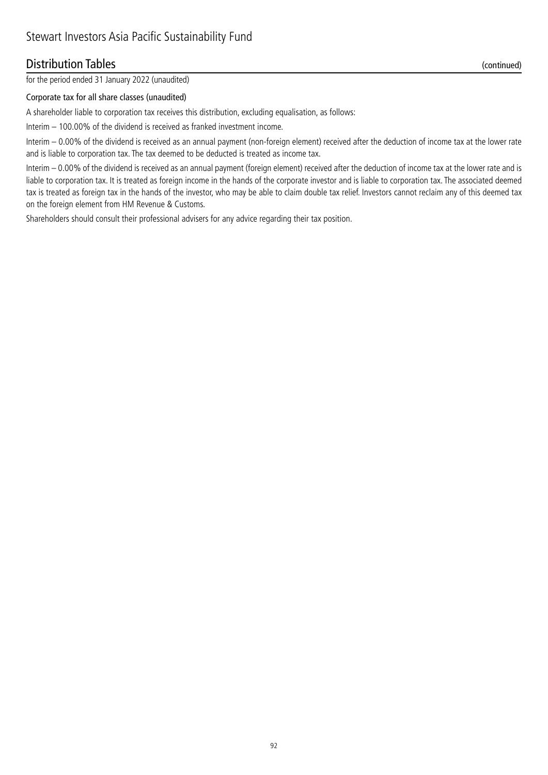### Distribution Tables (continued)

for the period ended 31 January 2022 (unaudited)

#### Corporate tax for all share classes (unaudited)

A shareholder liable to corporation tax receives this distribution, excluding equalisation, as follows:

Interim – 100.00% of the dividend is received as franked investment income.

Interim – 0.00% of the dividend is received as an annual payment (non-foreign element) received after the deduction of income tax at the lower rate and is liable to corporation tax. The tax deemed to be deducted is treated as income tax.

Interim – 0.00% of the dividend is received as an annual payment (foreign element) received after the deduction of income tax at the lower rate and is liable to corporation tax. It is treated as foreign income in the hands of the corporate investor and is liable to corporation tax. The associated deemed tax is treated as foreign tax in the hands of the investor, who may be able to claim double tax relief. Investors cannot reclaim any of this deemed tax on the foreign element from HM Revenue & Customs.

Shareholders should consult their professional advisers for any advice regarding their tax position.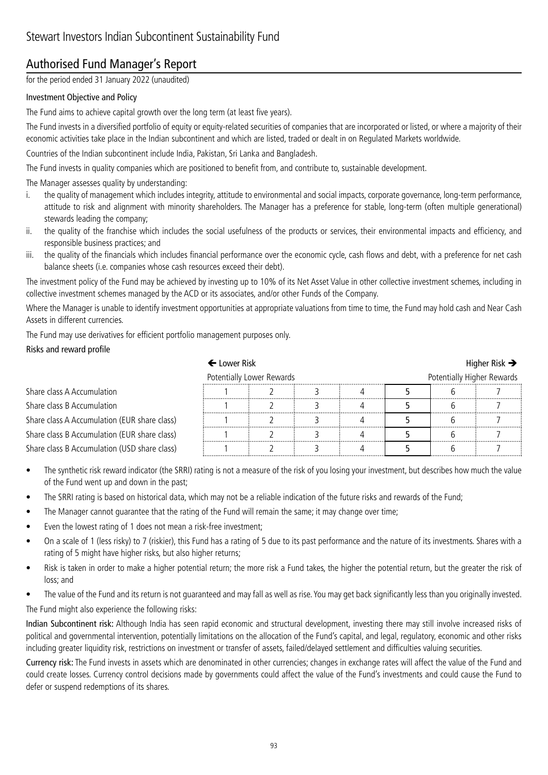### Authorised Fund Manager's Report

for the period ended 31 January 2022 (unaudited)

### Investment Objective and Policy

The Fund aims to achieve capital growth over the long term (at least five years).

The Fund invests in a diversified portfolio of equity or equity-related securities of companies that are incorporated or listed, or where a majority of their economic activities take place in the Indian subcontinent and which are listed, traded or dealt in on Regulated Markets worldwide.

Countries of the Indian subcontinent include India, Pakistan, Sri Lanka and Bangladesh.

The Fund invests in quality companies which are positioned to benefit from, and contribute to, sustainable development.

The Manager assesses quality by understanding:

- i. the quality of management which includes integrity, attitude to environmental and social impacts, corporate governance, long-term performance, attitude to risk and alignment with minority shareholders. The Manager has a preference for stable, long-term (often multiple generational) stewards leading the company;
- ii. the quality of the franchise which includes the social usefulness of the products or services, their environmental impacts and efficiency, and responsible business practices; and
- iii. the quality of the financials which includes financial performance over the economic cycle, cash flows and debt, with a preference for net cash balance sheets (i.e. companies whose cash resources exceed their debt).

The investment policy of the Fund may be achieved by investing up to 10% of its Net Asset Value in other collective investment schemes, including in collective investment schemes managed by the ACD or its associates, and/or other Funds of the Company.

Where the Manager is unable to identify investment opportunities at appropriate valuations from time to time, the Fund may hold cash and Near Cash Assets in different currencies.

The Fund may use derivatives for efficient portfolio management purposes only.

### Risks and reward profile

|                                              | $\leftarrow$ Lower Risk   |  |  |                            | Higher Risk $\rightarrow$ |  |  |
|----------------------------------------------|---------------------------|--|--|----------------------------|---------------------------|--|--|
|                                              | Potentially Lower Rewards |  |  | Potentially Higher Rewards |                           |  |  |
| Share class A Accumulation                   |                           |  |  |                            |                           |  |  |
| Share class B Accumulation                   |                           |  |  |                            |                           |  |  |
| Share class A Accumulation (EUR share class) |                           |  |  |                            |                           |  |  |
| Share class B Accumulation (EUR share class) |                           |  |  |                            |                           |  |  |
| Share class B Accumulation (USD share class) |                           |  |  |                            |                           |  |  |

- The synthetic risk reward indicator (the SRRI) rating is not a measure of the risk of you losing your investment, but describes how much the value of the Fund went up and down in the past;
- The SRRI rating is based on historical data, which may not be a reliable indication of the future risks and rewards of the Fund;
- The Manager cannot guarantee that the rating of the Fund will remain the same; it may change over time;
- Even the lowest rating of 1 does not mean a risk-free investment;
- On a scale of 1 (less risky) to 7 (riskier), this Fund has a rating of 5 due to its past performance and the nature of its investments. Shares with a rating of 5 might have higher risks, but also higher returns;
- Risk is taken in order to make a higher potential return; the more risk a Fund takes, the higher the potential return, but the greater the risk of loss; and
- The value of the Fund and its return is not guaranteed and may fall as well as rise. You may get back significantly less than you originally invested.

The Fund might also experience the following risks:

Indian Subcontinent risk: Although India has seen rapid economic and structural development, investing there may still involve increased risks of political and governmental intervention, potentially limitations on the allocation of the Fund's capital, and legal, regulatory, economic and other risks including greater liquidity risk, restrictions on investment or transfer of assets, failed/delayed settlement and difficulties valuing securities.

Currency risk: The Fund invests in assets which are denominated in other currencies; changes in exchange rates will affect the value of the Fund and could create losses. Currency control decisions made by governments could affect the value of the Fund's investments and could cause the Fund to defer or suspend redemptions of its shares.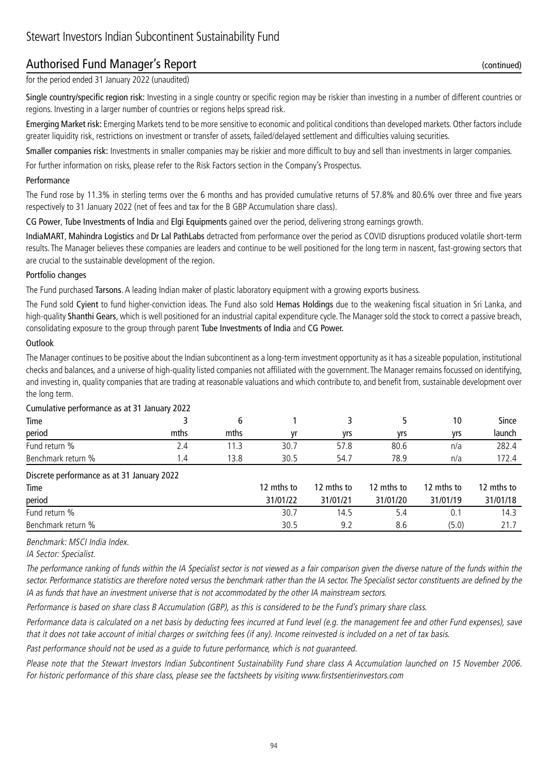### Authorised Fund Manager's Report (continued)

for the period ended 31 January 2022 (unaudited)

Single country/specific region risk: Investing in a single country or specific region may be riskier than investing in a number of different countries or regions. Investing in a larger number of countries or regions helps spread risk.

Emerging Market risk: Emerging Markets tend to be more sensitive to economic and political conditions than developed markets. Other factors include greater liquidity risk, restrictions on investment or transfer of assets, failed/delayed settlement and difficulties valuing securities.

Smaller companies risk: Investments in smaller companies may be riskier and more difficult to buy and sell than investments in larger companies.

For further information on risks, please refer to the Risk Factors section in the Company's Prospectus.

#### Performance

The Fund rose by 11.3% in sterling terms over the 6 months and has provided cumulative returns of 57.8% and 80.6% over three and five years respectively to 31 January 2022 (net of fees and tax for the B GBP Accumulation share class).

CG Power, Tube Investments of India and Elgi Equipments gained over the period, delivering strong earnings growth.

IndiaMART, Mahindra Logistics and Dr Lal PathLabs detracted from performance over the period as COVID disruptions produced volatile short-term results. The Manager believes these companies are leaders and continue to be well positioned for the long term in nascent, fast-growing sectors that are crucial to the sustainable development of the region.

### Portfolio changes

The Fund purchased Tarsons. A leading Indian maker of plastic laboratory equipment with a growing exports business.

The Fund sold Cyient to fund higher-conviction ideas. The Fund also sold Hemas Holdings due to the weakening fiscal situation in Sri Lanka, and high-quality Shanthi Gears, which is well positioned for an industrial capital expenditure cycle. The Manager sold the stock to correct a passive breach, consolidating exposure to the group through parent Tube Investments of India and CG Power.

#### **Outlook**

The Manager continues to be positive about the Indian subcontinent as a long-term investment opportunity as it has a sizeable population, institutional checks and balances, and a universe of high-quality listed companies not affiliated with the government. The Manager remains focussed on identifying, and investing in, quality companies that are trading at reasonable valuations and which contribute to, and benefit from, sustainable development over the long term.

| Cumulative performance as at 31 January 2022 |      |      |            |            |            |            |              |
|----------------------------------------------|------|------|------------|------------|------------|------------|--------------|
| Time                                         |      | 6    |            | 3          |            | 10         | <b>Since</b> |
| period                                       | mths | mths | vr         | yrs        | yrs        | yrs        | launch       |
| Fund return %                                | 2.4  | 11.3 | 30.7       | 57.8       | 80.6       | n/a        | 282.4        |
| Benchmark return %                           | 1.4  | 13.8 | 30.5       | 54.7       | 78.9       | n/a        | 172.4        |
| Discrete performance as at 31 January 2022   |      |      |            |            |            |            |              |
| Time                                         |      |      | 12 mths to | 12 mths to | 12 mths to | 12 mths to | 12 mths to   |
| period                                       |      |      | 31/01/22   | 31/01/21   | 31/01/20   | 31/01/19   | 31/01/18     |
| Fund return %                                |      |      | 30.7       | 14.5       | 5.4        | 0.1        | 14.3         |
| Benchmark return %                           |      |      | 30.5       | 9.2        | 8.6        | (5.0)      | 21.7         |
|                                              |      |      |            |            |            |            |              |

### Cumulative performance as at 31 January 2022

Benchmark: MSCI India Index.

IA Sector: Specialist.

The performance ranking of funds within the IA Specialist sector is not viewed as a fair comparison given the diverse nature of the funds within the sector. Performance statistics are therefore noted versus the benchmark rather than the IA sector. The Specialist sector constituents are defined by the IA as funds that have an investment universe that is not accommodated by the other IA mainstream sectors.

Performance is based on share class B Accumulation (GBP), as this is considered to be the Fund's primary share class.

Performance data is calculated on a net basis by deducting fees incurred at Fund level (e.g. the management fee and other Fund expenses), save that it does not take account of initial charges or switching fees (if any). Income reinvested is included on a net of tax basis.

Past performance should not be used as a guide to future performance, which is not guaranteed.

Please note that the Stewart Investors Indian Subcontinent Sustainability Fund share class A Accumulation launched on 15 November 2006. For historic performance of this share class, please see the factsheets by visiting www.firstsentierinvestors.com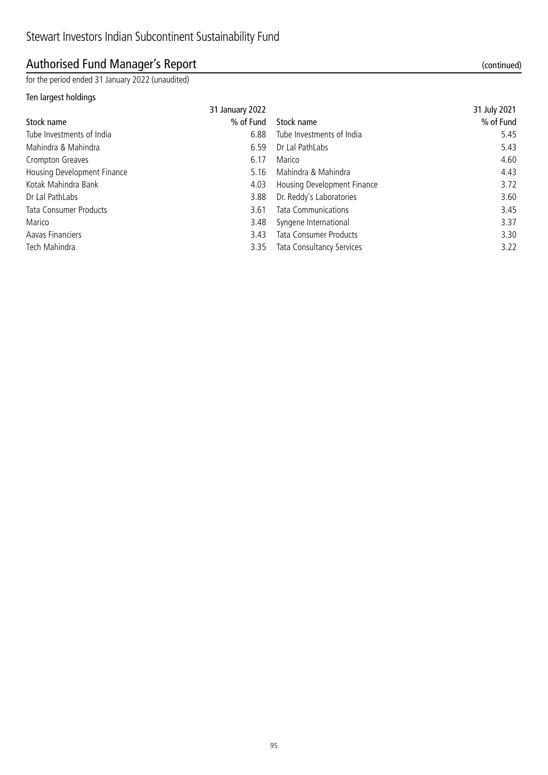## Authorised Fund Manager's Report (continued)

for the period ended 31 January 2022 (unaudited)

### Ten largest holdings

| 31 January 2022 |                      | 31 July 2021 |
|-----------------|----------------------|--------------|
|                 | % of Fund Stock name | % of Fund    |

| Stock name                    | % of Fund | Stock name                    | % of Fund |
|-------------------------------|-----------|-------------------------------|-----------|
| Tube Investments of India     | 6.88      | Tube Investments of India     | 5.45      |
| Mahindra & Mahindra           | 6.59      | Dr Lal PathLabs               | 5.43      |
| Crompton Greaves              | 6.17      | Marico                        | 4.60      |
| Housing Development Finance   | 5.16      | Mahindra & Mahindra           | 4.43      |
| Kotak Mahindra Bank           | 4.03      | Housing Development Finance   | 3.72      |
| Dr Lal PathLabs               | 3.88      | Dr. Reddy's Laboratories      | 3.60      |
| <b>Tata Consumer Products</b> | 3.61      | <b>Tata Communications</b>    | 3.45      |
| Marico                        | 3.48      | Syngene International         | 3.37      |
| Aavas Financiers              | 3.43      | <b>Tata Consumer Products</b> | 3.30      |
| Tech Mahindra                 | 3.35      | Tata Consultancy Services     | 3.22      |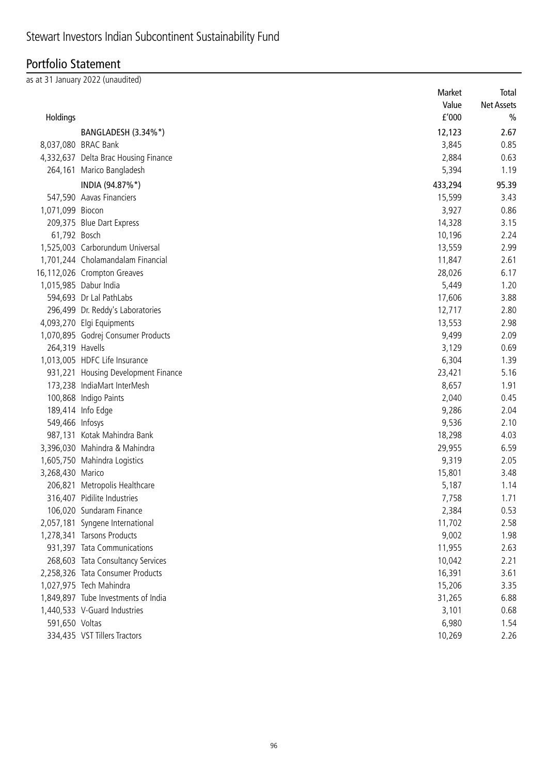## Portfolio Statement

as at 31 January 2022 (unaudited)

|                  |                                      | Market                | Total             |
|------------------|--------------------------------------|-----------------------|-------------------|
|                  |                                      | Value                 | <b>Net Assets</b> |
| Holdings         |                                      | ${\tt f}^{\prime}000$ | $\frac{0}{0}$     |
|                  | BANGLADESH (3.34%*)                  | 12,123                | 2.67              |
|                  | 8,037,080 BRAC Bank                  | 3,845                 | 0.85              |
|                  | 4,332,637 Delta Brac Housing Finance | 2,884                 | 0.63              |
|                  | 264,161 Marico Bangladesh            | 5,394                 | 1.19              |
|                  | INDIA (94.87%*)                      | 433,294               | 95.39             |
|                  | 547,590 Aavas Financiers             | 15,599                | 3.43              |
| 1,071,099 Biocon |                                      | 3,927                 | 0.86              |
|                  | 209,375 Blue Dart Express            | 14,328                | 3.15              |
| 61,792 Bosch     |                                      | 10,196                | 2.24              |
|                  | 1,525,003 Carborundum Universal      | 13,559                | 2.99              |
|                  | 1,701,244 Cholamandalam Financial    | 11,847                | 2.61              |
|                  | 16,112,026 Crompton Greaves          | 28,026                | 6.17              |
|                  | 1,015,985 Dabur India                | 5,449                 | 1.20              |
|                  | 594,693 Dr Lal PathLabs              | 17,606                | 3.88              |
|                  | 296,499 Dr. Reddy's Laboratories     | 12,717                | 2.80              |
|                  | 4,093,270 Elgi Equipments            | 13,553                | 2.98              |
|                  | 1,070,895 Godrej Consumer Products   | 9,499                 | 2.09              |
| 264,319 Havells  |                                      | 3,129                 | 0.69              |
|                  | 1,013,005 HDFC Life Insurance        | 6,304                 | 1.39              |
|                  | 931,221 Housing Development Finance  | 23,421                | 5.16              |
|                  | 173,238 IndiaMart InterMesh          | 8,657                 | 1.91              |
|                  | 100,868 Indigo Paints                | 2,040                 | 0.45              |
|                  | 189,414 Info Edge                    | 9,286                 | 2.04              |
| 549,466 Infosys  |                                      | 9,536                 | 2.10              |
|                  | 987,131 Kotak Mahindra Bank          | 18,298                | 4.03              |
|                  | 3,396,030 Mahindra & Mahindra        | 29,955                | 6.59              |
|                  | 1,605,750 Mahindra Logistics         | 9,319                 | 2.05              |
| 3,268,430 Marico |                                      | 15,801                | 3.48              |
|                  | 206,821 Metropolis Healthcare        | 5,187                 | 1.14              |
|                  | 316,407 Pidilite Industries          | 7,758                 | 1.71              |
|                  | 106,020 Sundaram Finance             | 2,384                 | 0.53              |
|                  | 2,057,181 Syngene International      | 11,702                | 2.58              |
|                  | 1,278,341 Tarsons Products           | 9,002                 | 1.98              |
|                  | 931,397 Tata Communications          | 11,955                | 2.63              |
|                  | 268,603 Tata Consultancy Services    | 10,042                | 2.21              |
|                  | 2,258,326 Tata Consumer Products     | 16,391                | 3.61              |
|                  | 1,027,975 Tech Mahindra              | 15,206                | 3.35              |
|                  | 1,849,897 Tube Investments of India  | 31,265                | 6.88              |
|                  | 1,440,533 V-Guard Industries         | 3,101                 | 0.68              |
| 591,650 Voltas   |                                      | 6,980                 | 1.54              |
|                  | 334,435 VST Tillers Tractors         | 10,269                | 2.26              |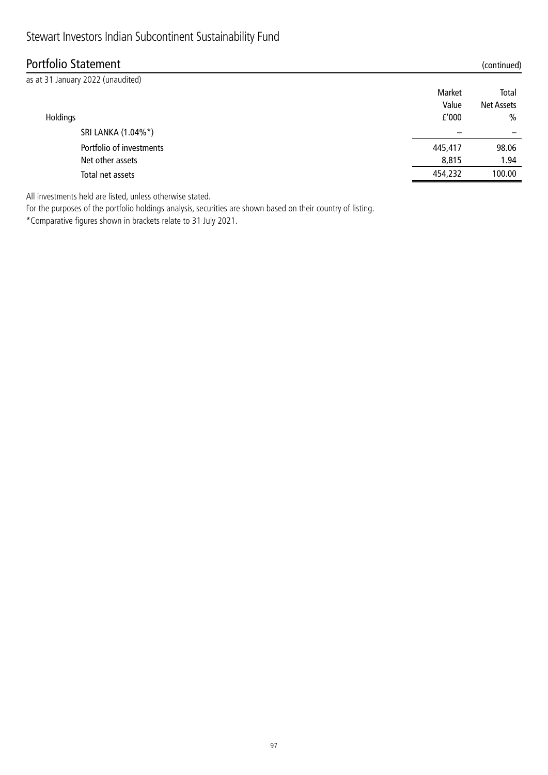## Stewart Investors Indian Subcontinent Sustainability Fund

## Portfolio Statement (continued)

| as at 31 January 2022 (unaudited) |         |                   |
|-----------------------------------|---------|-------------------|
|                                   | Market  | Total             |
|                                   | Value   | <b>Net Assets</b> |
| Holdings                          | f'000   | $\frac{0}{0}$     |
| SRI LANKA (1.04%*)                |         |                   |
| Portfolio of investments          | 445,417 | 98.06             |
| Net other assets                  | 8,815   | 1.94              |
| Total net assets                  | 454,232 | 100.00            |
|                                   |         |                   |

All investments held are listed, unless otherwise stated.

For the purposes of the portfolio holdings analysis, securities are shown based on their country of listing. \*Comparative figures shown in brackets relate to 31 July 2021.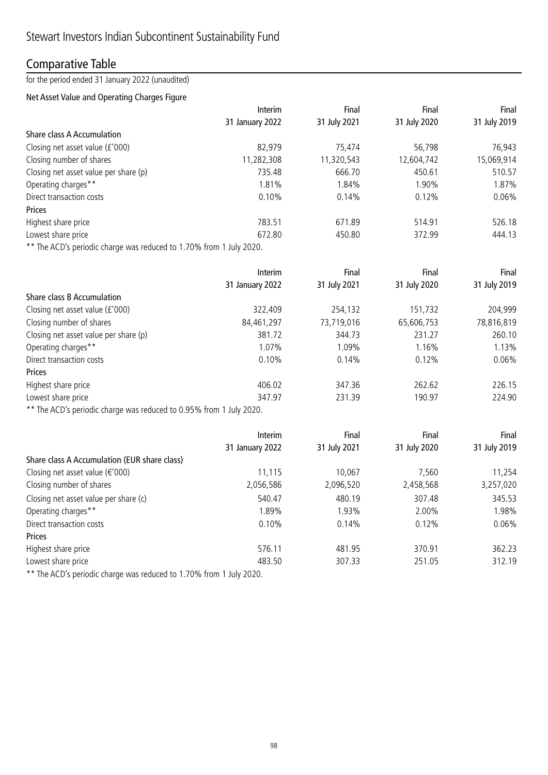### Comparative Table

for the period ended 31 January 2022 (unaudited)

### Net Asset Value and Operating Charges Figure

|                                       | Interim         | Final        | Final        | Final        |
|---------------------------------------|-----------------|--------------|--------------|--------------|
|                                       | 31 January 2022 | 31 July 2021 | 31 July 2020 | 31 July 2019 |
| Share class A Accumulation            |                 |              |              |              |
| Closing net asset value (£'000)       | 82,979          | 75,474       | 56,798       | 76,943       |
| Closing number of shares              | 11,282,308      | 11,320,543   | 12,604,742   | 15,069,914   |
| Closing net asset value per share (p) | 735.48          | 666.70       | 450.61       | 510.57       |
| Operating charges**                   | 1.81%           | 1.84%        | 1.90%        | 1.87%        |
| Direct transaction costs              | 0.10%           | 0.14%        | 0.12%        | $0.06\%$     |
| Prices                                |                 |              |              |              |
| Highest share price                   | 783.51          | 671.89       | 514.91       | 526.18       |
| Lowest share price                    | 672.80          | 450.80       | 372.99       | 444.13       |
| $\blacksquare$                        |                 |              |              |              |

\*\* The ACD's periodic charge was reduced to 1.70% from 1 July 2020.

|                                       | <b>Interim</b>  | Final        | Final        | Final        |
|---------------------------------------|-----------------|--------------|--------------|--------------|
|                                       | 31 January 2022 | 31 July 2021 | 31 July 2020 | 31 July 2019 |
| Share class B Accumulation            |                 |              |              |              |
| Closing net asset value (£'000)       | 322,409         | 254,132      | 151,732      | 204,999      |
| Closing number of shares              | 84,461,297      | 73,719,016   | 65,606,753   | 78,816,819   |
| Closing net asset value per share (p) | 381.72          | 344.73       | 231.27       | 260.10       |
| Operating charges**                   | 1.07%           | 1.09%        | 1.16%        | 1.13%        |
| Direct transaction costs              | 0.10%           | 0.14%        | 0.12%        | 0.06%        |
| Prices                                |                 |              |              |              |
| Highest share price                   | 406.02          | 347.36       | 262.62       | 226.15       |
| Lowest share price                    | 347.97          | 231.39       | 190.97       | 224.90       |
|                                       |                 |              |              |              |

\*\* The ACD's periodic charge was reduced to 0.95% from 1 July 2020.

|                                              | <b>Interim</b>  | Final        | Final        | Final        |
|----------------------------------------------|-----------------|--------------|--------------|--------------|
|                                              | 31 January 2022 | 31 July 2021 | 31 July 2020 | 31 July 2019 |
| Share class A Accumulation (EUR share class) |                 |              |              |              |
| Closing net asset value ( $\epsilon$ '000)   | 11,115          | 10,067       | 7,560        | 11,254       |
| Closing number of shares                     | 2,056,586       | 2,096,520    | 2,458,568    | 3,257,020    |
| Closing net asset value per share (c)        | 540.47          | 480.19       | 307.48       | 345.53       |
| Operating charges**                          | 1.89%           | 1.93%        | 2.00%        | 1.98%        |
| Direct transaction costs                     | 0.10%           | 0.14%        | 0.12%        | 0.06%        |
| Prices                                       |                 |              |              |              |
| Highest share price                          | 576.11          | 481.95       | 370.91       | 362.23       |
| Lowest share price                           | 483.50          | 307.33       | 251.05       | 312.19       |
| $\blacksquare$                               |                 |              |              |              |

The ACD's periodic charge was reduced to 1.70% from 1 July 2020.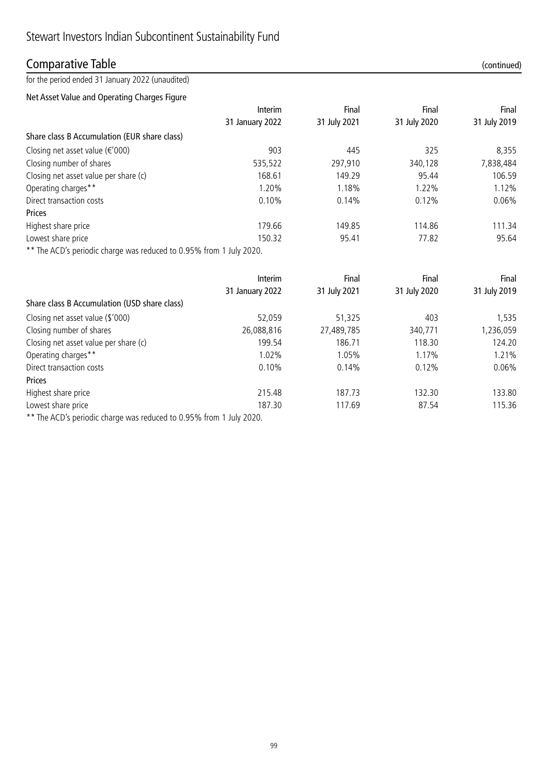### Comparative Table (continued)

for the period ended 31 January 2022 (unaudited)

Net Asset Value and Operating Charges Figure

|                                                                     | Interim         | Final        | Final        | Final        |
|---------------------------------------------------------------------|-----------------|--------------|--------------|--------------|
|                                                                     | 31 January 2022 | 31 July 2021 | 31 July 2020 | 31 July 2019 |
| Share class B Accumulation (EUR share class)                        |                 |              |              |              |
| Closing net asset value $(\epsilon' 000)$                           | 903             | 445          | 325          | 8,355        |
| Closing number of shares                                            | 535,522         | 297,910      | 340,128      | 7,838,484    |
| Closing net asset value per share (c)                               | 168.61          | 149.29       | 95.44        | 106.59       |
| Operating charges**                                                 | 1.20%           | 1.18%        | 1.22%        | 1.12%        |
| Direct transaction costs                                            | 0.10%           | 0.14%        | 0.12%        | $0.06\%$     |
| Prices                                                              |                 |              |              |              |
| Highest share price                                                 | 179.66          | 149.85       | 114.86       | 111.34       |
| Lowest share price                                                  | 150.32          | 95.41        | 77.82        | 95.64        |
| ** The ACD's periodic charge was reduced to 0.95% from 1 July 2020. |                 |              |              |              |

|                                              | Interim         | Final        | Final        | Final        |
|----------------------------------------------|-----------------|--------------|--------------|--------------|
|                                              | 31 January 2022 | 31 July 2021 | 31 July 2020 | 31 July 2019 |
| Share class B Accumulation (USD share class) |                 |              |              |              |
| Closing net asset value (\$'000)             | 52,059          | 51,325       | 403          | 1,535        |
| Closing number of shares                     | 26,088,816      | 27,489,785   | 340,771      | ,236,059     |
| Closing net asset value per share (c)        | 199.54          | 186.71       | 118.30       | 124.20       |
| Operating charges**                          | 1.02%           | 1.05%        | 1.17%        | 1.21%        |
| Direct transaction costs                     | 0.10%           | 0.14%        | 0.12%        | $0.06\%$     |
| Prices                                       |                 |              |              |              |
| Highest share price                          | 215.48          | 187.73       | 132.30       | 133.80       |
| Lowest share price                           | 187.30          | 117.69       | 87.54        | 115.36       |
|                                              |                 |              |              |              |

\*\* The ACD's periodic charge was reduced to 0.95% from 1 July 2020.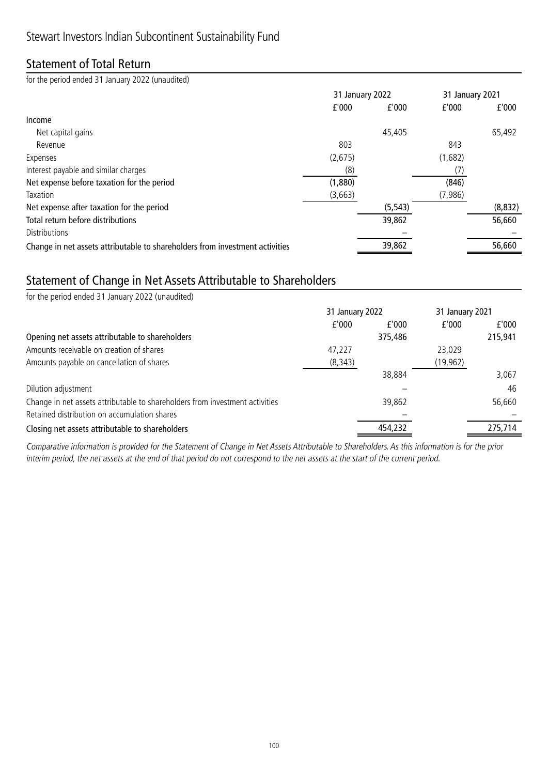### Statement of Total Return

for the period ended 31 January 2022 (unaudited)

|                                                                              |         | 31 January 2022 |         | 31 January 2021 |
|------------------------------------------------------------------------------|---------|-----------------|---------|-----------------|
|                                                                              | f'000   | f'000           | f'000   | f'000           |
| Income                                                                       |         |                 |         |                 |
| Net capital gains                                                            |         | 45,405          |         | 65,492          |
| Revenue                                                                      | 803     |                 | 843     |                 |
| Expenses                                                                     | (2,675) |                 | (1,682) |                 |
| Interest payable and similar charges                                         | (8)     |                 |         |                 |
| Net expense before taxation for the period                                   | (1,880) |                 | (846)   |                 |
| Taxation                                                                     | (3,663) |                 | (7,986) |                 |
| Net expense after taxation for the period                                    |         | (5, 543)        |         | (8,832)         |
| Total return before distributions                                            |         | 39,862          |         | 56,660          |
| <b>Distributions</b>                                                         |         |                 |         |                 |
| Change in net assets attributable to shareholders from investment activities |         | 39,862          |         | 56,660          |

### Statement of Change in Net Assets Attributable to Shareholders

| for the period ended 31 January 2022 (unaudited)                             |                 |         |                 |         |
|------------------------------------------------------------------------------|-----------------|---------|-----------------|---------|
|                                                                              | 31 January 2022 |         | 31 January 2021 |         |
|                                                                              | f'000           | f'000   | f'000           | £'000   |
| Opening net assets attributable to shareholders                              |                 | 375,486 |                 | 215,941 |
| Amounts receivable on creation of shares                                     | 47,227          |         | 23,029          |         |
| Amounts payable on cancellation of shares                                    | (8, 343)        |         | (19, 962)       |         |
|                                                                              |                 | 38,884  |                 | 3,067   |
| Dilution adjustment                                                          |                 |         |                 | 46      |
| Change in net assets attributable to shareholders from investment activities |                 | 39,862  |                 | 56,660  |
| Retained distribution on accumulation shares                                 |                 |         |                 |         |
| Closing net assets attributable to shareholders                              |                 | 454,232 |                 | 275,714 |

Comparative information is provided for the Statement of Change in Net Assets Attributable to Shareholders. As this information is for the prior interim period, the net assets at the end of that period do not correspond to the net assets at the start of the current period.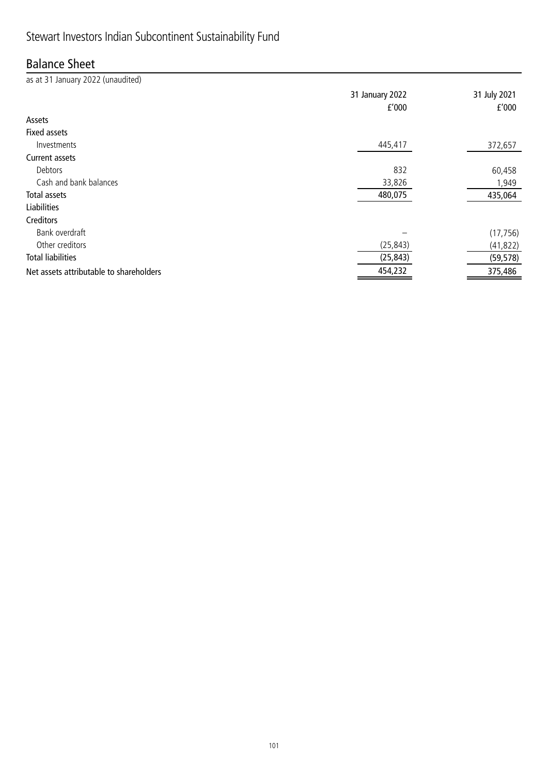# Stewart Investors Indian Subcontinent Sustainability Fund

### Balance Sheet

| as at 31 January 2022 (unaudited)       |                 |              |
|-----------------------------------------|-----------------|--------------|
|                                         | 31 January 2022 | 31 July 2021 |
|                                         | f'000           | f'000        |
| Assets                                  |                 |              |
| <b>Fixed assets</b>                     |                 |              |
| Investments                             | 445,417         | 372,657      |
| Current assets                          |                 |              |
| Debtors                                 | 832             | 60,458       |
| Cash and bank balances                  | 33,826          | 1,949        |
| Total assets                            | 480,075         | 435,064      |
| <b>Liabilities</b>                      |                 |              |
| Creditors                               |                 |              |
| Bank overdraft                          |                 | (17, 756)    |
| Other creditors                         | (25, 843)       | (41, 822)    |
| <b>Total liabilities</b>                | (25, 843)       | (59, 578)    |
| Net assets attributable to shareholders | 454,232         | 375,486      |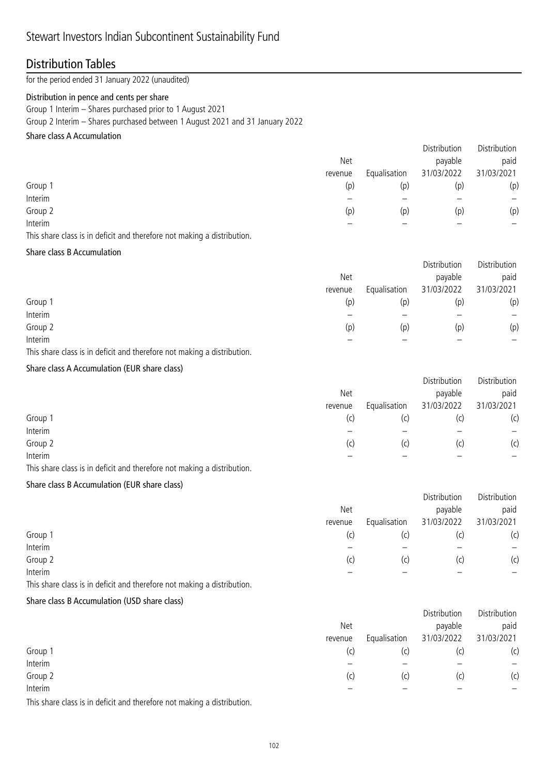### Distribution Tables

for the period ended 31 January 2022 (unaudited)

#### Distribution in pence and cents per share

Group 1 Interim – Shares purchased prior to 1 August 2021

Group 2 Interim – Shares purchased between 1 August 2021 and 31 January 2022

### Share class A Accumulation

|                                                                                                                 |         |              | Distribution | Distribution |
|-----------------------------------------------------------------------------------------------------------------|---------|--------------|--------------|--------------|
|                                                                                                                 | Net     |              | payable      | paid         |
|                                                                                                                 | revenue | Equalisation | 31/03/2022   | 31/03/2021   |
| Group 1                                                                                                         | (p)     | (p)          | (p)          | (p)          |
| Interim                                                                                                         |         |              |              |              |
| Group 2                                                                                                         | (p)     | (p)          | (p)          | (p)          |
| Interim                                                                                                         |         |              |              |              |
| the contract of the contract of the contract of the contract of the contract of the contract of the contract of |         |              |              |              |

This share class is in deficit and therefore not making a distribution.

#### Share class B Accumulation

|         |         |              | Distribution | Distribution |
|---------|---------|--------------|--------------|--------------|
|         | Net     |              | payable      | paid         |
|         | revenue | Equalisation | 31/03/2022   | 31/03/2021   |
| Group 1 | (p)     | (p)          | (p)          | (p)          |
| Interim |         |              |              |              |
| Group 2 | (p)     | (p)          | (p)          | (p)          |
| Interim |         |              |              |              |

This share class is in deficit and therefore not making a distribution.

### Share class A Accumulation (EUR share class)

|         |         |              | Distribution | Distribution |
|---------|---------|--------------|--------------|--------------|
|         | Net     |              | payable      | paid         |
|         | revenue | Equalisation | 31/03/2022   | 31/03/2021   |
| Group 1 | (c)     | (C)          | (C)          | (c)          |
| Interim |         |              |              |              |
| Group 2 | (C)     | (c)          | (C)          | (c)          |
| Interim |         |              |              |              |

This share class is in deficit and therefore not making a distribution.

### Share class B Accumulation (EUR share class)

|         |         |              | Distribution | Distribution |
|---------|---------|--------------|--------------|--------------|
|         | Net     |              | payable      | paid         |
|         | revenue | Equalisation | 31/03/2022   | 31/03/2021   |
| Group 1 | (c)     | (C)          | (C)          | (c)          |
| Interim |         |              |              |              |
| Group 2 | (c)     | (c)          | (C)          | (c)          |
| Interim |         |              |              |              |

This share class is in deficit and therefore not making a distribution.

### Share class B Accumulation (USD share class)

|                                                                                                                                                                                                                                                |                         |            | Distribution | Distribution |
|------------------------------------------------------------------------------------------------------------------------------------------------------------------------------------------------------------------------------------------------|-------------------------|------------|--------------|--------------|
|                                                                                                                                                                                                                                                | Net                     |            | payable      | paid         |
|                                                                                                                                                                                                                                                | Equalisation<br>revenue | 31/03/2022 | 31/03/2021   |              |
| Group 1                                                                                                                                                                                                                                        | (c)                     | (c)        | (c,          | (c)          |
| Interim                                                                                                                                                                                                                                        |                         |            |              |              |
| Group 2                                                                                                                                                                                                                                        | (c)                     | (c)        | (c)          | (c)          |
| Interim                                                                                                                                                                                                                                        |                         |            |              |              |
| $\mathcal{L}$ and the contract of the contract of the contract of the contract of the contract of the contract of the contract of the contract of the contract of the contract of the contract of the contract of the contract of<br>$-1$ $-1$ |                         |            |              |              |

This share class is in deficit and therefore not making a distribution.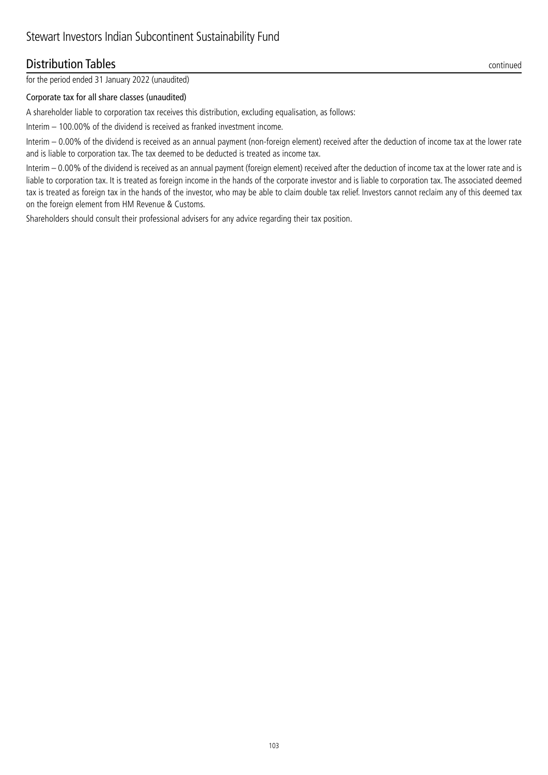### **Distribution Tables** continued

for the period ended 31 January 2022 (unaudited)

#### Corporate tax for all share classes (unaudited)

A shareholder liable to corporation tax receives this distribution, excluding equalisation, as follows:

Interim – 100.00% of the dividend is received as franked investment income.

Interim – 0.00% of the dividend is received as an annual payment (non-foreign element) received after the deduction of income tax at the lower rate and is liable to corporation tax. The tax deemed to be deducted is treated as income tax.

Interim – 0.00% of the dividend is received as an annual payment (foreign element) received after the deduction of income tax at the lower rate and is liable to corporation tax. It is treated as foreign income in the hands of the corporate investor and is liable to corporation tax. The associated deemed tax is treated as foreign tax in the hands of the investor, who may be able to claim double tax relief. Investors cannot reclaim any of this deemed tax on the foreign element from HM Revenue & Customs.

Shareholders should consult their professional advisers for any advice regarding their tax position.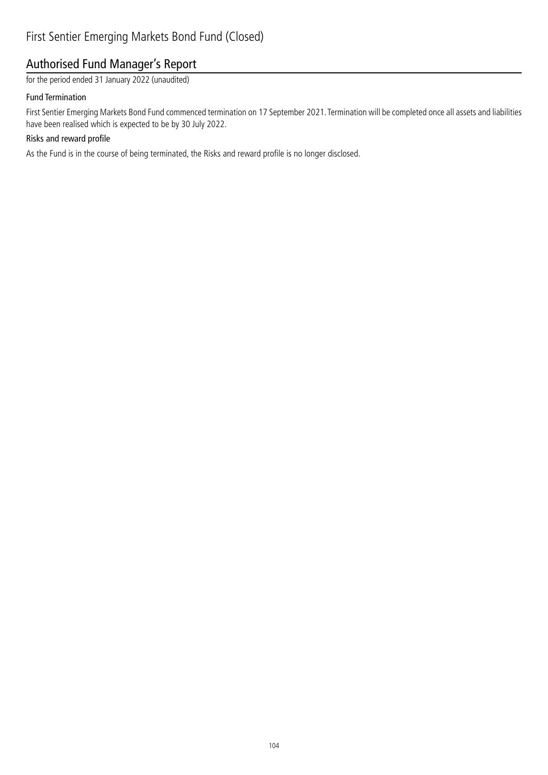### Authorised Fund Manager's Report

for the period ended 31 January 2022 (unaudited)

#### Fund Termination

First Sentier Emerging Markets Bond Fund commenced termination on 17 September 2021. Termination will be completed once all assets and liabilities have been realised which is expected to be by 30 July 2022.

### Risks and reward profile

As the Fund is in the course of being terminated, the Risks and reward profile is no longer disclosed.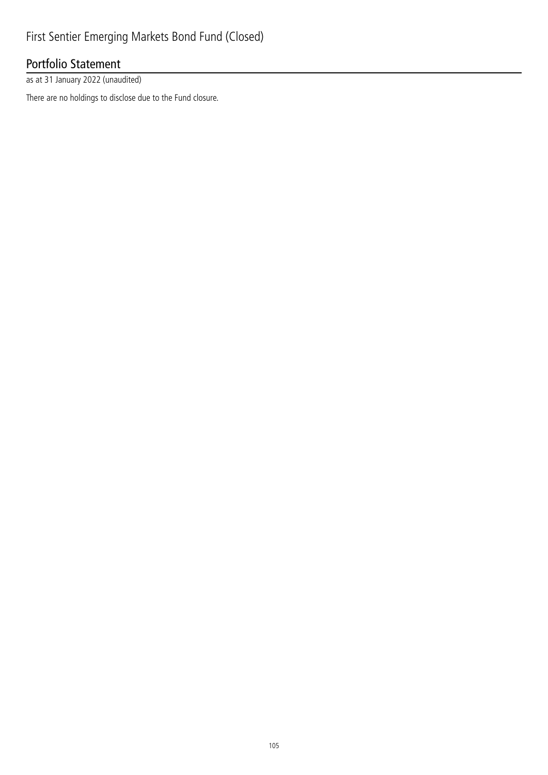## Portfolio Statement

as at 31 January 2022 (unaudited)

There are no holdings to disclose due to the Fund closure.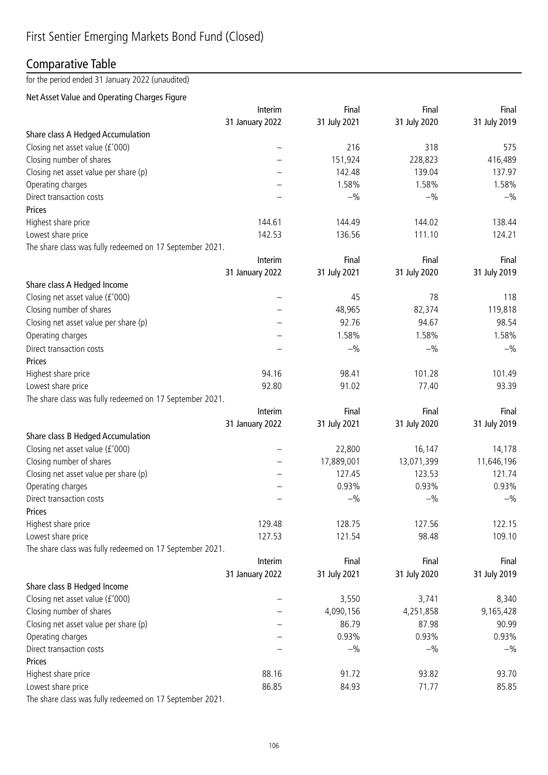## Comparative Table

#### for the period ended 31 January 2022 (unaudited)

#### Net Asset Value and Operating Charges Figure

|                                                          | Interim         | Final        | Final        | Final        |
|----------------------------------------------------------|-----------------|--------------|--------------|--------------|
|                                                          | 31 January 2022 | 31 July 2021 | 31 July 2020 | 31 July 2019 |
| Share class A Hedged Accumulation                        |                 |              |              |              |
| Closing net asset value (£'000)                          |                 | 216          | 318          | 575          |
| Closing number of shares                                 |                 | 151,924      | 228,823      | 416,489      |
| Closing net asset value per share (p)                    |                 | 142.48       | 139.04       | 137.97       |
| Operating charges                                        |                 | 1.58%        | 1.58%        | 1.58%        |
| Direct transaction costs                                 |                 | $-$ %        | $-$ %        | $-$ %        |
| Prices                                                   |                 |              |              |              |
| Highest share price                                      | 144.61          | 144.49       | 144.02       | 138.44       |
| Lowest share price                                       | 142.53          | 136.56       | 111.10       | 124.21       |
| The share class was fully redeemed on 17 September 2021. |                 |              |              |              |
|                                                          | Interim         | Final        | Final        | Final        |
|                                                          | 31 January 2022 | 31 July 2021 | 31 July 2020 | 31 July 2019 |
| Share class A Hedged Income                              |                 |              |              |              |
| Closing net asset value (£'000)                          |                 | 45           | 78           | 118          |
| Closing number of shares                                 |                 | 48,965       | 82,374       | 119,818      |
| Closing net asset value per share (p)                    |                 | 92.76        | 94.67        | 98.54        |
| Operating charges                                        |                 | 1.58%        | 1.58%        | 1.58%        |
| Direct transaction costs                                 |                 | $-$ %        | $-$ %        | $-$ %        |
| Prices                                                   |                 |              |              |              |
| Highest share price                                      | 94.16           | 98.41        | 101.28       | 101.49       |
| Lowest share price                                       | 92.80           | 91.02        | 77.40        | 93.39        |
| The share class was fully redeemed on 17 September 2021. |                 |              |              |              |
|                                                          | Interim         | Final        | Final        | Final        |
|                                                          | 31 January 2022 | 31 July 2021 | 31 July 2020 | 31 July 2019 |
| Share class B Hedged Accumulation                        |                 |              |              |              |
| Closing net asset value (£'000)                          |                 | 22,800       | 16,147       | 14,178       |
| Closing number of shares                                 |                 | 17,889,001   | 13,071,399   | 11,646,196   |
| Closing net asset value per share (p)                    |                 | 127.45       | 123.53       | 121.74       |
| Operating charges                                        |                 | 0.93%        | 0.93%        | 0.93%        |
| Direct transaction costs                                 |                 | $-$ %        | $-$ %        | $-$ %        |
| Prices                                                   |                 |              |              |              |
| Highest share price                                      | 129.48          | 128.75       | 127.56       | 122.15       |
| Lowest share price                                       | 127.53          | 121.54       | 98.48        | 109.10       |
| The share class was fully redeemed on 17 September 2021. |                 |              |              |              |
|                                                          | Interim         | Final        | Final        | Final        |
|                                                          | 31 January 2022 | 31 July 2021 | 31 July 2020 | 31 July 2019 |
| Share class B Hedged Income                              |                 |              |              |              |
| Closing net asset value (£'000)                          |                 | 3,550        | 3,741        | 8,340        |
| Closing number of shares                                 |                 | 4,090,156    | 4,251,858    | 9,165,428    |
| Closing net asset value per share (p)                    |                 | 86.79        | 87.98        | 90.99        |
| Operating charges                                        |                 | 0.93%        | 0.93%        | 0.93%        |
| Direct transaction costs                                 |                 | $-$ %        | $-$ %        | $-$ %        |
| Prices                                                   |                 |              |              |              |
| Highest share price                                      | 88.16           | 91.72        | 93.82        | 93.70        |
| Lowest share price                                       | 86.85           | 84.93        | 71.77        | 85.85        |
| The share class was fully redeemed on 17 September 2021. |                 |              |              |              |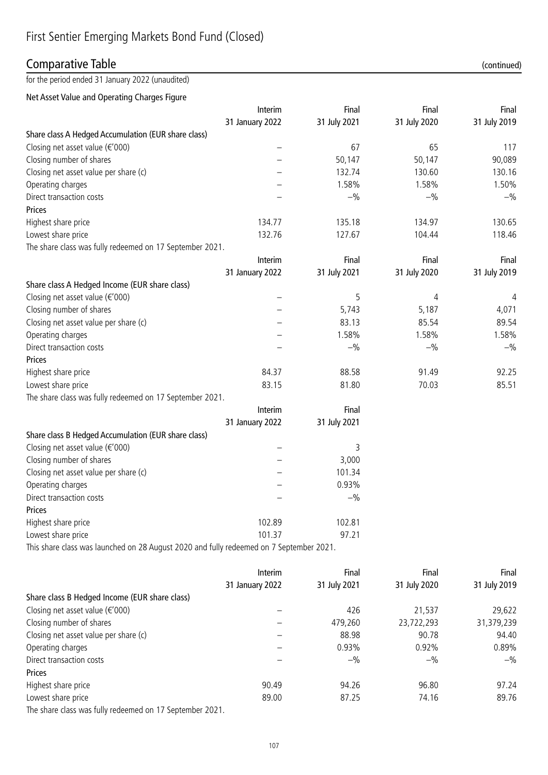## Comparative Table (continued)

for the period ended 31 January 2022 (unaudited)

Net Asset Value and Operating Charges Figure

|                                                                                         | Interim         | Final        | Final        | Final        |
|-----------------------------------------------------------------------------------------|-----------------|--------------|--------------|--------------|
|                                                                                         | 31 January 2022 | 31 July 2021 | 31 July 2020 | 31 July 2019 |
| Share class A Hedged Accumulation (EUR share class)                                     |                 |              |              |              |
| Closing net asset value $(\epsilon' 000)$                                               |                 | 67           | 65           | 117          |
| Closing number of shares                                                                |                 | 50,147       | 50,147       | 90,089       |
| Closing net asset value per share (c)                                                   |                 | 132.74       | 130.60       | 130.16       |
| Operating charges                                                                       |                 | 1.58%        | 1.58%        | 1.50%        |
| Direct transaction costs                                                                |                 | $-$ %        | $-$ %        | $-$ %        |
| Prices                                                                                  |                 |              |              |              |
| Highest share price                                                                     | 134.77          | 135.18       | 134.97       | 130.65       |
| Lowest share price                                                                      | 132.76          | 127.67       | 104.44       | 118.46       |
| The share class was fully redeemed on 17 September 2021.                                |                 |              |              |              |
|                                                                                         | Interim         | Final        | Final        | Final        |
|                                                                                         | 31 January 2022 | 31 July 2021 | 31 July 2020 | 31 July 2019 |
| Share class A Hedged Income (EUR share class)                                           |                 |              |              |              |
| Closing net asset value (€'000)                                                         |                 | 5            | 4            | 4            |
| Closing number of shares                                                                |                 | 5,743        | 5,187        | 4,071        |
| Closing net asset value per share (c)                                                   |                 | 83.13        | 85.54        | 89.54        |
| Operating charges                                                                       |                 | 1.58%        | 1.58%        | 1.58%        |
| Direct transaction costs                                                                |                 | $-$ %        | $-$ %        | $-$ %        |
| Prices                                                                                  |                 |              |              |              |
| Highest share price                                                                     | 84.37           | 88.58        | 91.49        | 92.25        |
| Lowest share price                                                                      | 83.15           | 81.80        | 70.03        | 85.51        |
| The share class was fully redeemed on 17 September 2021.                                |                 |              |              |              |
|                                                                                         | Interim         | Final        |              |              |
|                                                                                         | 31 January 2022 | 31 July 2021 |              |              |
| Share class B Hedged Accumulation (EUR share class)                                     |                 |              |              |              |
| Closing net asset value (€'000)                                                         |                 | 3            |              |              |
| Closing number of shares                                                                |                 | 3,000        |              |              |
| Closing net asset value per share (c)                                                   |                 | 101.34       |              |              |
| Operating charges                                                                       |                 | 0.93%        |              |              |
| Direct transaction costs                                                                |                 | $-$ %        |              |              |
| Prices                                                                                  |                 |              |              |              |
| Highest share price                                                                     | 102.89          | 102.81       |              |              |
| Lowest share price                                                                      | 101.37          | 97.21        |              |              |
| This share class was launched on 28 August 2020 and fully redeemed on 7 September 2021. |                 |              |              |              |

|                                                          | Interim         | Final        | Final        | Final        |
|----------------------------------------------------------|-----------------|--------------|--------------|--------------|
|                                                          | 31 January 2022 | 31 July 2021 | 31 July 2020 | 31 July 2019 |
| Share class B Hedged Income (EUR share class)            |                 |              |              |              |
| Closing net asset value $(\epsilon' 000)$                |                 | 426          | 21,537       | 29,622       |
| Closing number of shares                                 |                 | 479,260      | 23,722,293   | 31,379,239   |
| Closing net asset value per share (c)                    |                 | 88.98        | 90.78        | 94.40        |
| Operating charges                                        |                 | 0.93%        | 0.92%        | 0.89%        |
| Direct transaction costs                                 |                 | $-$ %        | $-$ %        | $-$ %        |
| <b>Prices</b>                                            |                 |              |              |              |
| Highest share price                                      | 90.49           | 94.26        | 96.80        | 97.24        |
| Lowest share price                                       | 89.00           | 87.25        | 74.16        | 89.76        |
| The share class was fully redeemed on 17 September 2021. |                 |              |              |              |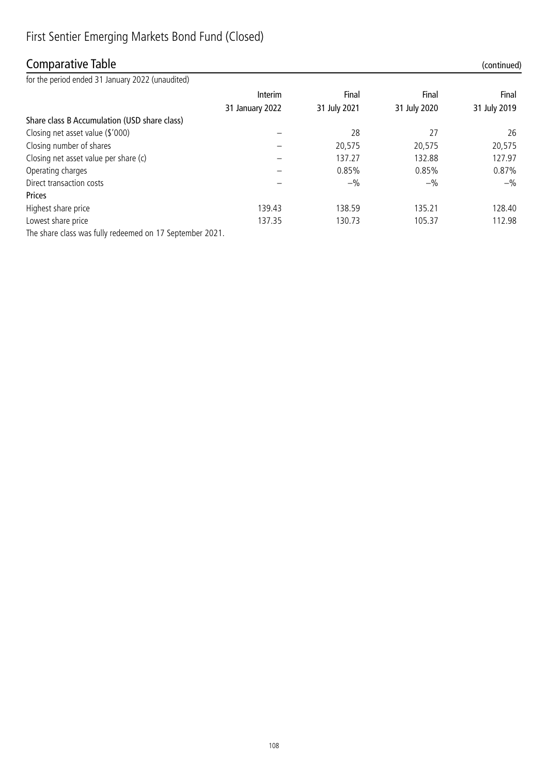## First Sentier Emerging Markets Bond Fund (Closed)

## Comparative Table (continued)

for the period ended 31 January 2022 (unaudited)

| TOT tric period ended 3 F January 2022 (unaquited)           |                 |              |              |              |
|--------------------------------------------------------------|-----------------|--------------|--------------|--------------|
|                                                              | Interim         | Final        | Final        | Final        |
|                                                              | 31 January 2022 | 31 July 2021 | 31 July 2020 | 31 July 2019 |
| Share class B Accumulation (USD share class)                 |                 |              |              |              |
| Closing net asset value (\$'000)                             |                 | 28           | 27           | 26           |
| Closing number of shares                                     |                 | 20,575       | 20,575       | 20,575       |
| Closing net asset value per share (c)                        |                 | 137.27       | 132.88       | 127.97       |
| Operating charges                                            |                 | 0.85%        | 0.85%        | 0.87%        |
| Direct transaction costs                                     |                 | $-$ %        | $-$ %        | $-$ %        |
| Prices                                                       |                 |              |              |              |
| Highest share price                                          | 139.43          | 138.59       | 135.21       | 128.40       |
| Lowest share price                                           | 137.35          | 130.73       | 105.37       | 112.98       |
| The change december fully and conceled at 47 Contractor 2004 |                 |              |              |              |

The share class was fully redeemed on 17 September 2021.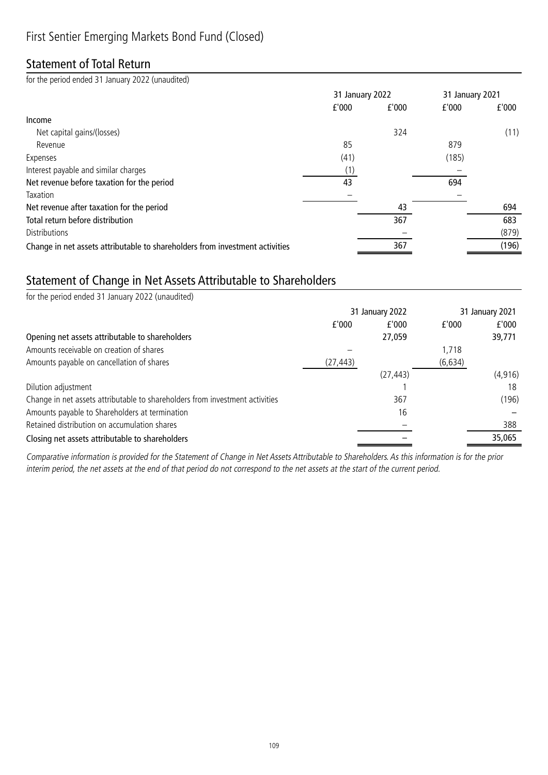## Statement of Total Return

for the period ended 31 January 2022 (unaudited)

|                                                                              | 31 January 2022 |       |       | 31 January 2021 |
|------------------------------------------------------------------------------|-----------------|-------|-------|-----------------|
|                                                                              | f'000           | f'000 | f'000 | f'000           |
| Income                                                                       |                 |       |       |                 |
| Net capital gains/(losses)                                                   |                 | 324   |       | (11)            |
| Revenue                                                                      | 85              |       | 879   |                 |
| Expenses                                                                     | (41)            |       | (185) |                 |
| Interest payable and similar charges                                         | (1)             |       |       |                 |
| Net revenue before taxation for the period                                   | 43              |       | 694   |                 |
| Taxation                                                                     |                 |       |       |                 |
| Net revenue after taxation for the period                                    |                 | 43    |       | 694             |
| Total return before distribution                                             |                 | 367   |       | 683             |
| <b>Distributions</b>                                                         |                 |       |       | (879)           |
| Change in net assets attributable to shareholders from investment activities |                 | 367   |       | (196)           |

## Statement of Change in Net Assets Attributable to Shareholders

| for the period ended 31 January 2022 (unaudited)                             |           |                 |          |                 |
|------------------------------------------------------------------------------|-----------|-----------------|----------|-----------------|
|                                                                              |           | 31 January 2022 |          | 31 January 2021 |
|                                                                              | f'000     | f'000           | f'000    | f'000           |
| Opening net assets attributable to shareholders                              |           | 27,059          |          | 39,771          |
| Amounts receivable on creation of shares                                     |           |                 | 1,718    |                 |
| Amounts payable on cancellation of shares                                    | (27, 443) |                 | (6, 634) |                 |
|                                                                              |           | (27, 443)       |          | (4, 916)        |
| Dilution adjustment                                                          |           |                 |          | 18              |
| Change in net assets attributable to shareholders from investment activities |           | 367             |          | (196)           |
| Amounts payable to Shareholders at termination                               |           | 16              |          |                 |
| Retained distribution on accumulation shares                                 |           |                 |          | 388             |
| Closing net assets attributable to shareholders                              |           |                 |          | 35,065          |

Comparative information is provided for the Statement of Change in Net Assets Attributable to Shareholders. As this information is for the prior interim period, the net assets at the end of that period do not correspond to the net assets at the start of the current period.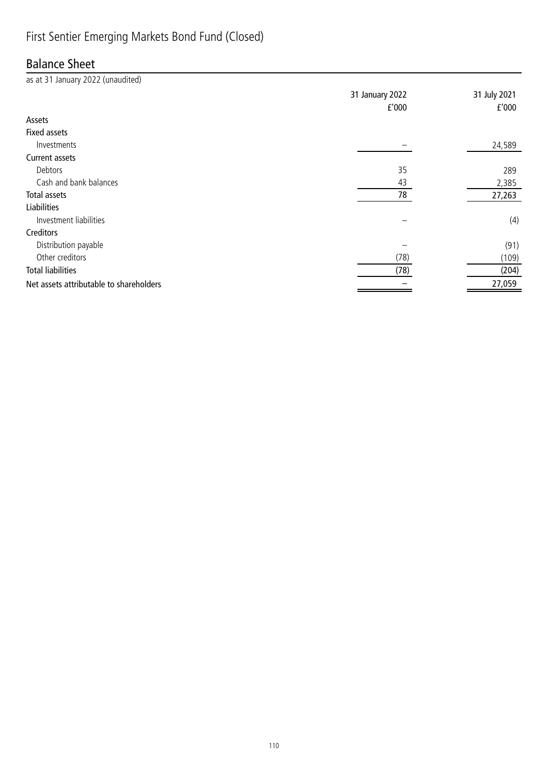## First Sentier Emerging Markets Bond Fund (Closed)

#### Balance Sheet

| as at 31 January 2022 (unaudited)       |                 |              |
|-----------------------------------------|-----------------|--------------|
|                                         | 31 January 2022 | 31 July 2021 |
|                                         | f'000           | f'000        |
| Assets                                  |                 |              |
| <b>Fixed assets</b>                     |                 |              |
| Investments                             |                 | 24,589       |
| Current assets                          |                 |              |
| Debtors                                 | 35              | 289          |
| Cash and bank balances                  | 43              | 2,385        |
| Total assets                            | 78              | 27,263       |
| <b>Liabilities</b>                      |                 |              |
| Investment liabilities                  |                 | (4)          |
| Creditors                               |                 |              |
| Distribution payable                    |                 | (91)         |
| Other creditors                         | (78)            | (109)        |
| <b>Total liabilities</b>                | (78)            | (204)        |
| Net assets attributable to shareholders |                 | 27,059       |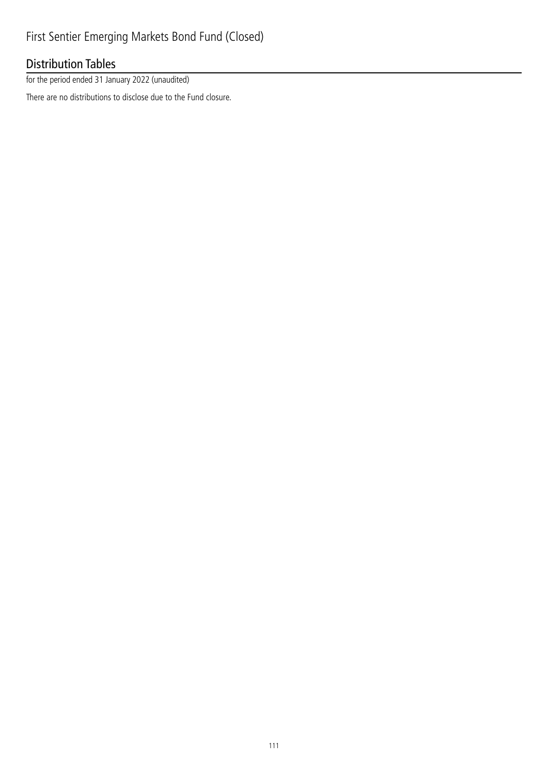## Distribution Tables

for the period ended 31 January 2022 (unaudited)

There are no distributions to disclose due to the Fund closure.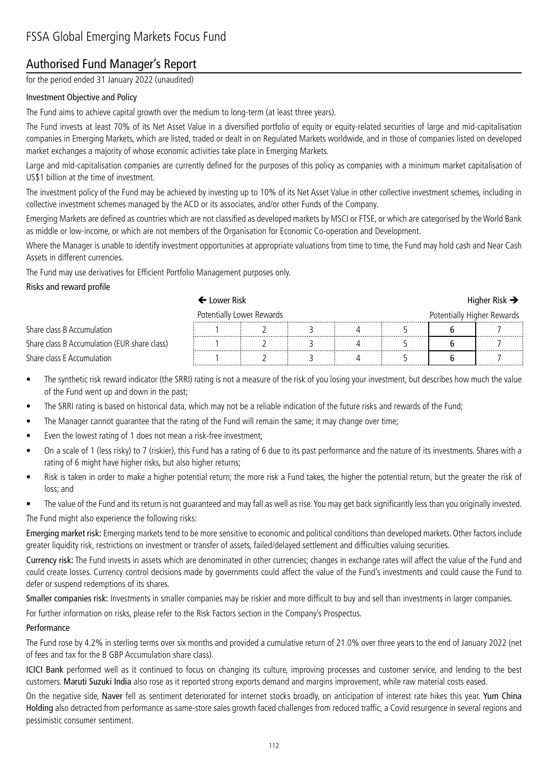## Authorised Fund Manager's Report

for the period ended 31 January 2022 (unaudited)

#### Investment Objective and Policy

The Fund aims to achieve capital growth over the medium to long-term (at least three years).

The Fund invests at least 70% of its Net Asset Value in a diversified portfolio of equity or equity-related securities of large and mid-capitalisation companies in Emerging Markets, which are listed, traded or dealt in on Regulated Markets worldwide, and in those of companies listed on developed market exchanges a majority of whose economic activities take place in Emerging Markets.

Large and mid-capitalisation companies are currently defined for the purposes of this policy as companies with a minimum market capitalisation of US\$1 billion at the time of investment.

The investment policy of the Fund may be achieved by investing up to 10% of its Net Asset Value in other collective investment schemes, including in collective investment schemes managed by the ACD or its associates, and/or other Funds of the Company.

Emerging Markets are defined as countries which are not classified as developed markets by MSCI or FTSE, or which are categorised by the World Bank as middle or low-income, or which are not members of the Organisation for Economic Co-operation and Development.

Where the Manager is unable to identify investment opportunities at appropriate valuations from time to time, the Fund may hold cash and Near Cash Assets in different currencies.

The Fund may use derivatives for Efficient Portfolio Management purposes only.

#### Risks and reward profile

#### $\leftarrow$  Lower Risk  $\rightarrow$

| Potentially Lower Rewards                    |  |  |  |  | Potentially Higher Rewards |  |  |
|----------------------------------------------|--|--|--|--|----------------------------|--|--|
| Share class B Accumulation                   |  |  |  |  | .                          |  |  |
| Share class B Accumulation (EUR share class) |  |  |  |  |                            |  |  |
| Share class E Accumulation                   |  |  |  |  |                            |  |  |

- The synthetic risk reward indicator (the SRRI) rating is not a measure of the risk of you losing your investment, but describes how much the value of the Fund went up and down in the past;
- The SRRI rating is based on historical data, which may not be a reliable indication of the future risks and rewards of the Fund;
- The Manager cannot guarantee that the rating of the Fund will remain the same; it may change over time;
- Even the lowest rating of 1 does not mean a risk-free investment;
- On a scale of 1 (less risky) to 7 (riskier), this Fund has a rating of 6 due to its past performance and the nature of its investments. Shares with a rating of 6 might have higher risks, but also higher returns;
- Risk is taken in order to make a higher potential return; the more risk a Fund takes, the higher the potential return, but the greater the risk of loss; and
- The value of the Fund and its return is not guaranteed and may fall as well as rise. You may get back significantly less than you originally invested.

The Fund might also experience the following risks:

Emerging market risk: Emerging markets tend to be more sensitive to economic and political conditions than developed markets. Other factors include greater liquidity risk, restrictions on investment or transfer of assets, failed/delayed settlement and difficulties valuing securities.

Currency risk: The Fund invests in assets which are denominated in other currencies; changes in exchange rates will affect the value of the Fund and could create losses. Currency control decisions made by governments could affect the value of the Fund's investments and could cause the Fund to defer or suspend redemptions of its shares.

Smaller companies risk: Investments in smaller companies may be riskier and more difficult to buy and sell than investments in larger companies.

For further information on risks, please refer to the Risk Factors section in the Company's Prospectus.

#### Performance

The Fund rose by 4.2% in sterling terms over six months and provided a cumulative return of 21.0% over three years to the end of January 2022 (net of fees and tax for the B GBP Accumulation share class).

ICICI Bank performed well as it continued to focus on changing its culture, improving processes and customer service, and lending to the best customers. Maruti Suzuki India also rose as it reported strong exports demand and margins improvement, while raw material costs eased.

On the negative side, Naver fell as sentiment deteriorated for internet stocks broadly, on anticipation of interest rate hikes this year. Yum China Holding also detracted from performance as same-store sales growth faced challenges from reduced traffic, a Covid resurgence in several regions and pessimistic consumer sentiment.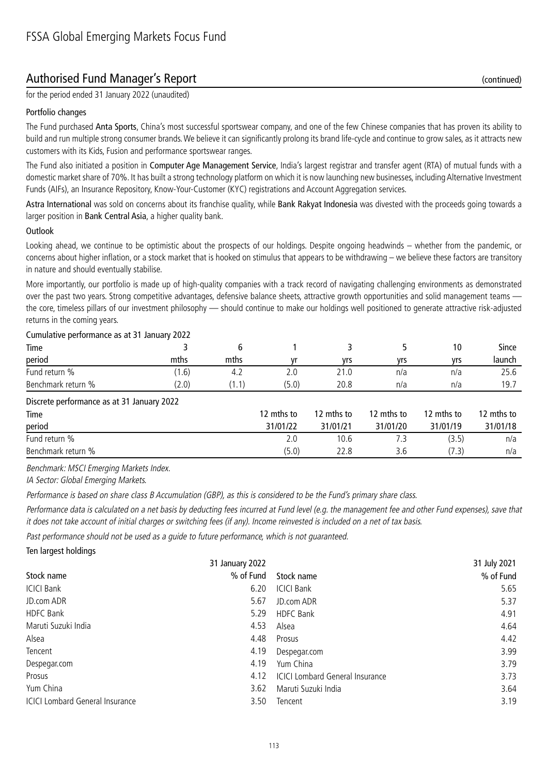#### Authorised Fund Manager's Report (continued)

for the period ended 31 January 2022 (unaudited)

#### Portfolio changes

The Fund purchased Anta Sports, China's most successful sportswear company, and one of the few Chinese companies that has proven its ability to build and run multiple strong consumer brands. We believe it can significantly prolong its brand life-cycle and continue to grow sales, as it attracts new customers with its Kids, Fusion and performance sportswear ranges.

The Fund also initiated a position in Computer Age Management Service, India's largest registrar and transfer agent (RTA) of mutual funds with a domestic market share of 70%. It has built a strong technology platform on which it is now launching new businesses, including Alternative Investment Funds (AIFs), an Insurance Repository, Know-Your-Customer (KYC) registrations and Account Aggregation services.

Astra International was sold on concerns about its franchise quality, while Bank Rakyat Indonesia was divested with the proceeds going towards a larger position in Bank Central Asia, a higher quality bank.

#### Outlook

Looking ahead, we continue to be optimistic about the prospects of our holdings. Despite ongoing headwinds – whether from the pandemic, or concerns about higher inflation, or a stock market that is hooked on stimulus that appears to be withdrawing – we believe these factors are transitory in nature and should eventually stabilise.

More importantly, our portfolio is made up of high-quality companies with a track record of navigating challenging environments as demonstrated over the past two years. Strong competitive advantages, defensive balance sheets, attractive growth opportunities and solid management teams the core, timeless pillars of our investment philosophy — should continue to make our holdings well positioned to generate attractive risk-adjusted returns in the coming years.

| Carnalative performance as at 31 sandary 2022 |       |       |            |            |            |            |            |
|-----------------------------------------------|-------|-------|------------|------------|------------|------------|------------|
| Time                                          |       | 6     |            |            |            | 10         | Since      |
| period                                        | mths  | mths  |            | yrs        | vrs        | yrs        | launch     |
| Fund return %                                 | (1.6) | 4.2   | 2.0        | 21.0       | n/a        | n/a        | 25.6       |
| Benchmark return %                            | (2.0) | (1.1) | (5.0)      | 20.8       | n/a        | n/a        | 19.7       |
| Discrete performance as at 31 January 2022    |       |       |            |            |            |            |            |
| Time                                          |       |       | 12 mths to | 12 mths to | 12 mths to | 12 mths to | 12 mths to |
| period                                        |       |       | 31/01/22   | 31/01/21   | 31/01/20   | 31/01/19   | 31/01/18   |
| Fund return %                                 |       |       | 2.0        | 10.6       | 7.3        | (3.5)      | n/a        |

#### Cumulative performance as at 31 January 2022

Benchmark: MSCI Emerging Markets Index.

IA Sector: Global Emerging Markets.

Performance is based on share class B Accumulation (GBP), as this is considered to be the Fund's primary share class.

Performance data is calculated on a net basis by deducting fees incurred at Fund level (e.g. the management fee and other Fund expenses), save that it does not take account of initial charges or switching fees (if any). Income reinvested is included on a net of tax basis.

Benchmark return % (5.0) 22.8 3.6 (7.3) n/a

Past performance should not be used as a guide to future performance, which is not guaranteed.

Ten largest holdings

| 31 July 2021<br>31 January 2022                        |
|--------------------------------------------------------|
| % of Fund<br>% of Fund<br>Stock name                   |
| 6.20<br><b>ICICI Bank</b><br>5.65                      |
| 5.67<br>5.37<br>JD.com ADR                             |
| <b>HDFC Bank</b><br>5.29<br>4.91                       |
| 4.53<br>4.64<br>Alsea                                  |
| 4.48<br>4.42<br>Prosus                                 |
| 3.99<br>4.19<br>Despegar.com                           |
| 3.79<br>4.19<br>Yum China                              |
| <b>ICICI Lombard General Insurance</b><br>3.73<br>4.12 |
| 3.62<br>Maruti Suzuki India<br>3.64                    |
| 3.19<br>3.50<br>Tencent                                |
|                                                        |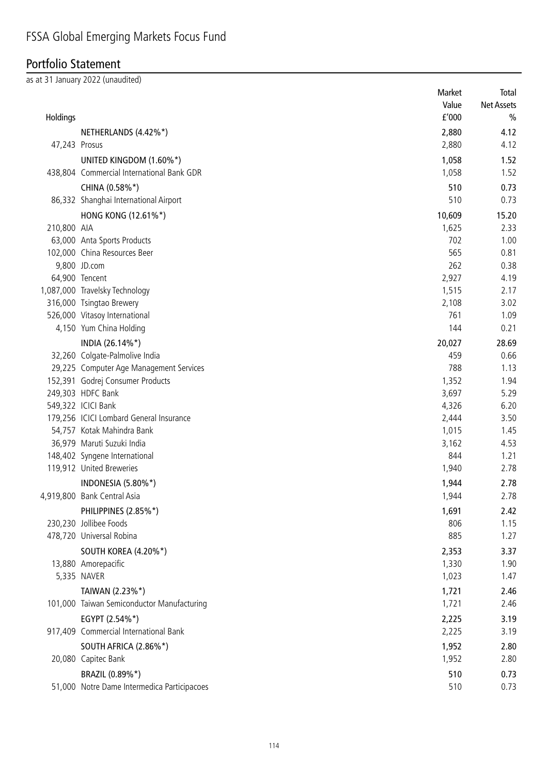## Portfolio Statement

as at 31 January 2022 (unaudited)

|               |                                                       | Market         | Total             |
|---------------|-------------------------------------------------------|----------------|-------------------|
|               |                                                       | Value          | <b>Net Assets</b> |
| Holdings      |                                                       | f'000          | $\frac{0}{0}$     |
|               | NETHERLANDS (4.42%*)                                  | 2,880          | 4.12              |
| 47,243 Prosus |                                                       | 2,880          | 4.12              |
|               | UNITED KINGDOM (1.60%*)                               | 1,058          | 1.52              |
|               | 438,804 Commercial International Bank GDR             | 1,058          | 1.52              |
|               | CHINA (0.58%*)                                        | 510            | 0.73              |
|               | 86,332 Shanghai International Airport                 | 510            | 0.73              |
|               | HONG KONG (12.61%*)                                   | 10,609         | 15.20             |
| 210,800 AIA   |                                                       | 1,625          | 2.33              |
|               | 63,000 Anta Sports Products                           | 702            | 1.00              |
|               | 102,000 China Resources Beer                          | 565            | 0.81              |
|               | 9,800 JD.com                                          | 262            | 0.38              |
|               | 64,900 Tencent                                        | 2,927          | 4.19              |
|               | 1,087,000 Travelsky Technology                        | 1,515          | 2.17              |
|               | 316,000 Tsingtao Brewery                              | 2,108          | 3.02              |
|               | 526,000 Vitasoy International                         | 761            | 1.09              |
|               | 4,150 Yum China Holding                               | 144            | 0.21              |
|               | INDIA (26.14%*)                                       | 20,027         | 28.69             |
|               | 32,260 Colgate-Palmolive India                        | 459            | 0.66              |
|               | 29,225 Computer Age Management Services               | 788            | 1.13              |
|               | 152,391 Godrej Consumer Products<br>249,303 HDFC Bank | 1,352<br>3,697 | 1.94<br>5.29      |
|               | 549,322 ICICI Bank                                    | 4,326          | 6.20              |
|               | 179,256 ICICI Lombard General Insurance               | 2,444          | 3.50              |
|               | 54,757 Kotak Mahindra Bank                            | 1,015          | 1.45              |
|               | 36,979 Maruti Suzuki India                            | 3,162          | 4.53              |
|               | 148,402 Syngene International                         | 844            | 1.21              |
|               | 119,912 United Breweries                              | 1,940          | 2.78              |
|               | INDONESIA (5.80%*)                                    | 1,944          | 2.78              |
|               | 4,919,800 Bank Central Asia                           | 1,944          | 2.78              |
|               | PHILIPPINES (2.85%*)                                  | 1,691          | 2.42              |
|               | 230,230 Jollibee Foods                                | 806            | 1.15              |
|               | 478,720 Universal Robina                              | 885            | 1.27              |
|               | SOUTH KOREA (4.20%*)                                  | 2,353          | 3.37              |
|               | 13,880 Amorepacific                                   | 1,330          | 1.90              |
|               | 5,335 NAVER                                           | 1,023          | 1.47              |
|               | TAIWAN (2.23%*)                                       | 1,721          | 2.46              |
|               | 101,000 Taiwan Semiconductor Manufacturing            | 1,721          | 2.46              |
|               | EGYPT (2.54%*)                                        | 2,225          | 3.19              |
|               | 917,409 Commercial International Bank                 | 2,225          | 3.19              |
|               | SOUTH AFRICA (2.86%*)                                 | 1,952          | 2.80              |
|               | 20,080 Capitec Bank                                   | 1,952          | 2.80              |
|               | BRAZIL (0.89%*)                                       | 510            | 0.73              |
|               | 51,000 Notre Dame Intermedica Participacoes           | 510            | 0.73              |
|               |                                                       |                |                   |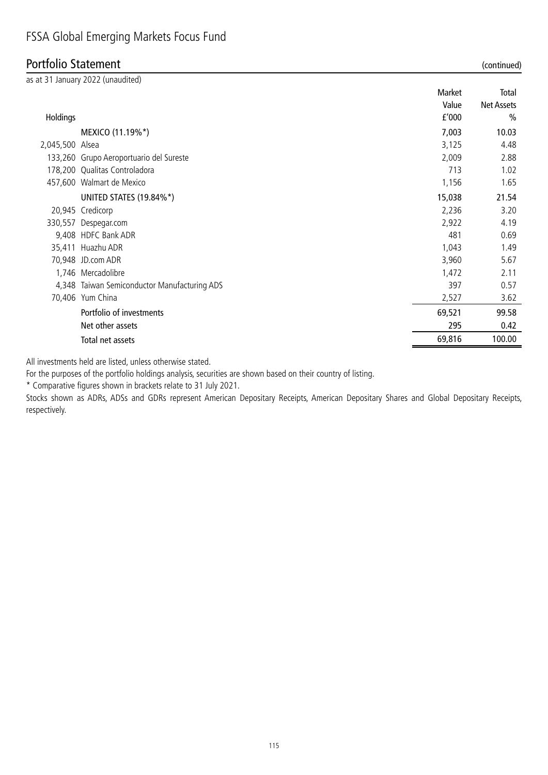## Portfolio Statement (continued)

|                 |                                              |        | , ,               |
|-----------------|----------------------------------------------|--------|-------------------|
|                 | as at 31 January 2022 (unaudited)            |        |                   |
|                 |                                              | Market | Total             |
|                 |                                              | Value  | <b>Net Assets</b> |
| Holdings        |                                              | f'000  | $\frac{0}{0}$     |
|                 | MEXICO (11.19%*)                             | 7,003  | 10.03             |
| 2,045,500 Alsea |                                              | 3,125  | 4.48              |
|                 | 133,260 Grupo Aeroportuario del Sureste      | 2,009  | 2.88              |
|                 | 178,200 Qualitas Controladora                | 713    | 1.02              |
|                 | 457,600 Walmart de Mexico                    | 1,156  | 1.65              |
|                 | UNITED STATES (19.84%*)                      | 15,038 | 21.54             |
|                 | 20,945 Credicorp                             | 2,236  | 3.20              |
|                 | 330,557 Despegar.com                         | 2,922  | 4.19              |
|                 | 9,408 HDFC Bank ADR                          | 481    | 0.69              |
|                 | 35,411 Huazhu ADR                            | 1,043  | 1.49              |
|                 | 70,948 JD.com ADR                            | 3,960  | 5.67              |
|                 | 1,746 Mercadolibre                           | 1,472  | 2.11              |
|                 | 4,348 Taiwan Semiconductor Manufacturing ADS | 397    | 0.57              |
|                 | 70,406 Yum China                             | 2,527  | 3.62              |
|                 | Portfolio of investments                     | 69,521 | 99.58             |
|                 | Net other assets                             | 295    | 0.42              |
|                 | Total net assets                             | 69,816 | 100.00            |

All investments held are listed, unless otherwise stated.

For the purposes of the portfolio holdings analysis, securities are shown based on their country of listing.

\* Comparative figures shown in brackets relate to 31 July 2021.

Stocks shown as ADRs, ADSs and GDRs represent American Depositary Receipts, American Depositary Shares and Global Depositary Receipts, respectively.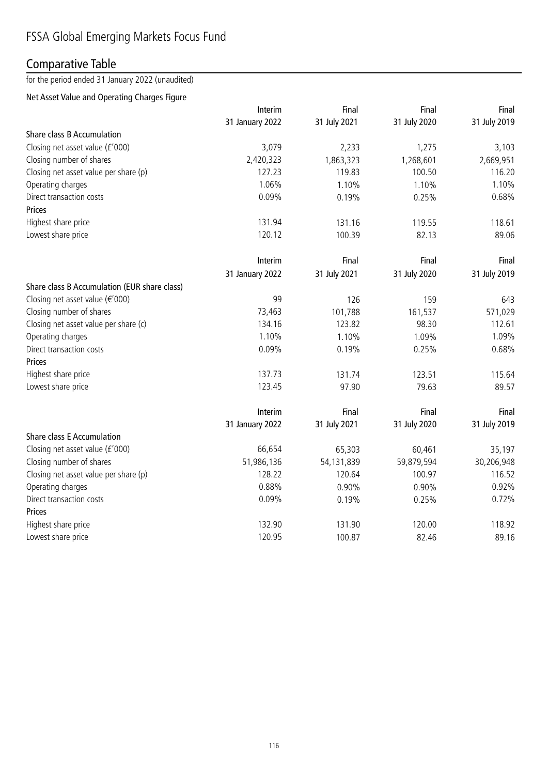## Comparative Table

for the period ended 31 January 2022 (unaudited)

#### Net Asset Value and Operating Charges Figure

|                                              | Interim         | Final        | Final        | Final        |
|----------------------------------------------|-----------------|--------------|--------------|--------------|
|                                              | 31 January 2022 | 31 July 2021 | 31 July 2020 | 31 July 2019 |
| Share class B Accumulation                   |                 |              |              |              |
| Closing net asset value (£'000)              | 3,079           | 2,233        | 1,275        | 3,103        |
| Closing number of shares                     | 2,420,323       | 1,863,323    | 1,268,601    | 2,669,951    |
| Closing net asset value per share (p)        | 127.23          | 119.83       | 100.50       | 116.20       |
| Operating charges                            | 1.06%           | 1.10%        | 1.10%        | 1.10%        |
| Direct transaction costs                     | 0.09%           | 0.19%        | 0.25%        | 0.68%        |
| Prices                                       |                 |              |              |              |
| Highest share price                          | 131.94          | 131.16       | 119.55       | 118.61       |
| Lowest share price                           | 120.12          | 100.39       | 82.13        | 89.06        |
|                                              | Interim         | Final        | Final        | Final        |
|                                              | 31 January 2022 | 31 July 2021 | 31 July 2020 | 31 July 2019 |
| Share class B Accumulation (EUR share class) |                 |              |              |              |
| Closing net asset value ( $\epsilon$ '000)   | 99              | 126          | 159          | 643          |
| Closing number of shares                     | 73,463          | 101,788      | 161,537      | 571,029      |
| Closing net asset value per share (c)        | 134.16          | 123.82       | 98.30        | 112.61       |
| Operating charges                            | 1.10%           | 1.10%        | 1.09%        | 1.09%        |
| Direct transaction costs                     | 0.09%           | 0.19%        | 0.25%        | 0.68%        |
| Prices                                       |                 |              |              |              |
| Highest share price                          | 137.73          | 131.74       | 123.51       | 115.64       |
| Lowest share price                           | 123.45          | 97.90        | 79.63        | 89.57        |
|                                              | Interim         | Final        | Final        | Final        |
|                                              | 31 January 2022 | 31 July 2021 | 31 July 2020 | 31 July 2019 |
| <b>Share class E Accumulation</b>            |                 |              |              |              |
| Closing net asset value (£'000)              | 66,654          | 65,303       | 60,461       | 35,197       |
| Closing number of shares                     | 51,986,136      | 54,131,839   | 59,879,594   | 30,206,948   |
| Closing net asset value per share (p)        | 128.22          | 120.64       | 100.97       | 116.52       |
| Operating charges                            | 0.88%           | 0.90%        | 0.90%        | 0.92%        |
| Direct transaction costs                     | 0.09%           | 0.19%        | 0.25%        | 0.72%        |
| Prices                                       |                 |              |              |              |
| Highest share price                          | 132.90          | 131.90       | 120.00       | 118.92       |
| Lowest share price                           | 120.95          | 100.87       | 82.46        | 89.16        |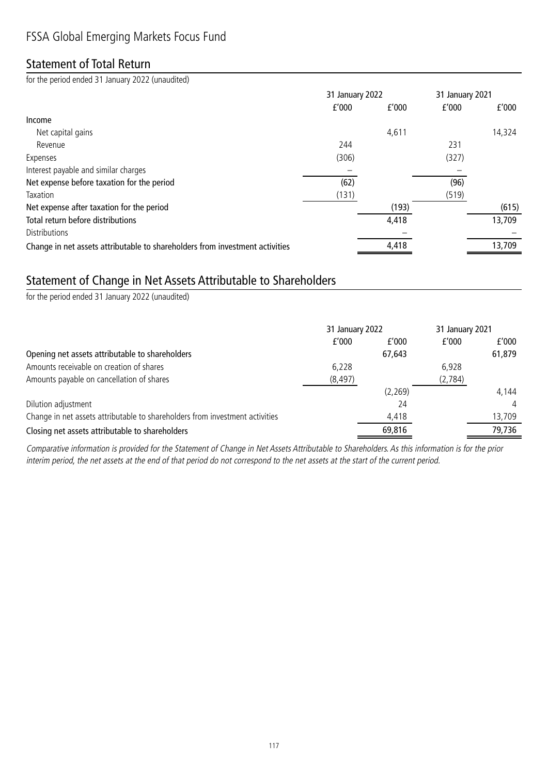## Statement of Total Return

for the period ended 31 January 2022 (unaudited)

|                                                                              | 31 January 2022 |       | 31 January 2021 |        |
|------------------------------------------------------------------------------|-----------------|-------|-----------------|--------|
|                                                                              | f'000           | f'000 | f'000           | f'000  |
| Income                                                                       |                 |       |                 |        |
| Net capital gains                                                            |                 | 4,611 |                 | 14,324 |
| Revenue                                                                      | 244             |       | 231             |        |
| Expenses                                                                     | (306)           |       | (327)           |        |
| Interest payable and similar charges                                         |                 |       |                 |        |
| Net expense before taxation for the period                                   | (62)            |       | (96)            |        |
| Taxation                                                                     | (131)           |       | (519)           |        |
| Net expense after taxation for the period                                    |                 | (193) |                 | (615)  |
| Total return before distributions                                            |                 | 4,418 |                 | 13,709 |
| <b>Distributions</b>                                                         |                 |       |                 |        |
| Change in net assets attributable to shareholders from investment activities |                 | 4,418 |                 | 13,709 |

## Statement of Change in Net Assets Attributable to Shareholders

for the period ended 31 January 2022 (unaudited)

|                                                                              | 31 January 2022 |          | 31 January 2021 |        |
|------------------------------------------------------------------------------|-----------------|----------|-----------------|--------|
|                                                                              | f'000           | f'000    | f'000           | f'000  |
| Opening net assets attributable to shareholders                              |                 | 67,643   |                 | 61,879 |
| Amounts receivable on creation of shares                                     | 6,228           |          | 6.928           |        |
| Amounts payable on cancellation of shares                                    | (8, 497)        |          | (2,784)         |        |
|                                                                              |                 | (2, 269) |                 | 4,144  |
| Dilution adjustment                                                          |                 | 24       |                 |        |
| Change in net assets attributable to shareholders from investment activities |                 | 4,418    |                 | 13,709 |
| Closing net assets attributable to shareholders                              |                 | 69,816   |                 | 79,736 |

Comparative information is provided for the Statement of Change in Net Assets Attributable to Shareholders. As this information is for the prior interim period, the net assets at the end of that period do not correspond to the net assets at the start of the current period.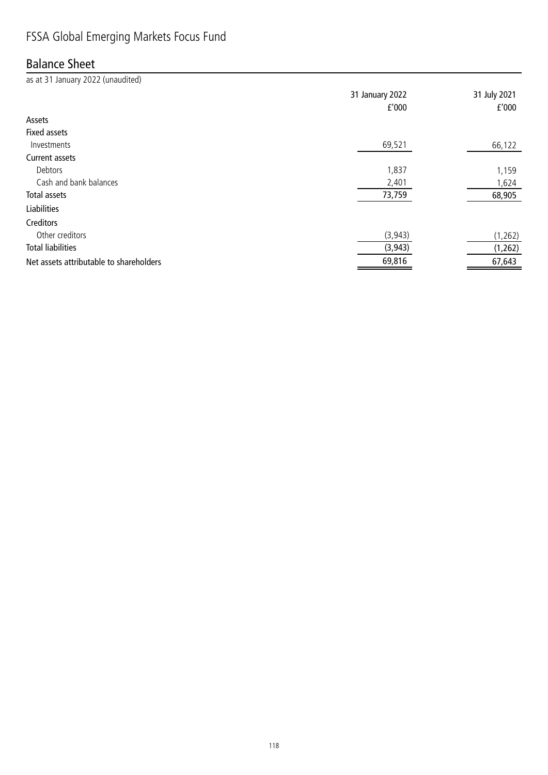## Balance Sheet

as at 31 January 2022 (unaudited) 31 January 2022 31 July 2021 £'000 £'000 Assets Fixed assets  $Investments$  and the contract of the contract of the contract of the contract of the contract of the contract of the contract of the contract of the contract of the contract of the contract of the contract of the contract of the Current assets Debtors 1,837 1,159 Cash and bank balances and the state of the cash and bank balances and the cash and bank balances and the cash of the cash of the cash of the cash of the cash of the cash of the cash of the cash of the cash of the cash of Total assets 73,759 68,905 Liabilities Creditors Other creditors (3,943) (1,262) Total liabilities (3,943) (1,262) Net assets attributable to shareholders and the set of the set of the set of the set of the set of the set of the set of the set of the set of the set of the set of the set of the set of the set of the set of the set of th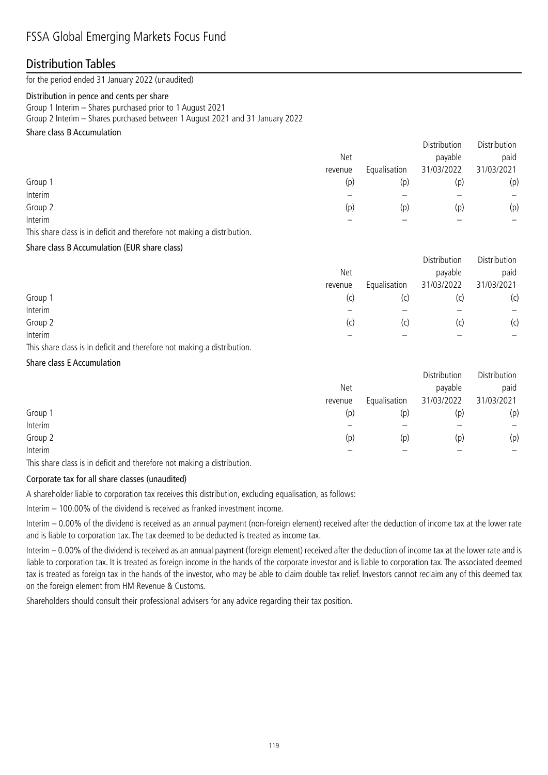#### Distribution Tables

for the period ended 31 January 2022 (unaudited)

#### Distribution in pence and cents per share

Group 1 Interim – Shares purchased prior to 1 August 2021

Group 2 Interim – Shares purchased between 1 August 2021 and 31 January 2022

#### Share class B Accumulation

|         |         |              | Distribution | Distribution |
|---------|---------|--------------|--------------|--------------|
|         | Net     |              | payable      | paid         |
|         | revenue | Equalisation | 31/03/2022   | 31/03/2021   |
| Group 1 | (p)     | (p)          | (p)          | (p)          |
| Interim |         |              |              | —            |
| Group 2 | (p)     | (p)          | (p)          | (p)          |
| Interim |         |              |              |              |
|         |         |              |              |              |

This share class is in deficit and therefore not making a distribution.

#### Share class B Accumulation (EUR share class)

|         |         |              | Distribution | Distribution    |
|---------|---------|--------------|--------------|-----------------|
|         | Net     |              | payable      | paid            |
|         | revenue | Equalisation | 31/03/2022   | 31/03/2021      |
| Group 1 | (C)     | (c)          |              | (c)             |
| Interim |         |              |              | $\qquad \qquad$ |
| Group 2 | (C)     | (c)          | (C)          | (c)             |
| Interim |         |              |              |                 |

This share class is in deficit and therefore not making a distribution.

#### Share class E Accumulation

|         |         |              | Distribution | Distribution |
|---------|---------|--------------|--------------|--------------|
|         | Net     |              | payable      | paid         |
|         | revenue | Equalisation | 31/03/2022   | 31/03/2021   |
| Group 1 | (p)     | (p)          | (p)          | (p)          |
| Interim |         |              |              | —            |
| Group 2 | (p)     | (p)          | (p)          | (p)          |
| Interim |         |              |              |              |

This share class is in deficit and therefore not making a distribution.

#### Corporate tax for all share classes (unaudited)

A shareholder liable to corporation tax receives this distribution, excluding equalisation, as follows:

Interim – 100.00% of the dividend is received as franked investment income.

Interim – 0.00% of the dividend is received as an annual payment (non-foreign element) received after the deduction of income tax at the lower rate and is liable to corporation tax. The tax deemed to be deducted is treated as income tax.

Interim – 0.00% of the dividend is received as an annual payment (foreign element) received after the deduction of income tax at the lower rate and is liable to corporation tax. It is treated as foreign income in the hands of the corporate investor and is liable to corporation tax. The associated deemed tax is treated as foreign tax in the hands of the investor, who may be able to claim double tax relief. Investors cannot reclaim any of this deemed tax on the foreign element from HM Revenue & Customs.

Shareholders should consult their professional advisers for any advice regarding their tax position.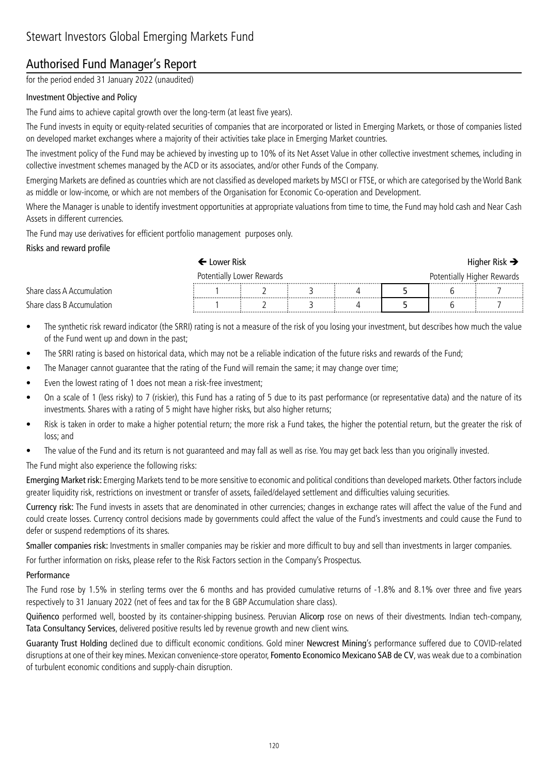## Authorised Fund Manager's Report

for the period ended 31 January 2022 (unaudited)

#### Investment Objective and Policy

The Fund aims to achieve capital growth over the long-term (at least five years).

The Fund invests in equity or equity-related securities of companies that are incorporated or listed in Emerging Markets, or those of companies listed on developed market exchanges where a majority of their activities take place in Emerging Market countries.

The investment policy of the Fund may be achieved by investing up to 10% of its Net Asset Value in other collective investment schemes, including in collective investment schemes managed by the ACD or its associates, and/or other Funds of the Company.

Emerging Markets are defined as countries which are not classified as developed markets by MSCI or FTSE, or which are categorised by the World Bank as middle or low-income, or which are not members of the Organisation for Economic Co-operation and Development.

Where the Manager is unable to identify investment opportunities at appropriate valuations from time to time, the Fund may hold cash and Near Cash Assets in different currencies.

The Fund may use derivatives for efficient portfolio management purposes only.

#### Risks and reward profile

|                            | • Lower Risk                  |  |  |                            |  | Higher Risk $\rightarrow$ |
|----------------------------|-------------------------------|--|--|----------------------------|--|---------------------------|
|                            | Potentially Lower Rewards<br> |  |  | Potentially Higher Rewards |  |                           |
| Share class A Accumulation |                               |  |  |                            |  |                           |
| Share class B Accumulation |                               |  |  |                            |  |                           |

- The synthetic risk reward indicator (the SRRI) rating is not a measure of the risk of you losing your investment, but describes how much the value of the Fund went up and down in the past;
- The SRRI rating is based on historical data, which may not be a reliable indication of the future risks and rewards of the Fund;
- The Manager cannot guarantee that the rating of the Fund will remain the same; it may change over time;
- Even the lowest rating of 1 does not mean a risk-free investment;
- On a scale of 1 (less risky) to 7 (riskier), this Fund has a rating of 5 due to its past performance (or representative data) and the nature of its investments. Shares with a rating of 5 might have higher risks, but also higher returns;
- Risk is taken in order to make a higher potential return; the more risk a Fund takes, the higher the potential return, but the greater the risk of loss; and
- The value of the Fund and its return is not guaranteed and may fall as well as rise. You may get back less than you originally invested.
- The Fund might also experience the following risks:

Emerging Market risk: Emerging Markets tend to be more sensitive to economic and political conditions than developed markets. Other factors include greater liquidity risk, restrictions on investment or transfer of assets, failed/delayed settlement and difficulties valuing securities.

Currency risk: The Fund invests in assets that are denominated in other currencies; changes in exchange rates will affect the value of the Fund and could create losses. Currency control decisions made by governments could affect the value of the Fund's investments and could cause the Fund to defer or suspend redemptions of its shares.

Smaller companies risk: Investments in smaller companies may be riskier and more difficult to buy and sell than investments in larger companies.

For further information on risks, please refer to the Risk Factors section in the Company's Prospectus.

#### Performance

The Fund rose by 1.5% in sterling terms over the 6 months and has provided cumulative returns of -1.8% and 8.1% over three and five years respectively to 31 January 2022 (net of fees and tax for the B GBP Accumulation share class).

Quiñenco performed well, boosted by its container-shipping business. Peruvian Alicorp rose on news of their divestments. Indian tech-company, Tata Consultancy Services, delivered positive results led by revenue growth and new client wins.

Guaranty Trust Holding declined due to difficult economic conditions. Gold miner Newcrest Mining's performance suffered due to COVID-related disruptions at one of their key mines. Mexican convenience-store operator, Fomento Economico Mexicano SAB de CV, was weak due to a combination of turbulent economic conditions and supply-chain disruption.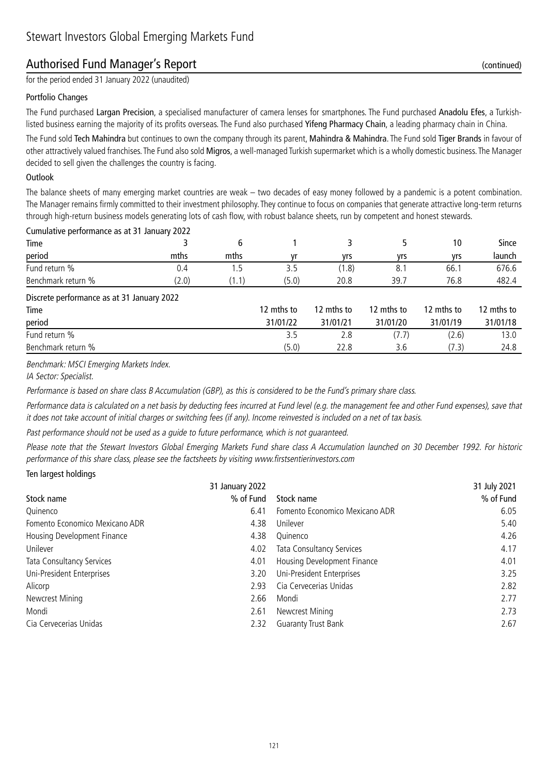## Authorised Fund Manager's Report (continued)

for the period ended 31 January 2022 (unaudited)

#### Portfolio Changes

The Fund purchased Largan Precision, a specialised manufacturer of camera lenses for smartphones. The Fund purchased Anadolu Efes, a Turkishlisted business earning the majority of its profits overseas. The Fund also purchased Yifeng Pharmacy Chain, a leading pharmacy chain in China.

The Fund sold Tech Mahindra but continues to own the company through its parent, Mahindra & Mahindra. The Fund sold Tiger Brands in favour of other attractively valued franchises. The Fund also sold Migros, a well-managed Turkish supermarket which is a wholly domestic business. The Manager decided to sell given the challenges the country is facing.

#### **Outlook**

The balance sheets of many emerging market countries are weak – two decades of easy money followed by a pandemic is a potent combination. The Manager remains firmly committed to their investment philosophy. They continue to focus on companies that generate attractive long-term returns through high-return business models generating lots of cash flow, with robust balance sheets, run by competent and honest stewards.

| Cumulative performance as at 31 January 2022 |       |      |       |       |      |      |        |
|----------------------------------------------|-------|------|-------|-------|------|------|--------|
| Time                                         |       |      |       |       |      | 10   | Since  |
| period                                       | mths  | mths |       | vrs   | vrs  | vrs  | launch |
| Fund return %                                | U.4   | כ. ו |       | (1.8) | 8.   | 66.  | 676.6  |
| Benchmark return %                           | (2.0) | 1.1) | (5.0) | 20.8  | 39.7 | 76.8 | 482.4  |
|                                              |       |      |       |       |      |      |        |

Discrete performance as at 31 January 2022

| Time               | 12 mths to | 12 mths to | 12 mths to | 12 mths to | 12 mths to |
|--------------------|------------|------------|------------|------------|------------|
| period             | 31/01/22   | 31/01/21   | 31/01/20   | 31/01/19   | 31/01/18   |
| Fund return %      |            |            |            | (2.6)      | 13.0       |
| Benchmark return % | (5.0)      | 22.8       | 3.6        | (7.3)      | 24.8       |

Benchmark: MSCI Emerging Markets Index.

IA Sector: Specialist.

Performance is based on share class B Accumulation (GBP), as this is considered to be the Fund's primary share class.

Performance data is calculated on a net basis by deducting fees incurred at Fund level (e.g. the management fee and other Fund expenses), save that it does not take account of initial charges or switching fees (if any). Income reinvested is included on a net of tax basis.

Past performance should not be used as a guide to future performance, which is not guaranteed.

Please note that the Stewart Investors Global Emerging Markets Fund share class A Accumulation launched on 30 December 1992. For historic performance of this share class, please see the factsheets by visiting www.firstsentierinvestors.com

#### Ten largest holdings

|                                | 31 January 2022 |                                  | 31 July 2021 |
|--------------------------------|-----------------|----------------------------------|--------------|
| Stock name                     | % of Fund       | Stock name                       | % of Fund    |
| Quinenco                       | 6.41            | Fomento Economico Mexicano ADR   | 6.05         |
| Fomento Economico Mexicano ADR | 4.38            | Unilever                         | 5.40         |
| Housing Development Finance    | 4.38            | Ouinenco                         | 4.26         |
| Unilever                       | 4.02            | <b>Tata Consultancy Services</b> | 4.17         |
| Tata Consultancy Services      | 4.01            | Housing Development Finance      | 4.01         |
| Uni-President Enterprises      | 3.20            | Uni-President Enterprises        | 3.25         |
| Alicorp                        | 2.93            | Cia Cervecerias Unidas           | 2.82         |
| Newcrest Mining                | 2.66            | Mondi                            | 2.77         |
| Mondi                          | 2.61            | Newcrest Mining                  | 2.73         |
| Cia Cervecerias Unidas         | 2.32            | <b>Guaranty Trust Bank</b>       | 2.67         |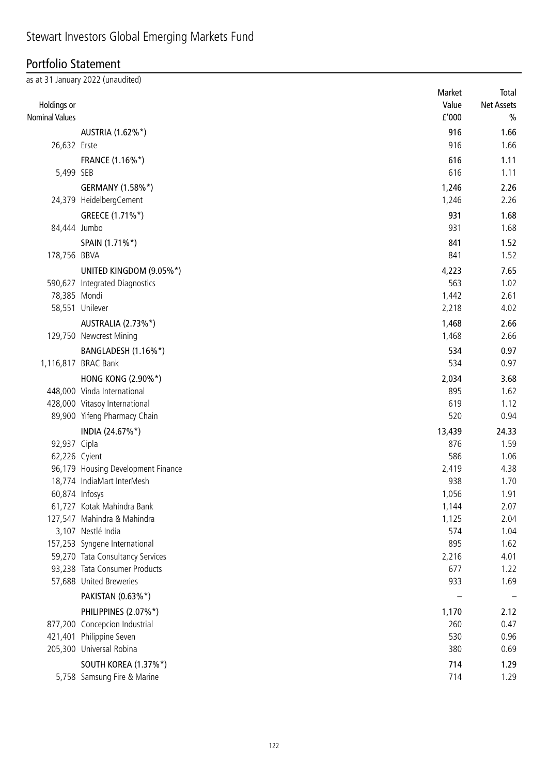#### Portfolio Statement

|                       | as at 31 January 2022 (unaudited)                                 | Market     | Total             |
|-----------------------|-------------------------------------------------------------------|------------|-------------------|
| Holdings or           |                                                                   | Value      | <b>Net Assets</b> |
| <b>Nominal Values</b> |                                                                   | £'000      | $\%$              |
|                       |                                                                   | 916        |                   |
| 26,632 Erste          | AUSTRIA (1.62%*)                                                  | 916        | 1.66<br>1.66      |
|                       |                                                                   |            |                   |
|                       | FRANCE (1.16%*)                                                   | 616        | 1.11              |
| 5,499 SEB             |                                                                   | 616        | 1.11              |
|                       | GERMANY (1.58%*)                                                  | 1,246      | 2.26              |
|                       | 24,379 HeidelbergCement                                           | 1,246      | 2.26              |
|                       | GREECE (1.71%*)                                                   | 931        | 1.68              |
| 84,444 Jumbo          |                                                                   | 931        | 1.68              |
|                       | SPAIN (1.71%*)                                                    | 841        | 1.52              |
| 178,756 BBVA          |                                                                   | 841        | 1.52              |
|                       | UNITED KINGDOM (9.05%*)                                           | 4,223      | 7.65              |
|                       | 590,627 Integrated Diagnostics                                    | 563        | 1.02              |
| 78,385 Mondi          |                                                                   | 1,442      | 2.61              |
|                       | 58,551 Unilever                                                   | 2,218      | 4.02              |
|                       | AUSTRALIA (2.73%*)                                                | 1,468      | 2.66              |
|                       | 129,750 Newcrest Mining                                           | 1,468      | 2.66              |
|                       | BANGLADESH (1.16%*)                                               | 534        | 0.97              |
|                       | 1,116,817 BRAC Bank                                               | 534        | 0.97              |
|                       | <b>HONG KONG (2.90%*)</b>                                         | 2,034      | 3.68              |
|                       | 448,000 Vinda International                                       | 895        | 1.62              |
|                       | 428,000 Vitasoy International                                     | 619        | 1.12              |
|                       | 89,900 Yifeng Pharmacy Chain                                      | 520        | 0.94              |
|                       | INDIA (24.67%*)                                                   | 13,439     | 24.33             |
| 92,937 Cipla          |                                                                   | 876        | 1.59              |
| 62,226 Cyient         |                                                                   | 586        | 1.06              |
|                       | 96,179 Housing Development Finance                                | 2,419      | 4.38              |
|                       | 18,774 IndiaMart InterMesh                                        | 938        | 1.70              |
| 60,874 Infosys        |                                                                   | 1,056      | 1.91              |
|                       | 61,727 Kotak Mahindra Bank                                        | 1,144      | 2.07              |
|                       | 127,547 Mahindra & Mahindra                                       | 1,125      | 2.04              |
|                       | 3,107 Nestlé India                                                | 574<br>895 | 1.04              |
|                       | 157,253 Syngene International<br>59,270 Tata Consultancy Services | 2,216      | 1.62<br>4.01      |
|                       | 93,238 Tata Consumer Products                                     | 677        | 1.22              |
|                       | 57,688 United Breweries                                           | 933        | 1.69              |
|                       | PAKISTAN (0.63%*)                                                 |            |                   |
|                       |                                                                   |            |                   |
|                       | PHILIPPINES (2.07%*)                                              | 1,170      | 2.12              |
|                       | 877,200 Concepcion Industrial                                     | 260        | 0.47              |
|                       | 421,401 Philippine Seven<br>205,300 Universal Robina              | 530<br>380 | 0.96<br>0.69      |
|                       |                                                                   |            |                   |
|                       | SOUTH KOREA (1.37%*)                                              | 714        | 1.29              |
|                       | 5,758 Samsung Fire & Marine                                       | 714        | 1.29              |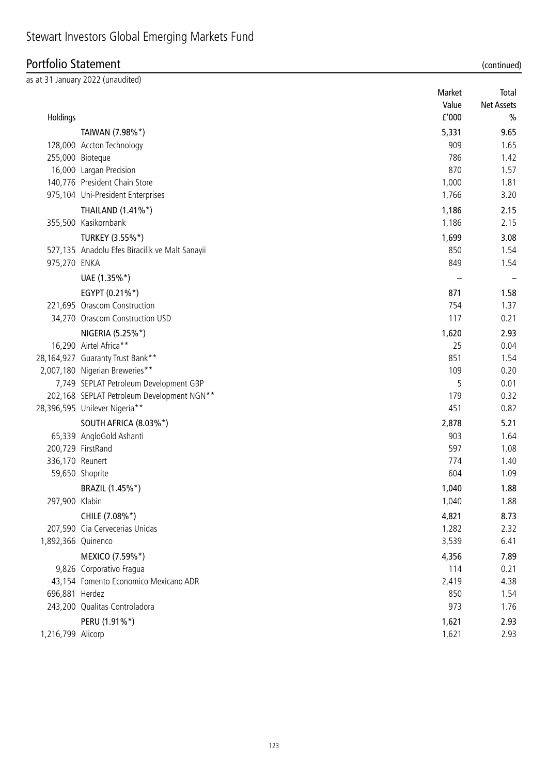# **Portfolio Statement**<br>as at 31 January 2022 (unaudit

| (continued |  |
|------------|--|
|            |  |

| ortfolio Statement |                                                |                 | (continued)                |  |
|--------------------|------------------------------------------------|-----------------|----------------------------|--|
|                    | at 31 January 2022 (unaudited)                 | Market<br>Value | Total<br><b>Net Assets</b> |  |
| Holdings           |                                                | f'000           | %                          |  |
|                    | TAIWAN (7.98%*)                                | 5,331           | 9.65                       |  |
|                    | 128,000 Accton Technology                      | 909             | 1.65                       |  |
|                    | 255,000 Bioteque                               | 786             | 1.42                       |  |
|                    | 16,000 Largan Precision                        | 870             | 1.57                       |  |
|                    | 140,776 President Chain Store                  | 1,000           | 1.81                       |  |
|                    | 975,104 Uni-President Enterprises              | 1,766           | 3.20                       |  |
|                    | THAILAND (1.41%*)                              | 1,186           | 2.15                       |  |
|                    | 355,500 Kasikornbank                           | 1,186           | 2.15                       |  |
|                    | TURKEY (3.55%*)                                | 1,699           | 3.08                       |  |
|                    | 527,135 Anadolu Efes Biracilik ve Malt Sanayii | 850             | 1.54                       |  |
| 975,270 ENKA       |                                                | 849             | 1.54                       |  |
|                    | UAE (1.35%*)                                   |                 |                            |  |
|                    | EGYPT (0.21%*)                                 | 871             | 1.58                       |  |
|                    | 221,695 Orascom Construction                   | 754             | 1.37                       |  |
|                    | 34,270 Orascom Construction USD                | 117             | 0.21                       |  |
|                    | NIGERIA (5.25%*)                               | 1,620           | 2.93                       |  |
|                    | 16,290 Airtel Africa**                         | 25              | 0.04                       |  |
|                    | 28,164,927 Guaranty Trust Bank**               | 851             | 1.54                       |  |
|                    | 2,007,180 Nigerian Breweries**                 | 109             | 0.20                       |  |
|                    | 7,749 SEPLAT Petroleum Development GBP         | 5               | 0.01                       |  |
|                    | 202,168 SEPLAT Petroleum Development NGN**     | 179             | 0.32                       |  |
|                    | 28,396,595 Unilever Nigeria**                  | 451             | 0.82                       |  |
|                    | SOUTH AFRICA (8.03%*)                          | 2,878           | 5.21                       |  |
|                    | 65,339 AngloGold Ashanti                       | 903             | 1.64                       |  |
|                    | 200,729 FirstRand                              | 597             | 1.08                       |  |
| 336,170 Reunert    |                                                | 774             | 1.40                       |  |
|                    | 59,650 Shoprite                                | 604             | 1.09                       |  |
|                    | BRAZIL (1.45%*)                                | 1,040           | 1.88                       |  |
| 297,900 Klabin     |                                                | 1,040           | 1.88                       |  |
|                    | CHILE (7.08%*)                                 | 4,821           | 8.73                       |  |
|                    | 207,590 Cia Cervecerias Unidas                 | 1,282           | 2.32                       |  |
| 1,892,366 Quinenco |                                                | 3,539           | 6.41                       |  |
|                    | MEXICO (7.59%*)                                | 4,356           | 7.89                       |  |
|                    | 9,826 Corporativo Fragua                       | 114             | 0.21                       |  |
| 696,881 Herdez     | 43,154 Fomento Economico Mexicano ADR          | 2,419<br>850    | 4.38<br>1.54               |  |
|                    | 243,200 Qualitas Controladora                  | 973             | 1.76                       |  |
|                    |                                                |                 |                            |  |
| 1,216,799 Alicorp  | PERU (1.91%*)                                  | 1,621<br>1,621  | 2.93<br>2.93               |  |
|                    |                                                |                 |                            |  |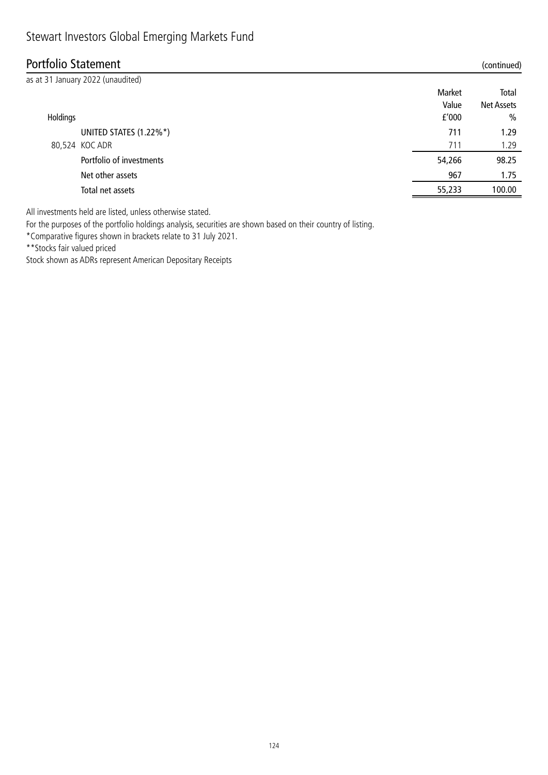## Portfolio Statement (continued)

|          | as at 31 January 2022 (unaudited) |        |                   |
|----------|-----------------------------------|--------|-------------------|
|          |                                   | Market | Total             |
|          |                                   | Value  | <b>Net Assets</b> |
| Holdings |                                   | f'000  | $\%$              |
|          | UNITED STATES (1.22%*)            | 711    | 1.29              |
|          | 80,524 KOC ADR                    | 711    | 1.29              |
|          | Portfolio of investments          | 54,266 | 98.25             |
|          | Net other assets                  | 967    | 1.75              |
|          | Total net assets                  | 55,233 | 100.00            |
|          |                                   |        |                   |

All investments held are listed, unless otherwise stated.

For the purposes of the portfolio holdings analysis, securities are shown based on their country of listing.

\*Comparative figures shown in brackets relate to 31 July 2021.

\*\*Stocks fair valued priced

Stock shown as ADRs represent American Depositary Receipts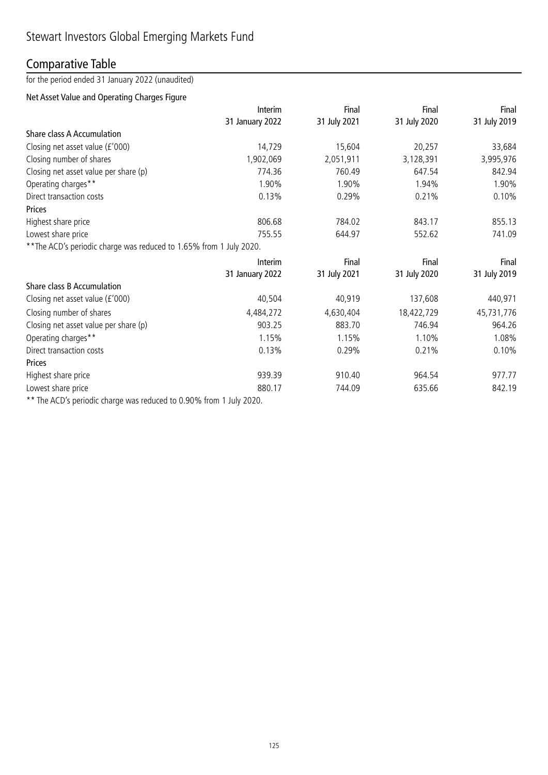## Comparative Table

for the period ended 31 January 2022 (unaudited)

## Net Asset Value and Operating Charges Figure

|                                                                     | Interim                                                                                                                                                                                                                                                                                                                                                                                                  | Final        | Final        | Final        |
|---------------------------------------------------------------------|----------------------------------------------------------------------------------------------------------------------------------------------------------------------------------------------------------------------------------------------------------------------------------------------------------------------------------------------------------------------------------------------------------|--------------|--------------|--------------|
|                                                                     | 31 January 2022                                                                                                                                                                                                                                                                                                                                                                                          | 31 July 2021 | 31 July 2020 | 31 July 2019 |
| Share class A Accumulation                                          |                                                                                                                                                                                                                                                                                                                                                                                                          |              |              |              |
| Closing net asset value (£'000)                                     | 14,729                                                                                                                                                                                                                                                                                                                                                                                                   | 15,604       | 20,257       | 33,684       |
| Closing number of shares                                            | 1,902,069                                                                                                                                                                                                                                                                                                                                                                                                | 2,051,911    | 3,128,391    | 3,995,976    |
| Closing net asset value per share (p)                               | 774.36                                                                                                                                                                                                                                                                                                                                                                                                   | 760.49       | 647.54       | 842.94       |
| Operating charges**                                                 | 1.90%                                                                                                                                                                                                                                                                                                                                                                                                    | 1.90%        | 1.94%        | 1.90%        |
| Direct transaction costs                                            | 0.13%                                                                                                                                                                                                                                                                                                                                                                                                    | 0.29%        | 0.21%        | 0.10%        |
| Prices                                                              |                                                                                                                                                                                                                                                                                                                                                                                                          |              |              |              |
| Highest share price                                                 | 806.68                                                                                                                                                                                                                                                                                                                                                                                                   | 784.02       | 843.17       | 855.13       |
| Lowest share price                                                  | 755.55                                                                                                                                                                                                                                                                                                                                                                                                   | 644.97       | 552.62       | 741.09       |
| ** The ACD's periodic charge was reduced to 1.65% from 1 July 2020. |                                                                                                                                                                                                                                                                                                                                                                                                          |              |              |              |
|                                                                     | Interim                                                                                                                                                                                                                                                                                                                                                                                                  | Final        | Final        | Final        |
|                                                                     | 31 January 2022                                                                                                                                                                                                                                                                                                                                                                                          | 31 July 2021 | 31 July 2020 | 31 July 2019 |
| Share class B Accumulation                                          |                                                                                                                                                                                                                                                                                                                                                                                                          |              |              |              |
| Closing net asset value (£'000)                                     | 40,504                                                                                                                                                                                                                                                                                                                                                                                                   | 40,919       | 137,608      | 440,971      |
| Closing number of shares                                            | 4,484,272                                                                                                                                                                                                                                                                                                                                                                                                | 4,630,404    | 18,422,729   | 45,731,776   |
| Closing net asset value per share (p)                               | 903.25                                                                                                                                                                                                                                                                                                                                                                                                   | 883.70       | 746.94       | 964.26       |
| Operating charges**                                                 | 1.15%                                                                                                                                                                                                                                                                                                                                                                                                    | 1.15%        | 1.10%        | 1.08%        |
| Direct transaction costs                                            | 0.13%                                                                                                                                                                                                                                                                                                                                                                                                    | 0.29%        | 0.21%        | 0.10%        |
| <b>Prices</b>                                                       |                                                                                                                                                                                                                                                                                                                                                                                                          |              |              |              |
| Highest share price                                                 | 939.39                                                                                                                                                                                                                                                                                                                                                                                                   | 910.40       | 964.54       | 977.77       |
| Lowest share price                                                  | 880.17                                                                                                                                                                                                                                                                                                                                                                                                   | 744.09       | 635.66       | 842.19       |
| $\mathbf{A} \cap \mathbf{C}$                                        | $\overline{1}$ $\overline{0}$ $\overline{0}$ $\overline{0}$ $\overline{0}$ $\overline{0}$ $\overline{0}$ $\overline{0}$ $\overline{0}$ $\overline{0}$ $\overline{0}$ $\overline{0}$ $\overline{0}$ $\overline{0}$ $\overline{0}$ $\overline{0}$ $\overline{0}$ $\overline{0}$ $\overline{0}$ $\overline{0}$ $\overline{0}$ $\overline{0}$ $\overline{0}$ $\overline{0}$ $\overline{$<br>$1 \cdot 1$ 2020 |              |              |              |

\*\* The ACD's periodic charge was reduced to 0.90% from 1 July 2020.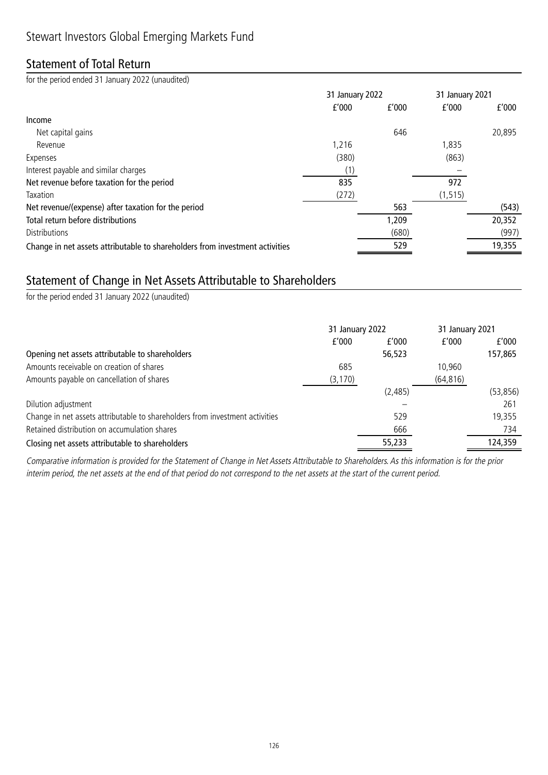## Statement of Total Return

for the period ended 31 January 2022 (unaudited)

|                                                                              | 31 January 2022 |       | 31 January 2021 |        |
|------------------------------------------------------------------------------|-----------------|-------|-----------------|--------|
|                                                                              | f'000           | f'000 | f'000           | f'000  |
| Income                                                                       |                 |       |                 |        |
| Net capital gains                                                            |                 | 646   |                 | 20,895 |
| Revenue                                                                      | 1,216           |       | 1,835           |        |
| Expenses                                                                     | (380)           |       | (863)           |        |
| Interest payable and similar charges                                         |                 |       |                 |        |
| Net revenue before taxation for the period                                   | 835             |       | 972             |        |
| Taxation                                                                     | (272)           |       | (1, 515)        |        |
| Net revenue/(expense) after taxation for the period                          |                 | 563   |                 | (543)  |
| Total return before distributions                                            |                 | 1,209 |                 | 20,352 |
| <b>Distributions</b>                                                         |                 | (680) |                 | (997)  |
| Change in net assets attributable to shareholders from investment activities |                 | 529   |                 | 19,355 |

## Statement of Change in Net Assets Attributable to Shareholders

for the period ended 31 January 2022 (unaudited)

|                                                                              | 31 January 2022 |         | 31 January 2021 |          |
|------------------------------------------------------------------------------|-----------------|---------|-----------------|----------|
|                                                                              | f'000           | f'000   | f'000           | f'000    |
| Opening net assets attributable to shareholders                              |                 | 56,523  |                 | 157,865  |
| Amounts receivable on creation of shares                                     | 685             |         | 10,960          |          |
| Amounts payable on cancellation of shares                                    | (3, 170)        |         | (64, 816)       |          |
|                                                                              |                 | (2,485) |                 | (53,856) |
| Dilution adjustment                                                          |                 |         |                 | 261      |
| Change in net assets attributable to shareholders from investment activities |                 | 529     |                 | 19,355   |
| Retained distribution on accumulation shares                                 |                 | 666     |                 | 734      |
| Closing net assets attributable to shareholders                              |                 | 55,233  |                 | 124,359  |

Comparative information is provided for the Statement of Change in Net Assets Attributable to Shareholders. As this information is for the prior interim period, the net assets at the end of that period do not correspond to the net assets at the start of the current period.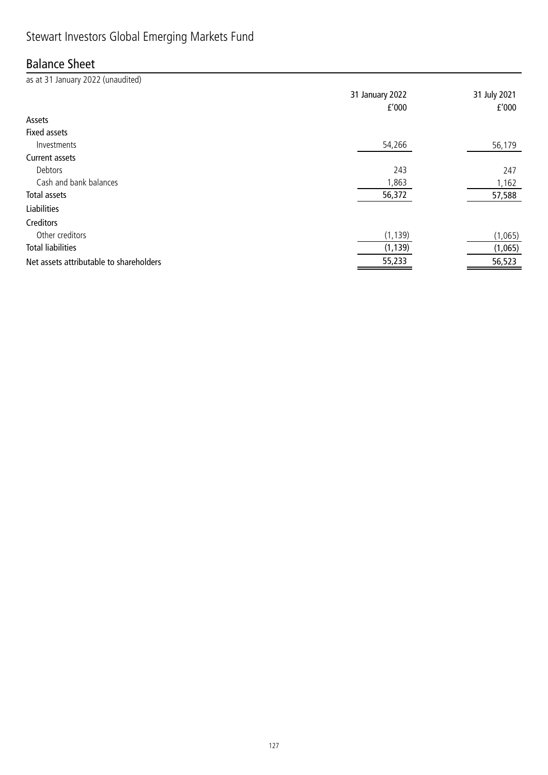## Stewart Investors Global Emerging Markets Fund

## Balance Sheet

as at 31 January 2022 (unaudited) 31 January 2022 31 July 2021 £'000 £'000 Assets Fixed assets Investments 54,266 56,179 Current assets Debtors 243 247 Cash and bank balances and the state of the state of the state of the state of the state of the state of the state of the state of the state of the state of the state of the state of the state of the state of the state of Total assets 56,372 57,588 Liabilities Creditors Other creditors (1,139) (1,065) Total liabilities (1,139) (1,065) Net assets attributable to shareholders and the state of the state of the state of the state of the state of the state of the state of the state of the state of the state of the state of the state of the state of the state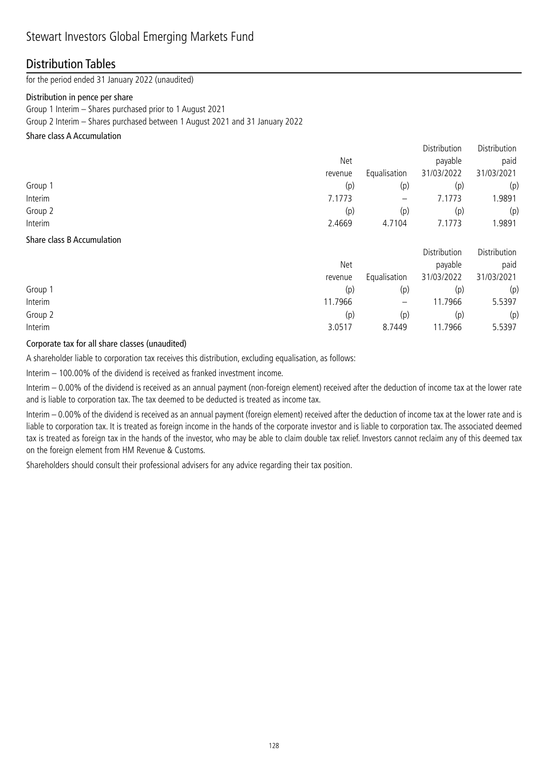### Distribution Tables

for the period ended 31 January 2022 (unaudited)

#### Distribution in pence per share

Group 1 Interim – Shares purchased prior to 1 August 2021 Group 2 Interim – Shares purchased between 1 August 2021 and 31 January 2022

#### Share class A Accumulation

|         |         |                          | Distribution | Distribution |
|---------|---------|--------------------------|--------------|--------------|
|         | Net     |                          | payable      | paid         |
|         | revenue | Equalisation             | 31/03/2022   | 31/03/2021   |
| Group 1 | (p)     | (p)                      | (p)          | (p)          |
| Interim | 7.1773  | $\overline{\phantom{m}}$ | 7.1773       | .9891        |
| Group 2 | (p)     | (p)                      | (p)          | (p)          |
| Interim | 2.4669  | 4.7104                   | 7.1773       | 1.9891       |
|         |         |                          |              |              |

#### Share class B Accumulation

|         |         |                   | Distribution | Distribution |
|---------|---------|-------------------|--------------|--------------|
|         | Net     |                   | payable      | paid         |
|         | revenue | Equalisation      | 31/03/2022   | 31/03/2021   |
| Group 1 | (p)     | (p)               | (p)          | (p)          |
| Interim | 1.7966  | $\qquad \qquad -$ | 11.7966      | 5.5397       |
| Group 2 | (p)     | (p)               | (p)          | (p)          |
| Interim | 3.0517  | 8.7449            | 11.7966      | 5.5397       |

#### Corporate tax for all share classes (unaudited)

A shareholder liable to corporation tax receives this distribution, excluding equalisation, as follows:

Interim – 100.00% of the dividend is received as franked investment income.

Interim – 0.00% of the dividend is received as an annual payment (non-foreign element) received after the deduction of income tax at the lower rate and is liable to corporation tax. The tax deemed to be deducted is treated as income tax.

Interim – 0.00% of the dividend is received as an annual payment (foreign element) received after the deduction of income tax at the lower rate and is liable to corporation tax. It is treated as foreign income in the hands of the corporate investor and is liable to corporation tax. The associated deemed tax is treated as foreign tax in the hands of the investor, who may be able to claim double tax relief. Investors cannot reclaim any of this deemed tax on the foreign element from HM Revenue & Customs.

Shareholders should consult their professional advisers for any advice regarding their tax position.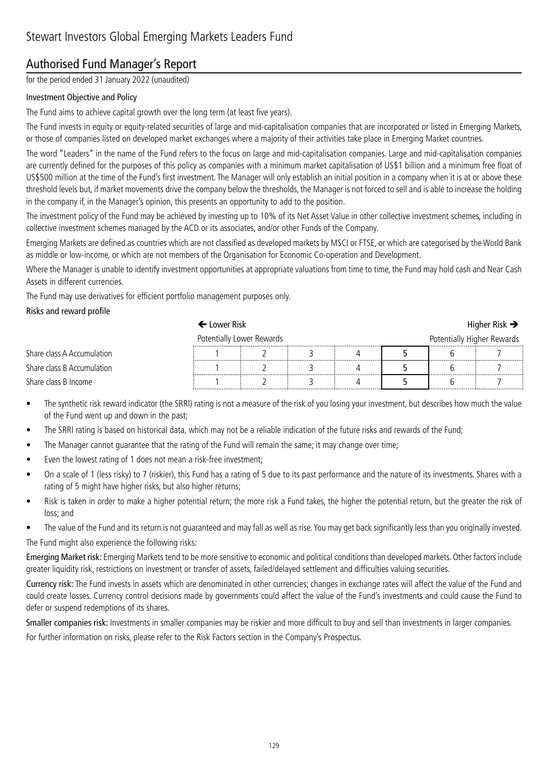## Authorised Fund Manager's Report

for the period ended 31 January 2022 (unaudited)

#### Investment Objective and Policy

The Fund aims to achieve capital growth over the long term (at least five years).

The Fund invests in equity or equity-related securities of large and mid-capitalisation companies that are incorporated or listed in Emerging Markets, or those of companies listed on developed market exchanges where a majority of their activities take place in Emerging Market countries.

The word "Leaders" in the name of the Fund refers to the focus on large and mid-capitalisation companies. Large and mid-capitalisation companies are currently defined for the purposes of this policy as companies with a minimum market capitalisation of US\$1 billion and a minimum free float of US\$500 million at the time of the Fund's first investment. The Manager will only establish an initial position in a company when it is at or above these threshold levels but, if market movements drive the company below the thresholds, the Manager is not forced to sell and is able to increase the holding in the company if, in the Manager's opinion, this presents an opportunity to add to the position.

The investment policy of the Fund may be achieved by investing up to 10% of its Net Asset Value in other collective investment schemes, including in collective investment schemes managed by the ACD or its associates, and/or other Funds of the Company.

Emerging Markets are defined as countries which are not classified as developed markets by MSCI or FTSE, or which are categorised by the World Bank as middle or low-income, or which are not members of the Organisation for Economic Co-operation and Development.

Where the Manager is unable to identify investment opportunities at appropriate valuations from time to time, the Fund may hold cash and Near Cash Assets in different currencies.

The Fund may use derivatives for efficient portfolio management purposes only.

#### Risks and reward profile

## $\leftarrow$  Lower Risk  $\rightarrow$

| Potentially Lower Rewards  |  |  |  |  | Potentially Higher Rewards |  |
|----------------------------|--|--|--|--|----------------------------|--|
| Share class A Accumulation |  |  |  |  |                            |  |
| Share class B Accumulation |  |  |  |  |                            |  |
| Share class B Income       |  |  |  |  |                            |  |

- The synthetic risk reward indicator (the SRRI) rating is not a measure of the risk of you losing your investment, but describes how much the value of the Fund went up and down in the past;
- The SRRI rating is based on historical data, which may not be a reliable indication of the future risks and rewards of the Fund;
- The Manager cannot guarantee that the rating of the Fund will remain the same; it may change over time;
- Even the lowest rating of 1 does not mean a risk-free investment;
- On a scale of 1 (less risky) to 7 (riskier), this Fund has a rating of 5 due to its past performance and the nature of its investments. Shares with a rating of 5 might have higher risks, but also higher returns;
- Risk is taken in order to make a higher potential return; the more risk a Fund takes, the higher the potential return, but the greater the risk of loss; and
- The value of the Fund and its return is not guaranteed and may fall as well as rise. You may get back significantly less than you originally invested.

The Fund might also experience the following risks:

Emerging Market risk: Emerging Markets tend to be more sensitive to economic and political conditions than developed markets. Other factors include greater liquidity risk, restrictions on investment or transfer of assets, failed/delayed settlement and difficulties valuing securities.

Currency risk: The Fund invests in assets which are denominated in other currencies; changes in exchange rates will affect the value of the Fund and could create losses. Currency control decisions made by governments could affect the value of the Fund's investments and could cause the Fund to defer or suspend redemptions of its shares.

Smaller companies risk: Investments in smaller companies may be riskier and more difficult to buy and sell than investments in larger companies.

For further information on risks, please refer to the Risk Factors section in the Company's Prospectus.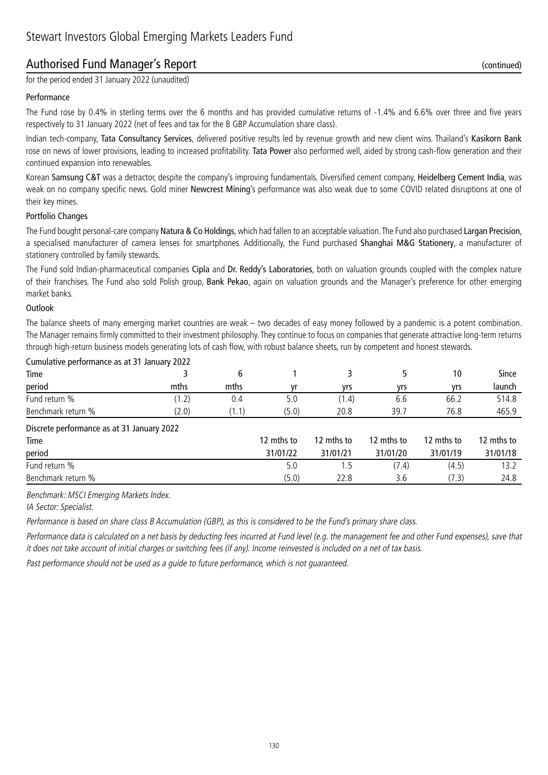## Authorised Fund Manager's Report (continued)

for the period ended 31 January 2022 (unaudited)

#### Performance

The Fund rose by 0.4% in sterling terms over the 6 months and has provided cumulative returns of -1.4% and 6.6% over three and five years respectively to 31 January 2022 (net of fees and tax for the B GBP Accumulation share class).

Indian tech-company, Tata Consultancy Services, delivered positive results led by revenue growth and new client wins. Thailand's Kasikorn Bank rose on news of lower provisions, leading to increased profitability. Tata Power also performed well, aided by strong cash-flow generation and their continued expansion into renewables.

Korean Samsung C&T was a detractor, despite the company's improving fundamentals. Diversified cement company, Heidelberg Cement India, was weak on no company specific news. Gold miner Newcrest Mining's performance was also weak due to some COVID related disruptions at one of their key mines.

#### Portfolio Changes

The Fund bought personal-care company Natura & Co Holdings, which had fallen to an acceptable valuation. The Fund also purchased Largan Precision, a specialised manufacturer of camera lenses for smartphones. Additionally, the Fund purchased Shanghai M&G Stationery, a manufacturer of stationery controlled by family stewards.

The Fund sold Indian-pharmaceutical companies Cipla and Dr. Reddy's Laboratories, both on valuation grounds coupled with the complex nature of their franchises. The Fund also sold Polish group, Bank Pekao, again on valuation grounds and the Manager's preference for other emerging market banks.

#### **Outlook**

The balance sheets of many emerging market countries are weak – two decades of easy money followed by a pandemic is a potent combination. The Manager remains firmly committed to their investment philosophy. They continue to focus on companies that generate attractive long-term returns through high-return business models generating lots of cash flow, with robust balance sheets, run by competent and honest stewards.

| Cumulative performance as at 31 January 2022 |       |       |            |            |            |            |            |  |  |
|----------------------------------------------|-------|-------|------------|------------|------------|------------|------------|--|--|
| Time                                         |       | 6     |            | 3          |            | 10         | Since      |  |  |
| period                                       | mths  | mths  | vr         | yrs        | yrs        | yrs        | launch     |  |  |
| Fund return %                                | (1.2) | 0.4   | 5.0        | (1.4)      | 6.6        | 66.2       | 514.8      |  |  |
| Benchmark return %                           | (2.0) | (1.1) | (5.0)      | 20.8       | 39.7       | 76.8       | 465.9      |  |  |
| Discrete performance as at 31 January 2022   |       |       |            |            |            |            |            |  |  |
| Time                                         |       |       | 12 mths to | 12 mths to | 12 mths to | 12 mths to | 12 mths to |  |  |
| period                                       |       |       | 31/01/22   | 31/01/21   | 31/01/20   | 31/01/19   | 31/01/18   |  |  |
| Fund return %                                |       |       | 5.0        | 1.5        | (7.4)      | (4.5)      | 13.2       |  |  |
| Benchmark return %                           |       |       | (5.0)      | 22.8       | 3.6        | (7.3)      | 24.8       |  |  |

Benchmark: MSCI Emerging Markets Index.

IA Sector: Specialist.

Performance is based on share class B Accumulation (GBP), as this is considered to be the Fund's primary share class.

Performance data is calculated on a net basis by deducting fees incurred at Fund level (e.g. the management fee and other Fund expenses), save that it does not take account of initial charges or switching fees (if any). Income reinvested is included on a net of tax basis.

Past performance should not be used as a guide to future performance, which is not guaranteed.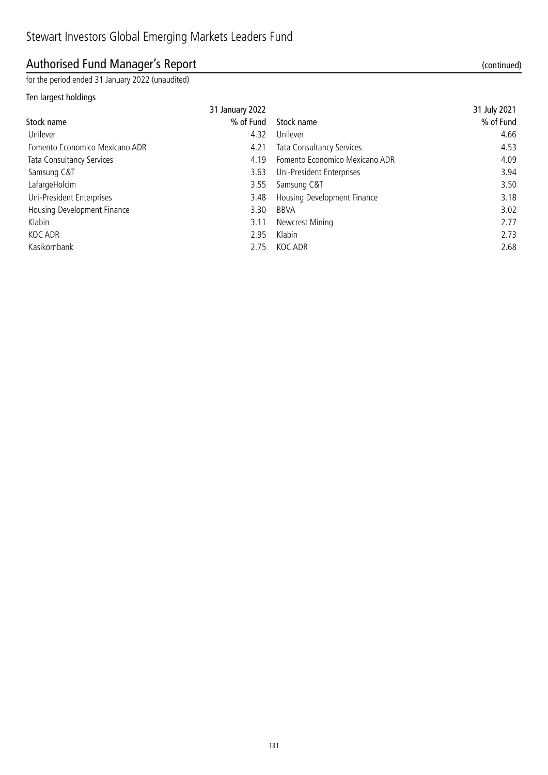## Authorised Fund Manager's Report (continued)

for the period ended 31 January 2022 (unaudited)

#### Ten largest holdings

|                                | 31 January 2022 |                                | 31 July 2021 |
|--------------------------------|-----------------|--------------------------------|--------------|
| Stock name                     | % of Fund       | Stock name                     | % of Fund    |
| Unilever                       | 4.32            | Unilever                       | 4.66         |
| Fomento Economico Mexicano ADR | 4.21            | Tata Consultancy Services      | 4.53         |
| Tata Consultancy Services      | 4.19            | Fomento Economico Mexicano ADR | 4.09         |
| Samsung C&T                    | 3.63            | Uni-President Enterprises      | 3.94         |
| LafargeHolcim                  | 3.55            | Samsung C&T                    | 3.50         |
| Uni-President Enterprises      | 3.48            | Housing Development Finance    | 3.18         |
| Housing Development Finance    | 3.30            | BBVA                           | 3.02         |
| Klabin                         | 3.11            | Newcrest Mining                | 2.77         |
| KOC ADR                        | 2.95            | Klabin                         | 2.73         |
| Kasikornbank                   | 2.75            | KOC ADR                        | 2.68         |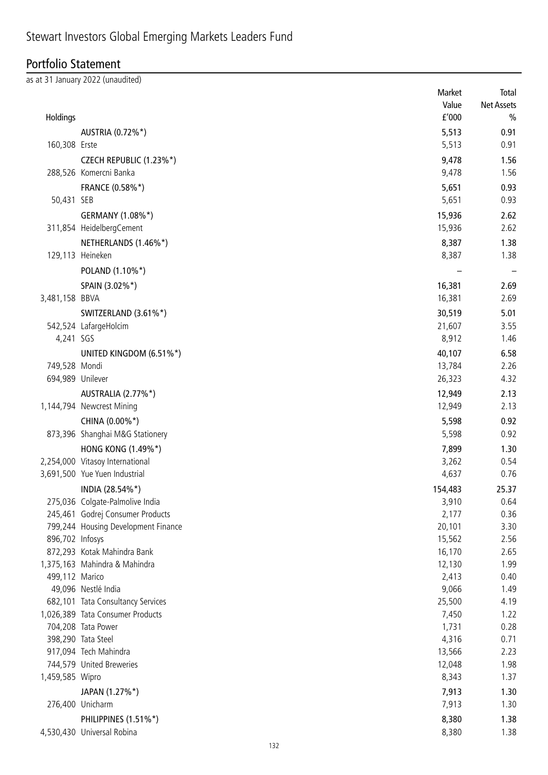## Stewart Investors Global Emerging Markets Leaders Fund

#### Portfolio Statement

as at 31 January 2022 (unaudited) Market Total Value Net Assets Holdings £'000 % AUSTRIA (0.72%\*) 6.91 160,308 Erste 0.91 CZECH REPUBLIC (1.23%\*) 9,478 1.56 288,526 Komercni Banka 9,478 1.56 FRANCE (0.58%\*) 5,651 0.93 50,431 SEB 5,651 0.93 GERMANY (1.08%\*) 2.62 311,854 HeidelbergCement 15,936 2.62 NETHERLANDS (1.46%\*) 8,387 1.38 129,113 Heineken 8,387 1.38 POLAND (1.10%\*) – – SPAIN (3.02%\*) 2.69 3,481,158 BBVA 16,381 2.69 SWITZERLAND (3.61%\*) 5.01 542,524 LafargeHolcim 21,607 3.55 4,241 SGS 8,912 1.46 UNITED KINGDOM (6.51%\*) 40,107 6.58 749,528 Mondi 13,784 2.26 694,989 Unilever 26,323 4.32 AUSTRALIA (2.77%\*) 12,949 2.13 1,144,794 Newcrest Mining 2.13 CHINA (0.00%\*) 6.598 0.92 873,396 Shanghai M&G Stationery 6.92 HONG KONG (1.49%\*) 1.30 2,254,000 Vitasoy International 3,262 0.54 3,691,500 Yue Yuen Industrial 4,637 0.76 INDIA (28.54%\*) 154,483 25.37 275,036 Colgate-Palmolive India 3,910 0.64 245,461 Godrej Consumer Products 2,177 0.36 799,244 Housing Development Finance 20,101 3.30 896,702 Infosys 15,562 2.56 872,293 Kotak Mahindra Bank 16,170 2.65 1,375,163 Mahindra & Mahindra 12,130 1.99 499,112 Marico 2,413 0.40 49,096 Nestlé India 9,066 1.49 682,101 Tata Consultancy Services 25,500 4.19 1,026,389 Tata Consumer Products 7,450 1.22 704,208 Tata Power 1,731 0.28 398,290 Tata Steel 0.71 917,094 Tech Mahindra 13,566 2.23

1,459,585 Wipro 8,343 1.37  $JAPAN$  (1.27%\*) 1.30 276,400 Unicharm 2001 1.30 PHILIPPINES (1.51%\*) 8,380 1.38

4,530,430 Universal Robina 8,380 1.38

744,579 United Breweries 12,048 1.98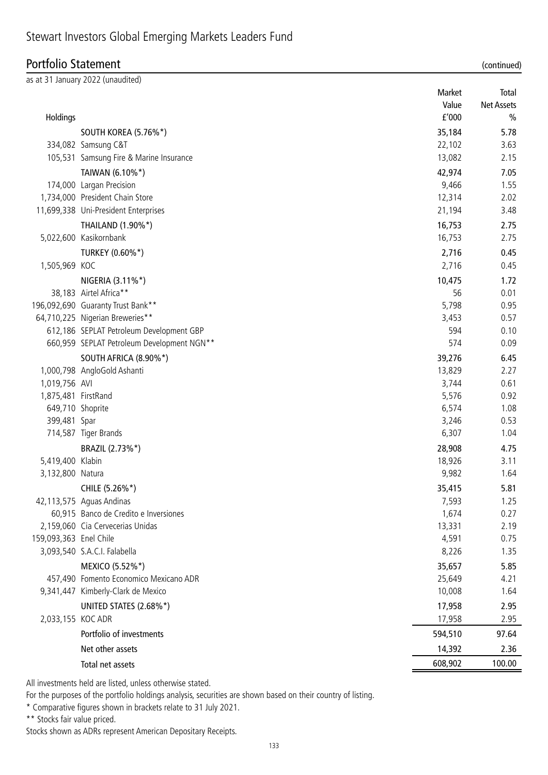## Stewart Investors Global Emerging Markets Leaders Fund

## Portfolio Statement (continued)

|                        | as at 31 January 2022 (unaudited)          |         |                   |
|------------------------|--------------------------------------------|---------|-------------------|
|                        |                                            | Market  | Total             |
|                        |                                            | Value   | <b>Net Assets</b> |
| Holdings               |                                            | f'000   | $\frac{0}{0}$     |
|                        | SOUTH KOREA (5.76%*)                       | 35,184  | 5.78              |
|                        | 334,082 Samsung C&T                        | 22,102  | 3.63              |
|                        | 105,531 Samsung Fire & Marine Insurance    | 13,082  | 2.15              |
|                        | TAIWAN (6.10%*)                            | 42,974  | 7.05              |
|                        | 174,000 Largan Precision                   | 9,466   | 1.55              |
|                        | 1,734,000 President Chain Store            | 12,314  | 2.02              |
|                        | 11,699,338 Uni-President Enterprises       | 21,194  | 3.48              |
|                        | THAILAND (1.90%*)                          | 16,753  | 2.75              |
|                        | 5,022,600 Kasikornbank                     | 16,753  | 2.75              |
|                        | TURKEY (0.60%*)                            | 2,716   | 0.45              |
| 1,505,969 KOC          |                                            | 2,716   | 0.45              |
|                        | NIGERIA (3.11%*)                           | 10,475  | 1.72              |
|                        | 38,183 Airtel Africa**                     | 56      | 0.01              |
|                        | 196,092,690 Guaranty Trust Bank**          | 5,798   | 0.95              |
|                        | 64,710,225 Nigerian Breweries**            | 3,453   | 0.57              |
|                        | 612,186 SEPLAT Petroleum Development GBP   | 594     | 0.10              |
|                        | 660,959 SEPLAT Petroleum Development NGN** | 574     | 0.09              |
|                        | SOUTH AFRICA (8.90%*)                      | 39,276  | 6.45              |
|                        | 1,000,798 AngloGold Ashanti                | 13,829  | 2.27              |
| 1,019,756 AVI          |                                            | 3,744   | 0.61              |
| 1,875,481 FirstRand    |                                            | 5,576   | 0.92              |
| 649,710 Shoprite       |                                            | 6,574   | 1.08              |
| 399,481 Spar           |                                            | 3,246   | 0.53              |
|                        | 714,587 Tiger Brands                       | 6,307   | 1.04              |
|                        | BRAZIL (2.73%*)                            | 28,908  | 4.75              |
| 5,419,400 Klabin       |                                            | 18,926  | 3.11              |
| 3,132,800 Natura       |                                            | 9,982   | 1.64              |
|                        | CHILE (5.26%*)                             | 35,415  | 5.81              |
|                        | 42,113,575 Aguas Andinas                   | 7,593   | 1.25              |
|                        | 60,915 Banco de Credito e Inversiones      | 1,674   | 0.27              |
|                        | 2,159,060 Cia Cervecerias Unidas           | 13,331  | 2.19              |
| 159,093,363 Enel Chile |                                            | 4,591   | 0.75              |
|                        | 3,093,540 S.A.C.I. Falabella               | 8,226   | 1.35              |
|                        | MEXICO (5.52%*)                            | 35,657  | 5.85              |
|                        | 457,490 Fomento Economico Mexicano ADR     | 25,649  | 4.21              |
|                        | 9,341,447 Kimberly-Clark de Mexico         | 10,008  | 1.64              |
|                        | UNITED STATES (2.68%*)                     | 17,958  | 2.95              |
| 2,033,155 KOC ADR      |                                            | 17,958  | 2.95              |
|                        | Portfolio of investments                   | 594,510 | 97.64             |
|                        | Net other assets                           | 14,392  | 2.36              |
|                        | Total net assets                           | 608,902 | 100.00            |

All investments held are listed, unless otherwise stated.

For the purposes of the portfolio holdings analysis, securities are shown based on their country of listing.

\* Comparative figures shown in brackets relate to 31 July 2021.

\*\* Stocks fair value priced.

Stocks shown as ADRs represent American Depositary Receipts.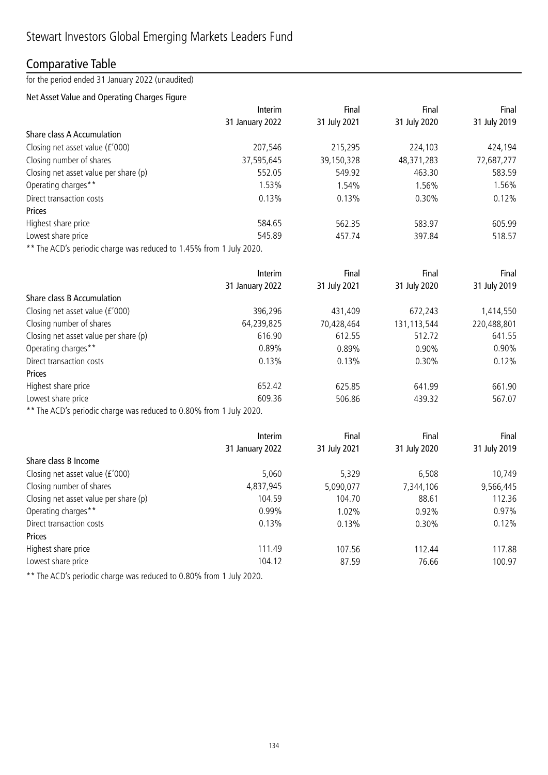## Comparative Table

for the period ended 31 January 2022 (unaudited)

#### Net Asset Value and Operating Charges Figure

|                                                                               | Interim         | Final        | Final        | Final        |
|-------------------------------------------------------------------------------|-----------------|--------------|--------------|--------------|
|                                                                               | 31 January 2022 | 31 July 2021 | 31 July 2020 | 31 July 2019 |
| Share class A Accumulation                                                    |                 |              |              |              |
| Closing net asset value (£'000)                                               | 207,546         | 215,295      | 224,103      | 424,194      |
| Closing number of shares                                                      | 37,595,645      | 39,150,328   | 48,371,283   | 72,687,277   |
| Closing net asset value per share (p)                                         | 552.05          | 549.92       | 463.30       | 583.59       |
| Operating charges**                                                           | 1.53%           | 1.54%        | 1.56%        | 1.56%        |
| Direct transaction costs                                                      | 0.13%           | 0.13%        | 0.30%        | 0.12%        |
| <b>Prices</b>                                                                 |                 |              |              |              |
| Highest share price                                                           | 584.65          | 562.35       | 583.97       | 605.99       |
| Lowest share price                                                            | 545.89          | 457.74       | 397.84       | 518.57       |
| $\star\star$ The ACD's particular showns used used to 1.450/ from 1.1.1. 2020 |                 |              |              |              |

The ACD's periodic charge was reduced to 1.45% from 1 July 2020.

|                                       | Interim         | Final        | Final        | Final        |
|---------------------------------------|-----------------|--------------|--------------|--------------|
|                                       | 31 January 2022 | 31 July 2021 | 31 July 2020 | 31 July 2019 |
| Share class B Accumulation            |                 |              |              |              |
| Closing net asset value (£'000)       | 396,296         | 431,409      | 672,243      | 1,414,550    |
| Closing number of shares              | 64,239,825      | 70,428,464   | 131,113,544  | 220,488,801  |
| Closing net asset value per share (p) | 616.90          | 612.55       | 512.72       | 641.55       |
| Operating charges**                   | 0.89%           | 0.89%        | $0.90\%$     | 0.90%        |
| Direct transaction costs              | 0.13%           | 0.13%        | 0.30%        | 0.12%        |
| Prices                                |                 |              |              |              |
| Highest share price                   | 652.42          | 625.85       | 641.99       | 661.90       |
| Lowest share price                    | 609.36          | 506.86       | 439.32       | 567.07       |
|                                       |                 |              |              |              |

\*\* The ACD's periodic charge was reduced to 0.80% from 1 July 2020.

|                                       | Interim         | Final        | Final        | Final        |
|---------------------------------------|-----------------|--------------|--------------|--------------|
|                                       | 31 January 2022 | 31 July 2021 | 31 July 2020 | 31 July 2019 |
| Share class B Income                  |                 |              |              |              |
| Closing net asset value (£'000)       | 5,060           | 5,329        | 6,508        | 10,749       |
| Closing number of shares              | 4,837,945       | 5,090,077    | 7,344,106    | 9,566,445    |
| Closing net asset value per share (p) | 104.59          | 104.70       | 88.61        | 112.36       |
| Operating charges**                   | 0.99%           | 1.02%        | 0.92%        | 0.97%        |
| Direct transaction costs              | 0.13%           | 0.13%        | 0.30%        | 0.12%        |
| Prices                                |                 |              |              |              |
| Highest share price                   | 111.49          | 107.56       | 112.44       | 117.88       |
| Lowest share price                    | 104.12          | 87.59        | 76.66        | 100.97       |

\*\* The ACD's periodic charge was reduced to 0.80% from 1 July 2020.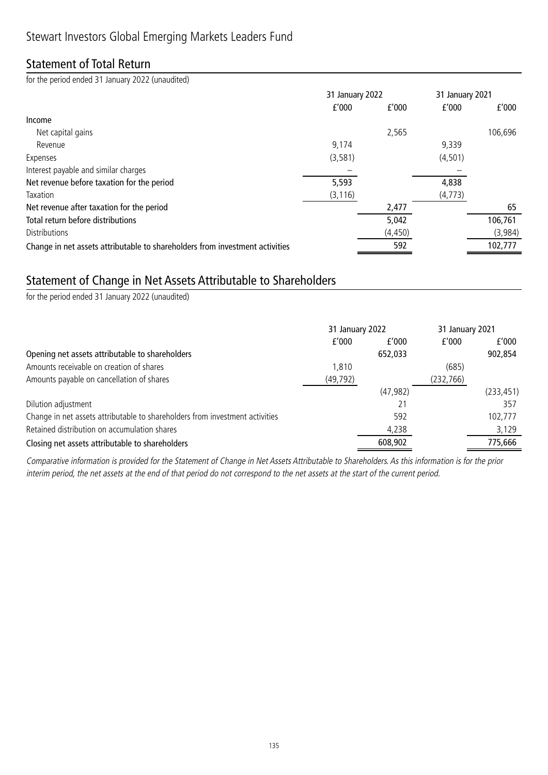## Statement of Total Return

for the period ended 31 January 2022 (unaudited)

|                                                                              | 31 January 2022 |          | 31 January 2021 |         |
|------------------------------------------------------------------------------|-----------------|----------|-----------------|---------|
|                                                                              | f'000           | f'000    | f'000           | f'000   |
| Income                                                                       |                 |          |                 |         |
| Net capital gains                                                            |                 | 2,565    |                 | 106,696 |
| Revenue                                                                      | 9,174           |          | 9,339           |         |
| Expenses                                                                     | (3, 581)        |          | (4, 501)        |         |
| Interest payable and similar charges                                         |                 |          |                 |         |
| Net revenue before taxation for the period                                   | 5,593           |          | 4,838           |         |
| Taxation                                                                     | (3, 116)        |          | (4, 773)        |         |
| Net revenue after taxation for the period                                    |                 | 2,477    |                 | 65      |
| Total return before distributions                                            |                 | 5,042    |                 | 106,761 |
| <b>Distributions</b>                                                         |                 | (4, 450) |                 | (3,984) |
| Change in net assets attributable to shareholders from investment activities |                 | 592      |                 | 102,777 |

### Statement of Change in Net Assets Attributable to Shareholders

for the period ended 31 January 2022 (unaudited)

|                                                                              | 31 January 2022 |           | 31 January 2021 |            |
|------------------------------------------------------------------------------|-----------------|-----------|-----------------|------------|
|                                                                              | f'000           | f'000     | f'000           | f'000      |
| Opening net assets attributable to shareholders                              |                 | 652,033   |                 | 902,854    |
| Amounts receivable on creation of shares                                     | 1.810           |           | (685)           |            |
| Amounts payable on cancellation of shares                                    | (49, 792)       |           | (232, 766)      |            |
|                                                                              |                 | (47, 982) |                 | (233, 451) |
| Dilution adjustment                                                          |                 |           |                 | 357        |
| Change in net assets attributable to shareholders from investment activities |                 | 592       |                 | 102,777    |
| Retained distribution on accumulation shares                                 |                 | 4,238     |                 | 3,129      |
| Closing net assets attributable to shareholders                              |                 | 608,902   |                 | 775,666    |

Comparative information is provided for the Statement of Change in Net Assets Attributable to Shareholders. As this information is for the prior interim period, the net assets at the end of that period do not correspond to the net assets at the start of the current period.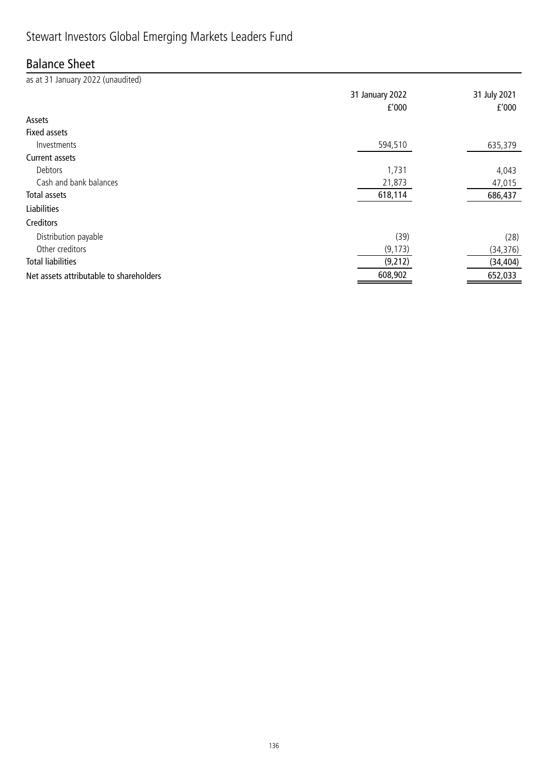## Stewart Investors Global Emerging Markets Leaders Fund

## Balance Sheet

as at 31 January 2022 (unaudited) 31 January 2022 31 July 2021 £'000 £'000 Assets Fixed assets Investments 594,510 635,379 Current assets Debtors 1,731 4,043 Cash and bank balances 47,015 Total assets 618,114 686,437 Liabilities Creditors Distribution payable (39) (28) Other creditors (34,376) (34,376) (34,376) Total liabilities (9,212) (34,404) Net assets attributable to shareholders and the set of the set of the set of the set of the set of the set of the set of the set of the set of the set of the set of the set of the set of the set of the set of the set of th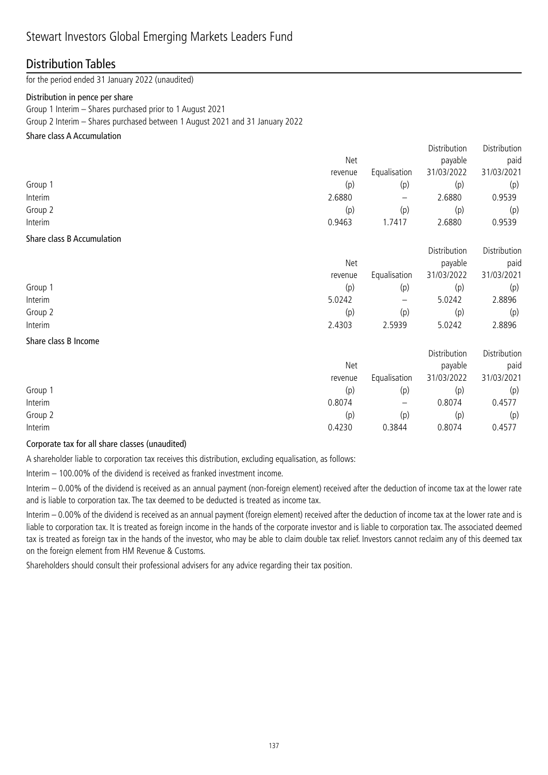#### Distribution Tables

for the period ended 31 January 2022 (unaudited)

#### Distribution in pence per share

Group 1 Interim – Shares purchased prior to 1 August 2021

Group 2 Interim – Shares purchased between 1 August 2021 and 31 January 2022

#### Share class A Accumulation

|         |            |              | Distribution | Distribution |
|---------|------------|--------------|--------------|--------------|
|         | <b>Net</b> |              | payable      | paid         |
|         | revenue    | Equalisation | 31/03/2022   | 31/03/2021   |
| Group 1 | (p)        | (p)          | (p)          | (p)          |
| Interim | 2.6880     |              | 2.6880       | 0.9539       |
| Group 2 | (p)        | (p)          | (p)          | (p)          |
| Interim | 0.9463     | 1.7417       | 2.6880       | 0.9539       |
|         |            |              |              |              |

#### Share class B Accumulation

|         | Net     |              | Distribution<br>payable | Distribution<br>paid |
|---------|---------|--------------|-------------------------|----------------------|
|         | revenue | Equalisation | 31/03/2022              | 31/03/2021           |
| Group 1 | (p)     | (p)          | (p)                     | (p)                  |
| Interim | 5.0242  | —            | 5.0242                  | 2.8896               |
| Group 2 | (p)     | (p)          | (p)                     | (p)                  |
| Interim | 2.4303  | 2.5939       | 5.0242                  | 2.8896               |

#### Share class B Income

|                          | payable | paid                       |
|--------------------------|---------|----------------------------|
|                          |         |                            |
|                          |         | 31/03/2021                 |
| (p)                      | (p)     | (p)                        |
| $\overline{\phantom{m}}$ | 0.8074  | 0.4577                     |
| (p)                      | (p)     | (p)                        |
|                          | 0.8074  | 0.4577                     |
|                          | 0.3844  | 31/03/2022<br>Equalisation |

#### Corporate tax for all share classes (unaudited)

A shareholder liable to corporation tax receives this distribution, excluding equalisation, as follows:

Interim – 100.00% of the dividend is received as franked investment income.

Interim – 0.00% of the dividend is received as an annual payment (non-foreign element) received after the deduction of income tax at the lower rate and is liable to corporation tax. The tax deemed to be deducted is treated as income tax.

Interim – 0.00% of the dividend is received as an annual payment (foreign element) received after the deduction of income tax at the lower rate and is liable to corporation tax. It is treated as foreign income in the hands of the corporate investor and is liable to corporation tax. The associated deemed tax is treated as foreign tax in the hands of the investor, who may be able to claim double tax relief. Investors cannot reclaim any of this deemed tax on the foreign element from HM Revenue & Customs.

Shareholders should consult their professional advisers for any advice regarding their tax position.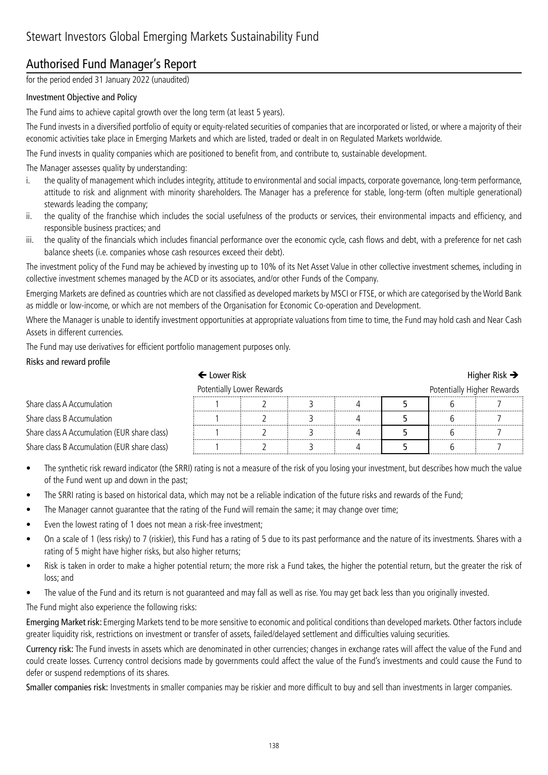## Authorised Fund Manager's Report

for the period ended 31 January 2022 (unaudited)

#### Investment Objective and Policy

The Fund aims to achieve capital growth over the long term (at least 5 years).

The Fund invests in a diversified portfolio of equity or equity-related securities of companies that are incorporated or listed, or where a majority of their economic activities take place in Emerging Markets and which are listed, traded or dealt in on Regulated Markets worldwide.

The Fund invests in quality companies which are positioned to benefit from, and contribute to, sustainable development.

The Manager assesses quality by understanding:

- i. the quality of management which includes integrity, attitude to environmental and social impacts, corporate governance, long-term performance, attitude to risk and alignment with minority shareholders. The Manager has a preference for stable, long-term (often multiple generational) stewards leading the company;
- ii. the quality of the franchise which includes the social usefulness of the products or services, their environmental impacts and efficiency, and responsible business practices; and
- iii. the quality of the financials which includes financial performance over the economic cycle, cash flows and debt, with a preference for net cash balance sheets (i.e. companies whose cash resources exceed their debt).

The investment policy of the Fund may be achieved by investing up to 10% of its Net Asset Value in other collective investment schemes, including in collective investment schemes managed by the ACD or its associates, and/or other Funds of the Company.

Emerging Markets are defined as countries which are not classified as developed markets by MSCI or FTSE, or which are categorised by the World Bank as middle or low-income, or which are not members of the Organisation for Economic Co-operation and Development.

Where the Manager is unable to identify investment opportunities at appropriate valuations from time to time, the Fund may hold cash and Near Cash Assets in different currencies.

The Fund may use derivatives for efficient portfolio management purposes only.

#### Risks and reward profile

|                                              | $\leftarrow$ Lower Risk |  |  |                            |  | Higher Risk $\rightarrow$ |
|----------------------------------------------|-------------------------|--|--|----------------------------|--|---------------------------|
| Potentially Lower Rewards                    |                         |  |  | Potentially Higher Rewards |  |                           |
| Share class A Accumulation                   |                         |  |  |                            |  |                           |
| Share class B Accumulation                   |                         |  |  |                            |  |                           |
| Share class A Accumulation (EUR share class) |                         |  |  |                            |  |                           |
| Share class B Accumulation (EUR share class) |                         |  |  |                            |  |                           |

- The synthetic risk reward indicator (the SRRI) rating is not a measure of the risk of you losing your investment, but describes how much the value of the Fund went up and down in the past;
- The SRRI rating is based on historical data, which may not be a reliable indication of the future risks and rewards of the Fund;
- The Manager cannot guarantee that the rating of the Fund will remain the same; it may change over time;
- Even the lowest rating of 1 does not mean a risk-free investment;
- On a scale of 1 (less risky) to 7 (riskier), this Fund has a rating of 5 due to its past performance and the nature of its investments. Shares with a rating of 5 might have higher risks, but also higher returns;
- Risk is taken in order to make a higher potential return; the more risk a Fund takes, the higher the potential return, but the greater the risk of loss; and
- The value of the Fund and its return is not quaranteed and may fall as well as rise. You may get back less than you originally invested.

The Fund might also experience the following risks:

Emerging Market risk: Emerging Markets tend to be more sensitive to economic and political conditions than developed markets. Other factors include greater liquidity risk, restrictions on investment or transfer of assets, failed/delayed settlement and difficulties valuing securities.

Currency risk: The Fund invests in assets which are denominated in other currencies; changes in exchange rates will affect the value of the Fund and could create losses. Currency control decisions made by governments could affect the value of the Fund's investments and could cause the Fund to defer or suspend redemptions of its shares.

Smaller companies risk: Investments in smaller companies may be riskier and more difficult to buy and sell than investments in larger companies.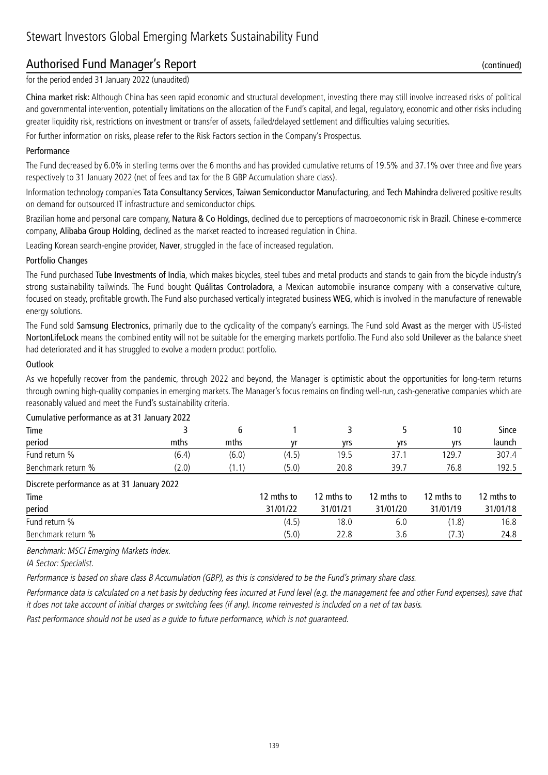## Authorised Fund Manager's Report (continued)

for the period ended 31 January 2022 (unaudited)

China market risk: Although China has seen rapid economic and structural development, investing there may still involve increased risks of political and governmental intervention, potentially limitations on the allocation of the Fund's capital, and legal, regulatory, economic and other risks including greater liquidity risk, restrictions on investment or transfer of assets, failed/delayed settlement and difficulties valuing securities.

For further information on risks, please refer to the Risk Factors section in the Company's Prospectus.

#### Performance

The Fund decreased by 6.0% in sterling terms over the 6 months and has provided cumulative returns of 19.5% and 37.1% over three and five years respectively to 31 January 2022 (net of fees and tax for the B GBP Accumulation share class).

Information technology companies Tata Consultancy Services, Taiwan Semiconductor Manufacturing, and Tech Mahindra delivered positive results on demand for outsourced IT infrastructure and semiconductor chips.

Brazilian home and personal care company, Natura & Co Holdings, declined due to perceptions of macroeconomic risk in Brazil. Chinese e-commerce company, Alibaba Group Holding, declined as the market reacted to increased regulation in China.

Leading Korean search-engine provider, Naver, struggled in the face of increased regulation.

#### Portfolio Changes

The Fund purchased Tube Investments of India, which makes bicycles, steel tubes and metal products and stands to gain from the bicycle industry's strong sustainability tailwinds. The Fund bought Quálitas Controladora, a Mexican automobile insurance company with a conservative culture, focused on steady, profitable growth. The Fund also purchased vertically integrated business WEG, which is involved in the manufacture of renewable energy solutions.

The Fund sold Samsung Electronics, primarily due to the cyclicality of the company's earnings. The Fund sold Avast as the merger with US-listed NortonLifeLock means the combined entity will not be suitable for the emerging markets portfolio. The Fund also sold Unilever as the balance sheet had deteriorated and it has struggled to evolve a modern product portfolio.

#### **Outlook**

As we hopefully recover from the pandemic, through 2022 and beyond, the Manager is optimistic about the opportunities for long-term returns through owning high-quality companies in emerging markets. The Manager's focus remains on finding well-run, cash-generative companies which are reasonably valued and meet the Fund's sustainability criteria.

| Curriculus performance as at 31 January 2022 |       |       |            |            |            |            |            |
|----------------------------------------------|-------|-------|------------|------------|------------|------------|------------|
| Time                                         |       | 6     |            | 3.         |            | 10         | Since      |
| period                                       | mths  | mths  | vr         | yrs        | yrs        | yrs        | launch     |
| Fund return %                                | (6.4) | (6.0) | (4.5)      | 19.5       | 37.1       | 129.7      | 307.4      |
| Benchmark return %                           | (2.0) | (1.1) | (5.0)      | 20.8       | 39.7       | 76.8       | 192.5      |
| Discrete performance as at 31 January 2022   |       |       |            |            |            |            |            |
| Time                                         |       |       | 12 mths to | 12 mths to | 12 mths to | 12 mths to | 12 mths to |
| period                                       |       |       | 31/01/22   | 31/01/21   | 31/01/20   | 31/01/19   | 31/01/18   |
| Fund return %                                |       |       | (4.5)      | 18.0       | 6.0        | (1.8)      | 16.8       |
| Benchmark return %                           |       |       | (5.0)      | 22.8       | 3.6        | (7.3)      | 24.8       |

#### Cumulative performance as at 31 January 2022

Benchmark: MSCI Emerging Markets Index.

IA Sector: Specialist.

Performance is based on share class B Accumulation (GBP), as this is considered to be the Fund's primary share class.

Performance data is calculated on a net basis by deducting fees incurred at Fund level (e.g. the management fee and other Fund expenses), save that it does not take account of initial charges or switching fees (if any). Income reinvested is included on a net of tax basis.

Past performance should not be used as a guide to future performance, which is not guaranteed.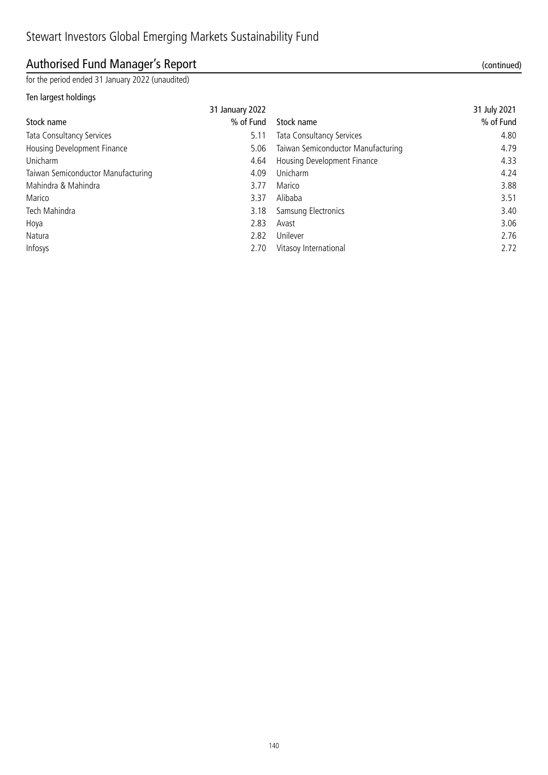## Authorised Fund Manager's Report (continued)

for the period ended 31 January 2022 (unaudited)

#### Ten largest holdings

|                                    | 31 January 2022 |                                    | 31 July 2021 |
|------------------------------------|-----------------|------------------------------------|--------------|
| Stock name                         | % of Fund       | Stock name                         | % of Fund    |
| <b>Tata Consultancy Services</b>   | 5.11            | Tata Consultancy Services          | 4.80         |
| Housing Development Finance        | 5.06            | Taiwan Semiconductor Manufacturing | 4.79         |
| Unicharm                           | 4.64            | Housing Development Finance        | 4.33         |
| Taiwan Semiconductor Manufacturing | 4.09            | Unicharm                           | 4.24         |
| Mahindra & Mahindra                | 3.77            | Marico                             | 3.88         |
| Marico                             | 3.37            | Alibaba                            | 3.51         |
| Tech Mahindra                      | 3.18            | Samsung Electronics                | 3.40         |
| Hoya                               | 2.83            | Avast                              | 3.06         |
| Natura                             | 2.82            | Unilever                           | 2.76         |
| Infosys                            | 2.70            | Vitasoy International              | 2.72         |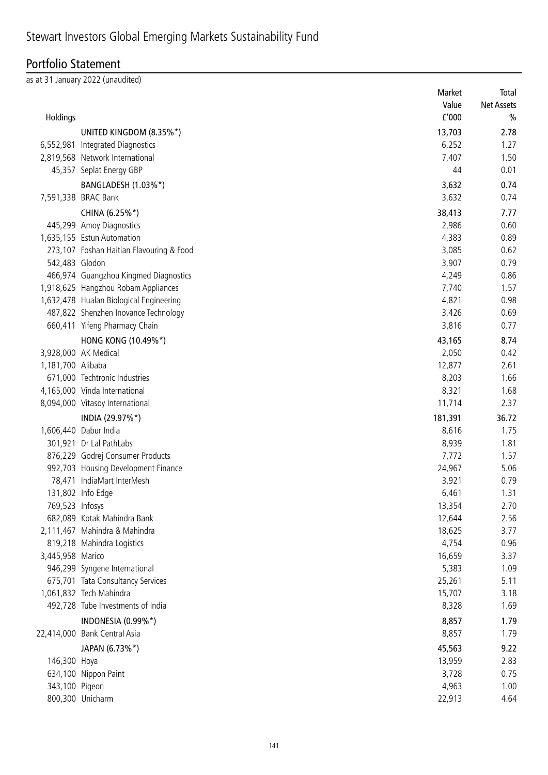## Stewart Investors Global Emerging Markets Sustainability Fund

## Portfolio Statement

as at 31 January 2022 (unaudited)

|                   |                                          | Market  | Total             |
|-------------------|------------------------------------------|---------|-------------------|
|                   |                                          | Value   | <b>Net Assets</b> |
| Holdings          |                                          | f'000   | $\frac{0}{0}$     |
|                   | UNITED KINGDOM (8.35%*)                  | 13,703  | 2.78              |
| 6,552,981         | Integrated Diagnostics                   | 6,252   | 1.27              |
|                   | 2,819,568 Network International          | 7,407   | 1.50              |
|                   | 45,357 Seplat Energy GBP                 | 44      | 0.01              |
|                   | BANGLADESH (1.03%*)                      | 3,632   | 0.74              |
|                   | 7,591,338 BRAC Bank                      | 3,632   | 0.74              |
|                   | CHINA (6.25%*)                           | 38,413  | 7.77              |
|                   | 445,299 Amoy Diagnostics                 | 2,986   | 0.60              |
|                   | 1,635,155 Estun Automation               | 4,383   | 0.89              |
|                   |                                          | 3,085   | 0.62              |
|                   | 273,107 Foshan Haitian Flavouring & Food |         |                   |
| 542,483 Glodon    |                                          | 3,907   | 0.79              |
|                   | 466,974 Guangzhou Kingmed Diagnostics    | 4,249   | 0.86              |
|                   | 1,918,625 Hangzhou Robam Appliances      | 7,740   | 1.57              |
|                   | 1,632,478 Hualan Biological Engineering  | 4,821   | 0.98              |
|                   | 487,822 Shenzhen Inovance Technology     | 3,426   | 0.69              |
|                   | 660,411 Yifeng Pharmacy Chain            | 3,816   | 0.77              |
|                   | HONG KONG (10.49%*)                      | 43,165  | 8.74              |
|                   | 3,928,000 AK Medical                     | 2,050   | 0.42              |
| 1,181,700 Alibaba |                                          | 12,877  | 2.61              |
|                   | 671,000 Techtronic Industries            | 8,203   | 1.66              |
|                   | 4,165,000 Vinda International            | 8,321   | 1.68              |
|                   | 8,094,000 Vitasoy International          | 11,714  | 2.37              |
|                   | INDIA (29.97%*)                          | 181,391 | 36.72             |
|                   | 1,606,440 Dabur India                    | 8,616   | 1.75              |
|                   | 301,921 Dr Lal PathLabs                  | 8,939   | 1.81              |
|                   | 876,229 Godrej Consumer Products         | 7,772   | 1.57              |
|                   | 992,703 Housing Development Finance      | 24,967  | 5.06              |
|                   | 78,471 IndiaMart InterMesh               | 3,921   | 0.79              |
|                   | 131,802 Info Edge                        | 6,461   | 1.31              |
| 769,523 Infosys   |                                          | 13,354  | 2.70              |
|                   | 682,089 Kotak Mahindra Bank              | 12,644  | 2.56              |
|                   | 2,111,467 Mahindra & Mahindra            | 18,625  | 3.77              |
|                   | 819,218 Mahindra Logistics               | 4,754   | 0.96              |
| 3,445,958 Marico  |                                          | 16,659  | 3.37              |
|                   | 946,299 Syngene International            | 5,383   | 1.09              |
|                   | 675,701 Tata Consultancy Services        | 25,261  | 5.11              |
|                   | 1,061,832 Tech Mahindra                  | 15,707  | 3.18              |
|                   | 492,728 Tube Investments of India        | 8,328   | 1.69              |
|                   | INDONESIA (0.99%*)                       | 8,857   | 1.79              |
|                   | 22,414,000 Bank Central Asia             | 8,857   | 1.79              |
|                   |                                          |         |                   |
|                   | JAPAN (6.73%*)                           | 45,563  | 9.22              |
| 146,300 Hoya      |                                          | 13,959  | 2.83              |
|                   | 634,100 Nippon Paint                     | 3,728   | 0.75              |
| 343,100 Pigeon    |                                          | 4,963   | 1.00              |
|                   | 800,300 Unicharm                         | 22,913  | 4.64              |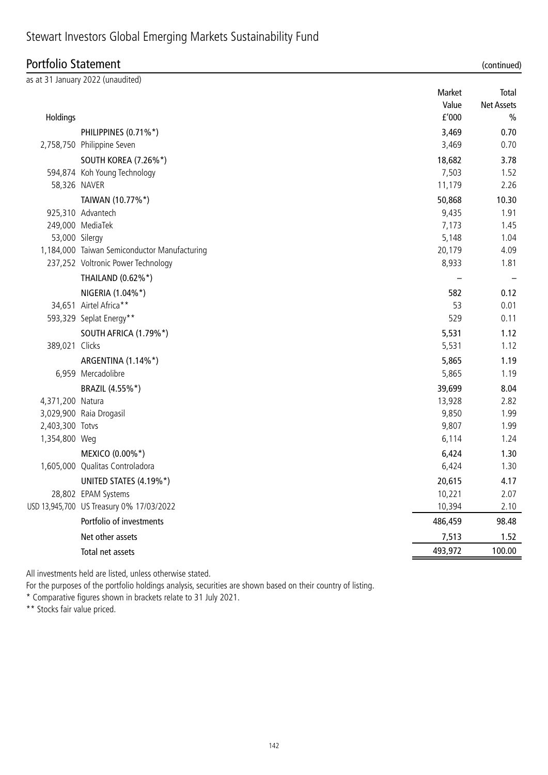| Portfolio Statement |                                              |                          | (continued)                                 |
|---------------------|----------------------------------------------|--------------------------|---------------------------------------------|
|                     | as at 31 January 2022 (unaudited)            |                          |                                             |
| Holdings            |                                              | Market<br>Value<br>f'000 | Total<br><b>Net Assets</b><br>$\frac{0}{0}$ |
|                     | PHILIPPINES (0.71%*)                         | 3,469                    | 0.70                                        |
|                     | 2,758,750 Philippine Seven                   | 3,469                    | 0.70                                        |
|                     | <b>SOUTH KOREA (7.26%*)</b>                  | 18,682                   | 3.78                                        |
|                     | 594,874 Koh Young Technology                 | 7,503                    | 1.52                                        |
| 58,326 NAVER        |                                              | 11,179                   | 2.26                                        |
|                     | TAIWAN (10.77%*)                             | 50,868                   | 10.30                                       |
|                     | 925,310 Advantech                            | 9,435                    | 1.91                                        |
|                     | 249,000 MediaTek                             | 7,173                    | 1.45                                        |
| 53,000 Silergy      |                                              | 5,148                    | 1.04                                        |
|                     | 1,184,000 Taiwan Semiconductor Manufacturing | 20,179                   | 4.09                                        |
|                     | 237,252 Voltronic Power Technology           | 8,933                    | 1.81                                        |
|                     | THAILAND (0.62%*)                            |                          |                                             |
|                     | NIGERIA (1.04%*)                             | 582                      | 0.12                                        |
|                     | 34,651 Airtel Africa**                       | 53                       | 0.01                                        |
|                     | 593,329 Seplat Energy**                      | 529                      | 0.11                                        |
|                     | SOUTH AFRICA (1.79%*)                        | 5,531                    | 1.12                                        |
| 389,021 Clicks      |                                              | 5,531                    | 1.12                                        |
|                     | ARGENTINA (1.14%*)                           | 5,865                    | 1.19                                        |
|                     | 6,959 Mercadolibre                           | 5,865                    | 1.19                                        |
|                     | BRAZIL (4.55%*)                              | 39,699                   | 8.04                                        |
| 4,371,200 Natura    |                                              | 13,928                   | 2.82                                        |
|                     | 3,029,900 Raia Drogasil                      | 9,850                    | 1.99                                        |
| 2,403,300 Totvs     |                                              | 9,807                    | 1.99                                        |
| 1,354,800 Weg       |                                              | 6,114                    | 1.24                                        |
|                     | MEXICO (0.00%*)                              | 6,424                    | 1.30                                        |
|                     | 1,605,000 Qualitas Controladora              | 6,424                    | 1.30                                        |
|                     | UNITED STATES (4.19%*)                       | 20,615                   | 4.17                                        |
|                     | 28,802 EPAM Systems                          | 10,221                   | 2.07                                        |
|                     | USD 13,945,700 US Treasury 0% 17/03/2022     | 10,394                   | 2.10                                        |
|                     | Portfolio of investments                     | 486,459                  | 98.48                                       |
|                     | Net other assets                             | 7,513                    | 1.52                                        |
|                     | Total net assets                             | 493,972                  | 100.00                                      |

All investments held are listed, unless otherwise stated.

For the purposes of the portfolio holdings analysis, securities are shown based on their country of listing.

\* Comparative figures shown in brackets relate to 31 July 2021.

\*\* Stocks fair value priced.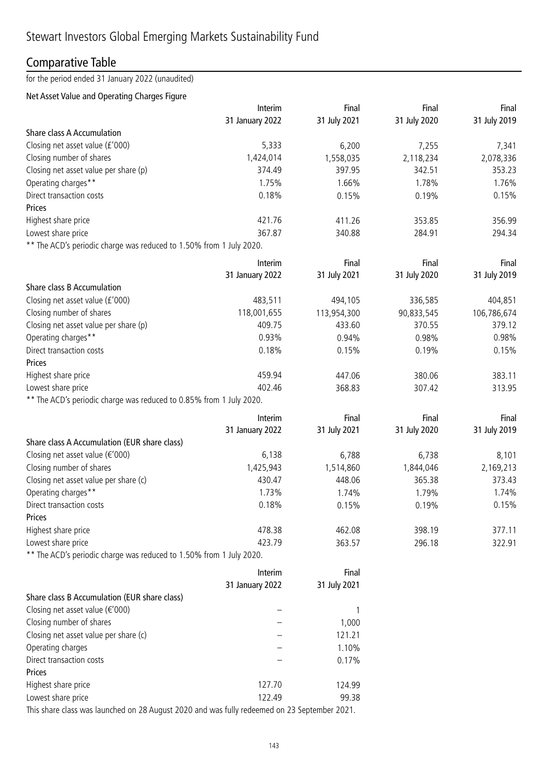## Comparative Table

for the period ended 31 January 2022 (unaudited)

### Net Asset Value and Operating Charges Figure

|                                                                                            | Interim                    | Final                 | Final                 | Final               |
|--------------------------------------------------------------------------------------------|----------------------------|-----------------------|-----------------------|---------------------|
|                                                                                            | 31 January 2022            | 31 July 2021          | 31 July 2020          | 31 July 2019        |
| Share class A Accumulation                                                                 |                            |                       |                       |                     |
| Closing net asset value (£'000)                                                            | 5,333                      | 6,200                 | 7,255                 | 7,341               |
| Closing number of shares                                                                   | 1,424,014                  | 1,558,035             | 2,118,234             | 2,078,336           |
| Closing net asset value per share (p)                                                      | 374.49                     | 397.95                | 342.51                | 353.23              |
| Operating charges**                                                                        | 1.75%                      | 1.66%                 | 1.78%                 | 1.76%               |
| Direct transaction costs                                                                   | 0.18%                      | 0.15%                 | 0.19%                 | 0.15%               |
| Prices                                                                                     |                            |                       |                       |                     |
| Highest share price                                                                        | 421.76                     | 411.26                | 353.85                | 356.99              |
| Lowest share price                                                                         | 367.87                     | 340.88                | 284.91                | 294.34              |
| ** The ACD's periodic charge was reduced to 1.50% from 1 July 2020.                        |                            |                       |                       |                     |
|                                                                                            | Interim                    | Final                 | Final                 | Final               |
|                                                                                            | 31 January 2022            | 31 July 2021          | 31 July 2020          | 31 July 2019        |
| Share class B Accumulation                                                                 |                            |                       |                       |                     |
| Closing net asset value (£'000)                                                            | 483,511                    | 494,105               | 336,585               | 404,851             |
| Closing number of shares                                                                   | 118,001,655                | 113,954,300           | 90,833,545            | 106,786,674         |
| Closing net asset value per share (p)                                                      | 409.75                     | 433.60                | 370.55                | 379.12              |
| Operating charges**                                                                        | 0.93%                      | 0.94%                 | 0.98%                 | 0.98%               |
| Direct transaction costs                                                                   | 0.18%                      | 0.15%                 | 0.19%                 | 0.15%               |
| <b>Prices</b>                                                                              |                            |                       |                       |                     |
| Highest share price                                                                        | 459.94                     | 447.06                | 380.06                | 383.11              |
| Lowest share price                                                                         | 402.46                     | 368.83                | 307.42                | 313.95              |
| ** The ACD's periodic charge was reduced to 0.85% from 1 July 2020.                        |                            |                       |                       |                     |
|                                                                                            |                            |                       |                       |                     |
|                                                                                            | Interim<br>31 January 2022 | Final<br>31 July 2021 | Final<br>31 July 2020 | Final               |
|                                                                                            |                            |                       |                       | 31 July 2019        |
| Share class A Accumulation (EUR share class)<br>Closing net asset value ( $\epsilon$ '000) |                            |                       |                       |                     |
| Closing number of shares                                                                   | 6,138<br>1,425,943         | 6,788                 | 6,738                 | 8,101               |
| Closing net asset value per share (c)                                                      | 430.47                     | 1,514,860<br>448.06   | 1,844,046<br>365.38   | 2,169,213<br>373.43 |
| Operating charges**                                                                        | 1.73%                      | 1.74%                 |                       | 1.74%               |
| Direct transaction costs                                                                   | 0.18%                      | 0.15%                 | 1.79%<br>0.19%        | 0.15%               |
|                                                                                            |                            |                       |                       |                     |
| Prices                                                                                     | 478.38                     | 462.08                | 398.19                |                     |
| Highest share price<br>Lowest share price                                                  | 423.79                     | 363.57                | 296.18                | 377.11<br>322.91    |
| ** The ACD's periodic charge was reduced to 1.50% from 1 July 2020.                        |                            |                       |                       |                     |
|                                                                                            |                            |                       |                       |                     |
|                                                                                            | Interim                    | Final                 |                       |                     |
|                                                                                            | 31 January 2022            | 31 July 2021          |                       |                     |
| Share class B Accumulation (EUR share class)                                               |                            |                       |                       |                     |
| Closing net asset value ( $\epsilon$ '000)                                                 |                            | 1                     |                       |                     |
| Closing number of shares                                                                   |                            | 1,000                 |                       |                     |
| Closing net asset value per share (c)                                                      |                            | 121.21                |                       |                     |
| Operating charges                                                                          |                            | 1.10%                 |                       |                     |
| Direct transaction costs                                                                   |                            | 0.17%                 |                       |                     |
| Prices                                                                                     |                            |                       |                       |                     |
| Highest share price                                                                        | 127.70                     | 124.99                |                       |                     |
| Lowest share price                                                                         | 122.49                     | 99.38                 |                       |                     |

This share class was launched on 28 August 2020 and was fully redeemed on 23 September 2021.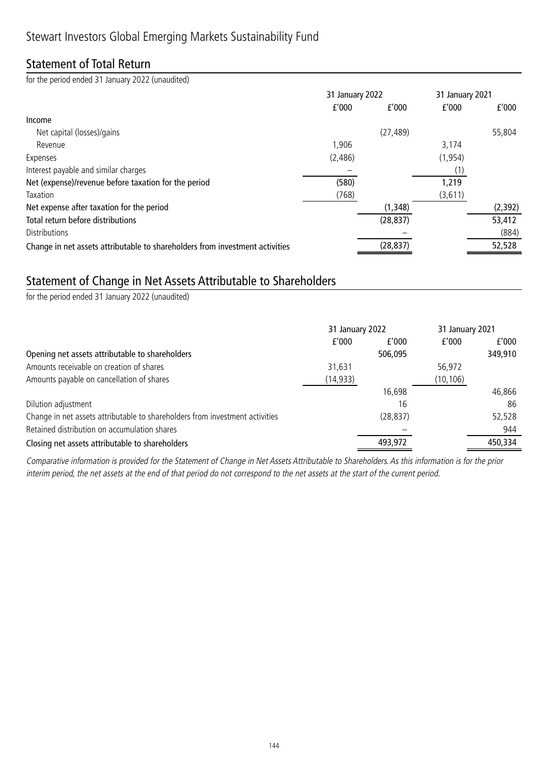## Statement of Total Return

for the period ended 31 January 2022 (unaudited)

|                                                                              | 31 January 2022 |           | 31 January 2021 |          |
|------------------------------------------------------------------------------|-----------------|-----------|-----------------|----------|
|                                                                              | f'000           | f'000     | f'000           | f'000    |
| Income                                                                       |                 |           |                 |          |
| Net capital (losses)/gains                                                   |                 | (27, 489) |                 | 55,804   |
| Revenue                                                                      | 1,906           |           | 3,174           |          |
| Expenses                                                                     | (2,486)         |           | (1, 954)        |          |
| Interest payable and similar charges                                         |                 |           |                 |          |
| Net (expense)/revenue before taxation for the period                         | (580)           |           | 1,219           |          |
| Taxation                                                                     | (768)           |           | (3,611)         |          |
| Net expense after taxation for the period                                    |                 | (1, 348)  |                 | (2, 392) |
| Total return before distributions                                            |                 | (28, 837) |                 | 53,412   |
| Distributions                                                                |                 |           |                 | (884)    |
| Change in net assets attributable to shareholders from investment activities |                 | (28, 837) |                 | 52,528   |

### Statement of Change in Net Assets Attributable to Shareholders

for the period ended 31 January 2022 (unaudited)

|                                                                              | 31 January 2022 |           | 31 January 2021 |         |
|------------------------------------------------------------------------------|-----------------|-----------|-----------------|---------|
|                                                                              | f'000           | f'000     | f'000           | f'000   |
| Opening net assets attributable to shareholders                              |                 | 506,095   |                 | 349,910 |
| Amounts receivable on creation of shares                                     | 31,631          |           | 56,972          |         |
| Amounts payable on cancellation of shares                                    | (14, 933)       |           | (10, 106)       |         |
|                                                                              |                 | 16,698    |                 | 46,866  |
| Dilution adjustment                                                          |                 | 16        |                 | 86      |
| Change in net assets attributable to shareholders from investment activities |                 | (28, 837) |                 | 52,528  |
| Retained distribution on accumulation shares                                 |                 |           |                 | 944     |
| Closing net assets attributable to shareholders                              |                 | 493,972   |                 | 450,334 |

Comparative information is provided for the Statement of Change in Net Assets Attributable to Shareholders. As this information is for the prior interim period, the net assets at the end of that period do not correspond to the net assets at the start of the current period.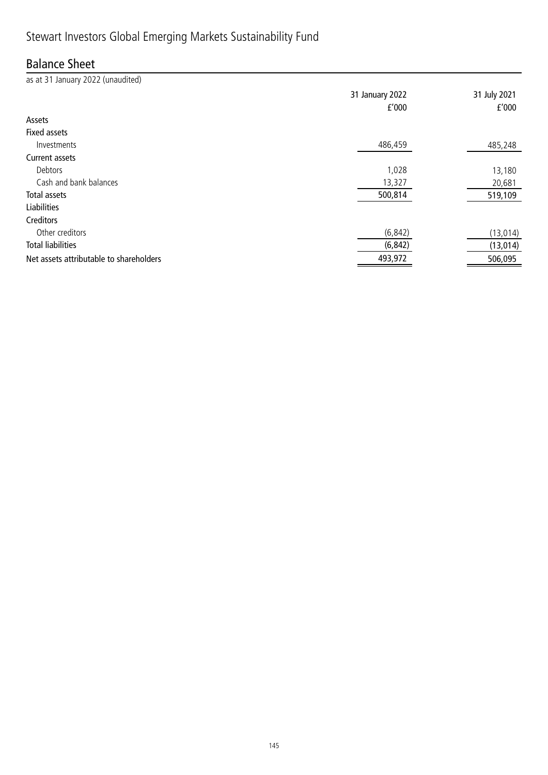## Balance Sheet

as at 31 January 2022 (unaudited) 31 January 2022 31 July 2021 £'000 £'000 Assets Fixed assets Investments 486,459 485,248 Current assets Debtors 1,028 13,180 Cash and bank balances 20,681 Total assets 500,814 519,109 Liabilities Creditors Other creditors (6,842) (13,014) Total liabilities (6,842) (13,014) Net assets attributable to shareholders and the state of the state of the 493,972 506,095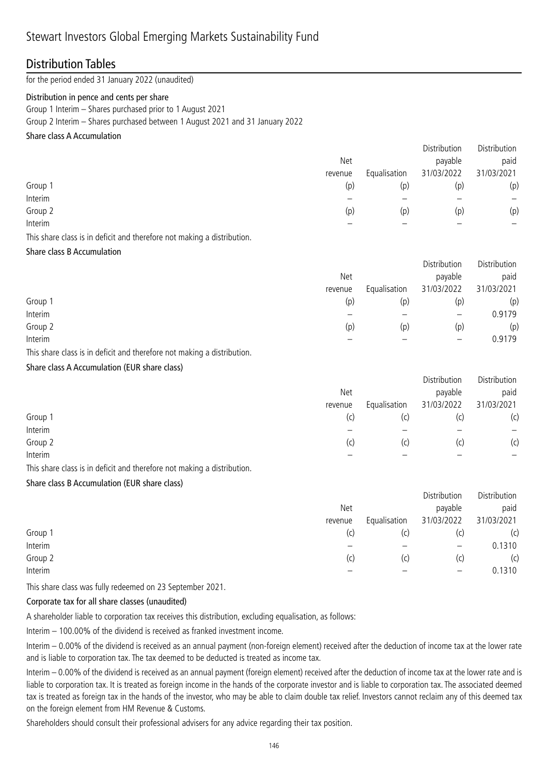### Distribution Tables

for the period ended 31 January 2022 (unaudited)

#### Distribution in pence and cents per share

Group 1 Interim – Shares purchased prior to 1 August 2021

Group 2 Interim – Shares purchased between 1 August 2021 and 31 January 2022

#### Share class A Accumulation

|         |         |              | Distribution | Distribution |
|---------|---------|--------------|--------------|--------------|
|         | Net     |              | payable      | paid         |
|         | revenue | Equalisation | 31/03/2022   | 31/03/2021   |
| Group 1 | (p)     | (p)          | (p)          | (p)          |
| Interim |         |              |              | —            |
| Group 2 | (p)     | (p)          | (p)          | (p)          |
| Interim |         |              |              |              |
|         |         |              |              |              |

This share class is in deficit and therefore not making a distribution.

Share class B Accumulation

|         |         |              | Distribution             | Distribution |
|---------|---------|--------------|--------------------------|--------------|
|         | Net     |              | payable                  | paid         |
|         | revenue | Equalisation | 31/03/2022               | 31/03/2021   |
| Group 1 | (p)     | (p)          | (p)                      | (p)          |
| Interim |         |              |                          | 0.9179       |
| Group 2 | (p)     | (p)          | (p)                      | (p)          |
| Interim |         |              | $\overline{\phantom{m}}$ | 0.9179       |

This share class is in deficit and therefore not making a distribution.

Share class A Accumulation (EUR share class)

|         |         |              | <b>DISLINGUOTE</b> | <b>DISLINGUOIL</b> |
|---------|---------|--------------|--------------------|--------------------|
|         | Net     |              | payable            | paid               |
|         | revenue | Equalisation | 31/03/2022         | 31/03/2021         |
| Group 1 | (C)     | (C)          | (C)                | (c)                |
| Interim |         |              |                    | $\qquad \qquad -$  |
| Group 2 | (c)     | (c)          | (c)                | (c)                |
| Interim |         |              |                    |                    |
|         |         |              |                    |                    |

Distribution Distribution

This share class is in deficit and therefore not making a distribution.

Share class B Accumulation (EUR share class)

|         |         |              | Distribution             | Distribution |
|---------|---------|--------------|--------------------------|--------------|
|         | Net     |              | payable                  | paid         |
|         | revenue | Equalisation | 31/03/2022               | 31/03/2021   |
| Group 1 | (C)     | (c)          | (C)                      | (c)          |
| Interim |         |              |                          | 0.1310       |
| Group 2 | (c)     | (c)          | (C)                      | (c)          |
| Interim |         |              | $\overline{\phantom{0}}$ | 0.1310       |

This share class was fully redeemed on 23 September 2021.

#### Corporate tax for all share classes (unaudited)

A shareholder liable to corporation tax receives this distribution, excluding equalisation, as follows:

Interim – 100.00% of the dividend is received as franked investment income.

Interim – 0.00% of the dividend is received as an annual payment (non-foreign element) received after the deduction of income tax at the lower rate and is liable to corporation tax. The tax deemed to be deducted is treated as income tax.

Interim – 0.00% of the dividend is received as an annual payment (foreign element) received after the deduction of income tax at the lower rate and is liable to corporation tax. It is treated as foreign income in the hands of the corporate investor and is liable to corporation tax. The associated deemed tax is treated as foreign tax in the hands of the investor, who may be able to claim double tax relief. Investors cannot reclaim any of this deemed tax on the foreign element from HM Revenue & Customs.

Shareholders should consult their professional advisers for any advice regarding their tax position.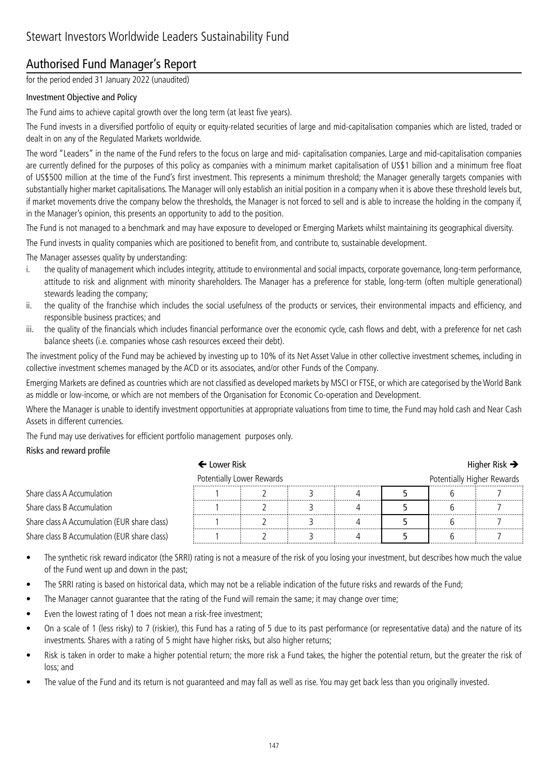## Authorised Fund Manager's Report

for the period ended 31 January 2022 (unaudited)

### Investment Objective and Policy

The Fund aims to achieve capital growth over the long term (at least five years).

The Fund invests in a diversified portfolio of equity or equity-related securities of large and mid-capitalisation companies which are listed, traded or dealt in on any of the Regulated Markets worldwide.

The word "Leaders" in the name of the Fund refers to the focus on large and mid- capitalisation companies. Large and mid-capitalisation companies are currently defined for the purposes of this policy as companies with a minimum market capitalisation of US\$1 billion and a minimum free float of US\$500 million at the time of the Fund's first investment. This represents a minimum threshold; the Manager generally targets companies with substantially higher market capitalisations. The Manager will only establish an initial position in a company when it is above these threshold levels but, if market movements drive the company below the thresholds, the Manager is not forced to sell and is able to increase the holding in the company if, in the Manager's opinion, this presents an opportunity to add to the position.

The Fund is not managed to a benchmark and may have exposure to developed or Emerging Markets whilst maintaining its geographical diversity.

The Fund invests in quality companies which are positioned to benefit from, and contribute to, sustainable development.

The Manager assesses quality by understanding:

- i. the quality of management which includes integrity, attitude to environmental and social impacts, corporate governance, long-term performance, attitude to risk and alignment with minority shareholders. The Manager has a preference for stable, long-term (often multiple generational) stewards leading the company;
- ii. the quality of the franchise which includes the social usefulness of the products or services, their environmental impacts and efficiency, and responsible business practices; and
- iii. the quality of the financials which includes financial performance over the economic cycle, cash flows and debt, with a preference for net cash balance sheets (i.e. companies whose cash resources exceed their debt).

The investment policy of the Fund may be achieved by investing up to 10% of its Net Asset Value in other collective investment schemes, including in collective investment schemes managed by the ACD or its associates, and/or other Funds of the Company.

Emerging Markets are defined as countries which are not classified as developed markets by MSCI or FTSE, or which are categorised by the World Bank as middle or low-income, or which are not members of the Organisation for Economic Co-operation and Development.

Where the Manager is unable to identify investment opportunities at appropriate valuations from time to time, the Fund may hold cash and Near Cash Assets in different currencies.

The Fund may use derivatives for efficient portfolio management purposes only.

#### Risks and reward profile

|                                              | $\leftarrow$ Lower Risk |                           |  |  |  |                            | Higher Risk $\rightarrow$ |  |
|----------------------------------------------|-------------------------|---------------------------|--|--|--|----------------------------|---------------------------|--|
|                                              |                         | Potentially Lower Rewards |  |  |  | Potentially Higher Rewards |                           |  |
| Share class A Accumulation                   |                         |                           |  |  |  |                            |                           |  |
| Share class B Accumulation                   |                         |                           |  |  |  |                            |                           |  |
| Share class A Accumulation (EUR share class) |                         |                           |  |  |  |                            |                           |  |
| Share class B Accumulation (EUR share class) |                         |                           |  |  |  |                            |                           |  |

- The synthetic risk reward indicator (the SRRI) rating is not a measure of the risk of you losing your investment, but describes how much the value of the Fund went up and down in the past;
- The SRRI rating is based on historical data, which may not be a reliable indication of the future risks and rewards of the Fund;
- The Manager cannot guarantee that the rating of the Fund will remain the same; it may change over time;
- Even the lowest rating of 1 does not mean a risk-free investment;
- On a scale of 1 (less risky) to 7 (riskier), this Fund has a rating of 5 due to its past performance (or representative data) and the nature of its investments. Shares with a rating of 5 might have higher risks, but also higher returns;
- Risk is taken in order to make a higher potential return; the more risk a Fund takes, the higher the potential return, but the greater the risk of loss; and
- The value of the Fund and its return is not guaranteed and may fall as well as rise. You may get back less than you originally invested.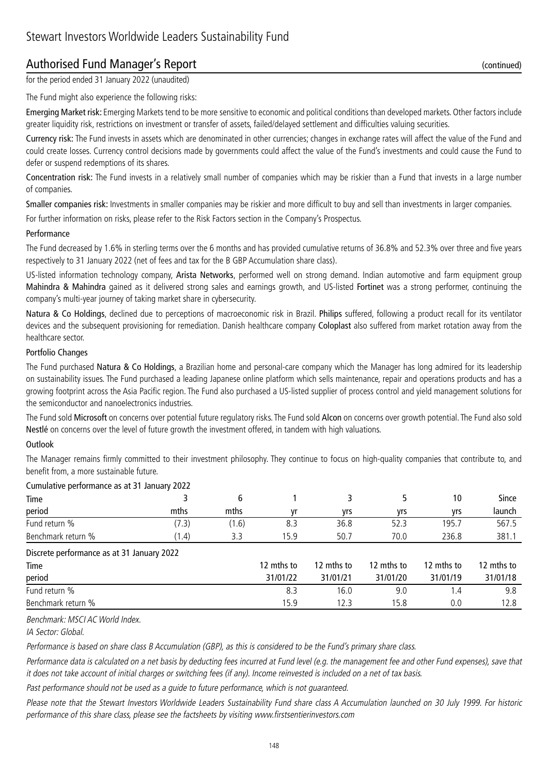## Authorised Fund Manager's Report (continued)

for the period ended 31 January 2022 (unaudited)

The Fund might also experience the following risks:

Emerging Market risk: Emerging Markets tend to be more sensitive to economic and political conditions than developed markets. Other factors include greater liquidity risk, restrictions on investment or transfer of assets, failed/delayed settlement and difficulties valuing securities.

Currency risk: The Fund invests in assets which are denominated in other currencies; changes in exchange rates will affect the value of the Fund and could create losses. Currency control decisions made by governments could affect the value of the Fund's investments and could cause the Fund to defer or suspend redemptions of its shares.

Concentration risk: The Fund invests in a relatively small number of companies which may be riskier than a Fund that invests in a large number of companies.

Smaller companies risk: Investments in smaller companies may be riskier and more difficult to buy and sell than investments in larger companies.

For further information on risks, please refer to the Risk Factors section in the Company's Prospectus.

#### Performance

The Fund decreased by 1.6% in sterling terms over the 6 months and has provided cumulative returns of 36.8% and 52.3% over three and five years respectively to 31 January 2022 (net of fees and tax for the B GBP Accumulation share class).

US-listed information technology company, Arista Networks, performed well on strong demand. Indian automotive and farm equipment group Mahindra & Mahindra gained as it delivered strong sales and earnings growth, and US-listed Fortinet was a strong performer, continuing the company's multi-year journey of taking market share in cybersecurity.

Natura & Co Holdings, declined due to perceptions of macroeconomic risk in Brazil. Philips suffered, following a product recall for its ventilator devices and the subsequent provisioning for remediation. Danish healthcare company Coloplast also suffered from market rotation away from the healthcare sector.

#### Portfolio Changes

The Fund purchased Natura & Co Holdings, a Brazilian home and personal-care company which the Manager has long admired for its leadership on sustainability issues. The Fund purchased a leading Japanese online platform which sells maintenance, repair and operations products and has a growing footprint across the Asia Pacific region. The Fund also purchased a US-listed supplier of process control and yield management solutions for the semiconductor and nanoelectronics industries.

The Fund sold Microsoft on concerns over potential future regulatory risks. The Fund sold Alcon on concerns over growth potential. The Fund also sold Nestlé on concerns over the level of future growth the investment offered, in tandem with high valuations.

#### **Outlook**

The Manager remains firmly committed to their investment philosophy. They continue to focus on high-quality companies that contribute to, and benefit from, a more sustainable future.

| Cumulative performance as at 31 January 2022 |       |       |            |            |            |            |            |
|----------------------------------------------|-------|-------|------------|------------|------------|------------|------------|
| Time                                         |       | 6     |            | 3          |            | 10         | Since      |
| period                                       | mths  | mths  | vr         | yrs        | yrs        | yrs        | launch     |
| Fund return %                                | (7.3) | (1.6) | 8.3        | 36.8       | 52.3       | 195.7      | 567.5      |
| Benchmark return %                           | (1.4) | 3.3   | 15.9       | 50.7       | 70.0       | 236.8      | 381.1      |
| Discrete performance as at 31 January 2022   |       |       |            |            |            |            |            |
| Time                                         |       |       | 12 mths to | 12 mths to | 12 mths to | 12 mths to | 12 mths to |
| period                                       |       |       | 31/01/22   | 31/01/21   | 31/01/20   | 31/01/19   | 31/01/18   |
| Fund return %                                |       |       | 8.3        | 16.0       | 9.0        | 1.4        | 9.8        |
| Benchmark return %                           |       |       | 15.9       | 12.3       | 15.8       | 0.0        | 12.8       |

Benchmark: MSCI AC World Index.

IA Sector: Global.

Performance is based on share class B Accumulation (GBP), as this is considered to be the Fund's primary share class.

Performance data is calculated on a net basis by deducting fees incurred at Fund level (e.g. the management fee and other Fund expenses), save that it does not take account of initial charges or switching fees (if any). Income reinvested is included on a net of tax basis.

Past performance should not be used as a guide to future performance, which is not guaranteed.

Please note that the Stewart Investors Worldwide Leaders Sustainability Fund share class A Accumulation launched on 30 July 1999. For historic performance of this share class, please see the factsheets by visiting www.firstsentierinvestors.com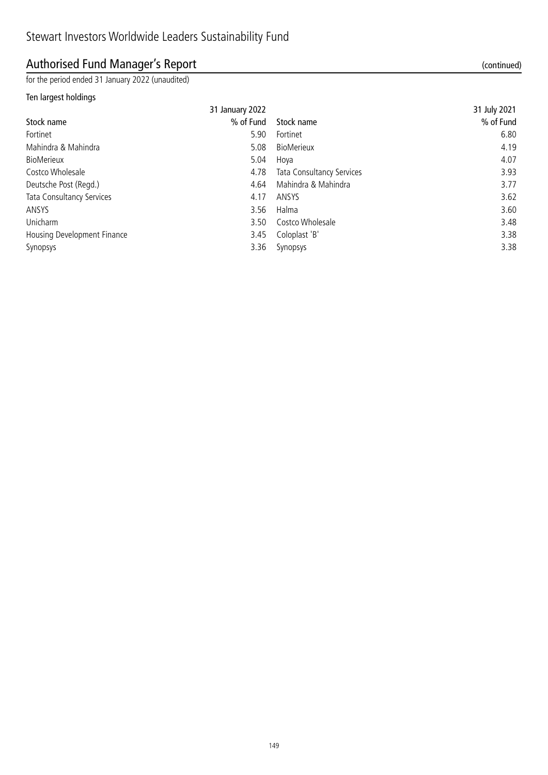## Authorised Fund Manager's Report (continued)

for the period ended 31 January 2022 (unaudited)

### Ten largest holdings

|                             | 31 January 2022 |                                  | 31 July 2021 |
|-----------------------------|-----------------|----------------------------------|--------------|
| Stock name                  | % of Fund       | Stock name                       | % of Fund    |
| Fortinet                    | 5.90            | Fortinet                         | 6.80         |
| Mahindra & Mahindra         | 5.08            | <b>BioMerieux</b>                | 4.19         |
| <b>BioMerieux</b>           | 5.04            | Hoya                             | 4.07         |
| Costco Wholesale            | 4.78            | <b>Tata Consultancy Services</b> | 3.93         |
| Deutsche Post (Regd.)       | 4.64            | Mahindra & Mahindra              | 3.77         |
| Tata Consultancy Services   | 4.17            | ANSYS                            | 3.62         |
| ANSYS                       | 3.56            | Halma                            | 3.60         |
| Unicharm                    | 3.50            | Costco Wholesale                 | 3.48         |
| Housing Development Finance | 3.45            | Coloplast 'B'                    | 3.38         |
| Synopsys                    | 3.36            | Synopsys                         | 3.38         |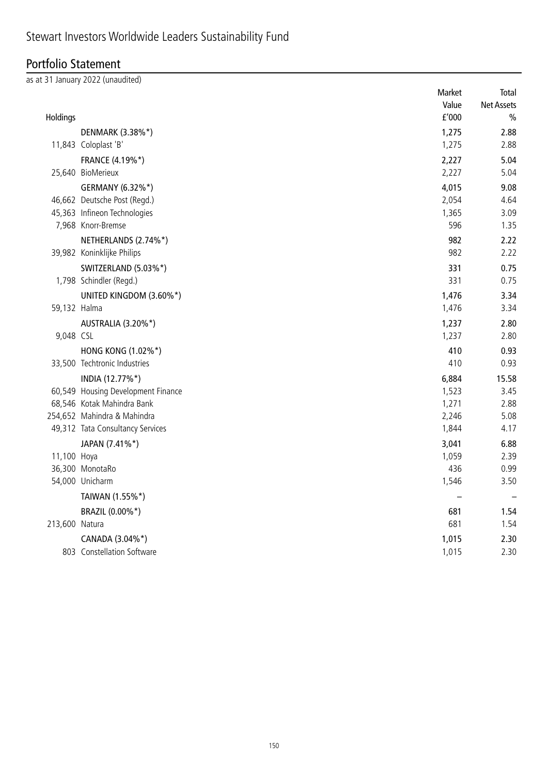## Portfolio Statement

as at 31 January 2022 (unaudited)

|                |                                    | Market | Total             |
|----------------|------------------------------------|--------|-------------------|
|                |                                    | Value  | <b>Net Assets</b> |
| Holdings       |                                    | f'000  | $\frac{0}{0}$     |
|                | DENMARK (3.38%*)                   | 1,275  | 2.88              |
|                | 11,843 Coloplast 'B'               | 1,275  | 2.88              |
|                | FRANCE (4.19%*)                    | 2,227  | 5.04              |
|                | 25,640 BioMerieux                  | 2,227  | 5.04              |
|                | GERMANY (6.32%*)                   | 4,015  | 9.08              |
|                | 46,662 Deutsche Post (Regd.)       | 2,054  | 4.64              |
|                | 45,363 Infineon Technologies       | 1,365  | 3.09              |
|                | 7,968 Knorr-Bremse                 | 596    | 1.35              |
|                | NETHERLANDS (2.74%*)               | 982    | 2.22              |
|                | 39,982 Koninklijke Philips         | 982    | 2.22              |
|                | SWITZERLAND (5.03%*)               | 331    | 0.75              |
|                | 1,798 Schindler (Regd.)            | 331    | 0.75              |
|                | UNITED KINGDOM (3.60%*)            | 1,476  | 3.34              |
| 59,132 Halma   |                                    | 1,476  | 3.34              |
|                | AUSTRALIA (3.20%*)                 | 1,237  | 2.80              |
| 9,048 CSL      |                                    | 1,237  | 2.80              |
|                | HONG KONG (1.02%*)                 | 410    | 0.93              |
|                | 33,500 Techtronic Industries       | 410    | 0.93              |
|                | INDIA (12.77%*)                    | 6,884  | 15.58             |
|                | 60,549 Housing Development Finance | 1,523  | 3.45              |
|                | 68,546 Kotak Mahindra Bank         | 1,271  | 2.88              |
|                | 254,652 Mahindra & Mahindra        | 2,246  | 5.08              |
|                | 49,312 Tata Consultancy Services   | 1,844  | 4.17              |
|                | JAPAN (7.41%*)                     | 3,041  | 6.88              |
| 11,100 Hoya    |                                    | 1,059  | 2.39              |
|                | 36,300 MonotaRo                    | 436    | 0.99              |
|                | 54,000 Unicharm                    | 1,546  | 3.50              |
|                | TAIWAN (1.55%*)                    |        |                   |
|                | BRAZIL (0.00%*)                    | 681    | 1.54              |
| 213,600 Natura |                                    | 681    | 1.54              |
|                | CANADA (3.04%*)                    | 1,015  | 2.30              |
|                | 803 Constellation Software         | 1,015  | 2.30              |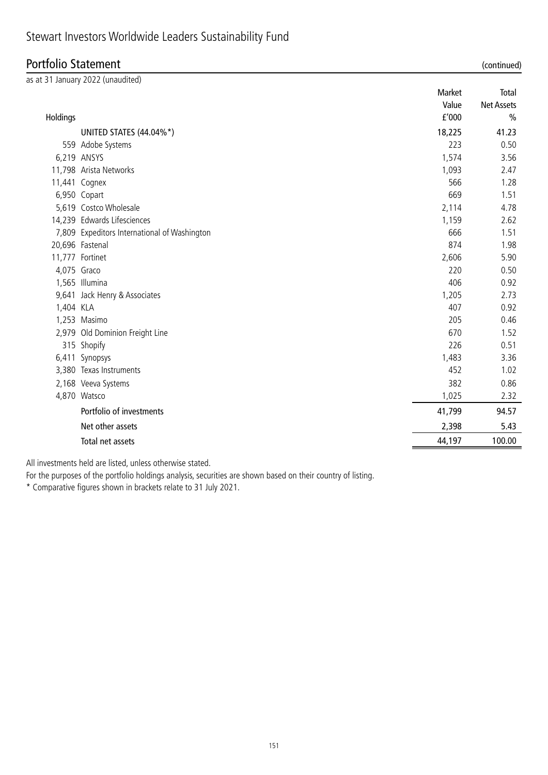## Stewart Investors Worldwide Leaders Sustainability Fund

### Portfolio Statement (continued)

|             | as at 31 January 2022 (unaudited)            |        |                   |
|-------------|----------------------------------------------|--------|-------------------|
|             |                                              | Market | Total             |
|             |                                              | Value  | <b>Net Assets</b> |
| Holdings    |                                              | f'000  | $\frac{0}{0}$     |
|             | UNITED STATES (44.04%*)                      | 18,225 | 41.23             |
|             | 559 Adobe Systems                            | 223    | 0.50              |
|             | 6,219 ANSYS                                  | 1,574  | 3.56              |
|             | 11,798 Arista Networks                       | 1,093  | 2.47              |
|             | 11,441 Cognex                                | 566    | 1.28              |
|             | 6,950 Copart                                 | 669    | 1.51              |
|             | 5,619 Costco Wholesale                       | 2,114  | 4.78              |
|             | 14,239 Edwards Lifesciences                  | 1,159  | 2.62              |
|             | 7,809 Expeditors International of Washington | 666    | 1.51              |
|             | 20,696 Fastenal                              | 874    | 1.98              |
|             | 11,777 Fortinet                              | 2,606  | 5.90              |
| 4,075 Graco |                                              | 220    | 0.50              |
|             | 1,565 Illumina                               | 406    | 0.92              |
|             | 9,641 Jack Henry & Associates                | 1,205  | 2.73              |
| 1,404 KLA   |                                              | 407    | 0.92              |
|             | 1,253 Masimo                                 | 205    | 0.46              |
|             | 2,979 Old Dominion Freight Line              | 670    | 1.52              |
|             | 315 Shopify                                  | 226    | 0.51              |
|             | 6,411 Synopsys                               | 1,483  | 3.36              |
|             | 3,380 Texas Instruments                      | 452    | 1.02              |
|             | 2,168 Veeva Systems                          | 382    | 0.86              |
|             | 4,870 Watsco                                 | 1,025  | 2.32              |
|             | Portfolio of investments                     | 41,799 | 94.57             |
|             | Net other assets                             | 2,398  | 5.43              |
|             | Total net assets                             | 44,197 | 100.00            |

All investments held are listed, unless otherwise stated.

For the purposes of the portfolio holdings analysis, securities are shown based on their country of listing.

\* Comparative figures shown in brackets relate to 31 July 2021.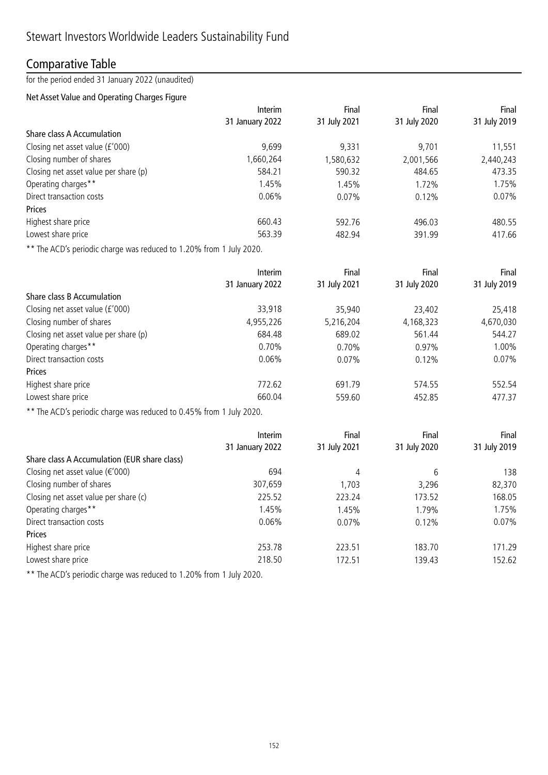### Comparative Table

for the period ended 31 January 2022 (unaudited)

### Net Asset Value and Operating Charges Figure

| Interim         | Final        | Final        | Final        |
|-----------------|--------------|--------------|--------------|
| 31 January 2022 | 31 July 2021 | 31 July 2020 | 31 July 2019 |
|                 |              |              |              |
| 9,699           | 9,331        | 9.701        | 11,551       |
| 1,660,264       | 1,580,632    | 2,001,566    | 2,440,243    |
| 584.21          | 590.32       | 484.65       | 473.35       |
| 1.45%           | 1.45%        | 1.72%        | 1.75%        |
| $0.06\%$        | 0.07%        | 0.12%        | $0.07\%$     |
|                 |              |              |              |
| 660.43          | 592.76       | 496.03       | 480.55       |
| 563.39          | 482.94       | 391.99       | 417.66       |
|                 |              |              |              |

\*\* The ACD's periodic charge was reduced to 1.20% from 1 July 2020.

|                                       | <b>Interim</b>  | Final        | Final        | Final        |  |
|---------------------------------------|-----------------|--------------|--------------|--------------|--|
|                                       | 31 January 2022 | 31 July 2021 | 31 July 2020 | 31 July 2019 |  |
| Share class B Accumulation            |                 |              |              |              |  |
| Closing net asset value (£'000)       | 33,918          | 35,940       | 23,402       | 25,418       |  |
| Closing number of shares              | 4,955,226       | 5,216,204    | 4,168,323    | 4,670,030    |  |
| Closing net asset value per share (p) | 684.48          | 689.02       | 561.44       | 544.27       |  |
| Operating charges**                   | 0.70%           | 0.70%        | 0.97%        | 1.00%        |  |
| Direct transaction costs              | $0.06\%$        | 0.07%        | 0.12%        | 0.07%        |  |
| Prices                                |                 |              |              |              |  |
| Highest share price                   | 772.62          | 691.79       | 574.55       | 552.54       |  |
| Lowest share price                    | 660.04          | 559.60       | 452.85       | 477.37       |  |

\*\* The ACD's periodic charge was reduced to 0.45% from 1 July 2020.

|                                              | Interim         | Final        | Final        | Final        |
|----------------------------------------------|-----------------|--------------|--------------|--------------|
|                                              | 31 January 2022 | 31 July 2021 | 31 July 2020 | 31 July 2019 |
| Share class A Accumulation (EUR share class) |                 |              |              |              |
| Closing net asset value ( $\epsilon$ '000)   | 694             | 4            | 6            | 138          |
| Closing number of shares                     | 307,659         | 1,703        | 3,296        | 82,370       |
| Closing net asset value per share (c)        | 225.52          | 223.24       | 173.52       | 168.05       |
| Operating charges**                          | 1.45%           | 1.45%        | 1.79%        | 1.75%        |
| Direct transaction costs                     | $0.06\%$        | 0.07%        | 0.12%        | 0.07%        |
| Prices                                       |                 |              |              |              |
| Highest share price                          | 253.78          | 223.51       | 183.70       | 171.29       |
| Lowest share price                           | 218.50          | 172.51       | 139.43       | 152.62       |

\*\* The ACD's periodic charge was reduced to 1.20% from 1 July 2020.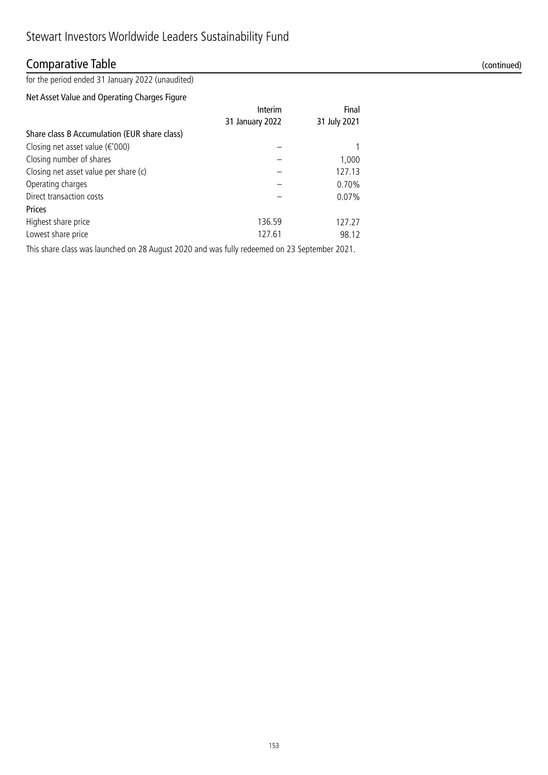## Comparative Table (continued)

for the period ended 31 January 2022 (unaudited)

### Net Asset Value and Operating Charges Figure

|                                              | Interim         | Final        |
|----------------------------------------------|-----------------|--------------|
|                                              | 31 January 2022 | 31 July 2021 |
| Share class B Accumulation (EUR share class) |                 |              |
| Closing net asset value $(\epsilon' 000)$    |                 |              |
| Closing number of shares                     |                 | 1,000        |
| Closing net asset value per share (c)        |                 | 127.13       |
| Operating charges                            |                 | $0.70\%$     |
| Direct transaction costs                     |                 | 0.07%        |
| <b>Prices</b>                                |                 |              |
| Highest share price                          | 136.59          | 127.27       |
| Lowest share price                           | 127.61          | 98.12        |

This share class was launched on 28 August 2020 and was fully redeemed on 23 September 2021.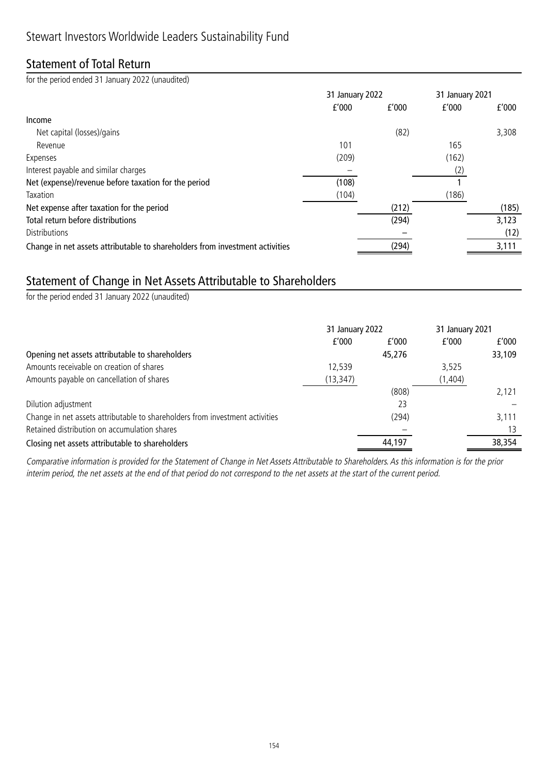### Statement of Total Return

for the period ended 31 January 2022 (unaudited)

|                                                                              | 31 January 2022 |       | 31 January 2021 |       |
|------------------------------------------------------------------------------|-----------------|-------|-----------------|-------|
|                                                                              | f'000           | f'000 | f'000           | f'000 |
| Income                                                                       |                 |       |                 |       |
| Net capital (losses)/gains                                                   |                 | (82)  |                 | 3,308 |
| Revenue                                                                      | 101             |       | 165             |       |
| Expenses                                                                     | (209)           |       | (162)           |       |
| Interest payable and similar charges                                         |                 |       | (2)             |       |
| Net (expense)/revenue before taxation for the period                         | (108)           |       |                 |       |
| Taxation                                                                     | (104)           |       | (186)           |       |
| Net expense after taxation for the period                                    |                 | (212) |                 | (185) |
| Total return before distributions                                            |                 | (294) |                 | 3,123 |
| <b>Distributions</b>                                                         |                 |       |                 | (12)  |
| Change in net assets attributable to shareholders from investment activities |                 | (294) |                 | 3,111 |

## Statement of Change in Net Assets Attributable to Shareholders

for the period ended 31 January 2022 (unaudited)

|                                                                              | 31 January 2022 |        | 31 January 2021 |        |
|------------------------------------------------------------------------------|-----------------|--------|-----------------|--------|
|                                                                              | f'000           | f'000  | f'000           | f'000  |
| Opening net assets attributable to shareholders                              |                 | 45,276 |                 | 33,109 |
| Amounts receivable on creation of shares                                     | 12.539          |        | 3,525           |        |
| Amounts payable on cancellation of shares                                    | (13, 347)       |        | (1, 404)        |        |
|                                                                              |                 | (808)  |                 | 2.121  |
| Dilution adjustment                                                          |                 | 23     |                 |        |
| Change in net assets attributable to shareholders from investment activities |                 | (294)  |                 | 3,111  |
| Retained distribution on accumulation shares                                 |                 |        |                 | 13     |
| Closing net assets attributable to shareholders                              |                 | 44,197 |                 | 38,354 |

Comparative information is provided for the Statement of Change in Net Assets Attributable to Shareholders. As this information is for the prior interim period, the net assets at the end of that period do not correspond to the net assets at the start of the current period.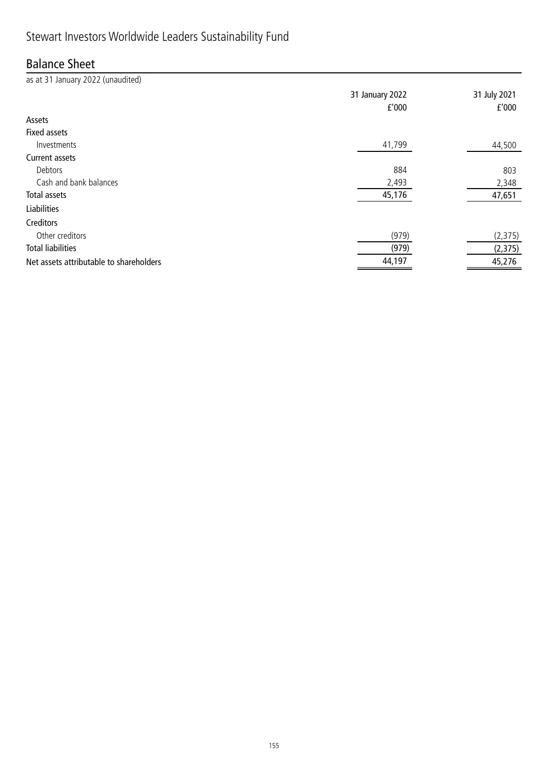## Stewart Investors Worldwide Leaders Sustainability Fund

## Balance Sheet

as at 31 January 2022 (unaudited) 31 January 2022 31 July 2021 £'000 £'000 Assets Fixed assets  $I$ nvestments  $41,799$  and  $44,500$ Current assets Debtors 884 803 Cash and bank balances 2,493 2,348 Total assets 45,176 47,651 Liabilities Creditors Other creditors (979) (2,375) Total liabilities (979) (2,375) Net assets attributable to shareholders and the state of the state of the 44,197 45,276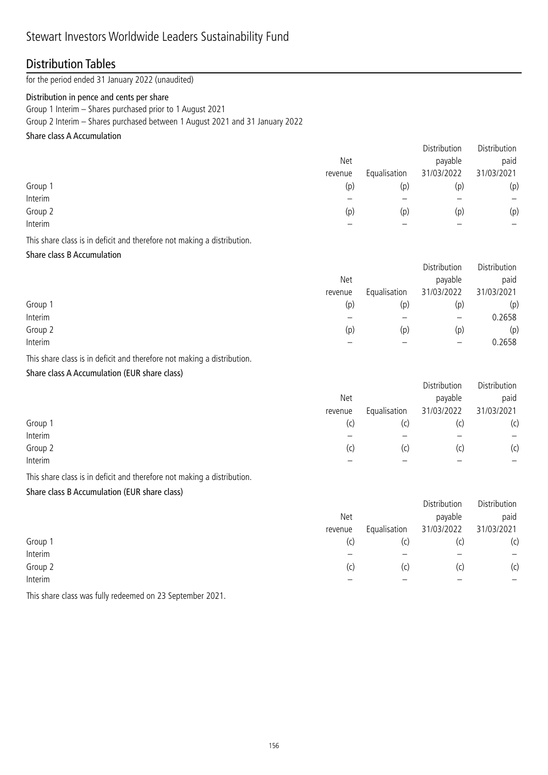### Distribution Tables

for the period ended 31 January 2022 (unaudited)

### Distribution in pence and cents per share

Group 1 Interim – Shares purchased prior to 1 August 2021

Group 2 Interim – Shares purchased between 1 August 2021 and 31 January 2022

### Share class A Accumulation

|         |         |              | Distribution | Distribution    |
|---------|---------|--------------|--------------|-----------------|
|         | Net     |              | payable      | paid            |
|         | revenue | Equalisation | 31/03/2022   | 31/03/2021      |
| Group 1 | (p)     | (p)          | (p)          | (p)             |
| Interim |         |              |              | $\qquad \qquad$ |
| Group 2 | (p)     | (p)          | (p)          | (p)             |
| Interim |         |              |              |                 |
|         |         |              |              |                 |

This share class is in deficit and therefore not making a distribution.

### Share class B Accumulation

|         | Net     |              | Distribution<br>payable | Distribution<br>paid |
|---------|---------|--------------|-------------------------|----------------------|
|         | revenue | Equalisation | 31/03/2022              | 31/03/2021           |
| Group 1 | (p)     | (p)          | (p)                     | (p)                  |
| Interim |         |              | $\qquad \qquad -$       | 0.2658               |
| Group 2 | (p)     | (p)          | (p)                     | (p)                  |
| Interim |         |              | –                       | 0.2658               |

This share class is in deficit and therefore not making a distribution.

### Share class A Accumulation (EUR share class)

|         | Net<br>revenue | Equalisation | Distribution<br>payable<br>31/03/2022 | Distribution<br>paid<br>31/03/2021 |
|---------|----------------|--------------|---------------------------------------|------------------------------------|
| Group 1 | (C)            | (c)          | (C)                                   | (c)                                |
| Interim |                |              |                                       |                                    |
| Group 2 | (C)            | (c)          | (C)                                   | (c)                                |
| Interim |                |              |                                       |                                    |
|         |                |              |                                       |                                    |

This share class is in deficit and therefore not making a distribution.

### Share class B Accumulation (EUR share class)

|         |         |              | Distribution | Distribution |
|---------|---------|--------------|--------------|--------------|
|         | Net     |              | payable      | paid         |
|         | revenue | Equalisation | 31/03/2022   | 31/03/2021   |
| Group 1 | (c)     | (C)          |              | (c)          |
| Interim |         |              |              |              |
| Group 2 | (c)     | (C)          | (C)          | (c)          |
| Interim |         |              |              |              |

This share class was fully redeemed on 23 September 2021.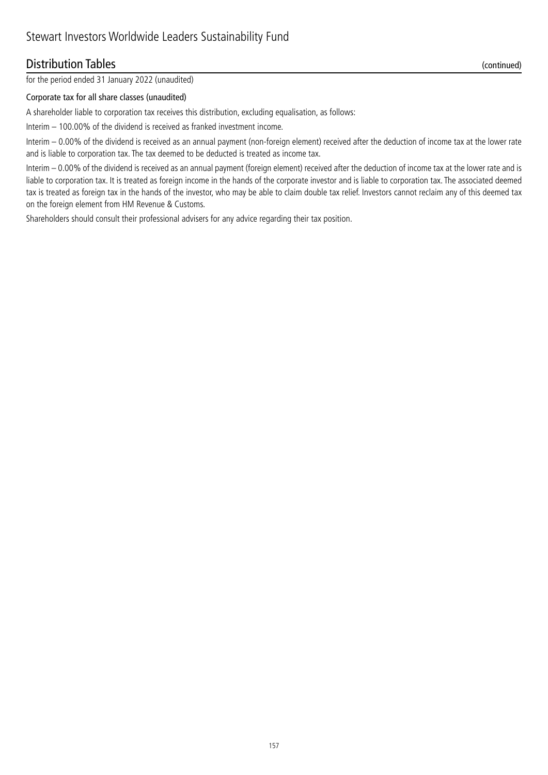### Distribution Tables (continued)

### Corporate tax for all share classes (unaudited)

A shareholder liable to corporation tax receives this distribution, excluding equalisation, as follows:

Interim – 100.00% of the dividend is received as franked investment income.

Interim – 0.00% of the dividend is received as an annual payment (non-foreign element) received after the deduction of income tax at the lower rate and is liable to corporation tax. The tax deemed to be deducted is treated as income tax.

Interim – 0.00% of the dividend is received as an annual payment (foreign element) received after the deduction of income tax at the lower rate and is liable to corporation tax. It is treated as foreign income in the hands of the corporate investor and is liable to corporation tax. The associated deemed tax is treated as foreign tax in the hands of the investor, who may be able to claim double tax relief. Investors cannot reclaim any of this deemed tax on the foreign element from HM Revenue & Customs.

Shareholders should consult their professional advisers for any advice regarding their tax position.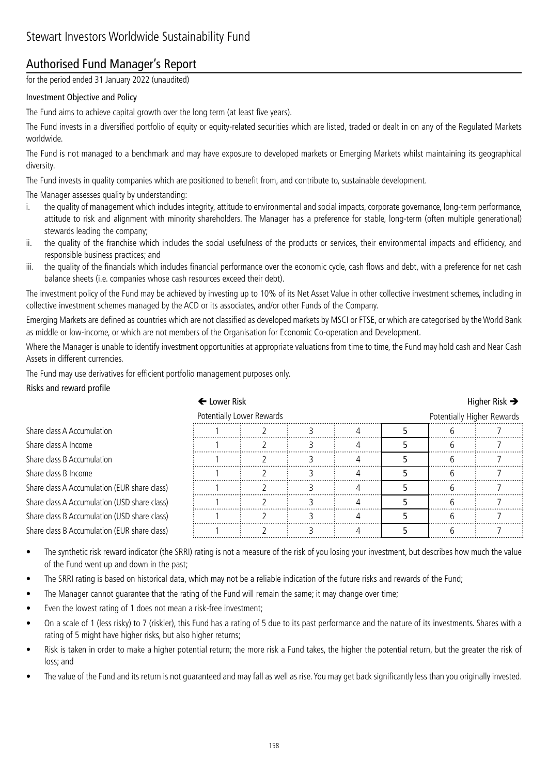## Authorised Fund Manager's Report

for the period ended 31 January 2022 (unaudited)

### Investment Objective and Policy

The Fund aims to achieve capital growth over the long term (at least five years).

The Fund invests in a diversified portfolio of equity or equity-related securities which are listed, traded or dealt in on any of the Regulated Markets worldwide.

The Fund is not managed to a benchmark and may have exposure to developed markets or Emerging Markets whilst maintaining its geographical diversity.

The Fund invests in quality companies which are positioned to benefit from, and contribute to, sustainable development.

The Manager assesses quality by understanding:

- i. the quality of management which includes integrity, attitude to environmental and social impacts, corporate governance, long-term performance, attitude to risk and alignment with minority shareholders. The Manager has a preference for stable, long-term (often multiple generational) stewards leading the company;
- ii. the quality of the franchise which includes the social usefulness of the products or services, their environmental impacts and efficiency, and responsible business practices; and
- iii. the quality of the financials which includes financial performance over the economic cycle, cash flows and debt, with a preference for net cash balance sheets (i.e. companies whose cash resources exceed their debt).

The investment policy of the Fund may be achieved by investing up to 10% of its Net Asset Value in other collective investment schemes, including in collective investment schemes managed by the ACD or its associates, and/or other Funds of the Company.

Emerging Markets are defined as countries which are not classified as developed markets by MSCI or FTSE, or which are categorised by the World Bank as middle or low-income, or which are not members of the Organisation for Economic Co-operation and Development.

Where the Manager is unable to identify investment opportunities at appropriate valuations from time to time, the Fund may hold cash and Near Cash Assets in different currencies.

The Fund may use derivatives for efficient portfolio management purposes only.

#### Risks and reward profile

| ← Lower Risk                                 |                           |  |  |  | Higher Risk $\rightarrow$  |  |  |
|----------------------------------------------|---------------------------|--|--|--|----------------------------|--|--|
|                                              | Potentially Lower Rewards |  |  |  | Potentially Higher Rewards |  |  |
| Share class A Accumulation                   |                           |  |  |  |                            |  |  |
| Share class A Income                         |                           |  |  |  |                            |  |  |
| Share class B Accumulation                   |                           |  |  |  |                            |  |  |
| Share class B Income                         |                           |  |  |  |                            |  |  |
| Share class A Accumulation (EUR share class) |                           |  |  |  |                            |  |  |
| Share class A Accumulation (USD share class) |                           |  |  |  |                            |  |  |
| Share class B Accumulation (USD share class) |                           |  |  |  |                            |  |  |
| Share class B Accumulation (EUR share class) |                           |  |  |  |                            |  |  |

- The synthetic risk reward indicator (the SRRI) rating is not a measure of the risk of you losing your investment, but describes how much the value of the Fund went up and down in the past;
- The SRRI rating is based on historical data, which may not be a reliable indication of the future risks and rewards of the Fund;
- The Manager cannot guarantee that the rating of the Fund will remain the same; it may change over time;
- Even the lowest rating of 1 does not mean a risk-free investment;
- On a scale of 1 (less risky) to 7 (riskier), this Fund has a rating of 5 due to its past performance and the nature of its investments. Shares with a rating of 5 might have higher risks, but also higher returns;
- Risk is taken in order to make a higher potential return; the more risk a Fund takes, the higher the potential return, but the greater the risk of loss; and
- The value of the Fund and its return is not guaranteed and may fall as well as rise. You may get back significantly less than you originally invested.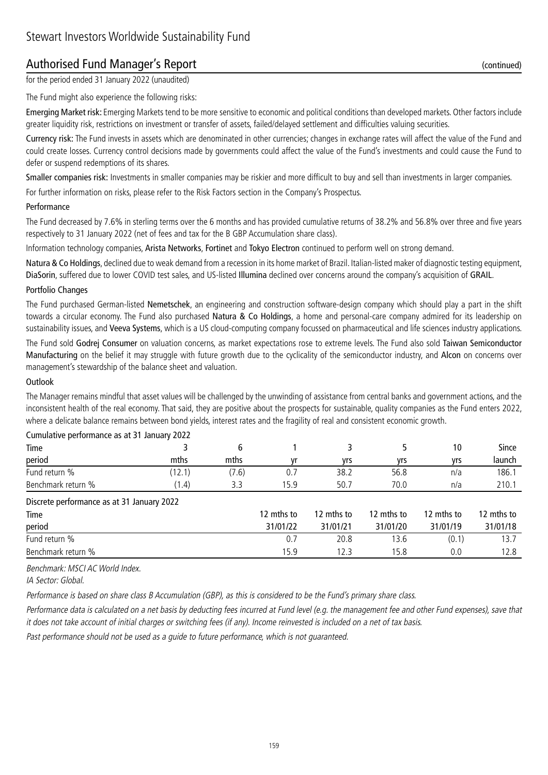## Authorised Fund Manager's Report (continued)

for the period ended 31 January 2022 (unaudited)

The Fund might also experience the following risks:

Emerging Market risk: Emerging Markets tend to be more sensitive to economic and political conditions than developed markets. Other factors include greater liquidity risk, restrictions on investment or transfer of assets, failed/delayed settlement and difficulties valuing securities.

Currency risk: The Fund invests in assets which are denominated in other currencies; changes in exchange rates will affect the value of the Fund and could create losses. Currency control decisions made by governments could affect the value of the Fund's investments and could cause the Fund to defer or suspend redemptions of its shares.

Smaller companies risk: Investments in smaller companies may be riskier and more difficult to buy and sell than investments in larger companies.

For further information on risks, please refer to the Risk Factors section in the Company's Prospectus.

#### Performance

The Fund decreased by 7.6% in sterling terms over the 6 months and has provided cumulative returns of 38.2% and 56.8% over three and five years respectively to 31 January 2022 (net of fees and tax for the B GBP Accumulation share class).

Information technology companies, Arista Networks, Fortinet and Tokyo Electron continued to perform well on strong demand.

Natura & Co Holdings, declined due to weak demand from a recession in its home market of Brazil. Italian-listed maker of diagnostic testing equipment, DiaSorin, suffered due to lower COVID test sales, and US-listed Illumina declined over concerns around the company's acquisition of GRAIL.

#### Portfolio Changes

The Fund purchased German-listed Nemetschek, an engineering and construction software-design company which should play a part in the shift towards a circular economy. The Fund also purchased Natura & Co Holdings, a home and personal-care company admired for its leadership on sustainability issues, and Veeva Systems, which is a US cloud-computing company focussed on pharmaceutical and life sciences industry applications.

The Fund sold Godrej Consumer on valuation concerns, as market expectations rose to extreme levels. The Fund also sold Taiwan Semiconductor Manufacturing on the belief it may struggle with future growth due to the cyclicality of the semiconductor industry, and Alcon on concerns over management's stewardship of the balance sheet and valuation.

#### **Outlook**

The Manager remains mindful that asset values will be challenged by the unwinding of assistance from central banks and government actions, and the inconsistent health of the real economy. That said, they are positive about the prospects for sustainable, quality companies as the Fund enters 2022, where a delicate balance remains between bond yields, interest rates and the fragility of real and consistent economic growth.

| Time                                       |        | 6     |            |            |            | 10         | Since      |
|--------------------------------------------|--------|-------|------------|------------|------------|------------|------------|
| period                                     | mths   | mths  | ۷r         | yrs        | yrs        | yrs        | launch     |
| Fund return %                              | (12.1) | (7.6) | 0.7        | 38.2       | 56.8       | n/a        | 186.1      |
| Benchmark return %                         | (1.4)  | 3.3   | 15.9       | 50.7       | 70.0       | n/a        | 210.1      |
| Discrete performance as at 31 January 2022 |        |       |            |            |            |            |            |
| Time                                       |        |       | 12 mths to | 12 mths to | 12 mths to | 12 mths to | 12 mths to |
| period                                     |        |       | 31/01/22   | 31/01/21   | 31/01/20   | 31/01/19   | 31/01/18   |
| Fund return %                              |        |       | 0.7        | 20.8       | 13.6       | (0.1)      | 13.7       |
| Benchmark return %                         |        |       | 15.9       | 12.3       | 15.8       | 0.0        | 12.8       |

#### Cumulative performance as at 31 January 2022

Benchmark: MSCI AC World Index.

IA Sector: Global.

Performance is based on share class B Accumulation (GBP), as this is considered to be the Fund's primary share class.

Performance data is calculated on a net basis by deducting fees incurred at Fund level (e.g. the management fee and other Fund expenses), save that it does not take account of initial charges or switching fees (if any). Income reinvested is included on a net of tax basis.

Past performance should not be used as a guide to future performance, which is not guaranteed.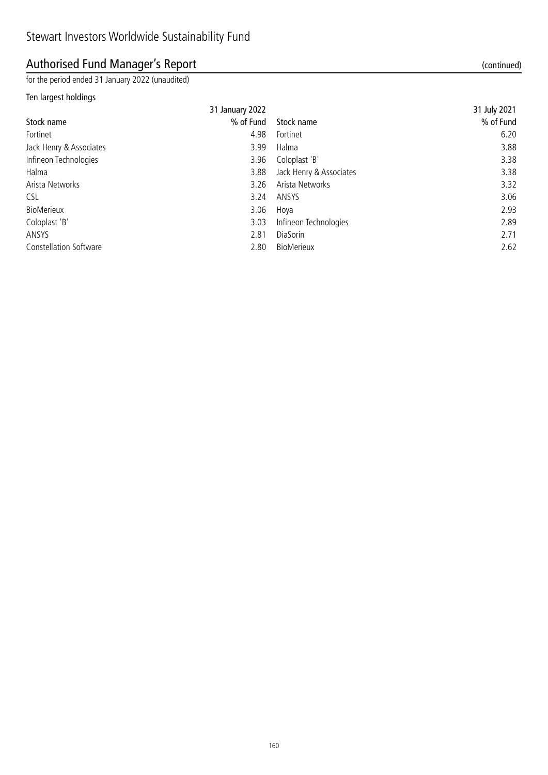## Authorised Fund Manager's Report (continued)

for the period ended 31 January 2022 (unaudited)

### Ten largest holdings

|                               | 31 January 2022 |                         | 31 July 2021 |
|-------------------------------|-----------------|-------------------------|--------------|
| Stock name                    | % of Fund       | Stock name              | % of Fund    |
| Fortinet                      | 4.98            | Fortinet                | 6.20         |
| Jack Henry & Associates       | 3.99            | Halma                   | 3.88         |
| Infineon Technologies         | 3.96            | Coloplast 'B'           | 3.38         |
| Halma                         | 3.88            | Jack Henry & Associates | 3.38         |
| Arista Networks               | 3.26            | Arista Networks         | 3.32         |
| <b>CSL</b>                    | 3.24            | ANSYS                   | 3.06         |
| BioMerieux                    | 3.06            | Hoya                    | 2.93         |
| Coloplast 'B'                 | 3.03            | Infineon Technologies   | 2.89         |
| ANSYS                         | 2.81            | DiaSorin                | 2.71         |
| <b>Constellation Software</b> | 2.80            | <b>BioMerieux</b>       | 2.62         |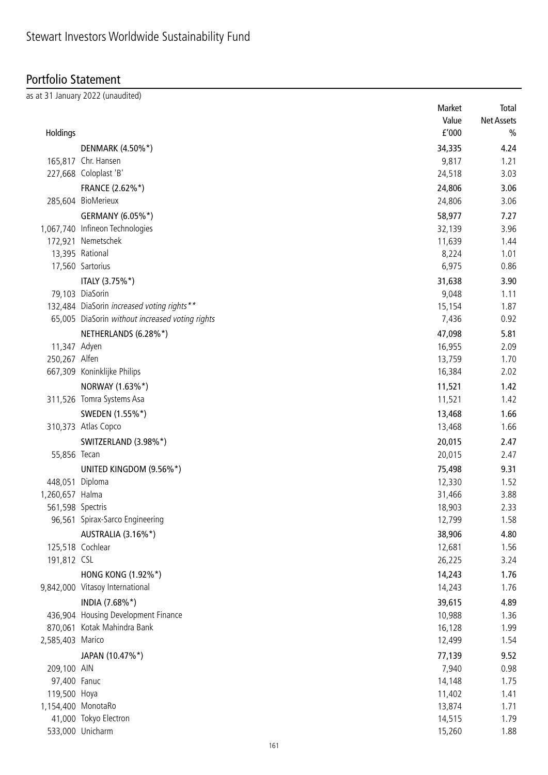## Portfolio Statement

as at 31 January 2022 (unaudited)

|                  |                                                                                               | Market | Total             |
|------------------|-----------------------------------------------------------------------------------------------|--------|-------------------|
|                  |                                                                                               | Value  | <b>Net Assets</b> |
| Holdings         |                                                                                               | f'000  | $\frac{0}{0}$     |
|                  | DENMARK (4.50%*)                                                                              | 34,335 | 4.24              |
|                  | 165,817 Chr. Hansen                                                                           | 9,817  | 1.21              |
|                  | 227,668 Coloplast 'B'                                                                         | 24,518 | 3.03              |
|                  | FRANCE (2.62%*)                                                                               | 24,806 | 3.06              |
|                  | 285,604 BioMerieux                                                                            | 24,806 | 3.06              |
|                  | GERMANY (6.05%*)                                                                              | 58,977 | 7.27              |
|                  | 1,067,740 Infineon Technologies                                                               | 32,139 | 3.96              |
|                  | 172,921 Nemetschek                                                                            | 11,639 | 1.44              |
|                  | 13,395 Rational                                                                               | 8,224  | 1.01              |
|                  | 17,560 Sartorius                                                                              | 6,975  | 0.86              |
|                  |                                                                                               |        |                   |
|                  | ITALY (3.75%*)                                                                                | 31,638 | 3.90              |
|                  | 79,103 DiaSorin                                                                               | 9,048  | 1.11              |
|                  | 132,484 DiaSorin increased voting rights**<br>65,005 DiaSorin without increased voting rights | 15,154 | 1.87              |
|                  |                                                                                               | 7,436  | 0.92              |
|                  | NETHERLANDS (6.28%*)                                                                          | 47,098 | 5.81              |
| 11,347 Adyen     |                                                                                               | 16,955 | 2.09              |
| 250,267 Alfen    |                                                                                               | 13,759 | 1.70              |
|                  | 667,309 Koninklijke Philips                                                                   | 16,384 | 2.02              |
|                  | NORWAY (1.63%*)                                                                               | 11,521 | 1.42              |
|                  | 311,526 Tomra Systems Asa                                                                     | 11,521 | 1.42              |
|                  | SWEDEN (1.55%*)                                                                               | 13,468 | 1.66              |
|                  | 310,373 Atlas Copco                                                                           | 13,468 | 1.66              |
|                  | SWITZERLAND (3.98%*)                                                                          | 20,015 | 2.47              |
| 55,856 Tecan     |                                                                                               | 20,015 | 2.47              |
|                  | UNITED KINGDOM (9.56%*)                                                                       | 75,498 | 9.31              |
| 448,051 Diploma  |                                                                                               | 12,330 | 1.52              |
| 1,260,657 Halma  |                                                                                               | 31,466 | 3.88              |
| 561,598 Spectris |                                                                                               | 18,903 | 2.33              |
|                  | 96,561 Spirax-Sarco Engineering                                                               | 12,799 | 1.58              |
|                  | AUSTRALIA (3.16%*)                                                                            | 38,906 | 4.80              |
|                  | 125,518 Cochlear                                                                              | 12,681 | 1.56              |
| 191,812 CSL      |                                                                                               | 26,225 | 3.24              |
|                  | HONG KONG (1.92%*)                                                                            | 14,243 | 1.76              |
|                  | 9,842,000 Vitasoy International                                                               | 14,243 | 1.76              |
|                  |                                                                                               |        |                   |
|                  | INDIA (7.68%*)                                                                                | 39,615 | 4.89              |
|                  | 436,904 Housing Development Finance                                                           | 10,988 | 1.36              |
|                  | 870,061 Kotak Mahindra Bank                                                                   | 16,128 | 1.99              |
| 2,585,403 Marico |                                                                                               | 12,499 | 1.54              |
|                  | JAPAN (10.47%*)                                                                               | 77,139 | 9.52              |
| 209,100 AIN      |                                                                                               | 7,940  | 0.98              |
| 97,400 Fanuc     |                                                                                               | 14,148 | 1.75              |
| 119,500 Hoya     |                                                                                               | 11,402 | 1.41              |
|                  | 1,154,400 MonotaRo                                                                            | 13,874 | 1.71              |
|                  | 41,000 Tokyo Electron                                                                         | 14,515 | 1.79              |
|                  | 533,000 Unicharm                                                                              | 15,260 | 1.88              |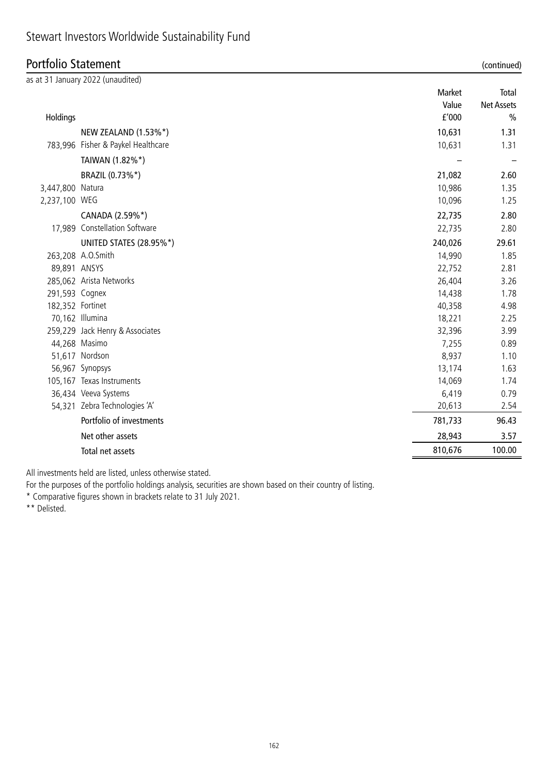### Portfolio Statement (continued)

|                  | as at 31 January 2022 (unaudited)  |         |                   |
|------------------|------------------------------------|---------|-------------------|
|                  |                                    | Market  | Total             |
|                  |                                    | Value   | <b>Net Assets</b> |
| Holdings         |                                    | f'000   | $\frac{0}{0}$     |
|                  | NEW ZEALAND (1.53%*)               | 10,631  | 1.31              |
|                  | 783,996 Fisher & Paykel Healthcare | 10,631  | 1.31              |
|                  | TAIWAN (1.82%*)                    |         |                   |
|                  | BRAZIL (0.73%*)                    | 21,082  | 2.60              |
| 3,447,800 Natura |                                    | 10,986  | 1.35              |
| 2,237,100 WEG    |                                    | 10,096  | 1.25              |
|                  | CANADA (2.59%*)                    | 22,735  | 2.80              |
|                  | 17,989 Constellation Software      | 22,735  | 2.80              |
|                  | UNITED STATES (28.95%*)            | 240,026 | 29.61             |
|                  | 263,208 A.O.Smith                  | 14,990  | 1.85              |
| 89,891 ANSYS     |                                    | 22,752  | 2.81              |
|                  | 285,062 Arista Networks            | 26,404  | 3.26              |
| 291,593 Cognex   |                                    | 14,438  | 1.78              |
| 182,352 Fortinet |                                    | 40,358  | 4.98              |
|                  | 70,162 Illumina                    | 18,221  | 2.25              |
|                  | 259,229 Jack Henry & Associates    | 32,396  | 3.99              |
|                  | 44,268 Masimo                      | 7,255   | 0.89              |
|                  | 51,617 Nordson                     | 8,937   | 1.10              |
|                  | 56,967 Synopsys                    | 13,174  | 1.63              |
|                  | 105,167 Texas Instruments          | 14,069  | 1.74              |
|                  | 36,434 Veeva Systems               | 6,419   | 0.79              |
|                  | 54,321 Zebra Technologies 'A'      | 20,613  | 2.54              |
|                  | Portfolio of investments           | 781,733 | 96.43             |
|                  | Net other assets                   | 28,943  | 3.57              |
|                  | Total net assets                   | 810,676 | 100.00            |

All investments held are listed, unless otherwise stated.

For the purposes of the portfolio holdings analysis, securities are shown based on their country of listing.

\* Comparative figures shown in brackets relate to 31 July 2021.

\*\* Delisted.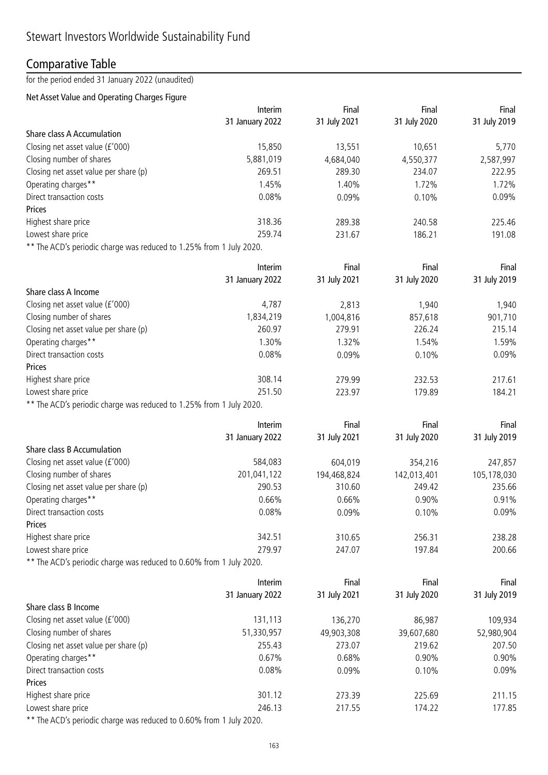## Comparative Table

for the period ended 31 January 2022 (unaudited)

### Net Asset Value and Operating Charges Figure

|                                                                     | Interim         | Final        | Final        | Final        |
|---------------------------------------------------------------------|-----------------|--------------|--------------|--------------|
|                                                                     | 31 January 2022 | 31 July 2021 | 31 July 2020 | 31 July 2019 |
| <b>Share class A Accumulation</b>                                   |                 |              |              |              |
| Closing net asset value (£'000)                                     | 15,850          | 13,551       | 10,651       | 5,770        |
| Closing number of shares                                            | 5,881,019       | 4,684,040    | 4,550,377    | 2,587,997    |
| Closing net asset value per share (p)                               | 269.51          | 289.30       | 234.07       | 222.95       |
| Operating charges**                                                 | 1.45%           | 1.40%        | 1.72%        | 1.72%        |
| Direct transaction costs                                            | 0.08%           | 0.09%        | 0.10%        | 0.09%        |
| Prices                                                              |                 |              |              |              |
| Highest share price                                                 | 318.36          | 289.38       | 240.58       | 225.46       |
| Lowest share price                                                  | 259.74          | 231.67       | 186.21       | 191.08       |
| ** The ACD's periodic charge was reduced to 1.25% from 1 July 2020. |                 |              |              |              |
|                                                                     | Interim         | Final        | Final        | Final        |
|                                                                     | 31 January 2022 | 31 July 2021 | 31 July 2020 | 31 July 2019 |
| Share class A Income                                                |                 |              |              |              |
| Closing net asset value (£'000)                                     | 4,787           | 2,813        | 1,940        | 1,940        |
| Closing number of shares                                            | 1,834,219       | 1,004,816    | 857,618      | 901,710      |
| Closing net asset value per share (p)                               | 260.97          | 279.91       | 226.24       | 215.14       |
| Operating charges**                                                 | 1.30%           | 1.32%        | 1.54%        | 1.59%        |
| Direct transaction costs                                            | 0.08%           | 0.09%        | 0.10%        | 0.09%        |
| Prices                                                              |                 |              |              |              |
| Highest share price                                                 | 308.14          | 279.99       | 232.53       | 217.61       |
| Lowest share price                                                  | 251.50          | 223.97       | 179.89       | 184.21       |
| ** The ACD's periodic charge was reduced to 1.25% from 1 July 2020. |                 |              |              |              |
|                                                                     |                 |              |              |              |
|                                                                     | Interim         | Final        | Final        | Final        |
|                                                                     | 31 January 2022 | 31 July 2021 | 31 July 2020 | 31 July 2019 |
| Share class B Accumulation                                          |                 |              |              |              |
| Closing net asset value (£'000)                                     | 584,083         | 604,019      | 354,216      | 247,857      |
| Closing number of shares                                            | 201,041,122     | 194,468,824  | 142,013,401  | 105,178,030  |
| Closing net asset value per share (p)                               | 290.53          | 310.60       | 249.42       | 235.66       |
| Operating charges**                                                 | 0.66%           | 0.66%        | 0.90%        | 0.91%        |
| Direct transaction costs                                            | 0.08%           | 0.09%        | 0.10%        | 0.09%        |
| Prices                                                              |                 |              |              |              |
| Highest share price                                                 | 342.51          | 310.65       | 256.31       | 238.28       |
| Lowest share price                                                  | 279.97          | 247.07       | 197.84       | 200.66       |
| ** The ACD's periodic charge was reduced to 0.60% from 1 July 2020. |                 |              |              |              |
|                                                                     | Interim         | Final        | Final        | Final        |
|                                                                     | 31 January 2022 | 31 July 2021 | 31 July 2020 | 31 July 2019 |
| Share class B Income                                                |                 |              |              |              |
| Closing net asset value (£'000)                                     | 131,113         | 136,270      | 86,987       | 109,934      |
| Closing number of shares                                            | 51,330,957      | 49,903,308   | 39,607,680   | 52,980,904   |
| Closing net asset value per share (p)                               | 255.43          | 273.07       | 219.62       | 207.50       |
| Operating charges**                                                 | 0.67%           | 0.68%        | 0.90%        | 0.90%        |
| Direct transaction costs                                            | 0.08%           | 0.09%        | 0.10%        | 0.09%        |
| Prices                                                              |                 |              |              |              |
| Highest share price                                                 | 301.12          | 273.39       | 225.69       | 211.15       |
| Lowest share price                                                  | 246.13          | 217.55       | 174.22       | 177.85       |
| ** The ACD's periodic charge was reduced to 0.60% from 1 July 2020. |                 |              |              |              |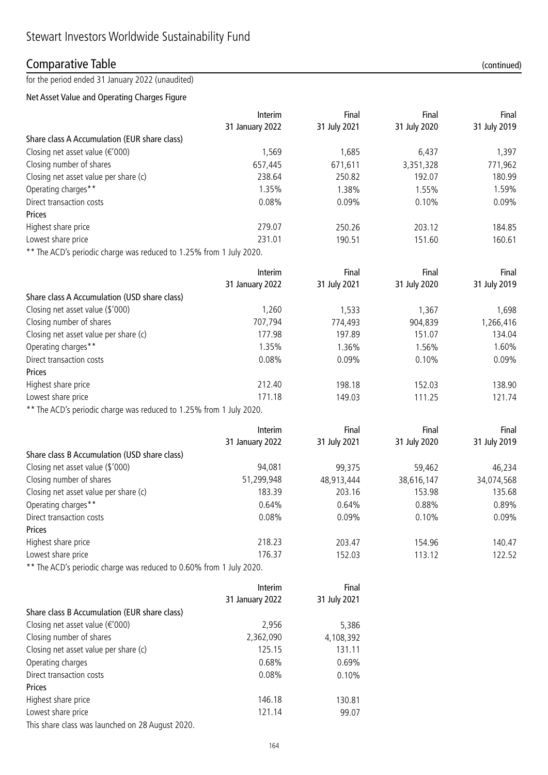### Comparative Table (continued)

for the period ended 31 January 2022 (unaudited)

### Net Asset Value and Operating Charges Figure

|                                                                     | Interim         | Final        | Final        | Final        |
|---------------------------------------------------------------------|-----------------|--------------|--------------|--------------|
|                                                                     | 31 January 2022 | 31 July 2021 | 31 July 2020 | 31 July 2019 |
| Share class A Accumulation (EUR share class)                        |                 |              |              |              |
| Closing net asset value ( $\epsilon$ '000)                          | 1,569           | 1,685        | 6,437        | 1,397        |
| Closing number of shares                                            | 657,445         | 671,611      | 3,351,328    | 771,962      |
| Closing net asset value per share (c)                               | 238.64          | 250.82       | 192.07       | 180.99       |
| Operating charges**                                                 | 1.35%           | 1.38%        | 1.55%        | 1.59%        |
| Direct transaction costs                                            | 0.08%           | 0.09%        | 0.10%        | 0.09%        |
| Prices                                                              |                 |              |              |              |
| Highest share price                                                 | 279.07          | 250.26       | 203.12       | 184.85       |
| Lowest share price                                                  | 231.01          | 190.51       | 151.60       | 160.61       |
| ** The ACD's periodic charge was reduced to 1.25% from 1 July 2020. |                 |              |              |              |
|                                                                     | Interim         | Final        | Final        | Final        |
|                                                                     | 31 January 2022 | 31 July 2021 | 31 July 2020 | 31 July 2019 |
| Share class A Accumulation (USD share class)                        |                 |              |              |              |
| Closing net asset value (\$'000)                                    | 1,260           | 1,533        | 1,367        | 1,698        |
| Closing number of shares                                            | 707,794         | 774,493      | 904,839      | 1,266,416    |
| Closing net asset value per share (c)                               | 177.98          | 197.89       | 151.07       | 134.04       |
| Operating charges**                                                 | 1.35%           | 1.36%        | 1.56%        | 1.60%        |
| Direct transaction costs                                            | 0.08%           | 0.09%        | 0.10%        | 0.09%        |
| Prices                                                              |                 |              |              |              |
| Highest share price                                                 | 212.40          | 198.18       | 152.03       | 138.90       |
| Lowest share price                                                  | 171.18          | 149.03       | 111.25       | 121.74       |
| ** The ACD's periodic charge was reduced to 1.25% from 1 July 2020. |                 |              |              |              |
|                                                                     | Interim         | Final        | Final        | Final        |
|                                                                     | 31 January 2022 | 31 July 2021 | 31 July 2020 | 31 July 2019 |
| Share class B Accumulation (USD share class)                        |                 |              |              |              |
| Closing net asset value (\$'000)                                    | 94,081          | 99,375       | 59,462       | 46,234       |
| Closing number of shares                                            | 51,299,948      | 48,913,444   | 38,616,147   | 34,074,568   |
| Closing net asset value per share (c)                               | 183.39          | 203.16       | 153.98       | 135.68       |
| Operating charges**                                                 | 0.64%           | 0.64%        | 0.88%        | 0.89%        |
| Direct transaction costs                                            | 0.08%           | 0.09%        | 0.10%        | 0.09%        |
| Prices                                                              |                 |              |              |              |
| Highest share price                                                 | 218.23          | 203.47       | 154.96       | 140.47       |
| Lowest share price                                                  | 176.37          | 152.03       | 113.12       | 122.52       |
| ** The ACD's periodic charge was reduced to 0.60% from 1 July 2020. |                 |              |              |              |
|                                                                     | Interim         | Final        |              |              |
|                                                                     | 31 January 2022 | 31 July 2021 |              |              |
| Share class B Accumulation (EUR share class)                        |                 |              |              |              |
| Closing net asset value ( $\epsilon$ '000)                          | 2,956           | 5,386        |              |              |
| Closing number of shares                                            | 2,362,090       | 4,108,392    |              |              |
| Closing net asset value per share (c)                               | 125.15          | 131.11       |              |              |
| Operating charges                                                   | 0.68%           | 0.69%        |              |              |
| Direct transaction costs                                            | 0.08%           | 0.10%        |              |              |

Prices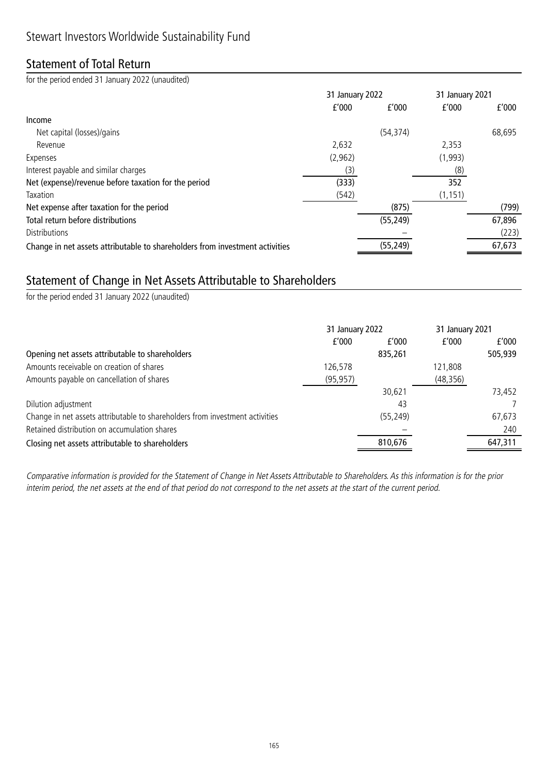## Statement of Total Return

for the period ended 31 January 2022 (unaudited)

|                                                                              |         | 31 January 2022 |          | 31 January 2021 |
|------------------------------------------------------------------------------|---------|-----------------|----------|-----------------|
|                                                                              | f'000   | f'000           | f'000    | f'000           |
| Income                                                                       |         |                 |          |                 |
| Net capital (losses)/gains                                                   |         | (54, 374)       |          | 68,695          |
| Revenue                                                                      | 2,632   |                 | 2,353    |                 |
| Expenses                                                                     | (2,962) |                 | (1,993)  |                 |
| Interest payable and similar charges                                         | (3)     |                 | (8)      |                 |
| Net (expense)/revenue before taxation for the period                         | (333)   |                 | 352      |                 |
| Taxation                                                                     | (542)   |                 | (1, 151) |                 |
| Net expense after taxation for the period                                    |         | (875)           |          | (799)           |
| Total return before distributions                                            |         | (55, 249)       |          | 67,896          |
| <b>Distributions</b>                                                         |         |                 |          | (223)           |
| Change in net assets attributable to shareholders from investment activities |         | (55, 249)       |          | 67,673          |

## Statement of Change in Net Assets Attributable to Shareholders

for the period ended 31 January 2022 (unaudited)

|                                                                              | 31 January 2022 |           | 31 January 2021 |         |
|------------------------------------------------------------------------------|-----------------|-----------|-----------------|---------|
|                                                                              | f'000           | f'000     | f'000           | f'000   |
| Opening net assets attributable to shareholders                              |                 | 835,261   |                 | 505,939 |
| Amounts receivable on creation of shares                                     | 126,578         |           | 121,808         |         |
| Amounts payable on cancellation of shares                                    | (95, 957)       |           | (48, 356)       |         |
|                                                                              |                 | 30,621    |                 | 73,452  |
| Dilution adjustment                                                          |                 | 43        |                 |         |
| Change in net assets attributable to shareholders from investment activities |                 | (55, 249) |                 | 67,673  |
| Retained distribution on accumulation shares                                 |                 |           |                 | 240     |
| Closing net assets attributable to shareholders                              |                 | 810,676   |                 | 647,311 |

Comparative information is provided for the Statement of Change in Net Assets Attributable to Shareholders. As this information is for the prior interim period, the net assets at the end of that period do not correspond to the net assets at the start of the current period.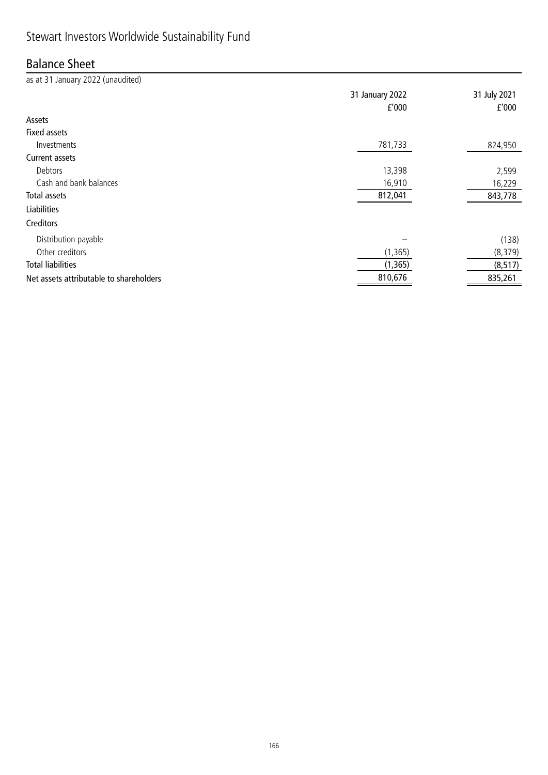# Stewart Investors Worldwide Sustainability Fund

### Balance Sheet

| as at 31 January 2022 (unaudited)       |                 |              |
|-----------------------------------------|-----------------|--------------|
|                                         | 31 January 2022 | 31 July 2021 |
|                                         | f'000           | f'000        |
| Assets                                  |                 |              |
| <b>Fixed assets</b>                     |                 |              |
| Investments                             | 781,733         | 824,950      |
| Current assets                          |                 |              |
| Debtors                                 | 13,398          | 2,599        |
| Cash and bank balances                  | 16,910          | 16,229       |
| Total assets                            | 812,041         | 843,778      |
| <b>Liabilities</b>                      |                 |              |
| Creditors                               |                 |              |
| Distribution payable                    |                 | (138)        |
| Other creditors                         | (1, 365)        | (8, 379)     |
| <b>Total liabilities</b>                | (1, 365)        | (8, 517)     |
| Net assets attributable to shareholders | 810,676         | 835,261      |

<u> 1989 - Johann Barbara, martxa amerikan personal (</u>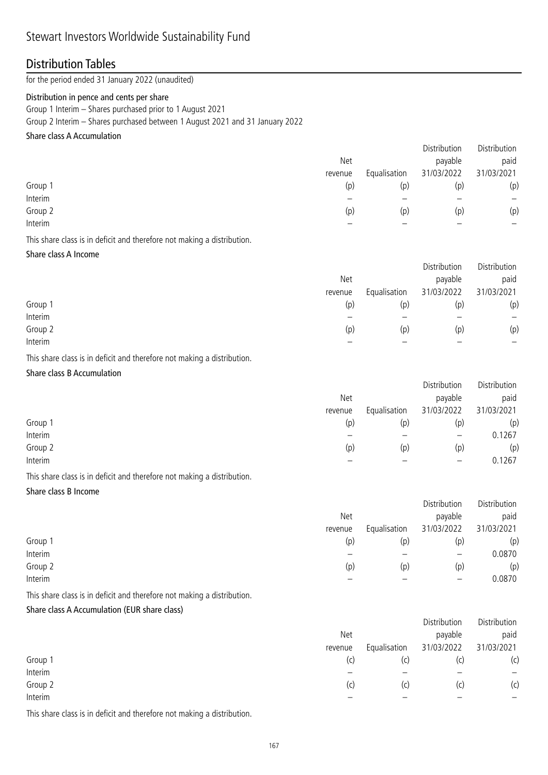### Distribution Tables

for the period ended 31 January 2022 (unaudited)

#### Distribution in pence and cents per share

Group 1 Interim – Shares purchased prior to 1 August 2021

Group 2 Interim – Shares purchased between 1 August 2021 and 31 January 2022

### Share class A Accumulation

|         |         |              | Distribution | Distribution             |
|---------|---------|--------------|--------------|--------------------------|
|         | Net     |              | payable      | paid                     |
|         | revenue | Equalisation | 31/03/2022   | 31/03/2021               |
| Group 1 | (p)     | (p)          | (p)          | (p)                      |
| Interim |         |              |              | $\overline{\phantom{0}}$ |
| Group 2 | (p)     | (p)          | (p)          | (p)                      |
| Interim |         |              |              | –                        |
|         |         |              |              |                          |

This share class is in deficit and therefore not making a distribution.

#### Share class A Income

|         |            |              | Distribution | Distribution             |
|---------|------------|--------------|--------------|--------------------------|
|         | <b>Net</b> |              | payable      | paid                     |
|         | revenue    | Equalisation | 31/03/2022   | 31/03/2021               |
| Group 1 | (p)        | (p)          | (p)          | (p)                      |
| Interim |            |              |              | $\overline{\phantom{0}}$ |
| Group 2 | (p)        | (p)          | (p)          | (p)                      |
| Interim |            |              |              | -                        |

This share class is in deficit and therefore not making a distribution.

### Share class B Accumulation

|         |         |              | Distribution | Distribution |
|---------|---------|--------------|--------------|--------------|
|         | Net     |              | payable      | paid         |
|         | revenue | Equalisation | 31/03/2022   | 31/03/2021   |
| Group 1 | (p)     | (p)          | (p)          | (p)          |
| Interim |         |              |              | 0.1267       |
| Group 2 | (p)     | (p)          | (p)          | (p)          |
| Interim |         |              |              | 0.1267       |
|         |         |              |              |              |

This share class is in deficit and therefore not making a distribution.

Share class B Income

|         |         |              | Distribution      | Distribution |
|---------|---------|--------------|-------------------|--------------|
|         | Net     |              | payable           | paid         |
|         | revenue | Equalisation | 31/03/2022        | 31/03/2021   |
| Group 1 | (p)     | (p)          | (p)               | (p)          |
| Interim |         |              | $\qquad \qquad -$ | 0.0870       |
| Group 2 | (p)     | (p)          | (p)               | (p)          |
| Interim |         |              | $\qquad \qquad$   | 0.0870       |
|         |         |              |                   |              |

This share class is in deficit and therefore not making a distribution.

### Share class A Accumulation (EUR share class)

|         |         |              | _          | _________  |
|---------|---------|--------------|------------|------------|
|         | Net     |              | payable    | paid       |
|         | revenue | Equalisation | 31/03/2022 | 31/03/2021 |
| Group 1 | (c)     | (C)          | (c         | (c)        |
| Interim |         |              |            |            |
| Group 2 | (C)     | (c)          | (C)        | (c)        |
| Interim |         |              |            |            |
|         |         |              |            |            |

Distribution Distribution

This share class is in deficit and therefore not making a distribution.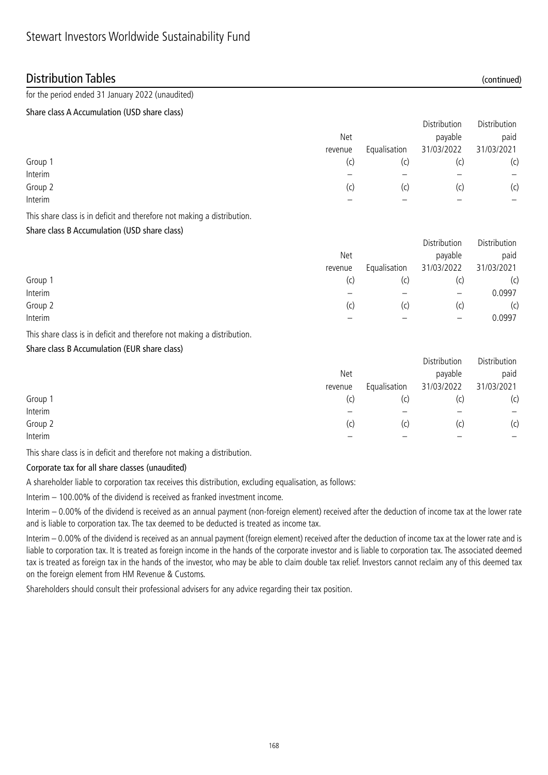### Distribution Tables (continued)

### for the period ended 31 January 2022 (unaudited)

#### Share class A Accumulation (USD share class)

|         |            |              | Distribution | Distribution |
|---------|------------|--------------|--------------|--------------|
|         | <b>Net</b> |              | payable      | paid         |
|         | revenue    | Equalisation | 31/03/2022   | 31/03/2021   |
| Group 1 | (c)        | (C)          | (c)          | (c)          |
| Interim |            |              |              |              |
| Group 2 | (c)        | (C)          | (c)          | (c)          |
| Interim |            |              |              |              |

This share class is in deficit and therefore not making a distribution.

### Share class B Accumulation (USD share class)

|         |         |              | Distribution             | Distribution |
|---------|---------|--------------|--------------------------|--------------|
|         | Net     |              | payable                  | paid         |
|         | revenue | Equalisation | 31/03/2022               | 31/03/2021   |
| Group 1 | (c)     | (C)          |                          | (c)          |
| Interim |         |              | $\overline{\phantom{m}}$ | 0.0997       |
| Group 2 | (C)     | (c)          | (C)                      | (c)          |
| Interim |         |              |                          | 0.0997       |

This share class is in deficit and therefore not making a distribution.

### Share class B Accumulation (EUR share class)

|         |            |              | Distribution | Distribution |
|---------|------------|--------------|--------------|--------------|
|         | <b>Net</b> |              | payable      | paid         |
|         | revenue    | Equalisation | 31/03/2022   | 31/03/2021   |
| Group 1 | (c)        | (c)          | (C)          | (c)          |
| Interim |            |              |              |              |
| Group 2 | (C)        | (c)          | (C)          | (c)          |
| Interim |            |              |              |              |

This share class is in deficit and therefore not making a distribution.

### Corporate tax for all share classes (unaudited)

A shareholder liable to corporation tax receives this distribution, excluding equalisation, as follows:

Interim – 100.00% of the dividend is received as franked investment income.

Interim – 0.00% of the dividend is received as an annual payment (non-foreign element) received after the deduction of income tax at the lower rate and is liable to corporation tax. The tax deemed to be deducted is treated as income tax.

Interim – 0.00% of the dividend is received as an annual payment (foreign element) received after the deduction of income tax at the lower rate and is liable to corporation tax. It is treated as foreign income in the hands of the corporate investor and is liable to corporation tax. The associated deemed tax is treated as foreign tax in the hands of the investor, who may be able to claim double tax relief. Investors cannot reclaim any of this deemed tax on the foreign element from HM Revenue & Customs.

Shareholders should consult their professional advisers for any advice regarding their tax position.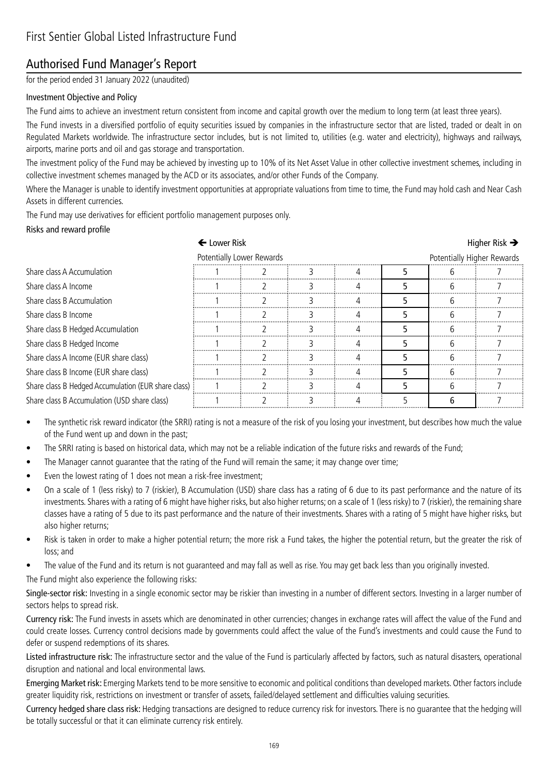## Authorised Fund Manager's Report

for the period ended 31 January 2022 (unaudited)

### Investment Objective and Policy

The Fund aims to achieve an investment return consistent from income and capital growth over the medium to long term (at least three years).

The Fund invests in a diversified portfolio of equity securities issued by companies in the infrastructure sector that are listed, traded or dealt in on Regulated Markets worldwide. The infrastructure sector includes, but is not limited to, utilities (e.g. water and electricity), highways and railways, airports, marine ports and oil and gas storage and transportation.

The investment policy of the Fund may be achieved by investing up to 10% of its Net Asset Value in other collective investment schemes, including in collective investment schemes managed by the ACD or its associates, and/or other Funds of the Company.

Where the Manager is unable to identify investment opportunities at appropriate valuations from time to time, the Fund may hold cash and Near Cash Assets in different currencies.

The Fund may use derivatives for efficient portfolio management purposes only.

#### Risks and reward profile

|                                                     | ← Lower Risk |                           |  |  |  |                            | Higher Risk $\rightarrow$ |  |
|-----------------------------------------------------|--------------|---------------------------|--|--|--|----------------------------|---------------------------|--|
|                                                     |              | Potentially Lower Rewards |  |  |  | Potentially Higher Rewards |                           |  |
| Share class A Accumulation                          |              |                           |  |  |  |                            |                           |  |
| Share class A Income                                |              |                           |  |  |  |                            |                           |  |
| Share class B Accumulation                          |              |                           |  |  |  |                            |                           |  |
| Share class B Income                                |              |                           |  |  |  |                            |                           |  |
| Share class B Hedged Accumulation                   |              |                           |  |  |  |                            |                           |  |
| Share class B Hedged Income                         |              |                           |  |  |  |                            |                           |  |
| Share class A Income (EUR share class)              |              |                           |  |  |  |                            |                           |  |
| Share class B Income (EUR share class)              |              |                           |  |  |  |                            |                           |  |
| Share class B Hedged Accumulation (EUR share class) |              |                           |  |  |  |                            |                           |  |
| Share class B Accumulation (USD share class)        |              |                           |  |  |  |                            |                           |  |

- The synthetic risk reward indicator (the SRRI) rating is not a measure of the risk of you losing your investment, but describes how much the value of the Fund went up and down in the past;
- The SRRI rating is based on historical data, which may not be a reliable indication of the future risks and rewards of the Fund;
- The Manager cannot guarantee that the rating of the Fund will remain the same; it may change over time;
- Even the lowest rating of 1 does not mean a risk-free investment;
- On a scale of 1 (less risky) to 7 (riskier), B Accumulation (USD) share class has a rating of 6 due to its past performance and the nature of its investments. Shares with a rating of 6 might have higher risks, but also higher returns; on a scale of 1 (less risky) to 7 (riskier), the remaining share classes have a rating of 5 due to its past performance and the nature of their investments. Shares with a rating of 5 might have higher risks, but also higher returns;
- Risk is taken in order to make a higher potential return; the more risk a Fund takes, the higher the potential return, but the greater the risk of loss; and
- The value of the Fund and its return is not guaranteed and may fall as well as rise. You may get back less than you originally invested.
- The Fund might also experience the following risks:

Single-sector risk: Investing in a single economic sector may be riskier than investing in a number of different sectors. Investing in a larger number of sectors helps to spread risk.

Currency risk: The Fund invests in assets which are denominated in other currencies; changes in exchange rates will affect the value of the Fund and could create losses. Currency control decisions made by governments could affect the value of the Fund's investments and could cause the Fund to defer or suspend redemptions of its shares.

Listed infrastructure risk: The infrastructure sector and the value of the Fund is particularly affected by factors, such as natural disasters, operational disruption and national and local environmental laws.

Emerging Market risk: Emerging Markets tend to be more sensitive to economic and political conditions than developed markets. Other factors include greater liquidity risk, restrictions on investment or transfer of assets, failed/delayed settlement and difficulties valuing securities.

Currency hedged share class risk: Hedging transactions are designed to reduce currency risk for investors. There is no guarantee that the hedging will be totally successful or that it can eliminate currency risk entirely.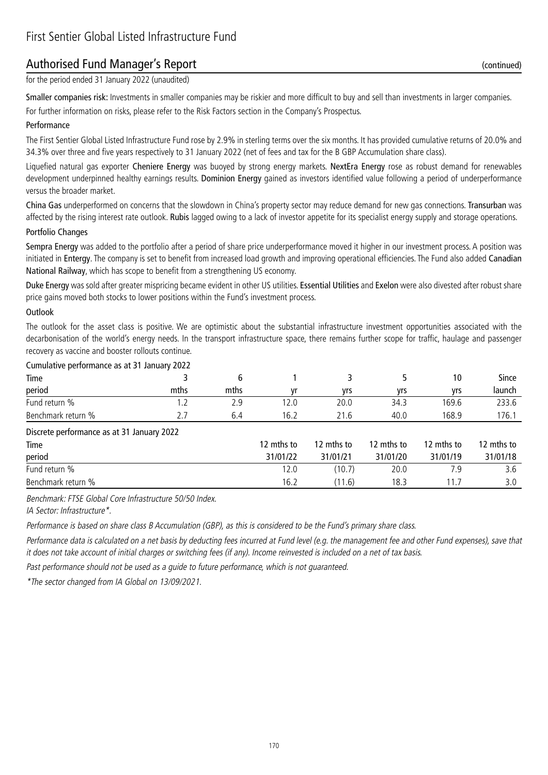## Authorised Fund Manager's Report (continued)

for the period ended 31 January 2022 (unaudited)

Smaller companies risk: Investments in smaller companies may be riskier and more difficult to buy and sell than investments in larger companies. For further information on risks, please refer to the Risk Factors section in the Company's Prospectus.

#### Performance

The First Sentier Global Listed Infrastructure Fund rose by 2.9% in sterling terms over the six months. It has provided cumulative returns of 20.0% and 34.3% over three and five years respectively to 31 January 2022 (net of fees and tax for the B GBP Accumulation share class).

Liquefied natural gas exporter Cheniere Energy was buoyed by strong energy markets. NextEra Energy rose as robust demand for renewables development underpinned healthy earnings results. Dominion Energy gained as investors identified value following a period of underperformance versus the broader market.

China Gas underperformed on concerns that the slowdown in China's property sector may reduce demand for new gas connections. Transurban was affected by the rising interest rate outlook. Rubis lagged owing to a lack of investor appetite for its specialist energy supply and storage operations.

#### Portfolio Changes

Sempra Energy was added to the portfolio after a period of share price underperformance moved it higher in our investment process. A position was initiated in Entergy. The company is set to benefit from increased load growth and improving operational efficiencies. The Fund also added Canadian National Railway, which has scope to benefit from a strengthening US economy.

Duke Energy was sold after greater mispricing became evident in other US utilities. Essential Utilities and Exelon were also divested after robust share price gains moved both stocks to lower positions within the Fund's investment process.

#### **Outlook**

The outlook for the asset class is positive. We are optimistic about the substantial infrastructure investment opportunities associated with the decarbonisation of the world's energy needs. In the transport infrastructure space, there remains further scope for traffic, haulage and passenger recovery as vaccine and booster rollouts continue.

#### Cumulative performance as at 31 January 2022

| Time               |                          |      |                       |      |      | 10    | Since  |
|--------------------|--------------------------|------|-----------------------|------|------|-------|--------|
| period             | mths                     | mths |                       | vrs  | vrs  | vrs   | launch |
| Fund return %      | $\overline{\phantom{a}}$ | ۷.Y  | $\sim$ $\sim$<br>Z.C  | 20.0 | 34.3 | 169.6 | 233.6  |
| Benchmark return % |                          | 0.4  | $\sim$ $\sim$<br>16.Z | 21.U | 40.0 | 168.9 | .76.1  |

#### Discrete performance as at 31 January 2022

| Time               | 12 mths to | 12 mths to | 12 mths to | 12 mths to | 12 mths to |
|--------------------|------------|------------|------------|------------|------------|
| period             | 31/01/22   | 31/01/21   | 31/01/20   | 31/01/19   | 31/01/18   |
| Fund return %      | 12.0       | (10.7)     | 20.0       |            |            |
| Benchmark return % | 16.2       | (11.6)     | 18.3       |            |            |

Benchmark: FTSE Global Core Infrastructure 50/50 Index.

IA Sector: Infrastructure\*.

Performance is based on share class B Accumulation (GBP), as this is considered to be the Fund's primary share class.

Performance data is calculated on a net basis by deducting fees incurred at Fund level (e.g. the management fee and other Fund expenses), save that it does not take account of initial charges or switching fees (if any). Income reinvested is included on a net of tax basis.

Past performance should not be used as a guide to future performance, which is not guaranteed.

\*The sector changed from IA Global on 13/09/2021.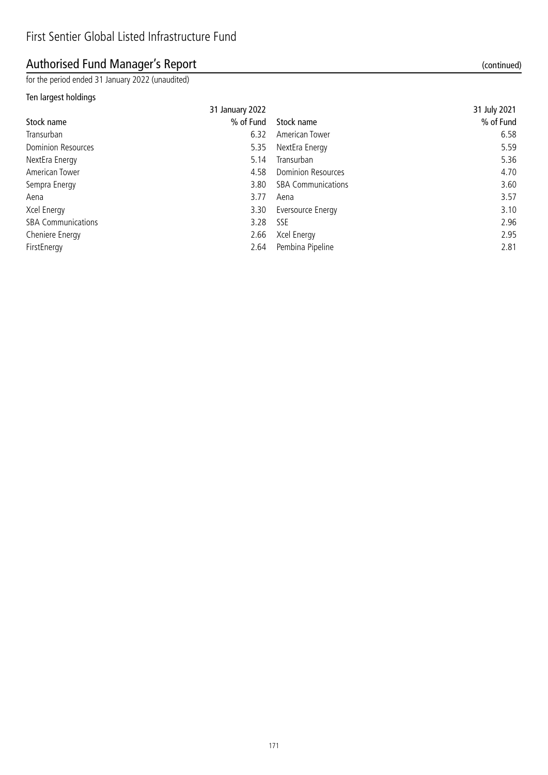## Authorised Fund Manager's Report (continued)

for the period ended 31 January 2022 (unaudited)

### Ten largest holdings

|                           | 31 January 2022 |                           | 31 July 2021 |
|---------------------------|-----------------|---------------------------|--------------|
| Stock name                | % of Fund       | Stock name                | % of Fund    |
| Transurban                | 6.32            | American Tower            | 6.58         |
| <b>Dominion Resources</b> | 5.35            | NextEra Energy            | 5.59         |
| NextEra Energy            | 5.14            | Transurban                | 5.36         |
| American Tower            | 4.58            | <b>Dominion Resources</b> | 4.70         |
| Sempra Energy             | 3.80            | <b>SBA Communications</b> | 3.60         |
| Aena                      | 3.77            | Aena                      | 3.57         |
| Xcel Energy               | 3.30            | Eversource Energy         | 3.10         |
| <b>SBA Communications</b> | 3.28            | SSE                       | 2.96         |
| Cheniere Energy           | 2.66            | Xcel Energy               | 2.95         |
| FirstEnergy               | 2.64            | Pembina Pipeline          | 2.81         |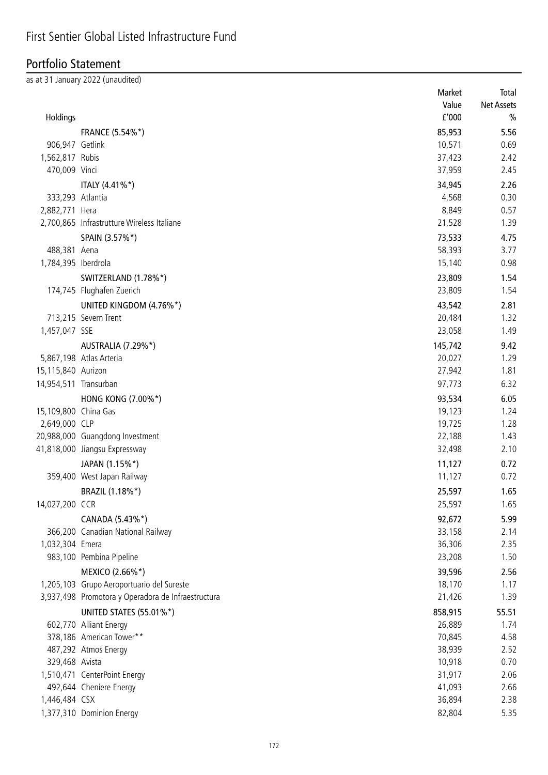## Portfolio Statement

as at 31 January 2022 (unaudited)

|                       |                                                    | Market           | Total             |
|-----------------------|----------------------------------------------------|------------------|-------------------|
|                       |                                                    | Value            | <b>Net Assets</b> |
| Holdings              |                                                    | f'000            | $\frac{0}{0}$     |
|                       | <b>FRANCE (5.54%*)</b>                             | 85,953           | 5.56              |
| 906,947 Getlink       |                                                    | 10,571           | 0.69              |
| 1,562,817 Rubis       |                                                    | 37,423           | 2.42              |
| 470,009 Vinci         |                                                    | 37,959           | 2.45              |
|                       | ITALY (4.41%*)                                     | 34,945           | 2.26              |
| 333,293 Atlantia      |                                                    | 4,568            | 0.30              |
| 2,882,771 Hera        |                                                    | 8,849            | 0.57              |
|                       | 2,700,865 Infrastrutture Wireless Italiane         | 21,528           | 1.39              |
|                       | SPAIN (3.57%*)                                     | 73,533           | 4.75              |
| 488,381 Aena          |                                                    | 58,393           | 3.77              |
| 1,784,395 Iberdrola   |                                                    | 15,140           | 0.98              |
|                       |                                                    |                  |                   |
|                       | SWITZERLAND (1.78%*)                               | 23,809           | 1.54              |
|                       | 174,745 Flughafen Zuerich                          | 23,809           | 1.54              |
|                       | UNITED KINGDOM (4.76%*)                            | 43,542           | 2.81              |
|                       | 713,215 Severn Trent                               | 20,484           | 1.32              |
| 1,457,047 SSE         |                                                    | 23,058           | 1.49              |
|                       | AUSTRALIA (7.29%*)                                 | 145,742          | 9.42              |
|                       | 5,867,198 Atlas Arteria                            | 20,027           | 1.29              |
| 15,115,840 Aurizon    |                                                    | 27,942           | 1.81              |
| 14,954,511 Transurban |                                                    | 97,773           | 6.32              |
|                       | HONG KONG (7.00%*)                                 | 93,534           | 6.05              |
| 15,109,800 China Gas  |                                                    | 19,123           | 1.24              |
| 2,649,000 CLP         |                                                    | 19,725           | 1.28              |
|                       | 20,988,000 Guangdong Investment                    | 22,188           | 1.43              |
|                       | 41,818,000 Jiangsu Expressway                      | 32,498           | 2.10              |
|                       | JAPAN (1.15%*)                                     | 11,127           | 0.72              |
|                       | 359,400 West Japan Railway                         | 11,127           | 0.72              |
|                       | BRAZIL (1.18%*)                                    | 25,597           | 1.65              |
| 14,027,200 CCR        |                                                    | 25,597           | 1.65              |
|                       | CANADA (5.43%*)                                    | 92,672           | 5.99              |
|                       | 366,200 Canadian National Railway                  | 33,158           | 2.14              |
| 1,032,304 Emera       |                                                    | 36,306           | 2.35              |
|                       | 983,100 Pembina Pipeline                           | 23,208           | 1.50              |
|                       | MEXICO (2.66%*)                                    | 39,596           | 2.56              |
|                       | 1,205,103 Grupo Aeroportuario del Sureste          | 18,170           | 1.17              |
|                       | 3,937,498 Promotora y Operadora de Infraestructura | 21,426           | 1.39              |
|                       |                                                    |                  |                   |
|                       | <b>UNITED STATES (55.01%*)</b>                     | 858,915          | 55.51             |
|                       | 602,770 Alliant Energy                             | 26,889           | 1.74              |
|                       | 378,186 American Tower**                           | 70,845           | 4.58              |
| 329,468 Avista        | 487,292 Atmos Energy                               | 38,939           | 2.52<br>0.70      |
|                       | 1,510,471 CenterPoint Energy                       | 10,918<br>31,917 | 2.06              |
|                       | 492,644 Cheniere Energy                            | 41,093           | 2.66              |
| 1,446,484 CSX         |                                                    | 36,894           | 2.38              |
|                       |                                                    | 82,804           |                   |
|                       | 1,377,310 Dominion Energy                          |                  | 5.35              |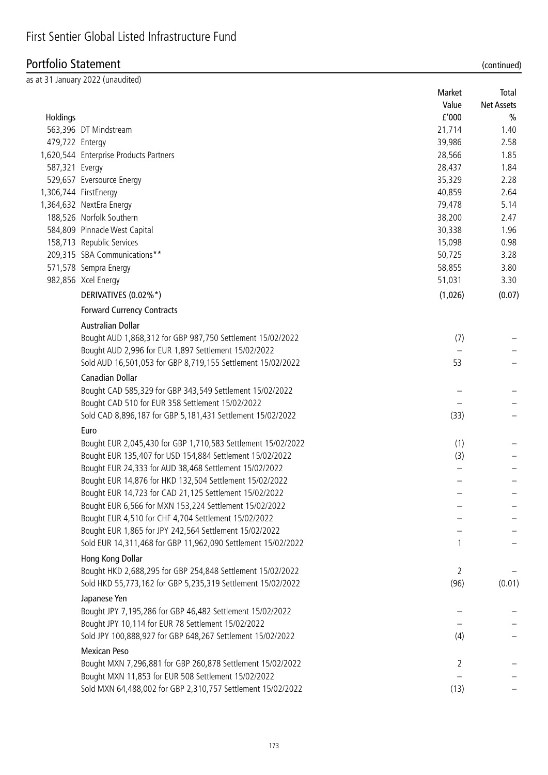### Portfolio Statement (continued)

|                 | as at 31 January 2022 (unaudited)                            |         |               |
|-----------------|--------------------------------------------------------------|---------|---------------|
|                 |                                                              | Market  | Total         |
|                 |                                                              | Value   | Net Assets    |
| Holdings        |                                                              | f'000   | $\frac{0}{0}$ |
|                 | 563,396 DT Mindstream                                        | 21,714  | 1.40          |
| 479,722 Entergy |                                                              | 39,986  | 2.58          |
|                 | 1,620,544 Enterprise Products Partners                       | 28,566  | 1.85          |
| 587,321 Evergy  |                                                              | 28,437  | 1.84          |
|                 | 529,657 Eversource Energy                                    | 35,329  | 2.28          |
|                 | 1,306,744 FirstEnergy                                        | 40,859  | 2.64          |
|                 | 1,364,632 NextEra Energy                                     | 79,478  | 5.14          |
|                 | 188,526 Norfolk Southern                                     | 38,200  | 2.47          |
|                 | 584,809 Pinnacle West Capital                                | 30,338  | 1.96          |
|                 | 158,713 Republic Services                                    | 15,098  | 0.98          |
|                 | 209,315 SBA Communications**                                 | 50,725  | 3.28          |
|                 | 571,578 Sempra Energy                                        | 58,855  | 3.80          |
|                 | 982,856 Xcel Energy                                          | 51,031  | 3.30          |
|                 | DERIVATIVES (0.02%*)                                         | (1,026) | (0.07)        |
|                 | <b>Forward Currency Contracts</b>                            |         |               |
|                 | <b>Australian Dollar</b>                                     |         |               |
|                 | Bought AUD 1,868,312 for GBP 987,750 Settlement 15/02/2022   | (7)     |               |
|                 | Bought AUD 2,996 for EUR 1,897 Settlement 15/02/2022         |         |               |
|                 | Sold AUD 16,501,053 for GBP 8,719,155 Settlement 15/02/2022  | 53      |               |
|                 | Canadian Dollar                                              |         |               |
|                 | Bought CAD 585,329 for GBP 343,549 Settlement 15/02/2022     |         |               |
|                 | Bought CAD 510 for EUR 358 Settlement 15/02/2022             |         |               |
|                 | Sold CAD 8,896,187 for GBP 5,181,431 Settlement 15/02/2022   | (33)    |               |
|                 | Euro                                                         |         |               |
|                 | Bought EUR 2,045,430 for GBP 1,710,583 Settlement 15/02/2022 | (1)     |               |
|                 | Bought EUR 135,407 for USD 154,884 Settlement 15/02/2022     | (3)     |               |
|                 | Bought EUR 24,333 for AUD 38,468 Settlement 15/02/2022       |         |               |
|                 | Bought EUR 14,876 for HKD 132,504 Settlement 15/02/2022      |         |               |
|                 | Bought EUR 14,723 for CAD 21,125 Settlement 15/02/2022       |         |               |
|                 | Bought EUR 6,566 for MXN 153,224 Settlement 15/02/2022       |         |               |
|                 | Bought EUR 4,510 for CHF 4,704 Settlement 15/02/2022         |         |               |
|                 | Bought EUR 1,865 for JPY 242,564 Settlement 15/02/2022       |         |               |
|                 | Sold EUR 14,311,468 for GBP 11,962,090 Settlement 15/02/2022 |         |               |
|                 | Hong Kong Dollar                                             |         |               |
|                 | Bought HKD 2,688,295 for GBP 254,848 Settlement 15/02/2022   | 2       |               |
|                 | Sold HKD 55,773,162 for GBP 5,235,319 Settlement 15/02/2022  | (96)    | (0.01)        |
|                 | Japanese Yen                                                 |         |               |
|                 | Bought JPY 7,195,286 for GBP 46,482 Settlement 15/02/2022    |         |               |
|                 | Bought JPY 10,114 for EUR 78 Settlement 15/02/2022           |         |               |
|                 | Sold JPY 100,888,927 for GBP 648,267 Settlement 15/02/2022   | (4)     |               |
|                 | <b>Mexican Peso</b>                                          |         |               |
|                 | Bought MXN 7,296,881 for GBP 260,878 Settlement 15/02/2022   | 2       |               |
|                 | Bought MXN 11,853 for EUR 508 Settlement 15/02/2022          |         |               |
|                 | Sold MXN 64,488,002 for GBP 2,310,757 Settlement 15/02/2022  | (13)    |               |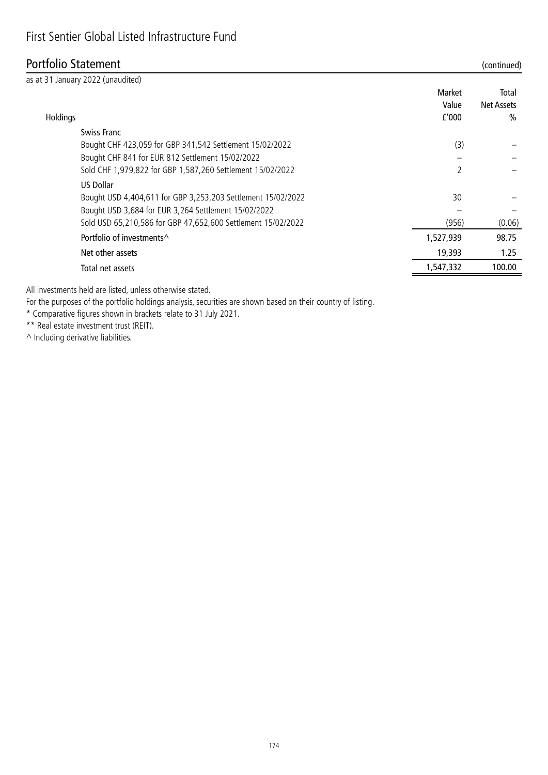### Portfolio Statement (continued)

|          | as at 31 January 2022 (unaudited)                            |           |            |
|----------|--------------------------------------------------------------|-----------|------------|
|          |                                                              | Market    | Total      |
|          |                                                              | Value     | Net Assets |
| Holdings |                                                              | f'000     | $\%$       |
|          | Swiss Franc                                                  |           |            |
|          | Bought CHF 423,059 for GBP 341,542 Settlement 15/02/2022     | (3)       |            |
|          | Bought CHF 841 for EUR 812 Settlement 15/02/2022             |           |            |
|          | Sold CHF 1,979,822 for GBP 1,587,260 Settlement 15/02/2022   | 2         |            |
|          | <b>US Dollar</b>                                             |           |            |
|          | Bought USD 4,404,611 for GBP 3,253,203 Settlement 15/02/2022 | 30        |            |
|          | Bought USD 3,684 for EUR 3,264 Settlement 15/02/2022         |           |            |
|          | Sold USD 65,210,586 for GBP 47,652,600 Settlement 15/02/2022 | (956)     | (0.06)     |
|          | Portfolio of investments^                                    | 1,527,939 | 98.75      |
|          | Net other assets                                             | 19,393    | 1.25       |
|          | Total net assets                                             | 1.547.332 | 100.00     |
|          |                                                              |           |            |

All investments held are listed, unless otherwise stated.

For the purposes of the portfolio holdings analysis, securities are shown based on their country of listing.

\* Comparative figures shown in brackets relate to 31 July 2021.

\*\* Real estate investment trust (REIT).

 $\wedge$  Including derivative liabilities.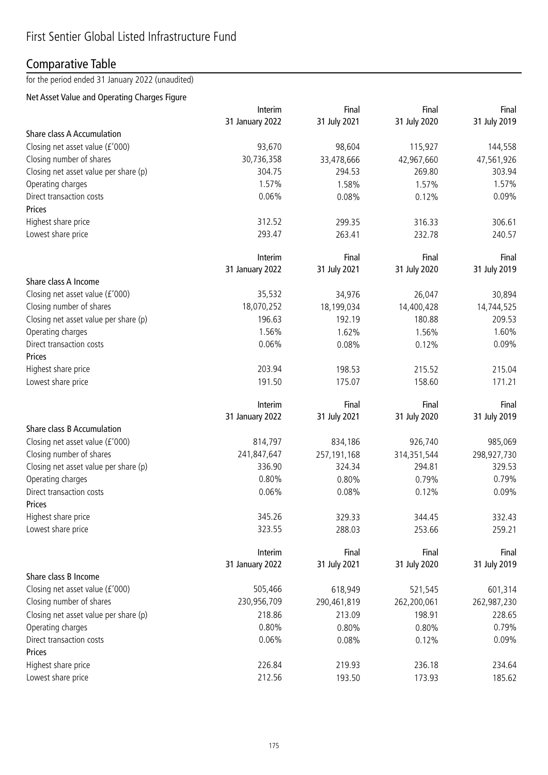## Comparative Table

for the period ended 31 January 2022 (unaudited)

### Net Asset Value and Operating Charges Figure

|                                       | Interim         | Final        | Final        | Final        |
|---------------------------------------|-----------------|--------------|--------------|--------------|
|                                       | 31 January 2022 | 31 July 2021 | 31 July 2020 | 31 July 2019 |
| Share class A Accumulation            |                 |              |              |              |
| Closing net asset value (£'000)       | 93,670          | 98,604       | 115,927      | 144,558      |
| Closing number of shares              | 30,736,358      | 33,478,666   | 42,967,660   | 47,561,926   |
| Closing net asset value per share (p) | 304.75          | 294.53       | 269.80       | 303.94       |
| Operating charges                     | 1.57%           | 1.58%        | 1.57%        | 1.57%        |
| Direct transaction costs              | 0.06%           | 0.08%        | 0.12%        | 0.09%        |
| Prices                                |                 |              |              |              |
| Highest share price                   | 312.52          | 299.35       | 316.33       | 306.61       |
| Lowest share price                    | 293.47          | 263.41       | 232.78       | 240.57       |
|                                       | Interim         | Final        | Final        | Final        |
|                                       | 31 January 2022 | 31 July 2021 | 31 July 2020 | 31 July 2019 |
| Share class A Income                  |                 |              |              |              |
| Closing net asset value (£'000)       | 35,532          | 34,976       | 26,047       | 30,894       |
| Closing number of shares              | 18,070,252      | 18,199,034   | 14,400,428   | 14,744,525   |
| Closing net asset value per share (p) | 196.63          | 192.19       | 180.88       | 209.53       |
| Operating charges                     | 1.56%           | 1.62%        | 1.56%        | 1.60%        |
| Direct transaction costs              | 0.06%           | 0.08%        | 0.12%        | 0.09%        |
| Prices                                |                 |              |              |              |
| Highest share price                   | 203.94          | 198.53       | 215.52       | 215.04       |
| Lowest share price                    | 191.50          | 175.07       | 158.60       | 171.21       |
|                                       | Interim         | Final        | Final        | Final        |
|                                       | 31 January 2022 | 31 July 2021 | 31 July 2020 | 31 July 2019 |
| Share class B Accumulation            |                 |              |              |              |
| Closing net asset value (£'000)       | 814,797         | 834,186      | 926,740      | 985,069      |
| Closing number of shares              | 241,847,647     | 257,191,168  | 314,351,544  | 298,927,730  |
| Closing net asset value per share (p) | 336.90          | 324.34       | 294.81       | 329.53       |
| Operating charges                     | 0.80%           | 0.80%        | 0.79%        | 0.79%        |
| Direct transaction costs              | 0.06%           | 0.08%        | 0.12%        | 0.09%        |
| Prices                                |                 |              |              |              |
| Highest share price                   | 345.26          | 329.33       | 344.45       | 332.43       |
| Lowest share price                    | 323.55          | 288.03       | 253.66       | 259.21       |
|                                       | Interim         | Final        | Final        | Final        |
|                                       | 31 January 2022 | 31 July 2021 | 31 July 2020 | 31 July 2019 |
| Share class B Income                  |                 |              |              |              |
| Closing net asset value (£'000)       | 505,466         | 618,949      | 521,545      | 601,314      |
| Closing number of shares              | 230,956,709     | 290,461,819  | 262,200,061  | 262,987,230  |
| Closing net asset value per share (p) | 218.86          | 213.09       | 198.91       | 228.65       |
| Operating charges                     | 0.80%           | 0.80%        | 0.80%        | 0.79%        |
| Direct transaction costs              | 0.06%           | 0.08%        | 0.12%        | 0.09%        |
| Prices                                |                 |              |              |              |
| Highest share price                   | 226.84          | 219.93       | 236.18       | 234.64       |
| Lowest share price                    | 212.56          | 193.50       | 173.93       | 185.62       |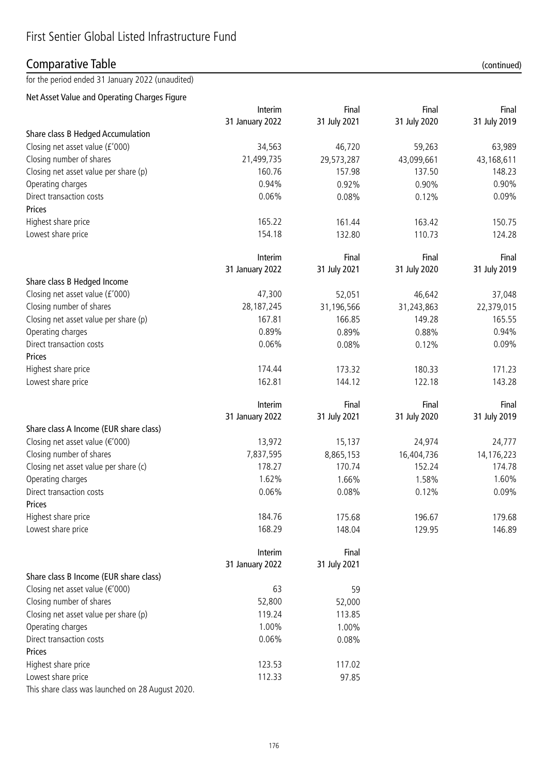## Comparative Table (continued)

for the period ended 31 January 2022 (unaudited)

Net Asset Value and Operating Charges Figure

|                                                  | Interim         | Final        | Final        | Final        |
|--------------------------------------------------|-----------------|--------------|--------------|--------------|
|                                                  | 31 January 2022 | 31 July 2021 | 31 July 2020 | 31 July 2019 |
| Share class B Hedged Accumulation                |                 |              |              |              |
| Closing net asset value (£'000)                  | 34,563          | 46,720       | 59,263       | 63,989       |
| Closing number of shares                         | 21,499,735      | 29,573,287   | 43,099,661   | 43,168,611   |
| Closing net asset value per share (p)            | 160.76          | 157.98       | 137.50       | 148.23       |
| Operating charges                                | 0.94%           | 0.92%        | 0.90%        | 0.90%        |
| Direct transaction costs                         | 0.06%           | 0.08%        | 0.12%        | 0.09%        |
| Prices                                           |                 |              |              |              |
| Highest share price                              | 165.22          | 161.44       | 163.42       | 150.75       |
| Lowest share price                               | 154.18          | 132.80       | 110.73       | 124.28       |
|                                                  | Interim         | Final        | Final        | Final        |
|                                                  | 31 January 2022 | 31 July 2021 | 31 July 2020 | 31 July 2019 |
| Share class B Hedged Income                      |                 |              |              |              |
| Closing net asset value (£'000)                  | 47,300          | 52,051       | 46,642       | 37,048       |
| Closing number of shares                         | 28, 187, 245    | 31,196,566   | 31,243,863   | 22,379,015   |
| Closing net asset value per share (p)            | 167.81          | 166.85       | 149.28       | 165.55       |
| Operating charges                                | 0.89%           | 0.89%        | 0.88%        | 0.94%        |
| Direct transaction costs                         | 0.06%           | 0.08%        | 0.12%        | 0.09%        |
| Prices                                           |                 |              |              |              |
| Highest share price                              | 174.44          | 173.32       | 180.33       | 171.23       |
| Lowest share price                               | 162.81          | 144.12       | 122.18       | 143.28       |
|                                                  | Interim         | Final        | Final        | Final        |
|                                                  | 31 January 2022 | 31 July 2021 | 31 July 2020 | 31 July 2019 |
| Share class A Income (EUR share class)           |                 |              |              |              |
| Closing net asset value (€'000)                  | 13,972          | 15,137       | 24,974       | 24,777       |
| Closing number of shares                         | 7,837,595       | 8,865,153    | 16,404,736   | 14,176,223   |
| Closing net asset value per share (c)            | 178.27          | 170.74       | 152.24       | 174.78       |
| Operating charges                                | 1.62%           | 1.66%        | 1.58%        | 1.60%        |
| Direct transaction costs                         | 0.06%           | 0.08%        | 0.12%        | 0.09%        |
| Prices                                           |                 |              |              |              |
| Highest share price                              | 184.76          | 175.68       | 196.67       | 179.68       |
| Lowest share price                               | 168.29          | 148.04       | 129.95       | 146.89       |
|                                                  | Interim         | Final        |              |              |
|                                                  | 31 January 2022 | 31 July 2021 |              |              |
| Share class B Income (EUR share class)           |                 |              |              |              |
| Closing net asset value ( $\epsilon$ '000)       | 63              | 59           |              |              |
| Closing number of shares                         | 52,800          | 52,000       |              |              |
| Closing net asset value per share (p)            | 119.24          | 113.85       |              |              |
| Operating charges                                | 1.00%           | 1.00%        |              |              |
| Direct transaction costs                         | 0.06%           | 0.08%        |              |              |
| Prices                                           |                 |              |              |              |
| Highest share price                              | 123.53          | 117.02       |              |              |
| Lowest share price                               | 112.33          | 97.85        |              |              |
| This share class was launched on 28 August 2020. |                 |              |              |              |

176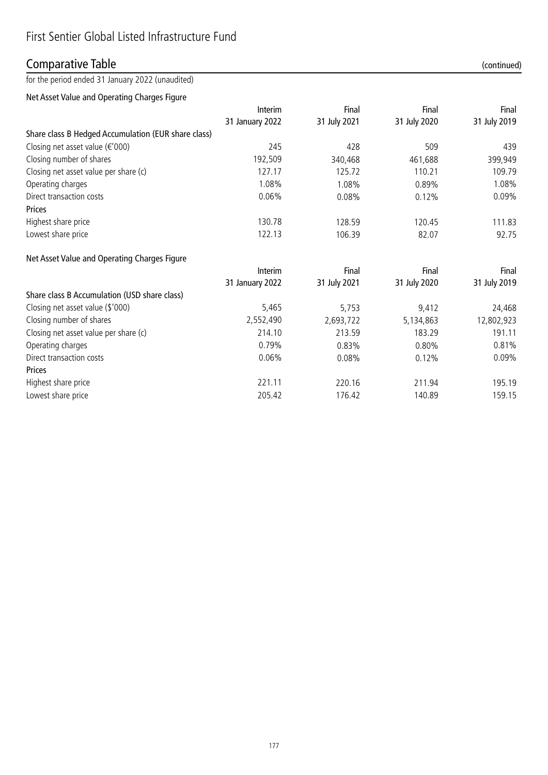## Comparative Table (continued)

for the period ended 31 January 2022 (unaudited)

Net Asset Value and Operating Charges Figure

|                                                     | Interim<br>31 January 2022 | Final<br>31 July 2021 | Final<br>31 July 2020 | Final<br>31 July 2019 |
|-----------------------------------------------------|----------------------------|-----------------------|-----------------------|-----------------------|
|                                                     |                            |                       |                       |                       |
| Share class B Hedged Accumulation (EUR share class) |                            |                       |                       |                       |
| Closing net asset value $(\epsilon' 000)$           | 245                        | 428                   | 509                   | 439                   |
| Closing number of shares                            | 192,509                    | 340,468               | 461,688               | 399,949               |
| Closing net asset value per share (c)               | 127.17                     | 125.72                | 110.21                | 109.79                |
| Operating charges                                   | 1.08%                      | 1.08%                 | 0.89%                 | 1.08%                 |
| Direct transaction costs                            | 0.06%                      | 0.08%                 | 0.12%                 | $0.09\%$              |
| <b>Prices</b>                                       |                            |                       |                       |                       |
| Highest share price                                 | 130.78                     | 128.59                | 120.45                | 111.83                |
| Lowest share price                                  | 122.13                     | 106.39                | 82.07                 | 92.75                 |
|                                                     |                            |                       |                       |                       |

### Net Asset Value and Operating Charges Figure

|                                              | Interim<br>31 January 2022 | Final<br>31 July 2021 | Final<br>31 July 2020 | Final<br>31 July 2019 |
|----------------------------------------------|----------------------------|-----------------------|-----------------------|-----------------------|
|                                              |                            |                       |                       |                       |
| Share class B Accumulation (USD share class) |                            |                       |                       |                       |
| Closing net asset value (\$'000)             | 5,465                      | 5,753                 | 9,412                 | 24,468                |
| Closing number of shares                     | 2,552,490                  | 2,693,722             | 5,134,863             | 12,802,923            |
| Closing net asset value per share (c)        | 214.10                     | 213.59                | 183.29                | 191.11                |
| Operating charges                            | 0.79%                      | 0.83%                 | 0.80%                 | 0.81%                 |
| Direct transaction costs                     | 0.06%                      | 0.08%                 | 0.12%                 | 0.09%                 |
| Prices                                       |                            |                       |                       |                       |
| Highest share price                          | 221.11                     | 220.16                | 211.94                | 195.19                |
| Lowest share price                           | 205.42                     | 176.42                | 140.89                | 159.15                |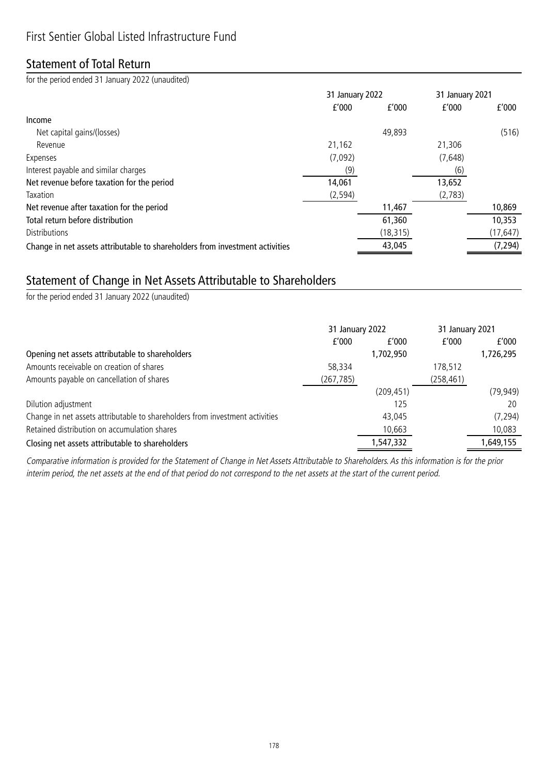### Statement of Total Return

for the period ended 31 January 2022 (unaudited)

|                                                                              | 31 January 2022 |           | 31 January 2021 |           |
|------------------------------------------------------------------------------|-----------------|-----------|-----------------|-----------|
|                                                                              | f'000           | f'000     | f'000           | f'000     |
| Income                                                                       |                 |           |                 |           |
| Net capital gains/(losses)                                                   |                 | 49,893    |                 | (516)     |
| Revenue                                                                      | 21,162          |           | 21,306          |           |
| Expenses                                                                     | (7,092)         |           | (7,648)         |           |
| Interest payable and similar charges                                         | (9)             |           | (6)             |           |
| Net revenue before taxation for the period                                   | 14,061          |           | 13,652          |           |
| Taxation                                                                     | (2, 594)        |           | (2,783)         |           |
| Net revenue after taxation for the period                                    |                 | 11,467    |                 | 10,869    |
| Total return before distribution                                             |                 | 61,360    |                 | 10,353    |
| Distributions                                                                |                 | (18, 315) |                 | (17, 647) |
| Change in net assets attributable to shareholders from investment activities |                 | 43,045    |                 | (7, 294)  |

# Statement of Change in Net Assets Attributable to Shareholders

for the period ended 31 January 2022 (unaudited)

|                                                                              | 31 January 2022 |            | 31 January 2021 |           |
|------------------------------------------------------------------------------|-----------------|------------|-----------------|-----------|
|                                                                              | f'000           | f'000      | f'000           | f'000     |
| Opening net assets attributable to shareholders                              |                 | 1,702,950  |                 | 1,726,295 |
| Amounts receivable on creation of shares                                     | 58,334          |            | 178,512         |           |
| Amounts payable on cancellation of shares                                    | (267, 785)      |            | (258, 461)      |           |
|                                                                              |                 | (209, 451) |                 | (79, 949) |
| Dilution adjustment                                                          |                 | 125        |                 | 20        |
| Change in net assets attributable to shareholders from investment activities |                 | 43.045     |                 | (7, 294)  |
| Retained distribution on accumulation shares                                 |                 | 10,663     |                 | 10,083    |
| Closing net assets attributable to shareholders                              |                 | 1,547,332  |                 | 1,649,155 |

Comparative information is provided for the Statement of Change in Net Assets Attributable to Shareholders. As this information is for the prior interim period, the net assets at the end of that period do not correspond to the net assets at the start of the current period.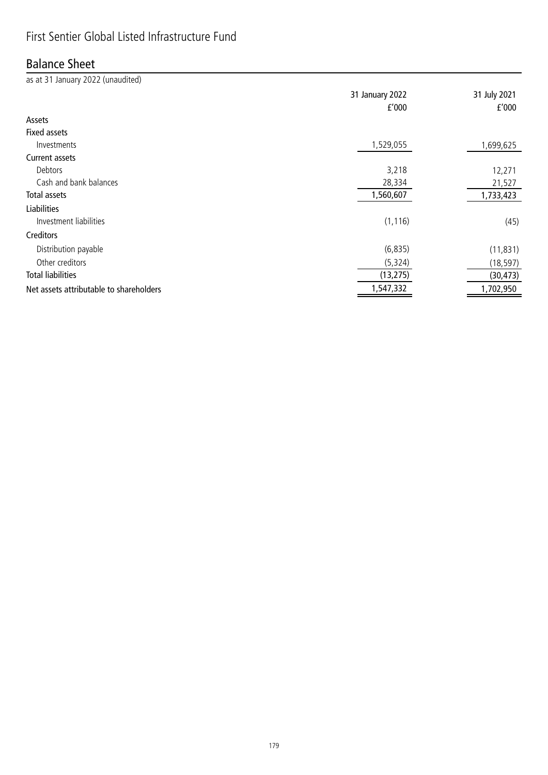# First Sentier Global Listed Infrastructure Fund

### Balance Sheet

| as at 31 January 2022 (unaudited)       |                          |                       |
|-----------------------------------------|--------------------------|-----------------------|
|                                         | 31 January 2022<br>f'000 | 31 July 2021<br>f'000 |
| Assets                                  |                          |                       |
| <b>Fixed assets</b>                     |                          |                       |
| Investments                             | 1,529,055                | 1,699,625             |
| Current assets                          |                          |                       |
| Debtors                                 | 3,218                    | 12,271                |
| Cash and bank balances                  | 28,334                   | 21,527                |
| Total assets                            | 1,560,607                | 1,733,423             |
| <b>Liabilities</b>                      |                          |                       |
| Investment liabilities                  | (1, 116)                 | (45)                  |
| Creditors                               |                          |                       |
| Distribution payable                    | (6, 835)                 | (11, 831)             |
| Other creditors                         | (5, 324)                 | (18, 597)             |
| <b>Total liabilities</b>                | (13, 275)                | (30, 473)             |
| Net assets attributable to shareholders | 1,547,332                | 1,702,950             |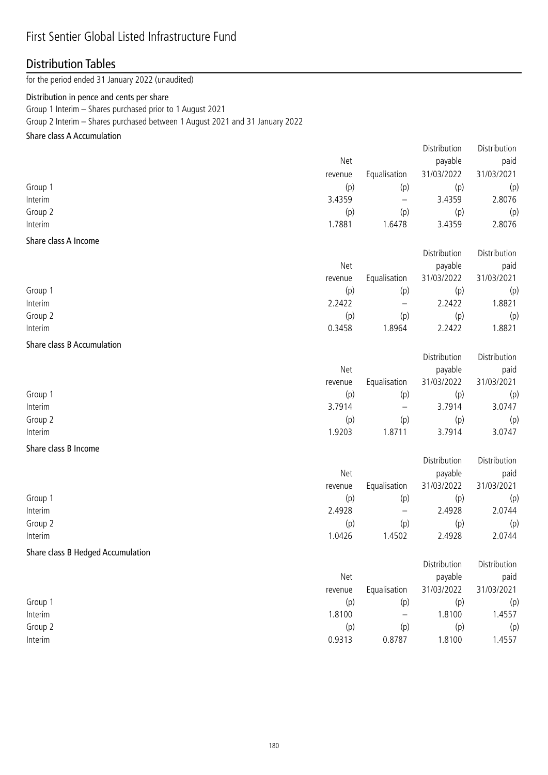### First Sentier Global Listed Infrastructure Fund

## Distribution Tables

for the period ended 31 January 2022 (unaudited)

#### Distribution in pence and cents per share

Group 1 Interim – Shares purchased prior to 1 August 2021

Group 2 Interim – Shares purchased between 1 August 2021 and 31 January 2022

### Share class A Accumulation

|                      |         |                          | Distribution | Distribution |
|----------------------|---------|--------------------------|--------------|--------------|
|                      | Net     |                          | payable      | paid         |
|                      | revenue | Equalisation             | 31/03/2022   | 31/03/2021   |
| Group 1              | (p)     | (p)                      | (p)          | (p)          |
| Interim              | 3.4359  | $\overline{\phantom{m}}$ | 3.4359       | 2.8076       |
| Group 2              | (p)     | (p)                      | (p)          | (p)          |
| Interim              | 1.7881  | 1.6478                   | 3.4359       | 2.8076       |
| Share class A Income |         |                          |              |              |
|                      |         |                          | Distribution | Distribution |

|         | Net     |                   | payable    | paid       |
|---------|---------|-------------------|------------|------------|
|         | revenue | Equalisation      | 31/03/2022 | 31/03/2021 |
| Group 1 | (p)     | (p)               | (p)        | (p)        |
| Interim | 2.2422  | $\qquad \qquad -$ | 2.2422     | 1.8821     |
| Group 2 | (p)     | (p)               | (p)        | (p)        |
| Interim | 0.3458  | .8964             | 2.2422     | 1.8821     |

#### Share class B Accumulation

|         | <b>Net</b> |              | payable    | paid       |
|---------|------------|--------------|------------|------------|
|         | revenue    | Equalisation | 31/03/2022 | 31/03/2021 |
| Group 1 | (p)        | (p)          | (p)        | (p)        |
| Interim | 3.7914     | -            | 3.7914     | 3.0747     |
| Group 2 | (p)        | (p)          | (p)        | (p)        |
| Interim | 1.9203     | .8711        | 3.7914     | 3.0747     |

Distribution Distribution

Distribution Distribution

### Share class B Income

|         |         |                          | Distribution | Distribution |
|---------|---------|--------------------------|--------------|--------------|
|         | Net     |                          | payable      | paid         |
|         | revenue | Equalisation             | 31/03/2022   | 31/03/2021   |
| Group 1 | (p)     | (p)                      | (p)          | (p)          |
| Interim | 2.4928  | $\overline{\phantom{m}}$ | 2.4928       | 2.0744       |
| Group 2 | (p)     | (p)                      | (p)          | (p)          |
| Interim | 1.0426  | 1.4502                   | 2.4928       | 2.0744       |

### Share class B Hedged Accumulation

|         | Net     |                          | payable    | paid       |
|---------|---------|--------------------------|------------|------------|
|         | revenue | Equalisation             | 31/03/2022 | 31/03/2021 |
| Group 1 | (p)     | (p)                      | (p)        | (p)        |
| Interim | 1.8100  | $\overline{\phantom{m}}$ | .8100      | l.4557     |
| Group 2 | (p)     | (p)                      | (p)        | (p)        |
| Interim | 0.9313  | 0.8787                   | .8100      | l.4557     |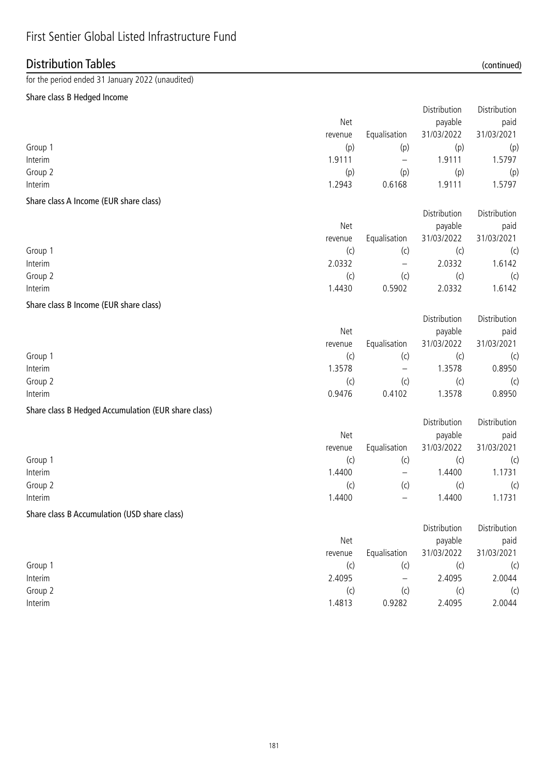# First Sentier Global Listed Infrastructure Fund

## Distribution Tables (continued)

for the period ended 31 January 2022 (unaudited)

### Share class B Hedged Income

|                                                     |         |                          | Distribution | Distribution |
|-----------------------------------------------------|---------|--------------------------|--------------|--------------|
|                                                     | Net     |                          | payable      | paid         |
|                                                     | revenue | Equalisation             | 31/03/2022   | 31/03/2021   |
| Group 1                                             | (p)     | (p)                      | (p)          | (p)          |
| Interim                                             | 1.9111  | $\overline{\phantom{0}}$ | 1.9111       | 1.5797       |
| Group 2                                             | (p)     | (p)                      | (p)          | (p)          |
| Interim                                             | 1.2943  | 0.6168                   | 1.9111       | 1.5797       |
| Share class A Income (EUR share class)              |         |                          |              |              |
|                                                     |         |                          | Distribution | Distribution |
|                                                     | Net     |                          | payable      | paid         |
|                                                     | revenue | Equalisation             | 31/03/2022   | 31/03/2021   |
| Group 1                                             | (c)     | (c)                      | (c)          | (c)          |
| Interim                                             | 2.0332  | $\overline{\phantom{0}}$ | 2.0332       | 1.6142       |
| Group 2                                             | (c)     | (c)                      | (c)          | (c)          |
| Interim                                             | 1.4430  | 0.5902                   | 2.0332       | 1.6142       |
| Share class B Income (EUR share class)              |         |                          |              |              |
|                                                     |         |                          | Distribution | Distribution |
|                                                     | Net     |                          | payable      | paid         |
|                                                     | revenue | Equalisation             | 31/03/2022   | 31/03/2021   |
| Group 1                                             | (c)     | (c)                      | (c)          | (c)          |
| Interim                                             | 1.3578  | —                        | 1.3578       | 0.8950       |
| Group 2                                             | (c)     | (c)                      | (c)          | (c)          |
| Interim                                             | 0.9476  | 0.4102                   | 1.3578       | 0.8950       |
| Share class B Hedged Accumulation (EUR share class) |         |                          |              |              |
|                                                     |         |                          | Distribution | Distribution |
|                                                     | Net     |                          | payable      | paid         |
|                                                     | revenue | Equalisation             | 31/03/2022   | 31/03/2021   |
| Group 1                                             | (c)     | (c)                      | (c)          | (c)          |
| Interim                                             | 1.4400  |                          | 1.4400       | 1.1731       |

### Share class B Accumulation (USD share class)

|         |         |                   | Distribution | Distribution |
|---------|---------|-------------------|--------------|--------------|
|         | Net     |                   | payable      | paid         |
|         | revenue | Equalisation      | 31/03/2022   | 31/03/2021   |
| Group 1 | (c)     | (c)               |              | (c)          |
| Interim | 2.4095  | $\qquad \qquad -$ | 2.4095       | 2.0044       |
| Group 2 | (C)     | (c)               | (C           | (c)          |
| Interim | 1.4813  | 0.9282            | 2.4095       | 2.0044       |

Group 2 (c) (c) (c) (c) Interim 1.4400 – 1.4400 1.1731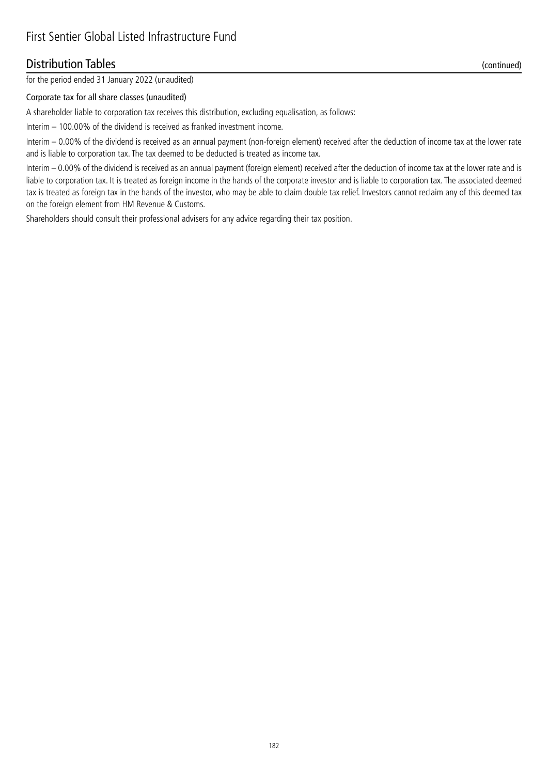### Distribution Tables (continued)

for the period ended 31 January 2022 (unaudited)

#### Corporate tax for all share classes (unaudited)

A shareholder liable to corporation tax receives this distribution, excluding equalisation, as follows:

Interim – 100.00% of the dividend is received as franked investment income.

Interim – 0.00% of the dividend is received as an annual payment (non-foreign element) received after the deduction of income tax at the lower rate and is liable to corporation tax. The tax deemed to be deducted is treated as income tax.

Interim – 0.00% of the dividend is received as an annual payment (foreign element) received after the deduction of income tax at the lower rate and is liable to corporation tax. It is treated as foreign income in the hands of the corporate investor and is liable to corporation tax. The associated deemed tax is treated as foreign tax in the hands of the investor, who may be able to claim double tax relief. Investors cannot reclaim any of this deemed tax on the foreign element from HM Revenue & Customs.

Shareholders should consult their professional advisers for any advice regarding their tax position.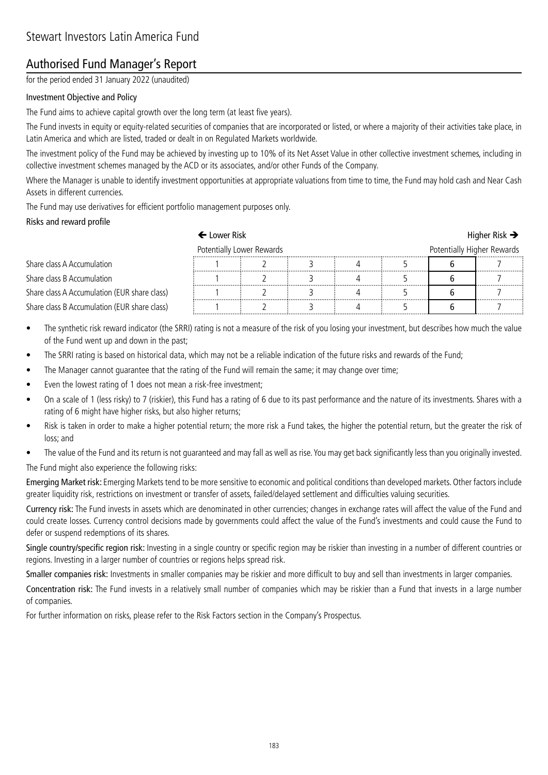## Authorised Fund Manager's Report

for the period ended 31 January 2022 (unaudited)

### Investment Objective and Policy

The Fund aims to achieve capital growth over the long term (at least five years).

The Fund invests in equity or equity-related securities of companies that are incorporated or listed, or where a majority of their activities take place, in Latin America and which are listed, traded or dealt in on Regulated Markets worldwide.

The investment policy of the Fund may be achieved by investing up to 10% of its Net Asset Value in other collective investment schemes, including in collective investment schemes managed by the ACD or its associates, and/or other Funds of the Company.

Where the Manager is unable to identify investment opportunities at appropriate valuations from time to time, the Fund may hold cash and Near Cash Assets in different currencies.

The Fund may use derivatives for efficient portfolio management purposes only.

#### Risks and reward profile

|                                              | $\leftarrow$ Lower Risk   |  |  |  |                            |  | Higher Risk $\rightarrow$ |
|----------------------------------------------|---------------------------|--|--|--|----------------------------|--|---------------------------|
|                                              | Potentially Lower Rewards |  |  |  | Potentially Higher Rewards |  |                           |
| Share class A Accumulation                   |                           |  |  |  |                            |  |                           |
| Share class B Accumulation                   |                           |  |  |  |                            |  |                           |
| Share class A Accumulation (EUR share class) |                           |  |  |  |                            |  |                           |
| Share class B Accumulation (EUR share class) |                           |  |  |  |                            |  | .                         |

- The synthetic risk reward indicator (the SRRI) rating is not a measure of the risk of you losing your investment, but describes how much the value of the Fund went up and down in the past;
- The SRRI rating is based on historical data, which may not be a reliable indication of the future risks and rewards of the Fund;
- The Manager cannot guarantee that the rating of the Fund will remain the same; it may change over time;
- Even the lowest rating of 1 does not mean a risk-free investment;
- On a scale of 1 (less risky) to 7 (riskier), this Fund has a rating of 6 due to its past performance and the nature of its investments. Shares with a rating of 6 might have higher risks, but also higher returns;
- Risk is taken in order to make a higher potential return; the more risk a Fund takes, the higher the potential return, but the greater the risk of loss; and
- The value of the Fund and its return is not guaranteed and may fall as well as rise. You may get back significantly less than you originally invested. The Fund might also experience the following risks:

Emerging Market risk: Emerging Markets tend to be more sensitive to economic and political conditions than developed markets. Other factors include greater liquidity risk, restrictions on investment or transfer of assets, failed/delayed settlement and difficulties valuing securities.

Currency risk: The Fund invests in assets which are denominated in other currencies; changes in exchange rates will affect the value of the Fund and could create losses. Currency control decisions made by governments could affect the value of the Fund's investments and could cause the Fund to defer or suspend redemptions of its shares.

Single country/specific region risk: Investing in a single country or specific region may be riskier than investing in a number of different countries or regions. Investing in a larger number of countries or regions helps spread risk.

Smaller companies risk: Investments in smaller companies may be riskier and more difficult to buy and sell than investments in larger companies.

Concentration risk: The Fund invests in a relatively small number of companies which may be riskier than a Fund that invests in a large number of companies.

For further information on risks, please refer to the Risk Factors section in the Company's Prospectus.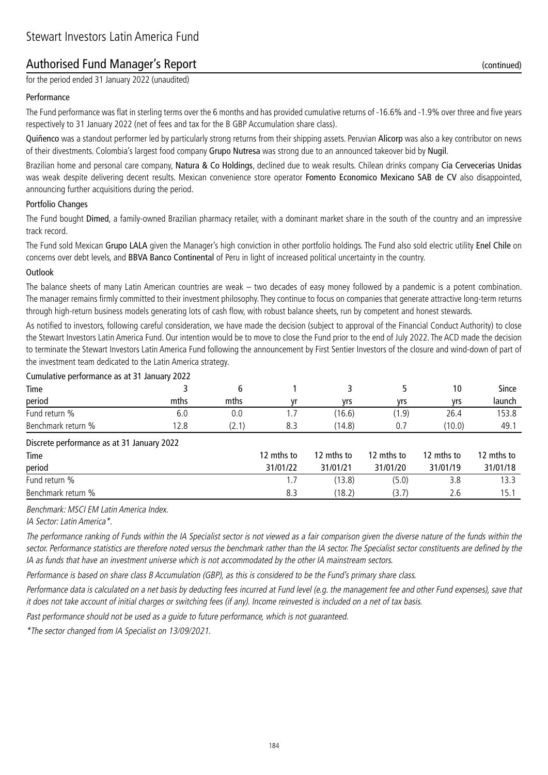## Authorised Fund Manager's Report (continued)

for the period ended 31 January 2022 (unaudited)

#### Performance

The Fund performance was flat in sterling terms over the 6 months and has provided cumulative returns of -16.6% and -1.9% over three and five years respectively to 31 January 2022 (net of fees and tax for the B GBP Accumulation share class).

Quiñenco was a standout performer led by particularly strong returns from their shipping assets. Peruvian Alicorp was also a key contributor on news of their divestments. Colombia's largest food company Grupo Nutresa was strong due to an announced takeover bid by Nugil.

Brazilian home and personal care company, Natura & Co Holdings, declined due to weak results. Chilean drinks company Cia Cervecerias Unidas was weak despite delivering decent results. Mexican convenience store operator Fomento Economico Mexicano SAB de CV also disappointed, announcing further acquisitions during the period.

#### Portfolio Changes

The Fund bought Dimed, a family-owned Brazilian pharmacy retailer, with a dominant market share in the south of the country and an impressive track record.

The Fund sold Mexican Grupo LALA given the Manager's high conviction in other portfolio holdings. The Fund also sold electric utility Enel Chile on concerns over debt levels, and BBVA Banco Continental of Peru in light of increased political uncertainty in the country.

#### Outlook

The balance sheets of many Latin American countries are weak – two decades of easy money followed by a pandemic is a potent combination. The manager remains firmly committed to their investment philosophy. They continue to focus on companies that generate attractive long-term returns through high-return business models generating lots of cash flow, with robust balance sheets, run by competent and honest stewards.

As notified to investors, following careful consideration, we have made the decision (subject to approval of the Financial Conduct Authority) to close the Stewart Investors Latin America Fund. Our intention would be to move to close the Fund prior to the end of July 2022. The ACD made the decision to terminate the Stewart Investors Latin America Fund following the announcement by First Sentier Investors of the closure and wind-down of part of the investment team dedicated to the Latin America strategy.

| Cumulative performance as at 31 January 2022 |      |               |     |        |            |        |        |  |
|----------------------------------------------|------|---------------|-----|--------|------------|--------|--------|--|
| Time                                         |      |               |     |        |            | 10     | Since  |  |
| period                                       | mths | mths          | ۷r  | vrs    | <b>Vrs</b> | vrs    | launch |  |
| Fund return %                                | b.U  | 0.0           |     | (16.6) | 1.9)       | 26.4   | 153.8  |  |
| Benchmark return %                           | 2.8  | $2.1^{\circ}$ | 8.3 | 14.8)  | 0.         | (10.0) | 49. .  |  |

Discrete performance as at 31 January 2022

| Time               | 12 mths to | 12 mths to | 12 mths to | 12 mths to | 12 mths to |
|--------------------|------------|------------|------------|------------|------------|
| period             | 31/01/22   | 31/01/21   | 31/01/20   | 31/01/19   | 31/01/18   |
| Fund return %      |            | 13.8)      | (5.0)      | 3.8        | 13.3       |
| Benchmark return % | 8.3        | (18.2)     |            | 2.6        | 15.1       |

Benchmark: MSCI EM Latin America Index.

IA Sector: Latin America\*.

The performance ranking of Funds within the IA Specialist sector is not viewed as a fair comparison given the diverse nature of the funds within the sector. Performance statistics are therefore noted versus the benchmark rather than the IA sector. The Specialist sector constituents are defined by the IA as funds that have an investment universe which is not accommodated by the other IA mainstream sectors.

Performance is based on share class B Accumulation (GBP), as this is considered to be the Fund's primary share class.

Performance data is calculated on a net basis by deducting fees incurred at Fund level (e.g. the management fee and other Fund expenses), save that it does not take account of initial charges or switching fees (if any). Income reinvested is included on a net of tax basis.

Past performance should not be used as a guide to future performance, which is not guaranteed.

\*The sector changed from IA Specialist on 13/09/2021.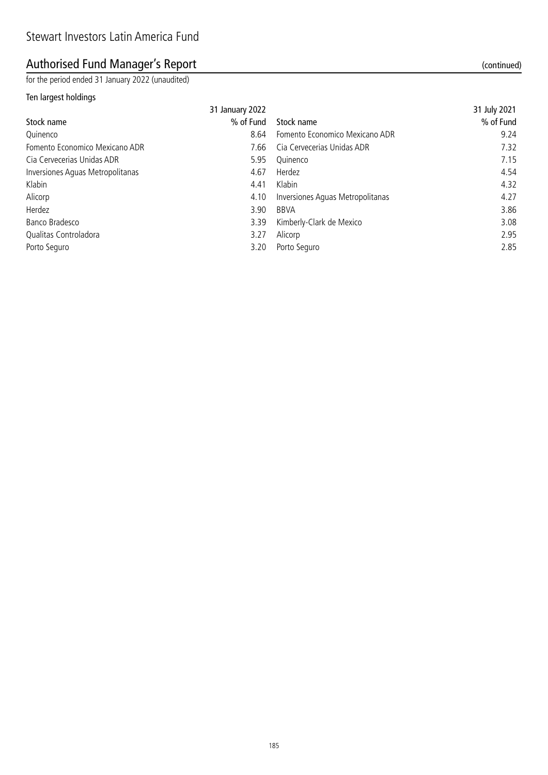# Authorised Fund Manager's Report (continued)

for the period ended 31 January 2022 (unaudited)

### Ten largest holdings

|                                  | 31 January 2022 |                                  | 31 July 2021 |
|----------------------------------|-----------------|----------------------------------|--------------|
| Stock name                       | % of Fund       | Stock name                       | % of Fund    |
| Quinenco                         | 8.64            | Fomento Economico Mexicano ADR   | 9.24         |
| Fomento Economico Mexicano ADR   | 7.66            | Cia Cervecerias Unidas ADR       | 7.32         |
| Cia Cervecerias Unidas ADR       | 5.95            | Ouinenco                         | 7.15         |
| Inversiones Aquas Metropolitanas | 4.67            | Herdez                           | 4.54         |
| Klabin                           | 4.41            | Klabin                           | 4.32         |
| Alicorp                          | 4.10            | Inversiones Aguas Metropolitanas | 4.27         |
| Herdez                           | 3.90            | <b>BBVA</b>                      | 3.86         |
| Banco Bradesco                   | 3.39            | Kimberly-Clark de Mexico         | 3.08         |
| Qualitas Controladora            | 3.27            | Alicorp                          | 2.95         |
| Porto Seguro                     | 3.20            | Porto Seguro                     | 2.85         |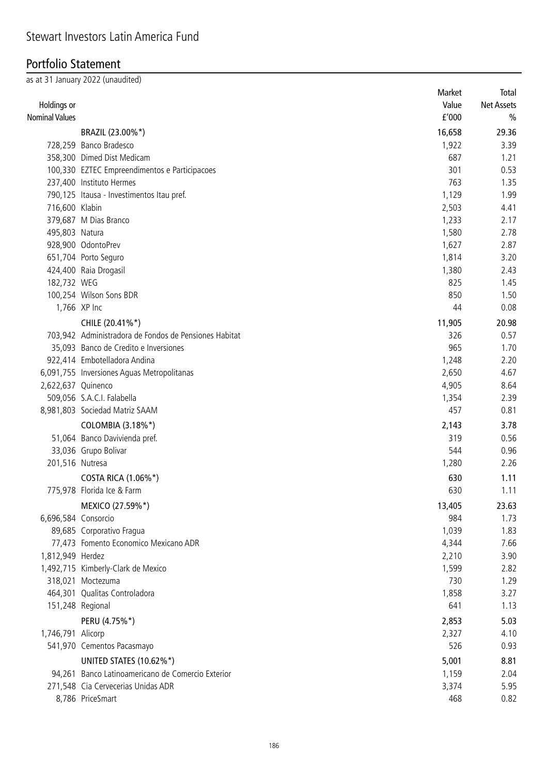### Portfolio Statement

|                       | as at 31 January 2022 (unaudited)                     |               |                   |
|-----------------------|-------------------------------------------------------|---------------|-------------------|
|                       |                                                       | Market        | Total             |
| Holdings or           |                                                       | Value         | <b>Net Assets</b> |
| <b>Nominal Values</b> |                                                       | f'000         | $\frac{0}{0}$     |
|                       | BRAZIL (23.00%*)                                      | 16,658        | 29.36             |
|                       | 728,259 Banco Bradesco                                | 1,922         | 3.39              |
|                       | 358,300 Dimed Dist Medicam                            | 687           | 1.21              |
|                       | 100,330 EZTEC Empreendimentos e Participacoes         | 301           | 0.53              |
|                       | 237,400 Instituto Hermes                              | 763           | 1.35              |
|                       | 790,125 Itausa - Investimentos Itau pref.             | 1,129         | 1.99              |
| 716,600 Klabin        |                                                       | 2,503         | 4.41              |
|                       | 379,687 M Dias Branco                                 | 1,233         | 2.17              |
| 495,803 Natura        |                                                       | 1,580         | 2.78              |
|                       | 928,900 OdontoPrev                                    | 1,627         | 2.87              |
|                       | 651,704 Porto Seguro                                  | 1,814         | 3.20              |
|                       | 424,400 Raia Drogasil                                 | 1,380         | 2.43              |
| 182,732 WEG           |                                                       | 825           | 1.45              |
|                       | 100,254 Wilson Sons BDR                               | 850           | 1.50              |
|                       | 1,766 XP Inc                                          | 44            | 0.08              |
|                       | CHILE (20.41%*)                                       | 11,905        | 20.98             |
|                       | 703,942 Administradora de Fondos de Pensiones Habitat | 326           | 0.57              |
|                       | 35,093 Banco de Credito e Inversiones                 | 965           | 1.70              |
|                       | 922,414 Embotelladora Andina                          | 1,248         | 2.20              |
|                       | 6,091,755 Inversiones Aguas Metropolitanas            | 2,650         | 4.67              |
| 2,622,637 Quinenco    |                                                       | 4,905         | 8.64              |
|                       | 509,056 S.A.C.I. Falabella                            | 1,354         | 2.39              |
|                       | 8,981,803 Sociedad Matriz SAAM                        | 457           | 0.81              |
|                       | COLOMBIA (3.18%*)                                     | 2,143         | 3.78              |
|                       | 51,064 Banco Davivienda pref.                         | 319           | 0.56              |
|                       | 33,036 Grupo Bolivar                                  | 544           | 0.96              |
| 201,516 Nutresa       |                                                       | 1,280         | 2.26              |
|                       | COSTA RICA (1.06%*)                                   | 630           | 1.11              |
|                       | 775,978 Florida Ice & Farm                            | 630           | 1.11              |
|                       |                                                       |               |                   |
| 6,696,584 Consorcio   | MEXICO (27.59%*)                                      | 13,405<br>984 | 23.63<br>1.73     |
|                       | 89,685 Corporativo Fragua                             | 1,039         | 1.83              |
|                       | 77,473 Fomento Economico Mexicano ADR                 | 4,344         | 7.66              |
| 1,812,949 Herdez      |                                                       | 2,210         | 3.90              |
|                       | 1,492,715 Kimberly-Clark de Mexico                    | 1,599         | 2.82              |
|                       | 318,021 Moctezuma                                     | 730           | 1.29              |
|                       | 464,301 Qualitas Controladora                         | 1,858         | 3.27              |
|                       | 151,248 Regional                                      | 641           | 1.13              |
|                       |                                                       |               |                   |
|                       | PERU (4.75%*)                                         | 2,853         | 5.03              |
| 1,746,791 Alicorp     |                                                       | 2,327         | 4.10              |
|                       | 541,970 Cementos Pacasmayo                            | 526           | 0.93              |
|                       | UNITED STATES (10.62%*)                               | 5,001         | 8.81              |
|                       | 94,261 Banco Latinoamericano de Comercio Exterior     | 1,159         | 2.04              |
|                       | 271,548 Cia Cervecerias Unidas ADR                    | 3,374         | 5.95              |
|                       | 8,786 PriceSmart                                      | 468           | 0.82              |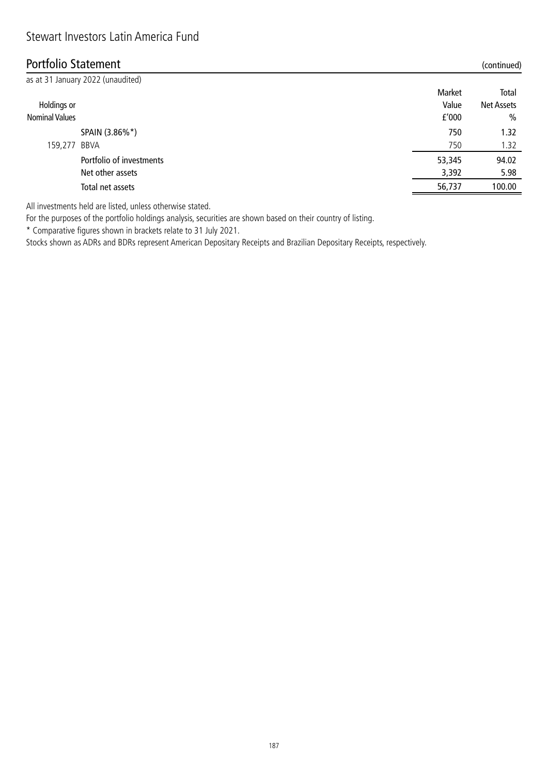### Portfolio Statement (continued)

| as at 31 January 2022 (unaudited) |        |                   |
|-----------------------------------|--------|-------------------|
|                                   | Market | Total             |
| Holdings or                       | Value  | <b>Net Assets</b> |
| <b>Nominal Values</b>             | f'000  | $\frac{0}{0}$     |
| SPAIN (3.86%*)                    | 750    | 1.32              |
| BBVA<br>159,277                   | 750    | 1.32              |
| Portfolio of investments          | 53,345 | 94.02             |
| Net other assets                  | 3,392  | 5.98              |
| Total net assets                  | 56,737 | 100.00            |
|                                   |        |                   |

All investments held are listed, unless otherwise stated.

For the purposes of the portfolio holdings analysis, securities are shown based on their country of listing.

\* Comparative figures shown in brackets relate to 31 July 2021.

Stocks shown as ADRs and BDRs represent American Depositary Receipts and Brazilian Depositary Receipts, respectively.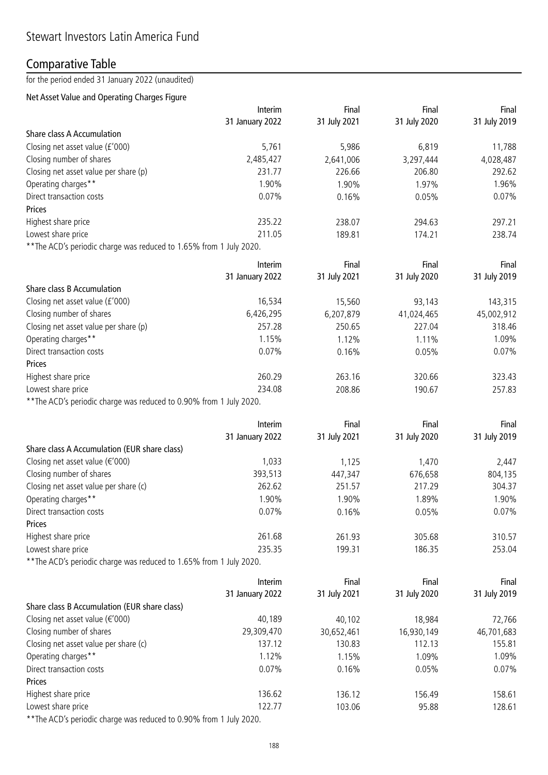# Comparative Table

for the period ended 31 January 2022 (unaudited)

### Net Asset Value and Operating Charges Figure

|                                                                     | Interim         | Final        | Final        | Final        |
|---------------------------------------------------------------------|-----------------|--------------|--------------|--------------|
|                                                                     | 31 January 2022 | 31 July 2021 | 31 July 2020 | 31 July 2019 |
| Share class A Accumulation                                          |                 |              |              |              |
| Closing net asset value (£'000)                                     | 5,761           | 5,986        | 6,819        | 11,788       |
| Closing number of shares                                            | 2,485,427       | 2,641,006    | 3,297,444    | 4,028,487    |
| Closing net asset value per share (p)                               | 231.77          | 226.66       | 206.80       | 292.62       |
| Operating charges**                                                 | 1.90%           | 1.90%        | 1.97%        | 1.96%        |
| Direct transaction costs                                            | 0.07%           | 0.16%        | 0.05%        | 0.07%        |
| Prices                                                              |                 |              |              |              |
| Highest share price                                                 | 235.22          | 238.07       | 294.63       | 297.21       |
| Lowest share price                                                  | 211.05          | 189.81       | 174.21       | 238.74       |
| ** The ACD's periodic charge was reduced to 1.65% from 1 July 2020. |                 |              |              |              |
|                                                                     | Interim         | Final        | Final        | Final        |
|                                                                     | 31 January 2022 | 31 July 2021 | 31 July 2020 | 31 July 2019 |
| Share class B Accumulation                                          |                 |              |              |              |
| Closing net asset value (£'000)                                     | 16,534          | 15,560       | 93,143       | 143,315      |
| Closing number of shares                                            | 6,426,295       | 6,207,879    | 41,024,465   | 45,002,912   |
| Closing net asset value per share (p)                               | 257.28          | 250.65       | 227.04       | 318.46       |
| Operating charges**                                                 | 1.15%           | 1.12%        | 1.11%        | 1.09%        |
| Direct transaction costs                                            | 0.07%           | 0.16%        | 0.05%        | 0.07%        |
| Prices                                                              |                 |              |              |              |
| Highest share price                                                 | 260.29          | 263.16       | 320.66       | 323.43       |
| Lowest share price                                                  | 234.08          | 208.86       | 190.67       | 257.83       |
| ** The ACD's periodic charge was reduced to 0.90% from 1 July 2020. |                 |              |              |              |
|                                                                     |                 |              |              |              |
|                                                                     | Interim         | Final        | Final        | Final        |
|                                                                     | 31 January 2022 | 31 July 2021 | 31 July 2020 | 31 July 2019 |
| Share class A Accumulation (EUR share class)                        |                 |              |              |              |
| Closing net asset value ( $\epsilon$ '000)                          | 1,033           | 1,125        | 1,470        | 2,447        |
| Closing number of shares                                            | 393,513         | 447,347      | 676,658      | 804,135      |
| Closing net asset value per share (c)                               | 262.62          | 251.57       | 217.29       | 304.37       |
| Operating charges**                                                 | 1.90%           | 1.90%        | 1.89%        | 1.90%        |
| Direct transaction costs                                            | 0.07%           | 0.16%        | 0.05%        | 0.07%        |
| Prices                                                              |                 |              |              |              |
| Highest share price                                                 | 261.68          | 261.93       | 305.68       | 310.57       |
| Lowest share price                                                  | 235.35          | 199.31       | 186.35       | 253.04       |
| ** The ACD's periodic charge was reduced to 1.65% from 1 July 2020. |                 |              |              |              |
|                                                                     | Interim         | Final        | Final        | Final        |
|                                                                     | 31 January 2022 | 31 July 2021 | 31 July 2020 | 31 July 2019 |
| Share class B Accumulation (EUR share class)                        |                 |              |              |              |
| Closing net asset value ( $\epsilon$ '000)                          | 40,189          | 40,102       | 18,984       | 72,766       |
| Closing number of shares                                            | 29,309,470      | 30,652,461   | 16,930,149   | 46,701,683   |
| Closing net asset value per share (c)                               | 137.12          | 130.83       | 112.13       | 155.81       |
| Operating charges**                                                 | 1.12%           | 1.15%        | 1.09%        | 1.09%        |
| Direct transaction costs                                            |                 |              | 0.05%        | 0.07%        |
|                                                                     | 0.07%           | 0.16%        |              |              |
| Prices                                                              |                 |              |              |              |
| Highest share price                                                 | 136.62          | 136.12       | 156.49       | 158.61       |
| Lowest share price                                                  | 122.77          | 103.06       | 95.88        | 128.61       |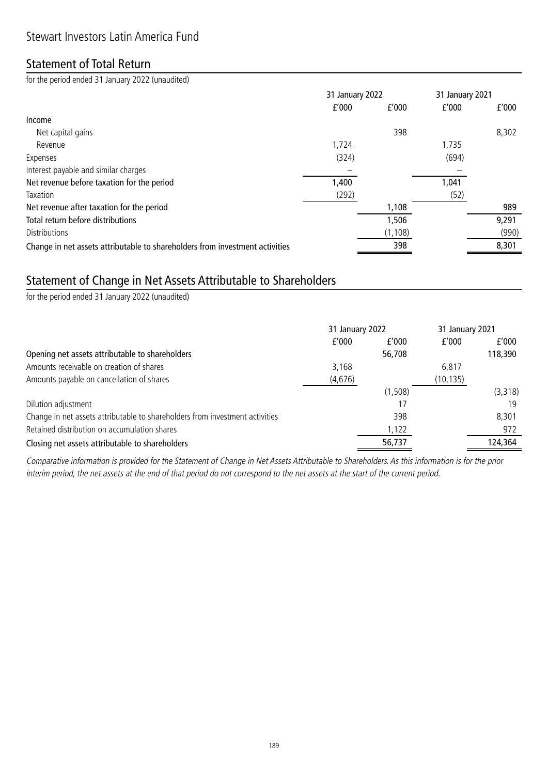### Statement of Total Return

for the period ended 31 January 2022 (unaudited)

|                                                                              |       | 31 January 2022 |       | 31 January 2021 |
|------------------------------------------------------------------------------|-------|-----------------|-------|-----------------|
|                                                                              | f'000 | f'000           | f'000 | f'000           |
| Income                                                                       |       |                 |       |                 |
| Net capital gains                                                            |       | 398             |       | 8,302           |
| Revenue                                                                      | 1,724 |                 | 1,735 |                 |
| Expenses                                                                     | (324) |                 | (694) |                 |
| Interest payable and similar charges                                         |       |                 |       |                 |
| Net revenue before taxation for the period                                   | 1,400 |                 | 1,041 |                 |
| Taxation                                                                     | (292) |                 | (52)  |                 |
| Net revenue after taxation for the period                                    |       | 1,108           |       | 989             |
| Total return before distributions                                            |       | 1,506           |       | 9,291           |
| <b>Distributions</b>                                                         |       | (1, 108)        |       | (990)           |
| Change in net assets attributable to shareholders from investment activities |       | 398             |       | 8,301           |

## Statement of Change in Net Assets Attributable to Shareholders

for the period ended 31 January 2022 (unaudited)

|                                                                              | 31 January 2022 |         | 31 January 2021 |         |
|------------------------------------------------------------------------------|-----------------|---------|-----------------|---------|
|                                                                              | f'000           | f'000   | f'000           | f'000   |
| Opening net assets attributable to shareholders                              |                 | 56,708  |                 | 118,390 |
| Amounts receivable on creation of shares                                     | 3,168           |         | 6,817           |         |
| Amounts payable on cancellation of shares                                    | (4,676)         |         | (10, 135)       |         |
|                                                                              |                 | (1,508) |                 | (3,318) |
| Dilution adjustment                                                          |                 | 17      |                 | 19      |
| Change in net assets attributable to shareholders from investment activities |                 | 398     |                 | 8.301   |
| Retained distribution on accumulation shares                                 |                 | 1,122   |                 | 972     |
| Closing net assets attributable to shareholders                              |                 | 56,737  |                 | 124,364 |

Comparative information is provided for the Statement of Change in Net Assets Attributable to Shareholders. As this information is for the prior interim period, the net assets at the end of that period do not correspond to the net assets at the start of the current period.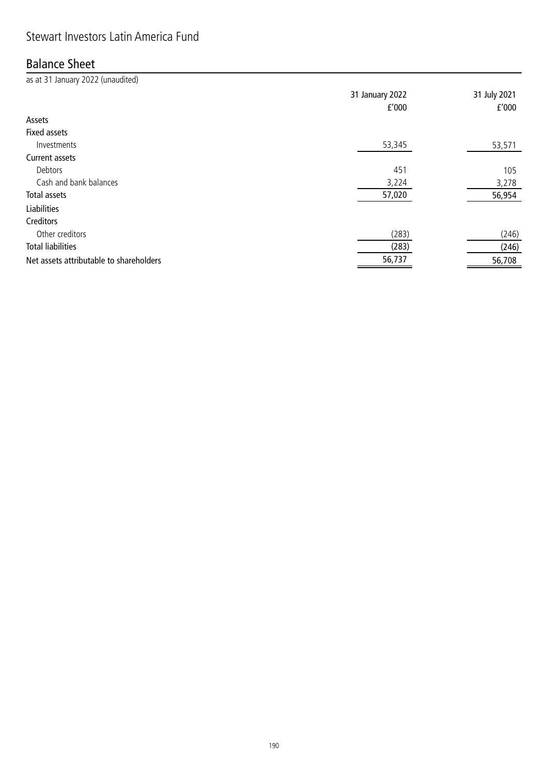## Stewart Investors Latin America Fund

# Balance Sheet

| as at 31 January 2022 (unaudited)       |                 |              |
|-----------------------------------------|-----------------|--------------|
|                                         | 31 January 2022 | 31 July 2021 |
|                                         | f'000           | f'000        |
| Assets                                  |                 |              |
| <b>Fixed assets</b>                     |                 |              |
| Investments                             | 53,345          | 53,571       |
| Current assets                          |                 |              |
| Debtors                                 | 451             | 105          |
| Cash and bank balances                  | 3,224           | 3,278        |
| Total assets                            | 57,020          | 56,954       |
| Liabilities                             |                 |              |
| Creditors                               |                 |              |
| Other creditors                         | (283)           | (246)        |
| <b>Total liabilities</b>                | (283)           | (246)        |
| Net assets attributable to shareholders | 56,737          | 56,708       |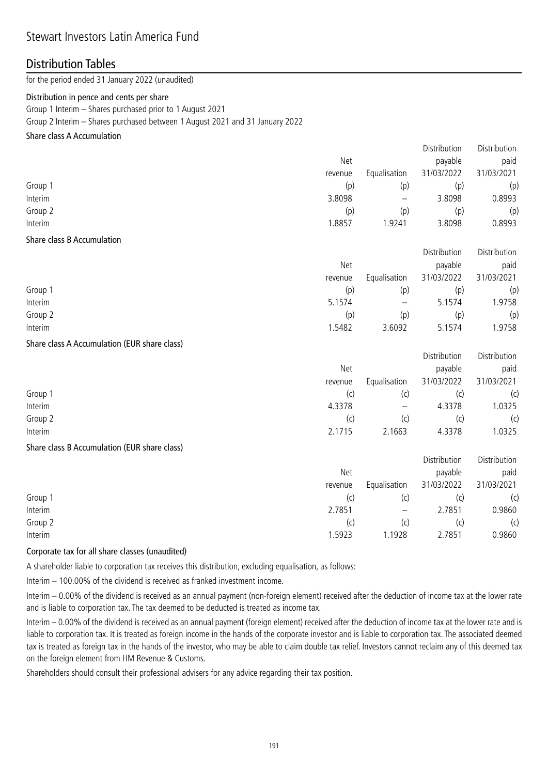### Stewart Investors Latin America Fund

### Distribution Tables

for the period ended 31 January 2022 (unaudited)

#### Distribution in pence and cents per share

Group 1 Interim – Shares purchased prior to 1 August 2021

Group 2 Interim – Shares purchased between 1 August 2021 and 31 January 2022

#### Share class A Accumulation

|                           | Net     |              | Distribution<br>payable | Distribution<br>paid |
|---------------------------|---------|--------------|-------------------------|----------------------|
|                           | revenue | Equalisation | 31/03/2022              | 31/03/2021           |
| Group 1                   | (p)     | (p)          | (p)                     | (p)                  |
| Interim                   | 3.8098  | —            | 3.8098                  | 0.8993               |
| Group 2                   | (p)     | (p)          | (p)                     | (p)                  |
| Interim                   | 1.8857  | 1.9241       | 3.8098                  | 0.8993               |
| $\sim$<br>$\cdots$<br>. . |         |              |                         |                      |

#### Share class B Accumulation

|         |         |                          | <b>DISLINGUIOU</b> | <b>DISTINGUILL</b> |
|---------|---------|--------------------------|--------------------|--------------------|
|         | Net     |                          | payable            | paid               |
|         | revenue | Equalisation             | 31/03/2022         | 31/03/2021         |
| Group 1 | (p)     | (p)                      | (p)                | (p)                |
| Interim | 5.1574  | $\overline{\phantom{m}}$ | 5.1574             | 1.9758             |
| Group 2 | (p)     | (p)                      | (p)                | (p)                |
| Interim | 1.5482  | 3.6092                   | 5.1574             | 1.9758             |

Distribution Distribution

#### Share class A Accumulation (EUR share class)

|         |         |                          | Distribution | Distribution |
|---------|---------|--------------------------|--------------|--------------|
|         | Net     |                          | payable      | paid         |
|         | revenue | Equalisation             | 31/03/2022   | 31/03/2021   |
| Group 1 | (C)     | (c)                      |              | (c)          |
| Interim | 4.3378  | $\overline{\phantom{m}}$ | 4.3378       | 1.0325       |
| Group 2 | (c)     | (c)                      | (C)          | (c)          |
| Interim | 2.1715  | 2.1663                   | 4.3378       | 1.0325       |

#### Share class B Accumulation (EUR share class)

|         |                          | Distribution | Distribution |
|---------|--------------------------|--------------|--------------|
| Net     |                          | payable      | paid         |
| revenue | Equalisation             | 31/03/2022   | 31/03/2021   |
| (C)     | (c)                      |              | (c)          |
| 2.7851  | $\overline{\phantom{m}}$ | 2.7851       | 0.9860       |
| (C)     | (C)                      | (C)          | (c)          |
| 1.5923  | .1928                    | 2.7851       | 0.9860       |
|         |                          |              |              |

#### Corporate tax for all share classes (unaudited)

A shareholder liable to corporation tax receives this distribution, excluding equalisation, as follows:

Interim – 100.00% of the dividend is received as franked investment income.

Interim – 0.00% of the dividend is received as an annual payment (non-foreign element) received after the deduction of income tax at the lower rate and is liable to corporation tax. The tax deemed to be deducted is treated as income tax.

Interim – 0.00% of the dividend is received as an annual payment (foreign element) received after the deduction of income tax at the lower rate and is liable to corporation tax. It is treated as foreign income in the hands of the corporate investor and is liable to corporation tax. The associated deemed tax is treated as foreign tax in the hands of the investor, who may be able to claim double tax relief. Investors cannot reclaim any of this deemed tax on the foreign element from HM Revenue & Customs.

Shareholders should consult their professional advisers for any advice regarding their tax position.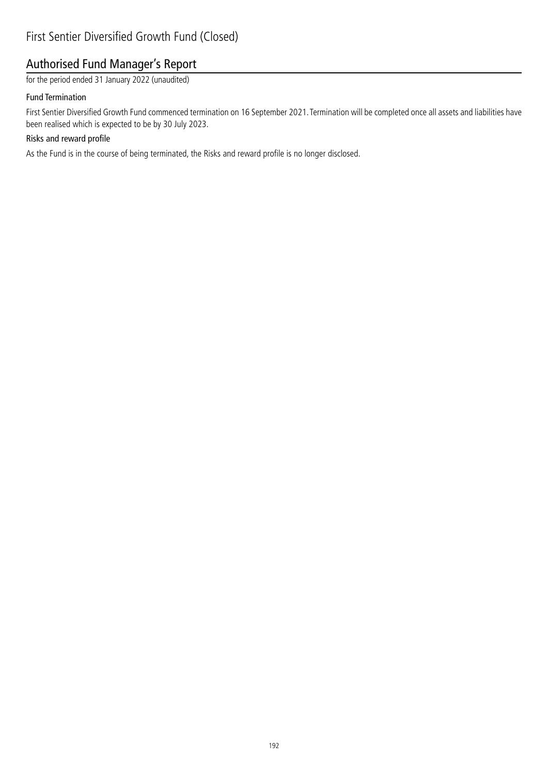## Authorised Fund Manager's Report

for the period ended 31 January 2022 (unaudited)

#### Fund Termination

First Sentier Diversified Growth Fund commenced termination on 16 September 2021. Termination will be completed once all assets and liabilities have been realised which is expected to be by 30 July 2023.

### Risks and reward profile

As the Fund is in the course of being terminated, the Risks and reward profile is no longer disclosed.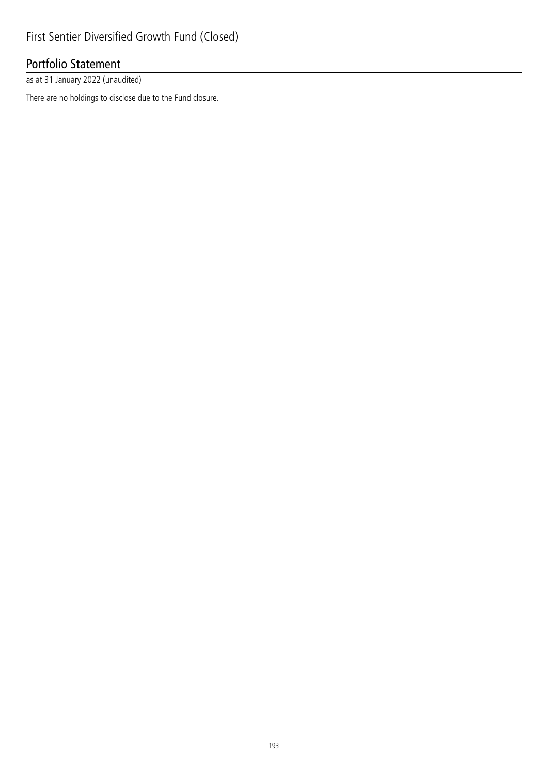# Portfolio Statement

as at 31 January 2022 (unaudited)

There are no holdings to disclose due to the Fund closure.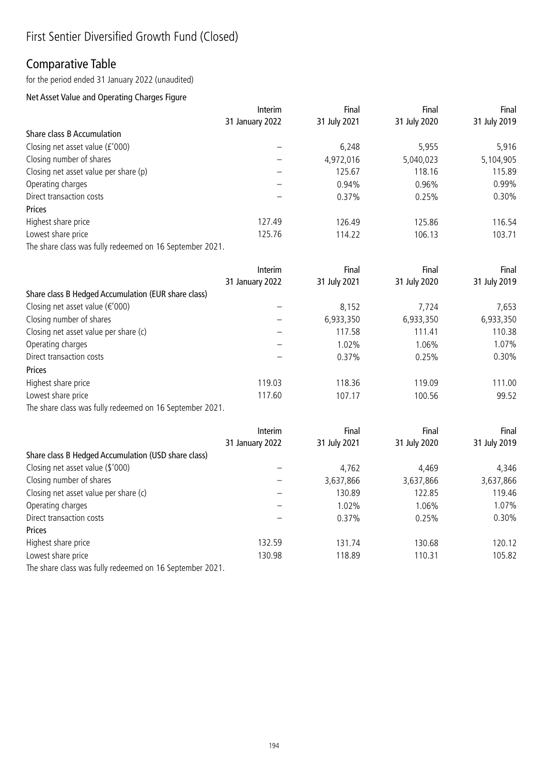## Comparative Table

for the period ended 31 January 2022 (unaudited)

### Net Asset Value and Operating Charges Figure

|                                                          | Interim         | Final        | Final        | Final        |
|----------------------------------------------------------|-----------------|--------------|--------------|--------------|
|                                                          | 31 January 2022 | 31 July 2021 | 31 July 2020 | 31 July 2019 |
| <b>Share class B Accumulation</b>                        |                 |              |              |              |
| Closing net asset value (£'000)                          |                 | 6,248        | 5,955        | 5,916        |
| Closing number of shares                                 |                 | 4,972,016    | 5,040,023    | 5,104,905    |
| Closing net asset value per share (p)                    |                 | 125.67       | 118.16       | 115.89       |
| Operating charges                                        |                 | 0.94%        | 0.96%        | 0.99%        |
| Direct transaction costs                                 |                 | 0.37%        | 0.25%        | 0.30%        |
| Prices                                                   |                 |              |              |              |
| Highest share price                                      | 127.49          | 126.49       | 125.86       | 116.54       |
| Lowest share price                                       | 125.76          | 114.22       | 106.13       | 103.71       |
| The share class was fully redeemed on 16 September 2021. |                 |              |              |              |
|                                                          | Interim         | Final        | Final        | Final        |
|                                                          | 31 January 2022 | 31 July 2021 | 31 July 2020 | 31 July 2019 |
| Share class B Hedged Accumulation (EUR share class)      |                 |              |              |              |
| Closing net asset value (€'000)                          |                 | 8,152        | 7,724        | 7,653        |
| Closing number of shares                                 |                 | 6,933,350    | 6,933,350    | 6,933,350    |
| Closing net asset value per share (c)                    |                 | 117.58       | 111.41       | 110.38       |
| Operating charges                                        |                 | 1.02%        | 1.06%        | 1.07%        |
| Direct transaction costs                                 |                 | 0.37%        | 0.25%        | 0.30%        |
| Prices                                                   |                 |              |              |              |
| Highest share price                                      | 119.03          | 118.36       | 119.09       | 111.00       |
| Lowest share price                                       | 117.60          | 107.17       | 100.56       | 99.52        |
| The share class was fully redeemed on 16 September 2021. |                 |              |              |              |
|                                                          | Interim         | Final        | Final        | Final        |
|                                                          | 31 January 2022 | 31 July 2021 | 31 July 2020 | 31 July 2019 |
| Share class B Hedged Accumulation (USD share class)      |                 |              |              |              |
| Closing net asset value (\$'000)                         |                 | 4,762        | 4,469        | 4,346        |
| Closing number of shares                                 |                 | 3,637,866    | 3,637,866    | 3,637,866    |
| Closing net asset value per share (c)                    |                 | 130.89       | 122.85       | 119.46       |

| Closing net asset value per share (c) |        | 130.89   | 122.85   | 119.46 |
|---------------------------------------|--------|----------|----------|--------|
| Operating charges                     |        | 1.02%    | $0.06\%$ | .07%   |
| Direct transaction costs              |        | $0.37\%$ | 0.25%    | 0.30%  |
| <b>Prices</b>                         |        |          |          |        |
| Highest share price                   | 132.59 | 131.74   | 130.68   | 120.12 |
| Lowest share price                    | 130.98 | 118.89   | 110.31   | 105.82 |
|                                       |        |          |          |        |

The share class was fully redeemed on 16 September 2021.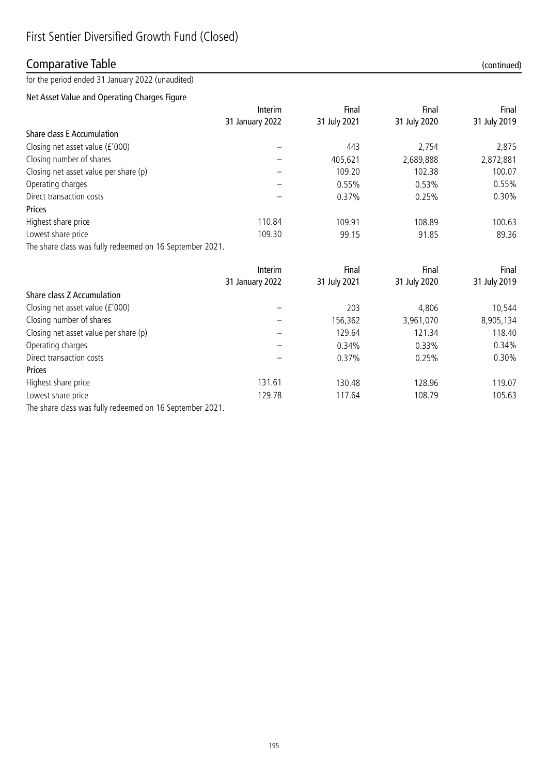## Comparative Table (continued)

for the period ended 31 January 2022 (unaudited)

### Net Asset Value and Operating Charges Figure

|                                                          | Interim         | Final        | Final        | Final        |
|----------------------------------------------------------|-----------------|--------------|--------------|--------------|
|                                                          | 31 January 2022 | 31 July 2021 | 31 July 2020 | 31 July 2019 |
| <b>Share class E Accumulation</b>                        |                 |              |              |              |
| Closing net asset value (£'000)                          |                 | 443          | 2,754        | 2,875        |
| Closing number of shares                                 |                 | 405,621      | 2,689,888    | 2,872,881    |
| Closing net asset value per share (p)                    |                 | 109.20       | 102.38       | 100.07       |
| Operating charges                                        |                 | 0.55%        | 0.53%        | 0.55%        |
| Direct transaction costs                                 |                 | 0.37%        | 0.25%        | 0.30%        |
| Prices                                                   |                 |              |              |              |
| Highest share price                                      | 110.84          | 109.91       | 108.89       | 100.63       |
| Lowest share price                                       | 109.30          | 99.15        | 91.85        | 89.36        |
| The share class was fully redeemed on 16 September 2021. |                 |              |              |              |
|                                                          | <b>Interim</b>  | Final        | Final        | Final        |
|                                                          | 31 January 2022 | 31 July 2021 | 31 July 2020 | 31 July 2019 |
| Share class Z Accumulation                               |                 |              |              |              |
| Closing net asset value (£'000)                          |                 | 203          | 4,806        | 10,544       |
| Closing number of shares                                 |                 | 156,362      | 3,961,070    | 8,905,134    |
| Closing net asset value per share (p)                    |                 | 129.64       | 121.34       | 118.40       |
| Operating charges                                        |                 | 0.34%        | 0.33%        | 0.34%        |
| Direct transaction costs                                 |                 | 0.37%        | 0.25%        | 0.30%        |
| Prices                                                   |                 |              |              |              |

Highest share price 119.07 and the 131.61 131.61 130.48 128.96 119.07

Lowest share price 105.63 129.78 117.64 108.79 108.79 The share class was fully redeemed on 16 September 2021.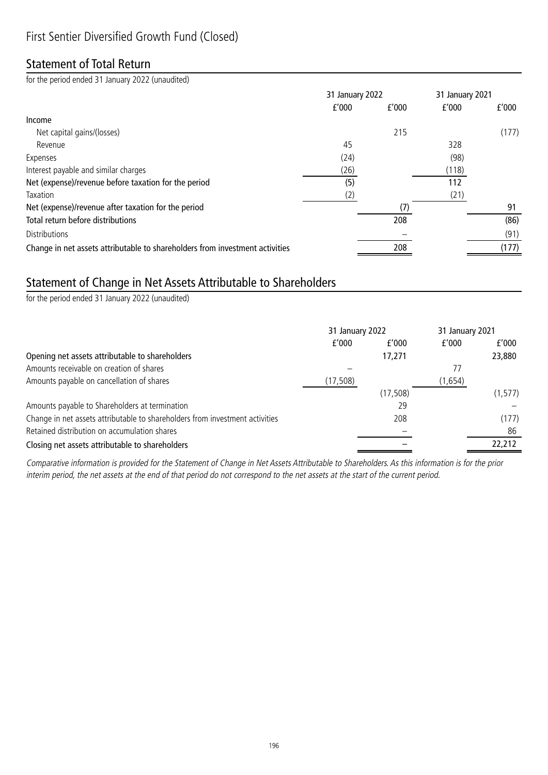# Statement of Total Return

for the period ended 31 January 2022 (unaudited)

|                                                                              | 31 January 2022 |       | 31 January 2021 |       |
|------------------------------------------------------------------------------|-----------------|-------|-----------------|-------|
|                                                                              | f'000           | f'000 | f'000           | f'000 |
| Income                                                                       |                 |       |                 |       |
| Net capital gains/(losses)                                                   |                 | 215   |                 | (177) |
| Revenue                                                                      | 45              |       | 328             |       |
| Expenses                                                                     | (24)            |       | (98)            |       |
| Interest payable and similar charges                                         | (26)            |       | (118)           |       |
| Net (expense)/revenue before taxation for the period                         | (5)             |       | 112             |       |
| Taxation                                                                     | (2)             |       | (21)            |       |
| Net (expense)/revenue after taxation for the period                          |                 |       |                 | 91    |
| Total return before distributions                                            |                 | 208   |                 | (86)  |
| <b>Distributions</b>                                                         |                 |       |                 | (91)  |
| Change in net assets attributable to shareholders from investment activities |                 | 208   |                 | (177) |

## Statement of Change in Net Assets Attributable to Shareholders

for the period ended 31 January 2022 (unaudited)

|                                                                              | 31 January 2022 |           | 31 January 2021 |          |
|------------------------------------------------------------------------------|-----------------|-----------|-----------------|----------|
|                                                                              | f'000           | f'000     | f'000           | f'000    |
| Opening net assets attributable to shareholders                              |                 | 17,271    |                 | 23,880   |
| Amounts receivable on creation of shares                                     |                 |           | 77              |          |
| Amounts payable on cancellation of shares                                    | (17, 508)       |           | (1,654)         |          |
|                                                                              |                 | (17, 508) |                 | (1, 577) |
| Amounts payable to Shareholders at termination                               |                 | 29        |                 |          |
| Change in net assets attributable to shareholders from investment activities |                 | 208       |                 | (177)    |
| Retained distribution on accumulation shares                                 |                 |           |                 | 86       |
| Closing net assets attributable to shareholders                              |                 |           |                 | 22,212   |

Comparative information is provided for the Statement of Change in Net Assets Attributable to Shareholders. As this information is for the prior interim period, the net assets at the end of that period do not correspond to the net assets at the start of the current period.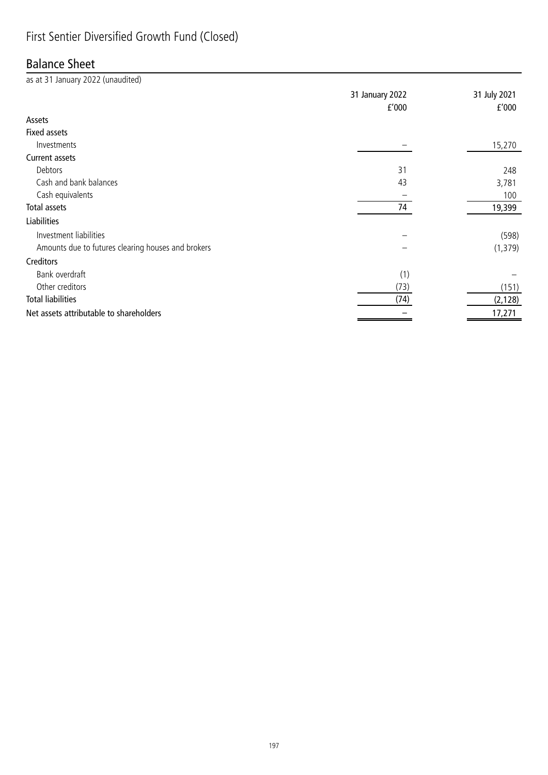# First Sentier Diversified Growth Fund (Closed)

### Balance Sheet

| as at 31 January 2022 (unaudited)                  |                 |              |
|----------------------------------------------------|-----------------|--------------|
|                                                    | 31 January 2022 | 31 July 2021 |
|                                                    | f'000           | f'000        |
| Assets                                             |                 |              |
| <b>Fixed assets</b>                                |                 |              |
| Investments                                        |                 | 15,270       |
| Current assets                                     |                 |              |
| Debtors                                            | 31              | 248          |
| Cash and bank balances                             | 43              | 3,781        |
| Cash equivalents                                   |                 | 100          |
| Total assets                                       | 74              | 19,399       |
| <b>Liabilities</b>                                 |                 |              |
| Investment liabilities                             |                 | (598)        |
| Amounts due to futures clearing houses and brokers |                 | (1, 379)     |
| Creditors                                          |                 |              |
| Bank overdraft                                     | (1)             |              |
| Other creditors                                    | (73)            | (151)        |
| <b>Total liabilities</b>                           | (74)            | (2, 128)     |
| Net assets attributable to shareholders            |                 | 17,271       |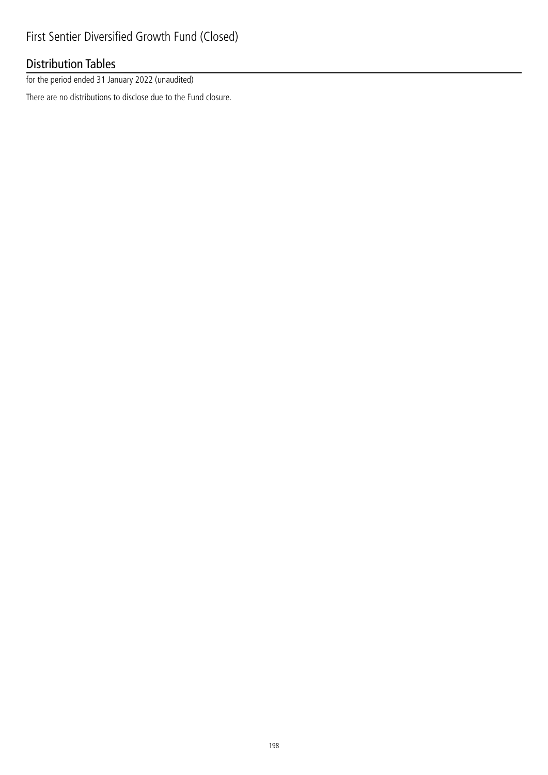# Distribution Tables

for the period ended 31 January 2022 (unaudited)

There are no distributions to disclose due to the Fund closure.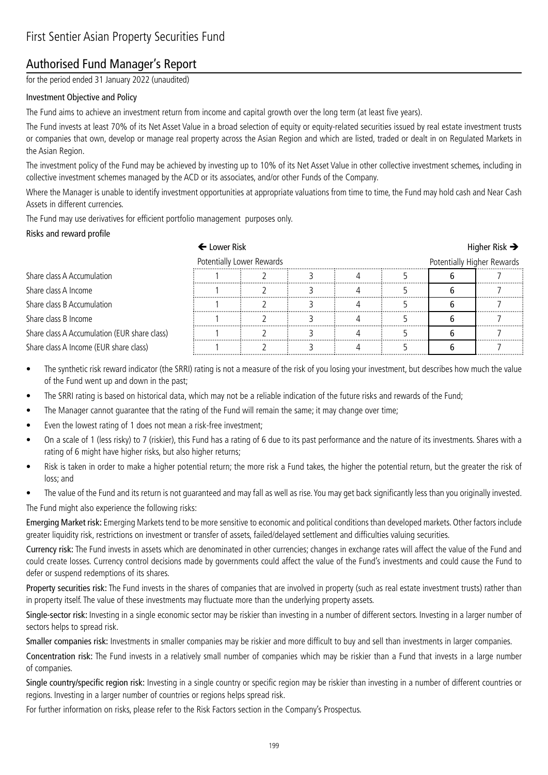## Authorised Fund Manager's Report

for the period ended 31 January 2022 (unaudited)

### Investment Objective and Policy

The Fund aims to achieve an investment return from income and capital growth over the long term (at least five years).

The Fund invests at least 70% of its Net Asset Value in a broad selection of equity or equity-related securities issued by real estate investment trusts or companies that own, develop or manage real property across the Asian Region and which are listed, traded or dealt in on Regulated Markets in the Asian Region.

The investment policy of the Fund may be achieved by investing up to 10% of its Net Asset Value in other collective investment schemes, including in collective investment schemes managed by the ACD or its associates, and/or other Funds of the Company.

Where the Manager is unable to identify investment opportunities at appropriate valuations from time to time, the Fund may hold cash and Near Cash Assets in different currencies.

The Fund may use derivatives for efficient portfolio management purposes only.

#### Risks and reward profile

|                                              | ← Lower Risk              |  |  |                            | Higher Risk $\rightarrow$ |
|----------------------------------------------|---------------------------|--|--|----------------------------|---------------------------|
|                                              | Potentially Lower Rewards |  |  | Potentially Higher Rewards |                           |
| Share class A Accumulation                   |                           |  |  |                            |                           |
| Share class A Income                         |                           |  |  |                            |                           |
| Share class B Accumulation                   |                           |  |  |                            |                           |
| Share class B Income                         |                           |  |  |                            |                           |
| Share class A Accumulation (EUR share class) |                           |  |  |                            |                           |
| Share class A Income (EUR share class)       |                           |  |  |                            |                           |

- The synthetic risk reward indicator (the SRRI) rating is not a measure of the risk of you losing your investment, but describes how much the value of the Fund went up and down in the past;
- The SRRI rating is based on historical data, which may not be a reliable indication of the future risks and rewards of the Fund;
- The Manager cannot guarantee that the rating of the Fund will remain the same; it may change over time;
- Even the lowest rating of 1 does not mean a risk-free investment;
- On a scale of 1 (less risky) to 7 (riskier), this Fund has a rating of 6 due to its past performance and the nature of its investments. Shares with a rating of 6 might have higher risks, but also higher returns;
- Risk is taken in order to make a higher potential return; the more risk a Fund takes, the higher the potential return, but the greater the risk of loss; and
- The value of the Fund and its return is not quaranteed and may fall as well as rise. You may get back significantly less than you originally invested.

The Fund might also experience the following risks:

Emerging Market risk: Emerging Markets tend to be more sensitive to economic and political conditions than developed markets. Other factors include greater liquidity risk, restrictions on investment or transfer of assets, failed/delayed settlement and difficulties valuing securities.

Currency risk: The Fund invests in assets which are denominated in other currencies; changes in exchange rates will affect the value of the Fund and could create losses. Currency control decisions made by governments could affect the value of the Fund's investments and could cause the Fund to defer or suspend redemptions of its shares.

Property securities risk: The Fund invests in the shares of companies that are involved in property (such as real estate investment trusts) rather than in property itself. The value of these investments may fluctuate more than the underlying property assets.

Single-sector risk: Investing in a single economic sector may be riskier than investing in a number of different sectors. Investing in a larger number of sectors helps to spread risk.

Smaller companies risk: Investments in smaller companies may be riskier and more difficult to buy and sell than investments in larger companies.

Concentration risk: The Fund invests in a relatively small number of companies which may be riskier than a Fund that invests in a large number of companies.

Single country/specific region risk: Investing in a single country or specific region may be riskier than investing in a number of different countries or regions. Investing in a larger number of countries or regions helps spread risk.

For further information on risks, please refer to the Risk Factors section in the Company's Prospectus.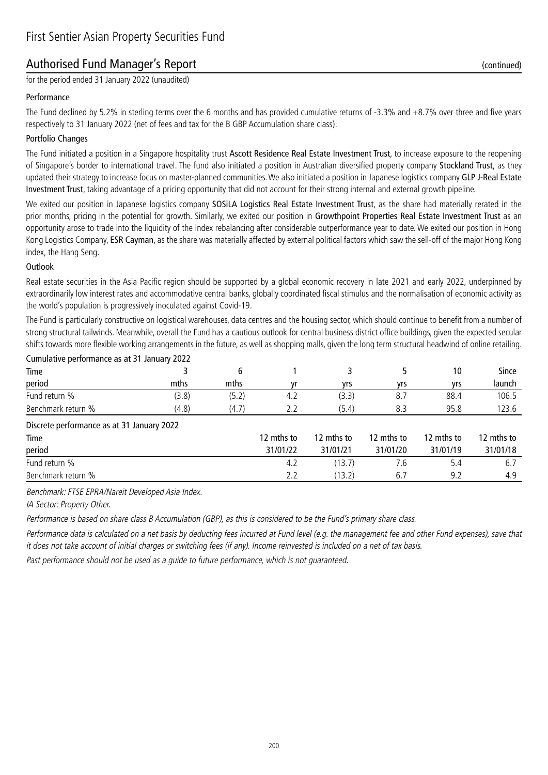### Authorised Fund Manager's Report (continued)

for the period ended 31 January 2022 (unaudited)

#### Performance

The Fund declined by 5.2% in sterling terms over the 6 months and has provided cumulative returns of -3.3% and +8.7% over three and five years respectively to 31 January 2022 (net of fees and tax for the B GBP Accumulation share class).

#### Portfolio Changes

The Fund initiated a position in a Singapore hospitality trust Ascott Residence Real Estate Investment Trust, to increase exposure to the reopening of Singapore's border to international travel. The fund also initiated a position in Australian diversified property company Stockland Trust, as they updated their strategy to increase focus on master-planned communities. We also initiated a position in Japanese logistics company GLP J-Real Estate Investment Trust, taking advantage of a pricing opportunity that did not account for their strong internal and external growth pipeline.

We exited our position in Japanese logistics company SOSiLA Logistics Real Estate Investment Trust, as the share had materially rerated in the prior months, pricing in the potential for growth. Similarly, we exited our position in Growthpoint Properties Real Estate Investment Trust as an opportunity arose to trade into the liquidity of the index rebalancing after considerable outperformance year to date. We exited our position in Hong Kong Logistics Company, ESR Cayman, as the share was materially affected by external political factors which saw the sell-off of the major Hong Kong index, the Hang Seng.

#### **Outlook**

Real estate securities in the Asia Pacific region should be supported by a global economic recovery in late 2021 and early 2022, underpinned by extraordinarily low interest rates and accommodative central banks, globally coordinated fiscal stimulus and the normalisation of economic activity as the world's population is progressively inoculated against Covid-19.

The Fund is particularly constructive on logistical warehouses, data centres and the housing sector, which should continue to benefit from a number of strong structural tailwinds. Meanwhile, overall the Fund has a cautious outlook for central business district office buildings, given the expected secular shifts towards more flexible working arrangements in the future, as well as shopping malls, given the long term structural headwind of online retailing.

| Cumulative performance as at 31 January 2022 |       |       |     |       |     |      |        |
|----------------------------------------------|-------|-------|-----|-------|-----|------|--------|
| Time                                         |       |       |     |       |     | 10   | Since  |
| period                                       | mths  | mths  | ۷r  | vrs   | vrs | vrs  | launch |
| Fund return %                                | (3.8) | (5.2) | 4.2 | (3.3) | 8.  | 88.4 | 106.5  |
| Benchmark return %                           | (4.8) | (4.7) |     | (5.4) | 8.3 | 95.8 | 123.6  |
| $ -$                                         |       |       |     |       |     |      |        |

#### Discrete performance as at 31 January 2022

| Time               | 12 mths to | 12 mths to | 12 mths to | 12 mths to | 12 mths to |
|--------------------|------------|------------|------------|------------|------------|
| period             | 31/01/22   | 31/01/21   | 31/01/20   | 31/01/19   | 31/01/18   |
| Fund return %      |            | (13.7)     |            |            |            |
| Benchmark return % | 2.2        | (13.2)     | ხ.         |            |            |

Benchmark: FTSE EPRA/Nareit Developed Asia Index.

IA Sector: Property Other.

Performance is based on share class B Accumulation (GBP), as this is considered to be the Fund's primary share class.

Performance data is calculated on a net basis by deducting fees incurred at Fund level (e.g. the management fee and other Fund expenses), save that it does not take account of initial charges or switching fees (if any). Income reinvested is included on a net of tax basis.

Past performance should not be used as a guide to future performance, which is not guaranteed.

200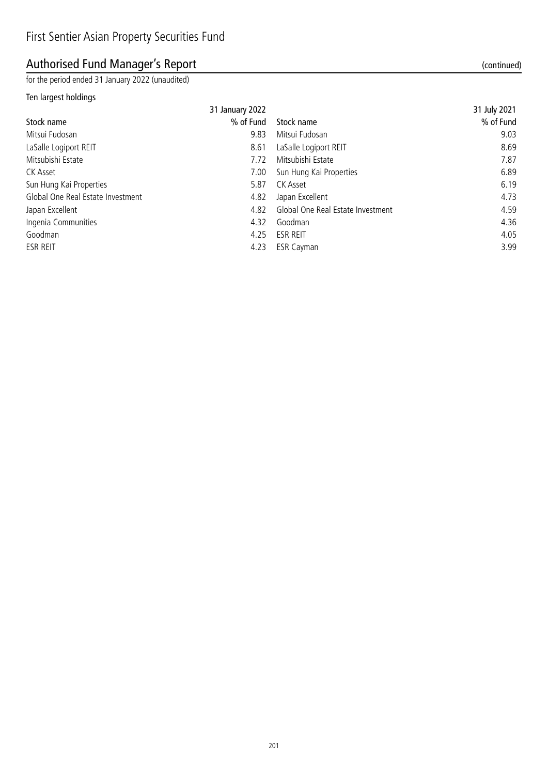# Authorised Fund Manager's Report (continued)

for the period ended 31 January 2022 (unaudited)

### Ten largest holdings

|                                   | 31 January 2022 |                                   | 31 July 2021 |
|-----------------------------------|-----------------|-----------------------------------|--------------|
| Stock name                        | % of Fund       | Stock name                        | % of Fund    |
| Mitsui Fudosan                    | 9.83            | Mitsui Fudosan                    | 9.03         |
| LaSalle Logiport REIT             | 8.61            | LaSalle Logiport REIT             | 8.69         |
| Mitsubishi Estate                 | 7.72            | Mitsubishi Estate                 | 7.87         |
| CK Asset                          | 7.00            | Sun Hung Kai Properties           | 6.89         |
| Sun Hung Kai Properties           | 5.87            | CK Asset                          | 6.19         |
| Global One Real Estate Investment | 4.82            | Japan Excellent                   | 4.73         |
| Japan Excellent                   | 4.82            | Global One Real Estate Investment | 4.59         |
| Ingenia Communities               | 4.32            | Goodman                           | 4.36         |
| Goodman                           | 4.25            | <b>ESR REIT</b>                   | 4.05         |
| ESR REIT                          | 4.23            | <b>ESR Cayman</b>                 | 3.99         |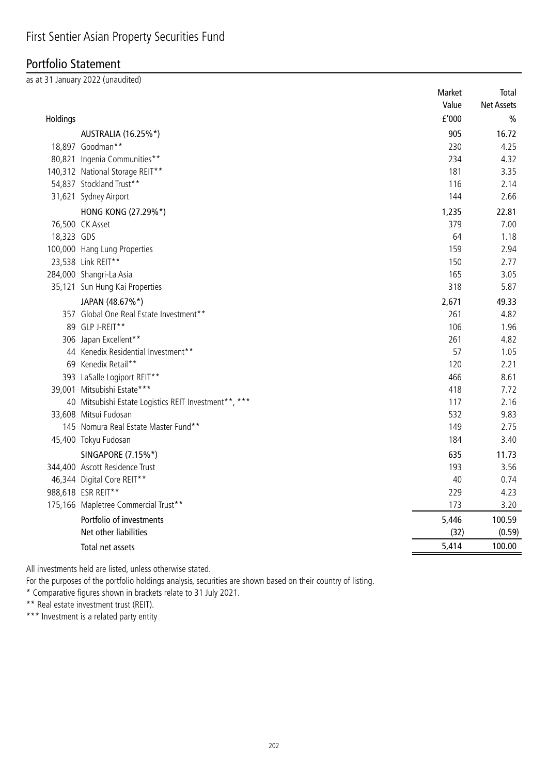## Portfolio Statement

as at 31 January 2022 (unaudited)

|            |                                                       | Market                | Total             |
|------------|-------------------------------------------------------|-----------------------|-------------------|
|            |                                                       | Value                 | <b>Net Assets</b> |
| Holdings   |                                                       | ${\tt f}^{\prime}000$ | $\frac{0}{0}$     |
|            | AUSTRALIA (16.25%*)                                   | 905                   | 16.72             |
|            | 18,897 Goodman**                                      | 230                   | 4.25              |
|            | 80,821 Ingenia Communities**                          | 234                   | 4.32              |
|            | 140,312 National Storage REIT**                       | 181                   | 3.35              |
|            | 54,837 Stockland Trust**                              | 116                   | 2.14              |
|            | 31,621 Sydney Airport                                 | 144                   | 2.66              |
|            | HONG KONG (27.29%*)                                   | 1,235                 | 22.81             |
|            | 76,500 CK Asset                                       | 379                   | 7.00              |
| 18,323 GDS |                                                       | 64                    | 1.18              |
|            | 100,000 Hang Lung Properties                          | 159                   | 2.94              |
|            | 23,538 Link REIT**                                    | 150                   | 2.77              |
|            | 284,000 Shangri-La Asia                               | 165                   | 3.05              |
|            | 35,121 Sun Hung Kai Properties                        | 318                   | 5.87              |
|            | JAPAN (48.67%*)                                       | 2,671                 | 49.33             |
|            | 357 Global One Real Estate Investment**               | 261                   | 4.82              |
|            | 89 GLP J-REIT**                                       | 106                   | 1.96              |
|            | 306 Japan Excellent**                                 | 261                   | 4.82              |
|            | 44 Kenedix Residential Investment**                   | 57                    | 1.05              |
|            | 69 Kenedix Retail**                                   | 120                   | 2.21              |
|            | 393 LaSalle Logiport REIT**                           | 466                   | 8.61              |
|            | 39,001 Mitsubishi Estate***                           | 418                   | 7.72              |
|            | 40 Mitsubishi Estate Logistics REIT Investment**, *** | 117                   | 2.16              |
|            | 33,608 Mitsui Fudosan                                 | 532                   | 9.83              |
|            | 145 Nomura Real Estate Master Fund**                  | 149                   | 2.75              |
|            | 45,400 Tokyu Fudosan                                  | 184                   | 3.40              |
|            | SINGAPORE (7.15%*)                                    | 635                   | 11.73             |
|            | 344,400 Ascott Residence Trust                        | 193                   | 3.56              |
|            | 46,344 Digital Core REIT**                            | 40                    | 0.74              |
|            | 988,618 ESR REIT**                                    | 229                   | 4.23              |
|            | 175,166 Mapletree Commercial Trust**                  | 173                   | 3.20              |
|            | Portfolio of investments                              | 5,446                 | 100.59            |
|            | Net other liabilities                                 | (32)                  | (0.59)            |
|            | Total net assets                                      | 5,414                 | 100.00            |
|            |                                                       |                       |                   |

All investments held are listed, unless otherwise stated.

For the purposes of the portfolio holdings analysis, securities are shown based on their country of listing.

\* Comparative figures shown in brackets relate to 31 July 2021.

\*\* Real estate investment trust (REIT).

\*\*\* Investment is a related party entity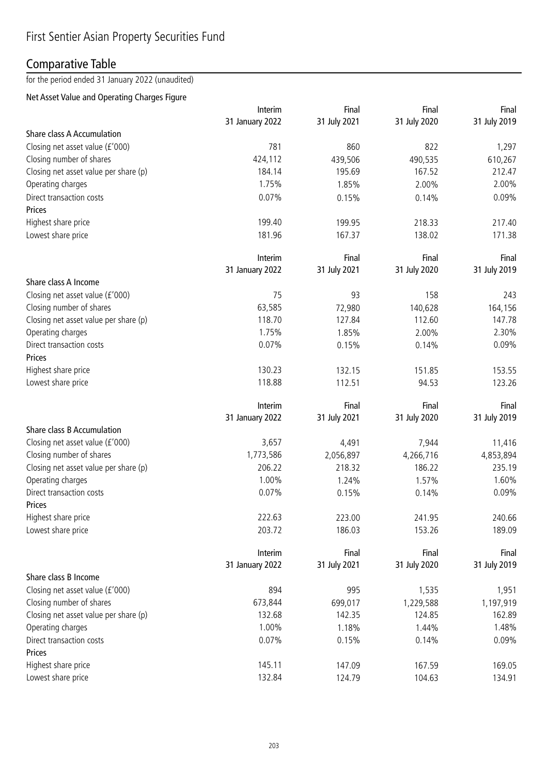## Comparative Table

for the period ended 31 January 2022 (unaudited)

### Net Asset Value and Operating Charges Figure

|                                       | Interim         | Final        | Final        | Final        |
|---------------------------------------|-----------------|--------------|--------------|--------------|
|                                       | 31 January 2022 | 31 July 2021 | 31 July 2020 | 31 July 2019 |
| <b>Share class A Accumulation</b>     |                 |              |              |              |
| Closing net asset value (£'000)       | 781             | 860          | 822          | 1,297        |
| Closing number of shares              | 424,112         | 439,506      | 490,535      | 610,267      |
| Closing net asset value per share (p) | 184.14          | 195.69       | 167.52       | 212.47       |
| Operating charges                     | 1.75%           | 1.85%        | 2.00%        | 2.00%        |
| Direct transaction costs              | 0.07%           | 0.15%        | 0.14%        | 0.09%        |
| Prices                                |                 |              |              |              |
| Highest share price                   | 199.40          | 199.95       | 218.33       | 217.40       |
| Lowest share price                    | 181.96          | 167.37       | 138.02       | 171.38       |
|                                       | Interim         | Final        | Final        | Final        |
|                                       | 31 January 2022 | 31 July 2021 | 31 July 2020 | 31 July 2019 |
| Share class A Income                  |                 |              |              |              |
| Closing net asset value (£'000)       | 75              | 93           | 158          | 243          |
| Closing number of shares              | 63,585          | 72,980       | 140,628      | 164,156      |
| Closing net asset value per share (p) | 118.70          | 127.84       | 112.60       | 147.78       |
| Operating charges                     | 1.75%           | 1.85%        | 2.00%        | 2.30%        |
| Direct transaction costs              | 0.07%           | 0.15%        | 0.14%        | 0.09%        |
| Prices                                |                 |              |              |              |
| Highest share price                   | 130.23          | 132.15       | 151.85       | 153.55       |
| Lowest share price                    | 118.88          | 112.51       | 94.53        | 123.26       |
|                                       |                 |              |              |              |
|                                       | Interim         | Final        | Final        | Final        |
|                                       | 31 January 2022 | 31 July 2021 | 31 July 2020 | 31 July 2019 |
| Share class B Accumulation            |                 |              |              |              |
| Closing net asset value (£'000)       | 3,657           | 4,491        | 7,944        | 11,416       |
| Closing number of shares              | 1,773,586       | 2,056,897    | 4,266,716    | 4,853,894    |
| Closing net asset value per share (p) | 206.22          | 218.32       | 186.22       | 235.19       |
| Operating charges                     | 1.00%           | 1.24%        | 1.57%        | 1.60%        |
| Direct transaction costs              | 0.07%           | 0.15%        | 0.14%        | 0.09%        |
| Prices                                |                 |              |              |              |
| Highest share price                   | 222.63          | 223.00       | 241.95       | 240.66       |
| Lowest share price                    | 203.72          | 186.03       | 153.26       | 189.09       |
|                                       | Interim         | Final        | Final        | Final        |
|                                       | 31 January 2022 | 31 July 2021 | 31 July 2020 | 31 July 2019 |
| Share class B Income                  |                 |              |              |              |
| Closing net asset value (£'000)       | 894             | 995          | 1,535        | 1,951        |
| Closing number of shares              | 673,844         | 699,017      | 1,229,588    | 1,197,919    |
| Closing net asset value per share (p) | 132.68          | 142.35       | 124.85       | 162.89       |
| Operating charges                     | 1.00%           | 1.18%        | 1.44%        | 1.48%        |
| Direct transaction costs              | 0.07%           | 0.15%        | 0.14%        | 0.09%        |
| Prices                                |                 |              |              |              |
| Highest share price                   | 145.11          | 147.09       | 167.59       | 169.05       |
| Lowest share price                    | 132.84          | 124.79       | 104.63       | 134.91       |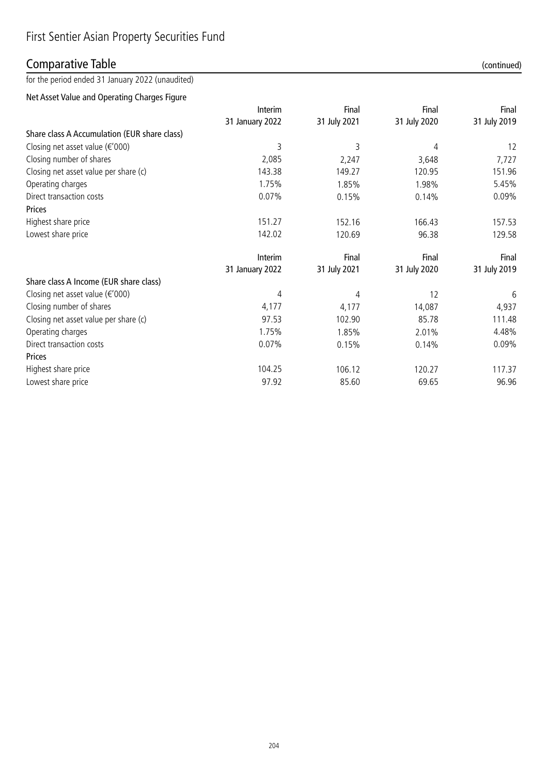## Comparative Table (continued)

for the period ended 31 January 2022 (unaudited)

Net Asset Value and Operating Charges Figure

|                                              | Interim                  | Final        | Final        | Final          |
|----------------------------------------------|--------------------------|--------------|--------------|----------------|
|                                              | 31 January 2022          | 31 July 2021 | 31 July 2020 | 31 July 2019   |
| Share class A Accumulation (EUR share class) |                          |              |              |                |
| Closing net asset value $(\epsilon' 000)$    | 3                        | 3            | 4            | 12             |
| Closing number of shares                     | 2,085                    | 2,247        | 3,648        | 7,727          |
| Closing net asset value per share (c)        | 143.38                   | 149.27       | 120.95       | 151.96         |
| Operating charges                            | 1.75%                    | 1.85%        | 1.98%        | 5.45%          |
| Direct transaction costs                     | 0.07%                    | 0.15%        | 0.14%        | 0.09%          |
| <b>Prices</b>                                |                          |              |              |                |
| Highest share price                          | 151.27                   | 152.16       | 166.43       | 157.53         |
| Lowest share price                           | 142.02                   | 120.69       | 96.38        | 129.58         |
|                                              | Interim                  | Final        | Final        | Final          |
|                                              | 31 January 2022          | 31 July 2021 | 31 July 2020 | 31 July 2019   |
| Share class A Income (EUR share class)       |                          |              |              |                |
| Closing net asset value ( $\epsilon$ '000)   | 4                        | 4            | 12           | 6              |
| Closing number of shares                     | 4,177                    | 4,177        | 14,087       | 4,937          |
| Closing net asset value per share (c)        | 97.53                    | 102.90       | 85.78        | 111.48         |
|                                              | $\overline{\phantom{a}}$ |              |              | $\overline{a}$ |

| Closing number of shares              | 4.177    | 4,177  | 14,087 | 4,937  |
|---------------------------------------|----------|--------|--------|--------|
| Closing net asset value per share (c) | 97.53    | 102.90 | 85.78  | 111.48 |
| Operating charges                     | 1.75%    | 1.85%  | 2.01%  | 4.48%  |
| Direct transaction costs              | $0.07\%$ | 0.15%  | 0.14%  | 0.09%  |
| <b>Prices</b>                         |          |        |        |        |
| Highest share price                   | 104.25   | 106.12 | 120.27 | 117.37 |
| Lowest share price                    | 97.92    | 85.60  | 69.65  | 96.96  |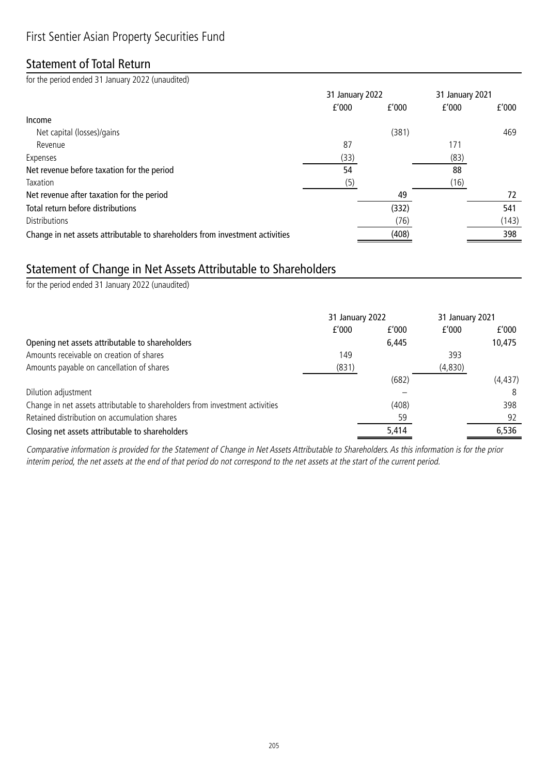### Statement of Total Return

for the period ended 31 January 2022 (unaudited)

|                                                                              | 31 January 2022 |       | 31 January 2021 |       |
|------------------------------------------------------------------------------|-----------------|-------|-----------------|-------|
|                                                                              | f'000           | f'000 | f'000           | f'000 |
| Income                                                                       |                 |       |                 |       |
| Net capital (losses)/gains                                                   |                 | (381) |                 | 469   |
| Revenue                                                                      | 87              |       | 171             |       |
| Expenses                                                                     | (33)            |       | (83)            |       |
| Net revenue before taxation for the period                                   | 54              |       | 88              |       |
| Taxation                                                                     | (5)             |       | (16)            |       |
| Net revenue after taxation for the period                                    |                 | 49    |                 | 72    |
| Total return before distributions                                            |                 | (332) |                 | 541   |
| <b>Distributions</b>                                                         |                 | (76)  |                 | (143) |
| Change in net assets attributable to shareholders from investment activities |                 | (408) |                 | 398   |

## Statement of Change in Net Assets Attributable to Shareholders

for the period ended 31 January 2022 (unaudited)

|                                                                              | 31 January 2022 |       | 31 January 2021 |          |
|------------------------------------------------------------------------------|-----------------|-------|-----------------|----------|
|                                                                              | f'000           | f'000 | f'000           | f'000    |
| Opening net assets attributable to shareholders                              |                 | 6,445 |                 | 10,475   |
| Amounts receivable on creation of shares                                     | 149             |       | 393             |          |
| Amounts payable on cancellation of shares                                    | (831)           |       | (4,830)         |          |
|                                                                              |                 | (682) |                 | (4, 437) |
| Dilution adjustment                                                          |                 |       |                 | 8        |
| Change in net assets attributable to shareholders from investment activities |                 | (408) |                 | 398      |
| Retained distribution on accumulation shares                                 |                 | 59    |                 | 92       |
| Closing net assets attributable to shareholders                              |                 | 5,414 |                 | 6,536    |

Comparative information is provided for the Statement of Change in Net Assets Attributable to Shareholders. As this information is for the prior interim period, the net assets at the end of that period do not correspond to the net assets at the start of the current period.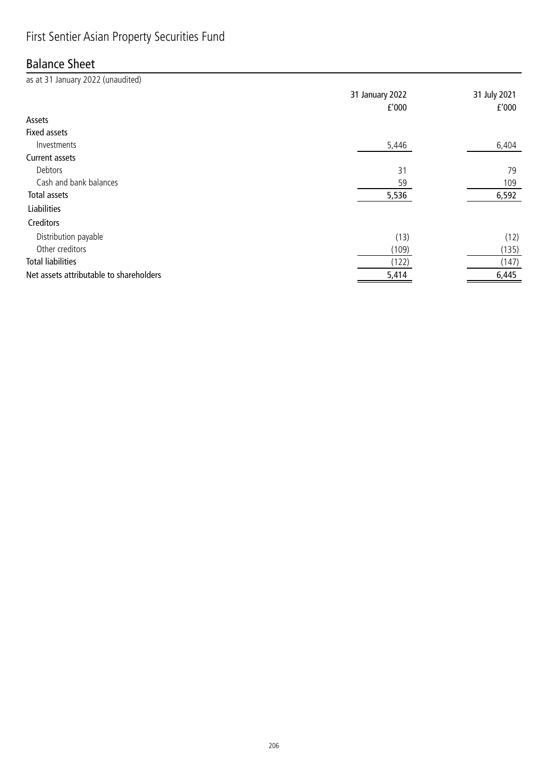# First Sentier Asian Property Securities Fund

### Balance Sheet

| as at 31 January 2022 (unaudited)       |                 |              |
|-----------------------------------------|-----------------|--------------|
|                                         | 31 January 2022 | 31 July 2021 |
|                                         | f'000           | f'000        |
| Assets                                  |                 |              |
| <b>Fixed assets</b>                     |                 |              |
| Investments                             | 5,446           | 6,404        |
| Current assets                          |                 |              |
| Debtors                                 | 31              | 79           |
| Cash and bank balances                  | 59              | 109          |
| <b>Total assets</b>                     | 5,536           | 6,592        |
| <b>Liabilities</b>                      |                 |              |
| Creditors                               |                 |              |
| Distribution payable                    | (13)            | (12)         |
| Other creditors                         | (109)           | (135)        |
| <b>Total liabilities</b>                | (122)           | (147)        |
| Net assets attributable to shareholders | 5,414           | 6,445        |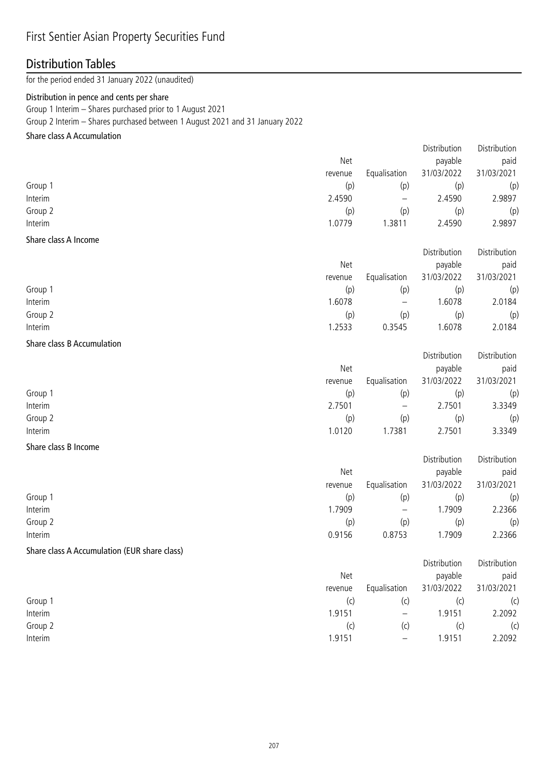# First Sentier Asian Property Securities Fund

### Distribution Tables

for the period ended 31 January 2022 (unaudited)

#### Distribution in pence and cents per share

Group 1 Interim – Shares purchased prior to 1 August 2021

Group 2 Interim – Shares purchased between 1 August 2021 and 31 January 2022

### Share class A Accumulation

|                            |         |              | Distribution | Distribution |
|----------------------------|---------|--------------|--------------|--------------|
|                            | Net     |              | payable      | paid         |
|                            | revenue | Equalisation | 31/03/2022   | 31/03/2021   |
| Group 1                    | (p)     | (p)          | (p)          | (p)          |
| Interim                    | 2.4590  |              | 2.4590       | 2.9897       |
| Group 2                    | (p)     | (p)          | (p)          | (p)          |
| Interim                    | 1.0779  | 1.3811       | 2.4590       | 2.9897       |
| Share class A Income       |         |              |              |              |
|                            |         |              | Distribution | Distribution |
|                            | Net     |              | payable      | paid         |
|                            | revenue | Equalisation | 31/03/2022   | 31/03/2021   |
| Group 1                    | (p)     | (p)          | (p)          | (p)          |
| Interim                    | 1.6078  |              | 1.6078       | 2.0184       |
| Group 2                    | (p)     | (p)          | (p)          | (p)          |
| Interim                    | 1.2533  | 0.3545       | 1.6078       | 2.0184       |
| Share class B Accumulation |         |              |              |              |
|                            |         |              | Distribution | Distribution |

| Net     |                   | payable    | paid       |
|---------|-------------------|------------|------------|
| revenue | Equalisation      | 31/03/2022 | 31/03/2021 |
| (p)     | (p)               | (p)        | (p)        |
| 2.7501  | $\qquad \qquad -$ | 2.7501     | 3.3349     |
| (p)     | (p)               | (p)        | (p)        |
| 1.0120  | .7381             | 2.7501     | 3.3349     |
|         |                   |            |            |

### Share class B Income

|         |            |                   | Distribution | Distribution |
|---------|------------|-------------------|--------------|--------------|
|         | <b>Net</b> |                   | payable      | paid         |
|         | revenue    | Equalisation      | 31/03/2022   | 31/03/2021   |
| Group 1 | (p)        | (p)               | (p)          | (p)          |
| Interim | 1.7909     | $\qquad \qquad -$ | 1.7909       | 2.2366       |
| Group 2 | (p)        | (p)               | (p)          | (p)          |
| Interim | 0.9156     | 0.8753            | .7909        | 2.2366       |

#### Share class A Accumulation (EUR share class)

|         | Net     |                 | payable    | paid       |
|---------|---------|-----------------|------------|------------|
|         | revenue | Equalisation    | 31/03/2022 | 31/03/2021 |
| Group 1 | (C      | (C)             | (c         | (c)        |
| Interim | 1.9151  | $\qquad \qquad$ | 1.9151     | 2.2092     |
| Group 2 | (C)     | (C)             | (c         | (c)        |
| Interim | 1.9151  | $\qquad \qquad$ | 1.9151     | 2.2092     |

Distribution Distribution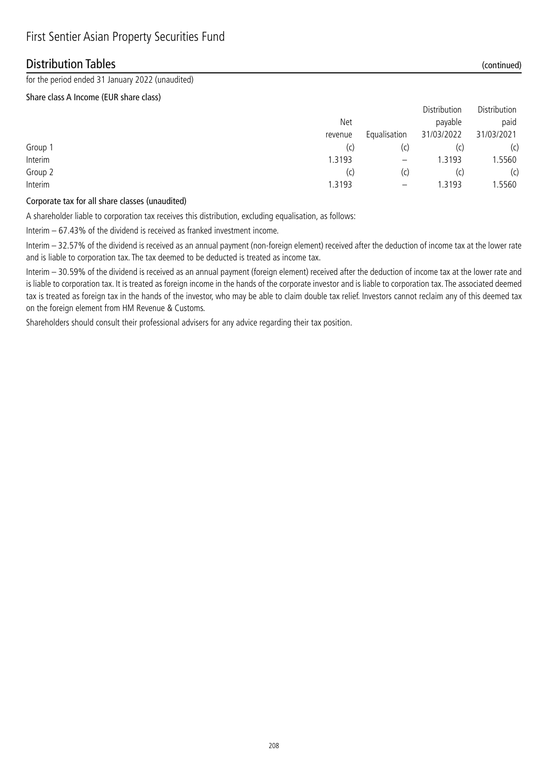### Distribution Tables (continued)

for the period ended 31 January 2022 (unaudited)

#### Share class A Income (EUR share class)

|         |         |                          | <b>DISTINATION</b> | <b>DISTRIBUTION</b> |
|---------|---------|--------------------------|--------------------|---------------------|
|         | Net     |                          | payable            | paid                |
|         | revenue | Equalisation             | 31/03/2022         | 31/03/2021          |
| Group 1 | (c)     | (C)                      | (c                 | (c)                 |
| Interim | 1.3193  | $\overline{\phantom{m}}$ | 1.3193             | 1.5560              |
| Group 2 | (c)     | (C)                      | (c)                | (c)                 |
| Interim | 1.3193  |                          | .3193              | .5560               |
|         |         |                          |                    |                     |

### Corporate tax for all share classes (unaudited)

A shareholder liable to corporation tax receives this distribution, excluding equalisation, as follows:

Interim – 67.43% of the dividend is received as franked investment income.

Interim – 32.57% of the dividend is received as an annual payment (non-foreign element) received after the deduction of income tax at the lower rate and is liable to corporation tax. The tax deemed to be deducted is treated as income tax.

Interim – 30.59% of the dividend is received as an annual payment (foreign element) received after the deduction of income tax at the lower rate and is liable to corporation tax. It is treated as foreign income in the hands of the corporate investor and is liable to corporation tax. The associated deemed tax is treated as foreign tax in the hands of the investor, who may be able to claim double tax relief. Investors cannot reclaim any of this deemed tax on the foreign element from HM Revenue & Customs.

Shareholders should consult their professional advisers for any advice regarding their tax position.

Distribution Distribution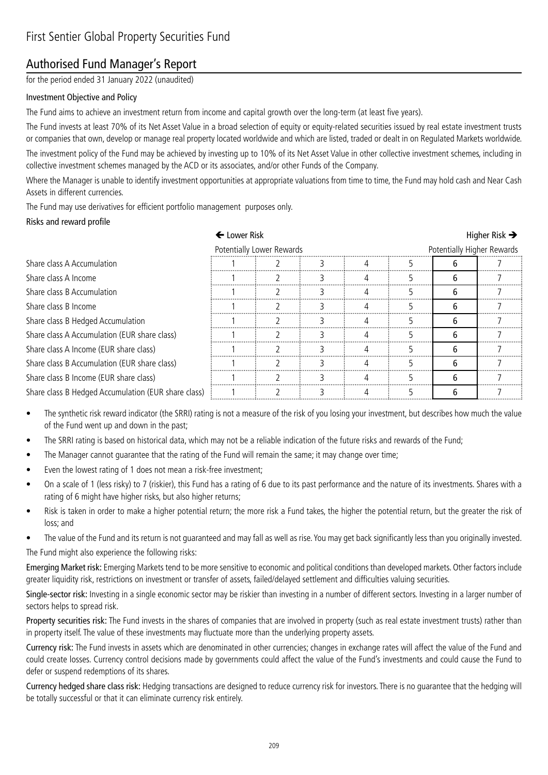## Authorised Fund Manager's Report

for the period ended 31 January 2022 (unaudited)

### Investment Objective and Policy

The Fund aims to achieve an investment return from income and capital growth over the long-term (at least five years).

The Fund invests at least 70% of its Net Asset Value in a broad selection of equity or equity-related securities issued by real estate investment trusts or companies that own, develop or manage real property located worldwide and which are listed, traded or dealt in on Regulated Markets worldwide. The investment policy of the Fund may be achieved by investing up to 10% of its Net Asset Value in other collective investment schemes, including in

collective investment schemes managed by the ACD or its associates, and/or other Funds of the Company. Where the Manager is unable to identify investment opportunities at appropriate valuations from time to time, the Fund may hold cash and Near Cash Assets in different currencies.

The Fund may use derivatives for efficient portfolio management purposes only.

#### Risks and reward profile

| ← Lower Risk                                        |  |                           |  |  |  |   | Higher Risk $\rightarrow$  |  |  |
|-----------------------------------------------------|--|---------------------------|--|--|--|---|----------------------------|--|--|
|                                                     |  | Potentially Lower Rewards |  |  |  |   | Potentially Higher Rewards |  |  |
| Share class A Accumulation                          |  |                           |  |  |  |   |                            |  |  |
| Share class A Income                                |  |                           |  |  |  |   |                            |  |  |
| Share class B Accumulation                          |  |                           |  |  |  |   |                            |  |  |
| Share class B Income                                |  |                           |  |  |  |   |                            |  |  |
| Share class B Hedged Accumulation                   |  |                           |  |  |  | h |                            |  |  |
| Share class A Accumulation (EUR share class)        |  |                           |  |  |  | h |                            |  |  |
| Share class A Income (EUR share class)              |  |                           |  |  |  | 6 |                            |  |  |
| Share class B Accumulation (EUR share class)        |  |                           |  |  |  | 6 |                            |  |  |
| Share class B Income (EUR share class)              |  |                           |  |  |  | հ |                            |  |  |
| Share class B Hedged Accumulation (EUR share class) |  |                           |  |  |  |   |                            |  |  |

- The synthetic risk reward indicator (the SRRI) rating is not a measure of the risk of you losing your investment, but describes how much the value of the Fund went up and down in the past;
- The SRRI rating is based on historical data, which may not be a reliable indication of the future risks and rewards of the Fund;
- The Manager cannot guarantee that the rating of the Fund will remain the same; it may change over time;
- Even the lowest rating of 1 does not mean a risk-free investment;
- On a scale of 1 (less risky) to 7 (riskier), this Fund has a rating of 6 due to its past performance and the nature of its investments. Shares with a rating of 6 might have higher risks, but also higher returns;
- Risk is taken in order to make a higher potential return; the more risk a Fund takes, the higher the potential return, but the greater the risk of loss; and
- The value of the Fund and its return is not quaranteed and may fall as well as rise. You may get back significantly less than you originally invested.

The Fund might also experience the following risks:

Emerging Market risk: Emerging Markets tend to be more sensitive to economic and political conditions than developed markets. Other factors include greater liquidity risk, restrictions on investment or transfer of assets, failed/delayed settlement and difficulties valuing securities.

Single-sector risk: Investing in a single economic sector may be riskier than investing in a number of different sectors. Investing in a larger number of sectors helps to spread risk.

Property securities risk: The Fund invests in the shares of companies that are involved in property (such as real estate investment trusts) rather than in property itself. The value of these investments may fluctuate more than the underlying property assets.

Currency risk: The Fund invests in assets which are denominated in other currencies; changes in exchange rates will affect the value of the Fund and could create losses. Currency control decisions made by governments could affect the value of the Fund's investments and could cause the Fund to defer or suspend redemptions of its shares.

Currency hedged share class risk: Hedging transactions are designed to reduce currency risk for investors. There is no guarantee that the hedging will be totally successful or that it can eliminate currency risk entirely.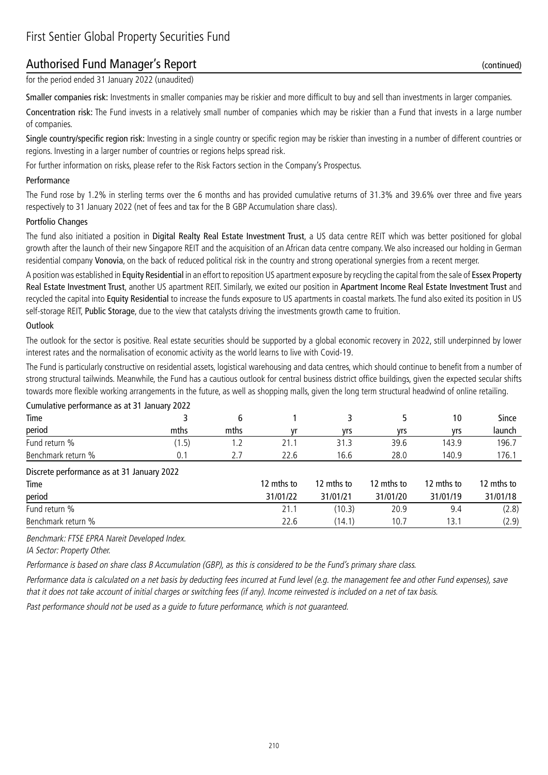### Authorised Fund Manager's Report (continued)

for the period ended 31 January 2022 (unaudited)

Smaller companies risk: Investments in smaller companies may be riskier and more difficult to buy and sell than investments in larger companies.

Concentration risk: The Fund invests in a relatively small number of companies which may be riskier than a Fund that invests in a large number of companies.

Single country/specific region risk: Investing in a single country or specific region may be riskier than investing in a number of different countries or regions. Investing in a larger number of countries or regions helps spread risk.

For further information on risks, please refer to the Risk Factors section in the Company's Prospectus.

#### Performance

The Fund rose by 1.2% in sterling terms over the 6 months and has provided cumulative returns of 31.3% and 39.6% over three and five years respectively to 31 January 2022 (net of fees and tax for the B GBP Accumulation share class).

#### Portfolio Changes

The fund also initiated a position in Digital Realty Real Estate Investment Trust, a US data centre REIT which was better positioned for global growth after the launch of their new Singapore REIT and the acquisition of an African data centre company. We also increased our holding in German residential company Vonovia, on the back of reduced political risk in the country and strong operational synergies from a recent merger.

A position was established in Equity Residential in an effort to reposition US apartment exposure by recycling the capital from the sale of Essex Property Real Estate Investment Trust, another US apartment REIT. Similarly, we exited our position in Apartment Income Real Estate Investment Trust and recycled the capital into Equity Residential to increase the funds exposure to US apartments in coastal markets. The fund also exited its position in US self-storage REIT, Public Storage, due to the view that catalysts driving the investments growth came to fruition.

#### **Outlook**

The outlook for the sector is positive. Real estate securities should be supported by a global economic recovery in 2022, still underpinned by lower interest rates and the normalisation of economic activity as the world learns to live with Covid-19.

The Fund is particularly constructive on residential assets, logistical warehousing and data centres, which should continue to benefit from a number of strong structural tailwinds. Meanwhile, the Fund has a cautious outlook for central business district office buildings, given the expected secular shifts towards more flexible working arrangements in the future, as well as shopping malls, given the long term structural headwind of online retailing.

| Cumulative performance as at 31 January 2022 |       |      |            |            |            |            |              |  |
|----------------------------------------------|-------|------|------------|------------|------------|------------|--------------|--|
| Time                                         |       | 6    |            | 3.         |            | 10         | <b>Since</b> |  |
| period                                       | mths  | mths | ۷r         | vrs        | vrs        | yrs        | launch       |  |
| Fund return %                                | (1.5) | 1.2  | 21.1       | 31.3       | 39.6       | 143.9      | 196.7        |  |
| Benchmark return %                           | 0.1   | 2.7  | 22.6       | 16.6       | 28.0       | 140.9      | 176.1        |  |
| Discrete performance as at 31 January 2022   |       |      |            |            |            |            |              |  |
| Time                                         |       |      | 12 mths to | 12 mths to | 12 mths to | 12 mths to | 12 mths to   |  |
| period                                       |       |      | 31/01/22   | 31/01/21   | 31/01/20   | 31/01/19   | 31/01/18     |  |
| Fund return %                                |       |      | 21.1       | (10.3)     | 20.9       | 9.4        | (2.8)        |  |
| Benchmark return %                           |       |      | 22.6       | (14.1)     | 10.7       | 13.1       | (2.9)        |  |

Benchmark: FTSE EPRA Nareit Developed Index.

IA Sector: Property Other.

Performance is based on share class B Accumulation (GBP), as this is considered to be the Fund's primary share class.

Performance data is calculated on a net basis by deducting fees incurred at Fund level (e.g. the management fee and other Fund expenses), save that it does not take account of initial charges or switching fees (if any). Income reinvested is included on a net of tax basis.

Past performance should not be used as a guide to future performance, which is not guaranteed.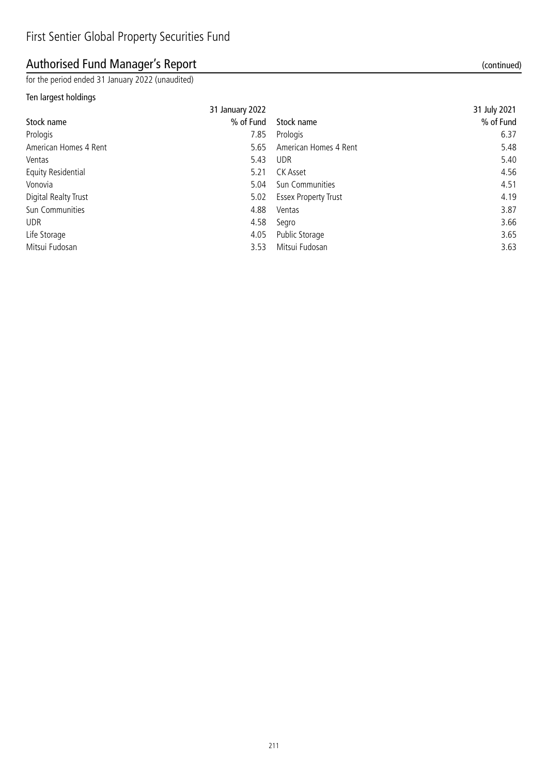# Authorised Fund Manager's Report (continued)

for the period ended 31 January 2022 (unaudited)

### Ten largest holdings

| 31 January 2022 |                             | 31 July 2021 |
|-----------------|-----------------------------|--------------|
| % of Fund       | Stock name                  | % of Fund    |
| 7.85            | Prologis                    | 6.37         |
| 5.65            | American Homes 4 Rent       | 5.48         |
| 5.43            | <b>UDR</b>                  | 5.40         |
| 5.21            | CK Asset                    | 4.56         |
| 5.04            | Sun Communities             | 4.51         |
| 5.02            | <b>Essex Property Trust</b> | 4.19         |
| 4.88            | Ventas                      | 3.87         |
| 4.58            | Segro                       | 3.66         |
| 4.05            | Public Storage              | 3.65         |
| 3.53            | Mitsui Fudosan              | 3.63         |
|                 |                             |              |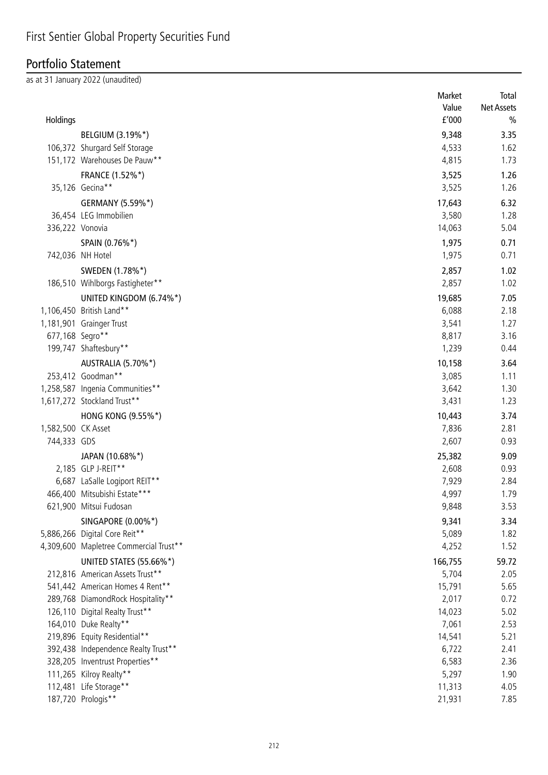# Portfolio Statement

as at 31 January 2022 (unaudited)

|                    |                                        | Market  | Total             |
|--------------------|----------------------------------------|---------|-------------------|
|                    |                                        | Value   | <b>Net Assets</b> |
| Holdings           |                                        | f'000   | $\frac{0}{0}$     |
|                    | BELGIUM (3.19%*)                       | 9,348   | 3.35              |
|                    | 106,372 Shurgard Self Storage          | 4,533   | 1.62              |
|                    | 151,172 Warehouses De Pauw**           | 4,815   | 1.73              |
|                    | FRANCE (1.52%*)                        | 3,525   | 1.26              |
|                    | 35,126 Gecina**                        | 3,525   | 1.26              |
|                    | GERMANY (5.59%*)                       | 17,643  | 6.32              |
|                    | 36,454 LEG Immobilien                  | 3,580   | 1.28              |
| 336,222 Vonovia    |                                        | 14,063  | 5.04              |
|                    | SPAIN (0.76%*)                         | 1,975   | 0.71              |
|                    | 742,036 NH Hotel                       | 1,975   | 0.71              |
|                    |                                        |         |                   |
|                    | SWEDEN (1.78%*)                        | 2,857   | 1.02              |
|                    | 186,510 Wihlborgs Fastigheter**        | 2,857   | 1.02              |
|                    | UNITED KINGDOM (6.74%*)                | 19,685  | 7.05              |
|                    | 1,106,450 British Land**               | 6,088   | 2.18              |
|                    | 1,181,901 Grainger Trust               | 3,541   | 1.27              |
| 677,168 Segro**    |                                        | 8,817   | 3.16              |
|                    | 199,747 Shaftesbury**                  | 1,239   | 0.44              |
|                    | AUSTRALIA (5.70%*)                     | 10,158  | 3.64              |
|                    | 253,412 Goodman**                      | 3,085   | 1.11              |
|                    | 1,258,587 Ingenia Communities**        | 3,642   | 1.30              |
|                    | 1,617,272 Stockland Trust**            | 3,431   | 1.23              |
|                    | HONG KONG (9.55%*)                     | 10,443  | 3.74              |
| 1,582,500 CK Asset |                                        | 7,836   | 2.81              |
| 744,333 GDS        |                                        | 2,607   | 0.93              |
|                    | JAPAN (10.68%*)                        | 25,382  | 9.09              |
|                    | 2,185 GLP J-REIT**                     | 2,608   | 0.93              |
|                    | 6,687 LaSalle Logiport REIT**          | 7,929   | 2.84              |
|                    | 466,400 Mitsubishi Estate***           | 4,997   | 1.79              |
|                    | 621,900 Mitsui Fudosan                 | 9,848   | 3.53              |
|                    | SINGAPORE (0.00%*)                     | 9,341   | 3.34              |
|                    | 5,886,266 Digital Core Reit**          | 5,089   | 1.82              |
|                    | 4,309,600 Mapletree Commercial Trust** | 4,252   | 1.52              |
|                    | UNITED STATES (55.66%*)                | 166,755 | 59.72             |
|                    | 212,816 American Assets Trust**        | 5,704   | 2.05              |
|                    | 541,442 American Homes 4 Rent**        | 15,791  | 5.65              |
|                    | 289,768 DiamondRock Hospitality**      | 2,017   | 0.72              |
|                    | 126,110 Digital Realty Trust**         | 14,023  | 5.02              |
|                    | 164,010 Duke Realty**                  | 7,061   | 2.53              |
|                    | 219,896 Equity Residential**           | 14,541  | 5.21              |
|                    | 392,438 Independence Realty Trust**    | 6,722   | 2.41              |
|                    | 328,205 Inventrust Properties**        | 6,583   | 2.36              |
|                    | 111,265 Kilroy Realty**                | 5,297   | 1.90              |
|                    | 112,481 Life Storage**                 | 11,313  | 4.05              |
|                    | 187,720 Prologis**                     | 21,931  | 7.85              |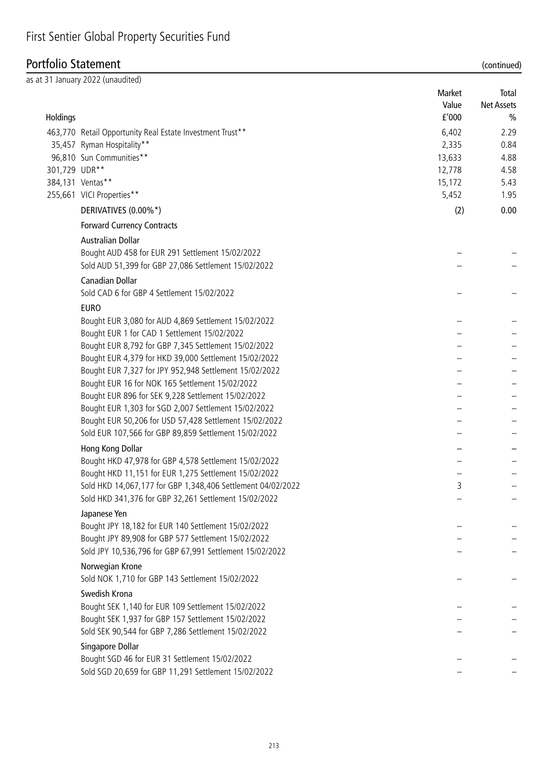### Portfolio Statement (continued)

|               | as at 31 January 2022 (unaudited)                                                                                    | Market | Total             |
|---------------|----------------------------------------------------------------------------------------------------------------------|--------|-------------------|
|               |                                                                                                                      | Value  | <b>Net Assets</b> |
| Holdings      |                                                                                                                      | f'000  | $\frac{0}{0}$     |
|               | 463,770 Retail Opportunity Real Estate Investment Trust**                                                            | 6,402  | 2.29              |
|               | 35,457 Ryman Hospitality**                                                                                           | 2,335  | 0.84              |
|               | 96,810 Sun Communities**                                                                                             | 13,633 | 4.88              |
| 301,729 UDR** |                                                                                                                      | 12,778 | 4.58              |
|               | 384,131 Ventas**                                                                                                     | 15,172 | 5.43              |
|               | 255,661 VICI Properties**                                                                                            | 5,452  | 1.95              |
|               | DERIVATIVES (0.00%*)                                                                                                 | (2)    | 0.00              |
|               | <b>Forward Currency Contracts</b>                                                                                    |        |                   |
|               | <b>Australian Dollar</b>                                                                                             |        |                   |
|               | Bought AUD 458 for EUR 291 Settlement 15/02/2022                                                                     |        |                   |
|               | Sold AUD 51,399 for GBP 27,086 Settlement 15/02/2022                                                                 |        |                   |
|               | <b>Canadian Dollar</b>                                                                                               |        |                   |
|               | Sold CAD 6 for GBP 4 Settlement 15/02/2022                                                                           |        |                   |
|               | <b>EURO</b>                                                                                                          |        |                   |
|               | Bought EUR 3,080 for AUD 4,869 Settlement 15/02/2022                                                                 |        |                   |
|               | Bought EUR 1 for CAD 1 Settlement 15/02/2022                                                                         |        |                   |
|               | Bought EUR 8,792 for GBP 7,345 Settlement 15/02/2022                                                                 |        |                   |
|               | Bought EUR 4,379 for HKD 39,000 Settlement 15/02/2022                                                                |        |                   |
|               | Bought EUR 7,327 for JPY 952,948 Settlement 15/02/2022                                                               |        |                   |
|               | Bought EUR 16 for NOK 165 Settlement 15/02/2022                                                                      |        |                   |
|               | Bought EUR 896 for SEK 9,228 Settlement 15/02/2022                                                                   |        |                   |
|               | Bought EUR 1,303 for SGD 2,007 Settlement 15/02/2022                                                                 |        |                   |
|               | Bought EUR 50,206 for USD 57,428 Settlement 15/02/2022                                                               |        |                   |
|               | Sold EUR 107,566 for GBP 89,859 Settlement 15/02/2022                                                                |        |                   |
|               | Hong Kong Dollar                                                                                                     |        |                   |
|               | Bought HKD 47,978 for GBP 4,578 Settlement 15/02/2022                                                                |        |                   |
|               | Bought HKD 11,151 for EUR 1,275 Settlement 15/02/2022                                                                | ર      |                   |
|               | Sold HKD 14,067,177 for GBP 1,348,406 Settlement 04/02/2022<br>Sold HKD 341,376 for GBP 32,261 Settlement 15/02/2022 |        |                   |
|               |                                                                                                                      |        |                   |
|               | Japanese Yen<br>Bought JPY 18,182 for EUR 140 Settlement 15/02/2022                                                  |        |                   |
|               | Bought JPY 89,908 for GBP 577 Settlement 15/02/2022                                                                  |        |                   |
|               | Sold JPY 10,536,796 for GBP 67,991 Settlement 15/02/2022                                                             |        |                   |
|               |                                                                                                                      |        |                   |
|               | Norwegian Krone<br>Sold NOK 1,710 for GBP 143 Settlement 15/02/2022                                                  |        |                   |
|               | Swedish Krona                                                                                                        |        |                   |
|               | Bought SEK 1,140 for EUR 109 Settlement 15/02/2022                                                                   |        |                   |
|               | Bought SEK 1,937 for GBP 157 Settlement 15/02/2022                                                                   |        |                   |
|               | Sold SEK 90,544 for GBP 7,286 Settlement 15/02/2022                                                                  |        |                   |
|               | Singapore Dollar                                                                                                     |        |                   |
|               | Bought SGD 46 for EUR 31 Settlement 15/02/2022                                                                       |        |                   |
|               | Sold SGD 20,659 for GBP 11,291 Settlement 15/02/2022                                                                 |        |                   |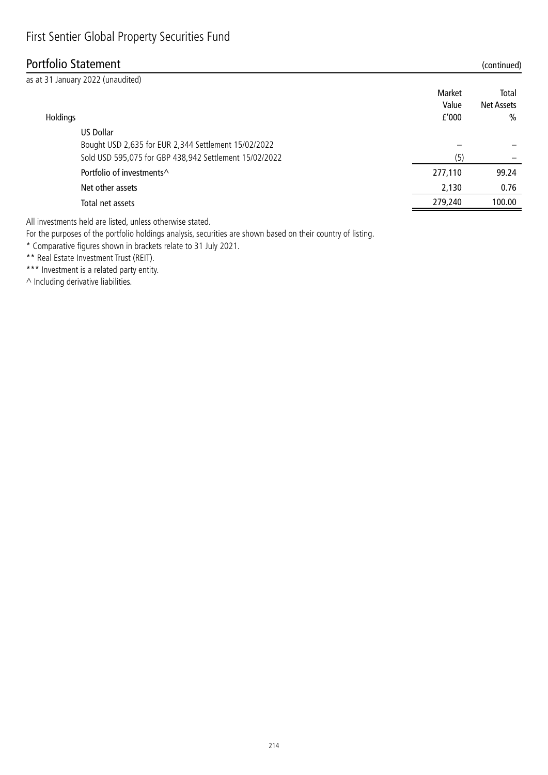## Portfolio Statement (continued)

| as at 31 January 2022 (unaudited)                                                                              |                          |                             |
|----------------------------------------------------------------------------------------------------------------|--------------------------|-----------------------------|
| Holdings                                                                                                       | Market<br>Value<br>f'000 | Total<br>Net Assets<br>$\%$ |
| US Dollar                                                                                                      |                          |                             |
| Bought USD 2,635 for EUR 2,344 Settlement 15/02/2022<br>Sold USD 595,075 for GBP 438,942 Settlement 15/02/2022 | (5)                      |                             |
| Portfolio of investments <sup>^</sup>                                                                          | 277,110                  | 99.24                       |
| Net other assets                                                                                               | 2,130                    | 0.76                        |
| Total net assets                                                                                               | 279,240                  | 100.00                      |
|                                                                                                                |                          |                             |

All investments held are listed, unless otherwise stated.

For the purposes of the portfolio holdings analysis, securities are shown based on their country of listing.

\* Comparative figures shown in brackets relate to 31 July 2021.

\*\* Real Estate Investment Trust (REIT).

\*\*\* Investment is a related party entity.

^ Including derivative liabilities.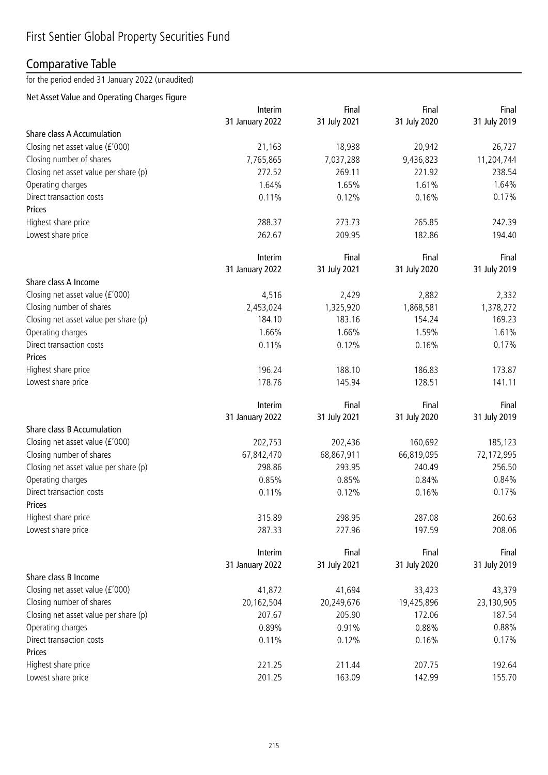## Comparative Table

for the period ended 31 January 2022 (unaudited)

### Net Asset Value and Operating Charges Figure

|                                       | Interim         | Final        | Final        | Final        |
|---------------------------------------|-----------------|--------------|--------------|--------------|
|                                       | 31 January 2022 | 31 July 2021 | 31 July 2020 | 31 July 2019 |
| <b>Share class A Accumulation</b>     |                 |              |              |              |
| Closing net asset value (£'000)       | 21,163          | 18,938       | 20,942       | 26,727       |
| Closing number of shares              | 7,765,865       | 7,037,288    | 9,436,823    | 11,204,744   |
| Closing net asset value per share (p) | 272.52          | 269.11       | 221.92       | 238.54       |
| Operating charges                     | 1.64%           | 1.65%        | 1.61%        | 1.64%        |
| Direct transaction costs              | 0.11%           | 0.12%        | 0.16%        | 0.17%        |
| Prices                                |                 |              |              |              |
| Highest share price                   | 288.37          | 273.73       | 265.85       | 242.39       |
| Lowest share price                    | 262.67          | 209.95       | 182.86       | 194.40       |
|                                       | Interim         | Final        | Final        | Final        |
|                                       | 31 January 2022 | 31 July 2021 | 31 July 2020 | 31 July 2019 |
| Share class A Income                  |                 |              |              |              |
| Closing net asset value (£'000)       | 4,516           | 2,429        | 2,882        | 2,332        |
| Closing number of shares              | 2,453,024       | 1,325,920    | 1,868,581    | 1,378,272    |
| Closing net asset value per share (p) | 184.10          | 183.16       | 154.24       | 169.23       |
| Operating charges                     | 1.66%           | 1.66%        | 1.59%        | 1.61%        |
| Direct transaction costs              | 0.11%           | 0.12%        | 0.16%        | 0.17%        |
| <b>Prices</b>                         |                 |              |              |              |
| Highest share price                   | 196.24          | 188.10       | 186.83       | 173.87       |
| Lowest share price                    | 178.76          | 145.94       | 128.51       | 141.11       |
|                                       |                 |              |              |              |
|                                       | Interim         | Final        | Final        | Final        |
|                                       | 31 January 2022 | 31 July 2021 | 31 July 2020 | 31 July 2019 |
| Share class B Accumulation            |                 |              |              |              |
| Closing net asset value (£'000)       | 202,753         | 202,436      | 160,692      | 185,123      |
| Closing number of shares              | 67,842,470      | 68,867,911   | 66,819,095   | 72,172,995   |
| Closing net asset value per share (p) | 298.86          | 293.95       | 240.49       | 256.50       |
| Operating charges                     | 0.85%           | 0.85%        | 0.84%        | 0.84%        |
| Direct transaction costs              | 0.11%           | 0.12%        | 0.16%        | 0.17%        |
| Prices                                |                 |              |              |              |
| Highest share price                   | 315.89          | 298.95       | 287.08       | 260.63       |
| Lowest share price                    | 287.33          | 227.96       | 197.59       | 208.06       |
|                                       | Interim         | Final        | Final        | Final        |
|                                       | 31 January 2022 | 31 July 2021 | 31 July 2020 | 31 July 2019 |
| Share class B Income                  |                 |              |              |              |
| Closing net asset value (£'000)       | 41,872          | 41,694       | 33,423       | 43,379       |
| Closing number of shares              | 20,162,504      | 20,249,676   | 19,425,896   | 23,130,905   |
| Closing net asset value per share (p) | 207.67          | 205.90       | 172.06       | 187.54       |
| Operating charges                     | 0.89%           | 0.91%        | 0.88%        | 0.88%        |
| Direct transaction costs              | 0.11%           | 0.12%        | 0.16%        | 0.17%        |
| Prices                                |                 |              |              |              |
| Highest share price                   | 221.25          | 211.44       | 207.75       | 192.64       |
| Lowest share price                    | 201.25          | 163.09       | 142.99       | 155.70       |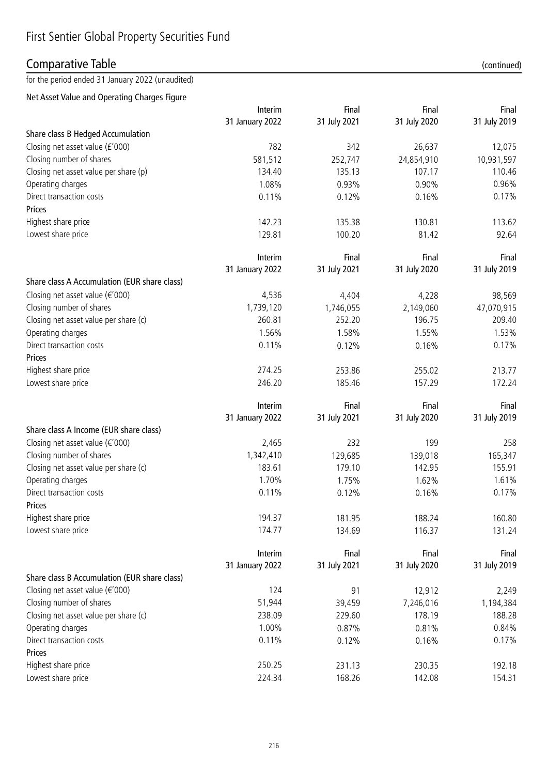## Comparative Table (continued)

for the period ended 31 January 2022 (unaudited)

Net Asset Value and Operating Charges Figure

|                                              | Interim         | Final        | Final        | Final        |
|----------------------------------------------|-----------------|--------------|--------------|--------------|
|                                              | 31 January 2022 | 31 July 2021 | 31 July 2020 | 31 July 2019 |
| Share class B Hedged Accumulation            |                 |              |              |              |
| Closing net asset value (£'000)              | 782             | 342          | 26,637       | 12,075       |
| Closing number of shares                     | 581,512         | 252,747      | 24,854,910   | 10,931,597   |
| Closing net asset value per share (p)        | 134.40          | 135.13       | 107.17       | 110.46       |
| Operating charges                            | 1.08%           | 0.93%        | 0.90%        | 0.96%        |
| Direct transaction costs                     | 0.11%           | 0.12%        | 0.16%        | 0.17%        |
| Prices                                       |                 |              |              |              |
| Highest share price                          | 142.23          | 135.38       | 130.81       | 113.62       |
| Lowest share price                           | 129.81          | 100.20       | 81.42        | 92.64        |
|                                              | Interim         | Final        | Final        | Final        |
|                                              | 31 January 2022 | 31 July 2021 | 31 July 2020 | 31 July 2019 |
| Share class A Accumulation (EUR share class) |                 |              |              |              |
| Closing net asset value ( $\epsilon$ '000)   | 4,536           | 4,404        | 4,228        | 98,569       |
| Closing number of shares                     | 1,739,120       | 1,746,055    | 2,149,060    | 47,070,915   |
| Closing net asset value per share (c)        | 260.81          | 252.20       | 196.75       | 209.40       |
| Operating charges                            | 1.56%           | 1.58%        | 1.55%        | 1.53%        |
| Direct transaction costs                     | 0.11%           | 0.12%        | 0.16%        | 0.17%        |
| Prices                                       |                 |              |              |              |
| Highest share price                          | 274.25          | 253.86       | 255.02       | 213.77       |
| Lowest share price                           | 246.20          | 185.46       | 157.29       | 172.24       |
|                                              | Interim         | Final        | Final        | Final        |
|                                              | 31 January 2022 | 31 July 2021 | 31 July 2020 | 31 July 2019 |
| Share class A Income (EUR share class)       |                 |              |              |              |
| Closing net asset value ( $\epsilon$ '000)   | 2,465           | 232          | 199          | 258          |
| Closing number of shares                     | 1,342,410       | 129,685      | 139,018      | 165,347      |
| Closing net asset value per share (c)        | 183.61          | 179.10       | 142.95       | 155.91       |
| Operating charges                            | 1.70%           | 1.75%        | 1.62%        | 1.61%        |
| Direct transaction costs                     | 0.11%           | 0.12%        | 0.16%        | 0.17%        |
| Prices                                       |                 |              |              |              |
| Highest share price                          | 194.37          | 181.95       | 188.24       | 160.80       |
| Lowest share price                           | 174.77          | 134.69       | 116.37       | 131.24       |
|                                              | Interim         | Final        | Final        | Final        |
|                                              | 31 January 2022 | 31 July 2021 | 31 July 2020 | 31 July 2019 |
| Share class B Accumulation (EUR share class) |                 |              |              |              |
| Closing net asset value (€'000)              | 124             | 91           | 12,912       | 2,249        |
| Closing number of shares                     | 51,944          | 39,459       | 7,246,016    | 1,194,384    |
| Closing net asset value per share (c)        | 238.09          | 229.60       | 178.19       | 188.28       |
| Operating charges                            | 1.00%           | 0.87%        | 0.81%        | 0.84%        |
| Direct transaction costs                     | 0.11%           | 0.12%        | 0.16%        | 0.17%        |
| Prices                                       |                 |              |              |              |
| Highest share price                          | 250.25          | 231.13       | 230.35       | 192.18       |
| Lowest share price                           | 224.34          | 168.26       | 142.08       | 154.31       |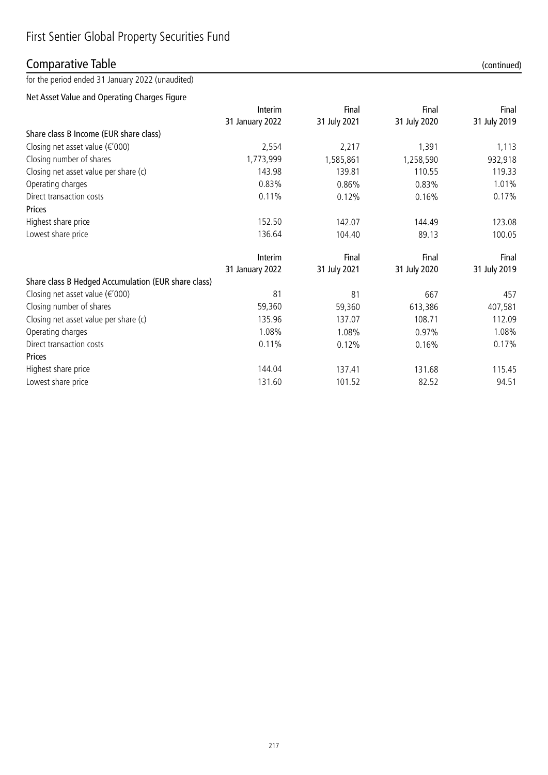## Comparative Table (continued)

for the period ended 31 January 2022 (unaudited)

### Net Asset Value and Operating Charges Figure

|                                           | Interim         | Final        | Final        | Final        |
|-------------------------------------------|-----------------|--------------|--------------|--------------|
|                                           | 31 January 2022 | 31 July 2021 | 31 July 2020 | 31 July 2019 |
| Share class B Income (EUR share class)    |                 |              |              |              |
| Closing net asset value $(\epsilon' 000)$ | 2,554           | 2,217        | 1,391        | 1,113        |
| Closing number of shares                  | 1,773,999       | 1,585,861    | 1,258,590    | 932,918      |
| Closing net asset value per share (c)     | 143.98          | 139.81       | 110.55       | 119.33       |
| Operating charges                         | 0.83%           | 0.86%        | 0.83%        | 1.01%        |
| Direct transaction costs                  | 0.11%           | 0.12%        | 0.16%        | 0.17%        |
| Prices                                    |                 |              |              |              |
| Highest share price                       | 152.50          | 142.07       | 144.49       | 123.08       |
| Lowest share price                        | 136.64          | 104.40       | 89.13        | 100.05       |
|                                           |                 |              |              |              |

|                                                     | <b>Interim</b>  | Final        | Final        | Final        |
|-----------------------------------------------------|-----------------|--------------|--------------|--------------|
|                                                     | 31 January 2022 | 31 July 2021 | 31 July 2020 | 31 July 2019 |
| Share class B Hedged Accumulation (EUR share class) |                 |              |              |              |
| Closing net asset value ( $\epsilon$ '000)          | 81              | 81           | 667          | 457          |
| Closing number of shares                            | 59,360          | 59,360       | 613,386      | 407,581      |
| Closing net asset value per share (c)               | 135.96          | 137.07       | 108.71       | 112.09       |
| Operating charges                                   | 1.08%           | 1.08%        | $0.97\%$     | 1.08%        |
| Direct transaction costs                            | 0.11%           | 0.12%        | 0.16%        | 0.17%        |
| Prices                                              |                 |              |              |              |
| Highest share price                                 | 144.04          | 137.41       | 131.68       | 115.45       |
| Lowest share price                                  | 131.60          | 101.52       | 82.52        | 94.51        |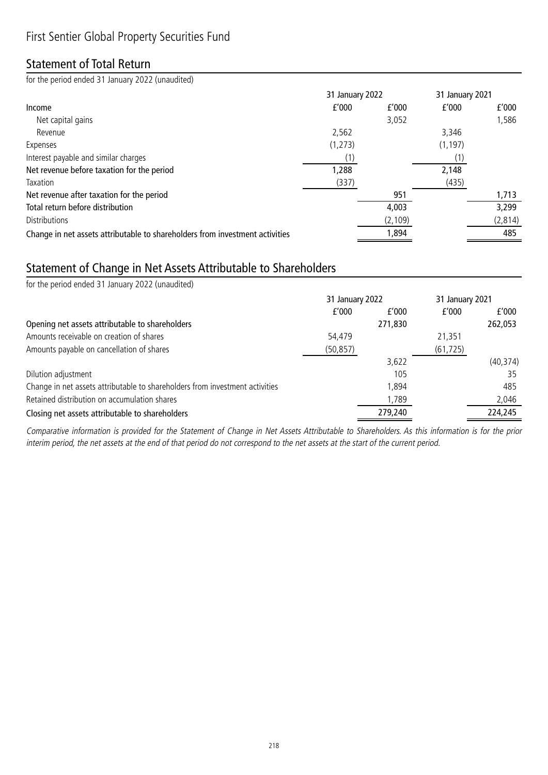## Statement of Total Return

for the period ended 31 January 2022 (unaudited)

|                                                                              | 31 January 2022 |          | 31 January 2021 |          |
|------------------------------------------------------------------------------|-----------------|----------|-----------------|----------|
| Income                                                                       | f'000           | f'000    | f'000           | f'000    |
| Net capital gains                                                            |                 | 3,052    |                 | 1,586    |
| Revenue                                                                      | 2,562           |          | 3,346           |          |
| Expenses                                                                     | (1, 273)        |          | (1, 197)        |          |
| Interest payable and similar charges                                         |                 |          |                 |          |
| Net revenue before taxation for the period                                   | 1,288           |          | 2,148           |          |
| Taxation                                                                     | (337)           |          | (435)           |          |
| Net revenue after taxation for the period                                    |                 | 951      |                 | 1,713    |
| Total return before distribution                                             |                 | 4,003    |                 | 3,299    |
| <b>Distributions</b>                                                         |                 | (2, 109) |                 | (2, 814) |
| Change in net assets attributable to shareholders from investment activities |                 | 1,894    |                 | 485      |

## Statement of Change in Net Assets Attributable to Shareholders

| for the period ended 31 January 2022 (unaudited)                             |                 |         |                 |           |
|------------------------------------------------------------------------------|-----------------|---------|-----------------|-----------|
|                                                                              | 31 January 2022 |         | 31 January 2021 |           |
|                                                                              | f'000           | f'000   | f'000           | f'000     |
| Opening net assets attributable to shareholders                              |                 | 271,830 |                 | 262,053   |
| Amounts receivable on creation of shares                                     | 54,479          |         | 21,351          |           |
| Amounts payable on cancellation of shares                                    | (50, 857)       |         | (61, 725)       |           |
|                                                                              |                 | 3,622   |                 | (40, 374) |
| Dilution adjustment                                                          |                 | 105     |                 | 35        |
| Change in net assets attributable to shareholders from investment activities |                 | 1,894   |                 | 485       |
| Retained distribution on accumulation shares                                 |                 | 1,789   |                 | 2,046     |
| Closing net assets attributable to shareholders                              |                 | 279,240 |                 | 224,245   |

Comparative information is provided for the Statement of Change in Net Assets Attributable to Shareholders. As this information is for the prior interim period, the net assets at the end of that period do not correspond to the net assets at the start of the current period.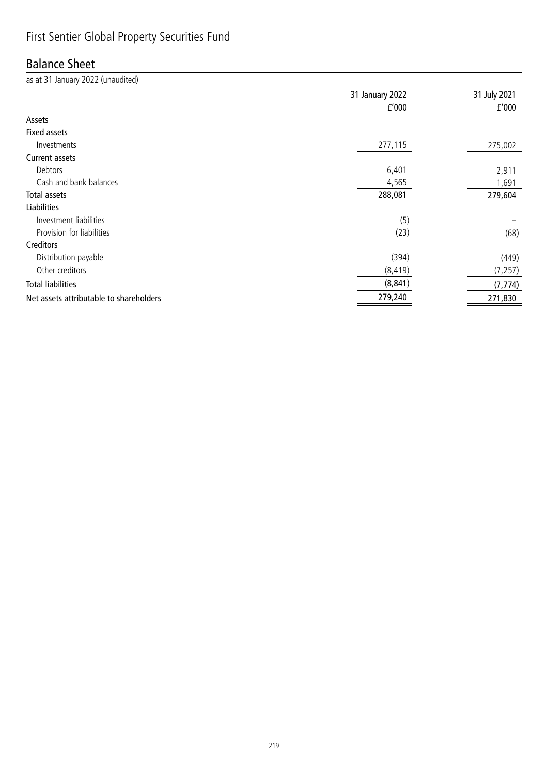## First Sentier Global Property Securities Fund

## Balance Sheet

| as at 31 January 2022 (unaudited)       |                          |                       |
|-----------------------------------------|--------------------------|-----------------------|
|                                         | 31 January 2022<br>f'000 | 31 July 2021<br>f'000 |
| Assets                                  |                          |                       |
| <b>Fixed assets</b>                     |                          |                       |
| Investments                             | 277,115                  | 275,002               |
| Current assets                          |                          |                       |
| Debtors                                 | 6,401                    | 2,911                 |
| Cash and bank balances                  | 4,565                    | 1,691                 |
| Total assets                            | 288,081                  | 279,604               |
| <b>Liabilities</b>                      |                          |                       |
| Investment liabilities                  | (5)                      |                       |
| Provision for liabilities               | (23)                     | (68)                  |
| Creditors                               |                          |                       |
| Distribution payable                    | (394)                    | (449)                 |
| Other creditors                         | (8, 419)                 | (7, 257)              |
| <b>Total liabilities</b>                | (8, 841)                 | (7, 774)              |
| Net assets attributable to shareholders | 279,240                  | 271,830               |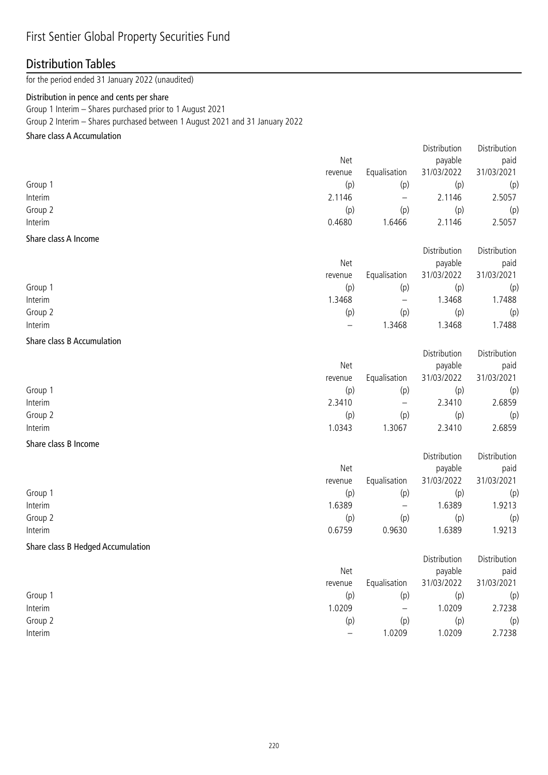## First Sentier Global Property Securities Fund

## Distribution Tables

for the period ended 31 January 2022 (unaudited)

### Distribution in pence and cents per share

Group 1 Interim – Shares purchased prior to 1 August 2021

Group 2 Interim – Shares purchased between 1 August 2021 and 31 January 2022

### Share class A Accumulation

|                                   | Net               |                          | payable      | paid         |
|-----------------------------------|-------------------|--------------------------|--------------|--------------|
|                                   | revenue           | Equalisation             | 31/03/2022   | 31/03/2021   |
| Group 1                           | (p)               | (p)                      | (p)          | (p)          |
| Interim                           | 2.1146            | $\qquad \qquad -$        | 2.1146       | 2.5057       |
| Group 2                           | (p)               | (p)                      | (p)          | (p)          |
| Interim                           | 0.4680            | 1.6466                   | 2.1146       | 2.5057       |
| Share class A Income              |                   |                          |              |              |
|                                   |                   |                          | Distribution | Distribution |
|                                   | Net               |                          | payable      | paid         |
|                                   | revenue           | Equalisation             | 31/03/2022   | 31/03/2021   |
| Group 1                           | (p)               | (p)                      | (p)          | (p)          |
| Interim                           | 1.3468            | $\qquad \qquad -$        | 1.3468       | 1.7488       |
| Group 2                           | (p)               | (p)                      | (p)          | (p)          |
| Interim                           | $\qquad \qquad -$ | 1.3468                   | 1.3468       | 1.7488       |
| Share class B Accumulation        |                   |                          |              |              |
|                                   |                   |                          | Distribution | Distribution |
|                                   | Net               |                          | payable      | paid         |
|                                   | revenue           | Equalisation             | 31/03/2022   | 31/03/2021   |
| Group 1                           | (p)               | (p)                      | (p)          | (p)          |
| Interim                           | 2.3410            | $\qquad \qquad -$        | 2.3410       | 2.6859       |
| Group 2                           | (p)               | (p)                      | (p)          | (p)          |
| Interim                           | 1.0343            | 1.3067                   | 2.3410       | 2.6859       |
| Share class B Income              |                   |                          |              |              |
|                                   |                   |                          | Distribution | Distribution |
|                                   | Net               |                          | payable      | paid         |
|                                   | revenue           | Equalisation             | 31/03/2022   | 31/03/2021   |
| Group 1                           | (p)               | (p)                      | (p)          | (p)          |
| Interim                           | 1.6389            | $\qquad \qquad -$        | 1.6389       | 1.9213       |
| Group 2                           | (p)               | (p)                      | (p)          | (p)          |
| Interim                           | 0.6759            | 0.9630                   | 1.6389       | 1.9213       |
| Share class B Hedged Accumulation |                   |                          |              |              |
|                                   |                   |                          | Distribution | Distribution |
|                                   | Net               |                          | payable      | paid         |
|                                   | revenue           | Equalisation             | 31/03/2022   | 31/03/2021   |
| Group 1                           | (p)               | (p)                      | (p)          | (p)          |
| Interim                           | 1.0209            | $\overline{\phantom{0}}$ | 1.0209       | 2.7238       |
| Group 2                           | (p)               | (p)                      | (p)          | (p)          |
| Interim                           |                   | 1.0209                   | 1.0209       | 2.7238       |
|                                   |                   |                          |              |              |

Distribution

Distribution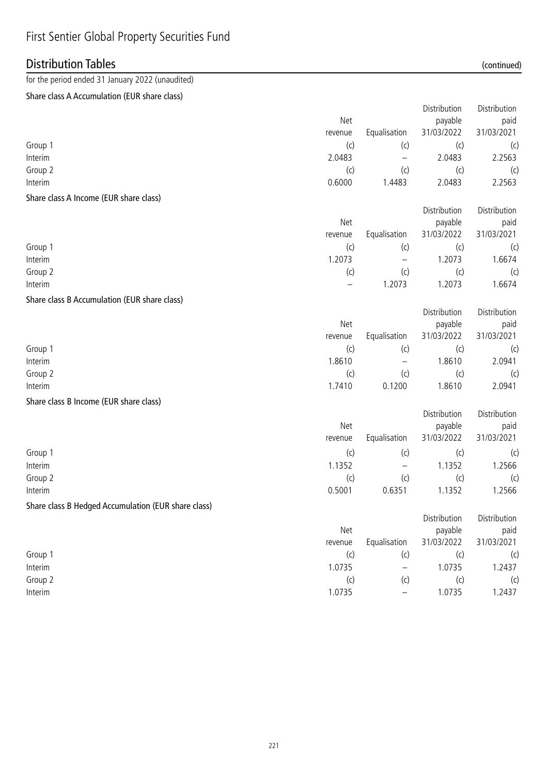## First Sentier Global Property Securities Fund

## Distribution Tables (continued)

## for the period ended 31 January 2022 (unaudited)

### Share class A Accumulation (EUR share class)

|                                                     |                          |                          | Distribution | Distribution |
|-----------------------------------------------------|--------------------------|--------------------------|--------------|--------------|
|                                                     | Net                      |                          | payable      | paid         |
|                                                     | revenue                  | Equalisation             | 31/03/2022   | 31/03/2021   |
| Group 1                                             | (c)                      | (c)                      | (c)          | (c)          |
| Interim                                             | 2.0483                   | $\qquad \qquad -$        | 2.0483       | 2.2563       |
| Group 2                                             | (c)                      | (c)                      | (c)          | (c)          |
| Interim                                             | 0.6000                   | 1.4483                   | 2.0483       | 2.2563       |
| Share class A Income (EUR share class)              |                          |                          |              |              |
|                                                     |                          |                          | Distribution | Distribution |
|                                                     | Net                      |                          | payable      | paid         |
|                                                     | revenue                  | Equalisation             | 31/03/2022   | 31/03/2021   |
| Group 1                                             | (c)                      | (c)                      | (c)          | (c)          |
| Interim                                             | 1.2073                   | $\qquad \qquad -$        | 1.2073       | 1.6674       |
| Group 2                                             | (c)                      | (c)                      | (c)          | (c)          |
| Interim                                             | $\overline{\phantom{0}}$ | 1.2073                   | 1.2073       | 1.6674       |
| Share class B Accumulation (EUR share class)        |                          |                          |              |              |
|                                                     |                          |                          | Distribution | Distribution |
|                                                     | Net                      |                          | payable      | paid         |
|                                                     | revenue                  | Equalisation             | 31/03/2022   | 31/03/2021   |
| Group 1                                             | (c)                      | (c)                      | (c)          | (c)          |
| Interim                                             | 1.8610                   | $\qquad \qquad -$        | 1.8610       | 2.0941       |
| Group 2                                             | (c)                      | (c)                      | (c)          | (c)          |
| Interim                                             | 1.7410                   | 0.1200                   | 1.8610       | 2.0941       |
| Share class B Income (EUR share class)              |                          |                          |              |              |
|                                                     |                          |                          | Distribution | Distribution |
|                                                     | Net                      |                          | payable      | paid         |
|                                                     | revenue                  | Equalisation             | 31/03/2022   | 31/03/2021   |
| Group 1                                             | (c)                      | (c)                      | (c)          | (c)          |
| Interim                                             | 1.1352                   | $\overline{\phantom{m}}$ | 1.1352       | 1.2566       |
| Group 2                                             | (c)                      | (c)                      | (c)          | (c)          |
| Interim                                             | 0.5001                   | 0.6351                   | 1.1352       | 1.2566       |
| Share class B Hedged Accumulation (EUR share class) |                          |                          |              |              |
|                                                     |                          |                          | Distribution | Distribution |
|                                                     | Net                      |                          | payable      | paid         |
|                                                     | revenue                  | Equalisation             | 31/03/2022   | 31/03/2021   |
| Group 1                                             | (c)                      | (c)                      | (c)          | (c)          |
| Interim                                             | 1.0735                   |                          | 1.0735       | 1.2437       |
| Group 2                                             | (c)                      | (c)                      | (c)          | (c)          |
| Interim                                             | 1.0735                   | $\qquad \qquad -$        | 1.0735       | 1.2437       |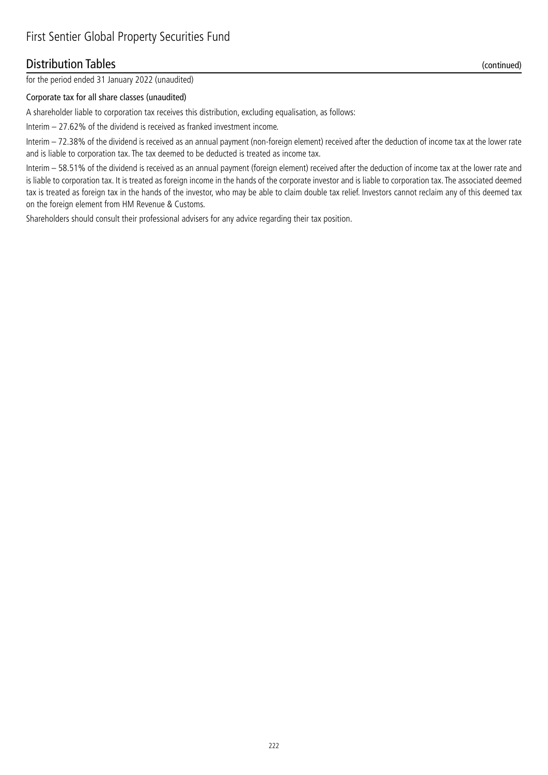### Distribution Tables (continued)

for the period ended 31 January 2022 (unaudited)

### Corporate tax for all share classes (unaudited)

A shareholder liable to corporation tax receives this distribution, excluding equalisation, as follows:

Interim – 27.62% of the dividend is received as franked investment income.

Interim – 72.38% of the dividend is received as an annual payment (non-foreign element) received after the deduction of income tax at the lower rate and is liable to corporation tax. The tax deemed to be deducted is treated as income tax.

Interim – 58.51% of the dividend is received as an annual payment (foreign element) received after the deduction of income tax at the lower rate and is liable to corporation tax. It is treated as foreign income in the hands of the corporate investor and is liable to corporation tax. The associated deemed tax is treated as foreign tax in the hands of the investor, who may be able to claim double tax relief. Investors cannot reclaim any of this deemed tax on the foreign element from HM Revenue & Customs.

Shareholders should consult their professional advisers for any advice regarding their tax position.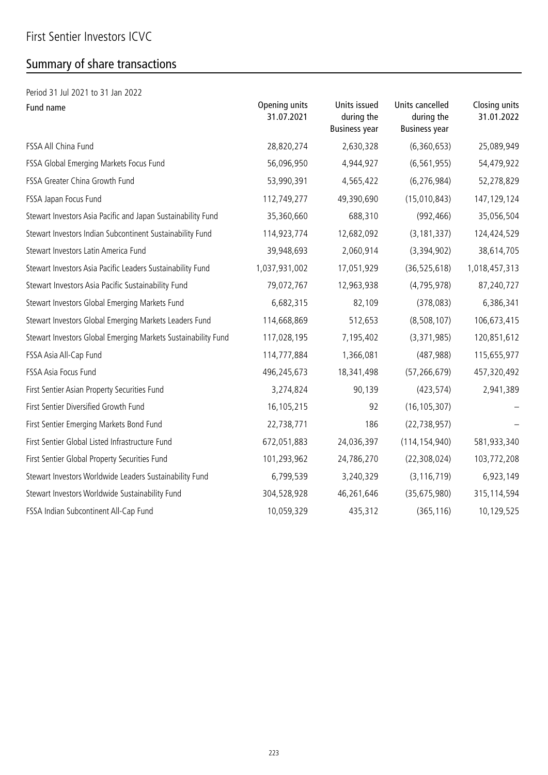# Summary of share transactions

| Period 31 Jul 2021 to 31 Jan 2022                             |                             |                                                    |                                                       |                             |
|---------------------------------------------------------------|-----------------------------|----------------------------------------------------|-------------------------------------------------------|-----------------------------|
| Fund name                                                     | Opening units<br>31.07.2021 | Units issued<br>during the<br><b>Business year</b> | Units cancelled<br>during the<br><b>Business year</b> | Closing units<br>31.01.2022 |
| FSSA All China Fund                                           | 28,820,274                  | 2,630,328                                          | (6,360,653)                                           | 25,089,949                  |
| FSSA Global Emerging Markets Focus Fund                       | 56,096,950                  | 4,944,927                                          | (6, 561, 955)                                         | 54,479,922                  |
| FSSA Greater China Growth Fund                                | 53,990,391                  | 4,565,422                                          | (6, 276, 984)                                         | 52,278,829                  |
| FSSA Japan Focus Fund                                         | 112,749,277                 | 49,390,690                                         | (15,010,843)                                          | 147, 129, 124               |
| Stewart Investors Asia Pacific and Japan Sustainability Fund  | 35,360,660                  | 688,310                                            | (992, 466)                                            | 35,056,504                  |
| Stewart Investors Indian Subcontinent Sustainability Fund     | 114,923,774                 | 12,682,092                                         | (3, 181, 337)                                         | 124,424,529                 |
| Stewart Investors Latin America Fund                          | 39,948,693                  | 2,060,914                                          | (3,394,902)                                           | 38,614,705                  |
| Stewart Investors Asia Pacific Leaders Sustainability Fund    | 1,037,931,002               | 17,051,929                                         | (36, 525, 618)                                        | 1,018,457,313               |
| Stewart Investors Asia Pacific Sustainability Fund            | 79,072,767                  | 12,963,938                                         | (4, 795, 978)                                         | 87,240,727                  |
| Stewart Investors Global Emerging Markets Fund                | 6,682,315                   | 82,109                                             | (378,083)                                             | 6,386,341                   |
| Stewart Investors Global Emerging Markets Leaders Fund        | 114,668,869                 | 512,653                                            | (8,508,107)                                           | 106,673,415                 |
| Stewart Investors Global Emerging Markets Sustainability Fund | 117,028,195                 | 7,195,402                                          | (3,371,985)                                           | 120,851,612                 |
| FSSA Asia All-Cap Fund                                        | 114,777,884                 | 1,366,081                                          | (487, 988)                                            | 115,655,977                 |
| FSSA Asia Focus Fund                                          | 496,245,673                 | 18,341,498                                         | (57, 266, 679)                                        | 457,320,492                 |
| First Sentier Asian Property Securities Fund                  | 3,274,824                   | 90,139                                             | (423, 574)                                            | 2,941,389                   |
| First Sentier Diversified Growth Fund                         | 16,105,215                  | 92                                                 | (16, 105, 307)                                        |                             |
| First Sentier Emerging Markets Bond Fund                      | 22,738,771                  | 186                                                | (22, 738, 957)                                        |                             |
| First Sentier Global Listed Infrastructure Fund               | 672,051,883                 | 24,036,397                                         | (114, 154, 940)                                       | 581,933,340                 |
| First Sentier Global Property Securities Fund                 | 101,293,962                 | 24,786,270                                         | (22, 308, 024)                                        | 103,772,208                 |
| Stewart Investors Worldwide Leaders Sustainability Fund       | 6,799,539                   | 3,240,329                                          | (3, 116, 719)                                         | 6,923,149                   |
| Stewart Investors Worldwide Sustainability Fund               | 304,528,928                 | 46,261,646                                         | (35, 675, 980)                                        | 315,114,594                 |
| FSSA Indian Subcontinent All-Cap Fund                         | 10,059,329                  | 435,312                                            | (365, 116)                                            | 10,129,525                  |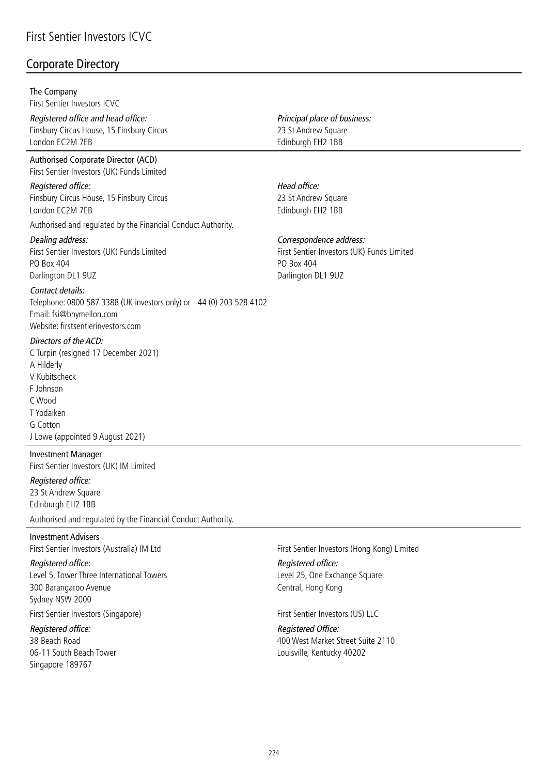### Corporate Directory

### The Company

First Sentier Investors ICVC

Registered office and head office: Finsbury Circus House, 15 Finsbury Circus London EC2M 7EB

Authorised Corporate Director (ACD) First Sentier Investors (UK) Funds Limited

Registered office: Finsbury Circus House, 15 Finsbury Circus London EC2M 7EB

Authorised and regulated by the Financial Conduct Authority.

### Dealing address:

First Sentier Investors (UK) Funds Limited PO Box 404 Darlington DL1 9UZ

Contact details:

Telephone: 0800 587 3388 (UK investors only) or +44 (0) 203 528 4102 Email: fsi@bnymellon.com Website: firstsentierinvestors.com

### Directors of the ACD:

C Turpin (resigned 17 December 2021) A Hilderly V Kubitscheck F Johnson C Wood T Yodaiken G Cotton J Lowe (appointed 9 August 2021)

Investment Manager First Sentier Investors (UK) IM Limited

### Registered office:

23 St Andrew Square Edinburgh EH2 1BB

Authorised and regulated by the Financial Conduct Authority.

### Investment Advisers

First Sentier Investors (Australia) IM Ltd

#### Registered office:

Level 5, Tower Three International Towers 300 Barangaroo Avenue Sydney NSW 2000

First Sentier Investors (Singapore)

Registered office: 38 Beach Road 06-11 South Beach Tower Singapore 189767

Principal place of business: 23 St Andrew Square Edinburgh EH2 1BB

### Head office:

23 St Andrew Square Edinburgh EH2 1BB

### Correspondence address:

First Sentier Investors (UK) Funds Limited PO Box 404 Darlington DL1 9UZ

First Sentier Investors (Hong Kong) Limited

Registered office: Level 25, One Exchange Square Central, Hong Kong

First Sentier Investors (US) LLC

Registered Office: 400 West Market Street Suite 2110 Louisville, Kentucky 40202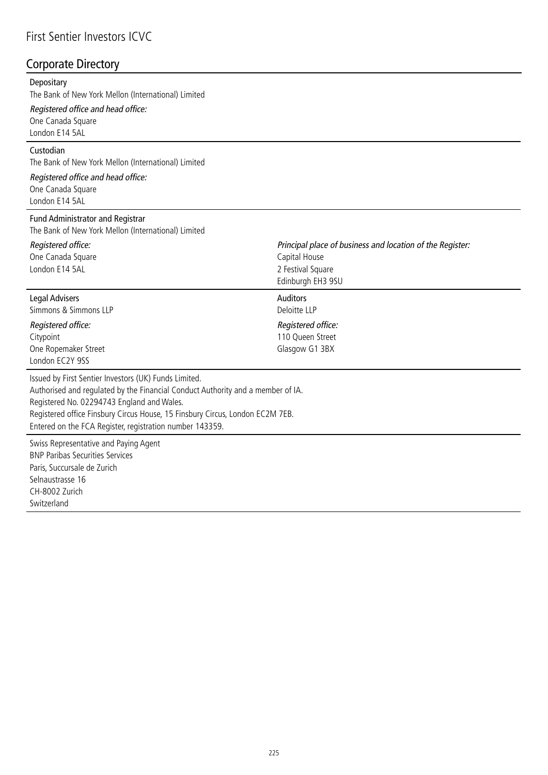## First Sentier Investors ICVC

## Corporate Directory

#### **Depositary**

The Bank of New York Mellon (International) Limited

Registered office and head office:

One Canada Square London E14 5AL

### Custodian

The Bank of New York Mellon (International) Limited

### Registered office and head office: One Canada Square

London E14 5AL

### Fund Administrator and Registrar

The Bank of New York Mellon (International) Limited

| Registered office:<br>One Canada Square<br>London E14 5AL                                                                                                                                                                                                                                                                           | Principal place of business and location of the Register:<br>Capital House<br>2 Festival Square<br>Edinburgh EH3 9SU |
|-------------------------------------------------------------------------------------------------------------------------------------------------------------------------------------------------------------------------------------------------------------------------------------------------------------------------------------|----------------------------------------------------------------------------------------------------------------------|
| Legal Advisers<br>Simmons & Simmons LLP<br>Registered office:<br>Citypoint<br>One Ropemaker Street<br>London EC2Y 9SS                                                                                                                                                                                                               | <b>Auditors</b><br>Deloitte LLP<br>Registered office:<br>110 Queen Street<br>Glasgow G1 3BX                          |
| Issued by First Sentier Investors (UK) Funds Limited.<br>Authorised and regulated by the Financial Conduct Authority and a member of IA.<br>Registered No. 02294743 England and Wales.<br>Registered office Finsbury Circus House, 15 Finsbury Circus, London EC2M 7EB.<br>Entered on the FCA Register, registration number 143359. |                                                                                                                      |
|                                                                                                                                                                                                                                                                                                                                     |                                                                                                                      |

Swiss Representative and Paying Agent BNP Paribas Securities Services Paris, Succursale de Zurich Selnaustrasse 16 CH-8002 Zurich Switzerland